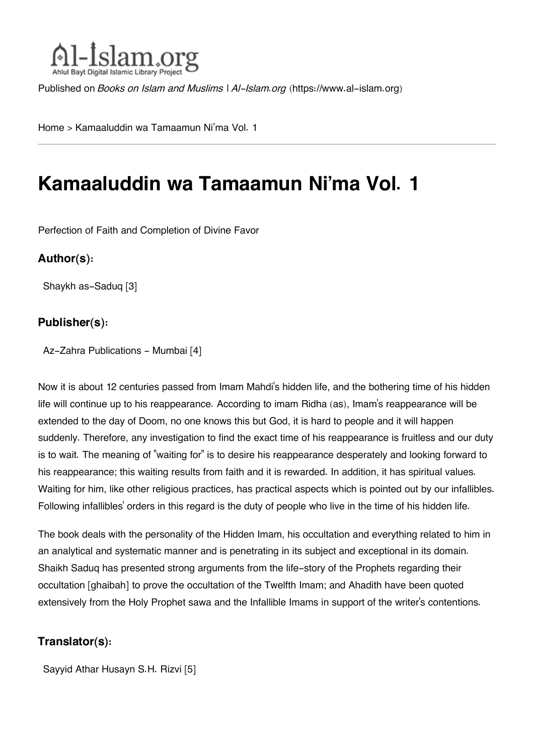

Published on *Books on Islam and Muslims | Al-Islam.org* [\(https://www.al-islam.org](https://www.al-islam.org))

[Home](https://www.al-islam.org/) > Kamaaluddin wa Tamaamun Ni'ma Vol. 1

## **Kamaaluddin wa Tamaamun Ni'ma Vol. 1**

Perfection of Faith and Completion of Divine Favor

#### **Author(s):**

[Shaykh as-Saduq](https://www.al-islam.org/person/shaykh-saduq) [3]

#### **Publisher(s):**

[Az-Zahra Publications - Mumbai](https://www.al-islam.org/organization/az-zahra-publications-mumbai) [4]

Now it is about 12 centuries passed from Imam Mahdi's hidden life, and the bothering time of his hidden life will continue up to his reappearance. According to imam Ridha (as), Imam's reappearance will be extended to the day of Doom, no one knows this but God, it is hard to people and it will happen suddenly. Therefore, any investigation to find the exact time of his reappearance is fruitless and our duty is to wait. The meaning of "waiting for" is to desire his reappearance desperately and looking forward to his reappearance; this waiting results from faith and it is rewarded. In addition, it has spiritual values. Waiting for him, like other religious practices, has practical aspects which is pointed out by our infallibles. Following infallibles' orders in this regard is the duty of people who live in the time of his hidden life.

The book deals with the personality of the Hidden Imam, his occultation and everything related to him in an analytical and systematic manner and is penetrating in its subject and exceptional in its domain. Shaikh Saduq has presented strong arguments from the life-story of the Prophets regarding their occultation [ghaibah] to prove the occultation of the Twelfth Imam; and Ahadith have been quoted extensively from the Holy Prophet sawa and the Infallible Imams in support of the writer's contentions.

## **Translator(s):**

[Sayyid Athar Husayn S.H. Rizvi](https://www.al-islam.org/person/sayyid-athar-husayn-sh-rizvi) [5]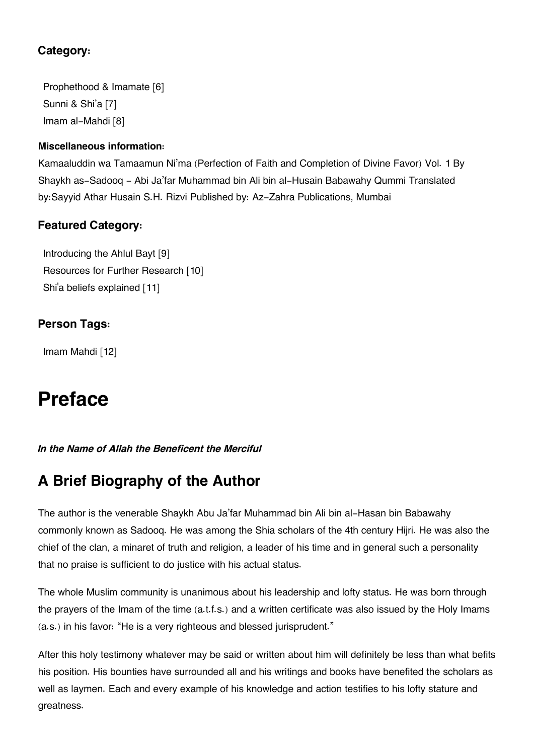### **Category:**

[Prophethood & Imamate](https://www.al-islam.org/library/prophethood-imamate) [6] [Sunni & Shi'a](https://www.al-islam.org/library/sunni-shia) [7] [Imam al-Mahdi](https://www.al-islam.org/library/imam-al-mahdi) [8]

#### **Miscellaneous information:**

Kamaaluddin wa Tamaamun Ni'ma (Perfection of Faith and Completion of Divine Favor) Vol. 1 By Shaykh as-Sadooq - Abi Ja'far Muhammad bin Ali bin al-Husain Babawahy Qummi Translated by:Sayyid Athar Husain S.H. Rizvi Published by: Az-Zahra Publications, Mumbai

### **Featured Category:**

[Introducing the Ahlul Bayt](https://www.al-islam.org/feature/introducing-ahlul-bayt) [9] [Resources for Further Research](https://www.al-islam.org/feature/resources-further-research) [10] Shi['a beliefs explained](https://www.al-islam.org/feature/shia-beliefs-explained) [11]

### **Person Tags:**

[Imam Mahdi](https://www.al-islam.org/person/imam-mahdi) [12]

## **Preface**

#### *In the Name of Allah the Beneficent the Merciful*

## **[A Brief Biography of the Author](#page--1-0)**

The author is the venerable Shaykh Abu Ja'far Muhammad bin Ali bin al-Hasan bin Babawahy commonly known as Sadooq. He was among the Shia scholars of the 4th century Hijri. He was also the chief of the clan, a minaret of truth and religion, a leader of his time and in general such a personality that no praise is sufficient to do justice with his actual status.

The whole Muslim community is unanimous about his leadership and lofty status. He was born through the prayers of the Imam of the time (a.t.f.s.) and a written certificate was also issued by the Holy Imams (a.s.) in his favor: "He is a very righteous and blessed jurisprudent."

After this holy testimony whatever may be said or written about him will definitely be less than what befits his position. His bounties have surrounded all and his writings and books have benefited the scholars as well as laymen. Each and every example of his knowledge and action testifies to his lofty stature and greatness.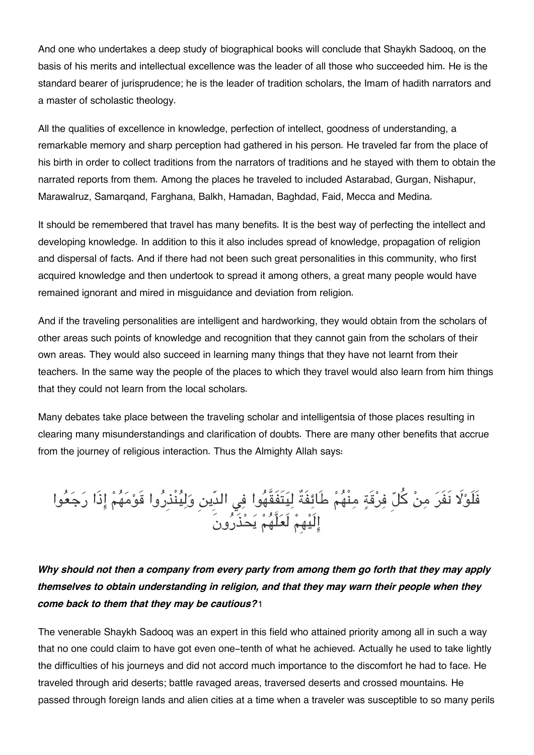And one who undertakes a deep study of biographical books will conclude that Shaykh Sadooq, on the basis of his merits and intellectual excellence was the leader of all those who succeeded him. He is the standard bearer of jurisprudence; he is the leader of tradition scholars, the Imam of hadith narrators and a master of scholastic theology.

All the qualities of excellence in knowledge, perfection of intellect, goodness of understanding, a remarkable memory and sharp perception had gathered in his person. He traveled far from the place of his birth in order to collect traditions from the narrators of traditions and he stayed with them to obtain the narrated reports from them. Among the places he traveled to included Astarabad, Gurgan, Nishapur, Marawalruz, Samarqand, Farghana, Balkh, Hamadan, Baghdad, Faid, Mecca and Medina.

It should be remembered that travel has many benefits. It is the best way of perfecting the intellect and developing knowledge. In addition to this it also includes spread of knowledge, propagation of religion and dispersal of facts. And if there had not been such great personalities in this community, who first acquired knowledge and then undertook to spread it among others, a great many people would have remained ignorant and mired in misguidance and deviation from religion.

And if the traveling personalities are intelligent and hardworking, they would obtain from the scholars of other areas such points of knowledge and recognition that they cannot gain from the scholars of their own areas. They would also succeed in learning many things that they have not learnt from their teachers. In the same way the people of the places to which they travel would also learn from him things that they could not learn from the local scholars.

Many debates take place between the traveling scholar and intelligentsia of those places resulting in clearing many misunderstandings and clarification of doubts. There are many other benefits that accrue from the journey of religious interaction. Thus the Almighty Allah says:

فَلَوْلًا نَفَرَ مِنْ كَلِّ فِرْقَةٍ مِنْهَمْ طَائِفَةٌ لِيَتَفَقَّهُوا فِي الدِّين وَلِيَنْذُرُوا قَوْمَهُمْ إِذَا رَجَعُوا الَيهِم لَعلَّهم يحذَرونَ

*Why should not then a company from every party from among them go forth that they may apply themselves to obtain understanding in religion, and that they may warn their people when they come back to them that they may be cautious?*[1](#page--1-0)

The venerable Shaykh Sadooq was an expert in this field who attained priority among all in such a way that no one could claim to have got even one-tenth of what he achieved. Actually he used to take lightly the difficulties of his journeys and did not accord much importance to the discomfort he had to face. He traveled through arid deserts; battle ravaged areas, traversed deserts and crossed mountains. He passed through foreign lands and alien cities at a time when a traveler was susceptible to so many perils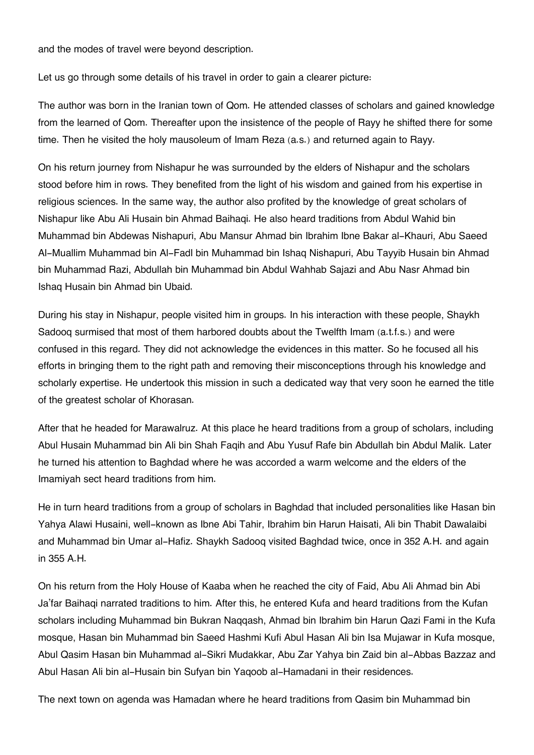and the modes of travel were beyond description.

Let us go through some details of his travel in order to gain a clearer picture:

The author was born in the Iranian town of Qom. He attended classes of scholars and gained knowledge from the learned of Qom. Thereafter upon the insistence of the people of Rayy he shifted there for some time. Then he visited the holy mausoleum of Imam Reza (a.s.) and returned again to Rayy.

On his return journey from Nishapur he was surrounded by the elders of Nishapur and the scholars stood before him in rows. They benefited from the light of his wisdom and gained from his expertise in religious sciences. In the same way, the author also profited by the knowledge of great scholars of Nishapur like Abu Ali Husain bin Ahmad Baihaqi. He also heard traditions from Abdul Wahid bin Muhammad bin Abdewas Nishapuri, Abu Mansur Ahmad bin Ibrahim Ibne Bakar al-Khauri, Abu Saeed Al-Muallim Muhammad bin Al-Fadl bin Muhammad bin Ishaq Nishapuri, Abu Tayyib Husain bin Ahmad bin Muhammad Razi, Abdullah bin Muhammad bin Abdul Wahhab Sajazi and Abu Nasr Ahmad bin Ishaq Husain bin Ahmad bin Ubaid.

During his stay in Nishapur, people visited him in groups. In his interaction with these people, Shaykh Sadooq surmised that most of them harbored doubts about the Twelfth Imam (a.t.f.s.) and were confused in this regard. They did not acknowledge the evidences in this matter. So he focused all his efforts in bringing them to the right path and removing their misconceptions through his knowledge and scholarly expertise. He undertook this mission in such a dedicated way that very soon he earned the title of the greatest scholar of Khorasan.

After that he headed for Marawalruz. At this place he heard traditions from a group of scholars, including Abul Husain Muhammad bin Ali bin Shah Faqih and Abu Yusuf Rafe bin Abdullah bin Abdul Malik. Later he turned his attention to Baghdad where he was accorded a warm welcome and the elders of the Imamiyah sect heard traditions from him.

He in turn heard traditions from a group of scholars in Baghdad that included personalities like Hasan bin Yahya Alawi Husaini, well-known as Ibne Abi Tahir, Ibrahim bin Harun Haisati, Ali bin Thabit Dawalaibi and Muhammad bin Umar al-Hafiz. Shaykh Sadooq visited Baghdad twice, once in 352 A.H. and again in 355 A.H.

On his return from the Holy House of Kaaba when he reached the city of Faid, Abu Ali Ahmad bin Abi Ja'far Baihaqi narrated traditions to him. After this, he entered Kufa and heard traditions from the Kufan scholars including Muhammad bin Bukran Naqqash, Ahmad bin Ibrahim bin Harun Qazi Fami in the Kufa mosque, Hasan bin Muhammad bin Saeed Hashmi Kufi Abul Hasan Ali bin Isa Mujawar in Kufa mosque, Abul Qasim Hasan bin Muhammad al-Sikri Mudakkar, Abu Zar Yahya bin Zaid bin al-Abbas Bazzaz and Abul Hasan Ali bin al-Husain bin Sufyan bin Yaqoob al-Hamadani in their residences.

The next town on agenda was Hamadan where he heard traditions from Qasim bin Muhammad bin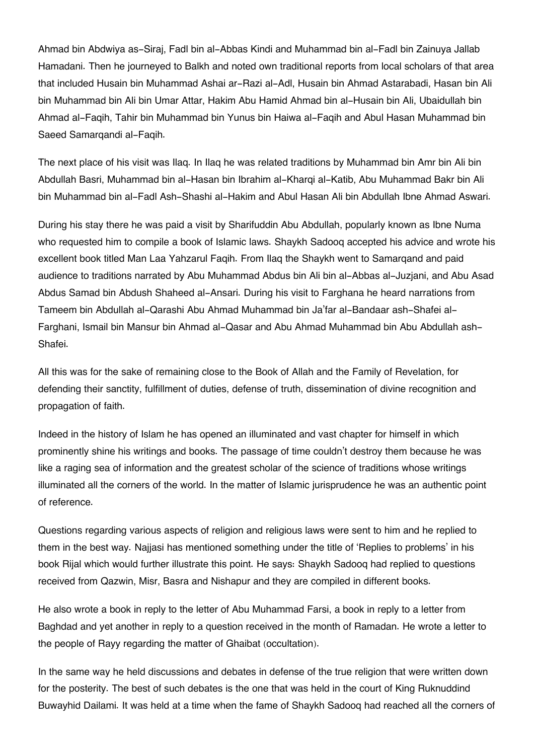Ahmad bin Abdwiya as-Siraj, Fadl bin al-Abbas Kindi and Muhammad bin al-Fadl bin Zainuya Jallab Hamadani. Then he journeyed to Balkh and noted own traditional reports from local scholars of that area that included Husain bin Muhammad Ashai ar-Razi al-Adl, Husain bin Ahmad Astarabadi, Hasan bin Ali bin Muhammad bin Ali bin Umar Attar, Hakim Abu Hamid Ahmad bin al-Husain bin Ali, Ubaidullah bin Ahmad al-Faqih, Tahir bin Muhammad bin Yunus bin Haiwa al-Faqih and Abul Hasan Muhammad bin Saeed Samarqandi al-Faqih.

The next place of his visit was Ilaq. In Ilaq he was related traditions by Muhammad bin Amr bin Ali bin Abdullah Basri, Muhammad bin al-Hasan bin Ibrahim al-Kharqi al-Katib, Abu Muhammad Bakr bin Ali bin Muhammad bin al-Fadl Ash-Shashi al-Hakim and Abul Hasan Ali bin Abdullah Ibne Ahmad Aswari.

During his stay there he was paid a visit by Sharifuddin Abu Abdullah, popularly known as Ibne Numa who requested him to compile a book of Islamic laws. Shaykh Sadooq accepted his advice and wrote his excellent book titled Man Laa Yahzarul Faqih. From Ilaq the Shaykh went to Samarqand and paid audience to traditions narrated by Abu Muhammad Abdus bin Ali bin al-Abbas al-Juzjani, and Abu Asad Abdus Samad bin Abdush Shaheed al-Ansari. During his visit to Farghana he heard narrations from Tameem bin Abdullah al-Qarashi Abu Ahmad Muhammad bin Ja'far al-Bandaar ash-Shafei al-Farghani, Ismail bin Mansur bin Ahmad al-Qasar and Abu Ahmad Muhammad bin Abu Abdullah ash-Shafei.

All this was for the sake of remaining close to the Book of Allah and the Family of Revelation, for defending their sanctity, fulfillment of duties, defense of truth, dissemination of divine recognition and propagation of faith.

Indeed in the history of Islam he has opened an illuminated and vast chapter for himself in which prominently shine his writings and books. The passage of time couldn't destroy them because he was like a raging sea of information and the greatest scholar of the science of traditions whose writings illuminated all the corners of the world. In the matter of Islamic jurisprudence he was an authentic point of reference.

Questions regarding various aspects of religion and religious laws were sent to him and he replied to them in the best way. Najjasi has mentioned something under the title of 'Replies to problems' in his book Rijal which would further illustrate this point. He says: Shaykh Sadooq had replied to questions received from Qazwin, Misr, Basra and Nishapur and they are compiled in different books.

He also wrote a book in reply to the letter of Abu Muhammad Farsi, a book in reply to a letter from Baghdad and yet another in reply to a question received in the month of Ramadan. He wrote a letter to the people of Rayy regarding the matter of Ghaibat (occultation).

In the same way he held discussions and debates in defense of the true religion that were written down for the posterity. The best of such debates is the one that was held in the court of King Ruknuddind Buwayhid Dailami. It was held at a time when the fame of Shaykh Sadooq had reached all the corners of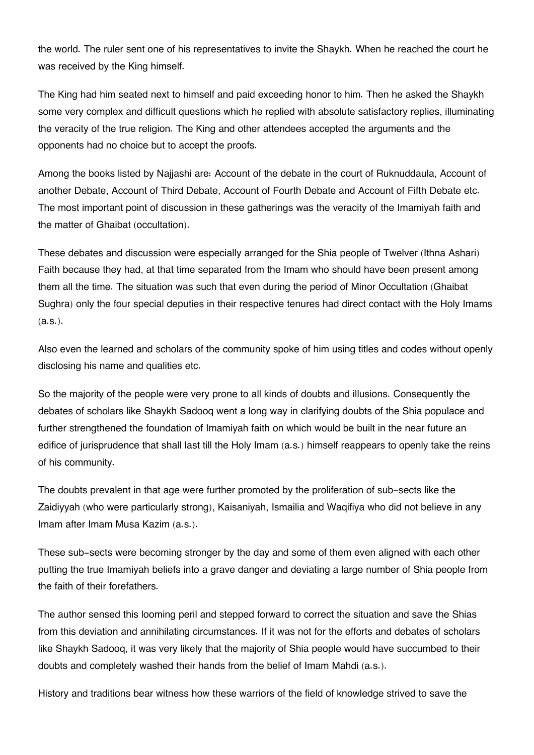the world. The ruler sent one of his representatives to invite the Shaykh. When he reached the court he was received by the King himself.

The King had him seated next to himself and paid exceeding honor to him. Then he asked the Shaykh some very complex and difficult questions which he replied with absolute satisfactory replies, illuminating the veracity of the true religion. The King and other attendees accepted the arguments and the opponents had no choice but to accept the proofs.

Among the books listed by Najjashi are: Account of the debate in the court of Ruknuddaula, Account of another Debate, Account of Third Debate, Account of Fourth Debate and Account of Fifth Debate etc. The most important point of discussion in these gatherings was the veracity of the Imamiyah faith and the matter of Ghaibat (occultation).

These debates and discussion were especially arranged for the Shia people of Twelver (Ithna Ashari) Faith because they had, at that time separated from the Imam who should have been present among them all the time. The situation was such that even during the period of Minor Occultation (Ghaibat Sughra) only the four special deputies in their respective tenures had direct contact with the Holy Imams (a.s.).

Also even the learned and scholars of the community spoke of him using titles and codes without openly disclosing his name and qualities etc.

So the majority of the people were very prone to all kinds of doubts and illusions. Consequently the debates of scholars like Shaykh Sadooq went a long way in clarifying doubts of the Shia populace and further strengthened the foundation of Imamiyah faith on which would be built in the near future an edifice of jurisprudence that shall last till the Holy Imam (a.s.) himself reappears to openly take the reins of his community.

The doubts prevalent in that age were further promoted by the proliferation of sub-sects like the Zaidiyyah (who were particularly strong), Kaisaniyah, Ismailia and Waqifiya who did not believe in any Imam after Imam Musa Kazim (a.s.).

These sub-sects were becoming stronger by the day and some of them even aligned with each other putting the true Imamiyah beliefs into a grave danger and deviating a large number of Shia people from the faith of their forefathers.

The author sensed this looming peril and stepped forward to correct the situation and save the Shias from this deviation and annihilating circumstances. If it was not for the efforts and debates of scholars like Shaykh Sadooq, it was very likely that the majority of Shia people would have succumbed to their doubts and completely washed their hands from the belief of Imam Mahdi (a.s.).

History and traditions bear witness how these warriors of the field of knowledge strived to save the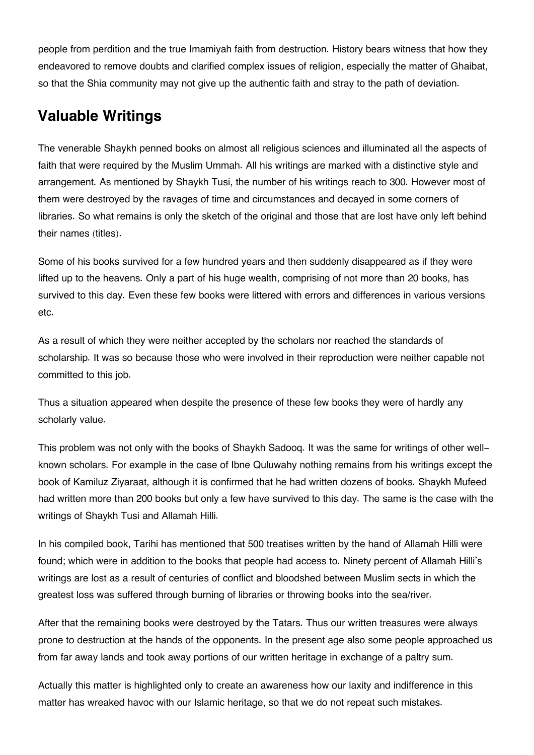people from perdition and the true Imamiyah faith from destruction. History bears witness that how they endeavored to remove doubts and clarified complex issues of religion, especially the matter of Ghaibat, so that the Shia community may not give up the authentic faith and stray to the path of deviation.

## **[Valuable Writings](#page--1-0)**

The venerable Shaykh penned books on almost all religious sciences and illuminated all the aspects of faith that were required by the Muslim Ummah. All his writings are marked with a distinctive style and arrangement. As mentioned by Shaykh Tusi, the number of his writings reach to 300. However most of them were destroyed by the ravages of time and circumstances and decayed in some corners of libraries. So what remains is only the sketch of the original and those that are lost have only left behind their names (titles).

Some of his books survived for a few hundred years and then suddenly disappeared as if they were lifted up to the heavens. Only a part of his huge wealth, comprising of not more than 20 books, has survived to this day. Even these few books were littered with errors and differences in various versions etc.

As a result of which they were neither accepted by the scholars nor reached the standards of scholarship. It was so because those who were involved in their reproduction were neither capable not committed to this job.

Thus a situation appeared when despite the presence of these few books they were of hardly any scholarly value.

This problem was not only with the books of Shaykh Sadooq. It was the same for writings of other wellknown scholars. For example in the case of Ibne Quluwahy nothing remains from his writings except the book of Kamiluz Ziyaraat, although it is confirmed that he had written dozens of books. Shaykh Mufeed had written more than 200 books but only a few have survived to this day. The same is the case with the writings of Shaykh Tusi and Allamah Hilli.

In his compiled book, Tarihi has mentioned that 500 treatises written by the hand of Allamah Hilli were found; which were in addition to the books that people had access to. Ninety percent of Allamah Hilli's writings are lost as a result of centuries of conflict and bloodshed between Muslim sects in which the greatest loss was suffered through burning of libraries or throwing books into the sea/river.

After that the remaining books were destroyed by the Tatars. Thus our written treasures were always prone to destruction at the hands of the opponents. In the present age also some people approached us from far away lands and took away portions of our written heritage in exchange of a paltry sum.

Actually this matter is highlighted only to create an awareness how our laxity and indifference in this matter has wreaked havoc with our Islamic heritage, so that we do not repeat such mistakes.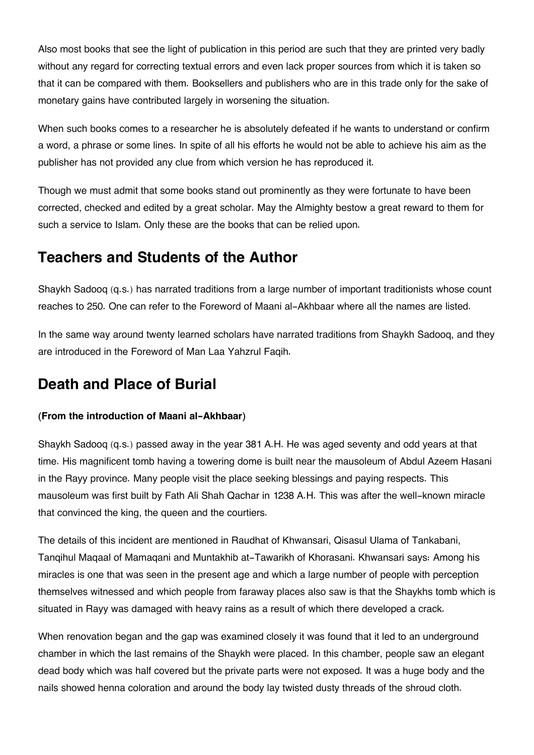Also most books that see the light of publication in this period are such that they are printed very badly without any regard for correcting textual errors and even lack proper sources from which it is taken so that it can be compared with them. Booksellers and publishers who are in this trade only for the sake of monetary gains have contributed largely in worsening the situation.

When such books comes to a researcher he is absolutely defeated if he wants to understand or confirm a word, a phrase or some lines. In spite of all his efforts he would not be able to achieve his aim as the publisher has not provided any clue from which version he has reproduced it.

Though we must admit that some books stand out prominently as they were fortunate to have been corrected, checked and edited by a great scholar. May the Almighty bestow a great reward to them for such a service to Islam. Only these are the books that can be relied upon.

## **[Teachers and Students of the Author](#page--1-0)**

Shaykh Sadooq (q.s.) has narrated traditions from a large number of important traditionists whose count reaches to 250. One can refer to the Foreword of Maani al-Akhbaar where all the names are listed.

In the same way around twenty learned scholars have narrated traditions from Shaykh Sadooq, and they are introduced in the Foreword of Man Laa Yahzrul Faqih.

## **[Death and Place of Burial](#page--1-0)**

#### **(From the introduction of Maani al-Akhbaar)**

Shaykh Sadooq (q.s.) passed away in the year 381 A.H. He was aged seventy and odd years at that time. His magnificent tomb having a towering dome is built near the mausoleum of Abdul Azeem Hasani in the Rayy province. Many people visit the place seeking blessings and paying respects. This mausoleum was first built by Fath Ali Shah Qachar in 1238 A.H. This was after the well-known miracle that convinced the king, the queen and the courtiers.

The details of this incident are mentioned in Raudhat of Khwansari, Qisasul Ulama of Tankabani, Tanqihul Maqaal of Mamaqani and Muntakhib at-Tawarikh of Khorasani. Khwansari says: Among his miracles is one that was seen in the present age and which a large number of people with perception themselves witnessed and which people from faraway places also saw is that the Shaykhs tomb which is situated in Rayy was damaged with heavy rains as a result of which there developed a crack.

When renovation began and the gap was examined closely it was found that it led to an underground chamber in which the last remains of the Shaykh were placed. In this chamber, people saw an elegant dead body which was half covered but the private parts were not exposed. It was a huge body and the nails showed henna coloration and around the body lay twisted dusty threads of the shroud cloth.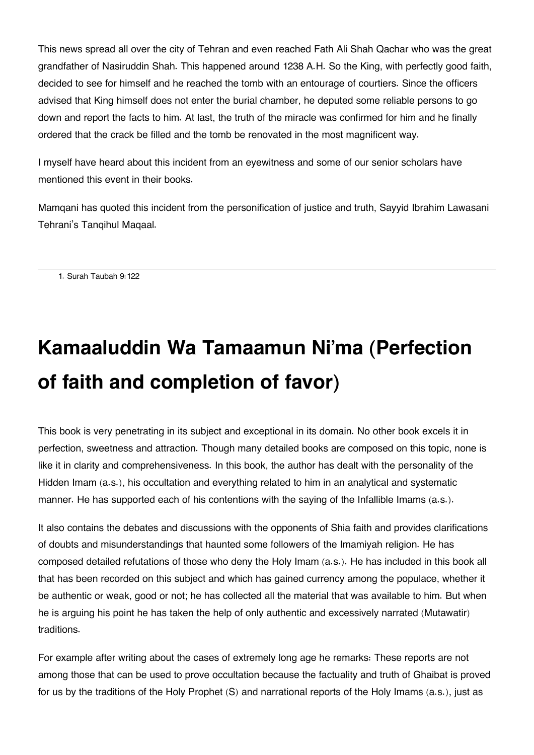This news spread all over the city of Tehran and even reached Fath Ali Shah Qachar who was the great grandfather of Nasiruddin Shah. This happened around 1238 A.H. So the King, with perfectly good faith, decided to see for himself and he reached the tomb with an entourage of courtiers. Since the officers advised that King himself does not enter the burial chamber, he deputed some reliable persons to go down and report the facts to him. At last, the truth of the miracle was confirmed for him and he finally ordered that the crack be filled and the tomb be renovated in the most magnificent way.

I myself have heard about this incident from an eyewitness and some of our senior scholars have mentioned this event in their books.

Mamqani has quoted this incident from the personification of justice and truth, Sayyid Ibrahim Lawasani Tehrani's Tanqihul Maqaal.

[1.](#page--1-0) Surah Taubah 9:122

# **Kamaaluddin Wa Tamaamun Ni'ma (Perfection of faith and completion of favor)**

This book is very penetrating in its subject and exceptional in its domain. No other book excels it in perfection, sweetness and attraction. Though many detailed books are composed on this topic, none is like it in clarity and comprehensiveness. In this book, the author has dealt with the personality of the Hidden Imam (a.s.), his occultation and everything related to him in an analytical and systematic manner. He has supported each of his contentions with the saying of the Infallible Imams (a.s.).

It also contains the debates and discussions with the opponents of Shia faith and provides clarifications of doubts and misunderstandings that haunted some followers of the Imamiyah religion. He has composed detailed refutations of those who deny the Holy Imam (a.s.). He has included in this book all that has been recorded on this subject and which has gained currency among the populace, whether it be authentic or weak, good or not; he has collected all the material that was available to him. But when he is arguing his point he has taken the help of only authentic and excessively narrated (Mutawatir) traditions.

For example after writing about the cases of extremely long age he remarks: These reports are not among those that can be used to prove occultation because the factuality and truth of Ghaibat is proved for us by the traditions of the Holy Prophet (S) and narrational reports of the Holy Imams (a.s.), just as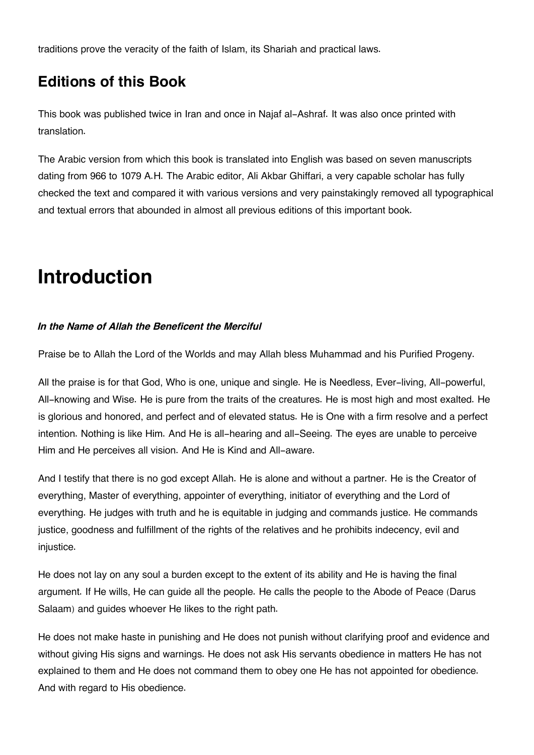traditions prove the veracity of the faith of Islam, its Shariah and practical laws.

## **[Editions of this Book](#page--1-0)**

This book was published twice in Iran and once in Najaf al-Ashraf. It was also once printed with translation.

The Arabic version from which this book is translated into English was based on seven manuscripts dating from 966 to 1079 A.H. The Arabic editor, Ali Akbar Ghiffari, a very capable scholar has fully checked the text and compared it with various versions and very painstakingly removed all typographical and textual errors that abounded in almost all previous editions of this important book.

## **Introduction**

#### *In the Name of Allah the Beneficent the Merciful*

Praise be to Allah the Lord of the Worlds and may Allah bless Muhammad and his Purified Progeny.

All the praise is for that God, Who is one, unique and single. He is Needless, Ever-living, All-powerful, All-knowing and Wise. He is pure from the traits of the creatures. He is most high and most exalted. He is glorious and honored, and perfect and of elevated status. He is One with a firm resolve and a perfect intention. Nothing is like Him. And He is all-hearing and all-Seeing. The eyes are unable to perceive Him and He perceives all vision. And He is Kind and All-aware.

And I testify that there is no god except Allah. He is alone and without a partner. He is the Creator of everything, Master of everything, appointer of everything, initiator of everything and the Lord of everything. He judges with truth and he is equitable in judging and commands justice. He commands justice, goodness and fulfillment of the rights of the relatives and he prohibits indecency, evil and iniustice.

He does not lay on any soul a burden except to the extent of its ability and He is having the final argument. If He wills, He can guide all the people. He calls the people to the Abode of Peace (Darus Salaam) and guides whoever He likes to the right path.

He does not make haste in punishing and He does not punish without clarifying proof and evidence and without giving His signs and warnings. He does not ask His servants obedience in matters He has not explained to them and He does not command them to obey one He has not appointed for obedience. And with regard to His obedience.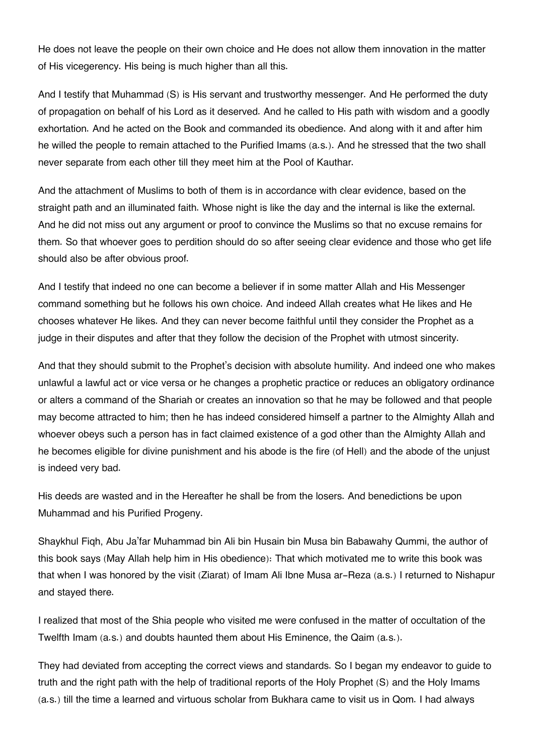He does not leave the people on their own choice and He does not allow them innovation in the matter of His vicegerency. His being is much higher than all this.

And I testify that Muhammad (S) is His servant and trustworthy messenger. And He performed the duty of propagation on behalf of his Lord as it deserved. And he called to His path with wisdom and a goodly exhortation. And he acted on the Book and commanded its obedience. And along with it and after him he willed the people to remain attached to the Purified Imams (a.s.). And he stressed that the two shall never separate from each other till they meet him at the Pool of Kauthar.

And the attachment of Muslims to both of them is in accordance with clear evidence, based on the straight path and an illuminated faith. Whose night is like the day and the internal is like the external. And he did not miss out any argument or proof to convince the Muslims so that no excuse remains for them. So that whoever goes to perdition should do so after seeing clear evidence and those who get life should also be after obvious proof.

And I testify that indeed no one can become a believer if in some matter Allah and His Messenger command something but he follows his own choice. And indeed Allah creates what He likes and He chooses whatever He likes. And they can never become faithful until they consider the Prophet as a judge in their disputes and after that they follow the decision of the Prophet with utmost sincerity.

And that they should submit to the Prophet's decision with absolute humility. And indeed one who makes unlawful a lawful act or vice versa or he changes a prophetic practice or reduces an obligatory ordinance or alters a command of the Shariah or creates an innovation so that he may be followed and that people may become attracted to him; then he has indeed considered himself a partner to the Almighty Allah and whoever obeys such a person has in fact claimed existence of a god other than the Almighty Allah and he becomes eligible for divine punishment and his abode is the fire (of Hell) and the abode of the unjust is indeed very bad.

His deeds are wasted and in the Hereafter he shall be from the losers. And benedictions be upon Muhammad and his Purified Progeny.

Shaykhul Fiqh, Abu Ja'far Muhammad bin Ali bin Husain bin Musa bin Babawahy Qummi, the author of this book says (May Allah help him in His obedience): That which motivated me to write this book was that when I was honored by the visit (Ziarat) of Imam Ali Ibne Musa ar-Reza (a.s.) I returned to Nishapur and stayed there.

I realized that most of the Shia people who visited me were confused in the matter of occultation of the Twelfth Imam (a.s.) and doubts haunted them about His Eminence, the Qaim (a.s.).

They had deviated from accepting the correct views and standards. So I began my endeavor to guide to truth and the right path with the help of traditional reports of the Holy Prophet (S) and the Holy Imams (a.s.) till the time a learned and virtuous scholar from Bukhara came to visit us in Qom. I had always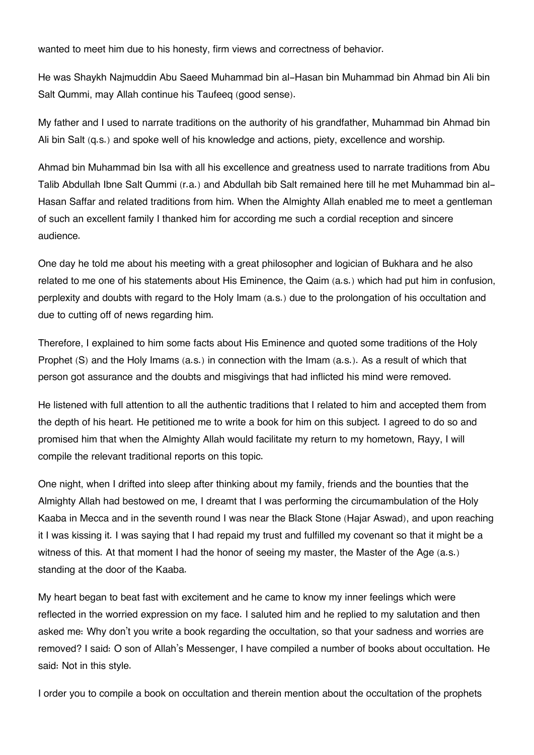wanted to meet him due to his honesty, firm views and correctness of behavior.

He was Shaykh Najmuddin Abu Saeed Muhammad bin al-Hasan bin Muhammad bin Ahmad bin Ali bin Salt Qummi, may Allah continue his Taufeeq (good sense).

My father and I used to narrate traditions on the authority of his grandfather, Muhammad bin Ahmad bin Ali bin Salt (q.s.) and spoke well of his knowledge and actions, piety, excellence and worship.

Ahmad bin Muhammad bin Isa with all his excellence and greatness used to narrate traditions from Abu Talib Abdullah Ibne Salt Qummi (r.a.) and Abdullah bib Salt remained here till he met Muhammad bin al-Hasan Saffar and related traditions from him. When the Almighty Allah enabled me to meet a gentleman of such an excellent family I thanked him for according me such a cordial reception and sincere audience.

One day he told me about his meeting with a great philosopher and logician of Bukhara and he also related to me one of his statements about His Eminence, the Qaim (a.s.) which had put him in confusion, perplexity and doubts with regard to the Holy Imam (a.s.) due to the prolongation of his occultation and due to cutting off of news regarding him.

Therefore, I explained to him some facts about His Eminence and quoted some traditions of the Holy Prophet (S) and the Holy Imams (a.s.) in connection with the Imam (a.s.). As a result of which that person got assurance and the doubts and misgivings that had inflicted his mind were removed.

He listened with full attention to all the authentic traditions that I related to him and accepted them from the depth of his heart. He petitioned me to write a book for him on this subject. I agreed to do so and promised him that when the Almighty Allah would facilitate my return to my hometown, Rayy, I will compile the relevant traditional reports on this topic.

One night, when I drifted into sleep after thinking about my family, friends and the bounties that the Almighty Allah had bestowed on me, I dreamt that I was performing the circumambulation of the Holy Kaaba in Mecca and in the seventh round I was near the Black Stone (Hajar Aswad), and upon reaching it I was kissing it. I was saying that I had repaid my trust and fulfilled my covenant so that it might be a witness of this. At that moment I had the honor of seeing my master, the Master of the Age (a.s.) standing at the door of the Kaaba.

My heart began to beat fast with excitement and he came to know my inner feelings which were reflected in the worried expression on my face. I saluted him and he replied to my salutation and then asked me: Why don't you write a book regarding the occultation, so that your sadness and worries are removed? I said: O son of Allah's Messenger, I have compiled a number of books about occultation. He said: Not in this style.

I order you to compile a book on occultation and therein mention about the occultation of the prophets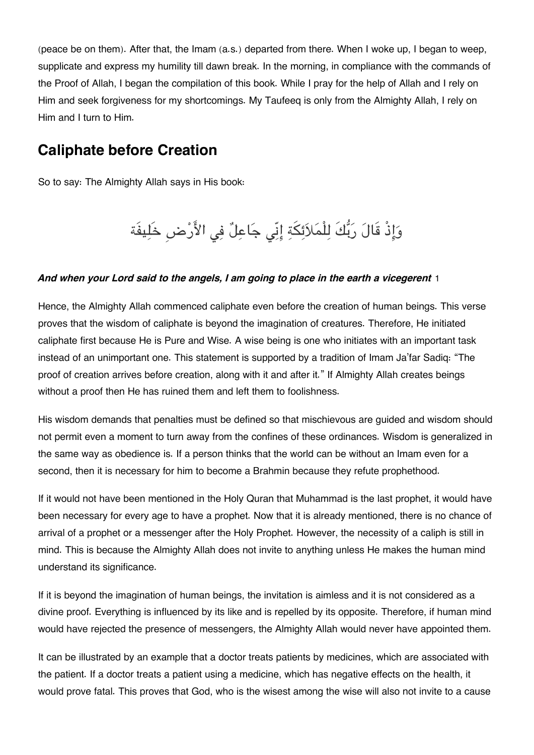(peace be on them). After that, the Imam (a.s.) departed from there. When I woke up, I began to weep, supplicate and express my humility till dawn break. In the morning, in compliance with the commands of the Proof of Allah, I began the compilation of this book. While I pray for the help of Allah and I rely on Him and seek forgiveness for my shortcomings. My Taufeeq is only from the Almighty Allah, I rely on Him and I turn to Him.

## **[Caliphate before Creation](#page--1-0)**

So to say: The Almighty Allah says in His book:

# وَإِذْ قَالَ رَبُّكَ لِلْمَلاَئِكَةِ إِنِّي جَاعِلٌ فِي الأَرْضِ خَلِيفَة

#### *And when your Lord said to the angels, I am going to place in the earth a vicegerent* [1](#page--1-0)

Hence, the Almighty Allah commenced caliphate even before the creation of human beings. This verse proves that the wisdom of caliphate is beyond the imagination of creatures. Therefore, He initiated caliphate first because He is Pure and Wise. A wise being is one who initiates with an important task instead of an unimportant one. This statement is supported by a tradition of Imam Ja'far Sadiq: "The proof of creation arrives before creation, along with it and after it." If Almighty Allah creates beings without a proof then He has ruined them and left them to foolishness.

His wisdom demands that penalties must be defined so that mischievous are guided and wisdom should not permit even a moment to turn away from the confines of these ordinances. Wisdom is generalized in the same way as obedience is. If a person thinks that the world can be without an Imam even for a second, then it is necessary for him to become a Brahmin because they refute prophethood.

If it would not have been mentioned in the Holy Quran that Muhammad is the last prophet, it would have been necessary for every age to have a prophet. Now that it is already mentioned, there is no chance of arrival of a prophet or a messenger after the Holy Prophet. However, the necessity of a caliph is still in mind. This is because the Almighty Allah does not invite to anything unless He makes the human mind understand its significance.

If it is beyond the imagination of human beings, the invitation is aimless and it is not considered as a divine proof. Everything is influenced by its like and is repelled by its opposite. Therefore, if human mind would have rejected the presence of messengers, the Almighty Allah would never have appointed them.

It can be illustrated by an example that a doctor treats patients by medicines, which are associated with the patient. If a doctor treats a patient using a medicine, which has negative effects on the health, it would prove fatal. This proves that God, who is the wisest among the wise will also not invite to a cause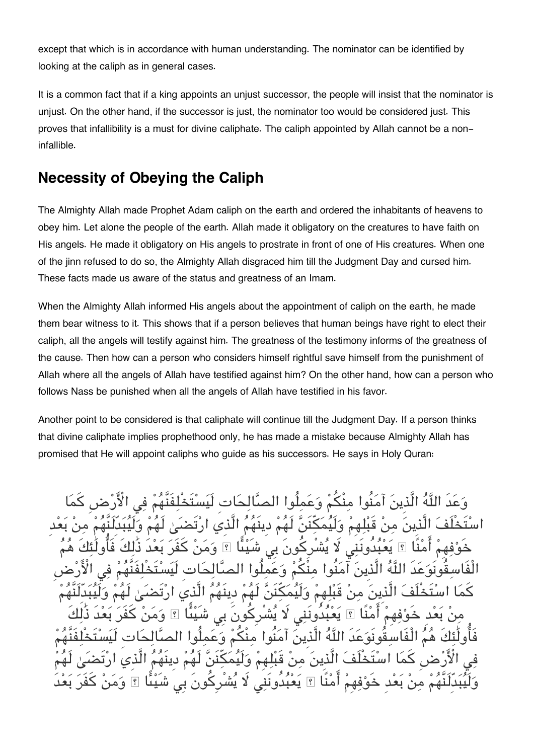except that which is in accordance with human understanding. The nominator can be identified by looking at the caliph as in general cases.

It is a common fact that if a king appoints an unjust successor, the people will insist that the nominator is unjust. On the other hand, if the successor is just, the nominator too would be considered just. This proves that infallibility is a must for divine caliphate. The caliph appointed by Allah cannot be a noninfallible.

## **[Necessity of Obeying the Caliph](#page--1-0)**

The Almighty Allah made Prophet Adam caliph on the earth and ordered the inhabitants of heavens to obey him. Let alone the people of the earth. Allah made it obligatory on the creatures to have faith on His angels. He made it obligatory on His angels to prostrate in front of one of His creatures. When one of the jinn refused to do so, the Almighty Allah disgraced him till the Judgment Day and cursed him. These facts made us aware of the status and greatness of an Imam.

When the Almighty Allah informed His angels about the appointment of caliph on the earth, he made them bear witness to it. This shows that if a person believes that human beings have right to elect their caliph, all the angels will testify against him. The greatness of the testimony informs of the greatness of the cause. Then how can a person who considers himself rightful save himself from the punishment of Allah where all the angels of Allah have testified against him? On the other hand, how can a person who follows Nass be punished when all the angels of Allah have testified in his favor.

Another point to be considered is that caliphate will continue till the Judgment Day. If a person thinks that divine caliphate implies prophethood only, he has made a mistake because Almighty Allah has promised that He will appoint caliphs who guide as his successors. He says in Holy Quran:

وَعمِلُوا الصبَّالحَ اسْتَخْلَفَ الَّذِينَ مِنْ قَبْلِهِمْ وَلَيُمَكِّنَنَّ لَهُمْ دِينَهُمُ الَّذِي ارْتَضَىٰ لَهُمْ وَلَيْبَدِّلَنَّهُمْ مِنْ بَعْد خَوْفِهِمْ أَمَنَا ۩ يَعْبُدُونَنِي لا يَشْرِكونَ بِي شَيْئًا ۩ وَمَنْ كَفَرَ بَعْدَ ذَٰلِكَ فَاولَٰئِكَ هُمَ الْفَاسِقُونُوَعَد اللَّهُ الَّذِينَ آمَنُوا مِنْكُمْ وَعَمِلُوا الصَّالِحَاتِ لَيَسْتَخْلِفْنَّهُمْ فِي الأَرْض كما استَخْلَف الَّذِين من قَبلهِم ولَيمنَن لَهم دِينَهم الَّذِي ارتَض لَهم ولَيبدِّلَنَّهم مِنْ بَعْدِ خَوْفِهِمْ أَمْنَا ۚ يَعْبُدُونَنِي لَا يَشْرِكُونَ بِي شَيْئًا ۚ وَمَنْ كَفَرَ بَعْدَ ذَٰلِكَ فَاولَٰئِكَ هُمَ الْفَاسِقُونوَعَدَ اللَّهَ الَّذِينَ آمَنُوا مِنْكُمْ وَعَمِلُوا الصَّالِحَاتِ لَيَسْتَخْلِفْنَهُمْ فَ الَّذِينَ مِنْ قَبلِهِمْ وَلَيمَكِننَ لَهم دِينَه أَمْنَا ۞ يَعْبَدُونَني لا يَشْ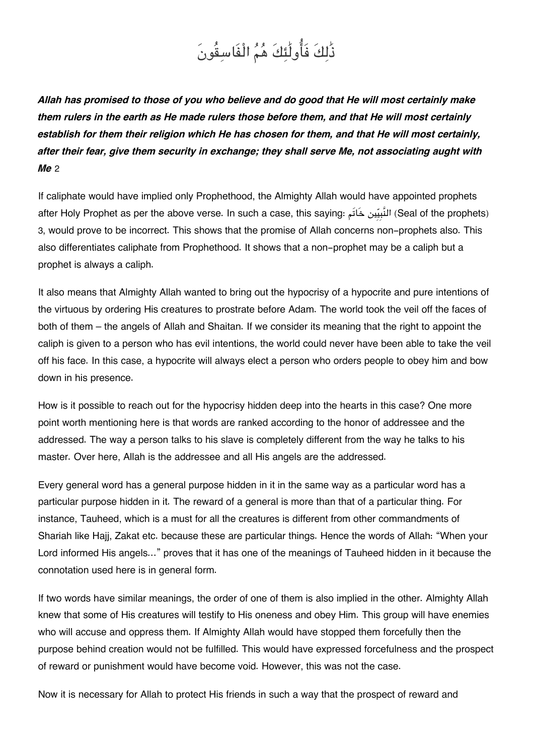# ذَٰلكَ فَاولَٰئكَ هم الْفَاسقُونَ

*Allah has promised to those of you who believe and do good that He will most certainly make them rulers in the earth as He made rulers those before them, and that He will most certainly establish for them their religion which He has chosen for them, and that He will most certainly, after their fear, give them security in exchange; they shall serve Me, not associating aught with Me* [2](#page--1-0)

If caliphate would have implied only Prophethood, the Almighty Allah would have appointed prophets after Holy Prophet as per the above verse. In such a case, this saying: النَّبِيِّينَ خَاتَم (Seal of the prophets) [3](#page--1-0), would prove to be incorrect. This shows that the promise of Allah concerns non-prophets also. This also differentiates caliphate from Prophethood. It shows that a non-prophet may be a caliph but a prophet is always a caliph.

It also means that Almighty Allah wanted to bring out the hypocrisy of a hypocrite and pure intentions of the virtuous by ordering His creatures to prostrate before Adam. The world took the veil off the faces of both of them – the angels of Allah and Shaitan. If we consider its meaning that the right to appoint the caliph is given to a person who has evil intentions, the world could never have been able to take the veil off his face. In this case, a hypocrite will always elect a person who orders people to obey him and bow down in his presence.

How is it possible to reach out for the hypocrisy hidden deep into the hearts in this case? One more point worth mentioning here is that words are ranked according to the honor of addressee and the addressed. The way a person talks to his slave is completely different from the way he talks to his master. Over here, Allah is the addressee and all His angels are the addressed.

Every general word has a general purpose hidden in it in the same way as a particular word has a particular purpose hidden in it. The reward of a general is more than that of a particular thing. For instance, Tauheed, which is a must for all the creatures is different from other commandments of Shariah like Hajj, Zakat etc. because these are particular things. Hence the words of Allah: "When your Lord informed His angels…" proves that it has one of the meanings of Tauheed hidden in it because the connotation used here is in general form.

If two words have similar meanings, the order of one of them is also implied in the other. Almighty Allah knew that some of His creatures will testify to His oneness and obey Him. This group will have enemies who will accuse and oppress them. If Almighty Allah would have stopped them forcefully then the purpose behind creation would not be fulfilled. This would have expressed forcefulness and the prospect of reward or punishment would have become void. However, this was not the case.

Now it is necessary for Allah to protect His friends in such a way that the prospect of reward and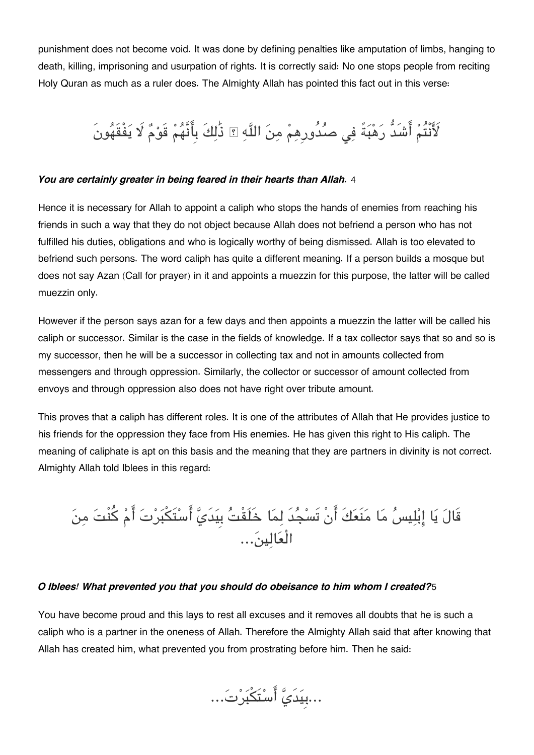punishment does not become void. It was done by defining penalties like amputation of limbs, hanging to death, killing, imprisoning and usurpation of rights. It is correctly said: No one stops people from reciting Holy Quran as much as a ruler does. The Almighty Allah has pointed this fact out in this verse:

لَأَنْتُمْ أَشَدُّ رَهْبَةً فِي صُدُورِهِمْ مِنَ اللَّهِ ۩ ذَٰلِكَ بِأَنَّهُمْ قَوْمٌ لَا يَفْقَهُونَ

#### *You are certainly greater in being feared in their hearts than Allah.* [4](#page--1-0)

Hence it is necessary for Allah to appoint a caliph who stops the hands of enemies from reaching his friends in such a way that they do not object because Allah does not befriend a person who has not fulfilled his duties, obligations and who is logically worthy of being dismissed. Allah is too elevated to befriend such persons. The word caliph has quite a different meaning. If a person builds a mosque but does not say Azan (Call for prayer) in it and appoints a muezzin for this purpose, the latter will be called muezzin only.

However if the person says azan for a few days and then appoints a muezzin the latter will be called his caliph or successor. Similar is the case in the fields of knowledge. If a tax collector says that so and so is my successor, then he will be a successor in collecting tax and not in amounts collected from messengers and through oppression. Similarly, the collector or successor of amount collected from envoys and through oppression also does not have right over tribute amount.

This proves that a caliph has different roles. It is one of the attributes of Allah that He provides justice to his friends for the oppression they face from His enemies. He has given this right to His caliph. The meaning of caliphate is apt on this basis and the meaning that they are partners in divinity is not correct. Almighty Allah told Iblees in this regard:

قَالَ يَا إِبْلِيسُ مَا مَنَعَكَ أَنْ تَسْجُدَ لِمَا خَلَقْتُ بِيَدَيَّ أَسْتَكْبَرْتَ أَمْ كُنْتَ مِنَ الْعالين…

#### *O Iblees! What prevented you that you should do obeisance to him whom I created?*[5](#page--1-0)

You have become proud and this lays to rest all excuses and it removes all doubts that he is such a caliph who is a partner in the oneness of Allah. Therefore the Almighty Allah said that after knowing that Allah has created him, what prevented you from prostrating before him. Then he said:

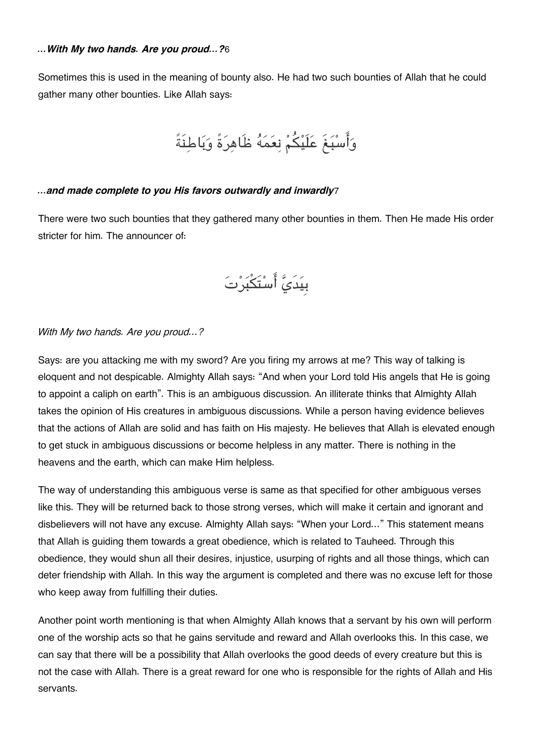#### *…With My two hands. Are you proud…?*[6](#page--1-0)

Sometimes this is used in the meaning of bounty also. He had two such bounties of Allah that he could gather many other bounties. Like Allah says:

وَأَسْبَغَ عَلَيْكُمْ نِعَمَهُ ظَاهِرَةً وَبَاطِنَةً

#### *…and made complete to you His favors outwardly and inwardly*[7](#page--1-0)

There were two such bounties that they gathered many other bounties in them. Then He made His order stricter for him. The announcer of:

## بِيَدَيَّ أَسْتَكْبَرْتَ

#### *With My two hands. Are you proud…?*

Says: are you attacking me with my sword? Are you firing my arrows at me? This way of talking is eloquent and not despicable. Almighty Allah says: "And when your Lord told His angels that He is going to appoint a caliph on earth". This is an ambiguous discussion. An illiterate thinks that Almighty Allah takes the opinion of His creatures in ambiguous discussions. While a person having evidence believes that the actions of Allah are solid and has faith on His majesty. He believes that Allah is elevated enough to get stuck in ambiguous discussions or become helpless in any matter. There is nothing in the heavens and the earth, which can make Him helpless.

The way of understanding this ambiguous verse is same as that specified for other ambiguous verses like this. They will be returned back to those strong verses, which will make it certain and ignorant and disbelievers will not have any excuse. Almighty Allah says: "When your Lord…" This statement means that Allah is guiding them towards a great obedience, which is related to Tauheed. Through this obedience, they would shun all their desires, injustice, usurping of rights and all those things, which can deter friendship with Allah. In this way the argument is completed and there was no excuse left for those who keep away from fulfilling their duties.

Another point worth mentioning is that when Almighty Allah knows that a servant by his own will perform one of the worship acts so that he gains servitude and reward and Allah overlooks this. In this case, we can say that there will be a possibility that Allah overlooks the good deeds of every creature but this is not the case with Allah. There is a great reward for one who is responsible for the rights of Allah and His servants.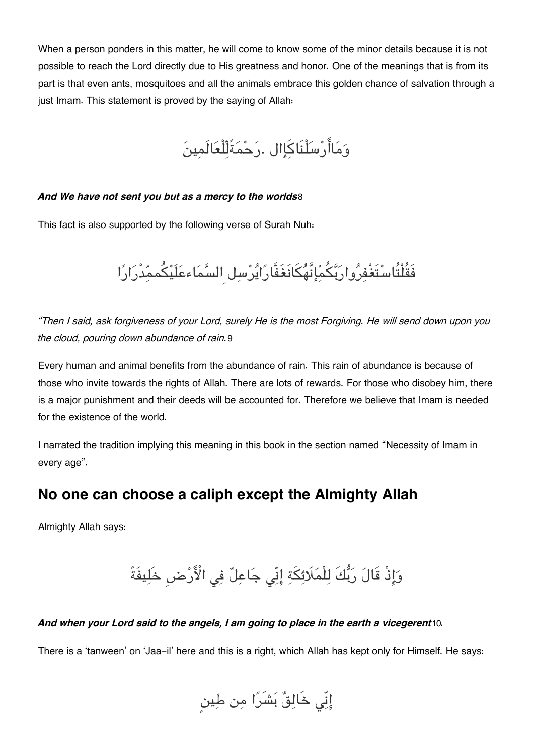When a person ponders in this matter, he will come to know some of the minor details because it is not possible to reach the Lord directly due to His greatness and honor. One of the meanings that is from its part is that even ants, mosquitoes and all the animals embrace this golden chance of salvation through a just Imam. This statement is proved by the saying of Allah:

وماارسلْنَاكإال .رحمةًلّلْعالَمين

#### *And We have not sent you but as a mercy to the worlds*[8](#page--1-0)

This fact is also supported by the following verse of Surah Nuh:

فَقُلْتُاسْتَغْفرُوارَبَّكُمْإِنَّهُكَانَغَفَّارًايُرْسِل السَّمَاءعَلَيْكُممِّدْرَارًا

*"Then I said, ask forgiveness of your Lord, surely He is the most Forgiving. He will send down upon you the cloud, pouring down abundance of rain.*[9](#page--1-0)

Every human and animal benefits from the abundance of rain. This rain of abundance is because of those who invite towards the rights of Allah. There are lots of rewards. For those who disobey him, there is a major punishment and their deeds will be accounted for. Therefore we believe that Imam is needed for the existence of the world.

I narrated the tradition implying this meaning in this book in the section named "Necessity of Imam in every age".

## **[No one can choose a caliph except the Almighty Allah](#page--1-0)**

Almighty Allah says:

# وَإِذْ قَالَ رَبُّكَ لِلْمَلَائِكَةِ إِنِّي جَاعِلٌ فِي الْأَرْضِ خَلِيفَةً

#### *And when your Lord said to the angels, I am going to place in the earth a vicegerent*[10](#page--1-0)*.*

There is a 'tanween' on 'Jaa-il' here and this is a right, which Allah has kept only for Himself. He says:

إِنّى خَالِقٌ بَشَرًا مِن طِين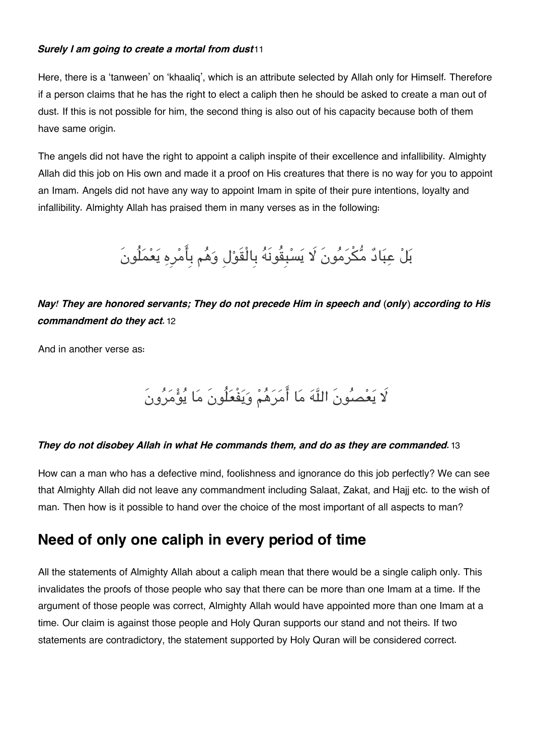#### *Surely I am going to create a mortal from dust*[11](#page--1-0)

Here, there is a 'tanween' on 'khaaliq', which is an attribute selected by Allah only for Himself. Therefore if a person claims that he has the right to elect a caliph then he should be asked to create a man out of dust. If this is not possible for him, the second thing is also out of his capacity because both of them have same origin.

The angels did not have the right to appoint a caliph inspite of their excellence and infallibility. Almighty Allah did this job on His own and made it a proof on His creatures that there is no way for you to appoint an Imam. Angels did not have any way to appoint Imam in spite of their pure intentions, loyalty and infallibility. Almighty Allah has praised them in many verses as in the following:

بَلْ عِبَادٌ مُّكْرَمُونَ لَا يَسْبِقُونَهُ بِالْقَوْلِ وَهُم بِأَمْرِهِ يَعْمَلُونَ

### *Nay! They are honored servants; They do not precede Him in speech and (only) according to His commandment do they act.*[12](#page--1-0)

And in another verse as:

# لَا يَعْصُونَ اللَّهَ مَا أَمَرَهُمْ وَيَفْعَلُونَ مَا يُؤْمَرُونَ

#### *They do not disobey Allah in what He commands them, and do as they are commanded.*[13](#page--1-0)

How can a man who has a defective mind, foolishness and ignorance do this job perfectly? We can see that Almighty Allah did not leave any commandment including Salaat, Zakat, and Hajj etc. to the wish of man. Then how is it possible to hand over the choice of the most important of all aspects to man?

## **[Need of only one caliph in every period of time](#page--1-0)**

All the statements of Almighty Allah about a caliph mean that there would be a single caliph only. This invalidates the proofs of those people who say that there can be more than one Imam at a time. If the argument of those people was correct, Almighty Allah would have appointed more than one Imam at a time. Our claim is against those people and Holy Quran supports our stand and not theirs. If two statements are contradictory, the statement supported by Holy Quran will be considered correct.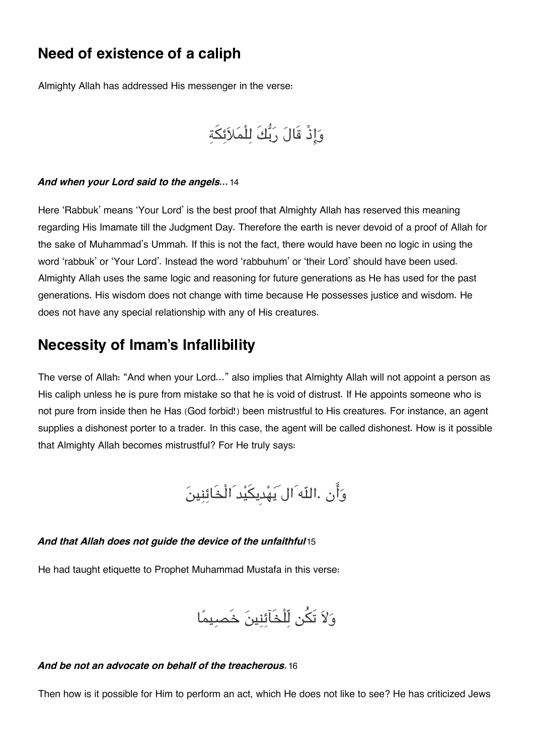## **[Need of existence of a caliph](#page--1-0)**

Almighty Allah has addressed His messenger in the verse:

واذْ قَال ربكَ للْملائة

#### *And when your Lord said to the angels…*[14](#page--1-0)

Here 'Rabbuk' means 'Your Lord' is the best proof that Almighty Allah has reserved this meaning regarding His Imamate till the Judgment Day. Therefore the earth is never devoid of a proof of Allah for the sake of Muhammad's Ummah. If this is not the fact, there would have been no logic in using the word 'rabbuk' or 'Your Lord'. Instead the word 'rabbuhum' or 'their Lord' should have been used. Almighty Allah uses the same logic and reasoning for future generations as He has used for the past generations. His wisdom does not change with time because He possesses justice and wisdom. He does not have any special relationship with any of His creatures.

## **[Necessity of Imam's Infallibility](#page--1-0)**

The verse of Allah: "And when your Lord…" also implies that Almighty Allah will not appoint a person as His caliph unless he is pure from mistake so that he is void of distrust. If He appoints someone who is not pure from inside then he Has (God forbid!) been mistrustful to His creatures. For instance, an agent supplies a dishonest porter to a trader. In this case, the agent will be called dishonest. How is it possible that Almighty Allah becomes mistrustful? For He truly says:

وان .اله َال َيهدِييد َالْخَائنين

#### *And that Allah does not guide the device of the unfaithful*[15](#page--1-0)

He had taught etiquette to Prophet Muhammad Mustafa in this verse:

وَلاَ تَكُن لّلْخَآئنينَ خَصيمًا

#### *And be not an advocate on behalf of the treacherous.*[16](#page--1-0)

Then how is it possible for Him to perform an act, which He does not like to see? He has criticized Jews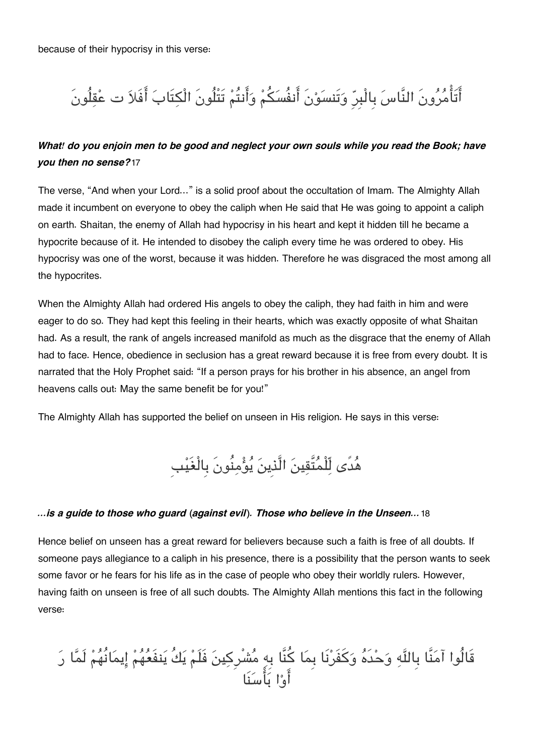because of their hypocrisy in this verse:

# اَّتَأْمُرُونَ النَّاسَ بِالْبِرِّ وَتَنسَوْنَ أَنفُسَكُمْ وَأَنتُمْ تَتْلُونَ الْكِتَابَ أَفَلاَ ت عْقِلُونَ

### *What! do you enjoin men to be good and neglect your own souls while you read the Book; have you then no sense?*[17](#page--1-0)

The verse, "And when your Lord…" is a solid proof about the occultation of Imam. The Almighty Allah made it incumbent on everyone to obey the caliph when He said that He was going to appoint a caliph on earth. Shaitan, the enemy of Allah had hypocrisy in his heart and kept it hidden till he became a hypocrite because of it. He intended to disobey the caliph every time he was ordered to obey. His hypocrisy was one of the worst, because it was hidden. Therefore he was disgraced the most among all the hypocrites.

When the Almighty Allah had ordered His angels to obey the caliph, they had faith in him and were eager to do so. They had kept this feeling in their hearts, which was exactly opposite of what Shaitan had. As a result, the rank of angels increased manifold as much as the disgrace that the enemy of Allah had to face. Hence, obedience in seclusion has a great reward because it is free from every doubt. It is narrated that the Holy Prophet said: "If a person prays for his brother in his absence, an angel from heavens calls out: May the same benefit be for you!"

The Almighty Allah has supported the belief on unseen in His religion. He says in this verse:

هدًى لّلْمتَّقين الَّذِين يومنُونَ بِالْغَيبِ

#### *…is a guide to those who guard (against evil). Those who believe in the Unseen…*[18](#page--1-0)

Hence belief on unseen has a great reward for believers because such a faith is free of all doubts. If someone pays allegiance to a caliph in his presence, there is a possibility that the person wants to seek some favor or he fears for his life as in the case of people who obey their worldly rulers. However, having faith on unseen is free of all such doubts. The Almighty Allah mentions this fact in the following verse:

قَالُوا آمنَّا بِاله وحدَه وكفَرنَا بِما كنَّا بِه مشْرِكين فَلَم يكُ ينفَعهم ايمانُهم لَما ر اوا باسنَا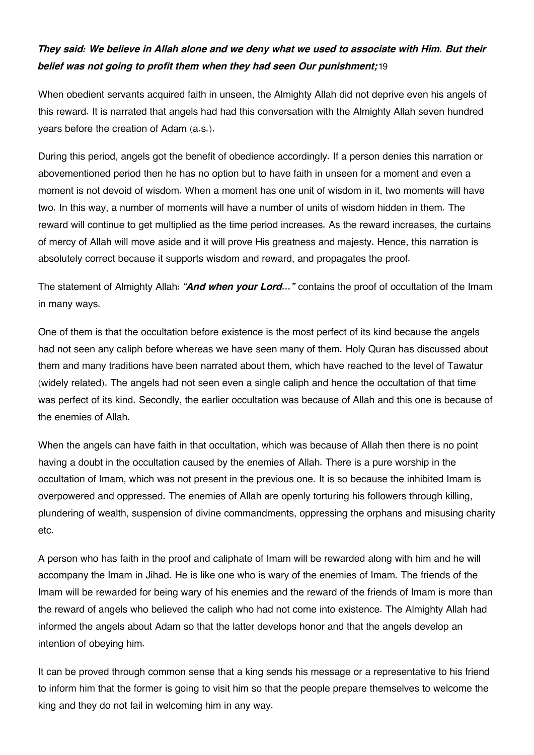### *They said: We believe in Allah alone and we deny what we used to associate with Him. But their belief was not going to profit them when they had seen Our punishment;*[19](#page--1-0)

When obedient servants acquired faith in unseen, the Almighty Allah did not deprive even his angels of this reward. It is narrated that angels had had this conversation with the Almighty Allah seven hundred years before the creation of Adam (a.s.).

During this period, angels got the benefit of obedience accordingly. If a person denies this narration or abovementioned period then he has no option but to have faith in unseen for a moment and even a moment is not devoid of wisdom. When a moment has one unit of wisdom in it, two moments will have two. In this way, a number of moments will have a number of units of wisdom hidden in them. The reward will continue to get multiplied as the time period increases. As the reward increases, the curtains of mercy of Allah will move aside and it will prove His greatness and majesty. Hence, this narration is absolutely correct because it supports wisdom and reward, and propagates the proof.

The statement of Almighty Allah: *"And when your Lord…"* contains the proof of occultation of the Imam in many ways.

One of them is that the occultation before existence is the most perfect of its kind because the angels had not seen any caliph before whereas we have seen many of them. Holy Quran has discussed about them and many traditions have been narrated about them, which have reached to the level of Tawatur (widely related). The angels had not seen even a single caliph and hence the occultation of that time was perfect of its kind. Secondly, the earlier occultation was because of Allah and this one is because of the enemies of Allah.

When the angels can have faith in that occultation, which was because of Allah then there is no point having a doubt in the occultation caused by the enemies of Allah. There is a pure worship in the occultation of Imam, which was not present in the previous one. It is so because the inhibited Imam is overpowered and oppressed. The enemies of Allah are openly torturing his followers through killing, plundering of wealth, suspension of divine commandments, oppressing the orphans and misusing charity etc.

A person who has faith in the proof and caliphate of Imam will be rewarded along with him and he will accompany the Imam in Jihad. He is like one who is wary of the enemies of Imam. The friends of the Imam will be rewarded for being wary of his enemies and the reward of the friends of Imam is more than the reward of angels who believed the caliph who had not come into existence. The Almighty Allah had informed the angels about Adam so that the latter develops honor and that the angels develop an intention of obeying him.

It can be proved through common sense that a king sends his message or a representative to his friend to inform him that the former is going to visit him so that the people prepare themselves to welcome the king and they do not fail in welcoming him in any way.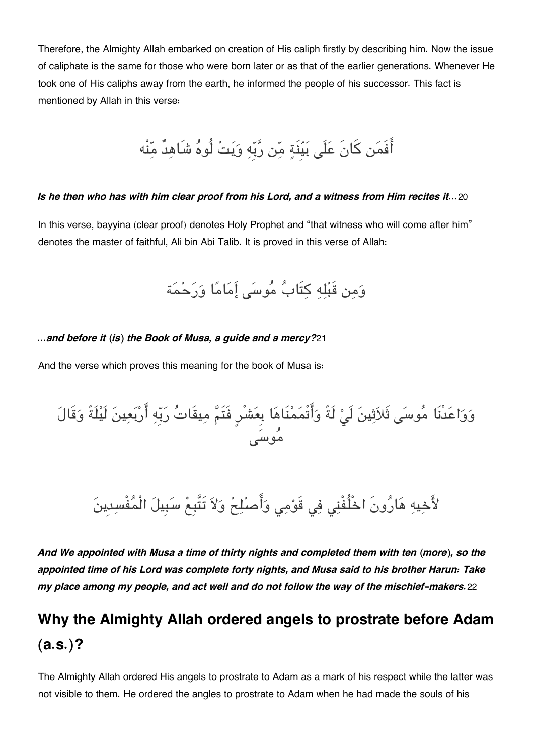Therefore, the Almighty Allah embarked on creation of His caliph firstly by describing him. Now the issue of caliphate is the same for those who were born later or as that of the earlier generations. Whenever He took one of His caliphs away from the earth, he informed the people of his successor. This fact is mentioned by Allah in this verse:

أَفَمَن كَانَ عَلَى بَيّنَةٍ مِّن رَّبّهِ وَيَتْ لُوهُ شَاهِدٌ مِّنْه

#### *Is he then who has with him clear proof from his Lord, and a witness from Him recites it…*[20](#page--1-0)

In this verse, bayyina (clear proof) denotes Holy Prophet and "that witness who will come after him" denotes the master of faithful, Ali bin Abi Talib. It is proved in this verse of Allah:

وَمِن قَبْله كتَابٌ مُوسَى إِمَامًا وَرَحْمَة

#### *…and before it (is) the Book of Musa, a guide and a mercy?*[21](#page--1-0)

And the verse which proves this meaning for the book of Musa is:

وَوَاعَدْنَا مُوسَى ثَلاَثِينَ لَيْ لَةً وَأَتْمَمْنَاهَا بِعَشْرٍ فَتَمَّ مِيقَاتُ رَبِّهِ أَرْبَعِينَ لَيْلَةً وَقَالَ م<br>مواس*تی* 

لأَخِيهِ هَارُونَ اخْلُفْنِي فِي قَوْمِي وَأَصْلِحْ وَلاَ تَتَّبِعْ سَبِيلَ الْمُفْسِدِينَ

*And We appointed with Musa a time of thirty nights and completed them with ten (more), so the appointed time of his Lord was complete forty nights, and Musa said to his brother Harun: Take my place among my people, and act well and do not follow the way of the mischief-makers.*[22](#page--1-0)

## **[Why the Almighty Allah ordered angels to prostrate before Adam](#page--1-0) [\(a.s.\)?](#page--1-0)**

The Almighty Allah ordered His angels to prostrate to Adam as a mark of his respect while the latter was not visible to them. He ordered the angles to prostrate to Adam when he had made the souls of his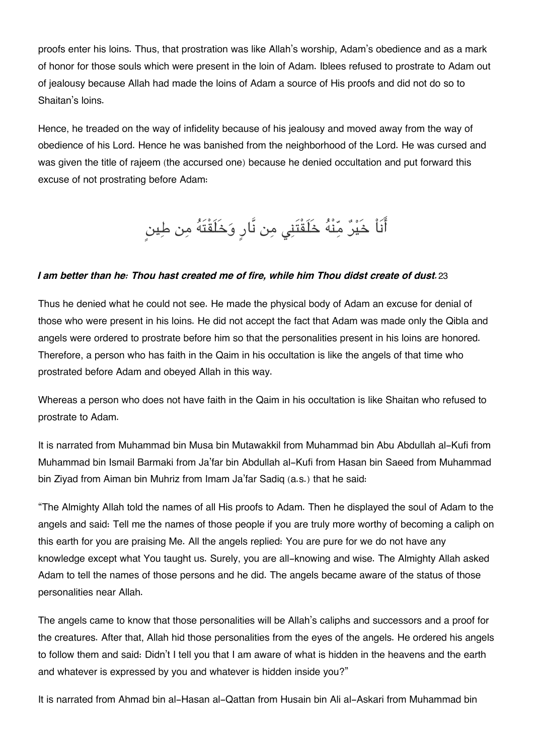proofs enter his loins. Thus, that prostration was like Allah's worship, Adam's obedience and as a mark of honor for those souls which were present in the loin of Adam. Iblees refused to prostrate to Adam out of jealousy because Allah had made the loins of Adam a source of His proofs and did not do so to Shaitan's loins.

Hence, he treaded on the way of infidelity because of his jealousy and moved away from the way of obedience of his Lord. Hence he was banished from the neighborhood of the Lord. He was cursed and was given the title of rajeem (the accursed one) because he denied occultation and put forward this excuse of not prostrating before Adam:

أَنَاْ خَيْرٌ مِّنْهُ خَلَقْتَنِي مِن نَّارٍ وَخَلَقْتَهُ مِن طِين

#### *I am better than he: Thou hast created me of fire, while him Thou didst create of dust.*[23](#page--1-0)

Thus he denied what he could not see. He made the physical body of Adam an excuse for denial of those who were present in his loins. He did not accept the fact that Adam was made only the Qibla and angels were ordered to prostrate before him so that the personalities present in his loins are honored. Therefore, a person who has faith in the Qaim in his occultation is like the angels of that time who prostrated before Adam and obeyed Allah in this way.

Whereas a person who does not have faith in the Qaim in his occultation is like Shaitan who refused to prostrate to Adam.

It is narrated from Muhammad bin Musa bin Mutawakkil from Muhammad bin Abu Abdullah al-Kufi from Muhammad bin Ismail Barmaki from Ja'far bin Abdullah al-Kufi from Hasan bin Saeed from Muhammad bin Ziyad from Aiman bin Muhriz from Imam Ja'far Sadiq (a.s.) that he said:

"The Almighty Allah told the names of all His proofs to Adam. Then he displayed the soul of Adam to the angels and said: Tell me the names of those people if you are truly more worthy of becoming a caliph on this earth for you are praising Me. All the angels replied: You are pure for we do not have any knowledge except what You taught us. Surely, you are all-knowing and wise. The Almighty Allah asked Adam to tell the names of those persons and he did. The angels became aware of the status of those personalities near Allah.

The angels came to know that those personalities will be Allah's caliphs and successors and a proof for the creatures. After that, Allah hid those personalities from the eyes of the angels. He ordered his angels to follow them and said: Didn't I tell you that I am aware of what is hidden in the heavens and the earth and whatever is expressed by you and whatever is hidden inside you?"

It is narrated from Ahmad bin al-Hasan al-Qattan from Husain bin Ali al-Askari from Muhammad bin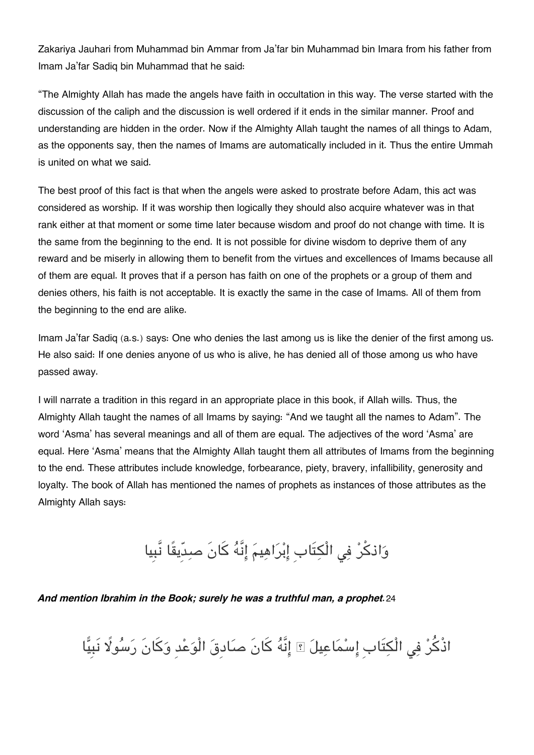Zakariya Jauhari from Muhammad bin Ammar from Ja'far bin Muhammad bin Imara from his father from Imam Ja'far Sadiq bin Muhammad that he said:

"The Almighty Allah has made the angels have faith in occultation in this way. The verse started with the discussion of the caliph and the discussion is well ordered if it ends in the similar manner. Proof and understanding are hidden in the order. Now if the Almighty Allah taught the names of all things to Adam, as the opponents say, then the names of Imams are automatically included in it. Thus the entire Ummah is united on what we said.

The best proof of this fact is that when the angels were asked to prostrate before Adam, this act was considered as worship. If it was worship then logically they should also acquire whatever was in that rank either at that moment or some time later because wisdom and proof do not change with time. It is the same from the beginning to the end. It is not possible for divine wisdom to deprive them of any reward and be miserly in allowing them to benefit from the virtues and excellences of Imams because all of them are equal. It proves that if a person has faith on one of the prophets or a group of them and denies others, his faith is not acceptable. It is exactly the same in the case of Imams. All of them from the beginning to the end are alike.

Imam Ja'far Sadiq (a.s.) says: One who denies the last among us is like the denier of the first among us. He also said: If one denies anyone of us who is alive, he has denied all of those among us who have passed away.

I will narrate a tradition in this regard in an appropriate place in this book, if Allah wills. Thus, the Almighty Allah taught the names of all Imams by saying: "And we taught all the names to Adam". The word 'Asma' has several meanings and all of them are equal. The adjectives of the word 'Asma' are equal. Here 'Asma' means that the Almighty Allah taught them all attributes of Imams from the beginning to the end. These attributes include knowledge, forbearance, piety, bravery, infallibility, generosity and loyalty. The book of Allah has mentioned the names of prophets as instances of those attributes as the Almighty Allah says:

وَانكُرْ فِي الْكِتَابِ إِبْرَاهِيمَ إِنَّهُ كَانَ صبِدِّيقًا نَّبِيا

*And mention Ibrahim in the Book; surely he was a truthful man, a prophet.*[24](#page--1-0)

اذْكُرْ فِي الْكِتَابِ إِسْمَاعِيلَ ۩ إِنَّهُ كَانَ صَادِقَ الْوَعْدِ وَكَانَ رَسُولًا نَبِيًّا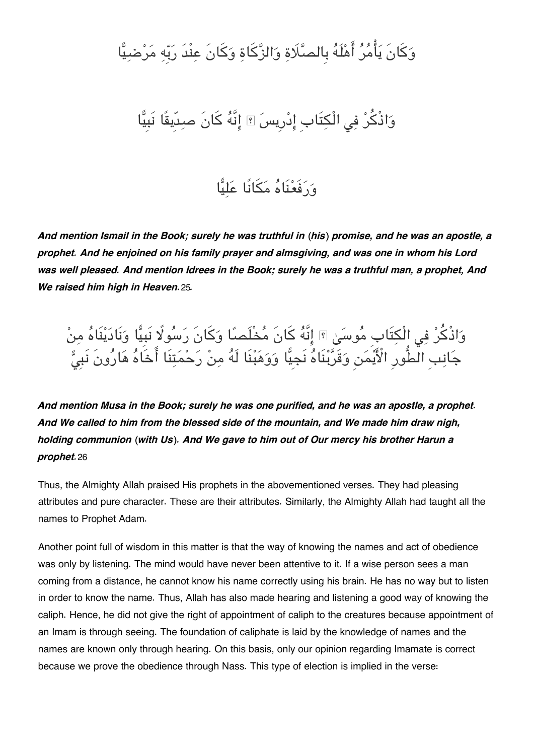## وَكَانَ يَأْمُرُ أَهْلَهُ بِالصَّلَاةِ وَالزَّكَاةِ وَكَانَ عِنْدَ رَبِّهِ مَرْضِيًّا

# وَاذْكُرْ فِي الْكِتَابِ إِدْرِيسَ ؟ إِنَّهُ كَانَ صبِدِّيقًا نَبِيًّا

## وَرَفَعْنَاهُ مَكَانًا عَليًّا

*And mention Ismail in the Book; surely he was truthful in (his) promise, and he was an apostle, a prophet. And he enjoined on his family prayer and almsgiving, and was one in whom his Lord was well pleased. And mention Idrees in the Book; surely he was a truthful man, a prophet, And We raised him high in Heaven.*[25](#page--1-0)*.*

## وَاذْكُرْ فِي الْكِتَابِ مُوسَىٰ ؟ إِنَّهُ كَانَ مُخْلَصَا وَكَانَ رَسُولًا نَبِيًّا وَنَادَيْنَاهُ مِنْ جَانِبِ الطُّورِ الْأَيْمَنِ وَقَرَّبْنَاهُ نَجِيًّا وَوَهَبْنَا لَهُ مِنْ رَحْمَتِنَا أَخَاهُ هَارُونَ نَبِيًّ

*And mention Musa in the Book; surely he was one purified, and he was an apostle, a prophet. And We called to him from the blessed side of the mountain, and We made him draw nigh, holding communion (with Us). And We gave to him out of Our mercy his brother Harun a prophet.*[26](#page--1-0)

Thus, the Almighty Allah praised His prophets in the abovementioned verses. They had pleasing attributes and pure character. These are their attributes. Similarly, the Almighty Allah had taught all the names to Prophet Adam.

Another point full of wisdom in this matter is that the way of knowing the names and act of obedience was only by listening. The mind would have never been attentive to it. If a wise person sees a man coming from a distance, he cannot know his name correctly using his brain. He has no way but to listen in order to know the name. Thus, Allah has also made hearing and listening a good way of knowing the caliph. Hence, he did not give the right of appointment of caliph to the creatures because appointment of an Imam is through seeing. The foundation of caliphate is laid by the knowledge of names and the names are known only through hearing. On this basis, only our opinion regarding Imamate is correct because we prove the obedience through Nass. This type of election is implied in the verse: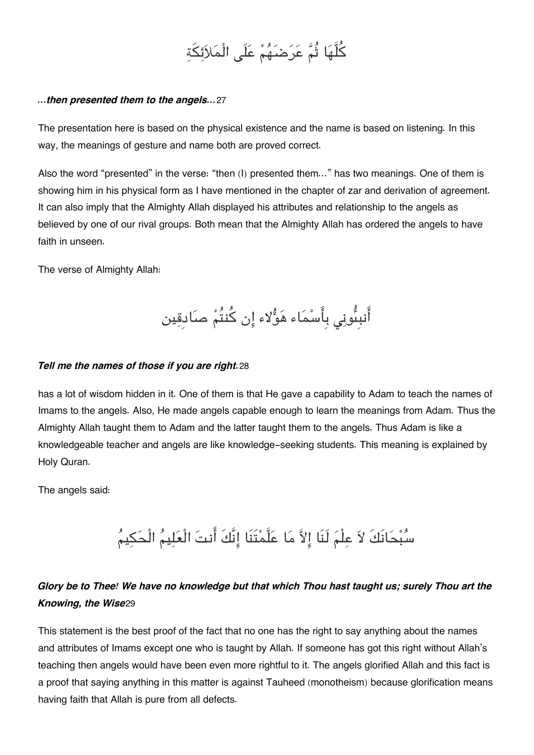# كُلَّهَا ثُمَّ عَرَضَهُمْ عَلَى الْمَلاَئِكَةِ

#### *…then presented them to the angels…*[27](#page--1-0)

The presentation here is based on the physical existence and the name is based on listening. In this way, the meanings of gesture and name both are proved correct.

Also the word "presented" in the verse: "then (I) presented them…" has two meanings. One of them is showing him in his physical form as I have mentioned in the chapter of zar and derivation of agreement. It can also imply that the Almighty Allah displayed his attributes and relationship to the angels as believed by one of our rival groups. Both mean that the Almighty Allah has ordered the angels to have faith in unseen.

The verse of Almighty Allah:

أَنبِئُونِي بِأَسْمَاء هَؤُلاء إِن كُنتُمْ صَادِقِين

#### *Tell me the names of those if you are right.*[28](#page--1-0)

has a lot of wisdom hidden in it. One of them is that He gave a capability to Adam to teach the names of Imams to the angels. Also, He made angels capable enough to learn the meanings from Adam. Thus the Almighty Allah taught them to Adam and the latter taught them to the angels. Thus Adam is like a knowledgeable teacher and angels are like knowledge-seeking students. This meaning is explained by Holy Quran.

The angels said:

سبحانَكَ لا علْم لَنَا الا ما علَّمتَنَا انَّكَ انت الْعليم الْحيم

### *Glory be to Thee! We have no knowledge but that which Thou hast taught us; surely Thou art the Knowing, the Wise*[29](#page--1-0)

This statement is the best proof of the fact that no one has the right to say anything about the names and attributes of Imams except one who is taught by Allah. If someone has got this right without Allah's teaching then angels would have been even more rightful to it. The angels glorified Allah and this fact is a proof that saying anything in this matter is against Tauheed (monotheism) because glorification means having faith that Allah is pure from all defects.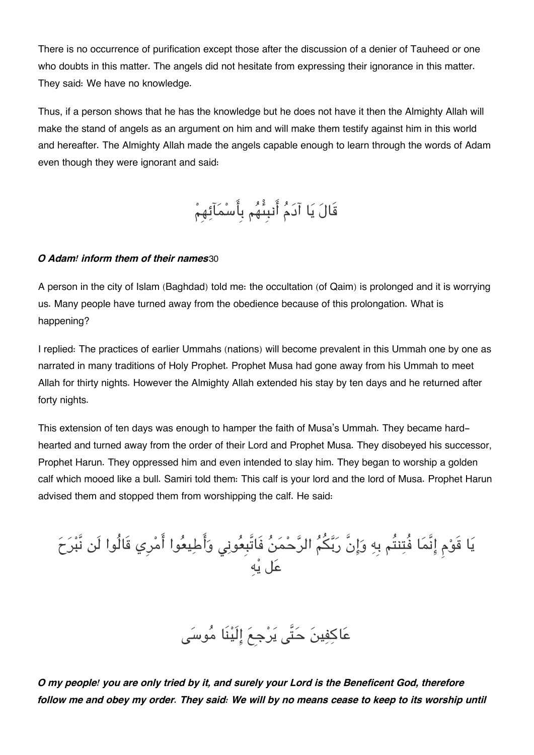There is no occurrence of purification except those after the discussion of a denier of Tauheed or one who doubts in this matter. The angels did not hesitate from expressing their ignorance in this matter. They said: We have no knowledge.

Thus, if a person shows that he has the knowledge but he does not have it then the Almighty Allah will make the stand of angels as an argument on him and will make them testify against him in this world and hereafter. The Almighty Allah made the angels capable enough to learn through the words of Adam even though they were ignorant and said:

قَال يا آدم انبِىهم بِاسمآئهِم

#### *O Adam! inform them of their names*[30](#page--1-0)

A person in the city of Islam (Baghdad) told me: the occultation (of Qaim) is prolonged and it is worrying us. Many people have turned away from the obedience because of this prolongation. What is happening?

I replied: The practices of earlier Ummahs (nations) will become prevalent in this Ummah one by one as narrated in many traditions of Holy Prophet. Prophet Musa had gone away from his Ummah to meet Allah for thirty nights. However the Almighty Allah extended his stay by ten days and he returned after forty nights.

This extension of ten days was enough to hamper the faith of Musa's Ummah. They became hardhearted and turned away from the order of their Lord and Prophet Musa. They disobeyed his successor, Prophet Harun. They oppressed him and even intended to slay him. They began to worship a golden calf which mooed like a bull. Samiri told them: This calf is your lord and the lord of Musa. Prophet Harun advised them and stopped them from worshipping the calf. He said:

يَا قَوْمِ إِنَّمَا فُتِنتُم بِهِ وَإِنَّ رَبَّكُمُ الرَّحْمَنُ فَاتَّبِعُونِي وَأَطِيعُوا أَمْرِي قَالُوا لَن نَّبْرَحَ عل يه

عَاكِفِينَ حَتَّى يَرْجِعَ إِلَيْنَا مُوسَى

*O my people! you are only tried by it, and surely your Lord is the Beneficent God, therefore follow me and obey my order. They said: We will by no means cease to keep to its worship until*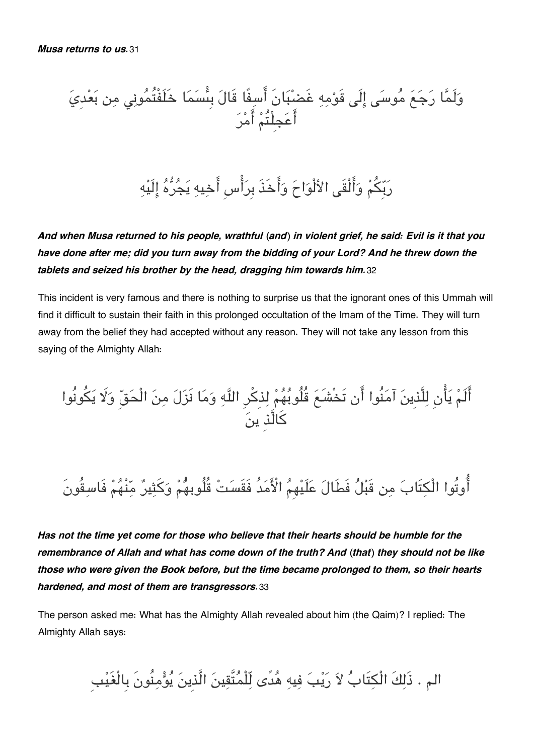## وَلَمَّا رَجَعَ مَوسَى إِلَى قَوْمِهِ غَضَبَانَ اسفًا قَالَ بِنَسَمًا خَلَفْتُمُونِي مِن بَعْدِيَ اعجِلْتُم امر

# رَبِّكُمْ وَأَلْقَى الأَلْوَاحَ وَأَخَذَ بِرَأْسِ أَخيه يَجُرُّهُ إِلَيْه

## *And when Musa returned to his people, wrathful (and) in violent grief, he said: Evil is it that you have done after me; did you turn away from the bidding of your Lord? And he threw down the tablets and seized his brother by the head, dragging him towards him.*[32](#page--1-0)

This incident is very famous and there is nothing to surprise us that the ignorant ones of this Ummah will find it difficult to sustain their faith in this prolonged occultation of the Imam of the Time. They will turn away from the belief they had accepted without any reason. They will not take any lesson from this saving of the Almighty Allah:

الَم يانِ للَّذِين آمنُوا ان تَخْشَع قُلُوبهم لذِكرِ اله وما نَزل من الْحق و يونُوا كالَّذِ ين

أُوتُوا الْكِتَابَ مِن قَبْلُ فَطَالَ عَلَيْهِمُ الْأَمَدُ فَقَسَتْ قُلُوبهُمْ وَكَثِيرٌ مِّنْهُمْ فَاسقُونَ

*Has not the time yet come for those who believe that their hearts should be humble for the remembrance of Allah and what has come down of the truth? And (that) they should not be like those who were given the Book before, but the time became prolonged to them, so their hearts hardened, and most of them are transgressors.*[33](#page--1-0)

The person asked me: What has the Almighty Allah revealed about him (the Qaim)? I replied: The Almighty Allah says:

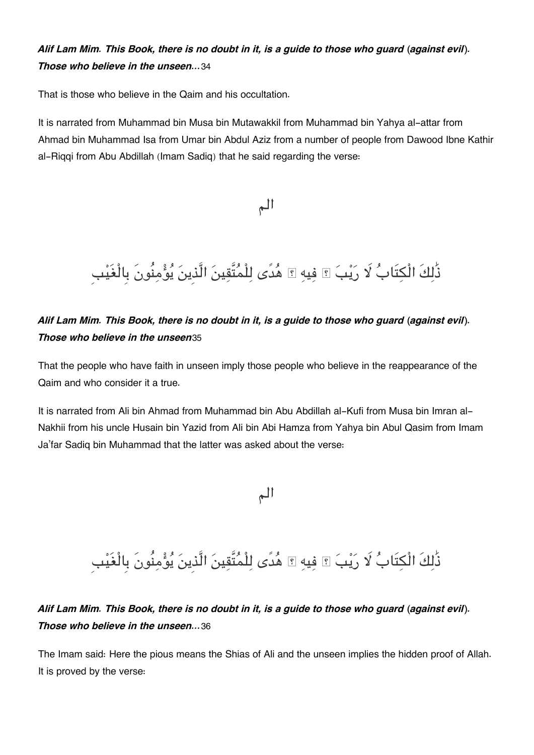## *Alif Lam Mim. This Book, there is no doubt in it, is a guide to those who guard (against evil). Those who believe in the unseen…*[34](#page--1-0)

That is those who believe in the Qaim and his occultation.

It is narrated from Muhammad bin Musa bin Mutawakkil from Muhammad bin Yahya al-attar from Ahmad bin Muhammad Isa from Umar bin Abdul Aziz from a number of people from Dawood Ibne Kathir al-Riqqi from Abu Abdillah (Imam Sadiq) that he said regarding the verse:

الم

ذَٰلِكَ الْكِتَابُ لَا رَيْبَ ۩ فِيهِ ۩ هُدًى لِلْمُتَّقِينَ الَّذِينَ يُوْمِنُونَ بِالْغَيْبِ

### *Alif Lam Mim. This Book, there is no doubt in it, is a guide to those who guard (against evil). Those who believe in the unseen*[35](#page--1-0)

That the people who have faith in unseen imply those people who believe in the reappearance of the Qaim and who consider it a true.

It is narrated from Ali bin Ahmad from Muhammad bin Abu Abdillah al-Kufi from Musa bin Imran al-Nakhii from his uncle Husain bin Yazid from Ali bin Abi Hamza from Yahya bin Abul Qasim from Imam Ja'far Sadiq bin Muhammad that the latter was asked about the verse:

الم

# ذَٰلِكَ الْكِتَابُ لَا رَيْبَ ۩ فِيهِ ۩ هُدًى لِلْمُتَّقِينَ الَّذِينَ يُوْمِنُونَ بِالْغَيْبِ

## *Alif Lam Mim. This Book, there is no doubt in it, is a guide to those who guard (against evil). Those who believe in the unseen…*[36](#page--1-0)

The Imam said: Here the pious means the Shias of Ali and the unseen implies the hidden proof of Allah. It is proved by the verse: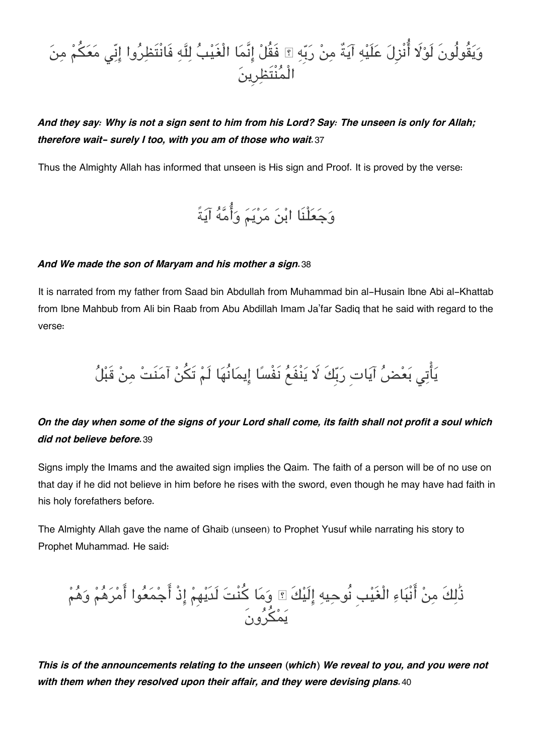

## *And they say: Why is not a sign sent to him from his Lord? Say: The unseen is only for Allah; therefore wait- surely I too, with you am of those who wait.*[37](#page--1-0)

Thus the Almighty Allah has informed that unseen is His sign and Proof. It is proved by the verse:

وجعلْنَا ابن مريم وامه آيةً

#### *And We made the son of Maryam and his mother a sign.*[38](#page--1-0)

It is narrated from my father from Saad bin Abdullah from Muhammad bin al-Husain Ibne Abi al-Khattab from Ibne Mahbub from Ali bin Raab from Abu Abdillah Imam Ja'far Sadiq that he said with regard to the verse:

يَأْتِي بَعْضُ آيَات رَبّكَ لَا يَنْفَعُ نَفْسًا إِيمَانُهَا لَمْ تَكُنْ آمَنَتْ مِنْ قَبْلُ

#### *On the day when some of the signs of your Lord shall come, its faith shall not profit a soul which did not believe before.*[39](#page--1-0)

Signs imply the Imams and the awaited sign implies the Qaim. The faith of a person will be of no use on that day if he did not believe in him before he rises with the sword, even though he may have had faith in his holy forefathers before.

The Almighty Allah gave the name of Ghaib (unseen) to Prophet Yusuf while narrating his story to Prophet Muhammad. He said:

ذَٰلكَ من انْباء الْغَيبِ نُوحيه الَيكَ ۖ وما كنْت لَدَيهِم اذْ اجمعوا امرهم وهم يمرونَ

*This is of the announcements relating to the unseen (which) We reveal to you, and you were not with them when they resolved upon their affair, and they were devising plans.*[40](#page--1-0)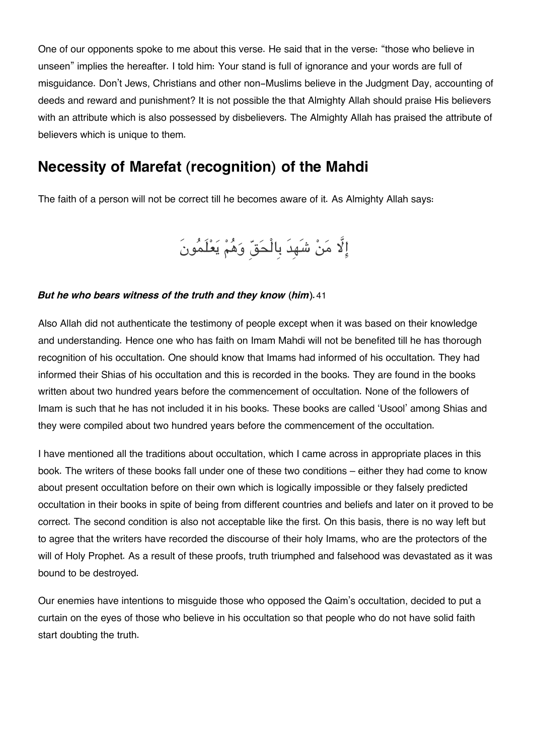One of our opponents spoke to me about this verse. He said that in the verse: "those who believe in unseen" implies the hereafter. I told him: Your stand is full of ignorance and your words are full of misguidance. Don't Jews, Christians and other non-Muslims believe in the Judgment Day, accounting of deeds and reward and punishment? It is not possible the that Almighty Allah should praise His believers with an attribute which is also possessed by disbelievers. The Almighty Allah has praised the attribute of believers which is unique to them.

## **[Necessity of Marefat \(recognition\) of the Mahdi](#page--1-0)**

The faith of a person will not be correct till he becomes aware of it. As Almighty Allah says:

إِلَّا مَنْ شَهِدَ بِالْحَقّ وَهُمْ يَعْلَمُونَ

#### *But he who bears witness of the truth and they know (him).*[41](#page--1-0)

Also Allah did not authenticate the testimony of people except when it was based on their knowledge and understanding. Hence one who has faith on Imam Mahdi will not be benefited till he has thorough recognition of his occultation. One should know that Imams had informed of his occultation. They had informed their Shias of his occultation and this is recorded in the books. They are found in the books written about two hundred years before the commencement of occultation. None of the followers of Imam is such that he has not included it in his books. These books are called 'Usool' among Shias and they were compiled about two hundred years before the commencement of the occultation.

I have mentioned all the traditions about occultation, which I came across in appropriate places in this book. The writers of these books fall under one of these two conditions – either they had come to know about present occultation before on their own which is logically impossible or they falsely predicted occultation in their books in spite of being from different countries and beliefs and later on it proved to be correct. The second condition is also not acceptable like the first. On this basis, there is no way left but to agree that the writers have recorded the discourse of their holy Imams, who are the protectors of the will of Holy Prophet. As a result of these proofs, truth triumphed and falsehood was devastated as it was bound to be destroyed.

Our enemies have intentions to misguide those who opposed the Qaim's occultation, decided to put a curtain on the eyes of those who believe in his occultation so that people who do not have solid faith start doubting the truth.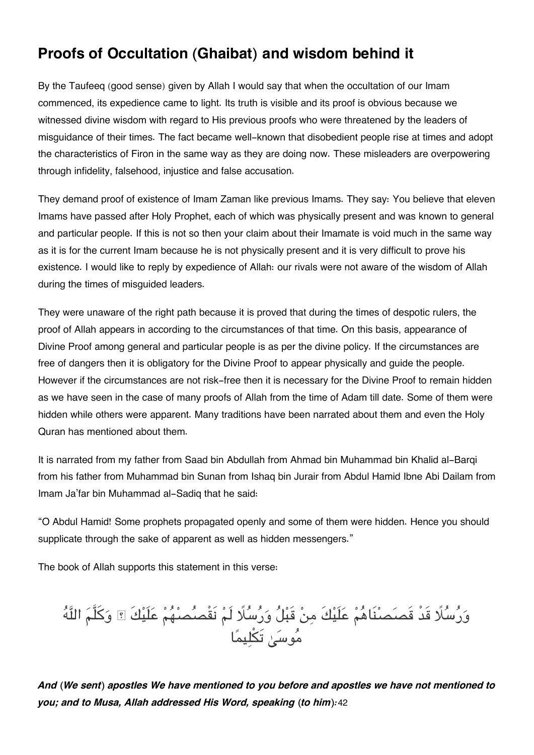## **[Proofs of Occultation \(Ghaibat\) and wisdom behind it](#page--1-0)**

By the Taufeeq (good sense) given by Allah I would say that when the occultation of our Imam commenced, its expedience came to light. Its truth is visible and its proof is obvious because we witnessed divine wisdom with regard to His previous proofs who were threatened by the leaders of misguidance of their times. The fact became well-known that disobedient people rise at times and adopt the characteristics of Firon in the same way as they are doing now. These misleaders are overpowering through infidelity, falsehood, injustice and false accusation.

They demand proof of existence of Imam Zaman like previous Imams. They say: You believe that eleven Imams have passed after Holy Prophet, each of which was physically present and was known to general and particular people. If this is not so then your claim about their Imamate is void much in the same way as it is for the current Imam because he is not physically present and it is very difficult to prove his existence. I would like to reply by expedience of Allah: our rivals were not aware of the wisdom of Allah during the times of misguided leaders.

They were unaware of the right path because it is proved that during the times of despotic rulers, the proof of Allah appears in according to the circumstances of that time. On this basis, appearance of Divine Proof among general and particular people is as per the divine policy. If the circumstances are free of dangers then it is obligatory for the Divine Proof to appear physically and guide the people. However if the circumstances are not risk-free then it is necessary for the Divine Proof to remain hidden as we have seen in the case of many proofs of Allah from the time of Adam till date. Some of them were hidden while others were apparent. Many traditions have been narrated about them and even the Holy Quran has mentioned about them.

It is narrated from my father from Saad bin Abdullah from Ahmad bin Muhammad bin Khalid al-Barqi from his father from Muhammad bin Sunan from Ishaq bin Jurair from Abdul Hamid Ibne Abi Dailam from Imam Ja'far bin Muhammad al-Sadiq that he said:

"O Abdul Hamid! Some prophets propagated openly and some of them were hidden. Hence you should supplicate through the sake of apparent as well as hidden messengers."

The book of Allah supports this statement in this verse:

وَرَسَلًا قَدْ قَصصَصْنَاهُمْ عَلَيْكَ مِنْ قَبْلُ وَرَسَلًا لَمْ نَقْصَصَنْهُمْ عَلَيْكَ ۚ وَكِلَّمَ اللَّهَ مَوسَىٰ تَكلِيمَا

*And (We sent) apostles We have mentioned to you before and apostles we have not mentioned to you; and to Musa, Allah addressed His Word, speaking (to him):*[42](#page--1-0)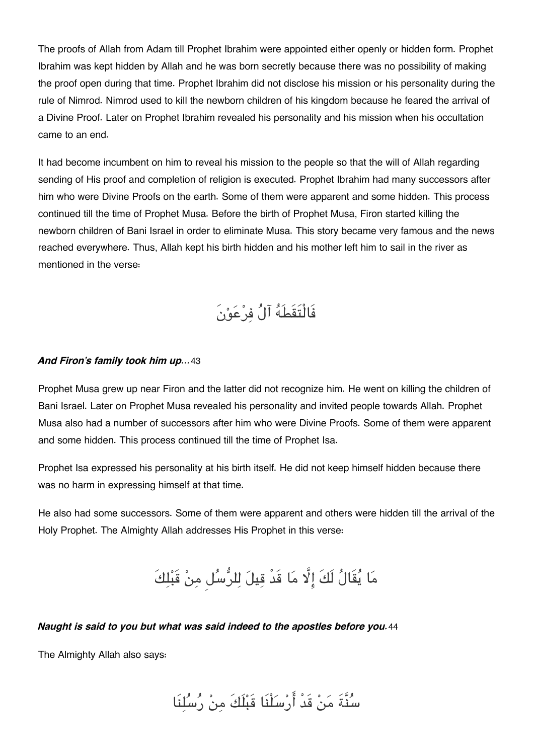The proofs of Allah from Adam till Prophet Ibrahim were appointed either openly or hidden form. Prophet Ibrahim was kept hidden by Allah and he was born secretly because there was no possibility of making the proof open during that time. Prophet Ibrahim did not disclose his mission or his personality during the rule of Nimrod. Nimrod used to kill the newborn children of his kingdom because he feared the arrival of a Divine Proof. Later on Prophet Ibrahim revealed his personality and his mission when his occultation came to an end.

It had become incumbent on him to reveal his mission to the people so that the will of Allah regarding sending of His proof and completion of religion is executed. Prophet Ibrahim had many successors after him who were Divine Proofs on the earth. Some of them were apparent and some hidden. This process continued till the time of Prophet Musa. Before the birth of Prophet Musa, Firon started killing the newborn children of Bani Israel in order to eliminate Musa. This story became very famous and the news reached everywhere. Thus, Allah kept his birth hidden and his mother left him to sail in the river as mentioned in the verse:

## فَالْتَقَطَه آل فرعونَ

#### *And Firon's family took him up…*[43](#page--1-0)

Prophet Musa grew up near Firon and the latter did not recognize him. He went on killing the children of Bani Israel. Later on Prophet Musa revealed his personality and invited people towards Allah. Prophet Musa also had a number of successors after him who were Divine Proofs. Some of them were apparent and some hidden. This process continued till the time of Prophet Isa.

Prophet Isa expressed his personality at his birth itself. He did not keep himself hidden because there was no harm in expressing himself at that time.

He also had some successors. Some of them were apparent and others were hidden till the arrival of the Holy Prophet. The Almighty Allah addresses His Prophet in this verse:

# ما يقَال لَكَ ا ما قَدْ قيل للرسل من قَبلكَ

#### *Naught is said to you but what was said indeed to the apostles before you.*[44](#page--1-0)

The Almighty Allah also says:

سنَّةَ من قَدْ ارسلْنَا قَبلَكَ من رسلنَا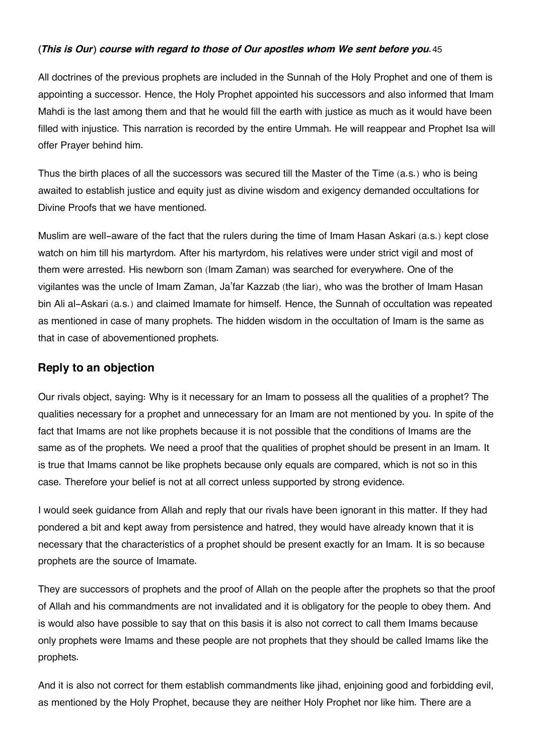#### *(This is Our) course with regard to those of Our apostles whom We sent before you.*[45](#page--1-0)

All doctrines of the previous prophets are included in the Sunnah of the Holy Prophet and one of them is appointing a successor. Hence, the Holy Prophet appointed his successors and also informed that Imam Mahdi is the last among them and that he would fill the earth with justice as much as it would have been filled with injustice. This narration is recorded by the entire Ummah. He will reappear and Prophet Isa will offer Prayer behind him.

Thus the birth places of all the successors was secured till the Master of the Time (a.s.) who is being awaited to establish justice and equity just as divine wisdom and exigency demanded occultations for Divine Proofs that we have mentioned.

Muslim are well-aware of the fact that the rulers during the time of Imam Hasan Askari (a.s.) kept close watch on him till his martyrdom. After his martyrdom, his relatives were under strict vigil and most of them were arrested. His newborn son (Imam Zaman) was searched for everywhere. One of the vigilantes was the uncle of Imam Zaman, Ja'far Kazzab (the liar), who was the brother of Imam Hasan bin Ali al-Askari (a.s.) and claimed Imamate for himself. Hence, the Sunnah of occultation was repeated as mentioned in case of many prophets. The hidden wisdom in the occultation of Imam is the same as that in case of abovementioned prophets.

#### **[Reply to an objection](#page--1-0)**

Our rivals object, saying: Why is it necessary for an Imam to possess all the qualities of a prophet? The qualities necessary for a prophet and unnecessary for an Imam are not mentioned by you. In spite of the fact that Imams are not like prophets because it is not possible that the conditions of Imams are the same as of the prophets. We need a proof that the qualities of prophet should be present in an Imam. It is true that Imams cannot be like prophets because only equals are compared, which is not so in this case. Therefore your belief is not at all correct unless supported by strong evidence.

I would seek guidance from Allah and reply that our rivals have been ignorant in this matter. If they had pondered a bit and kept away from persistence and hatred, they would have already known that it is necessary that the characteristics of a prophet should be present exactly for an Imam. It is so because prophets are the source of Imamate.

They are successors of prophets and the proof of Allah on the people after the prophets so that the proof of Allah and his commandments are not invalidated and it is obligatory for the people to obey them. And is would also have possible to say that on this basis it is also not correct to call them Imams because only prophets were Imams and these people are not prophets that they should be called Imams like the prophets.

And it is also not correct for them establish commandments like jihad, enjoining good and forbidding evil, as mentioned by the Holy Prophet, because they are neither Holy Prophet nor like him. There are a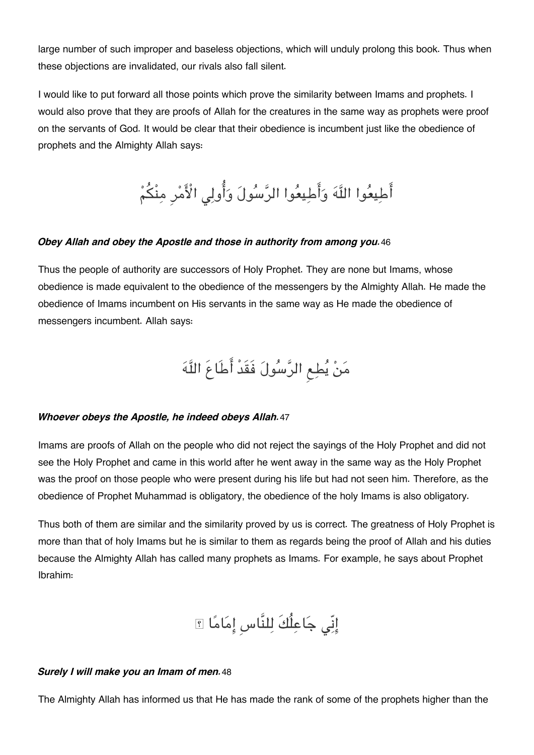large number of such improper and baseless objections, which will unduly prolong this book. Thus when these objections are invalidated, our rivals also fall silent.

I would like to put forward all those points which prove the similarity between Imams and prophets. I would also prove that they are proofs of Allah for the creatures in the same way as prophets were proof on the servants of God. It would be clear that their obedience is incumbent just like the obedience of prophets and the Almighty Allah says:

أَطيعُوا اللَّهَ وَأَطِيعُوا الرَّسُولَ وَأُولِى الْأَمْرِ مِنْكُمْ

#### *Obey Allah and obey the Apostle and those in authority from among you.*[46](#page--1-0)

Thus the people of authority are successors of Holy Prophet. They are none but Imams, whose obedience is made equivalent to the obedience of the messengers by the Almighty Allah. He made the obedience of Imams incumbent on His servants in the same way as He made the obedience of messengers incumbent. Allah says:

# مَنْ يُطِعِ الرَّسُولَ فَقَدْ أَطَاعَ اللَّهَ

#### *Whoever obeys the Apostle, he indeed obeys Allah.*[47](#page--1-0)

Imams are proofs of Allah on the people who did not reject the sayings of the Holy Prophet and did not see the Holy Prophet and came in this world after he went away in the same way as the Holy Prophet was the proof on those people who were present during his life but had not seen him. Therefore, as the obedience of Prophet Muhammad is obligatory, the obedience of the holy Imams is also obligatory.

Thus both of them are similar and the similarity proved by us is correct. The greatness of Holy Prophet is more than that of holy Imams but he is similar to them as regards being the proof of Allah and his duties because the Almighty Allah has called many prophets as Imams. For example, he says about Prophet Ibrahim:

انّ جاعلُكَ للنَّاسِ اماما ۖ

#### *Surely I will make you an Imam of men.*[48](#page--1-0)

The Almighty Allah has informed us that He has made the rank of some of the prophets higher than the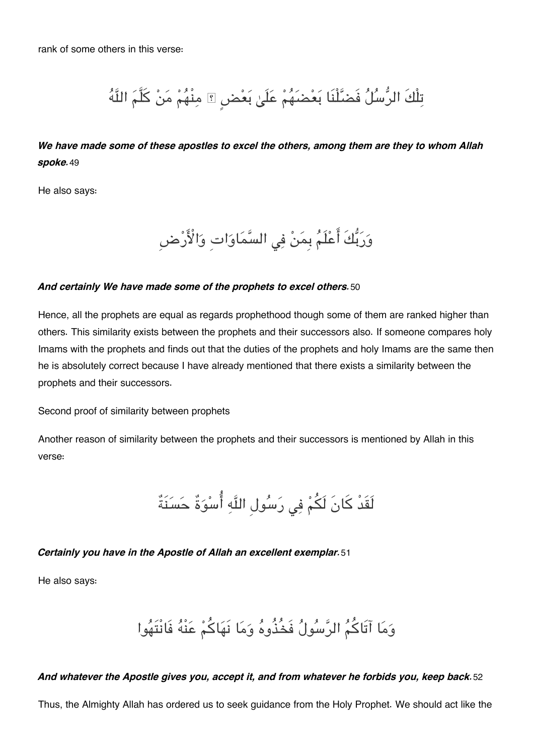rank of some others in this verse:

## تِلْكَ الرُّسُلُ فَضَلَّلْنَا بَعْضَهُمْ عَلَىٰ بَعْضٍ ؟ مِنْهُمْ مَنْ كَلَّمَ اللَّهُ

### *We have made some of these apostles to excel the others, among them are they to whom Allah spoke.*[49](#page--1-0)

He also says:

وَرَبُّكَ أَعْلَمُ بِمَنْ فِي السَّمَاوَاتِ وَالْأَرْضِ

#### *And certainly We have made some of the prophets to excel others.*[50](#page--1-0)

Hence, all the prophets are equal as regards prophethood though some of them are ranked higher than others. This similarity exists between the prophets and their successors also. If someone compares holy Imams with the prophets and finds out that the duties of the prophets and holy Imams are the same then he is absolutely correct because I have already mentioned that there exists a similarity between the prophets and their successors.

Second proof of similarity between prophets

Another reason of similarity between the prophets and their successors is mentioned by Allah in this verse:

لَقَدْ كَانَ لَكُمْ فِي رَسُولِ اللَّهِ أُسْوَةٌ حَسَنَةٌ ۚ

#### *Certainly you have in the Apostle of Allah an excellent exemplar.*[51](#page--1-0)

He also says:

وما آتَاكم الرسول فَخُذُوه وما نَهاكم عنْه فَانْتَهوا

#### *And whatever the Apostle gives you, accept it, and from whatever he forbids you, keep back.*[52](#page--1-0)

Thus, the Almighty Allah has ordered us to seek guidance from the Holy Prophet. We should act like the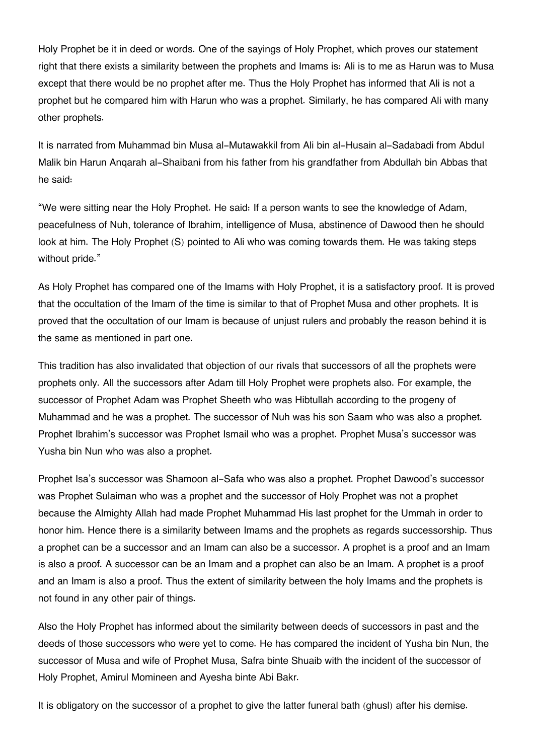Holy Prophet be it in deed or words. One of the sayings of Holy Prophet, which proves our statement right that there exists a similarity between the prophets and Imams is: Ali is to me as Harun was to Musa except that there would be no prophet after me. Thus the Holy Prophet has informed that Ali is not a prophet but he compared him with Harun who was a prophet. Similarly, he has compared Ali with many other prophets.

It is narrated from Muhammad bin Musa al-Mutawakkil from Ali bin al-Husain al-Sadabadi from Abdul Malik bin Harun Anqarah al-Shaibani from his father from his grandfather from Abdullah bin Abbas that he said:

"We were sitting near the Holy Prophet. He said: If a person wants to see the knowledge of Adam, peacefulness of Nuh, tolerance of Ibrahim, intelligence of Musa, abstinence of Dawood then he should look at him. The Holy Prophet (S) pointed to Ali who was coming towards them. He was taking steps without pride."

As Holy Prophet has compared one of the Imams with Holy Prophet, it is a satisfactory proof. It is proved that the occultation of the Imam of the time is similar to that of Prophet Musa and other prophets. It is proved that the occultation of our Imam is because of unjust rulers and probably the reason behind it is the same as mentioned in part one.

This tradition has also invalidated that objection of our rivals that successors of all the prophets were prophets only. All the successors after Adam till Holy Prophet were prophets also. For example, the successor of Prophet Adam was Prophet Sheeth who was Hibtullah according to the progeny of Muhammad and he was a prophet. The successor of Nuh was his son Saam who was also a prophet. Prophet Ibrahim's successor was Prophet Ismail who was a prophet. Prophet Musa's successor was Yusha bin Nun who was also a prophet.

Prophet Isa's successor was Shamoon al-Safa who was also a prophet. Prophet Dawood's successor was Prophet Sulaiman who was a prophet and the successor of Holy Prophet was not a prophet because the Almighty Allah had made Prophet Muhammad His last prophet for the Ummah in order to honor him. Hence there is a similarity between Imams and the prophets as regards successorship. Thus a prophet can be a successor and an Imam can also be a successor. A prophet is a proof and an Imam is also a proof. A successor can be an Imam and a prophet can also be an Imam. A prophet is a proof and an Imam is also a proof. Thus the extent of similarity between the holy Imams and the prophets is not found in any other pair of things.

Also the Holy Prophet has informed about the similarity between deeds of successors in past and the deeds of those successors who were yet to come. He has compared the incident of Yusha bin Nun, the successor of Musa and wife of Prophet Musa, Safra binte Shuaib with the incident of the successor of Holy Prophet, Amirul Momineen and Ayesha binte Abi Bakr.

It is obligatory on the successor of a prophet to give the latter funeral bath (ghusl) after his demise.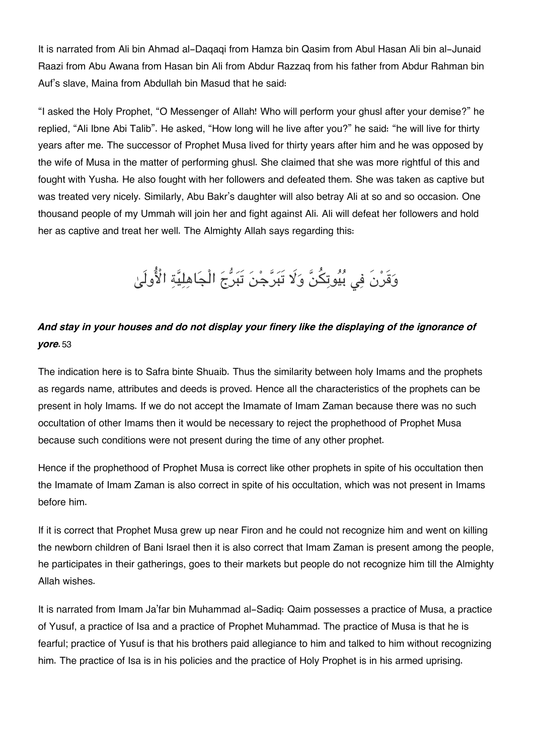It is narrated from Ali bin Ahmad al-Daqaqi from Hamza bin Qasim from Abul Hasan Ali bin al-Junaid Raazi from Abu Awana from Hasan bin Ali from Abdur Razzaq from his father from Abdur Rahman bin Auf's slave, Maina from Abdullah bin Masud that he said:

"I asked the Holy Prophet, "O Messenger of Allah! Who will perform your ghusl after your demise?" he replied, "Ali Ibne Abi Talib". He asked, "How long will he live after you?" he said: "he will live for thirty years after me. The successor of Prophet Musa lived for thirty years after him and he was opposed by the wife of Musa in the matter of performing ghusl. She claimed that she was more rightful of this and fought with Yusha. He also fought with her followers and defeated them. She was taken as captive but was treated very nicely. Similarly, Abu Bakr's daughter will also betray Ali at so and so occasion. One thousand people of my Ummah will join her and fight against Ali. Ali will defeat her followers and hold her as captive and treat her well. The Almighty Allah says regarding this:

# وَقَرْنَ فِي بُيُوتِكُنَّ وَلَا تَبَرَّجُنَ تَبَرُّجَ الْجَاهِلِيَّةِ الْأُولَىٰ

### *And stay in your houses and do not display your finery like the displaying of the ignorance of yore.*[53](#page--1-0)

The indication here is to Safra binte Shuaib. Thus the similarity between holy Imams and the prophets as regards name, attributes and deeds is proved. Hence all the characteristics of the prophets can be present in holy Imams. If we do not accept the Imamate of Imam Zaman because there was no such occultation of other Imams then it would be necessary to reject the prophethood of Prophet Musa because such conditions were not present during the time of any other prophet.

Hence if the prophethood of Prophet Musa is correct like other prophets in spite of his occultation then the Imamate of Imam Zaman is also correct in spite of his occultation, which was not present in Imams before him.

If it is correct that Prophet Musa grew up near Firon and he could not recognize him and went on killing the newborn children of Bani Israel then it is also correct that Imam Zaman is present among the people, he participates in their gatherings, goes to their markets but people do not recognize him till the Almighty Allah wishes.

It is narrated from Imam Ja'far bin Muhammad al-Sadiq: Qaim possesses a practice of Musa, a practice of Yusuf, a practice of Isa and a practice of Prophet Muhammad. The practice of Musa is that he is fearful; practice of Yusuf is that his brothers paid allegiance to him and talked to him without recognizing him. The practice of Isa is in his policies and the practice of Holy Prophet is in his armed uprising.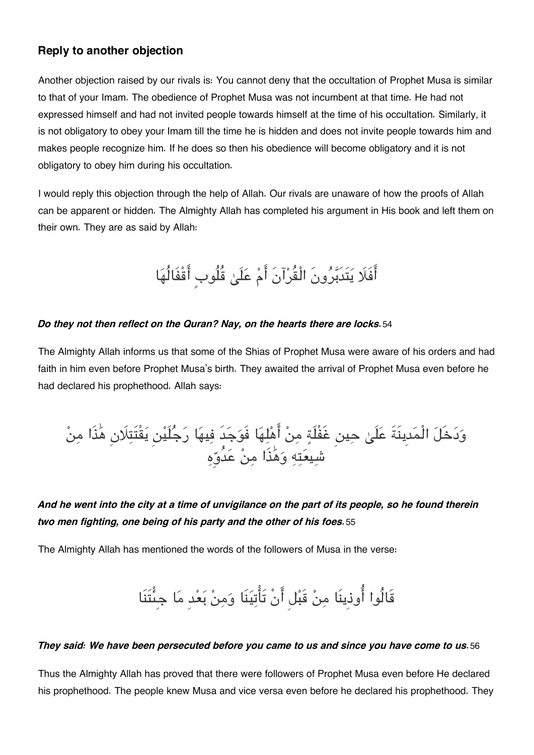### **[Reply to another objection](#page--1-0)**

Another objection raised by our rivals is: You cannot deny that the occultation of Prophet Musa is similar to that of your Imam. The obedience of Prophet Musa was not incumbent at that time. He had not expressed himself and had not invited people towards himself at the time of his occultation. Similarly, it is not obligatory to obey your Imam till the time he is hidden and does not invite people towards him and makes people recognize him. If he does so then his obedience will become obligatory and it is not obligatory to obey him during his occultation.

I would reply this objection through the help of Allah. Our rivals are unaware of how the proofs of Allah can be apparent or hidden. The Almighty Allah has completed his argument in His book and left them on their own. They are as said by Allah:

## أَفَلَا يَتَدَبَّرُونَ الْقُرْآنَ أَمْ عَلَىٰ قُلُوبٍ أَقْفَالُهَا

### *Do they not then reflect on the Quran? Nay, on the hearts there are locks.*[54](#page--1-0)

The Almighty Allah informs us that some of the Shias of Prophet Musa were aware of his orders and had faith in him even before Prophet Musa's birth. They awaited the arrival of Prophet Musa even before he had declared his prophethood. Allah says:

وَدَخَلَ الْمَدِينَةَ عَلَىٰ حِين غَفْلَةٍ مِنْ اهْلِهَا فَوَجَدَ فِيهَا رَجَلَيْنِ يَقْتِتِلانِ هَذَا مِنْ شيعته وهٰذَا من عدُوِه

### *And he went into the city at a time of unvigilance on the part of its people, so he found therein two men fighting, one being of his party and the other of his foes.*[55](#page--1-0)

The Almighty Allah has mentioned the words of the followers of Musa in the verse:

قَالُوا اوذِينَا من قَبل انْ تَاتينَا ومن بعدِ ما جِىتَنَا

#### *They said: We have been persecuted before you came to us and since you have come to us.*[56](#page--1-0)

Thus the Almighty Allah has proved that there were followers of Prophet Musa even before He declared his prophethood. The people knew Musa and vice versa even before he declared his prophethood. They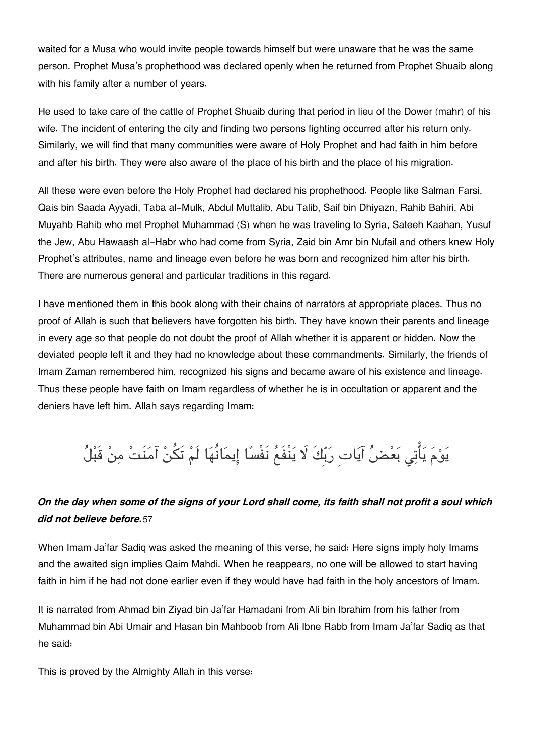waited for a Musa who would invite people towards himself but were unaware that he was the same person. Prophet Musa's prophethood was declared openly when he returned from Prophet Shuaib along with his family after a number of years.

He used to take care of the cattle of Prophet Shuaib during that period in lieu of the Dower (mahr) of his wife. The incident of entering the city and finding two persons fighting occurred after his return only. Similarly, we will find that many communities were aware of Holy Prophet and had faith in him before and after his birth. They were also aware of the place of his birth and the place of his migration.

All these were even before the Holy Prophet had declared his prophethood. People like Salman Farsi, Qais bin Saada Ayyadi, Taba al-Mulk, Abdul Muttalib, Abu Talib, Saif bin Dhiyazn, Rahib Bahiri, Abi Muyahb Rahib who met Prophet Muhammad (S) when he was traveling to Syria, Sateeh Kaahan, Yusuf the Jew, Abu Hawaash al-Habr who had come from Syria, Zaid bin Amr bin Nufail and others knew Holy Prophet's attributes, name and lineage even before he was born and recognized him after his birth. There are numerous general and particular traditions in this regard.

I have mentioned them in this book along with their chains of narrators at appropriate places. Thus no proof of Allah is such that believers have forgotten his birth. They have known their parents and lineage in every age so that people do not doubt the proof of Allah whether it is apparent or hidden. Now the deviated people left it and they had no knowledge about these commandments. Similarly, the friends of Imam Zaman remembered him, recognized his signs and became aware of his existence and lineage. Thus these people have faith on Imam regardless of whether he is in occultation or apparent and the deniers have left him. Allah says regarding Imam:

# يَوْمَ يَأْتِي بَعْضُ آيَات رَبّكَ لَا يَنْفَعُ نَفْسًا إِيمَانُهَا لَمْ تَكُنْ آمَنَتْ مِنْ قَبْلُ

### *On the day when some of the signs of your Lord shall come, its faith shall not profit a soul which did not believe before.*[57](#page--1-0)

When Imam Ja'far Sadiq was asked the meaning of this verse, he said: Here signs imply holy Imams and the awaited sign implies Qaim Mahdi. When he reappears, no one will be allowed to start having faith in him if he had not done earlier even if they would have had faith in the holy ancestors of Imam.

It is narrated from Ahmad bin Ziyad bin Ja'far Hamadani from Ali bin Ibrahim from his father from Muhammad bin Abi Umair and Hasan bin Mahboob from Ali Ibne Rabb from Imam Ja'far Sadiq as that he said:

This is proved by the Almighty Allah in this verse: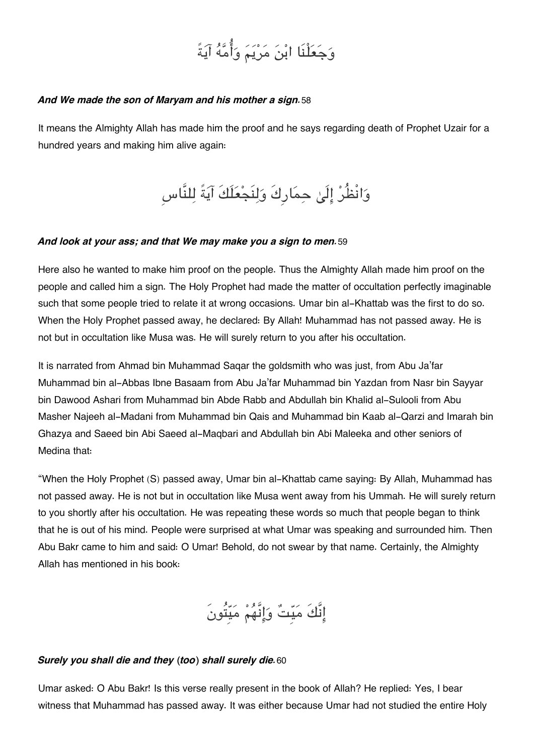# وجعلْنَا ابن مريم وامه آيةً

### *And We made the son of Maryam and his mother a sign.*[58](#page--1-0)

It means the Almighty Allah has made him the proof and he says regarding death of Prophet Uzair for a hundred years and making him alive again:

وانْظُر الَ حمارِكَ ولنَجعلَكَ آيةً للنَّاسِ

### *And look at your ass; and that We may make you a sign to men.*[59](#page--1-0)

Here also he wanted to make him proof on the people. Thus the Almighty Allah made him proof on the people and called him a sign. The Holy Prophet had made the matter of occultation perfectly imaginable such that some people tried to relate it at wrong occasions. Umar bin al-Khattab was the first to do so. When the Holy Prophet passed away, he declared: By Allah! Muhammad has not passed away. He is not but in occultation like Musa was. He will surely return to you after his occultation.

It is narrated from Ahmad bin Muhammad Saqar the goldsmith who was just, from Abu Ja'far Muhammad bin al-Abbas Ibne Basaam from Abu Ja'far Muhammad bin Yazdan from Nasr bin Sayyar bin Dawood Ashari from Muhammad bin Abde Rabb and Abdullah bin Khalid al-Sulooli from Abu Masher Najeeh al-Madani from Muhammad bin Qais and Muhammad bin Kaab al-Qarzi and Imarah bin Ghazya and Saeed bin Abi Saeed al-Maqbari and Abdullah bin Abi Maleeka and other seniors of Medina that:

"When the Holy Prophet (S) passed away, Umar bin al-Khattab came saying: By Allah, Muhammad has not passed away. He is not but in occultation like Musa went away from his Ummah. He will surely return to you shortly after his occultation. He was repeating these words so much that people began to think that he is out of his mind. People were surprised at what Umar was speaking and surrounded him. Then Abu Bakr came to him and said: O Umar! Behold, do not swear by that name. Certainly, the Almighty Allah has mentioned in his book:

إِنَّكَ مَيِّتٌ وَإِنَّهُمْ مَيِّتُونَ

### *Surely you shall die and they (too) shall surely die.*[60](#page--1-0)

Umar asked: O Abu Bakr! Is this verse really present in the book of Allah? He replied: Yes, I bear witness that Muhammad has passed away. It was either because Umar had not studied the entire Holy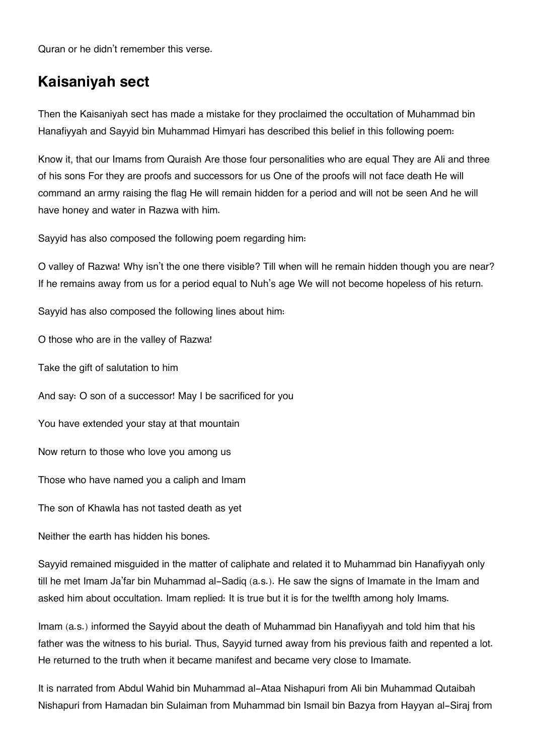Quran or he didn't remember this verse.

### **[Kaisaniyah sect](#page--1-0)**

Then the Kaisaniyah sect has made a mistake for they proclaimed the occultation of Muhammad bin Hanafiyyah and Sayyid bin Muhammad Himyari has described this belief in this following poem:

Know it, that our Imams from Quraish Are those four personalities who are equal They are Ali and three of his sons For they are proofs and successors for us One of the proofs will not face death He will command an army raising the flag He will remain hidden for a period and will not be seen And he will have honey and water in Razwa with him.

Sayyid has also composed the following poem regarding him:

O valley of Razwa! Why isn't the one there visible? Till when will he remain hidden though you are near? If he remains away from us for a period equal to Nuh's age We will not become hopeless of his return.

Sayyid has also composed the following lines about him:

O those who are in the valley of Razwa!

Take the gift of salutation to him

And say: O son of a successor! May I be sacrificed for you

You have extended your stay at that mountain

Now return to those who love you among us

Those who have named you a caliph and Imam

The son of Khawla has not tasted death as yet

Neither the earth has hidden his bones.

Sayyid remained misguided in the matter of caliphate and related it to Muhammad bin Hanafiyyah only till he met Imam Ja'far bin Muhammad al-Sadiq (a.s.). He saw the signs of Imamate in the Imam and asked him about occultation. Imam replied: It is true but it is for the twelfth among holy Imams.

Imam (a.s.) informed the Sayyid about the death of Muhammad bin Hanafiyyah and told him that his father was the witness to his burial. Thus, Sayyid turned away from his previous faith and repented a lot. He returned to the truth when it became manifest and became very close to Imamate.

It is narrated from Abdul Wahid bin Muhammad al-Ataa Nishapuri from Ali bin Muhammad Qutaibah Nishapuri from Hamadan bin Sulaiman from Muhammad bin Ismail bin Bazya from Hayyan al-Siraj from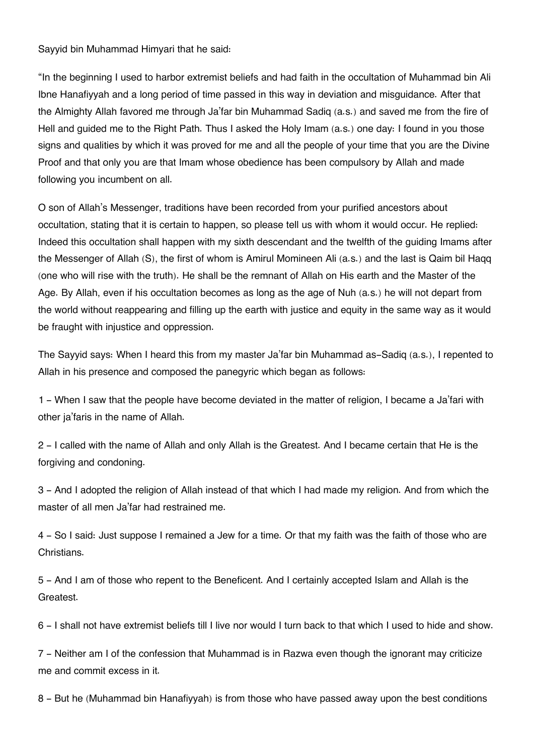Sayyid bin Muhammad Himyari that he said:

"In the beginning I used to harbor extremist beliefs and had faith in the occultation of Muhammad bin Ali Ibne Hanafiyyah and a long period of time passed in this way in deviation and misguidance. After that the Almighty Allah favored me through Ja'far bin Muhammad Sadiq (a.s.) and saved me from the fire of Hell and guided me to the Right Path. Thus I asked the Holy Imam (a.s.) one day: I found in you those signs and qualities by which it was proved for me and all the people of your time that you are the Divine Proof and that only you are that Imam whose obedience has been compulsory by Allah and made following you incumbent on all.

O son of Allah's Messenger, traditions have been recorded from your purified ancestors about occultation, stating that it is certain to happen, so please tell us with whom it would occur. He replied: Indeed this occultation shall happen with my sixth descendant and the twelfth of the guiding Imams after the Messenger of Allah (S), the first of whom is Amirul Momineen Ali (a.s.) and the last is Qaim bil Haqq (one who will rise with the truth). He shall be the remnant of Allah on His earth and the Master of the Age. By Allah, even if his occultation becomes as long as the age of Nuh (a.s.) he will not depart from the world without reappearing and filling up the earth with justice and equity in the same way as it would be fraught with injustice and oppression.

The Sayyid says: When I heard this from my master Ja'far bin Muhammad as-Sadiq (a.s.), I repented to Allah in his presence and composed the panegyric which began as follows:

1 - When I saw that the people have become deviated in the matter of religion, I became a Ja'fari with other ja'faris in the name of Allah.

2 - I called with the name of Allah and only Allah is the Greatest. And I became certain that He is the forgiving and condoning.

3 - And I adopted the religion of Allah instead of that which I had made my religion. And from which the master of all men Ja'far had restrained me.

4 - So I said: Just suppose I remained a Jew for a time. Or that my faith was the faith of those who are Christians.

5 - And I am of those who repent to the Beneficent. And I certainly accepted Islam and Allah is the Greatest.

6 - I shall not have extremist beliefs till I live nor would I turn back to that which I used to hide and show.

7 - Neither am I of the confession that Muhammad is in Razwa even though the ignorant may criticize me and commit excess in it.

8 - But he (Muhammad bin Hanafiyyah) is from those who have passed away upon the best conditions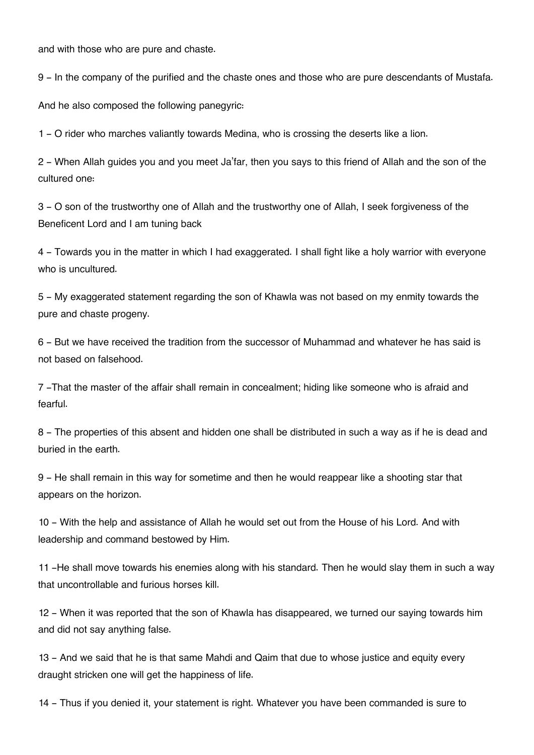and with those who are pure and chaste.

9 - In the company of the purified and the chaste ones and those who are pure descendants of Mustafa.

And he also composed the following panegyric:

1 - O rider who marches valiantly towards Medina, who is crossing the deserts like a lion.

2 - When Allah guides you and you meet Ja'far, then you says to this friend of Allah and the son of the cultured one:

3 - O son of the trustworthy one of Allah and the trustworthy one of Allah, I seek forgiveness of the Beneficent Lord and I am tuning back

4 - Towards you in the matter in which I had exaggerated. I shall fight like a holy warrior with everyone who is uncultured.

5 - My exaggerated statement regarding the son of Khawla was not based on my enmity towards the pure and chaste progeny.

6 - But we have received the tradition from the successor of Muhammad and whatever he has said is not based on falsehood.

7 -That the master of the affair shall remain in concealment; hiding like someone who is afraid and fearful.

8 - The properties of this absent and hidden one shall be distributed in such a way as if he is dead and buried in the earth.

9 - He shall remain in this way for sometime and then he would reappear like a shooting star that appears on the horizon.

10 - With the help and assistance of Allah he would set out from the House of his Lord. And with leadership and command bestowed by Him.

11 -He shall move towards his enemies along with his standard. Then he would slay them in such a way that uncontrollable and furious horses kill.

12 - When it was reported that the son of Khawla has disappeared, we turned our saying towards him and did not say anything false.

13 - And we said that he is that same Mahdi and Qaim that due to whose justice and equity every draught stricken one will get the happiness of life.

14 - Thus if you denied it, your statement is right. Whatever you have been commanded is sure to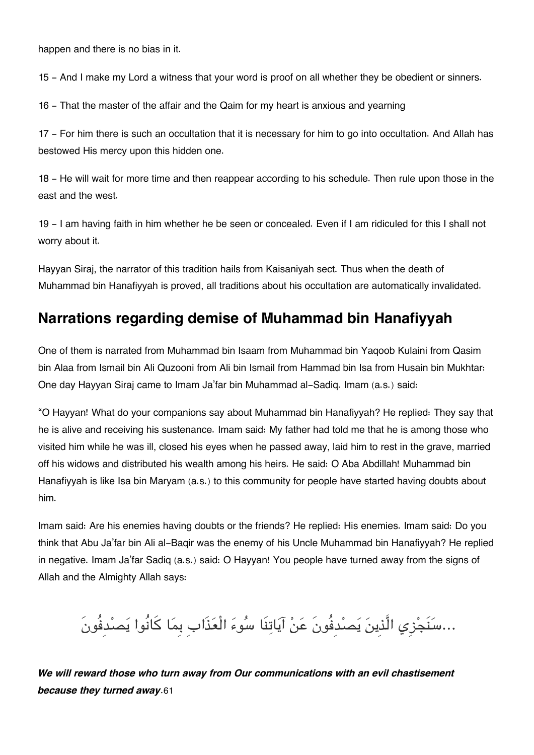happen and there is no bias in it.

15 - And I make my Lord a witness that your word is proof on all whether they be obedient or sinners.

16 - That the master of the affair and the Qaim for my heart is anxious and yearning

17 - For him there is such an occultation that it is necessary for him to go into occultation. And Allah has bestowed His mercy upon this hidden one.

18 - He will wait for more time and then reappear according to his schedule. Then rule upon those in the east and the west.

19 - I am having faith in him whether he be seen or concealed. Even if I am ridiculed for this I shall not worry about it.

Hayyan Siraj, the narrator of this tradition hails from Kaisaniyah sect. Thus when the death of Muhammad bin Hanafiyyah is proved, all traditions about his occultation are automatically invalidated.

### **[Narrations regarding demise of Muhammad bin Hanafiyyah](#page--1-0)**

One of them is narrated from Muhammad bin Isaam from Muhammad bin Yaqoob Kulaini from Qasim bin Alaa from Ismail bin Ali Quzooni from Ali bin Ismail from Hammad bin Isa from Husain bin Mukhtar: One day Hayyan Siraj came to Imam Ja'far bin Muhammad al-Sadiq. Imam (a.s.) said:

"O Hayyan! What do your companions say about Muhammad bin Hanafiyyah? He replied: They say that he is alive and receiving his sustenance. Imam said: My father had told me that he is among those who visited him while he was ill, closed his eyes when he passed away, laid him to rest in the grave, married off his widows and distributed his wealth among his heirs. He said: O Aba Abdillah! Muhammad bin Hanafiyyah is like Isa bin Maryam (a.s.) to this community for people have started having doubts about him.

Imam said: Are his enemies having doubts or the friends? He replied: His enemies. Imam said: Do you think that Abu Ja'far bin Ali al-Baqir was the enemy of his Uncle Muhammad bin Hanafiyyah? He replied in negative. Imam Ja'far Sadiq (a.s.) said: O Hayyan! You people have turned away from the signs of Allah and the Almighty Allah says:

...سنَجزِي الَّذِين يصدِفُونَ عن آياتنَا سوء الْعذَابِ بِما كانُوا يصدِفُونَ

*We will reward those who turn away from Our communications with an evil chastisement because they turned away*.[61](#page--1-0)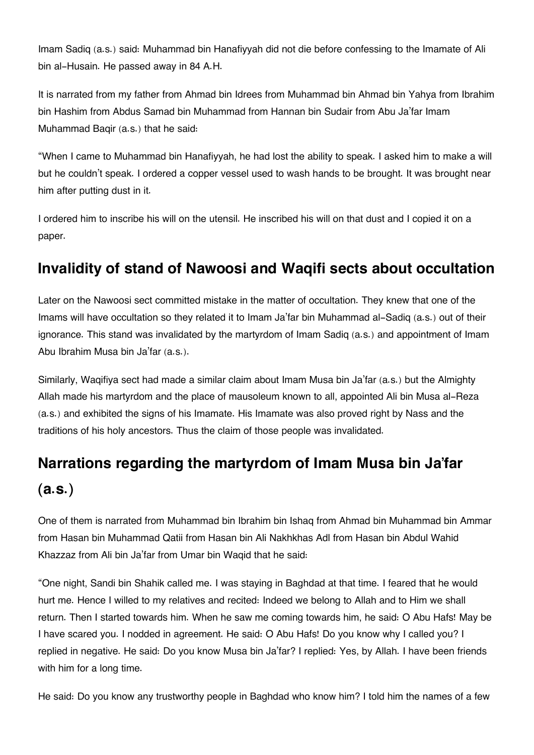Imam Sadiq (a.s.) said: Muhammad bin Hanafiyyah did not die before confessing to the Imamate of Ali bin al-Husain. He passed away in 84 A.H.

It is narrated from my father from Ahmad bin Idrees from Muhammad bin Ahmad bin Yahya from Ibrahim bin Hashim from Abdus Samad bin Muhammad from Hannan bin Sudair from Abu Ja'far Imam Muhammad Baqir (a.s.) that he said:

"When I came to Muhammad bin Hanafiyyah, he had lost the ability to speak. I asked him to make a will but he couldn't speak. I ordered a copper vessel used to wash hands to be brought. It was brought near him after putting dust in it.

I ordered him to inscribe his will on the utensil. He inscribed his will on that dust and I copied it on a paper.

### **[Invalidity of stand of Nawoosi and Waqifi sects about occultation](#page--1-0)**

Later on the Nawoosi sect committed mistake in the matter of occultation. They knew that one of the Imams will have occultation so they related it to Imam Ja'far bin Muhammad al-Sadiq (a.s.) out of their ignorance. This stand was invalidated by the martyrdom of Imam Sadiq (a.s.) and appointment of Imam Abu Ibrahim Musa bin Ja'far (a.s.).

Similarly, Waqifiya sect had made a similar claim about Imam Musa bin Ja'far (a.s.) but the Almighty Allah made his martyrdom and the place of mausoleum known to all, appointed Ali bin Musa al-Reza (a.s.) and exhibited the signs of his Imamate. His Imamate was also proved right by Nass and the traditions of his holy ancestors. Thus the claim of those people was invalidated.

## **[Narrations regarding the martyrdom of Imam Musa bin Ja'far](#page--1-0) [\(a.s.\)](#page--1-0)**

One of them is narrated from Muhammad bin Ibrahim bin Ishaq from Ahmad bin Muhammad bin Ammar from Hasan bin Muhammad Qatii from Hasan bin Ali Nakhkhas Adl from Hasan bin Abdul Wahid Khazzaz from Ali bin Ja'far from Umar bin Waqid that he said:

"One night, Sandi bin Shahik called me. I was staying in Baghdad at that time. I feared that he would hurt me. Hence I willed to my relatives and recited: Indeed we belong to Allah and to Him we shall return. Then I started towards him. When he saw me coming towards him, he said: O Abu Hafs! May be I have scared you. I nodded in agreement. He said: O Abu Hafs! Do you know why I called you? I replied in negative. He said: Do you know Musa bin Ja'far? I replied: Yes, by Allah. I have been friends with him for a long time.

He said: Do you know any trustworthy people in Baghdad who know him? I told him the names of a few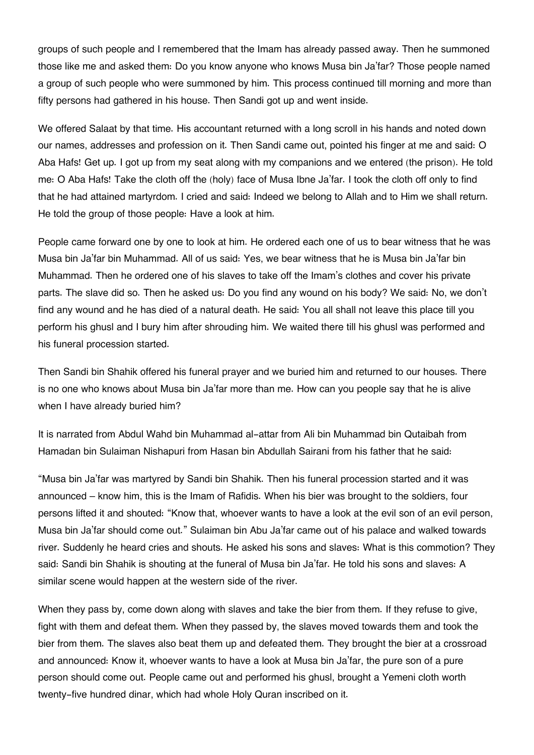groups of such people and I remembered that the Imam has already passed away. Then he summoned those like me and asked them: Do you know anyone who knows Musa bin Ja'far? Those people named a group of such people who were summoned by him. This process continued till morning and more than fifty persons had gathered in his house. Then Sandi got up and went inside.

We offered Salaat by that time. His accountant returned with a long scroll in his hands and noted down our names, addresses and profession on it. Then Sandi came out, pointed his finger at me and said: O Aba Hafs! Get up. I got up from my seat along with my companions and we entered (the prison). He told me: O Aba Hafs! Take the cloth off the (holy) face of Musa Ibne Ja'far. I took the cloth off only to find that he had attained martyrdom. I cried and said: Indeed we belong to Allah and to Him we shall return. He told the group of those people: Have a look at him.

People came forward one by one to look at him. He ordered each one of us to bear witness that he was Musa bin Ja'far bin Muhammad. All of us said: Yes, we bear witness that he is Musa bin Ja'far bin Muhammad. Then he ordered one of his slaves to take off the Imam's clothes and cover his private parts. The slave did so. Then he asked us: Do you find any wound on his body? We said: No, we don't find any wound and he has died of a natural death. He said: You all shall not leave this place till you perform his ghusl and I bury him after shrouding him. We waited there till his ghusl was performed and his funeral procession started.

Then Sandi bin Shahik offered his funeral prayer and we buried him and returned to our houses. There is no one who knows about Musa bin Ja'far more than me. How can you people say that he is alive when I have already buried him?

It is narrated from Abdul Wahd bin Muhammad al-attar from Ali bin Muhammad bin Qutaibah from Hamadan bin Sulaiman Nishapuri from Hasan bin Abdullah Sairani from his father that he said:

"Musa bin Ja'far was martyred by Sandi bin Shahik. Then his funeral procession started and it was announced – know him, this is the Imam of Rafidis. When his bier was brought to the soldiers, four persons lifted it and shouted: "Know that, whoever wants to have a look at the evil son of an evil person, Musa bin Ja'far should come out." Sulaiman bin Abu Ja'far came out of his palace and walked towards river. Suddenly he heard cries and shouts. He asked his sons and slaves: What is this commotion? They said: Sandi bin Shahik is shouting at the funeral of Musa bin Ja'far. He told his sons and slaves: A similar scene would happen at the western side of the river.

When they pass by, come down along with slaves and take the bier from them. If they refuse to give, fight with them and defeat them. When they passed by, the slaves moved towards them and took the bier from them. The slaves also beat them up and defeated them. They brought the bier at a crossroad and announced: Know it, whoever wants to have a look at Musa bin Ja'far, the pure son of a pure person should come out. People came out and performed his ghusl, brought a Yemeni cloth worth twenty-five hundred dinar, which had whole Holy Quran inscribed on it.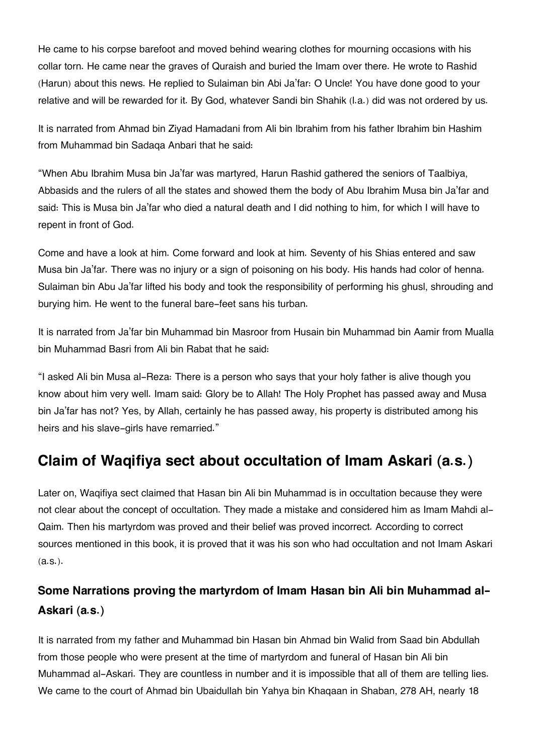He came to his corpse barefoot and moved behind wearing clothes for mourning occasions with his collar torn. He came near the graves of Quraish and buried the Imam over there. He wrote to Rashid (Harun) about this news. He replied to Sulaiman bin Abi Ja'far: O Uncle! You have done good to your relative and will be rewarded for it. By God, whatever Sandi bin Shahik (l.a.) did was not ordered by us.

It is narrated from Ahmad bin Ziyad Hamadani from Ali bin Ibrahim from his father Ibrahim bin Hashim from Muhammad bin Sadaqa Anbari that he said:

"When Abu Ibrahim Musa bin Ja'far was martyred, Harun Rashid gathered the seniors of Taalbiya, Abbasids and the rulers of all the states and showed them the body of Abu Ibrahim Musa bin Ja'far and said: This is Musa bin Ja'far who died a natural death and I did nothing to him, for which I will have to repent in front of God.

Come and have a look at him. Come forward and look at him. Seventy of his Shias entered and saw Musa bin Ja'far. There was no injury or a sign of poisoning on his body. His hands had color of henna. Sulaiman bin Abu Ja'far lifted his body and took the responsibility of performing his ghusl, shrouding and burying him. He went to the funeral bare-feet sans his turban.

It is narrated from Ja'far bin Muhammad bin Masroor from Husain bin Muhammad bin Aamir from Mualla bin Muhammad Basri from Ali bin Rabat that he said:

"I asked Ali bin Musa al-Reza: There is a person who says that your holy father is alive though you know about him very well. Imam said: Glory be to Allah! The Holy Prophet has passed away and Musa bin Ja'far has not? Yes, by Allah, certainly he has passed away, his property is distributed among his heirs and his slave-girls have remarried."

### **[Claim of Waqifiya sect about occultation of Imam Askari \(a.s.\)](#page--1-0)**

Later on, Waqifiya sect claimed that Hasan bin Ali bin Muhammad is in occultation because they were not clear about the concept of occultation. They made a mistake and considered him as Imam Mahdi al-Qaim. Then his martyrdom was proved and their belief was proved incorrect. According to correct sources mentioned in this book, it is proved that it was his son who had occultation and not Imam Askari (a.s.).

### **[Some Narrations proving the martyrdom of Imam Hasan bin Ali bin Muhammad al-](#page--1-0)[Askari \(a.s.\)](#page--1-0)**

It is narrated from my father and Muhammad bin Hasan bin Ahmad bin Walid from Saad bin Abdullah from those people who were present at the time of martyrdom and funeral of Hasan bin Ali bin Muhammad al-Askari. They are countless in number and it is impossible that all of them are telling lies. We came to the court of Ahmad bin Ubaidullah bin Yahya bin Khaqaan in Shaban, 278 AH, nearly 18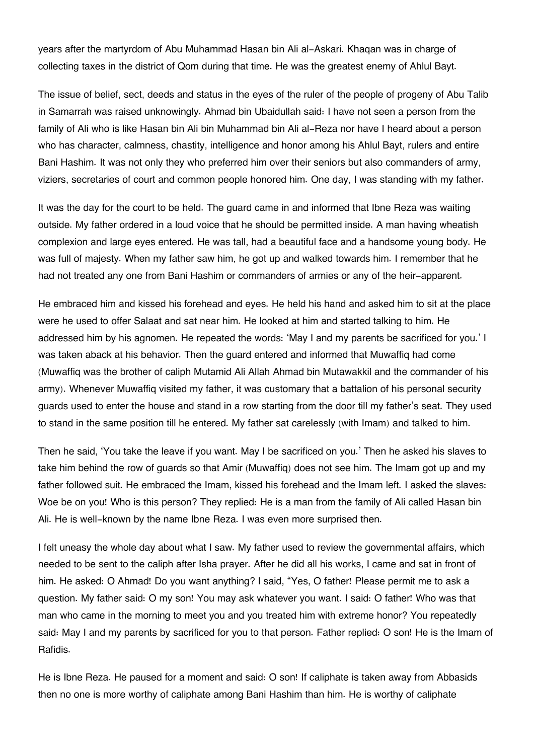years after the martyrdom of Abu Muhammad Hasan bin Ali al-Askari. Khaqan was in charge of collecting taxes in the district of Qom during that time. He was the greatest enemy of Ahlul Bayt.

The issue of belief, sect, deeds and status in the eyes of the ruler of the people of progeny of Abu Talib in Samarrah was raised unknowingly. Ahmad bin Ubaidullah said: I have not seen a person from the family of Ali who is like Hasan bin Ali bin Muhammad bin Ali al-Reza nor have I heard about a person who has character, calmness, chastity, intelligence and honor among his Ahlul Bayt, rulers and entire Bani Hashim. It was not only they who preferred him over their seniors but also commanders of army, viziers, secretaries of court and common people honored him. One day, I was standing with my father.

It was the day for the court to be held. The guard came in and informed that Ibne Reza was waiting outside. My father ordered in a loud voice that he should be permitted inside. A man having wheatish complexion and large eyes entered. He was tall, had a beautiful face and a handsome young body. He was full of majesty. When my father saw him, he got up and walked towards him. I remember that he had not treated any one from Bani Hashim or commanders of armies or any of the heir-apparent.

He embraced him and kissed his forehead and eyes. He held his hand and asked him to sit at the place were he used to offer Salaat and sat near him. He looked at him and started talking to him. He addressed him by his agnomen. He repeated the words: 'May I and my parents be sacrificed for you.' I was taken aback at his behavior. Then the guard entered and informed that Muwaffiq had come (Muwaffiq was the brother of caliph Mutamid Ali Allah Ahmad bin Mutawakkil and the commander of his army). Whenever Muwaffiq visited my father, it was customary that a battalion of his personal security guards used to enter the house and stand in a row starting from the door till my father's seat. They used to stand in the same position till he entered. My father sat carelessly (with Imam) and talked to him.

Then he said, 'You take the leave if you want. May I be sacrificed on you.' Then he asked his slaves to take him behind the row of guards so that Amir (Muwaffiq) does not see him. The Imam got up and my father followed suit. He embraced the Imam, kissed his forehead and the Imam left. I asked the slaves: Woe be on you! Who is this person? They replied: He is a man from the family of Ali called Hasan bin Ali. He is well-known by the name Ibne Reza. I was even more surprised then.

I felt uneasy the whole day about what I saw. My father used to review the governmental affairs, which needed to be sent to the caliph after Isha prayer. After he did all his works, I came and sat in front of him. He asked: O Ahmad! Do you want anything? I said, "Yes, O father! Please permit me to ask a question. My father said: O my son! You may ask whatever you want. I said: O father! Who was that man who came in the morning to meet you and you treated him with extreme honor? You repeatedly said: May I and my parents by sacrificed for you to that person. Father replied: O son! He is the Imam of Rafidis.

He is Ibne Reza. He paused for a moment and said: O son! If caliphate is taken away from Abbasids then no one is more worthy of caliphate among Bani Hashim than him. He is worthy of caliphate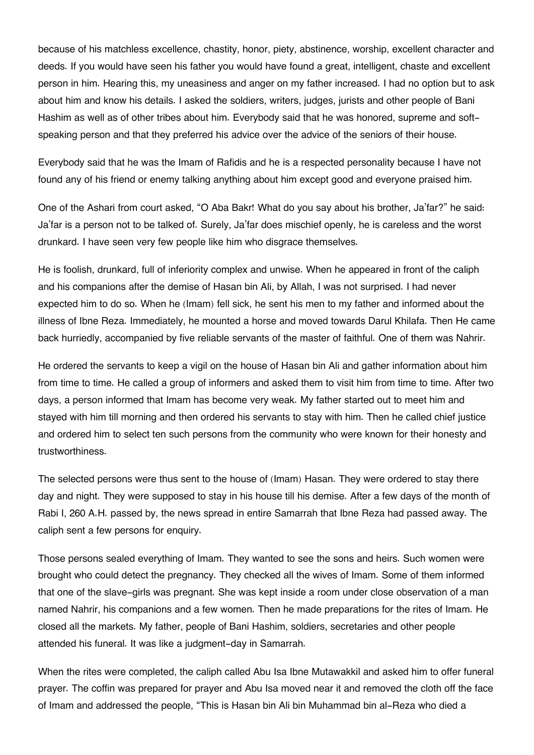because of his matchless excellence, chastity, honor, piety, abstinence, worship, excellent character and deeds. If you would have seen his father you would have found a great, intelligent, chaste and excellent person in him. Hearing this, my uneasiness and anger on my father increased. I had no option but to ask about him and know his details. I asked the soldiers, writers, judges, jurists and other people of Bani Hashim as well as of other tribes about him. Everybody said that he was honored, supreme and softspeaking person and that they preferred his advice over the advice of the seniors of their house.

Everybody said that he was the Imam of Rafidis and he is a respected personality because I have not found any of his friend or enemy talking anything about him except good and everyone praised him.

One of the Ashari from court asked, "O Aba Bakr! What do you say about his brother, Ja'far?" he said: Ja'far is a person not to be talked of. Surely, Ja'far does mischief openly, he is careless and the worst drunkard. I have seen very few people like him who disgrace themselves.

He is foolish, drunkard, full of inferiority complex and unwise. When he appeared in front of the caliph and his companions after the demise of Hasan bin Ali, by Allah, I was not surprised. I had never expected him to do so. When he (Imam) fell sick, he sent his men to my father and informed about the illness of Ibne Reza. Immediately, he mounted a horse and moved towards Darul Khilafa. Then He came back hurriedly, accompanied by five reliable servants of the master of faithful. One of them was Nahrir.

He ordered the servants to keep a vigil on the house of Hasan bin Ali and gather information about him from time to time. He called a group of informers and asked them to visit him from time to time. After two days, a person informed that Imam has become very weak. My father started out to meet him and stayed with him till morning and then ordered his servants to stay with him. Then he called chief justice and ordered him to select ten such persons from the community who were known for their honesty and trustworthiness.

The selected persons were thus sent to the house of (Imam) Hasan. They were ordered to stay there day and night. They were supposed to stay in his house till his demise. After a few days of the month of Rabi I, 260 A.H. passed by, the news spread in entire Samarrah that Ibne Reza had passed away. The caliph sent a few persons for enquiry.

Those persons sealed everything of Imam. They wanted to see the sons and heirs. Such women were brought who could detect the pregnancy. They checked all the wives of Imam. Some of them informed that one of the slave-girls was pregnant. She was kept inside a room under close observation of a man named Nahrir, his companions and a few women. Then he made preparations for the rites of Imam. He closed all the markets. My father, people of Bani Hashim, soldiers, secretaries and other people attended his funeral. It was like a judgment-day in Samarrah.

When the rites were completed, the caliph called Abu Isa Ibne Mutawakkil and asked him to offer funeral prayer. The coffin was prepared for prayer and Abu Isa moved near it and removed the cloth off the face of Imam and addressed the people, "This is Hasan bin Ali bin Muhammad bin al-Reza who died a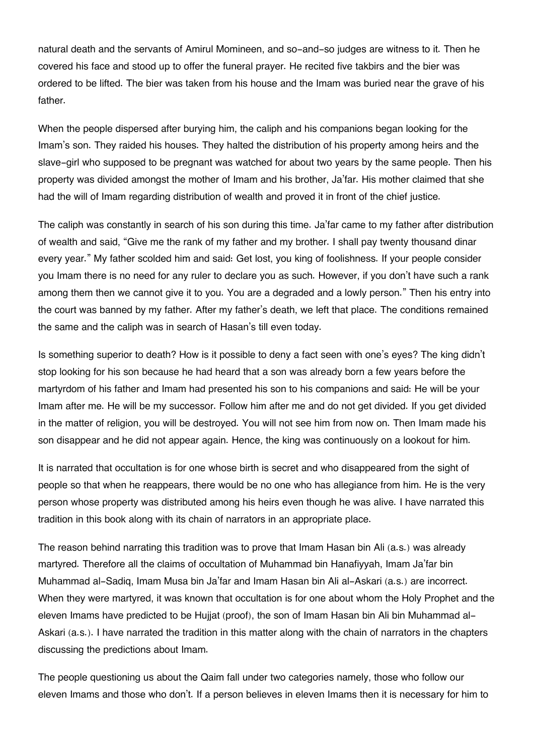natural death and the servants of Amirul Momineen, and so-and-so judges are witness to it. Then he covered his face and stood up to offer the funeral prayer. He recited five takbirs and the bier was ordered to be lifted. The bier was taken from his house and the Imam was buried near the grave of his father.

When the people dispersed after burying him, the caliph and his companions began looking for the Imam's son. They raided his houses. They halted the distribution of his property among heirs and the slave-girl who supposed to be pregnant was watched for about two years by the same people. Then his property was divided amongst the mother of Imam and his brother, Ja'far. His mother claimed that she had the will of Imam regarding distribution of wealth and proved it in front of the chief justice.

The caliph was constantly in search of his son during this time. Ja'far came to my father after distribution of wealth and said, "Give me the rank of my father and my brother. I shall pay twenty thousand dinar every year." My father scolded him and said: Get lost, you king of foolishness. If your people consider you Imam there is no need for any ruler to declare you as such. However, if you don't have such a rank among them then we cannot give it to you. You are a degraded and a lowly person." Then his entry into the court was banned by my father. After my father's death, we left that place. The conditions remained the same and the caliph was in search of Hasan's till even today.

Is something superior to death? How is it possible to deny a fact seen with one's eyes? The king didn't stop looking for his son because he had heard that a son was already born a few years before the martyrdom of his father and Imam had presented his son to his companions and said: He will be your Imam after me. He will be my successor. Follow him after me and do not get divided. If you get divided in the matter of religion, you will be destroyed. You will not see him from now on. Then Imam made his son disappear and he did not appear again. Hence, the king was continuously on a lookout for him.

It is narrated that occultation is for one whose birth is secret and who disappeared from the sight of people so that when he reappears, there would be no one who has allegiance from him. He is the very person whose property was distributed among his heirs even though he was alive. I have narrated this tradition in this book along with its chain of narrators in an appropriate place.

The reason behind narrating this tradition was to prove that Imam Hasan bin Ali (a.s.) was already martyred. Therefore all the claims of occultation of Muhammad bin Hanafiyyah, Imam Ja'far bin Muhammad al-Sadiq, Imam Musa bin Ja'far and Imam Hasan bin Ali al-Askari (a.s.) are incorrect. When they were martyred, it was known that occultation is for one about whom the Holy Prophet and the eleven Imams have predicted to be Hujjat (proof), the son of Imam Hasan bin Ali bin Muhammad al-Askari (a.s.). I have narrated the tradition in this matter along with the chain of narrators in the chapters discussing the predictions about Imam.

The people questioning us about the Qaim fall under two categories namely, those who follow our eleven Imams and those who don't. If a person believes in eleven Imams then it is necessary for him to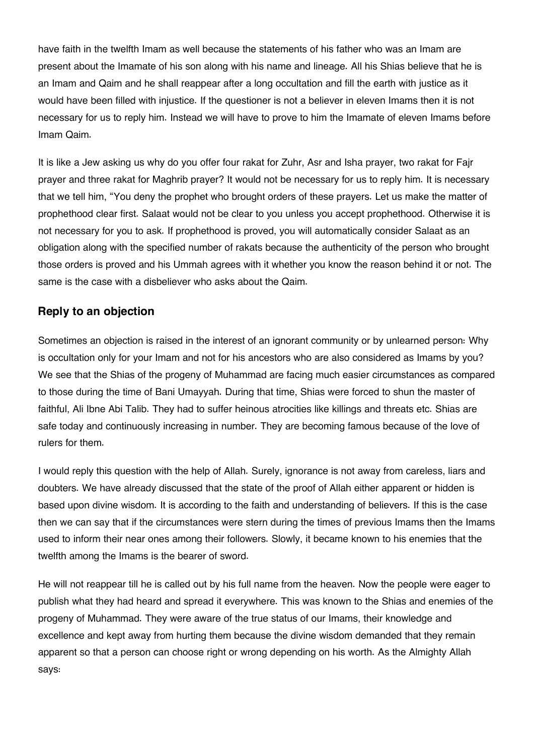have faith in the twelfth Imam as well because the statements of his father who was an Imam are present about the Imamate of his son along with his name and lineage. All his Shias believe that he is an Imam and Qaim and he shall reappear after a long occultation and fill the earth with justice as it would have been filled with injustice. If the questioner is not a believer in eleven Imams then it is not necessary for us to reply him. Instead we will have to prove to him the Imamate of eleven Imams before Imam Qaim.

It is like a Jew asking us why do you offer four rakat for Zuhr, Asr and Isha prayer, two rakat for Fajr prayer and three rakat for Maghrib prayer? It would not be necessary for us to reply him. It is necessary that we tell him, "You deny the prophet who brought orders of these prayers. Let us make the matter of prophethood clear first. Salaat would not be clear to you unless you accept prophethood. Otherwise it is not necessary for you to ask. If prophethood is proved, you will automatically consider Salaat as an obligation along with the specified number of rakats because the authenticity of the person who brought those orders is proved and his Ummah agrees with it whether you know the reason behind it or not. The same is the case with a disbeliever who asks about the Qaim.

### **[Reply to an objection](#page--1-0)**

Sometimes an objection is raised in the interest of an ignorant community or by unlearned person: Why is occultation only for your Imam and not for his ancestors who are also considered as Imams by you? We see that the Shias of the progeny of Muhammad are facing much easier circumstances as compared to those during the time of Bani Umayyah. During that time, Shias were forced to shun the master of faithful, Ali Ibne Abi Talib. They had to suffer heinous atrocities like killings and threats etc. Shias are safe today and continuously increasing in number. They are becoming famous because of the love of rulers for them.

I would reply this question with the help of Allah. Surely, ignorance is not away from careless, liars and doubters. We have already discussed that the state of the proof of Allah either apparent or hidden is based upon divine wisdom. It is according to the faith and understanding of believers. If this is the case then we can say that if the circumstances were stern during the times of previous Imams then the Imams used to inform their near ones among their followers. Slowly, it became known to his enemies that the twelfth among the Imams is the bearer of sword.

He will not reappear till he is called out by his full name from the heaven. Now the people were eager to publish what they had heard and spread it everywhere. This was known to the Shias and enemies of the progeny of Muhammad. They were aware of the true status of our Imams, their knowledge and excellence and kept away from hurting them because the divine wisdom demanded that they remain apparent so that a person can choose right or wrong depending on his worth. As the Almighty Allah says: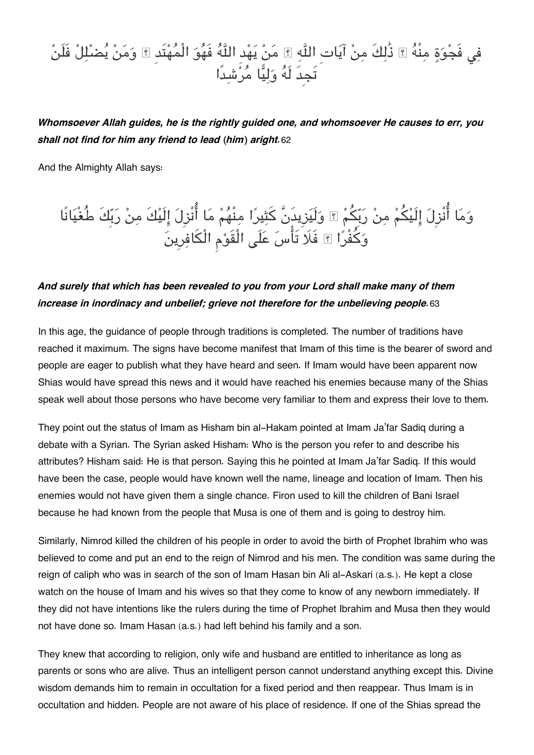## فِي فَجْوَةٍ مِنْهُ ۩ ذَٰلِكَ مِنْ آيَاتِ اللّهِ ۩ مَنْ يَهْدِ اللّهَ فَهُوَ الْمَهْتِدِ ۩ وَمَنْ يَضْلِلْ فَلْن تَجِدَ لَه وليا مرشدًا

*Whomsoever Allah guides, he is the rightly guided one, and whomsoever He causes to err, you shall not find for him any friend to lead (him) aright.*[62](#page--1-0)

And the Almighty Allah says:

وَمَا انْزِلَ إِلَيْكُمْ مِنْ رَبِّكُمْ ۩ وَلِيَزِيدَنَّ كَثِيرًا مِنْهُمْ مَا انْزِلَ إِلَيْكَ مِنْ رَبِّكَ طُغْيَانًا وَكَفْرًا ۞ فَلَا تَأْسَ عَلَى الْقَوْمِ الْكَافِرِينَ

### *And surely that which has been revealed to you from your Lord shall make many of them increase in inordinacy and unbelief; grieve not therefore for the unbelieving people.*[63](#page--1-0)

In this age, the guidance of people through traditions is completed. The number of traditions have reached it maximum. The signs have become manifest that Imam of this time is the bearer of sword and people are eager to publish what they have heard and seen. If Imam would have been apparent now Shias would have spread this news and it would have reached his enemies because many of the Shias speak well about those persons who have become very familiar to them and express their love to them.

They point out the status of Imam as Hisham bin al-Hakam pointed at Imam Ja'far Sadiq during a debate with a Syrian. The Syrian asked Hisham: Who is the person you refer to and describe his attributes? Hisham said: He is that person. Saying this he pointed at Imam Ja'far Sadiq. If this would have been the case, people would have known well the name, lineage and location of Imam. Then his enemies would not have given them a single chance. Firon used to kill the children of Bani Israel because he had known from the people that Musa is one of them and is going to destroy him.

Similarly, Nimrod killed the children of his people in order to avoid the birth of Prophet Ibrahim who was believed to come and put an end to the reign of Nimrod and his men. The condition was same during the reign of caliph who was in search of the son of Imam Hasan bin Ali al-Askari (a.s.). He kept a close watch on the house of Imam and his wives so that they come to know of any newborn immediately. If they did not have intentions like the rulers during the time of Prophet Ibrahim and Musa then they would not have done so. Imam Hasan (a.s.) had left behind his family and a son.

They knew that according to religion, only wife and husband are entitled to inheritance as long as parents or sons who are alive. Thus an intelligent person cannot understand anything except this. Divine wisdom demands him to remain in occultation for a fixed period and then reappear. Thus Imam is in occultation and hidden. People are not aware of his place of residence. If one of the Shias spread the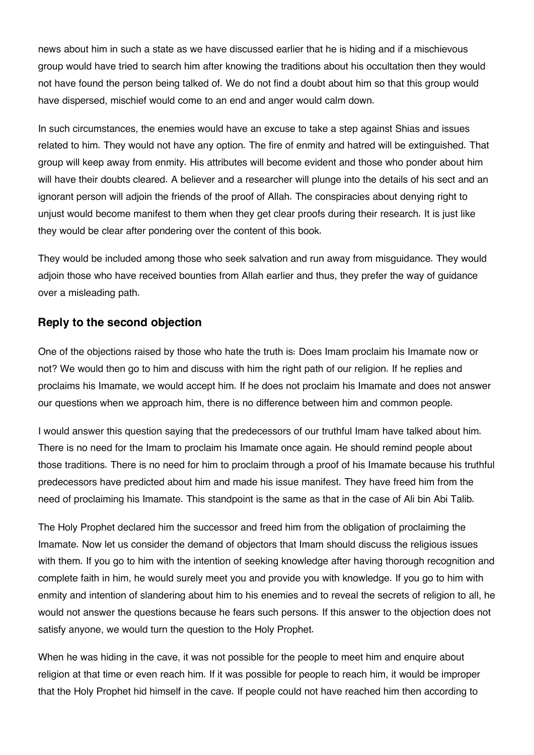news about him in such a state as we have discussed earlier that he is hiding and if a mischievous group would have tried to search him after knowing the traditions about his occultation then they would not have found the person being talked of. We do not find a doubt about him so that this group would have dispersed, mischief would come to an end and anger would calm down.

In such circumstances, the enemies would have an excuse to take a step against Shias and issues related to him. They would not have any option. The fire of enmity and hatred will be extinguished. That group will keep away from enmity. His attributes will become evident and those who ponder about him will have their doubts cleared. A believer and a researcher will plunge into the details of his sect and an ignorant person will adjoin the friends of the proof of Allah. The conspiracies about denying right to unjust would become manifest to them when they get clear proofs during their research. It is just like they would be clear after pondering over the content of this book.

They would be included among those who seek salvation and run away from misguidance. They would adjoin those who have received bounties from Allah earlier and thus, they prefer the way of guidance over a misleading path.

### **[Reply to the second objection](#page--1-0)**

One of the objections raised by those who hate the truth is: Does Imam proclaim his Imamate now or not? We would then go to him and discuss with him the right path of our religion. If he replies and proclaims his Imamate, we would accept him. If he does not proclaim his Imamate and does not answer our questions when we approach him, there is no difference between him and common people.

I would answer this question saying that the predecessors of our truthful Imam have talked about him. There is no need for the Imam to proclaim his Imamate once again. He should remind people about those traditions. There is no need for him to proclaim through a proof of his Imamate because his truthful predecessors have predicted about him and made his issue manifest. They have freed him from the need of proclaiming his Imamate. This standpoint is the same as that in the case of Ali bin Abi Talib.

The Holy Prophet declared him the successor and freed him from the obligation of proclaiming the Imamate. Now let us consider the demand of objectors that Imam should discuss the religious issues with them. If you go to him with the intention of seeking knowledge after having thorough recognition and complete faith in him, he would surely meet you and provide you with knowledge. If you go to him with enmity and intention of slandering about him to his enemies and to reveal the secrets of religion to all, he would not answer the questions because he fears such persons. If this answer to the objection does not satisfy anyone, we would turn the question to the Holy Prophet.

When he was hiding in the cave, it was not possible for the people to meet him and enquire about religion at that time or even reach him. If it was possible for people to reach him, it would be improper that the Holy Prophet hid himself in the cave. If people could not have reached him then according to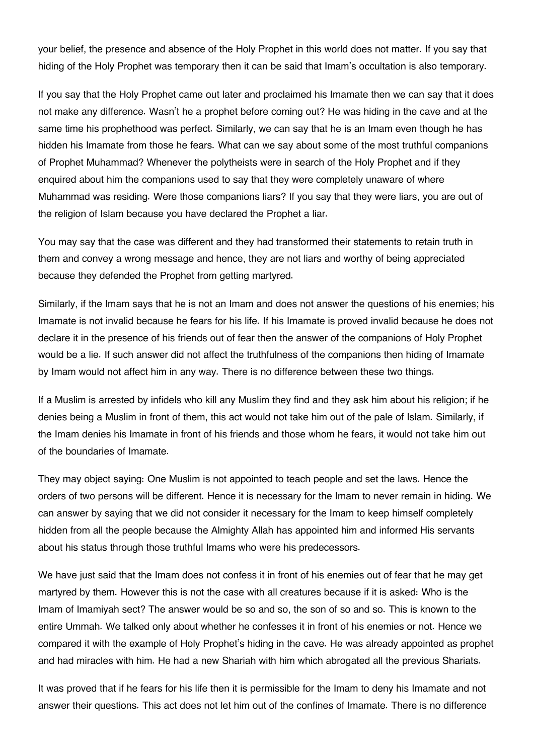your belief, the presence and absence of the Holy Prophet in this world does not matter. If you say that hiding of the Holy Prophet was temporary then it can be said that Imam's occultation is also temporary.

If you say that the Holy Prophet came out later and proclaimed his Imamate then we can say that it does not make any difference. Wasn't he a prophet before coming out? He was hiding in the cave and at the same time his prophethood was perfect. Similarly, we can say that he is an Imam even though he has hidden his Imamate from those he fears. What can we say about some of the most truthful companions of Prophet Muhammad? Whenever the polytheists were in search of the Holy Prophet and if they enquired about him the companions used to say that they were completely unaware of where Muhammad was residing. Were those companions liars? If you say that they were liars, you are out of the religion of Islam because you have declared the Prophet a liar.

You may say that the case was different and they had transformed their statements to retain truth in them and convey a wrong message and hence, they are not liars and worthy of being appreciated because they defended the Prophet from getting martyred.

Similarly, if the Imam says that he is not an Imam and does not answer the questions of his enemies; his Imamate is not invalid because he fears for his life. If his Imamate is proved invalid because he does not declare it in the presence of his friends out of fear then the answer of the companions of Holy Prophet would be a lie. If such answer did not affect the truthfulness of the companions then hiding of Imamate by Imam would not affect him in any way. There is no difference between these two things.

If a Muslim is arrested by infidels who kill any Muslim they find and they ask him about his religion; if he denies being a Muslim in front of them, this act would not take him out of the pale of Islam. Similarly, if the Imam denies his Imamate in front of his friends and those whom he fears, it would not take him out of the boundaries of Imamate.

They may object saying: One Muslim is not appointed to teach people and set the laws. Hence the orders of two persons will be different. Hence it is necessary for the Imam to never remain in hiding. We can answer by saying that we did not consider it necessary for the Imam to keep himself completely hidden from all the people because the Almighty Allah has appointed him and informed His servants about his status through those truthful Imams who were his predecessors.

We have just said that the Imam does not confess it in front of his enemies out of fear that he may get martyred by them. However this is not the case with all creatures because if it is asked: Who is the Imam of Imamiyah sect? The answer would be so and so, the son of so and so. This is known to the entire Ummah. We talked only about whether he confesses it in front of his enemies or not. Hence we compared it with the example of Holy Prophet's hiding in the cave. He was already appointed as prophet and had miracles with him. He had a new Shariah with him which abrogated all the previous Shariats.

It was proved that if he fears for his life then it is permissible for the Imam to deny his Imamate and not answer their questions. This act does not let him out of the confines of Imamate. There is no difference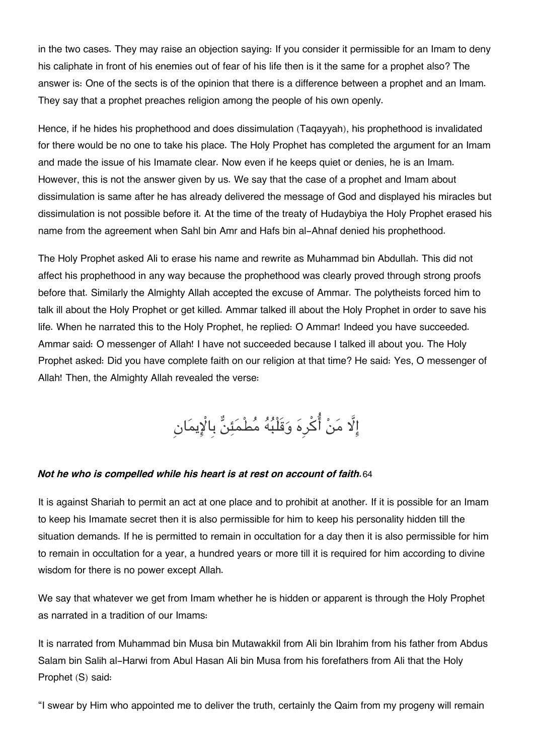in the two cases. They may raise an objection saying: If you consider it permissible for an Imam to deny his caliphate in front of his enemies out of fear of his life then is it the same for a prophet also? The answer is: One of the sects is of the opinion that there is a difference between a prophet and an Imam. They say that a prophet preaches religion among the people of his own openly.

Hence, if he hides his prophethood and does dissimulation (Taqayyah), his prophethood is invalidated for there would be no one to take his place. The Holy Prophet has completed the argument for an Imam and made the issue of his Imamate clear. Now even if he keeps quiet or denies, he is an Imam. However, this is not the answer given by us. We say that the case of a prophet and Imam about dissimulation is same after he has already delivered the message of God and displayed his miracles but dissimulation is not possible before it. At the time of the treaty of Hudaybiya the Holy Prophet erased his name from the agreement when Sahl bin Amr and Hafs bin al-Ahnaf denied his prophethood.

The Holy Prophet asked Ali to erase his name and rewrite as Muhammad bin Abdullah. This did not affect his prophethood in any way because the prophethood was clearly proved through strong proofs before that. Similarly the Almighty Allah accepted the excuse of Ammar. The polytheists forced him to talk ill about the Holy Prophet or get killed. Ammar talked ill about the Holy Prophet in order to save his life. When he narrated this to the Holy Prophet, he replied: O Ammar! Indeed you have succeeded. Ammar said: O messenger of Allah! I have not succeeded because I talked ill about you. The Holy Prophet asked: Did you have complete faith on our religion at that time? He said: Yes, O messenger of Allah! Then, the Almighty Allah revealed the verse:

# إِلَّا مَنْ أُكْرِهَ وَقَلْبُهُ مُطْمَئِنٌّ بِالْإِيمَانِ

### *Not he who is compelled while his heart is at rest on account of faith.*[64](#page--1-0)

It is against Shariah to permit an act at one place and to prohibit at another. If it is possible for an Imam to keep his Imamate secret then it is also permissible for him to keep his personality hidden till the situation demands. If he is permitted to remain in occultation for a day then it is also permissible for him to remain in occultation for a year, a hundred years or more till it is required for him according to divine wisdom for there is no power except Allah.

We say that whatever we get from Imam whether he is hidden or apparent is through the Holy Prophet as narrated in a tradition of our Imams:

It is narrated from Muhammad bin Musa bin Mutawakkil from Ali bin Ibrahim from his father from Abdus Salam bin Salih al-Harwi from Abul Hasan Ali bin Musa from his forefathers from Ali that the Holy Prophet (S) said:

"I swear by Him who appointed me to deliver the truth, certainly the Qaim from my progeny will remain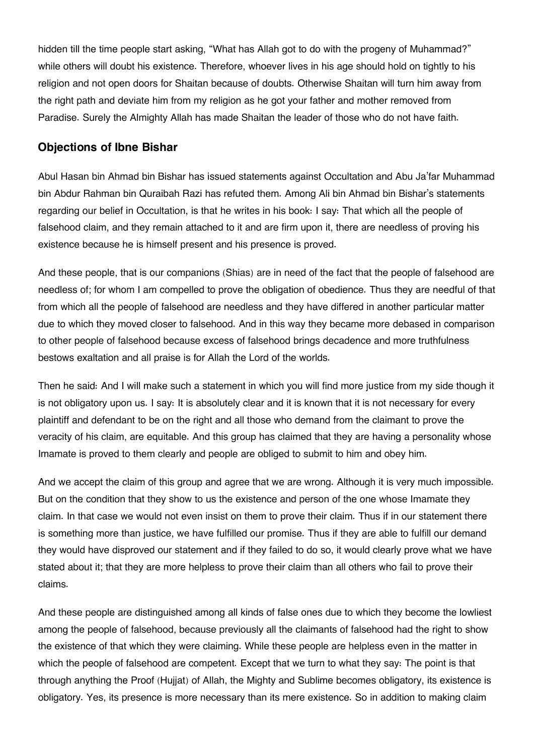hidden till the time people start asking, "What has Allah got to do with the progeny of Muhammad?" while others will doubt his existence. Therefore, whoever lives in his age should hold on tightly to his religion and not open doors for Shaitan because of doubts. Otherwise Shaitan will turn him away from the right path and deviate him from my religion as he got your father and mother removed from Paradise. Surely the Almighty Allah has made Shaitan the leader of those who do not have faith.

### **[Objections of Ibne Bishar](#page--1-0)**

Abul Hasan bin Ahmad bin Bishar has issued statements against Occultation and Abu Ja'far Muhammad bin Abdur Rahman bin Quraibah Razi has refuted them. Among Ali bin Ahmad bin Bishar's statements regarding our belief in Occultation, is that he writes in his book: I say: That which all the people of falsehood claim, and they remain attached to it and are firm upon it, there are needless of proving his existence because he is himself present and his presence is proved.

And these people, that is our companions (Shias) are in need of the fact that the people of falsehood are needless of; for whom I am compelled to prove the obligation of obedience. Thus they are needful of that from which all the people of falsehood are needless and they have differed in another particular matter due to which they moved closer to falsehood. And in this way they became more debased in comparison to other people of falsehood because excess of falsehood brings decadence and more truthfulness bestows exaltation and all praise is for Allah the Lord of the worlds.

Then he said: And I will make such a statement in which you will find more justice from my side though it is not obligatory upon us. I say: It is absolutely clear and it is known that it is not necessary for every plaintiff and defendant to be on the right and all those who demand from the claimant to prove the veracity of his claim, are equitable. And this group has claimed that they are having a personality whose Imamate is proved to them clearly and people are obliged to submit to him and obey him.

And we accept the claim of this group and agree that we are wrong. Although it is very much impossible. But on the condition that they show to us the existence and person of the one whose Imamate they claim. In that case we would not even insist on them to prove their claim. Thus if in our statement there is something more than justice, we have fulfilled our promise. Thus if they are able to fulfill our demand they would have disproved our statement and if they failed to do so, it would clearly prove what we have stated about it; that they are more helpless to prove their claim than all others who fail to prove their claims.

And these people are distinguished among all kinds of false ones due to which they become the lowliest among the people of falsehood, because previously all the claimants of falsehood had the right to show the existence of that which they were claiming. While these people are helpless even in the matter in which the people of falsehood are competent. Except that we turn to what they say: The point is that through anything the Proof (Hujjat) of Allah, the Mighty and Sublime becomes obligatory, its existence is obligatory. Yes, its presence is more necessary than its mere existence. So in addition to making claim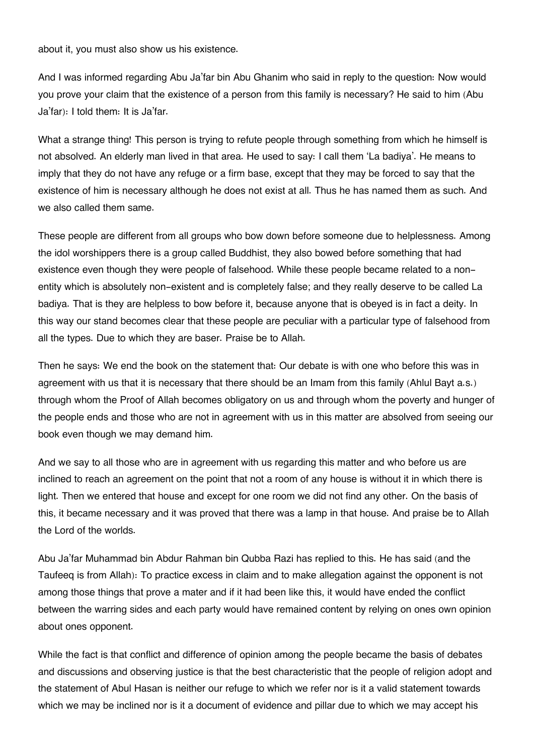about it, you must also show us his existence.

And I was informed regarding Abu Ja'far bin Abu Ghanim who said in reply to the question: Now would you prove your claim that the existence of a person from this family is necessary? He said to him (Abu Ja'far): I told them: It is Ja'far.

What a strange thing! This person is trying to refute people through something from which he himself is not absolved. An elderly man lived in that area. He used to say: I call them 'La badiya'. He means to imply that they do not have any refuge or a firm base, except that they may be forced to say that the existence of him is necessary although he does not exist at all. Thus he has named them as such. And we also called them same.

These people are different from all groups who bow down before someone due to helplessness. Among the idol worshippers there is a group called Buddhist, they also bowed before something that had existence even though they were people of falsehood. While these people became related to a nonentity which is absolutely non-existent and is completely false; and they really deserve to be called La badiya. That is they are helpless to bow before it, because anyone that is obeyed is in fact a deity. In this way our stand becomes clear that these people are peculiar with a particular type of falsehood from all the types. Due to which they are baser. Praise be to Allah.

Then he says: We end the book on the statement that: Our debate is with one who before this was in agreement with us that it is necessary that there should be an Imam from this family (Ahlul Bayt a.s.) through whom the Proof of Allah becomes obligatory on us and through whom the poverty and hunger of the people ends and those who are not in agreement with us in this matter are absolved from seeing our book even though we may demand him.

And we say to all those who are in agreement with us regarding this matter and who before us are inclined to reach an agreement on the point that not a room of any house is without it in which there is light. Then we entered that house and except for one room we did not find any other. On the basis of this, it became necessary and it was proved that there was a lamp in that house. And praise be to Allah the Lord of the worlds.

Abu Ja'far Muhammad bin Abdur Rahman bin Qubba Razi has replied to this. He has said (and the Taufeeq is from Allah): To practice excess in claim and to make allegation against the opponent is not among those things that prove a mater and if it had been like this, it would have ended the conflict between the warring sides and each party would have remained content by relying on ones own opinion about ones opponent.

While the fact is that conflict and difference of opinion among the people became the basis of debates and discussions and observing justice is that the best characteristic that the people of religion adopt and the statement of Abul Hasan is neither our refuge to which we refer nor is it a valid statement towards which we may be inclined nor is it a document of evidence and pillar due to which we may accept his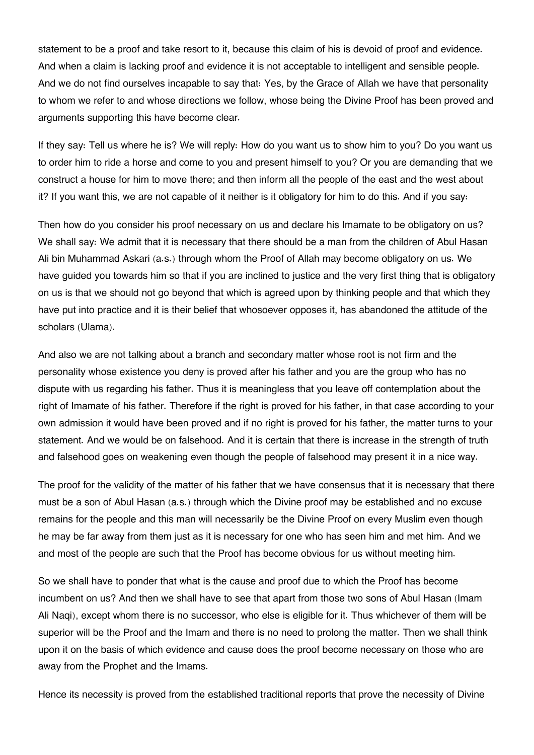statement to be a proof and take resort to it, because this claim of his is devoid of proof and evidence. And when a claim is lacking proof and evidence it is not acceptable to intelligent and sensible people. And we do not find ourselves incapable to say that: Yes, by the Grace of Allah we have that personality to whom we refer to and whose directions we follow, whose being the Divine Proof has been proved and arguments supporting this have become clear.

If they say: Tell us where he is? We will reply: How do you want us to show him to you? Do you want us to order him to ride a horse and come to you and present himself to you? Or you are demanding that we construct a house for him to move there; and then inform all the people of the east and the west about it? If you want this, we are not capable of it neither is it obligatory for him to do this. And if you say:

Then how do you consider his proof necessary on us and declare his Imamate to be obligatory on us? We shall say: We admit that it is necessary that there should be a man from the children of Abul Hasan Ali bin Muhammad Askari (a.s.) through whom the Proof of Allah may become obligatory on us. We have guided you towards him so that if you are inclined to justice and the very first thing that is obligatory on us is that we should not go beyond that which is agreed upon by thinking people and that which they have put into practice and it is their belief that whosoever opposes it, has abandoned the attitude of the scholars (Ulama).

And also we are not talking about a branch and secondary matter whose root is not firm and the personality whose existence you deny is proved after his father and you are the group who has no dispute with us regarding his father. Thus it is meaningless that you leave off contemplation about the right of Imamate of his father. Therefore if the right is proved for his father, in that case according to your own admission it would have been proved and if no right is proved for his father, the matter turns to your statement. And we would be on falsehood. And it is certain that there is increase in the strength of truth and falsehood goes on weakening even though the people of falsehood may present it in a nice way.

The proof for the validity of the matter of his father that we have consensus that it is necessary that there must be a son of Abul Hasan (a.s.) through which the Divine proof may be established and no excuse remains for the people and this man will necessarily be the Divine Proof on every Muslim even though he may be far away from them just as it is necessary for one who has seen him and met him. And we and most of the people are such that the Proof has become obvious for us without meeting him.

So we shall have to ponder that what is the cause and proof due to which the Proof has become incumbent on us? And then we shall have to see that apart from those two sons of Abul Hasan (Imam Ali Naqi), except whom there is no successor, who else is eligible for it. Thus whichever of them will be superior will be the Proof and the Imam and there is no need to prolong the matter. Then we shall think upon it on the basis of which evidence and cause does the proof become necessary on those who are away from the Prophet and the Imams.

Hence its necessity is proved from the established traditional reports that prove the necessity of Divine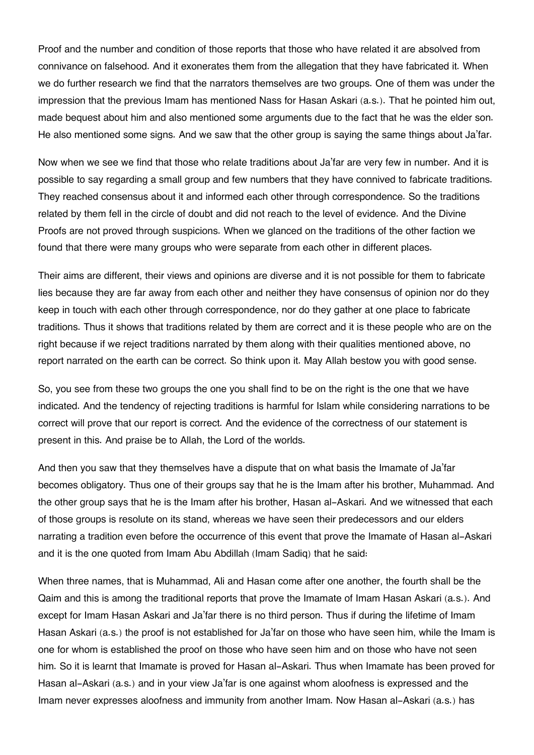Proof and the number and condition of those reports that those who have related it are absolved from connivance on falsehood. And it exonerates them from the allegation that they have fabricated it. When we do further research we find that the narrators themselves are two groups. One of them was under the impression that the previous Imam has mentioned Nass for Hasan Askari (a.s.). That he pointed him out, made bequest about him and also mentioned some arguments due to the fact that he was the elder son. He also mentioned some signs. And we saw that the other group is saying the same things about Ja'far.

Now when we see we find that those who relate traditions about Ja'far are very few in number. And it is possible to say regarding a small group and few numbers that they have connived to fabricate traditions. They reached consensus about it and informed each other through correspondence. So the traditions related by them fell in the circle of doubt and did not reach to the level of evidence. And the Divine Proofs are not proved through suspicions. When we glanced on the traditions of the other faction we found that there were many groups who were separate from each other in different places.

Their aims are different, their views and opinions are diverse and it is not possible for them to fabricate lies because they are far away from each other and neither they have consensus of opinion nor do they keep in touch with each other through correspondence, nor do they gather at one place to fabricate traditions. Thus it shows that traditions related by them are correct and it is these people who are on the right because if we reject traditions narrated by them along with their qualities mentioned above, no report narrated on the earth can be correct. So think upon it. May Allah bestow you with good sense.

So, you see from these two groups the one you shall find to be on the right is the one that we have indicated. And the tendency of rejecting traditions is harmful for Islam while considering narrations to be correct will prove that our report is correct. And the evidence of the correctness of our statement is present in this. And praise be to Allah, the Lord of the worlds.

And then you saw that they themselves have a dispute that on what basis the Imamate of Ja'far becomes obligatory. Thus one of their groups say that he is the Imam after his brother, Muhammad. And the other group says that he is the Imam after his brother, Hasan al-Askari. And we witnessed that each of those groups is resolute on its stand, whereas we have seen their predecessors and our elders narrating a tradition even before the occurrence of this event that prove the Imamate of Hasan al-Askari and it is the one quoted from Imam Abu Abdillah (Imam Sadiq) that he said:

When three names, that is Muhammad, Ali and Hasan come after one another, the fourth shall be the Qaim and this is among the traditional reports that prove the Imamate of Imam Hasan Askari (a.s.). And except for Imam Hasan Askari and Ja'far there is no third person. Thus if during the lifetime of Imam Hasan Askari (a.s.) the proof is not established for Ja'far on those who have seen him, while the Imam is one for whom is established the proof on those who have seen him and on those who have not seen him. So it is learnt that Imamate is proved for Hasan al-Askari. Thus when Imamate has been proved for Hasan al-Askari (a.s.) and in your view Ja'far is one against whom aloofness is expressed and the Imam never expresses aloofness and immunity from another Imam. Now Hasan al-Askari (a.s.) has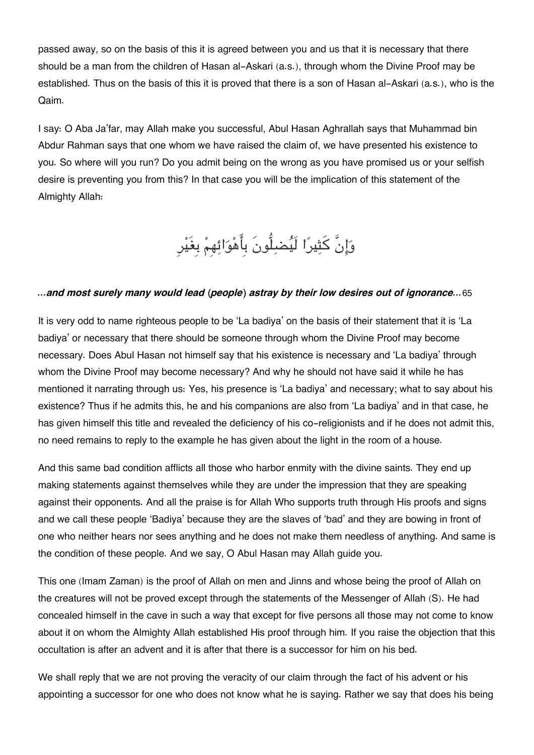passed away, so on the basis of this it is agreed between you and us that it is necessary that there should be a man from the children of Hasan al-Askari (a.s.), through whom the Divine Proof may be established. Thus on the basis of this it is proved that there is a son of Hasan al-Askari (a.s.), who is the Qaim.

I say: O Aba Ja'far, may Allah make you successful, Abul Hasan Aghrallah says that Muhammad bin Abdur Rahman says that one whom we have raised the claim of, we have presented his existence to you. So where will you run? Do you admit being on the wrong as you have promised us or your selfish desire is preventing you from this? In that case you will be the implication of this statement of the Almighty Allah:

وانَّ كثيرا لَيضلُّونَ بِاهوائهِم بِغَيرِ

### *…and most surely many would lead (people) astray by their low desires out of ignorance…*[65](#page--1-0)

It is very odd to name righteous people to be 'La badiya' on the basis of their statement that it is 'La badiya' or necessary that there should be someone through whom the Divine Proof may become necessary. Does Abul Hasan not himself say that his existence is necessary and 'La badiya' through whom the Divine Proof may become necessary? And why he should not have said it while he has mentioned it narrating through us: Yes, his presence is 'La badiya' and necessary; what to say about his existence? Thus if he admits this, he and his companions are also from 'La badiya' and in that case, he has given himself this title and revealed the deficiency of his co-religionists and if he does not admit this, no need remains to reply to the example he has given about the light in the room of a house.

And this same bad condition afflicts all those who harbor enmity with the divine saints. They end up making statements against themselves while they are under the impression that they are speaking against their opponents. And all the praise is for Allah Who supports truth through His proofs and signs and we call these people 'Badiya' because they are the slaves of 'bad' and they are bowing in front of one who neither hears nor sees anything and he does not make them needless of anything. And same is the condition of these people. And we say, O Abul Hasan may Allah guide you.

This one (Imam Zaman) is the proof of Allah on men and Jinns and whose being the proof of Allah on the creatures will not be proved except through the statements of the Messenger of Allah (S). He had concealed himself in the cave in such a way that except for five persons all those may not come to know about it on whom the Almighty Allah established His proof through him. If you raise the objection that this occultation is after an advent and it is after that there is a successor for him on his bed.

We shall reply that we are not proving the veracity of our claim through the fact of his advent or his appointing a successor for one who does not know what he is saying. Rather we say that does his being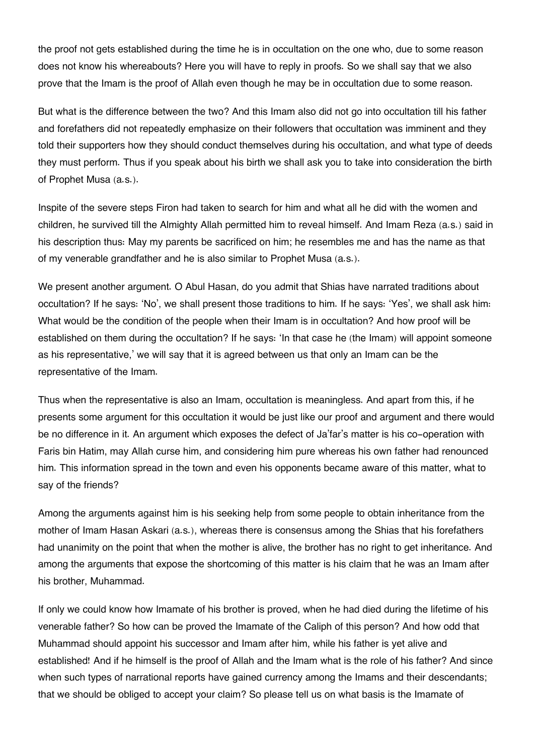the proof not gets established during the time he is in occultation on the one who, due to some reason does not know his whereabouts? Here you will have to reply in proofs. So we shall say that we also prove that the Imam is the proof of Allah even though he may be in occultation due to some reason.

But what is the difference between the two? And this Imam also did not go into occultation till his father and forefathers did not repeatedly emphasize on their followers that occultation was imminent and they told their supporters how they should conduct themselves during his occultation, and what type of deeds they must perform. Thus if you speak about his birth we shall ask you to take into consideration the birth of Prophet Musa (a.s.).

Inspite of the severe steps Firon had taken to search for him and what all he did with the women and children, he survived till the Almighty Allah permitted him to reveal himself. And Imam Reza (a.s.) said in his description thus: May my parents be sacrificed on him; he resembles me and has the name as that of my venerable grandfather and he is also similar to Prophet Musa (a.s.).

We present another argument. O Abul Hasan, do you admit that Shias have narrated traditions about occultation? If he says: 'No', we shall present those traditions to him. If he says: 'Yes', we shall ask him: What would be the condition of the people when their Imam is in occultation? And how proof will be established on them during the occultation? If he says: 'In that case he (the Imam) will appoint someone as his representative,' we will say that it is agreed between us that only an Imam can be the representative of the Imam.

Thus when the representative is also an Imam, occultation is meaningless. And apart from this, if he presents some argument for this occultation it would be just like our proof and argument and there would be no difference in it. An argument which exposes the defect of Ja'far's matter is his co-operation with Faris bin Hatim, may Allah curse him, and considering him pure whereas his own father had renounced him. This information spread in the town and even his opponents became aware of this matter, what to say of the friends?

Among the arguments against him is his seeking help from some people to obtain inheritance from the mother of Imam Hasan Askari (a.s.), whereas there is consensus among the Shias that his forefathers had unanimity on the point that when the mother is alive, the brother has no right to get inheritance. And among the arguments that expose the shortcoming of this matter is his claim that he was an Imam after his brother, Muhammad.

If only we could know how Imamate of his brother is proved, when he had died during the lifetime of his venerable father? So how can be proved the Imamate of the Caliph of this person? And how odd that Muhammad should appoint his successor and Imam after him, while his father is yet alive and established! And if he himself is the proof of Allah and the Imam what is the role of his father? And since when such types of narrational reports have gained currency among the Imams and their descendants; that we should be obliged to accept your claim? So please tell us on what basis is the Imamate of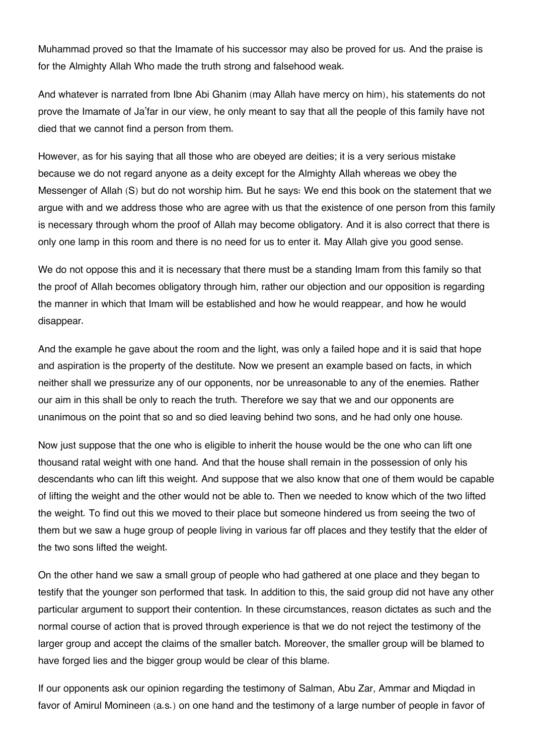Muhammad proved so that the Imamate of his successor may also be proved for us. And the praise is for the Almighty Allah Who made the truth strong and falsehood weak.

And whatever is narrated from Ibne Abi Ghanim (may Allah have mercy on him), his statements do not prove the Imamate of Ja'far in our view, he only meant to say that all the people of this family have not died that we cannot find a person from them.

However, as for his saying that all those who are obeyed are deities; it is a very serious mistake because we do not regard anyone as a deity except for the Almighty Allah whereas we obey the Messenger of Allah (S) but do not worship him. But he says: We end this book on the statement that we argue with and we address those who are agree with us that the existence of one person from this family is necessary through whom the proof of Allah may become obligatory. And it is also correct that there is only one lamp in this room and there is no need for us to enter it. May Allah give you good sense.

We do not oppose this and it is necessary that there must be a standing Imam from this family so that the proof of Allah becomes obligatory through him, rather our objection and our opposition is regarding the manner in which that Imam will be established and how he would reappear, and how he would disappear.

And the example he gave about the room and the light, was only a failed hope and it is said that hope and aspiration is the property of the destitute. Now we present an example based on facts, in which neither shall we pressurize any of our opponents, nor be unreasonable to any of the enemies. Rather our aim in this shall be only to reach the truth. Therefore we say that we and our opponents are unanimous on the point that so and so died leaving behind two sons, and he had only one house.

Now just suppose that the one who is eligible to inherit the house would be the one who can lift one thousand ratal weight with one hand. And that the house shall remain in the possession of only his descendants who can lift this weight. And suppose that we also know that one of them would be capable of lifting the weight and the other would not be able to. Then we needed to know which of the two lifted the weight. To find out this we moved to their place but someone hindered us from seeing the two of them but we saw a huge group of people living in various far off places and they testify that the elder of the two sons lifted the weight.

On the other hand we saw a small group of people who had gathered at one place and they began to testify that the younger son performed that task. In addition to this, the said group did not have any other particular argument to support their contention. In these circumstances, reason dictates as such and the normal course of action that is proved through experience is that we do not reject the testimony of the larger group and accept the claims of the smaller batch. Moreover, the smaller group will be blamed to have forged lies and the bigger group would be clear of this blame.

If our opponents ask our opinion regarding the testimony of Salman, Abu Zar, Ammar and Miqdad in favor of Amirul Momineen (a.s.) on one hand and the testimony of a large number of people in favor of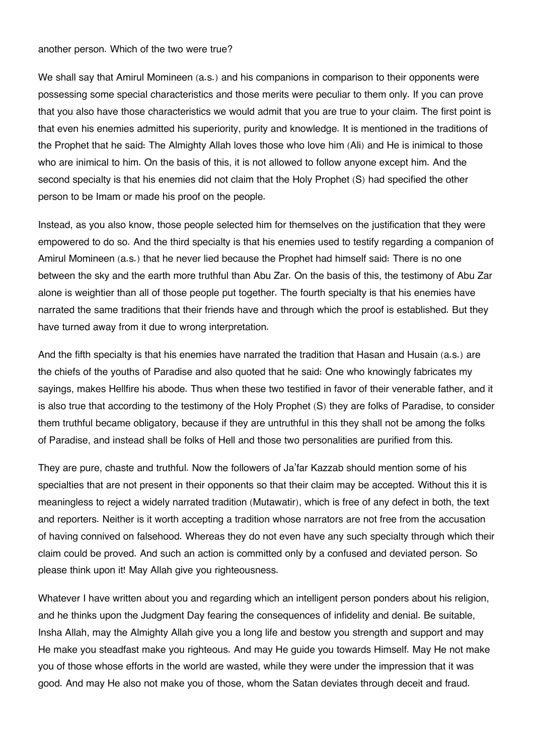#### another person. Which of the two were true?

We shall say that Amirul Momineen (a.s.) and his companions in comparison to their opponents were possessing some special characteristics and those merits were peculiar to them only. If you can prove that you also have those characteristics we would admit that you are true to your claim. The first point is that even his enemies admitted his superiority, purity and knowledge. It is mentioned in the traditions of the Prophet that he said: The Almighty Allah loves those who love him (Ali) and He is inimical to those who are inimical to him. On the basis of this, it is not allowed to follow anyone except him. And the second specialty is that his enemies did not claim that the Holy Prophet (S) had specified the other person to be Imam or made his proof on the people.

Instead, as you also know, those people selected him for themselves on the justification that they were empowered to do so. And the third specialty is that his enemies used to testify regarding a companion of Amirul Momineen (a.s.) that he never lied because the Prophet had himself said: There is no one between the sky and the earth more truthful than Abu Zar. On the basis of this, the testimony of Abu Zar alone is weightier than all of those people put together. The fourth specialty is that his enemies have narrated the same traditions that their friends have and through which the proof is established. But they have turned away from it due to wrong interpretation.

And the fifth specialty is that his enemies have narrated the tradition that Hasan and Husain (a.s.) are the chiefs of the youths of Paradise and also quoted that he said: One who knowingly fabricates my sayings, makes Hellfire his abode. Thus when these two testified in favor of their venerable father, and it is also true that according to the testimony of the Holy Prophet (S) they are folks of Paradise, to consider them truthful became obligatory, because if they are untruthful in this they shall not be among the folks of Paradise, and instead shall be folks of Hell and those two personalities are purified from this.

They are pure, chaste and truthful. Now the followers of Ja'far Kazzab should mention some of his specialties that are not present in their opponents so that their claim may be accepted. Without this it is meaningless to reject a widely narrated tradition (Mutawatir), which is free of any defect in both, the text and reporters. Neither is it worth accepting a tradition whose narrators are not free from the accusation of having connived on falsehood. Whereas they do not even have any such specialty through which their claim could be proved. And such an action is committed only by a confused and deviated person. So please think upon it! May Allah give you righteousness.

Whatever I have written about you and regarding which an intelligent person ponders about his religion, and he thinks upon the Judgment Day fearing the consequences of infidelity and denial. Be suitable, Insha Allah, may the Almighty Allah give you a long life and bestow you strength and support and may He make you steadfast make you righteous. And may He guide you towards Himself. May He not make you of those whose efforts in the world are wasted, while they were under the impression that it was good. And may He also not make you of those, whom the Satan deviates through deceit and fraud.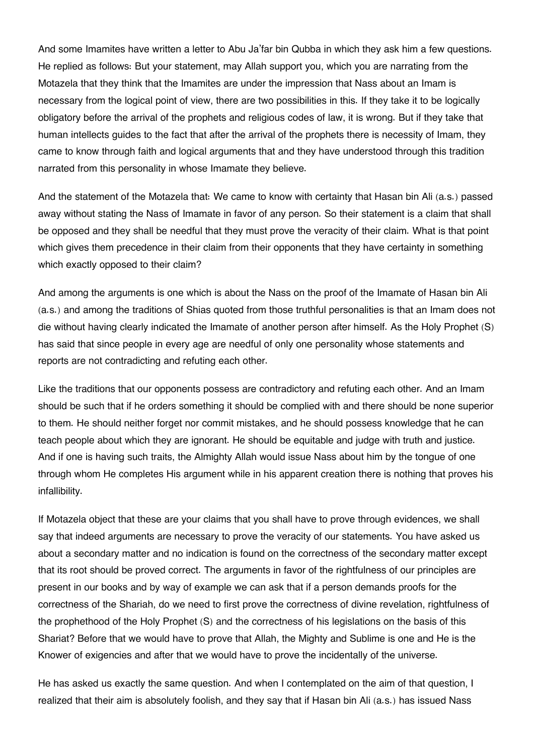And some Imamites have written a letter to Abu Ja'far bin Qubba in which they ask him a few questions. He replied as follows: But your statement, may Allah support you, which you are narrating from the Motazela that they think that the Imamites are under the impression that Nass about an Imam is necessary from the logical point of view, there are two possibilities in this. If they take it to be logically obligatory before the arrival of the prophets and religious codes of law, it is wrong. But if they take that human intellects guides to the fact that after the arrival of the prophets there is necessity of Imam, they came to know through faith and logical arguments that and they have understood through this tradition narrated from this personality in whose Imamate they believe.

And the statement of the Motazela that: We came to know with certainty that Hasan bin Ali (a.s.) passed away without stating the Nass of Imamate in favor of any person. So their statement is a claim that shall be opposed and they shall be needful that they must prove the veracity of their claim. What is that point which gives them precedence in their claim from their opponents that they have certainty in something which exactly opposed to their claim?

And among the arguments is one which is about the Nass on the proof of the Imamate of Hasan bin Ali (a.s.) and among the traditions of Shias quoted from those truthful personalities is that an Imam does not die without having clearly indicated the Imamate of another person after himself. As the Holy Prophet (S) has said that since people in every age are needful of only one personality whose statements and reports are not contradicting and refuting each other.

Like the traditions that our opponents possess are contradictory and refuting each other. And an Imam should be such that if he orders something it should be complied with and there should be none superior to them. He should neither forget nor commit mistakes, and he should possess knowledge that he can teach people about which they are ignorant. He should be equitable and judge with truth and justice. And if one is having such traits, the Almighty Allah would issue Nass about him by the tongue of one through whom He completes His argument while in his apparent creation there is nothing that proves his infallibility.

If Motazela object that these are your claims that you shall have to prove through evidences, we shall say that indeed arguments are necessary to prove the veracity of our statements. You have asked us about a secondary matter and no indication is found on the correctness of the secondary matter except that its root should be proved correct. The arguments in favor of the rightfulness of our principles are present in our books and by way of example we can ask that if a person demands proofs for the correctness of the Shariah, do we need to first prove the correctness of divine revelation, rightfulness of the prophethood of the Holy Prophet (S) and the correctness of his legislations on the basis of this Shariat? Before that we would have to prove that Allah, the Mighty and Sublime is one and He is the Knower of exigencies and after that we would have to prove the incidentally of the universe.

He has asked us exactly the same question. And when I contemplated on the aim of that question, I realized that their aim is absolutely foolish, and they say that if Hasan bin Ali (a.s.) has issued Nass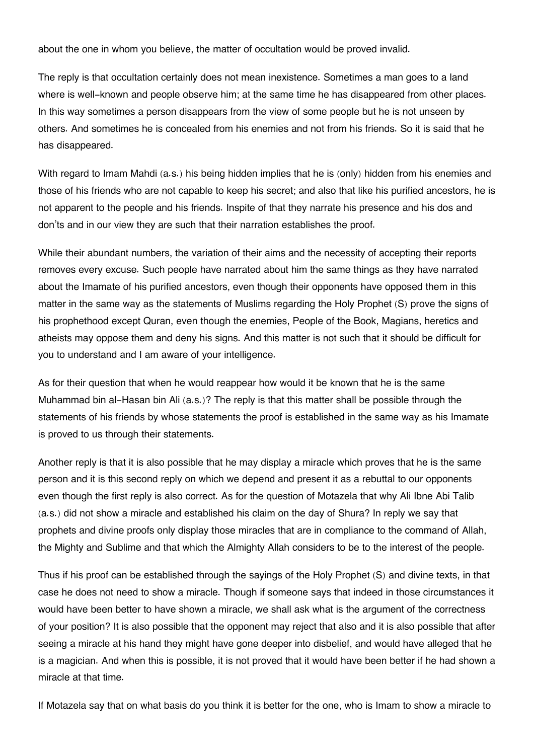about the one in whom you believe, the matter of occultation would be proved invalid.

The reply is that occultation certainly does not mean inexistence. Sometimes a man goes to a land where is well-known and people observe him; at the same time he has disappeared from other places. In this way sometimes a person disappears from the view of some people but he is not unseen by others. And sometimes he is concealed from his enemies and not from his friends. So it is said that he has disappeared.

With regard to Imam Mahdi (a.s.) his being hidden implies that he is (only) hidden from his enemies and those of his friends who are not capable to keep his secret; and also that like his purified ancestors, he is not apparent to the people and his friends. Inspite of that they narrate his presence and his dos and don'ts and in our view they are such that their narration establishes the proof.

While their abundant numbers, the variation of their aims and the necessity of accepting their reports removes every excuse. Such people have narrated about him the same things as they have narrated about the Imamate of his purified ancestors, even though their opponents have opposed them in this matter in the same way as the statements of Muslims regarding the Holy Prophet (S) prove the signs of his prophethood except Quran, even though the enemies, People of the Book, Magians, heretics and atheists may oppose them and deny his signs. And this matter is not such that it should be difficult for you to understand and I am aware of your intelligence.

As for their question that when he would reappear how would it be known that he is the same Muhammad bin al-Hasan bin Ali (a.s.)? The reply is that this matter shall be possible through the statements of his friends by whose statements the proof is established in the same way as his Imamate is proved to us through their statements.

Another reply is that it is also possible that he may display a miracle which proves that he is the same person and it is this second reply on which we depend and present it as a rebuttal to our opponents even though the first reply is also correct. As for the question of Motazela that why Ali Ibne Abi Talib (a.s.) did not show a miracle and established his claim on the day of Shura? In reply we say that prophets and divine proofs only display those miracles that are in compliance to the command of Allah, the Mighty and Sublime and that which the Almighty Allah considers to be to the interest of the people.

Thus if his proof can be established through the sayings of the Holy Prophet (S) and divine texts, in that case he does not need to show a miracle. Though if someone says that indeed in those circumstances it would have been better to have shown a miracle, we shall ask what is the argument of the correctness of your position? It is also possible that the opponent may reject that also and it is also possible that after seeing a miracle at his hand they might have gone deeper into disbelief, and would have alleged that he is a magician. And when this is possible, it is not proved that it would have been better if he had shown a miracle at that time.

If Motazela say that on what basis do you think it is better for the one, who is Imam to show a miracle to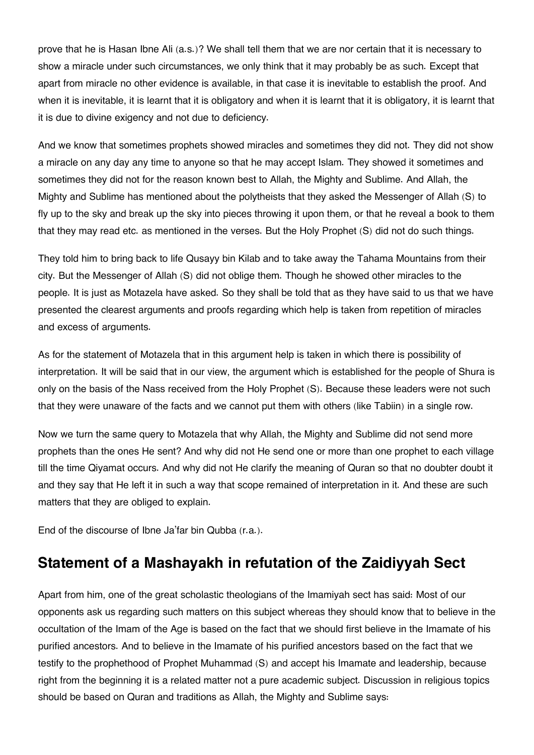prove that he is Hasan Ibne Ali (a.s.)? We shall tell them that we are nor certain that it is necessary to show a miracle under such circumstances, we only think that it may probably be as such. Except that apart from miracle no other evidence is available, in that case it is inevitable to establish the proof. And when it is inevitable, it is learnt that it is obligatory and when it is learnt that it is obligatory, it is learnt that it is due to divine exigency and not due to deficiency.

And we know that sometimes prophets showed miracles and sometimes they did not. They did not show a miracle on any day any time to anyone so that he may accept Islam. They showed it sometimes and sometimes they did not for the reason known best to Allah, the Mighty and Sublime. And Allah, the Mighty and Sublime has mentioned about the polytheists that they asked the Messenger of Allah (S) to fly up to the sky and break up the sky into pieces throwing it upon them, or that he reveal a book to them that they may read etc. as mentioned in the verses. But the Holy Prophet (S) did not do such things.

They told him to bring back to life Qusayy bin Kilab and to take away the Tahama Mountains from their city. But the Messenger of Allah (S) did not oblige them. Though he showed other miracles to the people. It is just as Motazela have asked. So they shall be told that as they have said to us that we have presented the clearest arguments and proofs regarding which help is taken from repetition of miracles and excess of arguments.

As for the statement of Motazela that in this argument help is taken in which there is possibility of interpretation. It will be said that in our view, the argument which is established for the people of Shura is only on the basis of the Nass received from the Holy Prophet (S). Because these leaders were not such that they were unaware of the facts and we cannot put them with others (like Tabiin) in a single row.

Now we turn the same query to Motazela that why Allah, the Mighty and Sublime did not send more prophets than the ones He sent? And why did not He send one or more than one prophet to each village till the time Qiyamat occurs. And why did not He clarify the meaning of Quran so that no doubter doubt it and they say that He left it in such a way that scope remained of interpretation in it. And these are such matters that they are obliged to explain.

End of the discourse of Ibne Ja'far bin Qubba (r.a.).

### **[Statement of a Mashayakh in refutation of the Zaidiyyah Sect](#page--1-0)**

Apart from him, one of the great scholastic theologians of the Imamiyah sect has said: Most of our opponents ask us regarding such matters on this subject whereas they should know that to believe in the occultation of the Imam of the Age is based on the fact that we should first believe in the Imamate of his purified ancestors. And to believe in the Imamate of his purified ancestors based on the fact that we testify to the prophethood of Prophet Muhammad (S) and accept his Imamate and leadership, because right from the beginning it is a related matter not a pure academic subject. Discussion in religious topics should be based on Quran and traditions as Allah, the Mighty and Sublime says: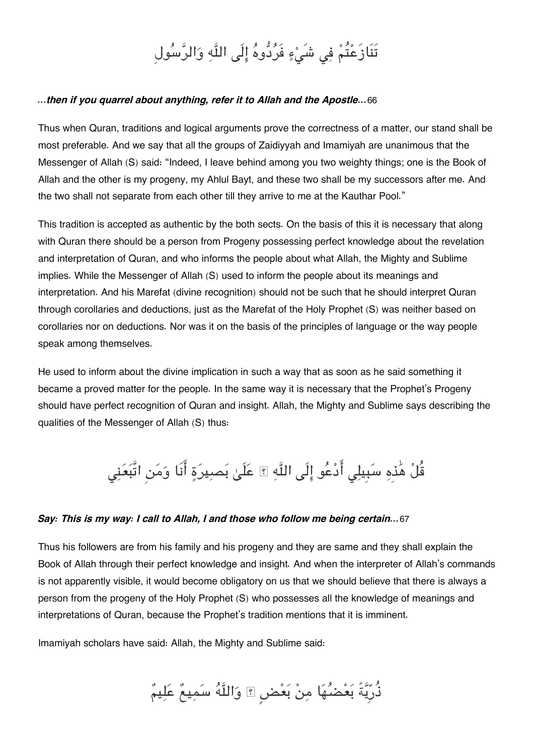# تَنَازَعْتُمْ فِي شَيْءٍ فَرُدُّوهُ إِلَى اللَّهِ وَالرَّسُولِ

### *…then if you quarrel about anything, refer it to Allah and the Apostle…*[66](#page--1-0)

Thus when Quran, traditions and logical arguments prove the correctness of a matter, our stand shall be most preferable. And we say that all the groups of Zaidiyyah and Imamiyah are unanimous that the Messenger of Allah (S) said: "Indeed, I leave behind among you two weighty things; one is the Book of Allah and the other is my progeny, my Ahlul Bayt, and these two shall be my successors after me. And the two shall not separate from each other till they arrive to me at the Kauthar Pool."

This tradition is accepted as authentic by the both sects. On the basis of this it is necessary that along with Quran there should be a person from Progeny possessing perfect knowledge about the revelation and interpretation of Quran, and who informs the people about what Allah, the Mighty and Sublime implies. While the Messenger of Allah (S) used to inform the people about its meanings and interpretation. And his Marefat (divine recognition) should not be such that he should interpret Quran through corollaries and deductions, just as the Marefat of the Holy Prophet (S) was neither based on corollaries nor on deductions. Nor was it on the basis of the principles of language or the way people speak among themselves.

He used to inform about the divine implication in such a way that as soon as he said something it became a proved matter for the people. In the same way it is necessary that the Prophet's Progeny should have perfect recognition of Quran and insight. Allah, the Mighty and Sublime says describing the qualities of the Messenger of Allah (S) thus:

قُلْ هُذِهِ سَبِيلِي أَدْعُو إِلَى اللَّهِ ۩ عَلَىٰ بَصبِيرَةٍ أَنَا وَمَنِ اتَّبَعَنِي

### *Say: This is my way: I call to Allah, I and those who follow me being certain…*[67](#page--1-0)

Thus his followers are from his family and his progeny and they are same and they shall explain the Book of Allah through their perfect knowledge and insight. And when the interpreter of Allah's commands is not apparently visible, it would become obligatory on us that we should believe that there is always a person from the progeny of the Holy Prophet (S) who possesses all the knowledge of meanings and interpretations of Quran, because the Prophet's tradition mentions that it is imminent.

Imamiyah scholars have said: Allah, the Mighty and Sublime said:

ذُرِيَّةً بَعْضُهَا مِنْ بَعْضٍ ؟ وَاللَّهُ سَمِيعٌ عَلِيمٌ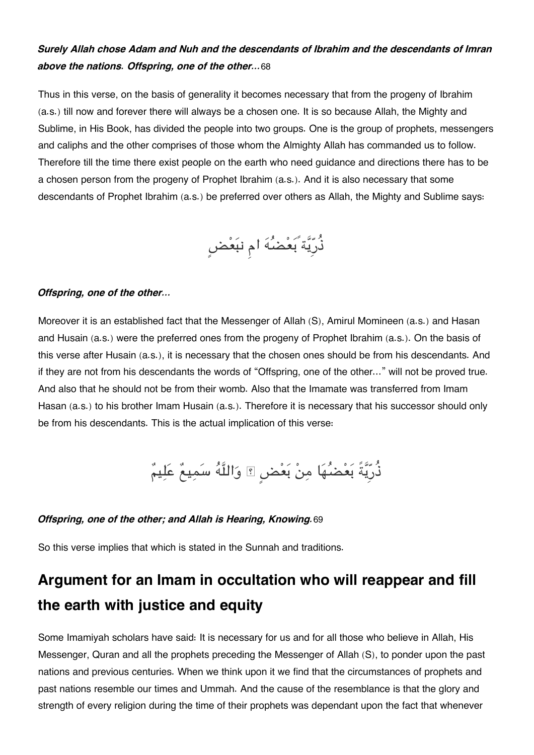### *Surely Allah chose Adam and Nuh and the descendants of Ibrahim and the descendants of Imran above the nations. Offspring, one of the other…*[68](#page--1-0)

Thus in this verse, on the basis of generality it becomes necessary that from the progeny of Ibrahim (a.s.) till now and forever there will always be a chosen one. It is so because Allah, the Mighty and Sublime, in His Book, has divided the people into two groups. One is the group of prophets, messengers and caliphs and the other comprises of those whom the Almighty Allah has commanded us to follow. Therefore till the time there exist people on the earth who need guidance and directions there has to be a chosen person from the progeny of Prophet Ibrahim (a.s.). And it is also necessary that some descendants of Prophet Ibrahim (a.s.) be preferred over others as Allah, the Mighty and Sublime says:



### *Offspring, one of the other…*

Moreover it is an established fact that the Messenger of Allah (S), Amirul Momineen (a.s.) and Hasan and Husain (a.s.) were the preferred ones from the progeny of Prophet Ibrahim (a.s.). On the basis of this verse after Husain (a.s.), it is necessary that the chosen ones should be from his descendants. And if they are not from his descendants the words of "Offspring, one of the other…" will not be proved true. And also that he should not be from their womb. Also that the Imamate was transferred from Imam Hasan (a.s.) to his brother Imam Husain (a.s.). Therefore it is necessary that his successor should only be from his descendants. This is the actual implication of this verse:

دُرِيَّةً بَعْضُهَا مِنْ بَعْضٍ ؟ وَاللَّهُ سَمِيعٌ عَلِيمٌ

#### *Offspring, one of the other; and Allah is Hearing, Knowing.*[69](#page--1-0)

So this verse implies that which is stated in the Sunnah and traditions.

## **[Argument for an Imam in occultation who will reappear and fill](#page--1-0) [the earth with justice and equity](#page--1-0)**

Some Imamiyah scholars have said: It is necessary for us and for all those who believe in Allah, His Messenger, Quran and all the prophets preceding the Messenger of Allah (S), to ponder upon the past nations and previous centuries. When we think upon it we find that the circumstances of prophets and past nations resemble our times and Ummah. And the cause of the resemblance is that the glory and strength of every religion during the time of their prophets was dependant upon the fact that whenever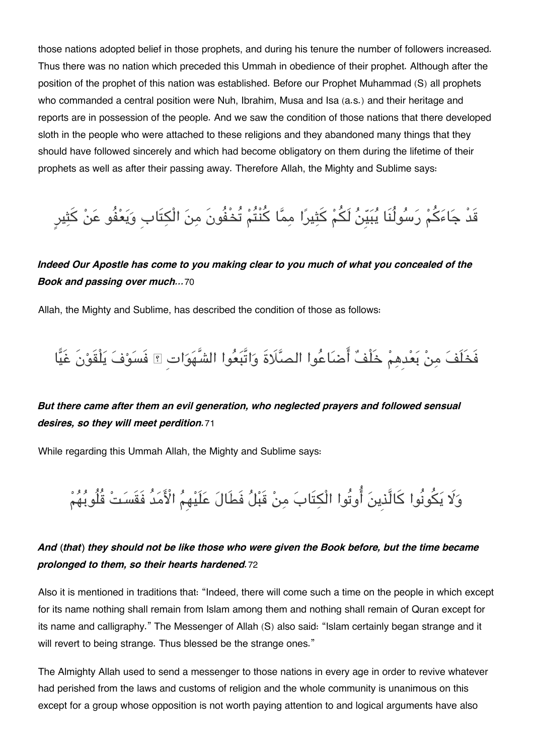those nations adopted belief in those prophets, and during his tenure the number of followers increased. Thus there was no nation which preceded this Ummah in obedience of their prophet. Although after the position of the prophet of this nation was established. Before our Prophet Muhammad (S) all prophets who commanded a central position were Nuh, Ibrahim, Musa and Isa (a.s.) and their heritage and reports are in possession of the people. And we saw the condition of those nations that there developed sloth in the people who were attached to these religions and they abandoned many things that they should have followed sincerely and which had become obligatory on them during the lifetime of their prophets as well as after their passing away. Therefore Allah, the Mighty and Sublime says:

## قَدْ جَاءَكُمْ رَسُولُنَا يُبَيّنُ لَكُمْ كَثِيرًا مِمَّا كُنْتُمْ تُخْفُونَ مِنَ الْكِتَابِ وَيَعْفُو عَنْ كَثِيرٍ

### *Indeed Our Apostle has come to you making clear to you much of what you concealed of the Book and passing over much…*[70](#page--1-0)

Allah, the Mighty and Sublime, has described the condition of those as follows:

## فَخَلَفَ مِنْ بَعْدهِمْ خَلْفٌ أَضَاعُوا الصَّلَاةَ وَاتَّبَعُوا الشَّهَوَاتِ ؟ فَسَوْفَ يَلْقَوْنَ غَيَّا

### *But there came after them an evil generation, who neglected prayers and followed sensual desires, so they will meet perdition.*[71](#page--1-0)

While regarding this Ummah Allah, the Mighty and Sublime says:

وَلَا يَكُونُوا كَالَّذِينَ أُوتُوا الْكِتَابَ مِنْ قَبْلُ فَطَالَ عَلَيْهِمُ الْأَمَدُ فَقَسَتْ قُلُوبُهُمْ

### *And (that) they should not be like those who were given the Book before, but the time became prolonged to them, so their hearts hardened.*[72](#page--1-0)

Also it is mentioned in traditions that: "Indeed, there will come such a time on the people in which except for its name nothing shall remain from Islam among them and nothing shall remain of Quran except for its name and calligraphy." The Messenger of Allah (S) also said: "Islam certainly began strange and it will revert to being strange. Thus blessed be the strange ones."

The Almighty Allah used to send a messenger to those nations in every age in order to revive whatever had perished from the laws and customs of religion and the whole community is unanimous on this except for a group whose opposition is not worth paying attention to and logical arguments have also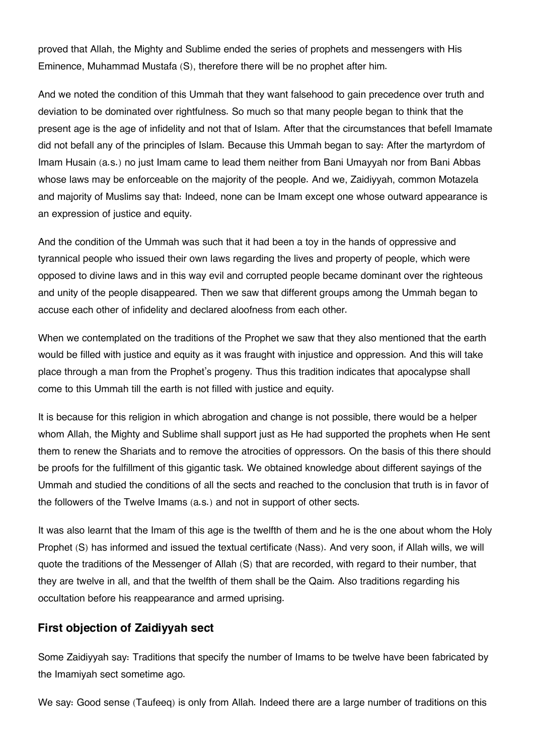proved that Allah, the Mighty and Sublime ended the series of prophets and messengers with His Eminence, Muhammad Mustafa (S), therefore there will be no prophet after him.

And we noted the condition of this Ummah that they want falsehood to gain precedence over truth and deviation to be dominated over rightfulness. So much so that many people began to think that the present age is the age of infidelity and not that of Islam. After that the circumstances that befell Imamate did not befall any of the principles of Islam. Because this Ummah began to say: After the martyrdom of Imam Husain (a.s.) no just Imam came to lead them neither from Bani Umayyah nor from Bani Abbas whose laws may be enforceable on the majority of the people. And we, Zaidiyyah, common Motazela and majority of Muslims say that: Indeed, none can be Imam except one whose outward appearance is an expression of justice and equity.

And the condition of the Ummah was such that it had been a toy in the hands of oppressive and tyrannical people who issued their own laws regarding the lives and property of people, which were opposed to divine laws and in this way evil and corrupted people became dominant over the righteous and unity of the people disappeared. Then we saw that different groups among the Ummah began to accuse each other of infidelity and declared aloofness from each other.

When we contemplated on the traditions of the Prophet we saw that they also mentioned that the earth would be filled with justice and equity as it was fraught with injustice and oppression. And this will take place through a man from the Prophet's progeny. Thus this tradition indicates that apocalypse shall come to this Ummah till the earth is not filled with justice and equity.

It is because for this religion in which abrogation and change is not possible, there would be a helper whom Allah, the Mighty and Sublime shall support just as He had supported the prophets when He sent them to renew the Shariats and to remove the atrocities of oppressors. On the basis of this there should be proofs for the fulfillment of this gigantic task. We obtained knowledge about different sayings of the Ummah and studied the conditions of all the sects and reached to the conclusion that truth is in favor of the followers of the Twelve Imams (a.s.) and not in support of other sects.

It was also learnt that the Imam of this age is the twelfth of them and he is the one about whom the Holy Prophet (S) has informed and issued the textual certificate (Nass). And very soon, if Allah wills, we will quote the traditions of the Messenger of Allah (S) that are recorded, with regard to their number, that they are twelve in all, and that the twelfth of them shall be the Qaim. Also traditions regarding his occultation before his reappearance and armed uprising.

### **[First objection of Zaidiyyah sect](#page--1-0)**

Some Zaidiyyah say: Traditions that specify the number of Imams to be twelve have been fabricated by the Imamiyah sect sometime ago.

We say: Good sense (Taufeeq) is only from Allah. Indeed there are a large number of traditions on this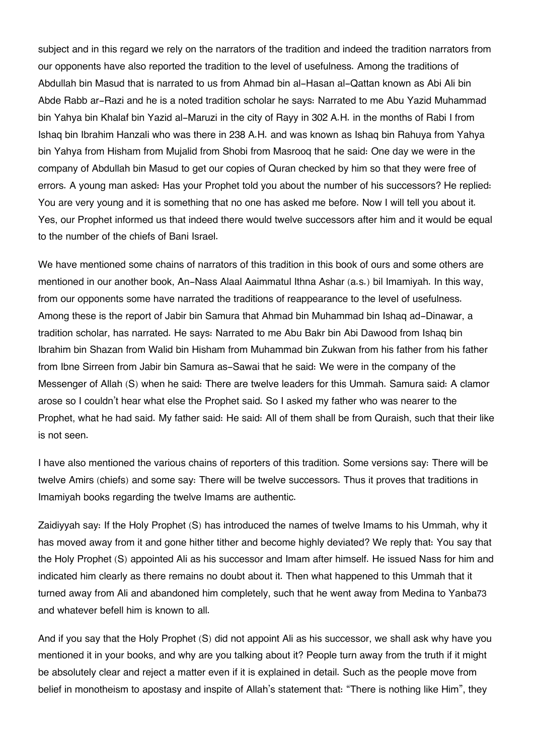subject and in this regard we rely on the narrators of the tradition and indeed the tradition narrators from our opponents have also reported the tradition to the level of usefulness. Among the traditions of Abdullah bin Masud that is narrated to us from Ahmad bin al-Hasan al-Qattan known as Abi Ali bin Abde Rabb ar-Razi and he is a noted tradition scholar he says: Narrated to me Abu Yazid Muhammad bin Yahya bin Khalaf bin Yazid al-Maruzi in the city of Rayy in 302 A.H. in the months of Rabi I from Ishaq bin Ibrahim Hanzali who was there in 238 A.H. and was known as Ishaq bin Rahuya from Yahya bin Yahya from Hisham from Mujalid from Shobi from Masrooq that he said: One day we were in the company of Abdullah bin Masud to get our copies of Quran checked by him so that they were free of errors. A young man asked: Has your Prophet told you about the number of his successors? He replied: You are very young and it is something that no one has asked me before. Now I will tell you about it. Yes, our Prophet informed us that indeed there would twelve successors after him and it would be equal to the number of the chiefs of Bani Israel.

We have mentioned some chains of narrators of this tradition in this book of ours and some others are mentioned in our another book, An-Nass Alaal Aaimmatul Ithna Ashar (a.s.) bil Imamiyah. In this way, from our opponents some have narrated the traditions of reappearance to the level of usefulness. Among these is the report of Jabir bin Samura that Ahmad bin Muhammad bin Ishaq ad-Dinawar, a tradition scholar, has narrated. He says: Narrated to me Abu Bakr bin Abi Dawood from Ishaq bin Ibrahim bin Shazan from Walid bin Hisham from Muhammad bin Zukwan from his father from his father from Ibne Sirreen from Jabir bin Samura as-Sawai that he said: We were in the company of the Messenger of Allah (S) when he said: There are twelve leaders for this Ummah. Samura said: A clamor arose so I couldn't hear what else the Prophet said. So I asked my father who was nearer to the Prophet, what he had said. My father said: He said: All of them shall be from Quraish, such that their like is not seen.

I have also mentioned the various chains of reporters of this tradition. Some versions say: There will be twelve Amirs (chiefs) and some say: There will be twelve successors. Thus it proves that traditions in Imamiyah books regarding the twelve Imams are authentic.

Zaidiyyah say: If the Holy Prophet (S) has introduced the names of twelve Imams to his Ummah, why it has moved away from it and gone hither tither and become highly deviated? We reply that: You say that the Holy Prophet (S) appointed Ali as his successor and Imam after himself. He issued Nass for him and indicated him clearly as there remains no doubt about it. Then what happened to this Ummah that it turned away from Ali and abandoned him completely, such that he went away from Medina to Yanba[73](#page--1-0) and whatever befell him is known to all.

And if you say that the Holy Prophet (S) did not appoint Ali as his successor, we shall ask why have you mentioned it in your books, and why are you talking about it? People turn away from the truth if it might be absolutely clear and reject a matter even if it is explained in detail. Such as the people move from belief in monotheism to apostasy and inspite of Allah's statement that: "There is nothing like Him", they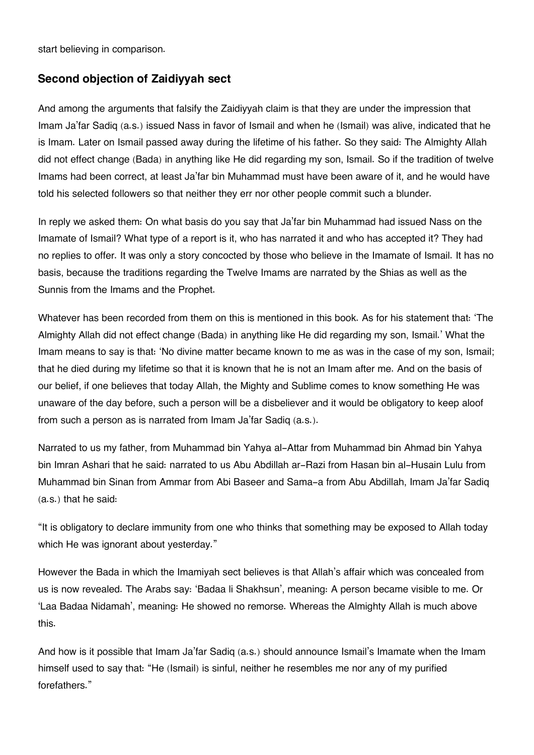start believing in comparison.

## **[Second objection of Zaidiyyah sect](#page--1-0)**

And among the arguments that falsify the Zaidiyyah claim is that they are under the impression that Imam Ja'far Sadiq (a.s.) issued Nass in favor of Ismail and when he (Ismail) was alive, indicated that he is Imam. Later on Ismail passed away during the lifetime of his father. So they said: The Almighty Allah did not effect change (Bada) in anything like He did regarding my son, Ismail. So if the tradition of twelve Imams had been correct, at least Ja'far bin Muhammad must have been aware of it, and he would have told his selected followers so that neither they err nor other people commit such a blunder.

In reply we asked them: On what basis do you say that Ja'far bin Muhammad had issued Nass on the Imamate of Ismail? What type of a report is it, who has narrated it and who has accepted it? They had no replies to offer. It was only a story concocted by those who believe in the Imamate of Ismail. It has no basis, because the traditions regarding the Twelve Imams are narrated by the Shias as well as the Sunnis from the Imams and the Prophet.

Whatever has been recorded from them on this is mentioned in this book. As for his statement that: 'The Almighty Allah did not effect change (Bada) in anything like He did regarding my son, Ismail.' What the Imam means to say is that: 'No divine matter became known to me as was in the case of my son, Ismail; that he died during my lifetime so that it is known that he is not an Imam after me. And on the basis of our belief, if one believes that today Allah, the Mighty and Sublime comes to know something He was unaware of the day before, such a person will be a disbeliever and it would be obligatory to keep aloof from such a person as is narrated from Imam Ja'far Sadiq (a.s.).

Narrated to us my father, from Muhammad bin Yahya al-Attar from Muhammad bin Ahmad bin Yahya bin Imran Ashari that he said: narrated to us Abu Abdillah ar-Razi from Hasan bin al-Husain Lulu from Muhammad bin Sinan from Ammar from Abi Baseer and Sama-a from Abu Abdillah, Imam Ja'far Sadiq (a.s.) that he said:

"It is obligatory to declare immunity from one who thinks that something may be exposed to Allah today which He was ignorant about yesterday."

However the Bada in which the Imamiyah sect believes is that Allah's affair which was concealed from us is now revealed. The Arabs say: 'Badaa li Shakhsun', meaning: A person became visible to me. Or 'Laa Badaa Nidamah', meaning: He showed no remorse. Whereas the Almighty Allah is much above this.

And how is it possible that Imam Ja'far Sadiq (a.s.) should announce Ismail's Imamate when the Imam himself used to say that: "He (Ismail) is sinful, neither he resembles me nor any of my purified forefathers."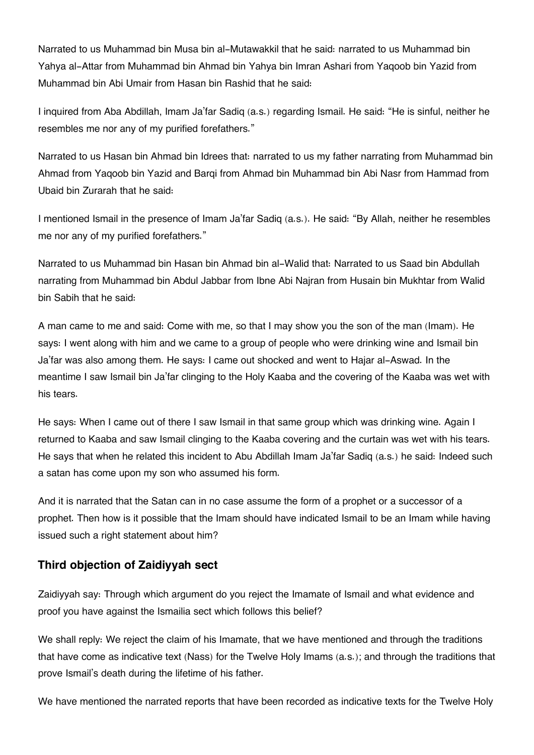Narrated to us Muhammad bin Musa bin al-Mutawakkil that he said: narrated to us Muhammad bin Yahya al-Attar from Muhammad bin Ahmad bin Yahya bin Imran Ashari from Yaqoob bin Yazid from Muhammad bin Abi Umair from Hasan bin Rashid that he said:

I inquired from Aba Abdillah, Imam Ja'far Sadiq (a.s.) regarding Ismail. He said: "He is sinful, neither he resembles me nor any of my purified forefathers."

Narrated to us Hasan bin Ahmad bin Idrees that: narrated to us my father narrating from Muhammad bin Ahmad from Yaqoob bin Yazid and Barqi from Ahmad bin Muhammad bin Abi Nasr from Hammad from Ubaid bin Zurarah that he said:

I mentioned Ismail in the presence of Imam Ja'far Sadiq (a.s.). He said: "By Allah, neither he resembles me nor any of my purified forefathers."

Narrated to us Muhammad bin Hasan bin Ahmad bin al-Walid that: Narrated to us Saad bin Abdullah narrating from Muhammad bin Abdul Jabbar from Ibne Abi Najran from Husain bin Mukhtar from Walid bin Sabih that he said:

A man came to me and said: Come with me, so that I may show you the son of the man (Imam). He says: I went along with him and we came to a group of people who were drinking wine and Ismail bin Ja'far was also among them. He says: I came out shocked and went to Hajar al-Aswad. In the meantime I saw Ismail bin Ja'far clinging to the Holy Kaaba and the covering of the Kaaba was wet with his tears.

He says: When I came out of there I saw Ismail in that same group which was drinking wine. Again I returned to Kaaba and saw Ismail clinging to the Kaaba covering and the curtain was wet with his tears. He says that when he related this incident to Abu Abdillah Imam Ja'far Sadiq (a.s.) he said: Indeed such a satan has come upon my son who assumed his form.

And it is narrated that the Satan can in no case assume the form of a prophet or a successor of a prophet. Then how is it possible that the Imam should have indicated Ismail to be an Imam while having issued such a right statement about him?

## **[Third objection of Zaidiyyah sect](#page--1-0)**

Zaidiyyah say: Through which argument do you reject the Imamate of Ismail and what evidence and proof you have against the Ismailia sect which follows this belief?

We shall reply: We reject the claim of his Imamate, that we have mentioned and through the traditions that have come as indicative text (Nass) for the Twelve Holy Imams (a.s.); and through the traditions that prove Ismail's death during the lifetime of his father.

We have mentioned the narrated reports that have been recorded as indicative texts for the Twelve Holy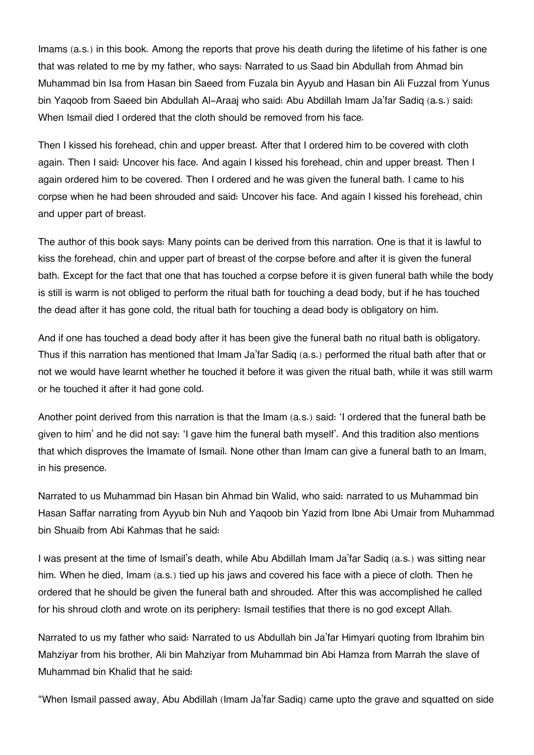Imams (a.s.) in this book. Among the reports that prove his death during the lifetime of his father is one that was related to me by my father, who says: Narrated to us Saad bin Abdullah from Ahmad bin Muhammad bin Isa from Hasan bin Saeed from Fuzala bin Ayyub and Hasan bin Ali Fuzzal from Yunus bin Yaqoob from Saeed bin Abdullah Al-Araaj who said: Abu Abdillah Imam Ja'far Sadiq (a.s.) said: When Ismail died I ordered that the cloth should be removed from his face.

Then I kissed his forehead, chin and upper breast. After that I ordered him to be covered with cloth again. Then I said: Uncover his face. And again I kissed his forehead, chin and upper breast. Then I again ordered him to be covered. Then I ordered and he was given the funeral bath. I came to his corpse when he had been shrouded and said: Uncover his face. And again I kissed his forehead, chin and upper part of breast.

The author of this book says: Many points can be derived from this narration. One is that it is lawful to kiss the forehead, chin and upper part of breast of the corpse before and after it is given the funeral bath. Except for the fact that one that has touched a corpse before it is given funeral bath while the body is still is warm is not obliged to perform the ritual bath for touching a dead body, but if he has touched the dead after it has gone cold, the ritual bath for touching a dead body is obligatory on him.

And if one has touched a dead body after it has been give the funeral bath no ritual bath is obligatory. Thus if this narration has mentioned that Imam Ja'far Sadiq (a.s.) performed the ritual bath after that or not we would have learnt whether he touched it before it was given the ritual bath, while it was still warm or he touched it after it had gone cold.

Another point derived from this narration is that the Imam (a.s.) said: 'I ordered that the funeral bath be given to him' and he did not say: 'I gave him the funeral bath myself'. And this tradition also mentions that which disproves the Imamate of Ismail. None other than Imam can give a funeral bath to an Imam, in his presence.

Narrated to us Muhammad bin Hasan bin Ahmad bin Walid, who said: narrated to us Muhammad bin Hasan Saffar narrating from Ayyub bin Nuh and Yaqoob bin Yazid from Ibne Abi Umair from Muhammad bin Shuaib from Abi Kahmas that he said:

I was present at the time of Ismail's death, while Abu Abdillah Imam Ja'far Sadiq (a.s.) was sitting near him. When he died, Imam (a.s.) tied up his jaws and covered his face with a piece of cloth. Then he ordered that he should be given the funeral bath and shrouded. After this was accomplished he called for his shroud cloth and wrote on its periphery: Ismail testifies that there is no god except Allah.

Narrated to us my father who said: Narrated to us Abdullah bin Ja'far Himyari quoting from Ibrahim bin Mahziyar from his brother, Ali bin Mahziyar from Muhammad bin Abi Hamza from Marrah the slave of Muhammad bin Khalid that he said:

"When Ismail passed away, Abu Abdillah (Imam Ja'far Sadiq) came upto the grave and squatted on side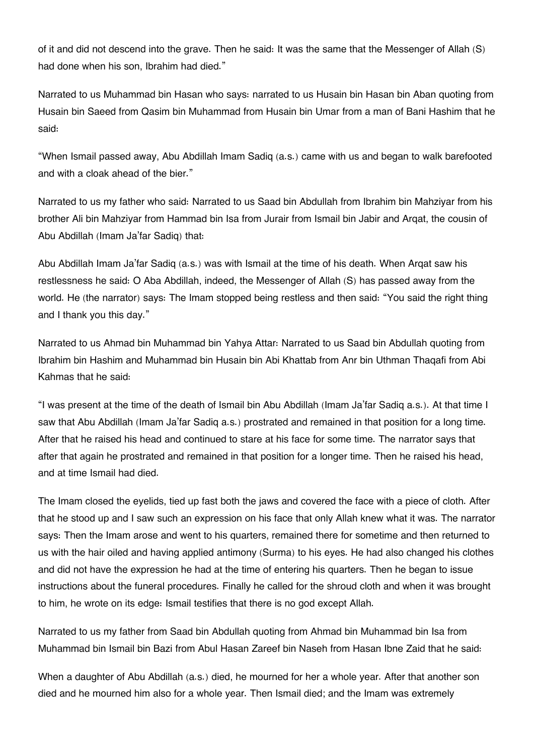of it and did not descend into the grave. Then he said: It was the same that the Messenger of Allah (S) had done when his son, Ibrahim had died."

Narrated to us Muhammad bin Hasan who says: narrated to us Husain bin Hasan bin Aban quoting from Husain bin Saeed from Qasim bin Muhammad from Husain bin Umar from a man of Bani Hashim that he said:

"When Ismail passed away, Abu Abdillah Imam Sadiq (a.s.) came with us and began to walk barefooted and with a cloak ahead of the bier."

Narrated to us my father who said: Narrated to us Saad bin Abdullah from Ibrahim bin Mahziyar from his brother Ali bin Mahziyar from Hammad bin Isa from Jurair from Ismail bin Jabir and Arqat, the cousin of Abu Abdillah (Imam Ja'far Sadiq) that:

Abu Abdillah Imam Ja'far Sadiq (a.s.) was with Ismail at the time of his death. When Arqat saw his restlessness he said: O Aba Abdillah, indeed, the Messenger of Allah (S) has passed away from the world. He (the narrator) says: The Imam stopped being restless and then said: "You said the right thing and I thank you this day."

Narrated to us Ahmad bin Muhammad bin Yahya Attar: Narrated to us Saad bin Abdullah quoting from Ibrahim bin Hashim and Muhammad bin Husain bin Abi Khattab from Anr bin Uthman Thaqafi from Abi Kahmas that he said:

"I was present at the time of the death of Ismail bin Abu Abdillah (Imam Ja'far Sadiq a.s.). At that time I saw that Abu Abdillah (Imam Ja'far Sadiq a.s.) prostrated and remained in that position for a long time. After that he raised his head and continued to stare at his face for some time. The narrator says that after that again he prostrated and remained in that position for a longer time. Then he raised his head, and at time Ismail had died.

The Imam closed the eyelids, tied up fast both the jaws and covered the face with a piece of cloth. After that he stood up and I saw such an expression on his face that only Allah knew what it was. The narrator says: Then the Imam arose and went to his quarters, remained there for sometime and then returned to us with the hair oiled and having applied antimony (Surma) to his eyes. He had also changed his clothes and did not have the expression he had at the time of entering his quarters. Then he began to issue instructions about the funeral procedures. Finally he called for the shroud cloth and when it was brought to him, he wrote on its edge: Ismail testifies that there is no god except Allah.

Narrated to us my father from Saad bin Abdullah quoting from Ahmad bin Muhammad bin Isa from Muhammad bin Ismail bin Bazi from Abul Hasan Zareef bin Naseh from Hasan Ibne Zaid that he said:

When a daughter of Abu Abdillah (a.s.) died, he mourned for her a whole year. After that another son died and he mourned him also for a whole year. Then Ismail died; and the Imam was extremely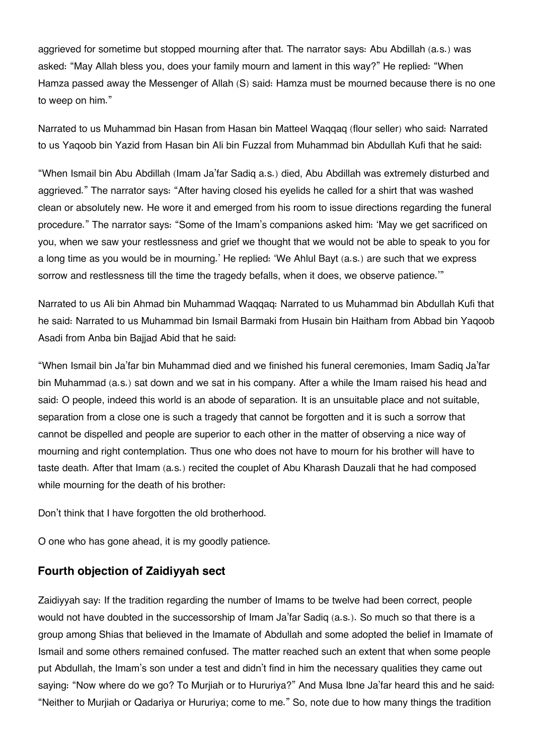aggrieved for sometime but stopped mourning after that. The narrator says: Abu Abdillah (a.s.) was asked: "May Allah bless you, does your family mourn and lament in this way?" He replied: "When Hamza passed away the Messenger of Allah (S) said: Hamza must be mourned because there is no one to weep on him."

Narrated to us Muhammad bin Hasan from Hasan bin Matteel Waqqaq (flour seller) who said: Narrated to us Yaqoob bin Yazid from Hasan bin Ali bin Fuzzal from Muhammad bin Abdullah Kufi that he said:

"When Ismail bin Abu Abdillah (Imam Ja'far Sadiq a.s.) died, Abu Abdillah was extremely disturbed and aggrieved." The narrator says: "After having closed his eyelids he called for a shirt that was washed clean or absolutely new. He wore it and emerged from his room to issue directions regarding the funeral procedure." The narrator says: "Some of the Imam's companions asked him: 'May we get sacrificed on you, when we saw your restlessness and grief we thought that we would not be able to speak to you for a long time as you would be in mourning.' He replied: 'We Ahlul Bayt (a.s.) are such that we express sorrow and restlessness till the time the tragedy befalls, when it does, we observe patience."

Narrated to us Ali bin Ahmad bin Muhammad Waqqaq: Narrated to us Muhammad bin Abdullah Kufi that he said: Narrated to us Muhammad bin Ismail Barmaki from Husain bin Haitham from Abbad bin Yaqoob Asadi from Anba bin Bajjad Abid that he said:

"When Ismail bin Ja'far bin Muhammad died and we finished his funeral ceremonies, Imam Sadiq Ja'far bin Muhammad (a.s.) sat down and we sat in his company. After a while the Imam raised his head and said: O people, indeed this world is an abode of separation. It is an unsuitable place and not suitable, separation from a close one is such a tragedy that cannot be forgotten and it is such a sorrow that cannot be dispelled and people are superior to each other in the matter of observing a nice way of mourning and right contemplation. Thus one who does not have to mourn for his brother will have to taste death. After that Imam (a.s.) recited the couplet of Abu Kharash Dauzali that he had composed while mourning for the death of his brother:

Don't think that I have forgotten the old brotherhood.

O one who has gone ahead, it is my goodly patience.

## **[Fourth objection of Zaidiyyah sect](#page--1-0)**

Zaidiyyah say: If the tradition regarding the number of Imams to be twelve had been correct, people would not have doubted in the successorship of Imam Ja'far Sadiq (a.s.). So much so that there is a group among Shias that believed in the Imamate of Abdullah and some adopted the belief in Imamate of Ismail and some others remained confused. The matter reached such an extent that when some people put Abdullah, the Imam's son under a test and didn't find in him the necessary qualities they came out saying: "Now where do we go? To Murjiah or to Hururiya?" And Musa Ibne Ja'far heard this and he said: "Neither to Murjiah or Qadariya or Hururiya; come to me." So, note due to how many things the tradition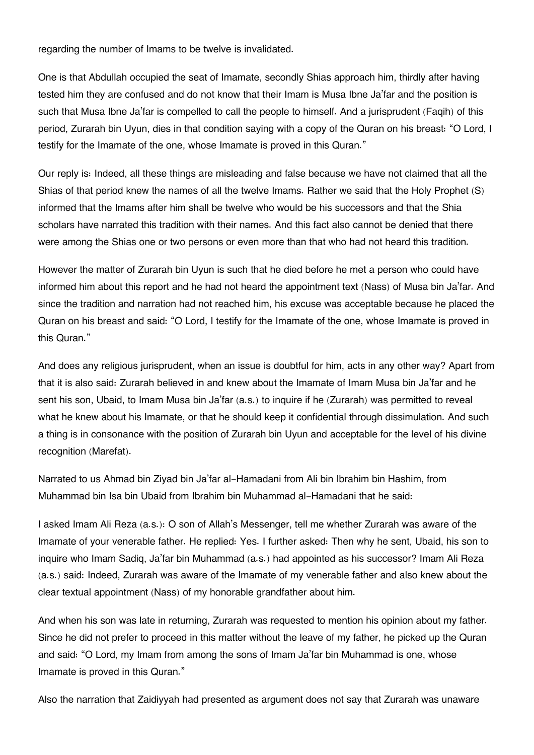regarding the number of Imams to be twelve is invalidated.

One is that Abdullah occupied the seat of Imamate, secondly Shias approach him, thirdly after having tested him they are confused and do not know that their Imam is Musa Ibne Ja'far and the position is such that Musa Ibne Ja'far is compelled to call the people to himself. And a jurisprudent (Faqih) of this period, Zurarah bin Uyun, dies in that condition saying with a copy of the Quran on his breast: "O Lord, I testify for the Imamate of the one, whose Imamate is proved in this Quran."

Our reply is: Indeed, all these things are misleading and false because we have not claimed that all the Shias of that period knew the names of all the twelve Imams. Rather we said that the Holy Prophet (S) informed that the Imams after him shall be twelve who would be his successors and that the Shia scholars have narrated this tradition with their names. And this fact also cannot be denied that there were among the Shias one or two persons or even more than that who had not heard this tradition.

However the matter of Zurarah bin Uyun is such that he died before he met a person who could have informed him about this report and he had not heard the appointment text (Nass) of Musa bin Ja'far. And since the tradition and narration had not reached him, his excuse was acceptable because he placed the Quran on his breast and said: "O Lord, I testify for the Imamate of the one, whose Imamate is proved in this Quran."

And does any religious jurisprudent, when an issue is doubtful for him, acts in any other way? Apart from that it is also said: Zurarah believed in and knew about the Imamate of Imam Musa bin Ja'far and he sent his son, Ubaid, to Imam Musa bin Ja'far (a.s.) to inquire if he (Zurarah) was permitted to reveal what he knew about his Imamate, or that he should keep it confidential through dissimulation. And such a thing is in consonance with the position of Zurarah bin Uyun and acceptable for the level of his divine recognition (Marefat).

Narrated to us Ahmad bin Ziyad bin Ja'far al-Hamadani from Ali bin Ibrahim bin Hashim, from Muhammad bin Isa bin Ubaid from Ibrahim bin Muhammad al-Hamadani that he said:

I asked Imam Ali Reza (a.s.): O son of Allah's Messenger, tell me whether Zurarah was aware of the Imamate of your venerable father. He replied: Yes. I further asked: Then why he sent, Ubaid, his son to inquire who Imam Sadiq, Ja'far bin Muhammad (a.s.) had appointed as his successor? Imam Ali Reza (a.s.) said: Indeed, Zurarah was aware of the Imamate of my venerable father and also knew about the clear textual appointment (Nass) of my honorable grandfather about him.

And when his son was late in returning, Zurarah was requested to mention his opinion about my father. Since he did not prefer to proceed in this matter without the leave of my father, he picked up the Quran and said: "O Lord, my Imam from among the sons of Imam Ja'far bin Muhammad is one, whose Imamate is proved in this Quran."

Also the narration that Zaidiyyah had presented as argument does not say that Zurarah was unaware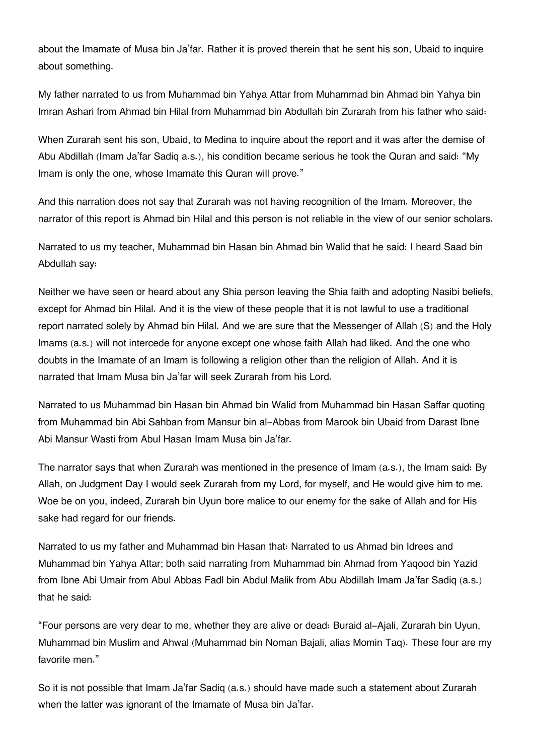about the Imamate of Musa bin Ja'far. Rather it is proved therein that he sent his son, Ubaid to inquire about something.

My father narrated to us from Muhammad bin Yahya Attar from Muhammad bin Ahmad bin Yahya bin Imran Ashari from Ahmad bin Hilal from Muhammad bin Abdullah bin Zurarah from his father who said:

When Zurarah sent his son, Ubaid, to Medina to inquire about the report and it was after the demise of Abu Abdillah (Imam Ja'far Sadiq a.s.), his condition became serious he took the Quran and said: "My Imam is only the one, whose Imamate this Quran will prove."

And this narration does not say that Zurarah was not having recognition of the Imam. Moreover, the narrator of this report is Ahmad bin Hilal and this person is not reliable in the view of our senior scholars.

Narrated to us my teacher, Muhammad bin Hasan bin Ahmad bin Walid that he said: I heard Saad bin Abdullah say:

Neither we have seen or heard about any Shia person leaving the Shia faith and adopting Nasibi beliefs, except for Ahmad bin Hilal. And it is the view of these people that it is not lawful to use a traditional report narrated solely by Ahmad bin Hilal. And we are sure that the Messenger of Allah (S) and the Holy Imams (a.s.) will not intercede for anyone except one whose faith Allah had liked. And the one who doubts in the Imamate of an Imam is following a religion other than the religion of Allah. And it is narrated that Imam Musa bin Ja'far will seek Zurarah from his Lord.

Narrated to us Muhammad bin Hasan bin Ahmad bin Walid from Muhammad bin Hasan Saffar quoting from Muhammad bin Abi Sahban from Mansur bin al-Abbas from Marook bin Ubaid from Darast Ibne Abi Mansur Wasti from Abul Hasan Imam Musa bin Ja'far.

The narrator says that when Zurarah was mentioned in the presence of Imam (a.s.), the Imam said: By Allah, on Judgment Day I would seek Zurarah from my Lord, for myself, and He would give him to me. Woe be on you, indeed, Zurarah bin Uyun bore malice to our enemy for the sake of Allah and for His sake had regard for our friends.

Narrated to us my father and Muhammad bin Hasan that: Narrated to us Ahmad bin Idrees and Muhammad bin Yahya Attar; both said narrating from Muhammad bin Ahmad from Yaqood bin Yazid from Ibne Abi Umair from Abul Abbas Fadl bin Abdul Malik from Abu Abdillah Imam Ja'far Sadiq (a.s.) that he said:

"Four persons are very dear to me, whether they are alive or dead: Buraid al-Ajali, Zurarah bin Uyun, Muhammad bin Muslim and Ahwal (Muhammad bin Noman Bajali, alias Momin Taq). These four are my favorite men."

So it is not possible that Imam Ja'far Sadiq (a.s.) should have made such a statement about Zurarah when the latter was ignorant of the Imamate of Musa bin Ja'far.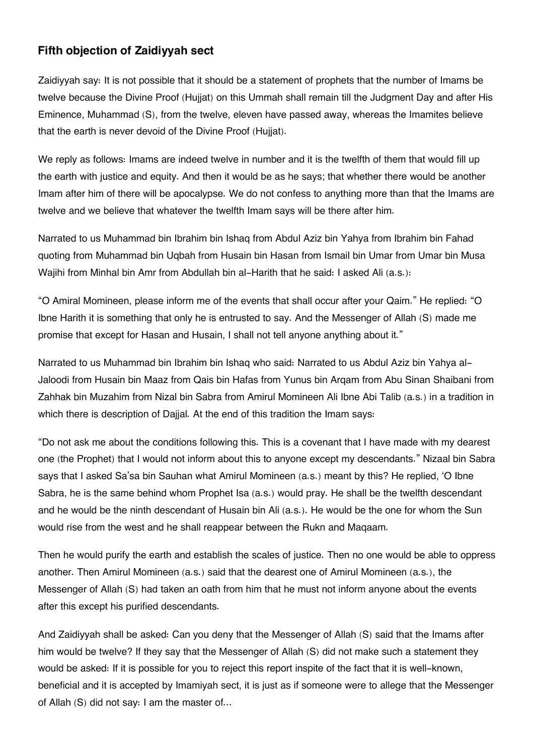# **[Fifth objection of Zaidiyyah sect](#page--1-0)**

Zaidiyyah say: It is not possible that it should be a statement of prophets that the number of Imams be twelve because the Divine Proof (Hujjat) on this Ummah shall remain till the Judgment Day and after His Eminence, Muhammad (S), from the twelve, eleven have passed away, whereas the Imamites believe that the earth is never devoid of the Divine Proof (Hujjat).

We reply as follows: Imams are indeed twelve in number and it is the twelfth of them that would fill up the earth with justice and equity. And then it would be as he says; that whether there would be another Imam after him of there will be apocalypse. We do not confess to anything more than that the Imams are twelve and we believe that whatever the twelfth Imam says will be there after him.

Narrated to us Muhammad bin Ibrahim bin Ishaq from Abdul Aziz bin Yahya from Ibrahim bin Fahad quoting from Muhammad bin Uqbah from Husain bin Hasan from Ismail bin Umar from Umar bin Musa Wajihi from Minhal bin Amr from Abdullah bin al-Harith that he said: I asked Ali (a.s.):

"O Amiral Momineen, please inform me of the events that shall occur after your Qaim." He replied: "O Ibne Harith it is something that only he is entrusted to say. And the Messenger of Allah (S) made me promise that except for Hasan and Husain, I shall not tell anyone anything about it."

Narrated to us Muhammad bin Ibrahim bin Ishaq who said: Narrated to us Abdul Aziz bin Yahya al-Jaloodi from Husain bin Maaz from Qais bin Hafas from Yunus bin Arqam from Abu Sinan Shaibani from Zahhak bin Muzahim from Nizal bin Sabra from Amirul Momineen Ali Ibne Abi Talib (a.s.) in a tradition in which there is description of Dajjal. At the end of this tradition the Imam says:

"Do not ask me about the conditions following this. This is a covenant that I have made with my dearest one (the Prophet) that I would not inform about this to anyone except my descendants." Nizaal bin Sabra says that I asked Sa'sa bin Sauhan what Amirul Momineen (a.s.) meant by this? He replied, 'O Ibne Sabra, he is the same behind whom Prophet Isa (a.s.) would pray. He shall be the twelfth descendant and he would be the ninth descendant of Husain bin Ali (a.s.). He would be the one for whom the Sun would rise from the west and he shall reappear between the Rukn and Maqaam.

Then he would purify the earth and establish the scales of justice. Then no one would be able to oppress another. Then Amirul Momineen (a.s.) said that the dearest one of Amirul Momineen (a.s.), the Messenger of Allah (S) had taken an oath from him that he must not inform anyone about the events after this except his purified descendants.

And Zaidiyyah shall be asked: Can you deny that the Messenger of Allah (S) said that the Imams after him would be twelve? If they say that the Messenger of Allah (S) did not make such a statement they would be asked: If it is possible for you to reject this report inspite of the fact that it is well-known, beneficial and it is accepted by Imamiyah sect, it is just as if someone were to allege that the Messenger of Allah (S) did not say: I am the master of…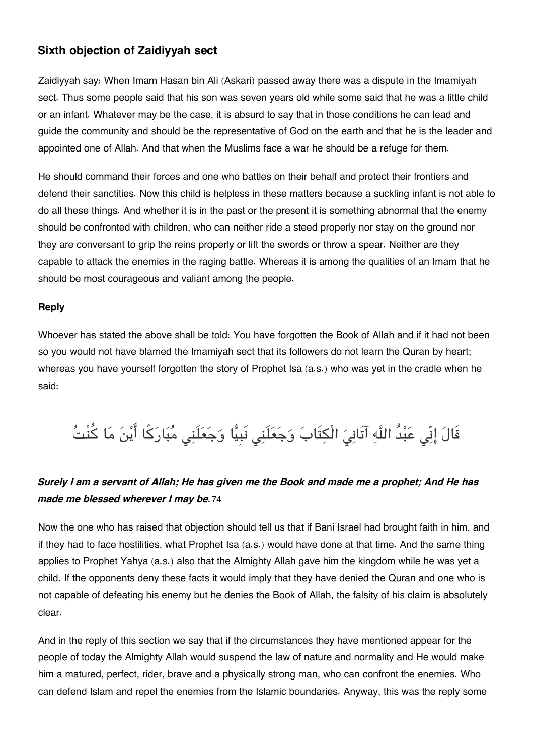## **[Sixth objection of Zaidiyyah sect](#page--1-0)**

Zaidiyyah say: When Imam Hasan bin Ali (Askari) passed away there was a dispute in the Imamiyah sect. Thus some people said that his son was seven years old while some said that he was a little child or an infant. Whatever may be the case, it is absurd to say that in those conditions he can lead and guide the community and should be the representative of God on the earth and that he is the leader and appointed one of Allah. And that when the Muslims face a war he should be a refuge for them.

He should command their forces and one who battles on their behalf and protect their frontiers and defend their sanctities. Now this child is helpless in these matters because a suckling infant is not able to do all these things. And whether it is in the past or the present it is something abnormal that the enemy should be confronted with children, who can neither ride a steed properly nor stay on the ground nor they are conversant to grip the reins properly or lift the swords or throw a spear. Neither are they capable to attack the enemies in the raging battle. Whereas it is among the qualities of an Imam that he should be most courageous and valiant among the people.

## **[Reply](#page--1-0)**

Whoever has stated the above shall be told: You have forgotten the Book of Allah and if it had not been so you would not have blamed the Imamiyah sect that its followers do not learn the Quran by heart; whereas you have yourself forgotten the story of Prophet Isa (a.s.) who was yet in the cradle when he said:

قَالَ إِنِّي عَبْدُ اللَّهِ آتَانِيَ الْكِتَابَ وَجَعَلَنِي نَبِيًّا وَجَعَلَنِي مُبَارَكًا أَيْنَ مَا كُنْتُ

# *Surely I am a servant of Allah; He has given me the Book and made me a prophet; And He has made me blessed wherever I may be.*[74](#page--1-0)

Now the one who has raised that objection should tell us that if Bani Israel had brought faith in him, and if they had to face hostilities, what Prophet Isa (a.s.) would have done at that time. And the same thing applies to Prophet Yahya (a.s.) also that the Almighty Allah gave him the kingdom while he was yet a child. If the opponents deny these facts it would imply that they have denied the Quran and one who is not capable of defeating his enemy but he denies the Book of Allah, the falsity of his claim is absolutely clear.

And in the reply of this section we say that if the circumstances they have mentioned appear for the people of today the Almighty Allah would suspend the law of nature and normality and He would make him a matured, perfect, rider, brave and a physically strong man, who can confront the enemies. Who can defend Islam and repel the enemies from the Islamic boundaries. Anyway, this was the reply some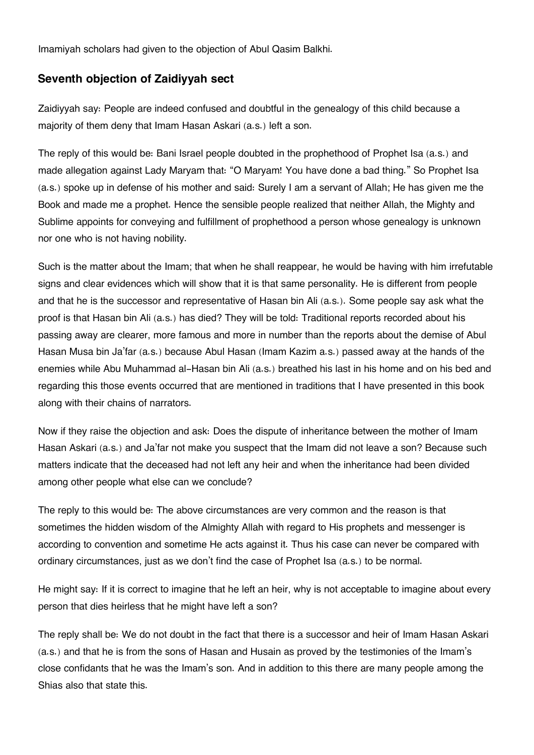Imamiyah scholars had given to the objection of Abul Qasim Balkhi.

## **[Seventh objection of Zaidiyyah sect](#page--1-0)**

Zaidiyyah say: People are indeed confused and doubtful in the genealogy of this child because a majority of them deny that Imam Hasan Askari (a.s.) left a son.

The reply of this would be: Bani Israel people doubted in the prophethood of Prophet Isa (a.s.) and made allegation against Lady Maryam that: "O Maryam! You have done a bad thing." So Prophet Isa (a.s.) spoke up in defense of his mother and said: Surely I am a servant of Allah; He has given me the Book and made me a prophet. Hence the sensible people realized that neither Allah, the Mighty and Sublime appoints for conveying and fulfillment of prophethood a person whose genealogy is unknown nor one who is not having nobility.

Such is the matter about the Imam; that when he shall reappear, he would be having with him irrefutable signs and clear evidences which will show that it is that same personality. He is different from people and that he is the successor and representative of Hasan bin Ali (a.s.). Some people say ask what the proof is that Hasan bin Ali (a.s.) has died? They will be told: Traditional reports recorded about his passing away are clearer, more famous and more in number than the reports about the demise of Abul Hasan Musa bin Ja'far (a.s.) because Abul Hasan (Imam Kazim a.s.) passed away at the hands of the enemies while Abu Muhammad al-Hasan bin Ali (a.s.) breathed his last in his home and on his bed and regarding this those events occurred that are mentioned in traditions that I have presented in this book along with their chains of narrators.

Now if they raise the objection and ask: Does the dispute of inheritance between the mother of Imam Hasan Askari (a.s.) and Ja'far not make you suspect that the Imam did not leave a son? Because such matters indicate that the deceased had not left any heir and when the inheritance had been divided among other people what else can we conclude?

The reply to this would be: The above circumstances are very common and the reason is that sometimes the hidden wisdom of the Almighty Allah with regard to His prophets and messenger is according to convention and sometime He acts against it. Thus his case can never be compared with ordinary circumstances, just as we don't find the case of Prophet Isa (a.s.) to be normal.

He might say: If it is correct to imagine that he left an heir, why is not acceptable to imagine about every person that dies heirless that he might have left a son?

The reply shall be: We do not doubt in the fact that there is a successor and heir of Imam Hasan Askari (a.s.) and that he is from the sons of Hasan and Husain as proved by the testimonies of the Imam's close confidants that he was the Imam's son. And in addition to this there are many people among the Shias also that state this.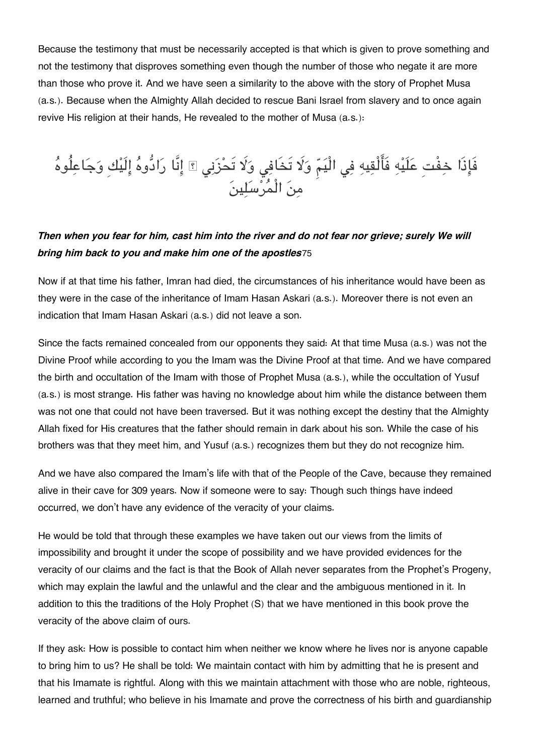Because the testimony that must be necessarily accepted is that which is given to prove something and not the testimony that disproves something even though the number of those who negate it are more than those who prove it. And we have seen a similarity to the above with the story of Prophet Musa (a.s.). Because when the Almighty Allah decided to rescue Bani Israel from slavery and to once again revive His religion at their hands, He revealed to the mother of Musa (a.s.):

# فَإِذَا خِفْتِ عَلَيْهِ فَالْقِيهِ فِي الْيَمّ وَلَا تَخَافِي وَلَا تَحْزَنِي ۩ إِنَّا رَادُوهُ إِلَيْكِ وَجَاعِلُوهُ من الْمرسلين

# *Then when you fear for him, cast him into the river and do not fear nor grieve; surely We will bring him back to you and make him one of the apostles*[75](#page--1-0)

Now if at that time his father, Imran had died, the circumstances of his inheritance would have been as they were in the case of the inheritance of Imam Hasan Askari (a.s.). Moreover there is not even an indication that Imam Hasan Askari (a.s.) did not leave a son.

Since the facts remained concealed from our opponents they said: At that time Musa (a.s.) was not the Divine Proof while according to you the Imam was the Divine Proof at that time. And we have compared the birth and occultation of the Imam with those of Prophet Musa (a.s.), while the occultation of Yusuf (a.s.) is most strange. His father was having no knowledge about him while the distance between them was not one that could not have been traversed. But it was nothing except the destiny that the Almighty Allah fixed for His creatures that the father should remain in dark about his son. While the case of his brothers was that they meet him, and Yusuf (a.s.) recognizes them but they do not recognize him.

And we have also compared the Imam's life with that of the People of the Cave, because they remained alive in their cave for 309 years. Now if someone were to say: Though such things have indeed occurred, we don't have any evidence of the veracity of your claims.

He would be told that through these examples we have taken out our views from the limits of impossibility and brought it under the scope of possibility and we have provided evidences for the veracity of our claims and the fact is that the Book of Allah never separates from the Prophet's Progeny, which may explain the lawful and the unlawful and the clear and the ambiguous mentioned in it. In addition to this the traditions of the Holy Prophet (S) that we have mentioned in this book prove the veracity of the above claim of ours.

If they ask: How is possible to contact him when neither we know where he lives nor is anyone capable to bring him to us? He shall be told: We maintain contact with him by admitting that he is present and that his Imamate is rightful. Along with this we maintain attachment with those who are noble, righteous, learned and truthful; who believe in his Imamate and prove the correctness of his birth and guardianship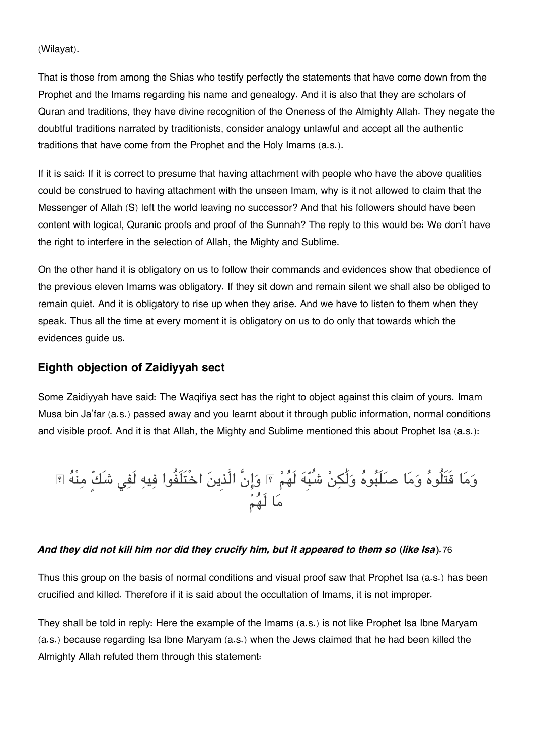(Wilayat).

That is those from among the Shias who testify perfectly the statements that have come down from the Prophet and the Imams regarding his name and genealogy. And it is also that they are scholars of Quran and traditions, they have divine recognition of the Oneness of the Almighty Allah. They negate the doubtful traditions narrated by traditionists, consider analogy unlawful and accept all the authentic traditions that have come from the Prophet and the Holy Imams (a.s.).

If it is said: If it is correct to presume that having attachment with people who have the above qualities could be construed to having attachment with the unseen Imam, why is it not allowed to claim that the Messenger of Allah (S) left the world leaving no successor? And that his followers should have been content with logical, Quranic proofs and proof of the Sunnah? The reply to this would be: We don't have the right to interfere in the selection of Allah, the Mighty and Sublime.

On the other hand it is obligatory on us to follow their commands and evidences show that obedience of the previous eleven Imams was obligatory. If they sit down and remain silent we shall also be obliged to remain quiet. And it is obligatory to rise up when they arise. And we have to listen to them when they speak. Thus all the time at every moment it is obligatory on us to do only that towards which the evidences guide us.

## **[Eighth objection of Zaidiyyah sect](#page--1-0)**

Some Zaidiyyah have said: The Waqifiya sect has the right to object against this claim of yours. Imam Musa bin Ja'far (a.s.) passed away and you learnt about it through public information, normal conditions and visible proof. And it is that Allah, the Mighty and Sublime mentioned this about Prophet Isa (a.s.):

وما قَتَلُوه وما صلَبوه ولَٰن شُبِه لَهم ۚ وانَّ الَّذِين اخْتَلَفُوا فيه لَف شَكٍّ منْه ۚ ما لَهم

## *And they did not kill him nor did they crucify him, but it appeared to them so (like Isa).*[76](#page--1-0)

Thus this group on the basis of normal conditions and visual proof saw that Prophet Isa (a.s.) has been crucified and killed. Therefore if it is said about the occultation of Imams, it is not improper.

They shall be told in reply: Here the example of the Imams (a.s.) is not like Prophet Isa Ibne Maryam (a.s.) because regarding Isa Ibne Maryam (a.s.) when the Jews claimed that he had been killed the Almighty Allah refuted them through this statement: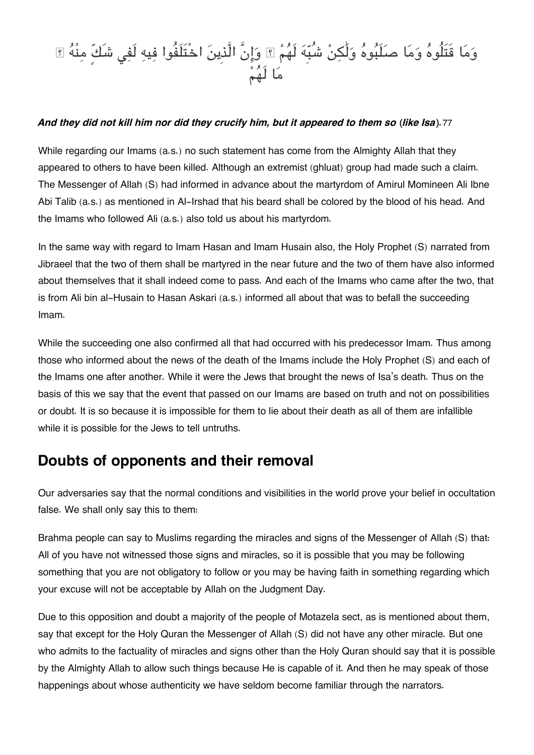# وَمَا قَتَلُوهُ وَمَا صَلْبُوهُ وَلٰكِنْ شُبَّهُ لَهُمْ ؟ وَإِنْ الَّذِينَ اخْتَلَفُوا فِيهِ لَفِي شَكٍّ مِنْهُ ؟ ما لَهم

## *And they did not kill him nor did they crucify him, but it appeared to them so (like Isa).*[77](#page--1-0)

While regarding our Imams (a.s.) no such statement has come from the Almighty Allah that they appeared to others to have been killed. Although an extremist (ghluat) group had made such a claim. The Messenger of Allah (S) had informed in advance about the martyrdom of Amirul Momineen Ali Ibne Abi Talib (a.s.) as mentioned in Al-Irshad that his beard shall be colored by the blood of his head. And the Imams who followed Ali (a.s.) also told us about his martyrdom.

In the same way with regard to Imam Hasan and Imam Husain also, the Holy Prophet (S) narrated from Jibraeel that the two of them shall be martyred in the near future and the two of them have also informed about themselves that it shall indeed come to pass. And each of the Imams who came after the two, that is from Ali bin al-Husain to Hasan Askari (a.s.) informed all about that was to befall the succeeding Imam.

While the succeeding one also confirmed all that had occurred with his predecessor Imam. Thus among those who informed about the news of the death of the Imams include the Holy Prophet (S) and each of the Imams one after another. While it were the Jews that brought the news of Isa's death. Thus on the basis of this we say that the event that passed on our Imams are based on truth and not on possibilities or doubt. It is so because it is impossible for them to lie about their death as all of them are infallible while it is possible for the Jews to tell untruths.

# **[Doubts of opponents and their removal](#page--1-0)**

Our adversaries say that the normal conditions and visibilities in the world prove your belief in occultation false. We shall only say this to them:

Brahma people can say to Muslims regarding the miracles and signs of the Messenger of Allah (S) that: All of you have not witnessed those signs and miracles, so it is possible that you may be following something that you are not obligatory to follow or you may be having faith in something regarding which your excuse will not be acceptable by Allah on the Judgment Day.

Due to this opposition and doubt a majority of the people of Motazela sect, as is mentioned about them, say that except for the Holy Quran the Messenger of Allah (S) did not have any other miracle. But one who admits to the factuality of miracles and signs other than the Holy Quran should say that it is possible by the Almighty Allah to allow such things because He is capable of it. And then he may speak of those happenings about whose authenticity we have seldom become familiar through the narrators.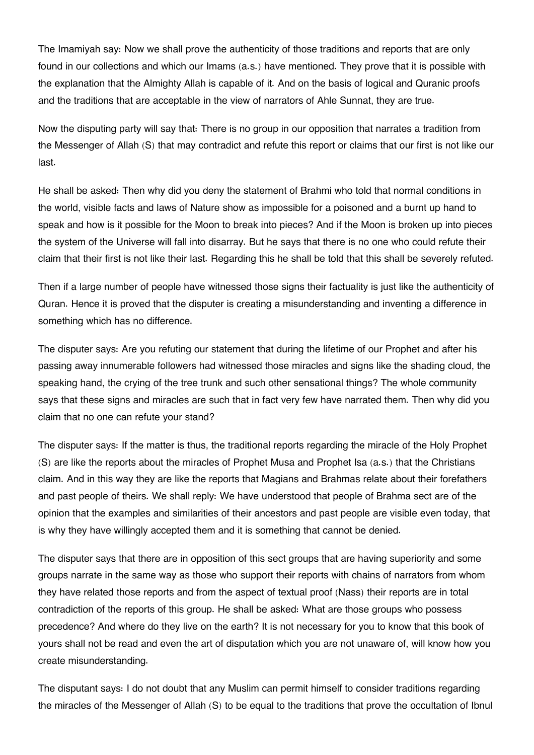The Imamiyah say: Now we shall prove the authenticity of those traditions and reports that are only found in our collections and which our Imams (a.s.) have mentioned. They prove that it is possible with the explanation that the Almighty Allah is capable of it. And on the basis of logical and Quranic proofs and the traditions that are acceptable in the view of narrators of Ahle Sunnat, they are true.

Now the disputing party will say that: There is no group in our opposition that narrates a tradition from the Messenger of Allah (S) that may contradict and refute this report or claims that our first is not like our last.

He shall be asked: Then why did you deny the statement of Brahmi who told that normal conditions in the world, visible facts and laws of Nature show as impossible for a poisoned and a burnt up hand to speak and how is it possible for the Moon to break into pieces? And if the Moon is broken up into pieces the system of the Universe will fall into disarray. But he says that there is no one who could refute their claim that their first is not like their last. Regarding this he shall be told that this shall be severely refuted.

Then if a large number of people have witnessed those signs their factuality is just like the authenticity of Quran. Hence it is proved that the disputer is creating a misunderstanding and inventing a difference in something which has no difference.

The disputer says: Are you refuting our statement that during the lifetime of our Prophet and after his passing away innumerable followers had witnessed those miracles and signs like the shading cloud, the speaking hand, the crying of the tree trunk and such other sensational things? The whole community says that these signs and miracles are such that in fact very few have narrated them. Then why did you claim that no one can refute your stand?

The disputer says: If the matter is thus, the traditional reports regarding the miracle of the Holy Prophet (S) are like the reports about the miracles of Prophet Musa and Prophet Isa (a.s.) that the Christians claim. And in this way they are like the reports that Magians and Brahmas relate about their forefathers and past people of theirs. We shall reply: We have understood that people of Brahma sect are of the opinion that the examples and similarities of their ancestors and past people are visible even today, that is why they have willingly accepted them and it is something that cannot be denied.

The disputer says that there are in opposition of this sect groups that are having superiority and some groups narrate in the same way as those who support their reports with chains of narrators from whom they have related those reports and from the aspect of textual proof (Nass) their reports are in total contradiction of the reports of this group. He shall be asked: What are those groups who possess precedence? And where do they live on the earth? It is not necessary for you to know that this book of yours shall not be read and even the art of disputation which you are not unaware of, will know how you create misunderstanding.

The disputant says: I do not doubt that any Muslim can permit himself to consider traditions regarding the miracles of the Messenger of Allah (S) to be equal to the traditions that prove the occultation of Ibnul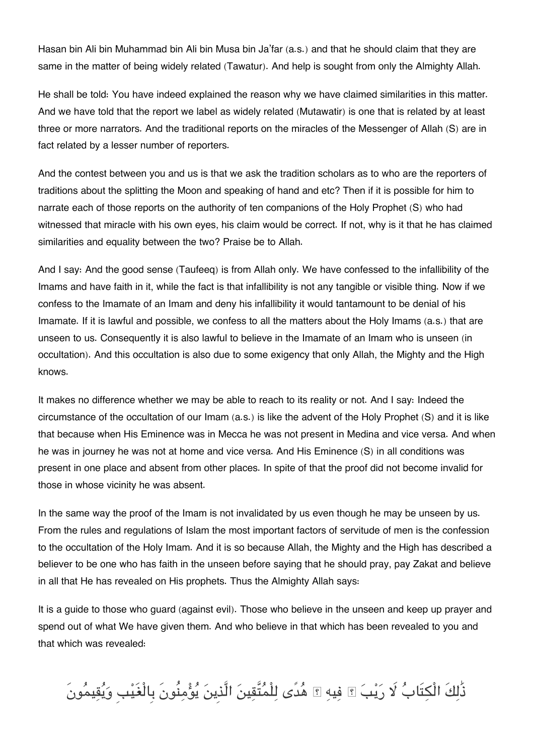Hasan bin Ali bin Muhammad bin Ali bin Musa bin Ja'far (a.s.) and that he should claim that they are same in the matter of being widely related (Tawatur). And help is sought from only the Almighty Allah.

He shall be told: You have indeed explained the reason why we have claimed similarities in this matter. And we have told that the report we label as widely related (Mutawatir) is one that is related by at least three or more narrators. And the traditional reports on the miracles of the Messenger of Allah (S) are in fact related by a lesser number of reporters.

And the contest between you and us is that we ask the tradition scholars as to who are the reporters of traditions about the splitting the Moon and speaking of hand and etc? Then if it is possible for him to narrate each of those reports on the authority of ten companions of the Holy Prophet (S) who had witnessed that miracle with his own eyes, his claim would be correct. If not, why is it that he has claimed similarities and equality between the two? Praise be to Allah.

And I say: And the good sense (Taufeeq) is from Allah only. We have confessed to the infallibility of the Imams and have faith in it, while the fact is that infallibility is not any tangible or visible thing. Now if we confess to the Imamate of an Imam and deny his infallibility it would tantamount to be denial of his Imamate. If it is lawful and possible, we confess to all the matters about the Holy Imams (a.s.) that are unseen to us. Consequently it is also lawful to believe in the Imamate of an Imam who is unseen (in occultation). And this occultation is also due to some exigency that only Allah, the Mighty and the High knows.

It makes no difference whether we may be able to reach to its reality or not. And I say: Indeed the circumstance of the occultation of our Imam (a.s.) is like the advent of the Holy Prophet (S) and it is like that because when His Eminence was in Mecca he was not present in Medina and vice versa. And when he was in journey he was not at home and vice versa. And His Eminence (S) in all conditions was present in one place and absent from other places. In spite of that the proof did not become invalid for those in whose vicinity he was absent.

In the same way the proof of the Imam is not invalidated by us even though he may be unseen by us. From the rules and regulations of Islam the most important factors of servitude of men is the confession to the occultation of the Holy Imam. And it is so because Allah, the Mighty and the High has described a believer to be one who has faith in the unseen before saying that he should pray, pay Zakat and believe in all that He has revealed on His prophets. Thus the Almighty Allah says:

It is a guide to those who guard (against evil). Those who believe in the unseen and keep up prayer and spend out of what We have given them. And who believe in that which has been revealed to you and that which was revealed:

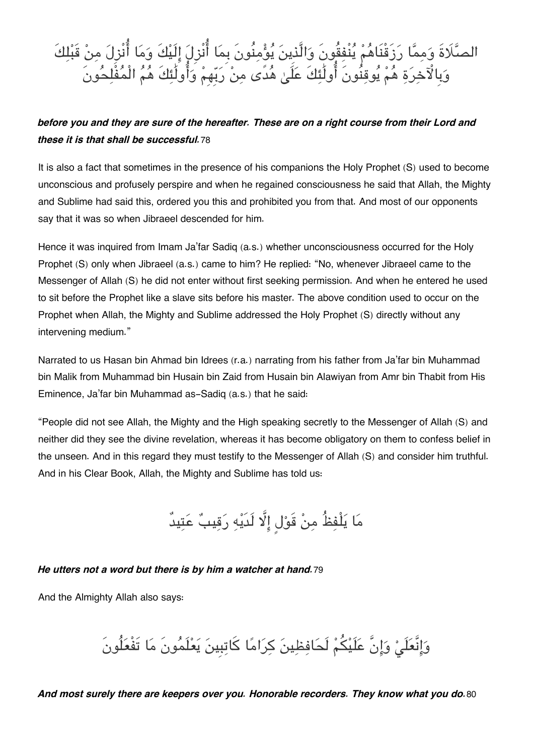# الْصَلَاةَ وَمِمَّا رَزْقْنَاهُمْ يُنْفِقُونَ وَالَّذِينَ يُؤْمِنُونَ بِمَا انْزِلَ إِلَيْكَ وَمَا انْزِلَ مِنْ قَبْلِك وَبِالْآخِرَةِ هُمْ يُوقِنُونَ اولئِكَ عَلَىٰ هَدَى مِنْ رَبِّهِمْ وَاولئِكَ هُمُ الْمَفْلِحُونَ

# *before you and they are sure of the hereafter. These are on a right course from their Lord and these it is that shall be successful.*[78](#page--1-0)

It is also a fact that sometimes in the presence of his companions the Holy Prophet (S) used to become unconscious and profusely perspire and when he regained consciousness he said that Allah, the Mighty and Sublime had said this, ordered you this and prohibited you from that. And most of our opponents say that it was so when Jibraeel descended for him.

Hence it was inquired from Imam Ja'far Sadiq (a.s.) whether unconsciousness occurred for the Holy Prophet (S) only when Jibraeel (a.s.) came to him? He replied: "No, whenever Jibraeel came to the Messenger of Allah (S) he did not enter without first seeking permission. And when he entered he used to sit before the Prophet like a slave sits before his master. The above condition used to occur on the Prophet when Allah, the Mighty and Sublime addressed the Holy Prophet (S) directly without any intervening medium."

Narrated to us Hasan bin Ahmad bin Idrees (r.a.) narrating from his father from Ja'far bin Muhammad bin Malik from Muhammad bin Husain bin Zaid from Husain bin Alawiyan from Amr bin Thabit from His Eminence, Ja'far bin Muhammad as-Sadiq (a.s.) that he said:

"People did not see Allah, the Mighty and the High speaking secretly to the Messenger of Allah (S) and neither did they see the divine revelation, whereas it has become obligatory on them to confess belief in the unseen. And in this regard they must testify to the Messenger of Allah (S) and consider him truthful. And in his Clear Book, Allah, the Mighty and Sublime has told us:

ما يلْفظُ من قَولٍ ا لَدَيه رقيب عتيدٌ

## *He utters not a word but there is by him a watcher at hand.*[79](#page--1-0)

And the Almighty Allah also says:

وَإِنَّعَلَىٰ وَإِنَّ عَلَيْكُمْ لَحَافِظِينَ كِرَامًا كَاتِبِينَ يَعْلَمُونَ مَا تَفْعَلُونَ

### *And most surely there are keepers over you. Honorable recorders. They know what you do.*[80](#page--1-0)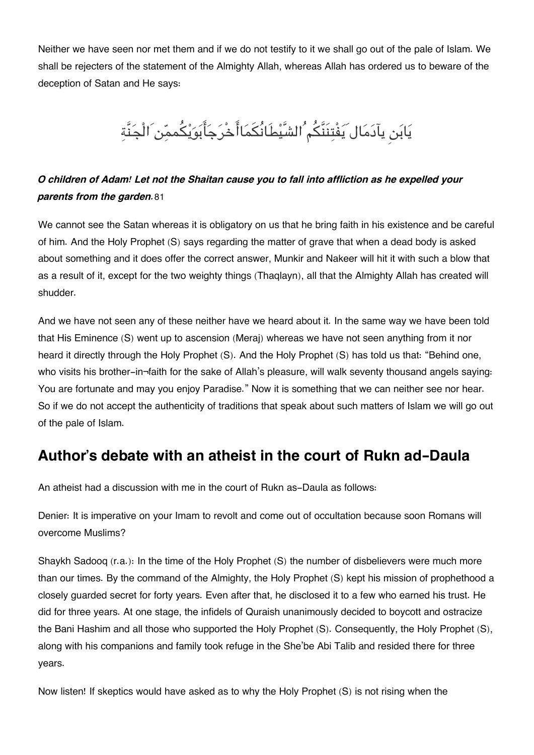Neither we have seen nor met them and if we do not testify to it we shall go out of the pale of Islam. We shall be rejecters of the statement of the Almighty Allah, whereas Allah has ordered us to beware of the deception of Satan and He says:

# يَابَنِ يآدَمَال َيفْتِنَنَّكُمُ ۢالشَّيْطَانُكَمَاأُخْرَجَأَبَوَيْكُممِّن َالْجَنَّةِ

# *O children of Adam! Let not the Shaitan cause you to fall into affliction as he expelled your parents from the garden.*[81](#page--1-0)

We cannot see the Satan whereas it is obligatory on us that he bring faith in his existence and be careful of him. And the Holy Prophet (S) says regarding the matter of grave that when a dead body is asked about something and it does offer the correct answer, Munkir and Nakeer will hit it with such a blow that as a result of it, except for the two weighty things (Thaqlayn), all that the Almighty Allah has created will shudder.

And we have not seen any of these neither have we heard about it. In the same way we have been told that His Eminence (S) went up to ascension (Meraj) whereas we have not seen anything from it nor heard it directly through the Holy Prophet (S). And the Holy Prophet (S) has told us that: "Behind one, who visits his brother-in-faith for the sake of Allah's pleasure, will walk seventy thousand angels saying: You are fortunate and may you enjoy Paradise." Now it is something that we can neither see nor hear. So if we do not accept the authenticity of traditions that speak about such matters of Islam we will go out of the pale of Islam.

# **[Author's debate with an atheist in the court of Rukn ad-Daula](#page--1-0)**

An atheist had a discussion with me in the court of Rukn as-Daula as follows:

Denier: It is imperative on your Imam to revolt and come out of occultation because soon Romans will overcome Muslims?

Shaykh Sadooq (r.a.): In the time of the Holy Prophet (S) the number of disbelievers were much more than our times. By the command of the Almighty, the Holy Prophet (S) kept his mission of prophethood a closely guarded secret for forty years. Even after that, he disclosed it to a few who earned his trust. He did for three years. At one stage, the infidels of Quraish unanimously decided to boycott and ostracize the Bani Hashim and all those who supported the Holy Prophet (S). Consequently, the Holy Prophet (S), along with his companions and family took refuge in the She'be Abi Talib and resided there for three years.

Now listen! If skeptics would have asked as to why the Holy Prophet (S) is not rising when the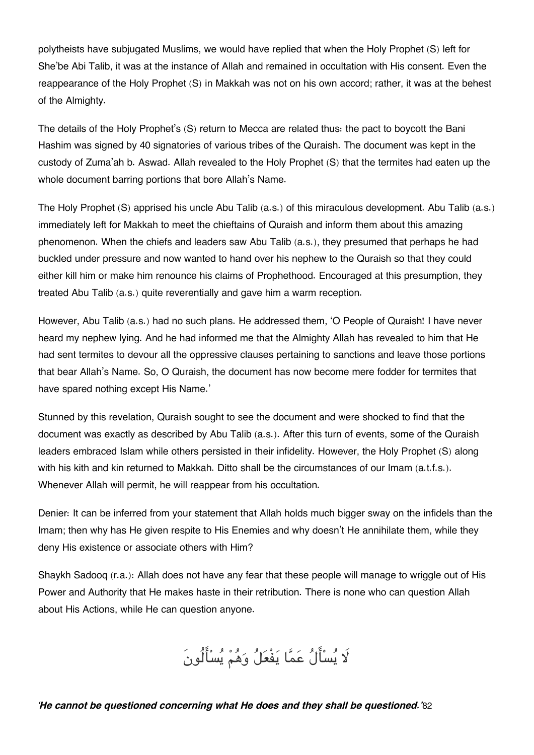polytheists have subjugated Muslims, we would have replied that when the Holy Prophet (S) left for She'be Abi Talib, it was at the instance of Allah and remained in occultation with His consent. Even the reappearance of the Holy Prophet (S) in Makkah was not on his own accord; rather, it was at the behest of the Almighty.

The details of the Holy Prophet's (S) return to Mecca are related thus: the pact to boycott the Bani Hashim was signed by 40 signatories of various tribes of the Quraish. The document was kept in the custody of Zuma'ah b. Aswad. Allah revealed to the Holy Prophet (S) that the termites had eaten up the whole document barring portions that bore Allah's Name.

The Holy Prophet (S) apprised his uncle Abu Talib (a.s.) of this miraculous development. Abu Talib (a.s.) immediately left for Makkah to meet the chieftains of Quraish and inform them about this amazing phenomenon. When the chiefs and leaders saw Abu Talib (a.s.), they presumed that perhaps he had buckled under pressure and now wanted to hand over his nephew to the Quraish so that they could either kill him or make him renounce his claims of Prophethood. Encouraged at this presumption, they treated Abu Talib (a.s.) quite reverentially and gave him a warm reception.

However, Abu Talib (a.s.) had no such plans. He addressed them, 'O People of Quraish! I have never heard my nephew lying. And he had informed me that the Almighty Allah has revealed to him that He had sent termites to devour all the oppressive clauses pertaining to sanctions and leave those portions that bear Allah's Name. So, O Quraish, the document has now become mere fodder for termites that have spared nothing except His Name.'

Stunned by this revelation, Quraish sought to see the document and were shocked to find that the document was exactly as described by Abu Talib (a.s.). After this turn of events, some of the Quraish leaders embraced Islam while others persisted in their infidelity. However, the Holy Prophet (S) along with his kith and kin returned to Makkah. Ditto shall be the circumstances of our Imam (a.t.f.s.). Whenever Allah will permit, he will reappear from his occultation.

Denier: It can be inferred from your statement that Allah holds much bigger sway on the infidels than the Imam; then why has He given respite to His Enemies and why doesn't He annihilate them, while they deny His existence or associate others with Him?

Shaykh Sadooq (r.a.): Allah does not have any fear that these people will manage to wriggle out of His Power and Authority that He makes haste in their retribution. There is none who can question Allah about His Actions, while He can question anyone.

يسال عما يفْعل وهم يسالُونَ

*'He cannot be questioned concerning what He does and they shall be questioned.'*[82](#page--1-0)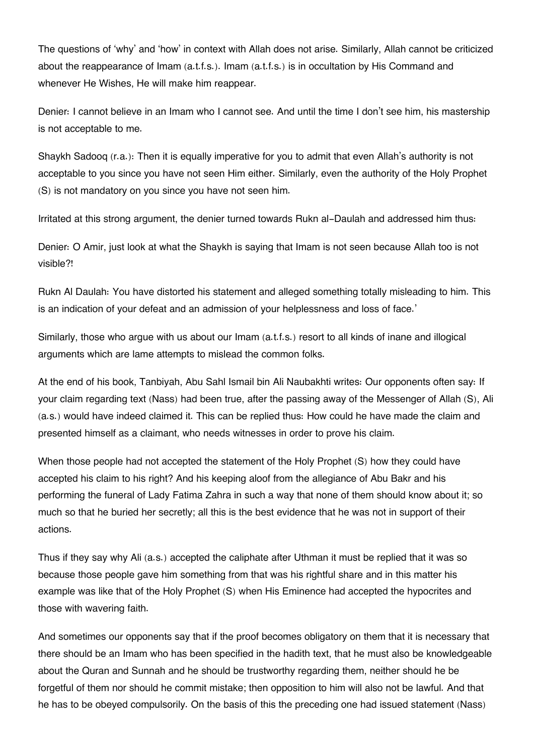The questions of 'why' and 'how' in context with Allah does not arise. Similarly, Allah cannot be criticized about the reappearance of Imam (a.t.f.s.). Imam (a.t.f.s.) is in occultation by His Command and whenever He Wishes, He will make him reappear.

Denier: I cannot believe in an Imam who I cannot see. And until the time I don't see him, his mastership is not acceptable to me.

Shaykh Sadooq (r.a.): Then it is equally imperative for you to admit that even Allah's authority is not acceptable to you since you have not seen Him either. Similarly, even the authority of the Holy Prophet (S) is not mandatory on you since you have not seen him.

Irritated at this strong argument, the denier turned towards Rukn al-Daulah and addressed him thus:

Denier: O Amir, just look at what the Shaykh is saying that Imam is not seen because Allah too is not visible?!

Rukn Al Daulah: You have distorted his statement and alleged something totally misleading to him. This is an indication of your defeat and an admission of your helplessness and loss of face.'

Similarly, those who argue with us about our Imam (a.t.f.s.) resort to all kinds of inane and illogical arguments which are lame attempts to mislead the common folks.

At the end of his book, Tanbiyah, Abu Sahl Ismail bin Ali Naubakhti writes: Our opponents often say: If your claim regarding text (Nass) had been true, after the passing away of the Messenger of Allah (S), Ali (a.s.) would have indeed claimed it. This can be replied thus: How could he have made the claim and presented himself as a claimant, who needs witnesses in order to prove his claim.

When those people had not accepted the statement of the Holy Prophet (S) how they could have accepted his claim to his right? And his keeping aloof from the allegiance of Abu Bakr and his performing the funeral of Lady Fatima Zahra in such a way that none of them should know about it; so much so that he buried her secretly; all this is the best evidence that he was not in support of their actions.

Thus if they say why Ali (a.s.) accepted the caliphate after Uthman it must be replied that it was so because those people gave him something from that was his rightful share and in this matter his example was like that of the Holy Prophet (S) when His Eminence had accepted the hypocrites and those with wavering faith.

And sometimes our opponents say that if the proof becomes obligatory on them that it is necessary that there should be an Imam who has been specified in the hadith text, that he must also be knowledgeable about the Quran and Sunnah and he should be trustworthy regarding them, neither should he be forgetful of them nor should he commit mistake; then opposition to him will also not be lawful. And that he has to be obeyed compulsorily. On the basis of this the preceding one had issued statement (Nass)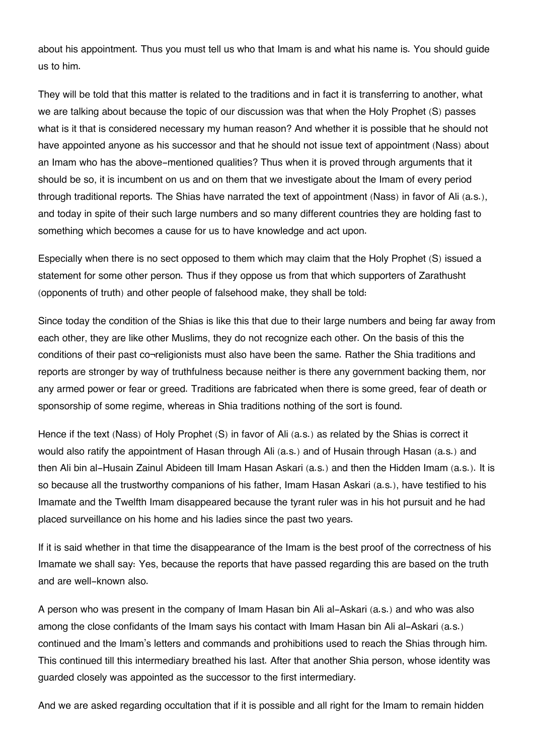about his appointment. Thus you must tell us who that Imam is and what his name is. You should guide us to him.

They will be told that this matter is related to the traditions and in fact it is transferring to another, what we are talking about because the topic of our discussion was that when the Holy Prophet (S) passes what is it that is considered necessary my human reason? And whether it is possible that he should not have appointed anyone as his successor and that he should not issue text of appointment (Nass) about an Imam who has the above-mentioned qualities? Thus when it is proved through arguments that it should be so, it is incumbent on us and on them that we investigate about the Imam of every period through traditional reports. The Shias have narrated the text of appointment (Nass) in favor of Ali (a.s.), and today in spite of their such large numbers and so many different countries they are holding fast to something which becomes a cause for us to have knowledge and act upon.

Especially when there is no sect opposed to them which may claim that the Holy Prophet (S) issued a statement for some other person. Thus if they oppose us from that which supporters of Zarathusht (opponents of truth) and other people of falsehood make, they shall be told:

Since today the condition of the Shias is like this that due to their large numbers and being far away from each other, they are like other Muslims, they do not recognize each other. On the basis of this the conditions of their past co¬religionists must also have been the same. Rather the Shia traditions and reports are stronger by way of truthfulness because neither is there any government backing them, nor any armed power or fear or greed. Traditions are fabricated when there is some greed, fear of death or sponsorship of some regime, whereas in Shia traditions nothing of the sort is found.

Hence if the text (Nass) of Holy Prophet (S) in favor of Ali (a.s.) as related by the Shias is correct it would also ratify the appointment of Hasan through Ali (a.s.) and of Husain through Hasan (a.s.) and then Ali bin al-Husain Zainul Abideen till Imam Hasan Askari (a.s.) and then the Hidden Imam (a.s.). It is so because all the trustworthy companions of his father, Imam Hasan Askari (a.s.), have testified to his Imamate and the Twelfth Imam disappeared because the tyrant ruler was in his hot pursuit and he had placed surveillance on his home and his ladies since the past two years.

If it is said whether in that time the disappearance of the Imam is the best proof of the correctness of his Imamate we shall say: Yes, because the reports that have passed regarding this are based on the truth and are well-known also.

A person who was present in the company of Imam Hasan bin Ali al-Askari (a.s.) and who was also among the close confidants of the Imam says his contact with Imam Hasan bin Ali al-Askari (a.s.) continued and the Imam's letters and commands and prohibitions used to reach the Shias through him. This continued till this intermediary breathed his last. After that another Shia person, whose identity was guarded closely was appointed as the successor to the first intermediary.

And we are asked regarding occultation that if it is possible and all right for the Imam to remain hidden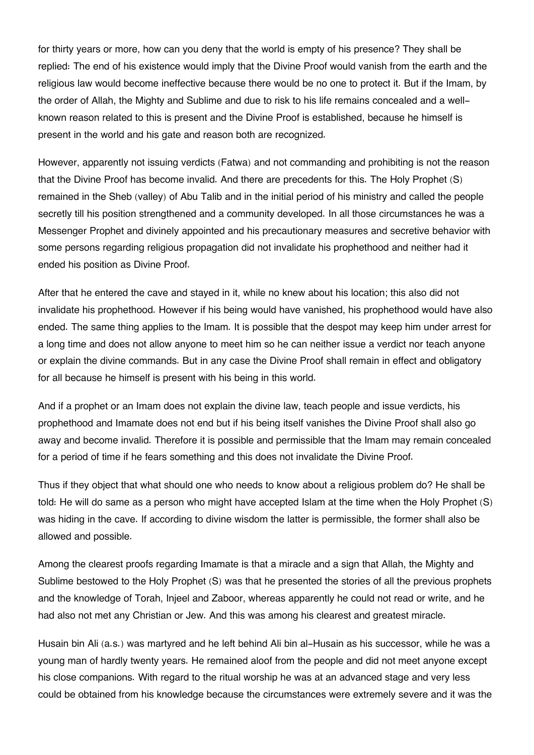for thirty years or more, how can you deny that the world is empty of his presence? They shall be replied: The end of his existence would imply that the Divine Proof would vanish from the earth and the religious law would become ineffective because there would be no one to protect it. But if the Imam, by the order of Allah, the Mighty and Sublime and due to risk to his life remains concealed and a wellknown reason related to this is present and the Divine Proof is established, because he himself is present in the world and his gate and reason both are recognized.

However, apparently not issuing verdicts (Fatwa) and not commanding and prohibiting is not the reason that the Divine Proof has become invalid. And there are precedents for this. The Holy Prophet (S) remained in the Sheb (valley) of Abu Talib and in the initial period of his ministry and called the people secretly till his position strengthened and a community developed. In all those circumstances he was a Messenger Prophet and divinely appointed and his precautionary measures and secretive behavior with some persons regarding religious propagation did not invalidate his prophethood and neither had it ended his position as Divine Proof.

After that he entered the cave and stayed in it, while no knew about his location; this also did not invalidate his prophethood. However if his being would have vanished, his prophethood would have also ended. The same thing applies to the Imam. It is possible that the despot may keep him under arrest for a long time and does not allow anyone to meet him so he can neither issue a verdict nor teach anyone or explain the divine commands. But in any case the Divine Proof shall remain in effect and obligatory for all because he himself is present with his being in this world.

And if a prophet or an Imam does not explain the divine law, teach people and issue verdicts, his prophethood and Imamate does not end but if his being itself vanishes the Divine Proof shall also go away and become invalid. Therefore it is possible and permissible that the Imam may remain concealed for a period of time if he fears something and this does not invalidate the Divine Proof.

Thus if they object that what should one who needs to know about a religious problem do? He shall be told: He will do same as a person who might have accepted Islam at the time when the Holy Prophet (S) was hiding in the cave. If according to divine wisdom the latter is permissible, the former shall also be allowed and possible.

Among the clearest proofs regarding Imamate is that a miracle and a sign that Allah, the Mighty and Sublime bestowed to the Holy Prophet (S) was that he presented the stories of all the previous prophets and the knowledge of Torah, Injeel and Zaboor, whereas apparently he could not read or write, and he had also not met any Christian or Jew. And this was among his clearest and greatest miracle.

Husain bin Ali (a.s.) was martyred and he left behind Ali bin al-Husain as his successor, while he was a young man of hardly twenty years. He remained aloof from the people and did not meet anyone except his close companions. With regard to the ritual worship he was at an advanced stage and very less could be obtained from his knowledge because the circumstances were extremely severe and it was the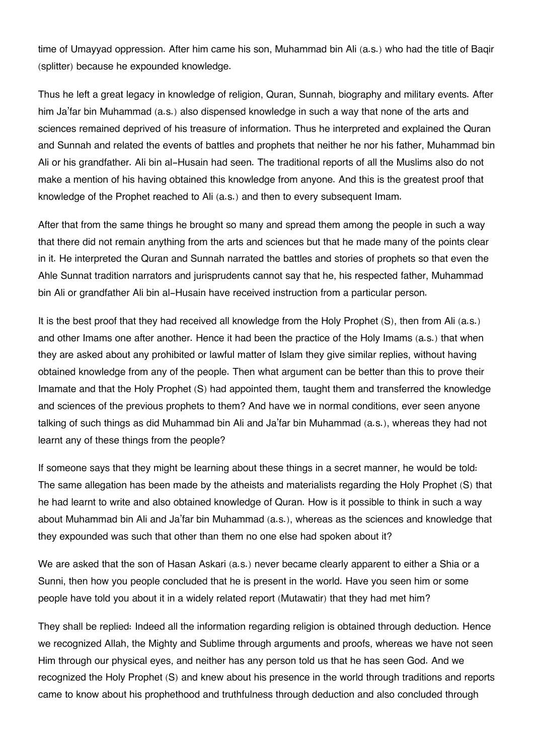time of Umayyad oppression. After him came his son, Muhammad bin Ali (a.s.) who had the title of Baqir (splitter) because he expounded knowledge.

Thus he left a great legacy in knowledge of religion, Quran, Sunnah, biography and military events. After him Ja'far bin Muhammad (a.s.) also dispensed knowledge in such a way that none of the arts and sciences remained deprived of his treasure of information. Thus he interpreted and explained the Quran and Sunnah and related the events of battles and prophets that neither he nor his father, Muhammad bin Ali or his grandfather. Ali bin al-Husain had seen. The traditional reports of all the Muslims also do not make a mention of his having obtained this knowledge from anyone. And this is the greatest proof that knowledge of the Prophet reached to Ali (a.s.) and then to every subsequent Imam.

After that from the same things he brought so many and spread them among the people in such a way that there did not remain anything from the arts and sciences but that he made many of the points clear in it. He interpreted the Quran and Sunnah narrated the battles and stories of prophets so that even the Ahle Sunnat tradition narrators and jurisprudents cannot say that he, his respected father, Muhammad bin Ali or grandfather Ali bin al-Husain have received instruction from a particular person.

It is the best proof that they had received all knowledge from the Holy Prophet (S), then from Ali (a.s.) and other Imams one after another. Hence it had been the practice of the Holy Imams (a.s.) that when they are asked about any prohibited or lawful matter of Islam they give similar replies, without having obtained knowledge from any of the people. Then what argument can be better than this to prove their Imamate and that the Holy Prophet (S) had appointed them, taught them and transferred the knowledge and sciences of the previous prophets to them? And have we in normal conditions, ever seen anyone talking of such things as did Muhammad bin Ali and Ja'far bin Muhammad (a.s.), whereas they had not learnt any of these things from the people?

If someone says that they might be learning about these things in a secret manner, he would be told: The same allegation has been made by the atheists and materialists regarding the Holy Prophet (S) that he had learnt to write and also obtained knowledge of Quran. How is it possible to think in such a way about Muhammad bin Ali and Ja'far bin Muhammad (a.s.), whereas as the sciences and knowledge that they expounded was such that other than them no one else had spoken about it?

We are asked that the son of Hasan Askari (a.s.) never became clearly apparent to either a Shia or a Sunni, then how you people concluded that he is present in the world. Have you seen him or some people have told you about it in a widely related report (Mutawatir) that they had met him?

They shall be replied: Indeed all the information regarding religion is obtained through deduction. Hence we recognized Allah, the Mighty and Sublime through arguments and proofs, whereas we have not seen Him through our physical eyes, and neither has any person told us that he has seen God. And we recognized the Holy Prophet (S) and knew about his presence in the world through traditions and reports came to know about his prophethood and truthfulness through deduction and also concluded through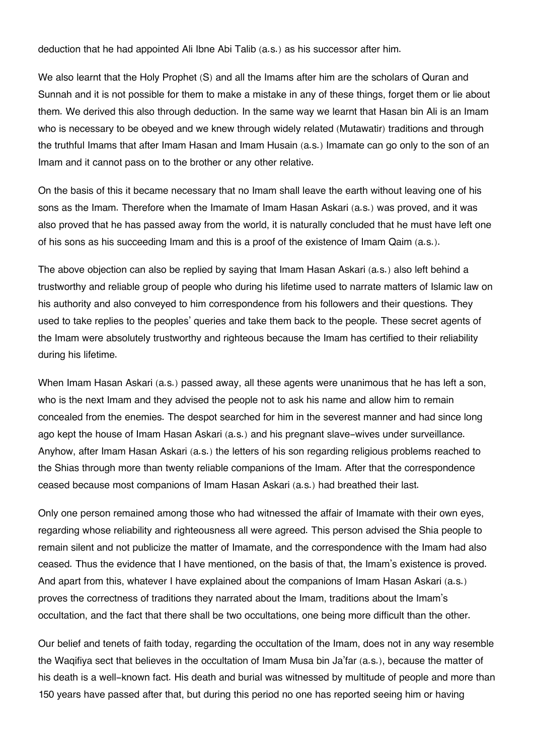deduction that he had appointed Ali Ibne Abi Talib (a.s.) as his successor after him.

We also learnt that the Holy Prophet (S) and all the Imams after him are the scholars of Quran and Sunnah and it is not possible for them to make a mistake in any of these things, forget them or lie about them. We derived this also through deduction. In the same way we learnt that Hasan bin Ali is an Imam who is necessary to be obeyed and we knew through widely related (Mutawatir) traditions and through the truthful Imams that after Imam Hasan and Imam Husain (a.s.) Imamate can go only to the son of an Imam and it cannot pass on to the brother or any other relative.

On the basis of this it became necessary that no Imam shall leave the earth without leaving one of his sons as the Imam. Therefore when the Imamate of Imam Hasan Askari (a.s.) was proved, and it was also proved that he has passed away from the world, it is naturally concluded that he must have left one of his sons as his succeeding Imam and this is a proof of the existence of Imam Qaim (a.s.).

The above objection can also be replied by saying that Imam Hasan Askari (a.s.) also left behind a trustworthy and reliable group of people who during his lifetime used to narrate matters of Islamic law on his authority and also conveyed to him correspondence from his followers and their questions. They used to take replies to the peoples' queries and take them back to the people. These secret agents of the Imam were absolutely trustworthy and righteous because the Imam has certified to their reliability during his lifetime.

When Imam Hasan Askari (a.s.) passed away, all these agents were unanimous that he has left a son, who is the next Imam and they advised the people not to ask his name and allow him to remain concealed from the enemies. The despot searched for him in the severest manner and had since long ago kept the house of Imam Hasan Askari (a.s.) and his pregnant slave-wives under surveillance. Anyhow, after Imam Hasan Askari (a.s.) the letters of his son regarding religious problems reached to the Shias through more than twenty reliable companions of the Imam. After that the correspondence ceased because most companions of Imam Hasan Askari (a.s.) had breathed their last.

Only one person remained among those who had witnessed the affair of Imamate with their own eyes, regarding whose reliability and righteousness all were agreed. This person advised the Shia people to remain silent and not publicize the matter of Imamate, and the correspondence with the Imam had also ceased. Thus the evidence that I have mentioned, on the basis of that, the Imam's existence is proved. And apart from this, whatever I have explained about the companions of Imam Hasan Askari (a.s.) proves the correctness of traditions they narrated about the Imam, traditions about the Imam's occultation, and the fact that there shall be two occultations, one being more difficult than the other.

Our belief and tenets of faith today, regarding the occultation of the Imam, does not in any way resemble the Waqifiya sect that believes in the occultation of Imam Musa bin Ja'far (a.s.), because the matter of his death is a well-known fact. His death and burial was witnessed by multitude of people and more than 150 years have passed after that, but during this period no one has reported seeing him or having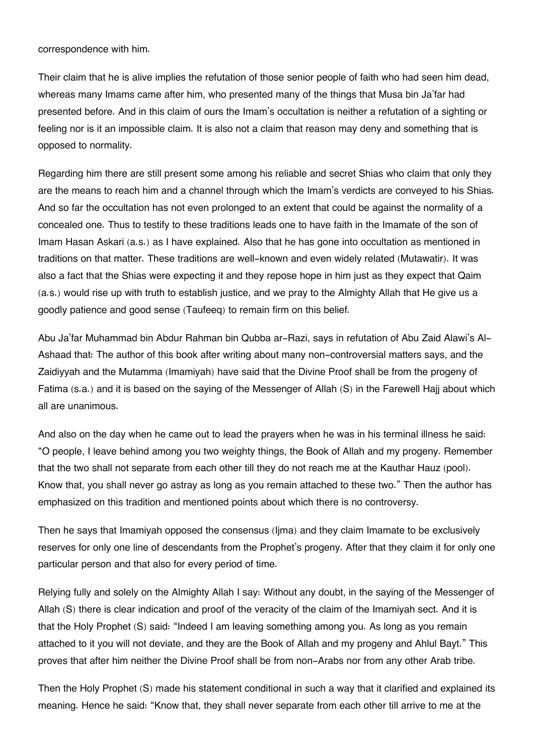correspondence with him.

Their claim that he is alive implies the refutation of those senior people of faith who had seen him dead, whereas many Imams came after him, who presented many of the things that Musa bin Ja'far had presented before. And in this claim of ours the Imam's occultation is neither a refutation of a sighting or feeling nor is it an impossible claim. It is also not a claim that reason may deny and something that is opposed to normality.

Regarding him there are still present some among his reliable and secret Shias who claim that only they are the means to reach him and a channel through which the Imam's verdicts are conveyed to his Shias. And so far the occultation has not even prolonged to an extent that could be against the normality of a concealed one. Thus to testify to these traditions leads one to have faith in the Imamate of the son of Imam Hasan Askari (a.s.) as I have explained. Also that he has gone into occultation as mentioned in traditions on that matter. These traditions are well-known and even widely related (Mutawatir). It was also a fact that the Shias were expecting it and they repose hope in him just as they expect that Qaim (a.s.) would rise up with truth to establish justice, and we pray to the Almighty Allah that He give us a goodly patience and good sense (Taufeeq) to remain firm on this belief.

Abu Ja'far Muhammad bin Abdur Rahman bin Qubba ar-Razi, says in refutation of Abu Zaid Alawi's Al-Ashaad that: The author of this book after writing about many non-controversial matters says, and the Zaidiyyah and the Mutamma (Imamiyah) have said that the Divine Proof shall be from the progeny of Fatima (s.a.) and it is based on the saying of the Messenger of Allah (S) in the Farewell Hajj about which all are unanimous.

And also on the day when he came out to lead the prayers when he was in his terminal illness he said: "O people, I leave behind among you two weighty things, the Book of Allah and my progeny. Remember that the two shall not separate from each other till they do not reach me at the Kauthar Hauz (pool). Know that, you shall never go astray as long as you remain attached to these two." Then the author has emphasized on this tradition and mentioned points about which there is no controversy.

Then he says that Imamiyah opposed the consensus (Ijma) and they claim Imamate to be exclusively reserves for only one line of descendants from the Prophet's progeny. After that they claim it for only one particular person and that also for every period of time.

Relying fully and solely on the Almighty Allah I say: Without any doubt, in the saying of the Messenger of Allah (S) there is clear indication and proof of the veracity of the claim of the Imamiyah sect. And it is that the Holy Prophet (S) said: "Indeed I am leaving something among you. As long as you remain attached to it you will not deviate, and they are the Book of Allah and my progeny and Ahlul Bayt." This proves that after him neither the Divine Proof shall be from non-Arabs nor from any other Arab tribe.

Then the Holy Prophet (S) made his statement conditional in such a way that it clarified and explained its meaning. Hence he said: "Know that, they shall never separate from each other till arrive to me at the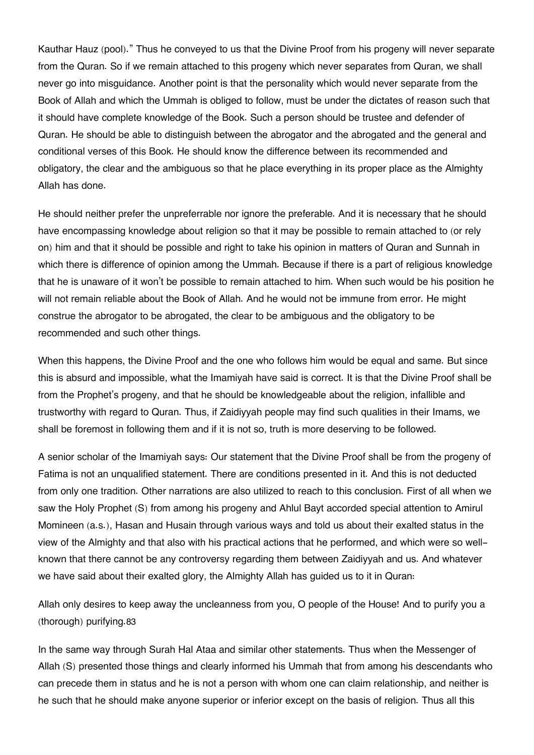Kauthar Hauz (pool)." Thus he conveyed to us that the Divine Proof from his progeny will never separate from the Quran. So if we remain attached to this progeny which never separates from Quran, we shall never go into misguidance. Another point is that the personality which would never separate from the Book of Allah and which the Ummah is obliged to follow, must be under the dictates of reason such that it should have complete knowledge of the Book. Such a person should be trustee and defender of Quran. He should be able to distinguish between the abrogator and the abrogated and the general and conditional verses of this Book. He should know the difference between its recommended and obligatory, the clear and the ambiguous so that he place everything in its proper place as the Almighty Allah has done.

He should neither prefer the unpreferrable nor ignore the preferable. And it is necessary that he should have encompassing knowledge about religion so that it may be possible to remain attached to (or rely on) him and that it should be possible and right to take his opinion in matters of Quran and Sunnah in which there is difference of opinion among the Ummah. Because if there is a part of religious knowledge that he is unaware of it won't be possible to remain attached to him. When such would be his position he will not remain reliable about the Book of Allah. And he would not be immune from error. He might construe the abrogator to be abrogated, the clear to be ambiguous and the obligatory to be recommended and such other things.

When this happens, the Divine Proof and the one who follows him would be equal and same. But since this is absurd and impossible, what the Imamiyah have said is correct. It is that the Divine Proof shall be from the Prophet's progeny, and that he should be knowledgeable about the religion, infallible and trustworthy with regard to Quran. Thus, if Zaidiyyah people may find such qualities in their Imams, we shall be foremost in following them and if it is not so, truth is more deserving to be followed.

A senior scholar of the Imamiyah says: Our statement that the Divine Proof shall be from the progeny of Fatima is not an unqualified statement. There are conditions presented in it. And this is not deducted from only one tradition. Other narrations are also utilized to reach to this conclusion. First of all when we saw the Holy Prophet (S) from among his progeny and Ahlul Bayt accorded special attention to Amirul Momineen (a.s.), Hasan and Husain through various ways and told us about their exalted status in the view of the Almighty and that also with his practical actions that he performed, and which were so wellknown that there cannot be any controversy regarding them between Zaidiyyah and us. And whatever we have said about their exalted glory, the Almighty Allah has guided us to it in Quran:

Allah only desires to keep away the uncleanness from you, O people of the House! And to purify you a (thorough) purifying.[83](#page--1-0)

In the same way through Surah Hal Ataa and similar other statements. Thus when the Messenger of Allah (S) presented those things and clearly informed his Ummah that from among his descendants who can precede them in status and he is not a person with whom one can claim relationship, and neither is he such that he should make anyone superior or inferior except on the basis of religion. Thus all this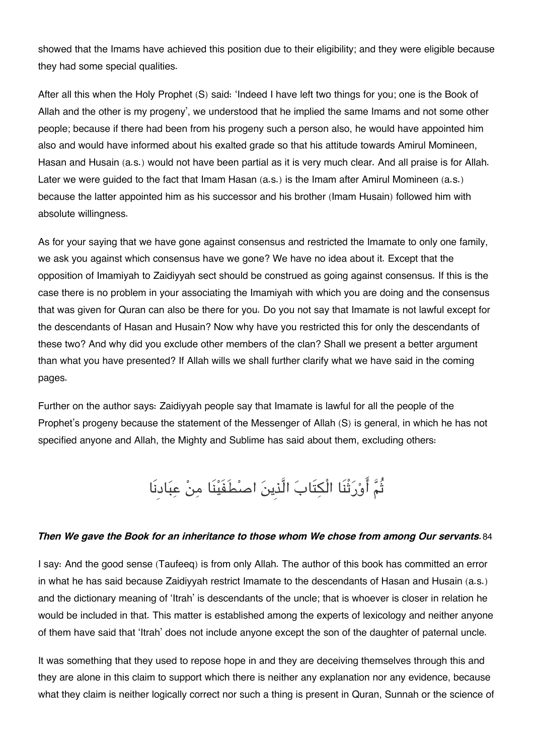showed that the Imams have achieved this position due to their eligibility; and they were eligible because they had some special qualities.

After all this when the Holy Prophet (S) said: 'Indeed I have left two things for you; one is the Book of Allah and the other is my progeny', we understood that he implied the same Imams and not some other people; because if there had been from his progeny such a person also, he would have appointed him also and would have informed about his exalted grade so that his attitude towards Amirul Momineen, Hasan and Husain (a.s.) would not have been partial as it is very much clear. And all praise is for Allah. Later we were guided to the fact that Imam Hasan (a.s.) is the Imam after Amirul Momineen (a.s.) because the latter appointed him as his successor and his brother (Imam Husain) followed him with absolute willingness.

As for your saying that we have gone against consensus and restricted the Imamate to only one family, we ask you against which consensus have we gone? We have no idea about it. Except that the opposition of Imamiyah to Zaidiyyah sect should be construed as going against consensus. If this is the case there is no problem in your associating the Imamiyah with which you are doing and the consensus that was given for Quran can also be there for you. Do you not say that Imamate is not lawful except for the descendants of Hasan and Husain? Now why have you restricted this for only the descendants of these two? And why did you exclude other members of the clan? Shall we present a better argument than what you have presented? If Allah wills we shall further clarify what we have said in the coming pages.

Further on the author says: Zaidiyyah people say that Imamate is lawful for all the people of the Prophet's progeny because the statement of the Messenger of Allah (S) is general, in which he has not specified anyone and Allah, the Mighty and Sublime has said about them, excluding others:

ثُم اورثْنَا الْتَاب الَّذِين اصطَفَينَا من عبادِنَا

### *Then We gave the Book for an inheritance to those whom We chose from among Our servants.*[84](#page--1-0)

I say: And the good sense (Taufeeq) is from only Allah. The author of this book has committed an error in what he has said because Zaidiyyah restrict Imamate to the descendants of Hasan and Husain (a.s.) and the dictionary meaning of 'Itrah' is descendants of the uncle; that is whoever is closer in relation he would be included in that. This matter is established among the experts of lexicology and neither anyone of them have said that 'Itrah' does not include anyone except the son of the daughter of paternal uncle.

It was something that they used to repose hope in and they are deceiving themselves through this and they are alone in this claim to support which there is neither any explanation nor any evidence, because what they claim is neither logically correct nor such a thing is present in Quran, Sunnah or the science of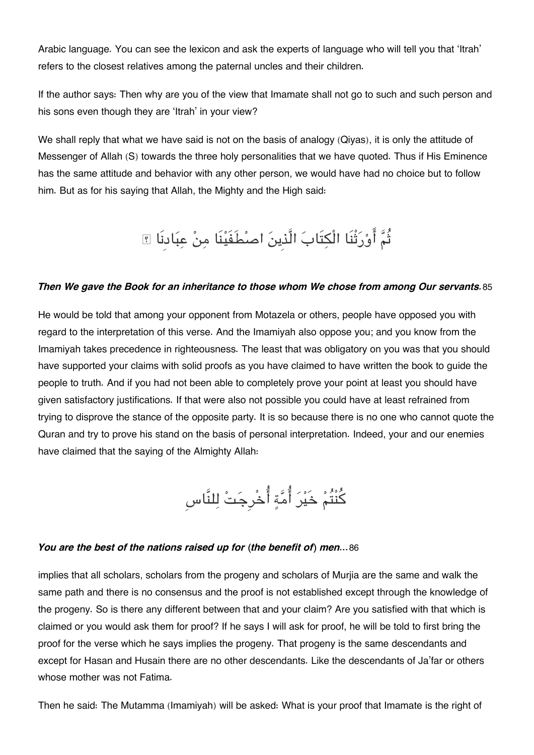Arabic language. You can see the lexicon and ask the experts of language who will tell you that 'Itrah' refers to the closest relatives among the paternal uncles and their children.

If the author says: Then why are you of the view that Imamate shall not go to such and such person and his sons even though they are 'Itrah' in your view?

We shall reply that what we have said is not on the basis of analogy (Qiyas), it is only the attitude of Messenger of Allah (S) towards the three holy personalities that we have quoted. Thus if His Eminence has the same attitude and behavior with any other person, we would have had no choice but to follow him. But as for his saying that Allah, the Mighty and the High said:

ثُم اورثْنَا الْتَاب الَّذِين اصطَفَينَا من عبادِنَا ۖ

### *Then We gave the Book for an inheritance to those whom We chose from among Our servants.*[85](#page--1-0)

He would be told that among your opponent from Motazela or others, people have opposed you with regard to the interpretation of this verse. And the Imamiyah also oppose you; and you know from the Imamiyah takes precedence in righteousness. The least that was obligatory on you was that you should have supported your claims with solid proofs as you have claimed to have written the book to guide the people to truth. And if you had not been able to completely prove your point at least you should have given satisfactory justifications. If that were also not possible you could have at least refrained from trying to disprove the stance of the opposite party. It is so because there is no one who cannot quote the Quran and try to prove his stand on the basis of personal interpretation. Indeed, your and our enemies have claimed that the saying of the Almighty Allah:

كُنْتُمْ خَيْرَ أُمَّةٍ أُخْرِجَتْ لِلنَّاسِ

### *You are the best of the nations raised up for (the benefit of) men…*[86](#page--1-0)

implies that all scholars, scholars from the progeny and scholars of Murjia are the same and walk the same path and there is no consensus and the proof is not established except through the knowledge of the progeny. So is there any different between that and your claim? Are you satisfied with that which is claimed or you would ask them for proof? If he says I will ask for proof, he will be told to first bring the proof for the verse which he says implies the progeny. That progeny is the same descendants and except for Hasan and Husain there are no other descendants. Like the descendants of Ja'far or others whose mother was not Fatima.

Then he said: The Mutamma (Imamiyah) will be asked: What is your proof that Imamate is the right of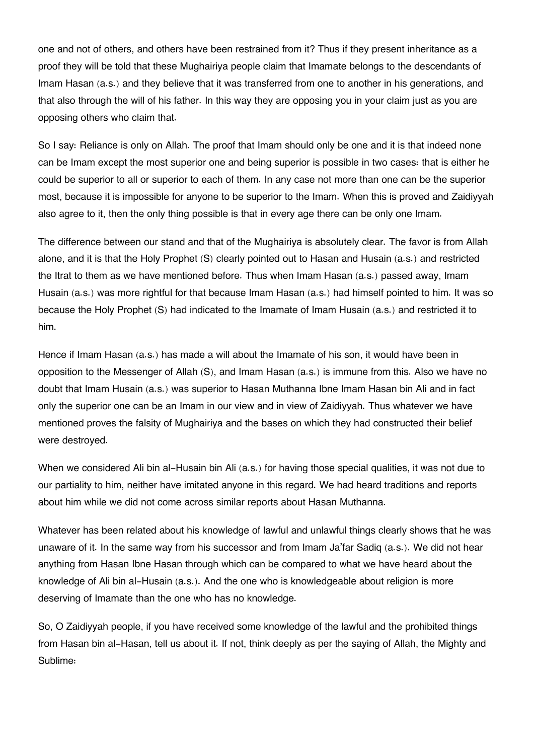one and not of others, and others have been restrained from it? Thus if they present inheritance as a proof they will be told that these Mughairiya people claim that Imamate belongs to the descendants of Imam Hasan (a.s.) and they believe that it was transferred from one to another in his generations, and that also through the will of his father. In this way they are opposing you in your claim just as you are opposing others who claim that.

So I say: Reliance is only on Allah. The proof that Imam should only be one and it is that indeed none can be Imam except the most superior one and being superior is possible in two cases: that is either he could be superior to all or superior to each of them. In any case not more than one can be the superior most, because it is impossible for anyone to be superior to the Imam. When this is proved and Zaidiyyah also agree to it, then the only thing possible is that in every age there can be only one Imam.

The difference between our stand and that of the Mughairiya is absolutely clear. The favor is from Allah alone, and it is that the Holy Prophet (S) clearly pointed out to Hasan and Husain (a.s.) and restricted the Itrat to them as we have mentioned before. Thus when Imam Hasan (a.s.) passed away, Imam Husain (a.s.) was more rightful for that because Imam Hasan (a.s.) had himself pointed to him. It was so because the Holy Prophet (S) had indicated to the Imamate of Imam Husain (a.s.) and restricted it to him.

Hence if Imam Hasan (a.s.) has made a will about the Imamate of his son, it would have been in opposition to the Messenger of Allah (S), and Imam Hasan (a.s.) is immune from this. Also we have no doubt that Imam Husain (a.s.) was superior to Hasan Muthanna Ibne Imam Hasan bin Ali and in fact only the superior one can be an Imam in our view and in view of Zaidiyyah. Thus whatever we have mentioned proves the falsity of Mughairiya and the bases on which they had constructed their belief were destroyed.

When we considered Ali bin al-Husain bin Ali (a.s.) for having those special qualities, it was not due to our partiality to him, neither have imitated anyone in this regard. We had heard traditions and reports about him while we did not come across similar reports about Hasan Muthanna.

Whatever has been related about his knowledge of lawful and unlawful things clearly shows that he was unaware of it. In the same way from his successor and from Imam Ja'far Sadiq (a.s.). We did not hear anything from Hasan Ibne Hasan through which can be compared to what we have heard about the knowledge of Ali bin al-Husain (a.s.). And the one who is knowledgeable about religion is more deserving of Imamate than the one who has no knowledge.

So, O Zaidiyyah people, if you have received some knowledge of the lawful and the prohibited things from Hasan bin al-Hasan, tell us about it. If not, think deeply as per the saying of Allah, the Mighty and Sublime: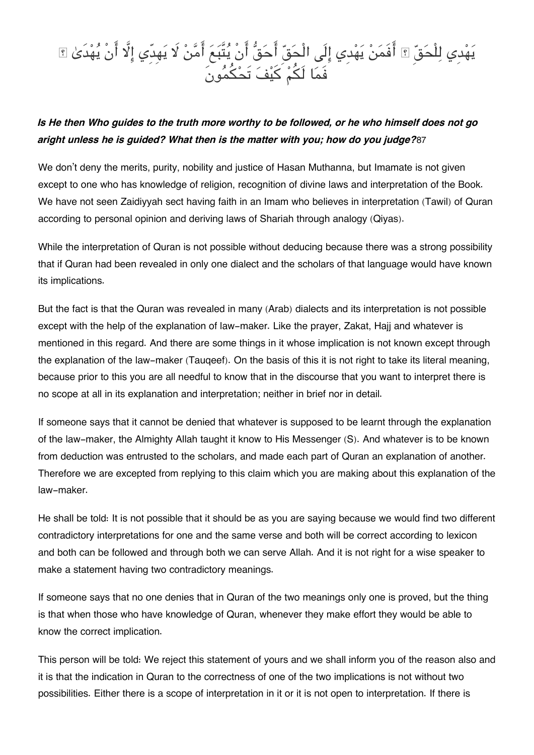

# *Is He then Who guides to the truth more worthy to be followed, or he who himself does not go aright unless he is guided? What then is the matter with you; how do you judge?*[87](#page--1-0)

We don't deny the merits, purity, nobility and justice of Hasan Muthanna, but Imamate is not given except to one who has knowledge of religion, recognition of divine laws and interpretation of the Book. We have not seen Zaidiyyah sect having faith in an Imam who believes in interpretation (Tawil) of Quran according to personal opinion and deriving laws of Shariah through analogy (Qiyas).

While the interpretation of Quran is not possible without deducing because there was a strong possibility that if Quran had been revealed in only one dialect and the scholars of that language would have known its implications.

But the fact is that the Quran was revealed in many (Arab) dialects and its interpretation is not possible except with the help of the explanation of law-maker. Like the prayer, Zakat, Hajj and whatever is mentioned in this regard. And there are some things in it whose implication is not known except through the explanation of the law-maker (Tauqeef). On the basis of this it is not right to take its literal meaning, because prior to this you are all needful to know that in the discourse that you want to interpret there is no scope at all in its explanation and interpretation; neither in brief nor in detail.

If someone says that it cannot be denied that whatever is supposed to be learnt through the explanation of the law-maker, the Almighty Allah taught it know to His Messenger (S). And whatever is to be known from deduction was entrusted to the scholars, and made each part of Quran an explanation of another. Therefore we are excepted from replying to this claim which you are making about this explanation of the law-maker.

He shall be told: It is not possible that it should be as you are saying because we would find two different contradictory interpretations for one and the same verse and both will be correct according to lexicon and both can be followed and through both we can serve Allah. And it is not right for a wise speaker to make a statement having two contradictory meanings.

If someone says that no one denies that in Quran of the two meanings only one is proved, but the thing is that when those who have knowledge of Quran, whenever they make effort they would be able to know the correct implication.

This person will be told: We reject this statement of yours and we shall inform you of the reason also and it is that the indication in Quran to the correctness of one of the two implications is not without two possibilities. Either there is a scope of interpretation in it or it is not open to interpretation. If there is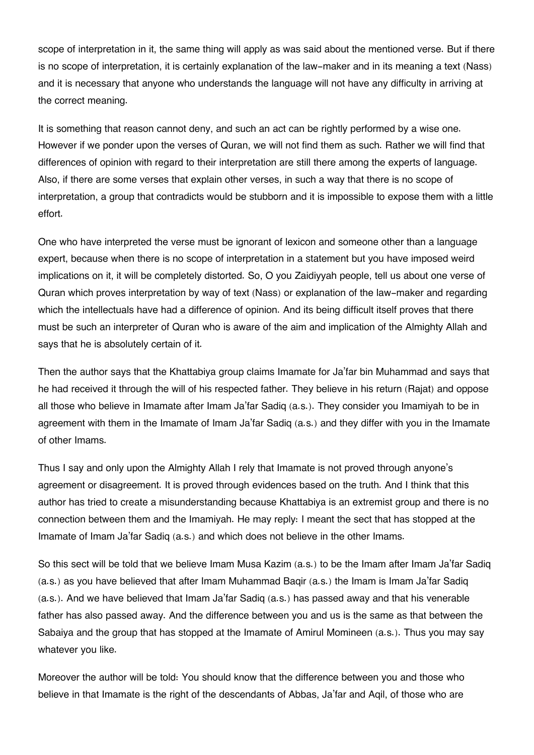scope of interpretation in it, the same thing will apply as was said about the mentioned verse. But if there is no scope of interpretation, it is certainly explanation of the law-maker and in its meaning a text (Nass) and it is necessary that anyone who understands the language will not have any difficulty in arriving at the correct meaning.

It is something that reason cannot deny, and such an act can be rightly performed by a wise one. However if we ponder upon the verses of Quran, we will not find them as such. Rather we will find that differences of opinion with regard to their interpretation are still there among the experts of language. Also, if there are some verses that explain other verses, in such a way that there is no scope of interpretation, a group that contradicts would be stubborn and it is impossible to expose them with a little effort.

One who have interpreted the verse must be ignorant of lexicon and someone other than a language expert, because when there is no scope of interpretation in a statement but you have imposed weird implications on it, it will be completely distorted. So, O you Zaidiyyah people, tell us about one verse of Quran which proves interpretation by way of text (Nass) or explanation of the law-maker and regarding which the intellectuals have had a difference of opinion. And its being difficult itself proves that there must be such an interpreter of Quran who is aware of the aim and implication of the Almighty Allah and says that he is absolutely certain of it.

Then the author says that the Khattabiya group claims Imamate for Ja'far bin Muhammad and says that he had received it through the will of his respected father. They believe in his return (Rajat) and oppose all those who believe in Imamate after Imam Ja'far Sadiq (a.s.). They consider you Imamiyah to be in agreement with them in the Imamate of Imam Ja'far Sadiq (a.s.) and they differ with you in the Imamate of other Imams.

Thus I say and only upon the Almighty Allah I rely that Imamate is not proved through anyone's agreement or disagreement. It is proved through evidences based on the truth. And I think that this author has tried to create a misunderstanding because Khattabiya is an extremist group and there is no connection between them and the Imamiyah. He may reply: I meant the sect that has stopped at the Imamate of Imam Ja'far Sadiq (a.s.) and which does not believe in the other Imams.

So this sect will be told that we believe Imam Musa Kazim (a.s.) to be the Imam after Imam Ja'far Sadiq (a.s.) as you have believed that after Imam Muhammad Baqir (a.s.) the Imam is Imam Ja'far Sadiq (a.s.). And we have believed that Imam Ja'far Sadiq (a.s.) has passed away and that his venerable father has also passed away. And the difference between you and us is the same as that between the Sabaiya and the group that has stopped at the Imamate of Amirul Momineen (a.s.). Thus you may say whatever you like.

Moreover the author will be told: You should know that the difference between you and those who believe in that Imamate is the right of the descendants of Abbas, Ja'far and Aqil, of those who are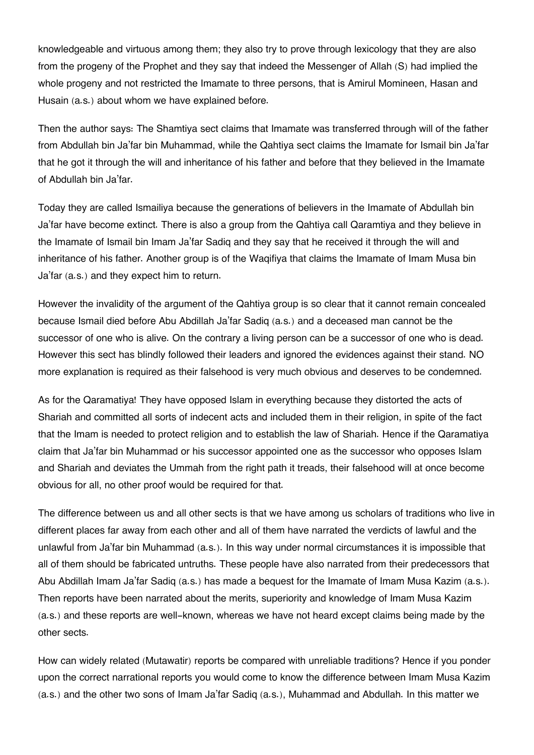knowledgeable and virtuous among them; they also try to prove through lexicology that they are also from the progeny of the Prophet and they say that indeed the Messenger of Allah (S) had implied the whole progeny and not restricted the Imamate to three persons, that is Amirul Momineen, Hasan and Husain (a.s.) about whom we have explained before.

Then the author says: The Shamtiya sect claims that Imamate was transferred through will of the father from Abdullah bin Ja'far bin Muhammad, while the Qahtiya sect claims the Imamate for Ismail bin Ja'far that he got it through the will and inheritance of his father and before that they believed in the Imamate of Abdullah bin Ja'far.

Today they are called Ismailiya because the generations of believers in the Imamate of Abdullah bin Ja'far have become extinct. There is also a group from the Qahtiya call Qaramtiya and they believe in the Imamate of Ismail bin Imam Ja'far Sadiq and they say that he received it through the will and inheritance of his father. Another group is of the Waqifiya that claims the Imamate of Imam Musa bin Ja'far (a.s.) and they expect him to return.

However the invalidity of the argument of the Qahtiya group is so clear that it cannot remain concealed because Ismail died before Abu Abdillah Ja'far Sadiq (a.s.) and a deceased man cannot be the successor of one who is alive. On the contrary a living person can be a successor of one who is dead. However this sect has blindly followed their leaders and ignored the evidences against their stand. NO more explanation is required as their falsehood is very much obvious and deserves to be condemned.

As for the Qaramatiya! They have opposed Islam in everything because they distorted the acts of Shariah and committed all sorts of indecent acts and included them in their religion, in spite of the fact that the Imam is needed to protect religion and to establish the law of Shariah. Hence if the Qaramatiya claim that Ja'far bin Muhammad or his successor appointed one as the successor who opposes Islam and Shariah and deviates the Ummah from the right path it treads, their falsehood will at once become obvious for all, no other proof would be required for that.

The difference between us and all other sects is that we have among us scholars of traditions who live in different places far away from each other and all of them have narrated the verdicts of lawful and the unlawful from Ja'far bin Muhammad (a.s.). In this way under normal circumstances it is impossible that all of them should be fabricated untruths. These people have also narrated from their predecessors that Abu Abdillah Imam Ja'far Sadiq (a.s.) has made a bequest for the Imamate of Imam Musa Kazim (a.s.). Then reports have been narrated about the merits, superiority and knowledge of Imam Musa Kazim (a.s.) and these reports are well-known, whereas we have not heard except claims being made by the other sects.

How can widely related (Mutawatir) reports be compared with unreliable traditions? Hence if you ponder upon the correct narrational reports you would come to know the difference between Imam Musa Kazim (a.s.) and the other two sons of Imam Ja'far Sadiq (a.s.), Muhammad and Abdullah. In this matter we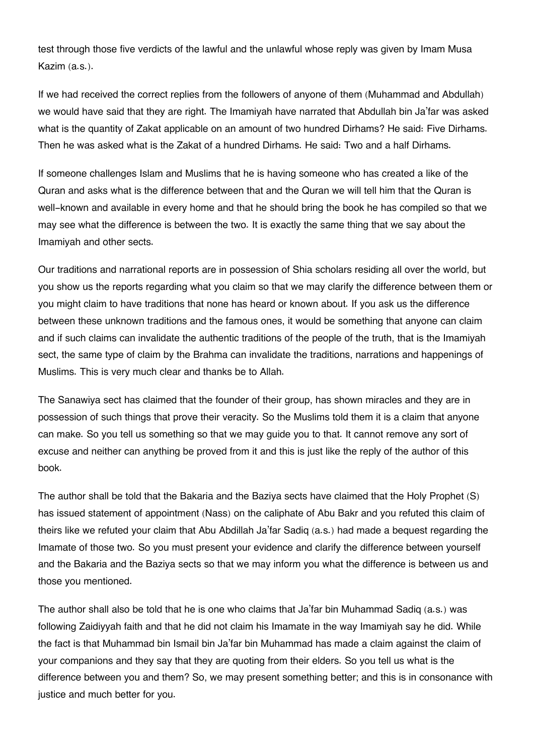test through those five verdicts of the lawful and the unlawful whose reply was given by Imam Musa Kazim (a.s.).

If we had received the correct replies from the followers of anyone of them (Muhammad and Abdullah) we would have said that they are right. The Imamiyah have narrated that Abdullah bin Ja'far was asked what is the quantity of Zakat applicable on an amount of two hundred Dirhams? He said: Five Dirhams. Then he was asked what is the Zakat of a hundred Dirhams. He said: Two and a half Dirhams.

If someone challenges Islam and Muslims that he is having someone who has created a like of the Quran and asks what is the difference between that and the Quran we will tell him that the Quran is well-known and available in every home and that he should bring the book he has compiled so that we may see what the difference is between the two. It is exactly the same thing that we say about the Imamiyah and other sects.

Our traditions and narrational reports are in possession of Shia scholars residing all over the world, but you show us the reports regarding what you claim so that we may clarify the difference between them or you might claim to have traditions that none has heard or known about. If you ask us the difference between these unknown traditions and the famous ones, it would be something that anyone can claim and if such claims can invalidate the authentic traditions of the people of the truth, that is the Imamiyah sect, the same type of claim by the Brahma can invalidate the traditions, narrations and happenings of Muslims. This is very much clear and thanks be to Allah.

The Sanawiya sect has claimed that the founder of their group, has shown miracles and they are in possession of such things that prove their veracity. So the Muslims told them it is a claim that anyone can make. So you tell us something so that we may guide you to that. It cannot remove any sort of excuse and neither can anything be proved from it and this is just like the reply of the author of this book.

The author shall be told that the Bakaria and the Baziya sects have claimed that the Holy Prophet (S) has issued statement of appointment (Nass) on the caliphate of Abu Bakr and you refuted this claim of theirs like we refuted your claim that Abu Abdillah Ja'far Sadiq (a.s.) had made a bequest regarding the Imamate of those two. So you must present your evidence and clarify the difference between yourself and the Bakaria and the Baziya sects so that we may inform you what the difference is between us and those you mentioned.

The author shall also be told that he is one who claims that Ja'far bin Muhammad Sadiq (a.s.) was following Zaidiyyah faith and that he did not claim his Imamate in the way Imamiyah say he did. While the fact is that Muhammad bin Ismail bin Ja'far bin Muhammad has made a claim against the claim of your companions and they say that they are quoting from their elders. So you tell us what is the difference between you and them? So, we may present something better; and this is in consonance with justice and much better for you.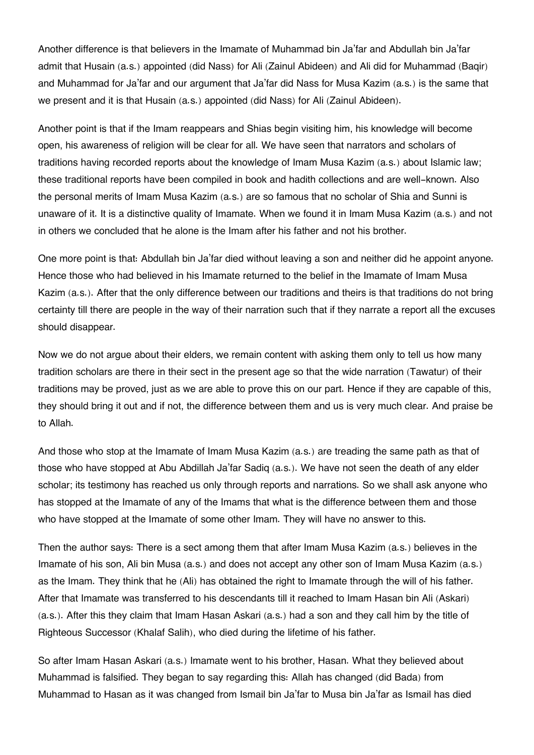Another difference is that believers in the Imamate of Muhammad bin Ja'far and Abdullah bin Ja'far admit that Husain (a.s.) appointed (did Nass) for Ali (Zainul Abideen) and Ali did for Muhammad (Baqir) and Muhammad for Ja'far and our argument that Ja'far did Nass for Musa Kazim (a.s.) is the same that we present and it is that Husain (a.s.) appointed (did Nass) for Ali (Zainul Abideen).

Another point is that if the Imam reappears and Shias begin visiting him, his knowledge will become open, his awareness of religion will be clear for all. We have seen that narrators and scholars of traditions having recorded reports about the knowledge of Imam Musa Kazim (a.s.) about Islamic law; these traditional reports have been compiled in book and hadith collections and are well-known. Also the personal merits of Imam Musa Kazim (a.s.) are so famous that no scholar of Shia and Sunni is unaware of it. It is a distinctive quality of Imamate. When we found it in Imam Musa Kazim (a.s.) and not in others we concluded that he alone is the Imam after his father and not his brother.

One more point is that: Abdullah bin Ja'far died without leaving a son and neither did he appoint anyone. Hence those who had believed in his Imamate returned to the belief in the Imamate of Imam Musa Kazim (a.s.). After that the only difference between our traditions and theirs is that traditions do not bring certainty till there are people in the way of their narration such that if they narrate a report all the excuses should disappear.

Now we do not argue about their elders, we remain content with asking them only to tell us how many tradition scholars are there in their sect in the present age so that the wide narration (Tawatur) of their traditions may be proved, just as we are able to prove this on our part. Hence if they are capable of this, they should bring it out and if not, the difference between them and us is very much clear. And praise be to Allah.

And those who stop at the Imamate of Imam Musa Kazim (a.s.) are treading the same path as that of those who have stopped at Abu Abdillah Ja'far Sadiq (a.s.). We have not seen the death of any elder scholar; its testimony has reached us only through reports and narrations. So we shall ask anyone who has stopped at the Imamate of any of the Imams that what is the difference between them and those who have stopped at the Imamate of some other Imam. They will have no answer to this.

Then the author says: There is a sect among them that after Imam Musa Kazim (a.s.) believes in the Imamate of his son, Ali bin Musa (a.s.) and does not accept any other son of Imam Musa Kazim (a.s.) as the Imam. They think that he (Ali) has obtained the right to Imamate through the will of his father. After that Imamate was transferred to his descendants till it reached to Imam Hasan bin Ali (Askari) (a.s.). After this they claim that Imam Hasan Askari (a.s.) had a son and they call him by the title of Righteous Successor (Khalaf Salih), who died during the lifetime of his father.

So after Imam Hasan Askari (a.s.) Imamate went to his brother, Hasan. What they believed about Muhammad is falsified. They began to say regarding this: Allah has changed (did Bada) from Muhammad to Hasan as it was changed from Ismail bin Ja'far to Musa bin Ja'far as Ismail has died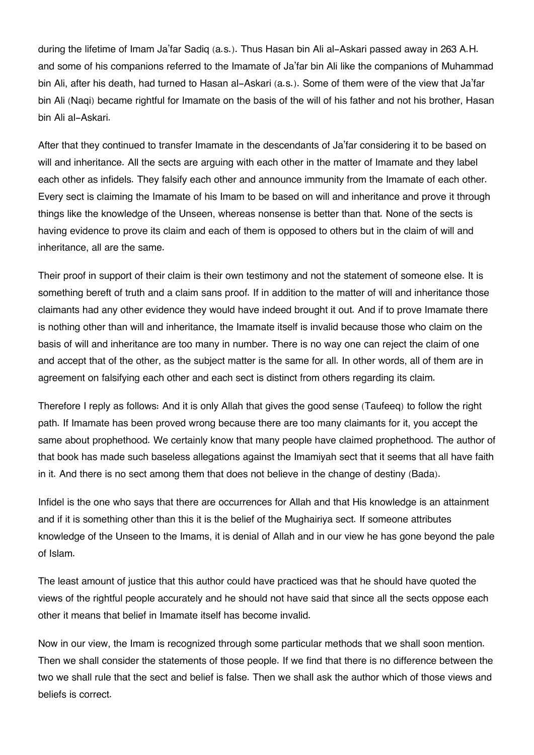during the lifetime of Imam Ja'far Sadiq (a.s.). Thus Hasan bin Ali al-Askari passed away in 263 A.H. and some of his companions referred to the Imamate of Ja'far bin Ali like the companions of Muhammad bin Ali, after his death, had turned to Hasan al-Askari (a.s.). Some of them were of the view that Ja'far bin Ali (Naqi) became rightful for Imamate on the basis of the will of his father and not his brother, Hasan bin Ali al-Askari.

After that they continued to transfer Imamate in the descendants of Ja'far considering it to be based on will and inheritance. All the sects are arguing with each other in the matter of Imamate and they label each other as infidels. They falsify each other and announce immunity from the Imamate of each other. Every sect is claiming the Imamate of his Imam to be based on will and inheritance and prove it through things like the knowledge of the Unseen, whereas nonsense is better than that. None of the sects is having evidence to prove its claim and each of them is opposed to others but in the claim of will and inheritance, all are the same.

Their proof in support of their claim is their own testimony and not the statement of someone else. It is something bereft of truth and a claim sans proof. If in addition to the matter of will and inheritance those claimants had any other evidence they would have indeed brought it out. And if to prove Imamate there is nothing other than will and inheritance, the Imamate itself is invalid because those who claim on the basis of will and inheritance are too many in number. There is no way one can reject the claim of one and accept that of the other, as the subject matter is the same for all. In other words, all of them are in agreement on falsifying each other and each sect is distinct from others regarding its claim.

Therefore I reply as follows: And it is only Allah that gives the good sense (Taufeeq) to follow the right path. If Imamate has been proved wrong because there are too many claimants for it, you accept the same about prophethood. We certainly know that many people have claimed prophethood. The author of that book has made such baseless allegations against the Imamiyah sect that it seems that all have faith in it. And there is no sect among them that does not believe in the change of destiny (Bada).

Infidel is the one who says that there are occurrences for Allah and that His knowledge is an attainment and if it is something other than this it is the belief of the Mughairiya sect. If someone attributes knowledge of the Unseen to the Imams, it is denial of Allah and in our view he has gone beyond the pale of Islam.

The least amount of justice that this author could have practiced was that he should have quoted the views of the rightful people accurately and he should not have said that since all the sects oppose each other it means that belief in Imamate itself has become invalid.

Now in our view, the Imam is recognized through some particular methods that we shall soon mention. Then we shall consider the statements of those people. If we find that there is no difference between the two we shall rule that the sect and belief is false. Then we shall ask the author which of those views and beliefs is correct.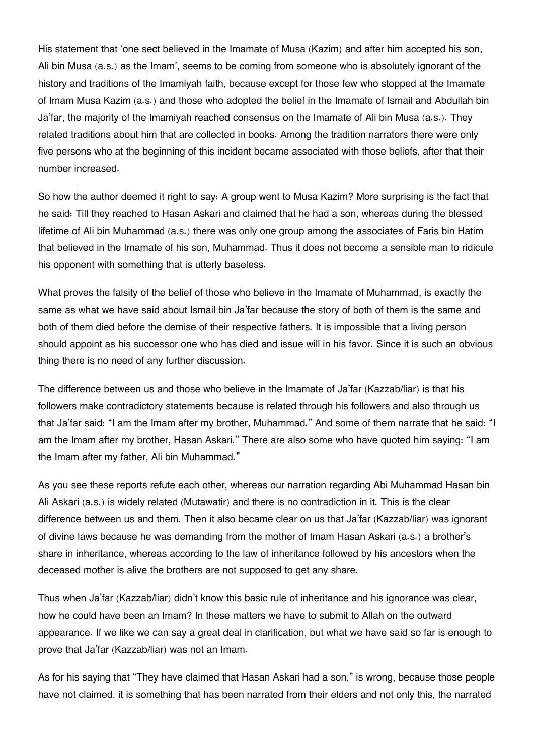His statement that 'one sect believed in the Imamate of Musa (Kazim) and after him accepted his son, Ali bin Musa (a.s.) as the Imam', seems to be coming from someone who is absolutely ignorant of the history and traditions of the Imamiyah faith, because except for those few who stopped at the Imamate of Imam Musa Kazim (a.s.) and those who adopted the belief in the Imamate of Ismail and Abdullah bin Ja'far, the majority of the Imamiyah reached consensus on the Imamate of Ali bin Musa (a.s.). They related traditions about him that are collected in books. Among the tradition narrators there were only five persons who at the beginning of this incident became associated with those beliefs, after that their number increased.

So how the author deemed it right to say: A group went to Musa Kazim? More surprising is the fact that he said: Till they reached to Hasan Askari and claimed that he had a son, whereas during the blessed lifetime of Ali bin Muhammad (a.s.) there was only one group among the associates of Faris bin Hatim that believed in the Imamate of his son, Muhammad. Thus it does not become a sensible man to ridicule his opponent with something that is utterly baseless.

What proves the falsity of the belief of those who believe in the Imamate of Muhammad, is exactly the same as what we have said about Ismail bin Ja'far because the story of both of them is the same and both of them died before the demise of their respective fathers. It is impossible that a living person should appoint as his successor one who has died and issue will in his favor. Since it is such an obvious thing there is no need of any further discussion.

The difference between us and those who believe in the Imamate of Ja'far (Kazzab/liar) is that his followers make contradictory statements because is related through his followers and also through us that Ja'far said: "I am the Imam after my brother, Muhammad." And some of them narrate that he said: "I am the Imam after my brother, Hasan Askari." There are also some who have quoted him saying: "I am the Imam after my father, Ali bin Muhammad."

As you see these reports refute each other, whereas our narration regarding Abi Muhammad Hasan bin Ali Askari (a.s.) is widely related (Mutawatir) and there is no contradiction in it. This is the clear difference between us and them. Then it also became clear on us that Ja'far (Kazzab/liar) was ignorant of divine laws because he was demanding from the mother of Imam Hasan Askari (a.s.) a brother's share in inheritance, whereas according to the law of inheritance followed by his ancestors when the deceased mother is alive the brothers are not supposed to get any share.

Thus when Ja'far (Kazzab/liar) didn't know this basic rule of inheritance and his ignorance was clear, how he could have been an Imam? In these matters we have to submit to Allah on the outward appearance. If we like we can say a great deal in clarification, but what we have said so far is enough to prove that Ja'far (Kazzab/liar) was not an Imam.

As for his saying that "They have claimed that Hasan Askari had a son," is wrong, because those people have not claimed, it is something that has been narrated from their elders and not only this, the narrated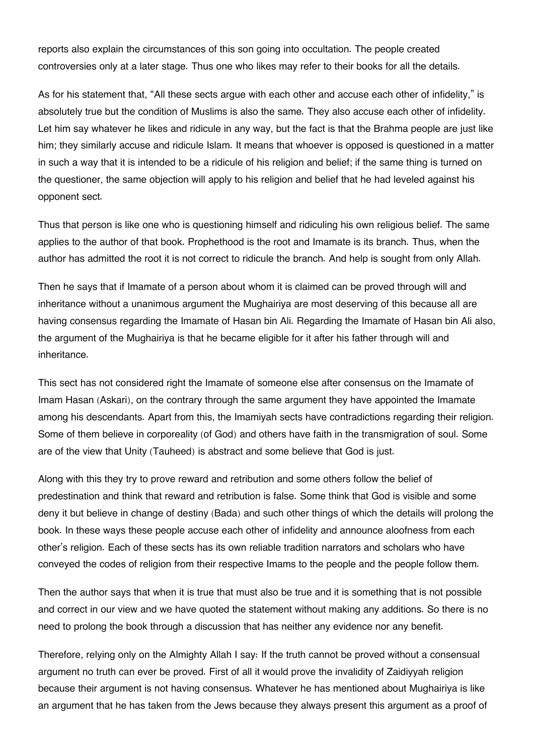reports also explain the circumstances of this son going into occultation. The people created controversies only at a later stage. Thus one who likes may refer to their books for all the details.

As for his statement that, "All these sects argue with each other and accuse each other of infidelity," is absolutely true but the condition of Muslims is also the same. They also accuse each other of infidelity. Let him say whatever he likes and ridicule in any way, but the fact is that the Brahma people are just like him; they similarly accuse and ridicule Islam. It means that whoever is opposed is questioned in a matter in such a way that it is intended to be a ridicule of his religion and belief; if the same thing is turned on the questioner, the same objection will apply to his religion and belief that he had leveled against his opponent sect.

Thus that person is like one who is questioning himself and ridiculing his own religious belief. The same applies to the author of that book. Prophethood is the root and Imamate is its branch. Thus, when the author has admitted the root it is not correct to ridicule the branch. And help is sought from only Allah.

Then he says that if Imamate of a person about whom it is claimed can be proved through will and inheritance without a unanimous argument the Mughairiya are most deserving of this because all are having consensus regarding the Imamate of Hasan bin Ali. Regarding the Imamate of Hasan bin Ali also, the argument of the Mughairiya is that he became eligible for it after his father through will and inheritance.

This sect has not considered right the Imamate of someone else after consensus on the Imamate of Imam Hasan (Askari), on the contrary through the same argument they have appointed the Imamate among his descendants. Apart from this, the Imamiyah sects have contradictions regarding their religion. Some of them believe in corporeality (of God) and others have faith in the transmigration of soul. Some are of the view that Unity (Tauheed) is abstract and some believe that God is just.

Along with this they try to prove reward and retribution and some others follow the belief of predestination and think that reward and retribution is false. Some think that God is visible and some deny it but believe in change of destiny (Bada) and such other things of which the details will prolong the book. In these ways these people accuse each other of infidelity and announce aloofness from each other's religion. Each of these sects has its own reliable tradition narrators and scholars who have conveyed the codes of religion from their respective Imams to the people and the people follow them.

Then the author says that when it is true that must also be true and it is something that is not possible and correct in our view and we have quoted the statement without making any additions. So there is no need to prolong the book through a discussion that has neither any evidence nor any benefit.

Therefore, relying only on the Almighty Allah I say: If the truth cannot be proved without a consensual argument no truth can ever be proved. First of all it would prove the invalidity of Zaidiyyah religion because their argument is not having consensus. Whatever he has mentioned about Mughairiya is like an argument that he has taken from the Jews because they always present this argument as a proof of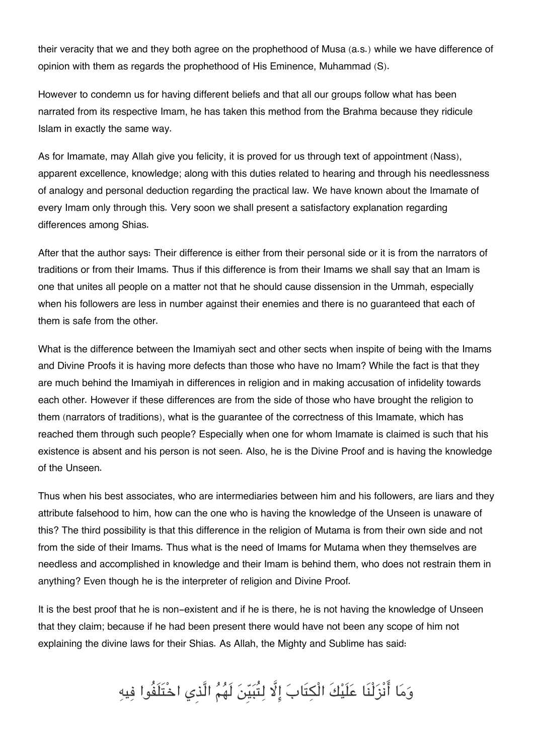their veracity that we and they both agree on the prophethood of Musa (a.s.) while we have difference of opinion with them as regards the prophethood of His Eminence, Muhammad (S).

However to condemn us for having different beliefs and that all our groups follow what has been narrated from its respective Imam, he has taken this method from the Brahma because they ridicule Islam in exactly the same way.

As for Imamate, may Allah give you felicity, it is proved for us through text of appointment (Nass), apparent excellence, knowledge; along with this duties related to hearing and through his needlessness of analogy and personal deduction regarding the practical law. We have known about the Imamate of every Imam only through this. Very soon we shall present a satisfactory explanation regarding differences among Shias.

After that the author says: Their difference is either from their personal side or it is from the narrators of traditions or from their Imams. Thus if this difference is from their Imams we shall say that an Imam is one that unites all people on a matter not that he should cause dissension in the Ummah, especially when his followers are less in number against their enemies and there is no guaranteed that each of them is safe from the other.

What is the difference between the Imamiyah sect and other sects when inspite of being with the Imams and Divine Proofs it is having more defects than those who have no Imam? While the fact is that they are much behind the Imamiyah in differences in religion and in making accusation of infidelity towards each other. However if these differences are from the side of those who have brought the religion to them (narrators of traditions), what is the guarantee of the correctness of this Imamate, which has reached them through such people? Especially when one for whom Imamate is claimed is such that his existence is absent and his person is not seen. Also, he is the Divine Proof and is having the knowledge of the Unseen.

Thus when his best associates, who are intermediaries between him and his followers, are liars and they attribute falsehood to him, how can the one who is having the knowledge of the Unseen is unaware of this? The third possibility is that this difference in the religion of Mutama is from their own side and not from the side of their Imams. Thus what is the need of Imams for Mutama when they themselves are needless and accomplished in knowledge and their Imam is behind them, who does not restrain them in anything? Even though he is the interpreter of religion and Divine Proof.

It is the best proof that he is non-existent and if he is there, he is not having the knowledge of Unseen that they claim; because if he had been present there would have not been any scope of him not explaining the divine laws for their Shias. As Allah, the Mighty and Sublime has said:

وما انْزلْنَا علَيكَ الْتَاب ا لتُبيِن لَهم الَّذِي اخْتَلَفُوا فيه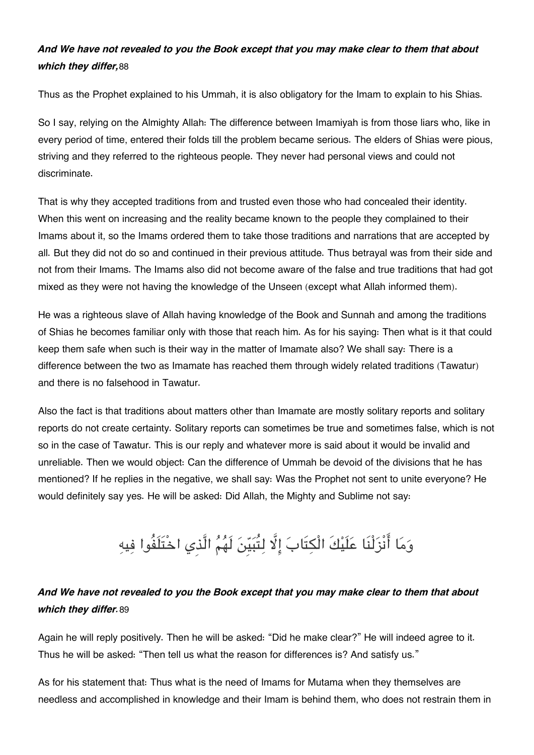### *And We have not revealed to you the Book except that you may make clear to them that about which they differ,*[88](#page--1-0)

Thus as the Prophet explained to his Ummah, it is also obligatory for the Imam to explain to his Shias.

So I say, relying on the Almighty Allah: The difference between Imamiyah is from those liars who, like in every period of time, entered their folds till the problem became serious. The elders of Shias were pious, striving and they referred to the righteous people. They never had personal views and could not discriminate.

That is why they accepted traditions from and trusted even those who had concealed their identity. When this went on increasing and the reality became known to the people they complained to their Imams about it, so the Imams ordered them to take those traditions and narrations that are accepted by all. But they did not do so and continued in their previous attitude. Thus betrayal was from their side and not from their Imams. The Imams also did not become aware of the false and true traditions that had got mixed as they were not having the knowledge of the Unseen (except what Allah informed them).

He was a righteous slave of Allah having knowledge of the Book and Sunnah and among the traditions of Shias he becomes familiar only with those that reach him. As for his saying: Then what is it that could keep them safe when such is their way in the matter of Imamate also? We shall say: There is a difference between the two as Imamate has reached them through widely related traditions (Tawatur) and there is no falsehood in Tawatur.

Also the fact is that traditions about matters other than Imamate are mostly solitary reports and solitary reports do not create certainty. Solitary reports can sometimes be true and sometimes false, which is not so in the case of Tawatur. This is our reply and whatever more is said about it would be invalid and unreliable. Then we would object: Can the difference of Ummah be devoid of the divisions that he has mentioned? If he replies in the negative, we shall say: Was the Prophet not sent to unite everyone? He would definitely say yes. He will be asked: Did Allah, the Mighty and Sublime not say:

# وما انْزلْنَا علَيكَ الْتَاب ا لتُبيِن لَهم الَّذِي اخْتَلَفُوا فيه

### *And We have not revealed to you the Book except that you may make clear to them that about which they differ.*[89](#page--1-0)

Again he will reply positively. Then he will be asked: "Did he make clear?" He will indeed agree to it. Thus he will be asked: "Then tell us what the reason for differences is? And satisfy us."

As for his statement that: Thus what is the need of Imams for Mutama when they themselves are needless and accomplished in knowledge and their Imam is behind them, who does not restrain them in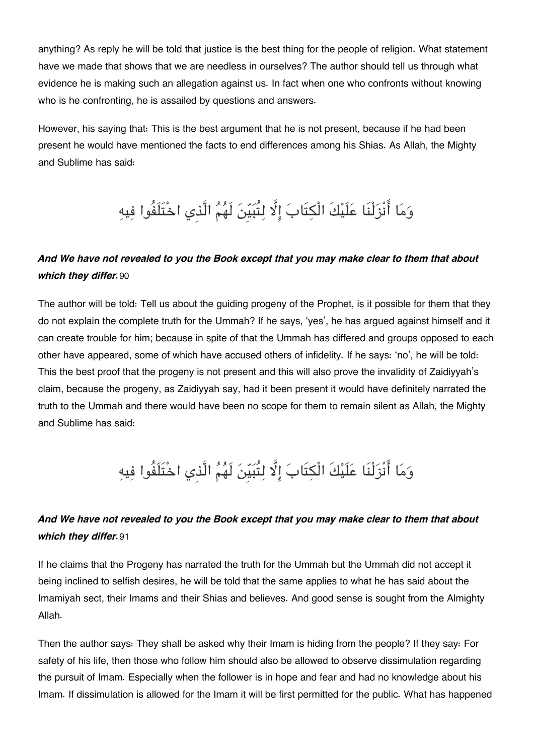anything? As reply he will be told that justice is the best thing for the people of religion. What statement have we made that shows that we are needless in ourselves? The author should tell us through what evidence he is making such an allegation against us. In fact when one who confronts without knowing who is he confronting, he is assailed by questions and answers.

However, his saying that: This is the best argument that he is not present, because if he had been present he would have mentioned the facts to end differences among his Shias. As Allah, the Mighty and Sublime has said:

## وَمَا أَنْزَلْنَا عَلَيْكَ الْكِتَابَ إِلَّا لِتُبَيِّنَ لَهُمُ الَّذِي اخْتَلَفُوا فِيهِ

### *And We have not revealed to you the Book except that you may make clear to them that about which they differ.*[90](#page--1-0)

The author will be told: Tell us about the guiding progeny of the Prophet, is it possible for them that they do not explain the complete truth for the Ummah? If he says, 'yes', he has argued against himself and it can create trouble for him; because in spite of that the Ummah has differed and groups opposed to each other have appeared, some of which have accused others of infidelity. If he says: 'no', he will be told: This the best proof that the progeny is not present and this will also prove the invalidity of Zaidiyyah's claim, because the progeny, as Zaidiyyah say, had it been present it would have definitely narrated the truth to the Ummah and there would have been no scope for them to remain silent as Allah, the Mighty and Sublime has said:

## وما انْزلْنَا علَيكَ الْتَاب ا لتُبيِن لَهم الَّذِي اخْتَلَفُوا فيه

### *And We have not revealed to you the Book except that you may make clear to them that about which they differ.*[91](#page--1-0)

If he claims that the Progeny has narrated the truth for the Ummah but the Ummah did not accept it being inclined to selfish desires, he will be told that the same applies to what he has said about the Imamiyah sect, their Imams and their Shias and believes. And good sense is sought from the Almighty Allah.

Then the author says: They shall be asked why their Imam is hiding from the people? If they say: For safety of his life, then those who follow him should also be allowed to observe dissimulation regarding the pursuit of Imam. Especially when the follower is in hope and fear and had no knowledge about his Imam. If dissimulation is allowed for the Imam it will be first permitted for the public. What has happened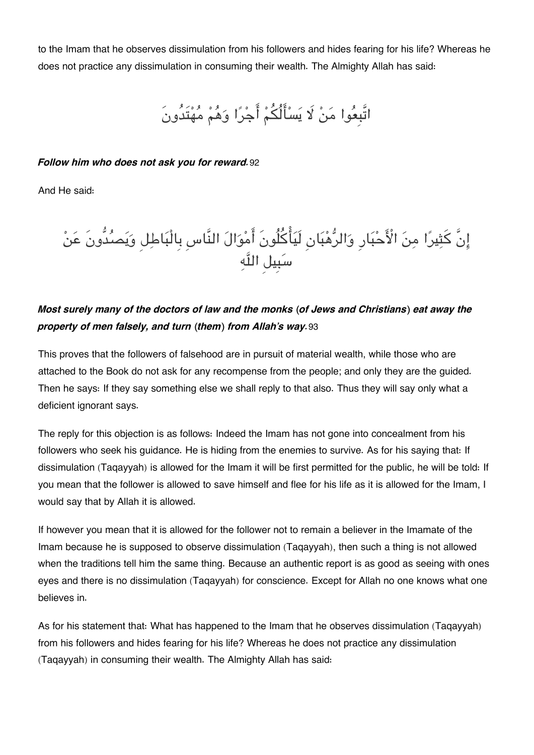to the Imam that he observes dissimulation from his followers and hides fearing for his life? Whereas he does not practice any dissimulation in consuming their wealth. The Almighty Allah has said:

اتَّبِعوا من يسالُم اجرا وهم مهتَدُونَ

#### *Follow him who does not ask you for reward.*[92](#page--1-0)

And He said:

إِنَّ كَثِيرًا مِنَ الْأَحْبَارِ وَالرُّهْبَانِ لَيَأْكُلُونَ أَمْوَالَ النَّاسِ بِالْبَاطِلِ وَيَصُدُّونَ عَنْ سَبِيلِ اللَّهِ

### *Most surely many of the doctors of law and the monks (of Jews and Christians) eat away the property of men falsely, and turn (them) from Allah's way.*[93](#page--1-0)

This proves that the followers of falsehood are in pursuit of material wealth, while those who are attached to the Book do not ask for any recompense from the people; and only they are the guided. Then he says: If they say something else we shall reply to that also. Thus they will say only what a deficient ignorant says.

The reply for this objection is as follows: Indeed the Imam has not gone into concealment from his followers who seek his guidance. He is hiding from the enemies to survive. As for his saying that: If dissimulation (Taqayyah) is allowed for the Imam it will be first permitted for the public, he will be told: If you mean that the follower is allowed to save himself and flee for his life as it is allowed for the Imam, I would say that by Allah it is allowed.

If however you mean that it is allowed for the follower not to remain a believer in the Imamate of the Imam because he is supposed to observe dissimulation (Taqayyah), then such a thing is not allowed when the traditions tell him the same thing. Because an authentic report is as good as seeing with ones eyes and there is no dissimulation (Taqayyah) for conscience. Except for Allah no one knows what one believes in.

As for his statement that: What has happened to the Imam that he observes dissimulation (Taqayyah) from his followers and hides fearing for his life? Whereas he does not practice any dissimulation (Taqayyah) in consuming their wealth. The Almighty Allah has said: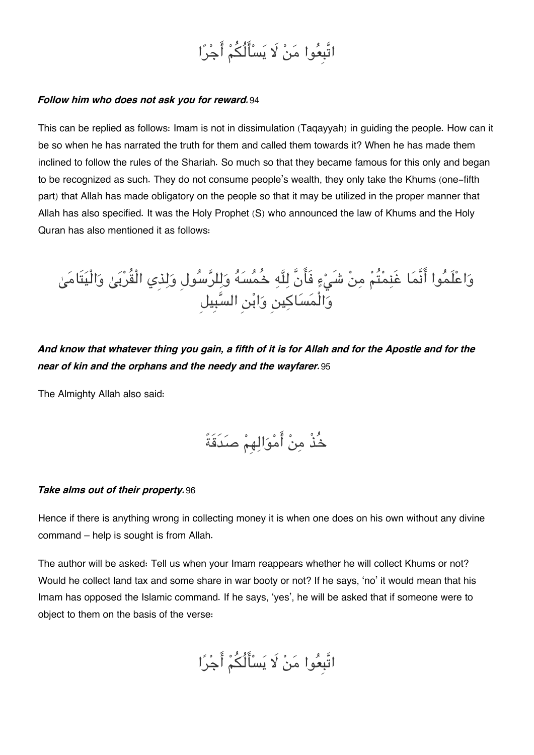# اتَّبِعُوا مَنْ لَا يَسْأَلُكُمْ أَجْرًا

#### *Follow him who does not ask you for reward.*[94](#page--1-0)

This can be replied as follows: Imam is not in dissimulation (Taqayyah) in guiding the people. How can it be so when he has narrated the truth for them and called them towards it? When he has made them inclined to follow the rules of the Shariah. So much so that they became famous for this only and began to be recognized as such. They do not consume people's wealth, they only take the Khums (one-fifth part) that Allah has made obligatory on the people so that it may be utilized in the proper manner that Allah has also specified. It was the Holy Prophet (S) who announced the law of Khums and the Holy Quran has also mentioned it as follows:

وَاعْلَمُوا أَنَّمَا غَنِمْتُمْ مِنْ شَيْءٍ فَأَنَّ لِلَّهِ خُمُسَهُ وَلِلرَّسُولِ وَلِذِي الْقُرْبَىٰ وَالْيَتَامَىٰ والْمساكين وابن السبِيل

*And know that whatever thing you gain, a fifth of it is for Allah and for the Apostle and for the near of kin and the orphans and the needy and the wayfarer.*[95](#page--1-0)

The Almighty Allah also said:

خُذْ من اموالهِم صدَقَةً

#### *Take alms out of their property.*[96](#page--1-0)

Hence if there is anything wrong in collecting money it is when one does on his own without any divine command – help is sought is from Allah.

The author will be asked: Tell us when your Imam reappears whether he will collect Khums or not? Would he collect land tax and some share in war booty or not? If he says, 'no' it would mean that his Imam has opposed the Islamic command. If he says, 'yes', he will be asked that if someone were to object to them on the basis of the verse:

اتَّبِعُوا مَنْ لَا يَسْأَلُكُمْ أَجْرًا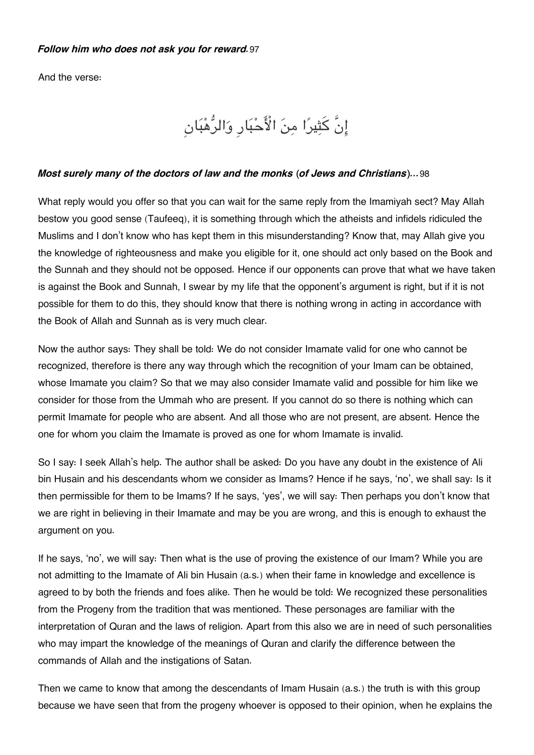#### *Follow him who does not ask you for reward.*[97](#page--1-0)

And the verse:

إنَّ كَثِيرًا مِنَ الْأَحْبَارِ وَالرُّهْبَانِ

#### *Most surely many of the doctors of law and the monks (of Jews and Christians)…*[98](#page--1-0)

What reply would you offer so that you can wait for the same reply from the Imamiyah sect? May Allah bestow you good sense (Taufeeq), it is something through which the atheists and infidels ridiculed the Muslims and I don't know who has kept them in this misunderstanding? Know that, may Allah give you the knowledge of righteousness and make you eligible for it, one should act only based on the Book and the Sunnah and they should not be opposed. Hence if our opponents can prove that what we have taken is against the Book and Sunnah, I swear by my life that the opponent's argument is right, but if it is not possible for them to do this, they should know that there is nothing wrong in acting in accordance with the Book of Allah and Sunnah as is very much clear.

Now the author says: They shall be told: We do not consider Imamate valid for one who cannot be recognized, therefore is there any way through which the recognition of your Imam can be obtained, whose Imamate you claim? So that we may also consider Imamate valid and possible for him like we consider for those from the Ummah who are present. If you cannot do so there is nothing which can permit Imamate for people who are absent. And all those who are not present, are absent. Hence the one for whom you claim the Imamate is proved as one for whom Imamate is invalid.

So I say: I seek Allah's help. The author shall be asked: Do you have any doubt in the existence of Ali bin Husain and his descendants whom we consider as Imams? Hence if he says, 'no', we shall say: Is it then permissible for them to be Imams? If he says, 'yes', we will say: Then perhaps you don't know that we are right in believing in their Imamate and may be you are wrong, and this is enough to exhaust the argument on you.

If he says, 'no', we will say: Then what is the use of proving the existence of our Imam? While you are not admitting to the Imamate of Ali bin Husain (a.s.) when their fame in knowledge and excellence is agreed to by both the friends and foes alike. Then he would be told: We recognized these personalities from the Progeny from the tradition that was mentioned. These personages are familiar with the interpretation of Quran and the laws of religion. Apart from this also we are in need of such personalities who may impart the knowledge of the meanings of Quran and clarify the difference between the commands of Allah and the instigations of Satan.

Then we came to know that among the descendants of Imam Husain (a.s.) the truth is with this group because we have seen that from the progeny whoever is opposed to their opinion, when he explains the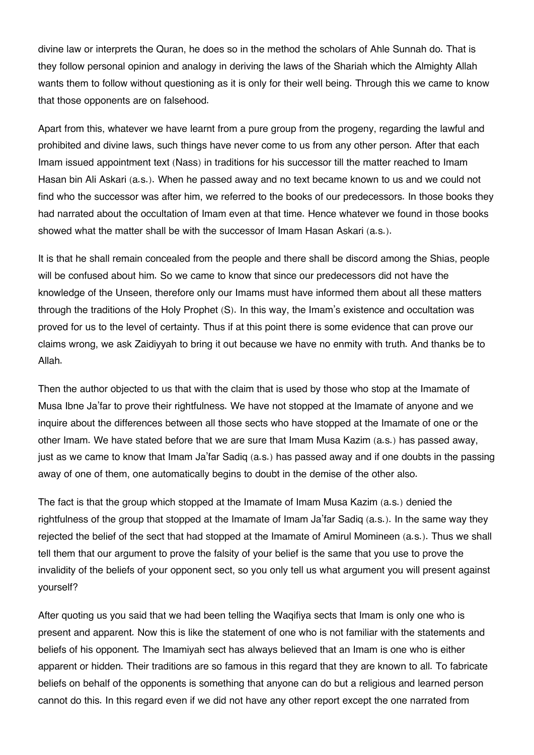divine law or interprets the Quran, he does so in the method the scholars of Ahle Sunnah do. That is they follow personal opinion and analogy in deriving the laws of the Shariah which the Almighty Allah wants them to follow without questioning as it is only for their well being. Through this we came to know that those opponents are on falsehood.

Apart from this, whatever we have learnt from a pure group from the progeny, regarding the lawful and prohibited and divine laws, such things have never come to us from any other person. After that each Imam issued appointment text (Nass) in traditions for his successor till the matter reached to Imam Hasan bin Ali Askari (a.s.). When he passed away and no text became known to us and we could not find who the successor was after him, we referred to the books of our predecessors. In those books they had narrated about the occultation of Imam even at that time. Hence whatever we found in those books showed what the matter shall be with the successor of Imam Hasan Askari (a.s.).

It is that he shall remain concealed from the people and there shall be discord among the Shias, people will be confused about him. So we came to know that since our predecessors did not have the knowledge of the Unseen, therefore only our Imams must have informed them about all these matters through the traditions of the Holy Prophet (S). In this way, the Imam's existence and occultation was proved for us to the level of certainty. Thus if at this point there is some evidence that can prove our claims wrong, we ask Zaidiyyah to bring it out because we have no enmity with truth. And thanks be to Allah.

Then the author objected to us that with the claim that is used by those who stop at the Imamate of Musa Ibne Ja'far to prove their rightfulness. We have not stopped at the Imamate of anyone and we inquire about the differences between all those sects who have stopped at the Imamate of one or the other Imam. We have stated before that we are sure that Imam Musa Kazim (a.s.) has passed away, just as we came to know that Imam Ja'far Sadiq (a.s.) has passed away and if one doubts in the passing away of one of them, one automatically begins to doubt in the demise of the other also.

The fact is that the group which stopped at the Imamate of Imam Musa Kazim (a.s.) denied the rightfulness of the group that stopped at the Imamate of Imam Ja'far Sadiq (a.s.). In the same way they rejected the belief of the sect that had stopped at the Imamate of Amirul Momineen (a.s.). Thus we shall tell them that our argument to prove the falsity of your belief is the same that you use to prove the invalidity of the beliefs of your opponent sect, so you only tell us what argument you will present against yourself?

After quoting us you said that we had been telling the Waqifiya sects that Imam is only one who is present and apparent. Now this is like the statement of one who is not familiar with the statements and beliefs of his opponent. The Imamiyah sect has always believed that an Imam is one who is either apparent or hidden. Their traditions are so famous in this regard that they are known to all. To fabricate beliefs on behalf of the opponents is something that anyone can do but a religious and learned person cannot do this. In this regard even if we did not have any other report except the one narrated from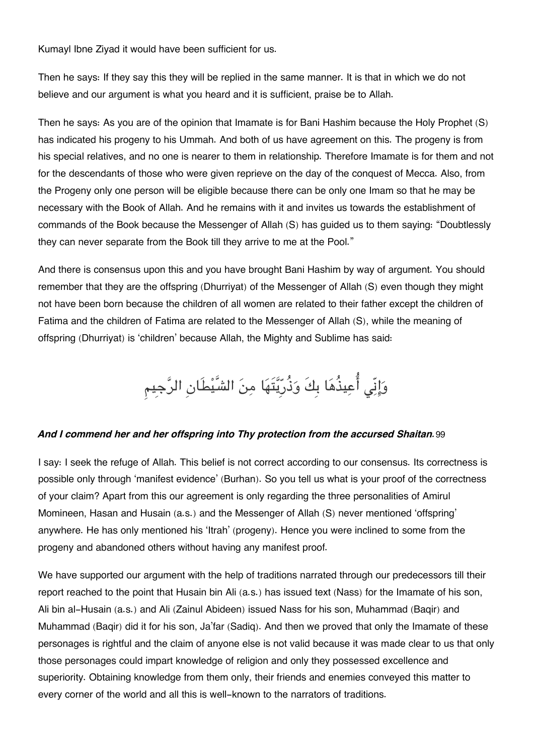Kumayl Ibne Ziyad it would have been sufficient for us.

Then he says: If they say this they will be replied in the same manner. It is that in which we do not believe and our argument is what you heard and it is sufficient, praise be to Allah.

Then he says: As you are of the opinion that Imamate is for Bani Hashim because the Holy Prophet (S) has indicated his progeny to his Ummah. And both of us have agreement on this. The progeny is from his special relatives, and no one is nearer to them in relationship. Therefore Imamate is for them and not for the descendants of those who were given reprieve on the day of the conquest of Mecca. Also, from the Progeny only one person will be eligible because there can be only one Imam so that he may be necessary with the Book of Allah. And he remains with it and invites us towards the establishment of commands of the Book because the Messenger of Allah (S) has guided us to them saying: "Doubtlessly they can never separate from the Book till they arrive to me at the Pool."

And there is consensus upon this and you have brought Bani Hashim by way of argument. You should remember that they are the offspring (Dhurriyat) of the Messenger of Allah (S) even though they might not have been born because the children of all women are related to their father except the children of Fatima and the children of Fatima are related to the Messenger of Allah (S), while the meaning of offspring (Dhurriyat) is 'children' because Allah, the Mighty and Sublime has said:

وانّ اعيذُها بِكَ وذُرِيتَها من الشَّيطَانِ الرجِيم

#### *And I commend her and her offspring into Thy protection from the accursed Shaitan.*[99](#page--1-0)

I say: I seek the refuge of Allah. This belief is not correct according to our consensus. Its correctness is possible only through 'manifest evidence' (Burhan). So you tell us what is your proof of the correctness of your claim? Apart from this our agreement is only regarding the three personalities of Amirul Momineen, Hasan and Husain (a.s.) and the Messenger of Allah (S) never mentioned 'offspring' anywhere. He has only mentioned his 'Itrah' (progeny). Hence you were inclined to some from the progeny and abandoned others without having any manifest proof.

We have supported our argument with the help of traditions narrated through our predecessors till their report reached to the point that Husain bin Ali (a.s.) has issued text (Nass) for the Imamate of his son, Ali bin al-Husain (a.s.) and Ali (Zainul Abideen) issued Nass for his son, Muhammad (Baqir) and Muhammad (Baqir) did it for his son, Ja'far (Sadiq). And then we proved that only the Imamate of these personages is rightful and the claim of anyone else is not valid because it was made clear to us that only those personages could impart knowledge of religion and only they possessed excellence and superiority. Obtaining knowledge from them only, their friends and enemies conveyed this matter to every corner of the world and all this is well-known to the narrators of traditions.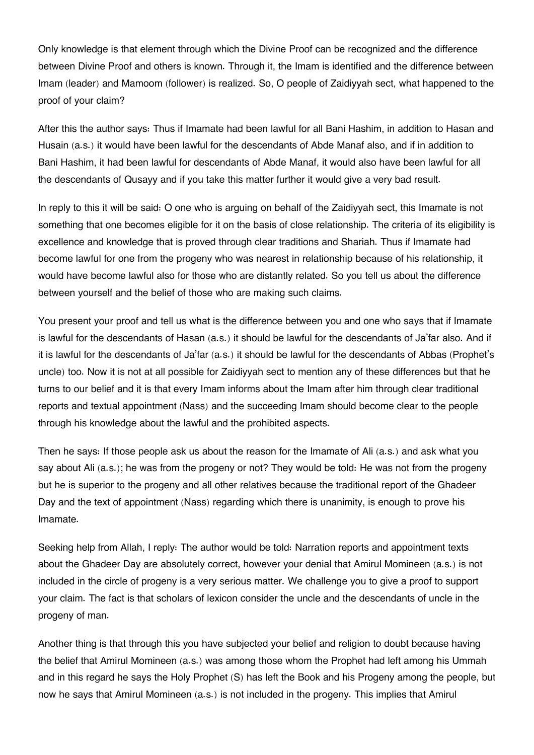Only knowledge is that element through which the Divine Proof can be recognized and the difference between Divine Proof and others is known. Through it, the Imam is identified and the difference between Imam (leader) and Mamoom (follower) is realized. So, O people of Zaidiyyah sect, what happened to the proof of your claim?

After this the author says: Thus if Imamate had been lawful for all Bani Hashim, in addition to Hasan and Husain (a.s.) it would have been lawful for the descendants of Abde Manaf also, and if in addition to Bani Hashim, it had been lawful for descendants of Abde Manaf, it would also have been lawful for all the descendants of Qusayy and if you take this matter further it would give a very bad result.

In reply to this it will be said: O one who is arguing on behalf of the Zaidiyyah sect, this Imamate is not something that one becomes eligible for it on the basis of close relationship. The criteria of its eligibility is excellence and knowledge that is proved through clear traditions and Shariah. Thus if Imamate had become lawful for one from the progeny who was nearest in relationship because of his relationship, it would have become lawful also for those who are distantly related. So you tell us about the difference between yourself and the belief of those who are making such claims.

You present your proof and tell us what is the difference between you and one who says that if Imamate is lawful for the descendants of Hasan (a.s.) it should be lawful for the descendants of Ja'far also. And if it is lawful for the descendants of Ja'far (a.s.) it should be lawful for the descendants of Abbas (Prophet's uncle) too. Now it is not at all possible for Zaidiyyah sect to mention any of these differences but that he turns to our belief and it is that every Imam informs about the Imam after him through clear traditional reports and textual appointment (Nass) and the succeeding Imam should become clear to the people through his knowledge about the lawful and the prohibited aspects.

Then he says: If those people ask us about the reason for the Imamate of Ali (a.s.) and ask what you say about Ali (a.s.); he was from the progeny or not? They would be told: He was not from the progeny but he is superior to the progeny and all other relatives because the traditional report of the Ghadeer Day and the text of appointment (Nass) regarding which there is unanimity, is enough to prove his Imamate.

Seeking help from Allah, I reply: The author would be told: Narration reports and appointment texts about the Ghadeer Day are absolutely correct, however your denial that Amirul Momineen (a.s.) is not included in the circle of progeny is a very serious matter. We challenge you to give a proof to support your claim. The fact is that scholars of lexicon consider the uncle and the descendants of uncle in the progeny of man.

Another thing is that through this you have subjected your belief and religion to doubt because having the belief that Amirul Momineen (a.s.) was among those whom the Prophet had left among his Ummah and in this regard he says the Holy Prophet (S) has left the Book and his Progeny among the people, but now he says that Amirul Momineen (a.s.) is not included in the progeny. This implies that Amirul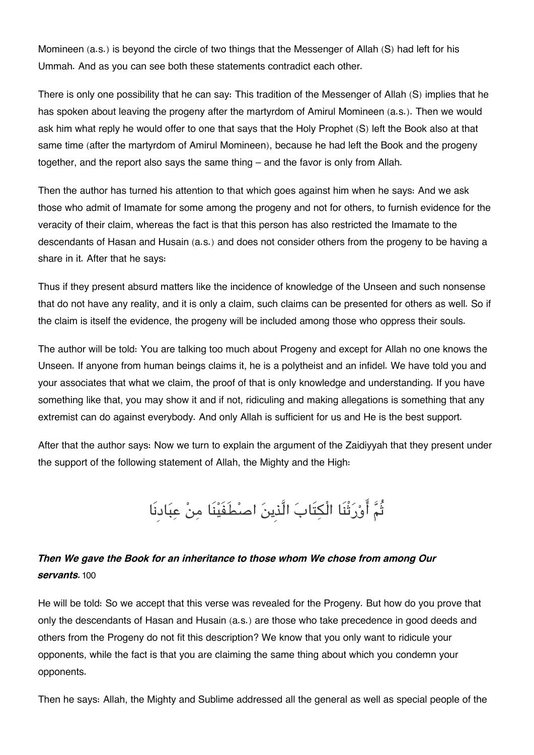Momineen (a.s.) is beyond the circle of two things that the Messenger of Allah (S) had left for his Ummah. And as you can see both these statements contradict each other.

There is only one possibility that he can say: This tradition of the Messenger of Allah (S) implies that he has spoken about leaving the progeny after the martyrdom of Amirul Momineen (a.s.). Then we would ask him what reply he would offer to one that says that the Holy Prophet (S) left the Book also at that same time (after the martyrdom of Amirul Momineen), because he had left the Book and the progeny together, and the report also says the same thing – and the favor is only from Allah.

Then the author has turned his attention to that which goes against him when he says: And we ask those who admit of Imamate for some among the progeny and not for others, to furnish evidence for the veracity of their claim, whereas the fact is that this person has also restricted the Imamate to the descendants of Hasan and Husain (a.s.) and does not consider others from the progeny to be having a share in it. After that he says:

Thus if they present absurd matters like the incidence of knowledge of the Unseen and such nonsense that do not have any reality, and it is only a claim, such claims can be presented for others as well. So if the claim is itself the evidence, the progeny will be included among those who oppress their souls.

The author will be told: You are talking too much about Progeny and except for Allah no one knows the Unseen. If anyone from human beings claims it, he is a polytheist and an infidel. We have told you and your associates that what we claim, the proof of that is only knowledge and understanding. If you have something like that, you may show it and if not, ridiculing and making allegations is something that any extremist can do against everybody. And only Allah is sufficient for us and He is the best support.

After that the author says: Now we turn to explain the argument of the Zaidiyyah that they present under the support of the following statement of Allah, the Mighty and the High:

ثُم اورثْنَا الْتَاب الَّذِين اصطَفَينَا من عبادِنَا

### *Then We gave the Book for an inheritance to those whom We chose from among Our servants.*[100](#page--1-0)

He will be told: So we accept that this verse was revealed for the Progeny. But how do you prove that only the descendants of Hasan and Husain (a.s.) are those who take precedence in good deeds and others from the Progeny do not fit this description? We know that you only want to ridicule your opponents, while the fact is that you are claiming the same thing about which you condemn your opponents.

Then he says: Allah, the Mighty and Sublime addressed all the general as well as special people of the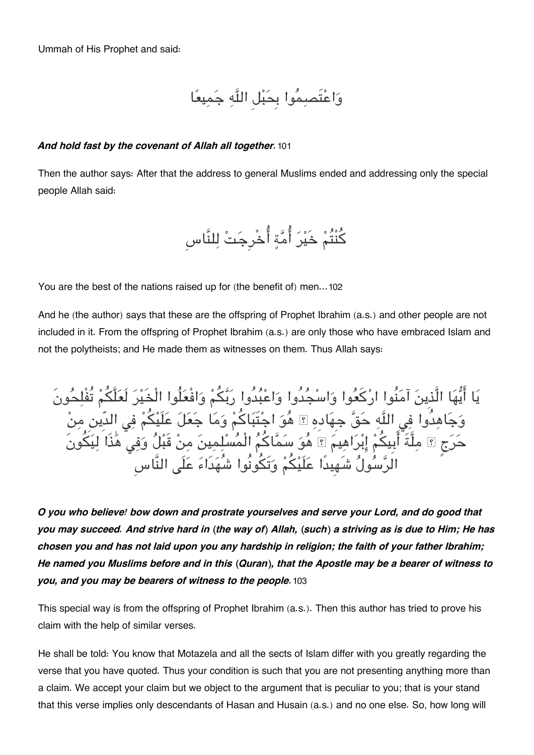## واعتَصموا بِحبل اله جميعا

#### *And hold fast by the covenant of Allah all together.*[101](#page--1-0)

Then the author says: After that the address to general Muslims ended and addressing only the special people Allah said:

كنْتُم خَير امة اخْرِجت للنَّاسِ

You are the best of the nations raised up for (the benefit of) men…[102](#page--1-0)

And he (the author) says that these are the offspring of Prophet Ibrahim (a.s.) and other people are not included in it. From the offspring of Prophet Ibrahim (a.s.) are only those who have embraced Islam and not the polytheists; and He made them as witnesses on them. Thus Allah says:

يا ايها الَّذِين آمنُوا اركعوا واسجدُوا واعبدُوا ربم وافْعلُوا الْخَير لَعلَّم تُفْلحونَ وَجَاهِدُوا فِي اللَّهِ حَقٌّ جِهَادِهِ ۩ هُوَ اجْتِبَاكُمْ وَمَا جَعَلَ عَلَيْكُمْ فِي الدِّينِ مِنْ حَرَج ۩ مِلَّةَ أَبِيكُمْ إِبْرَاهِيمَ ۩ هُوَ سَمَّاكُمُ الْمُسْلِمِينَ مِنْ قَبْلُ وَفِي هُذَا لِيَكُونَ الرَّسُولُ شُهِيدًا عَلَيْكُمْ وَتَكُونُوا شُهَدَاءَ عَلَى النَّاس

*O you who believe! bow down and prostrate yourselves and serve your Lord, and do good that you may succeed. And strive hard in (the way of) Allah, (such) a striving as is due to Him; He has chosen you and has not laid upon you any hardship in religion; the faith of your father Ibrahim; He named you Muslims before and in this (Quran), that the Apostle may be a bearer of witness to you, and you may be bearers of witness to the people.*[103](#page--1-0)

This special way is from the offspring of Prophet Ibrahim (a.s.). Then this author has tried to prove his claim with the help of similar verses.

He shall be told: You know that Motazela and all the sects of Islam differ with you greatly regarding the verse that you have quoted. Thus your condition is such that you are not presenting anything more than a claim. We accept your claim but we object to the argument that is peculiar to you; that is your stand that this verse implies only descendants of Hasan and Husain (a.s.) and no one else. So, how long will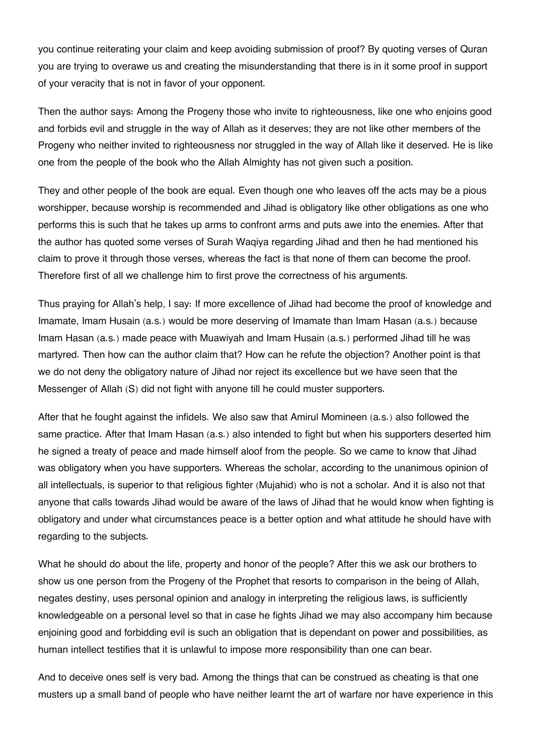you continue reiterating your claim and keep avoiding submission of proof? By quoting verses of Quran you are trying to overawe us and creating the misunderstanding that there is in it some proof in support of your veracity that is not in favor of your opponent.

Then the author says: Among the Progeny those who invite to righteousness, like one who enjoins good and forbids evil and struggle in the way of Allah as it deserves; they are not like other members of the Progeny who neither invited to righteousness nor struggled in the way of Allah like it deserved. He is like one from the people of the book who the Allah Almighty has not given such a position.

They and other people of the book are equal. Even though one who leaves off the acts may be a pious worshipper, because worship is recommended and Jihad is obligatory like other obligations as one who performs this is such that he takes up arms to confront arms and puts awe into the enemies. After that the author has quoted some verses of Surah Waqiya regarding Jihad and then he had mentioned his claim to prove it through those verses, whereas the fact is that none of them can become the proof. Therefore first of all we challenge him to first prove the correctness of his arguments.

Thus praying for Allah's help, I say: If more excellence of Jihad had become the proof of knowledge and Imamate, Imam Husain (a.s.) would be more deserving of Imamate than Imam Hasan (a.s.) because Imam Hasan (a.s.) made peace with Muawiyah and Imam Husain (a.s.) performed Jihad till he was martyred. Then how can the author claim that? How can he refute the objection? Another point is that we do not deny the obligatory nature of Jihad nor reject its excellence but we have seen that the Messenger of Allah (S) did not fight with anyone till he could muster supporters.

After that he fought against the infidels. We also saw that Amirul Momineen (a.s.) also followed the same practice. After that Imam Hasan (a.s.) also intended to fight but when his supporters deserted him he signed a treaty of peace and made himself aloof from the people. So we came to know that Jihad was obligatory when you have supporters. Whereas the scholar, according to the unanimous opinion of all intellectuals, is superior to that religious fighter (Mujahid) who is not a scholar. And it is also not that anyone that calls towards Jihad would be aware of the laws of Jihad that he would know when fighting is obligatory and under what circumstances peace is a better option and what attitude he should have with regarding to the subjects.

What he should do about the life, property and honor of the people? After this we ask our brothers to show us one person from the Progeny of the Prophet that resorts to comparison in the being of Allah, negates destiny, uses personal opinion and analogy in interpreting the religious laws, is sufficiently knowledgeable on a personal level so that in case he fights Jihad we may also accompany him because enjoining good and forbidding evil is such an obligation that is dependant on power and possibilities, as human intellect testifies that it is unlawful to impose more responsibility than one can bear.

And to deceive ones self is very bad. Among the things that can be construed as cheating is that one musters up a small band of people who have neither learnt the art of warfare nor have experience in this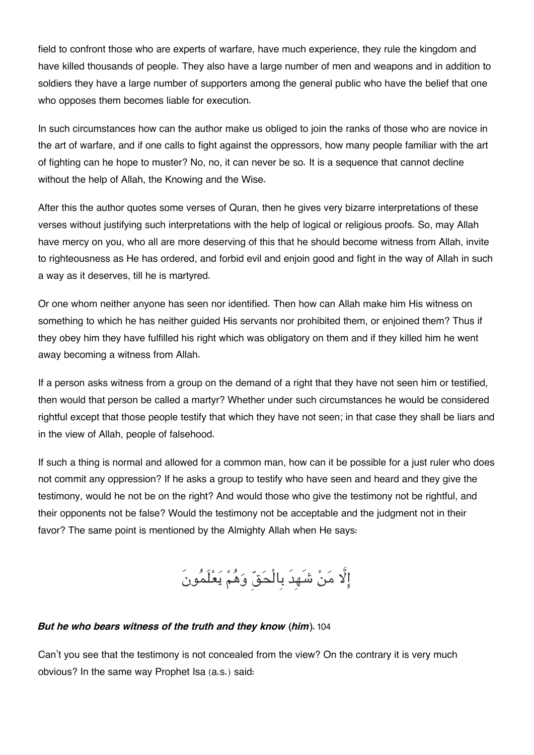field to confront those who are experts of warfare, have much experience, they rule the kingdom and have killed thousands of people. They also have a large number of men and weapons and in addition to soldiers they have a large number of supporters among the general public who have the belief that one who opposes them becomes liable for execution.

In such circumstances how can the author make us obliged to join the ranks of those who are novice in the art of warfare, and if one calls to fight against the oppressors, how many people familiar with the art of fighting can he hope to muster? No, no, it can never be so. It is a sequence that cannot decline without the help of Allah, the Knowing and the Wise.

After this the author quotes some verses of Quran, then he gives very bizarre interpretations of these verses without justifying such interpretations with the help of logical or religious proofs. So, may Allah have mercy on you, who all are more deserving of this that he should become witness from Allah, invite to righteousness as He has ordered, and forbid evil and enjoin good and fight in the way of Allah in such a way as it deserves, till he is martyred.

Or one whom neither anyone has seen nor identified. Then how can Allah make him His witness on something to which he has neither guided His servants nor prohibited them, or enjoined them? Thus if they obey him they have fulfilled his right which was obligatory on them and if they killed him he went away becoming a witness from Allah.

If a person asks witness from a group on the demand of a right that they have not seen him or testified, then would that person be called a martyr? Whether under such circumstances he would be considered rightful except that those people testify that which they have not seen; in that case they shall be liars and in the view of Allah, people of falsehood.

If such a thing is normal and allowed for a common man, how can it be possible for a just ruler who does not commit any oppression? If he asks a group to testify who have seen and heard and they give the testimony, would he not be on the right? And would those who give the testimony not be rightful, and their opponents not be false? Would the testimony not be acceptable and the judgment not in their favor? The same point is mentioned by the Almighty Allah when He says:

إِلَّا مَنْ شَهِدَ بِالْحَقّ وَهُمْ يَعْلَمُونَ

#### *But he who bears witness of the truth and they know (him).*[104](#page--1-0)

Can't you see that the testimony is not concealed from the view? On the contrary it is very much obvious? In the same way Prophet Isa (a.s.) said: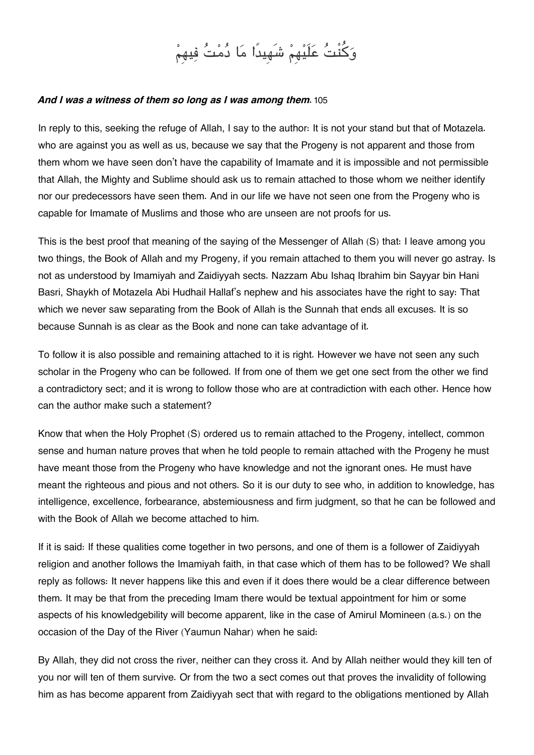# وكنْت علَيهِم شَهِيدًا ما دمت فيهِم

#### *And I was a witness of them so long as I was among them.*[105](#page--1-0)

In reply to this, seeking the refuge of Allah, I say to the author: It is not your stand but that of Motazela. who are against you as well as us, because we say that the Progeny is not apparent and those from them whom we have seen don't have the capability of Imamate and it is impossible and not permissible that Allah, the Mighty and Sublime should ask us to remain attached to those whom we neither identify nor our predecessors have seen them. And in our life we have not seen one from the Progeny who is capable for Imamate of Muslims and those who are unseen are not proofs for us.

This is the best proof that meaning of the saying of the Messenger of Allah (S) that: I leave among you two things, the Book of Allah and my Progeny, if you remain attached to them you will never go astray. Is not as understood by Imamiyah and Zaidiyyah sects. Nazzam Abu Ishaq Ibrahim bin Sayyar bin Hani Basri, Shaykh of Motazela Abi Hudhail Hallaf's nephew and his associates have the right to say: That which we never saw separating from the Book of Allah is the Sunnah that ends all excuses. It is so because Sunnah is as clear as the Book and none can take advantage of it.

To follow it is also possible and remaining attached to it is right. However we have not seen any such scholar in the Progeny who can be followed. If from one of them we get one sect from the other we find a contradictory sect; and it is wrong to follow those who are at contradiction with each other. Hence how can the author make such a statement?

Know that when the Holy Prophet (S) ordered us to remain attached to the Progeny, intellect, common sense and human nature proves that when he told people to remain attached with the Progeny he must have meant those from the Progeny who have knowledge and not the ignorant ones. He must have meant the righteous and pious and not others. So it is our duty to see who, in addition to knowledge, has intelligence, excellence, forbearance, abstemiousness and firm judgment, so that he can be followed and with the Book of Allah we become attached to him.

If it is said: If these qualities come together in two persons, and one of them is a follower of Zaidiyyah religion and another follows the Imamiyah faith, in that case which of them has to be followed? We shall reply as follows: It never happens like this and even if it does there would be a clear difference between them. It may be that from the preceding Imam there would be textual appointment for him or some aspects of his knowledgebility will become apparent, like in the case of Amirul Momineen (a.s.) on the occasion of the Day of the River (Yaumun Nahar) when he said:

By Allah, they did not cross the river, neither can they cross it. And by Allah neither would they kill ten of you nor will ten of them survive. Or from the two a sect comes out that proves the invalidity of following him as has become apparent from Zaidiyyah sect that with regard to the obligations mentioned by Allah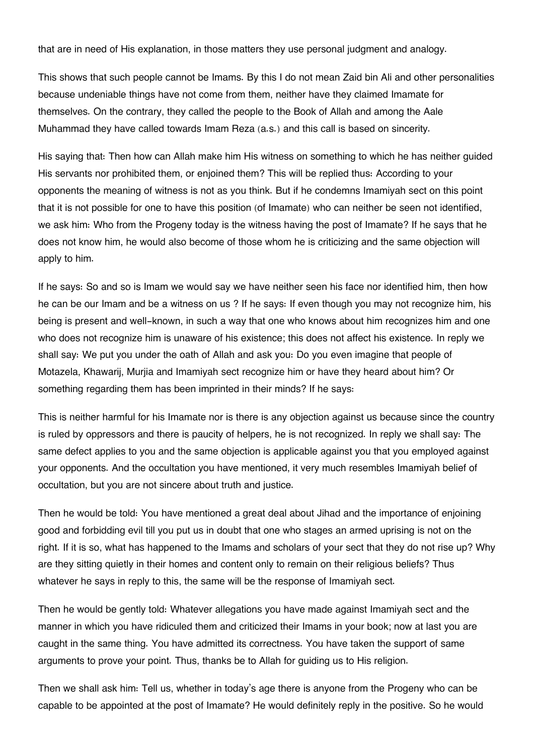that are in need of His explanation, in those matters they use personal judgment and analogy.

This shows that such people cannot be Imams. By this I do not mean Zaid bin Ali and other personalities because undeniable things have not come from them, neither have they claimed Imamate for themselves. On the contrary, they called the people to the Book of Allah and among the Aale Muhammad they have called towards Imam Reza (a.s.) and this call is based on sincerity.

His saying that: Then how can Allah make him His witness on something to which he has neither guided His servants nor prohibited them, or enjoined them? This will be replied thus: According to your opponents the meaning of witness is not as you think. But if he condemns Imamiyah sect on this point that it is not possible for one to have this position (of Imamate) who can neither be seen not identified, we ask him: Who from the Progeny today is the witness having the post of Imamate? If he says that he does not know him, he would also become of those whom he is criticizing and the same objection will apply to him.

If he says: So and so is Imam we would say we have neither seen his face nor identified him, then how he can be our Imam and be a witness on us ? If he says: If even though you may not recognize him, his being is present and well-known, in such a way that one who knows about him recognizes him and one who does not recognize him is unaware of his existence; this does not affect his existence. In reply we shall say: We put you under the oath of Allah and ask you: Do you even imagine that people of Motazela, Khawarij, Murjia and Imamiyah sect recognize him or have they heard about him? Or something regarding them has been imprinted in their minds? If he says:

This is neither harmful for his Imamate nor is there is any objection against us because since the country is ruled by oppressors and there is paucity of helpers, he is not recognized. In reply we shall say: The same defect applies to you and the same objection is applicable against you that you employed against your opponents. And the occultation you have mentioned, it very much resembles Imamiyah belief of occultation, but you are not sincere about truth and justice.

Then he would be told: You have mentioned a great deal about Jihad and the importance of enjoining good and forbidding evil till you put us in doubt that one who stages an armed uprising is not on the right. If it is so, what has happened to the Imams and scholars of your sect that they do not rise up? Why are they sitting quietly in their homes and content only to remain on their religious beliefs? Thus whatever he says in reply to this, the same will be the response of Imamiyah sect.

Then he would be gently told: Whatever allegations you have made against Imamiyah sect and the manner in which you have ridiculed them and criticized their Imams in your book; now at last you are caught in the same thing. You have admitted its correctness. You have taken the support of same arguments to prove your point. Thus, thanks be to Allah for guiding us to His religion.

Then we shall ask him: Tell us, whether in today's age there is anyone from the Progeny who can be capable to be appointed at the post of Imamate? He would definitely reply in the positive. So he would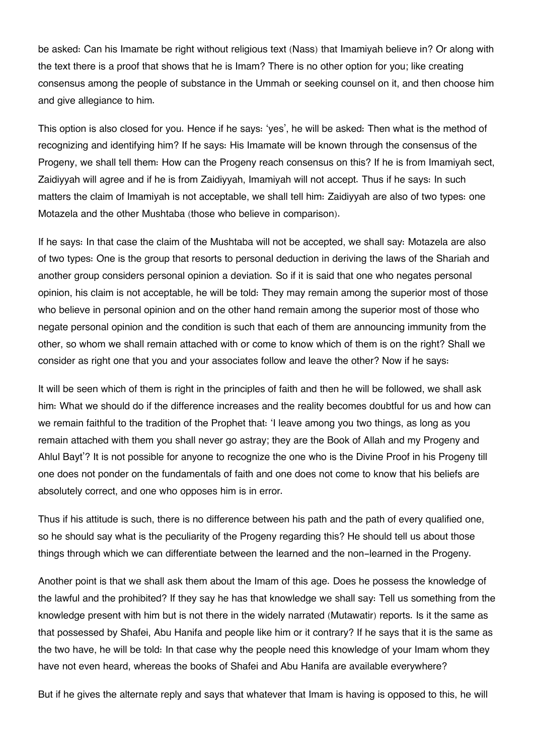be asked: Can his Imamate be right without religious text (Nass) that Imamiyah believe in? Or along with the text there is a proof that shows that he is Imam? There is no other option for you; like creating consensus among the people of substance in the Ummah or seeking counsel on it, and then choose him and give allegiance to him.

This option is also closed for you. Hence if he says: 'yes', he will be asked: Then what is the method of recognizing and identifying him? If he says: His Imamate will be known through the consensus of the Progeny, we shall tell them: How can the Progeny reach consensus on this? If he is from Imamiyah sect, Zaidiyyah will agree and if he is from Zaidiyyah, Imamiyah will not accept. Thus if he says: In such matters the claim of Imamiyah is not acceptable, we shall tell him: Zaidiyyah are also of two types: one Motazela and the other Mushtaba (those who believe in comparison).

If he says: In that case the claim of the Mushtaba will not be accepted, we shall say: Motazela are also of two types: One is the group that resorts to personal deduction in deriving the laws of the Shariah and another group considers personal opinion a deviation. So if it is said that one who negates personal opinion, his claim is not acceptable, he will be told: They may remain among the superior most of those who believe in personal opinion and on the other hand remain among the superior most of those who negate personal opinion and the condition is such that each of them are announcing immunity from the other, so whom we shall remain attached with or come to know which of them is on the right? Shall we consider as right one that you and your associates follow and leave the other? Now if he says:

It will be seen which of them is right in the principles of faith and then he will be followed, we shall ask him: What we should do if the difference increases and the reality becomes doubtful for us and how can we remain faithful to the tradition of the Prophet that: 'I leave among you two things, as long as you remain attached with them you shall never go astray; they are the Book of Allah and my Progeny and Ahlul Bayt'? It is not possible for anyone to recognize the one who is the Divine Proof in his Progeny till one does not ponder on the fundamentals of faith and one does not come to know that his beliefs are absolutely correct, and one who opposes him is in error.

Thus if his attitude is such, there is no difference between his path and the path of every qualified one, so he should say what is the peculiarity of the Progeny regarding this? He should tell us about those things through which we can differentiate between the learned and the non-learned in the Progeny.

Another point is that we shall ask them about the Imam of this age. Does he possess the knowledge of the lawful and the prohibited? If they say he has that knowledge we shall say: Tell us something from the knowledge present with him but is not there in the widely narrated (Mutawatir) reports. Is it the same as that possessed by Shafei, Abu Hanifa and people like him or it contrary? If he says that it is the same as the two have, he will be told: In that case why the people need this knowledge of your Imam whom they have not even heard, whereas the books of Shafei and Abu Hanifa are available everywhere?

But if he gives the alternate reply and says that whatever that Imam is having is opposed to this, he will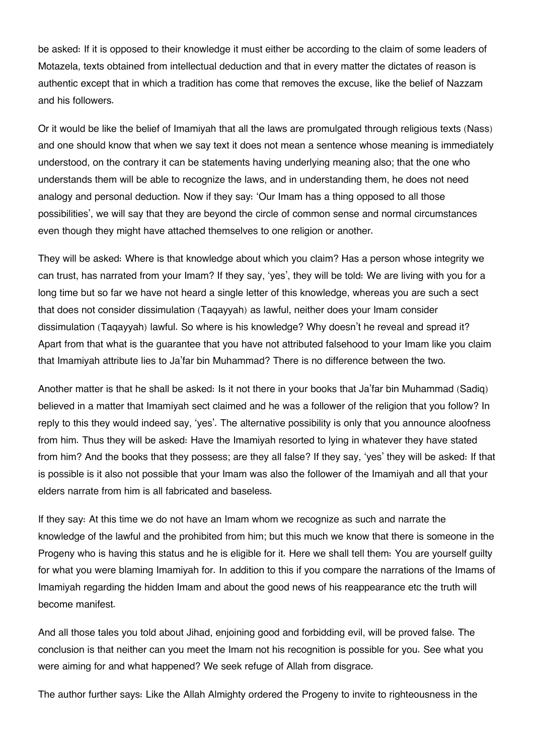be asked: If it is opposed to their knowledge it must either be according to the claim of some leaders of Motazela, texts obtained from intellectual deduction and that in every matter the dictates of reason is authentic except that in which a tradition has come that removes the excuse, like the belief of Nazzam and his followers.

Or it would be like the belief of Imamiyah that all the laws are promulgated through religious texts (Nass) and one should know that when we say text it does not mean a sentence whose meaning is immediately understood, on the contrary it can be statements having underlying meaning also; that the one who understands them will be able to recognize the laws, and in understanding them, he does not need analogy and personal deduction. Now if they say: 'Our Imam has a thing opposed to all those possibilities', we will say that they are beyond the circle of common sense and normal circumstances even though they might have attached themselves to one religion or another.

They will be asked: Where is that knowledge about which you claim? Has a person whose integrity we can trust, has narrated from your Imam? If they say, 'yes', they will be told: We are living with you for a long time but so far we have not heard a single letter of this knowledge, whereas you are such a sect that does not consider dissimulation (Taqayyah) as lawful, neither does your Imam consider dissimulation (Taqayyah) lawful. So where is his knowledge? Why doesn't he reveal and spread it? Apart from that what is the guarantee that you have not attributed falsehood to your Imam like you claim that Imamiyah attribute lies to Ja'far bin Muhammad? There is no difference between the two.

Another matter is that he shall be asked: Is it not there in your books that Ja'far bin Muhammad (Sadiq) believed in a matter that Imamiyah sect claimed and he was a follower of the religion that you follow? In reply to this they would indeed say, 'yes'. The alternative possibility is only that you announce aloofness from him. Thus they will be asked: Have the Imamiyah resorted to lying in whatever they have stated from him? And the books that they possess; are they all false? If they say, 'yes' they will be asked: If that is possible is it also not possible that your Imam was also the follower of the Imamiyah and all that your elders narrate from him is all fabricated and baseless.

If they say: At this time we do not have an Imam whom we recognize as such and narrate the knowledge of the lawful and the prohibited from him; but this much we know that there is someone in the Progeny who is having this status and he is eligible for it. Here we shall tell them: You are yourself guilty for what you were blaming Imamiyah for. In addition to this if you compare the narrations of the Imams of Imamiyah regarding the hidden Imam and about the good news of his reappearance etc the truth will become manifest.

And all those tales you told about Jihad, enjoining good and forbidding evil, will be proved false. The conclusion is that neither can you meet the Imam not his recognition is possible for you. See what you were aiming for and what happened? We seek refuge of Allah from disgrace.

The author further says: Like the Allah Almighty ordered the Progeny to invite to righteousness in the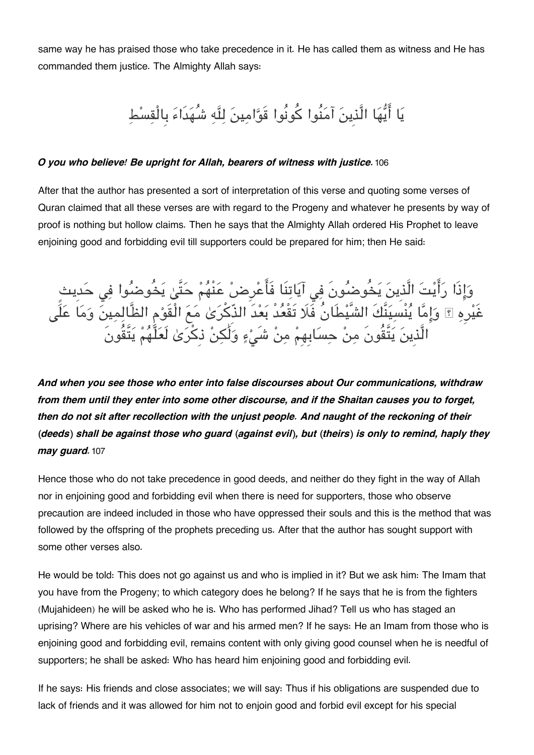same way he has praised those who take precedence in it. He has called them as witness and He has commanded them justice. The Almighty Allah says:

## يا ايها الَّذِين آمنُوا كونُوا قَوامين له شُهدَاء بِالْقسط

#### *O you who believe! Be upright for Allah, bearers of witness with justice.*[106](#page--1-0)

After that the author has presented a sort of interpretation of this verse and quoting some verses of Quran claimed that all these verses are with regard to the Progeny and whatever he presents by way of proof is nothing but hollow claims. Then he says that the Almighty Allah ordered His Prophet to leave enjoining good and forbidding evil till supporters could be prepared for him; then He said:

وَإِذَا رَأَيْتَ الَّذِينَ يَخُوضُونَ فِي آيَاتِنَا فَاعْرِضْ عَنْهُمْ حَتَّىٰ يَخُوضُوا فِي حَدِيثٍ غَيْرِهِ ۩ وَإِمَّا يَنسِيَنَكَ الشَّيطَانُ فَلا تَقْعَدْ بَعْدَ الذَّكرَىٰ مَعَ الْقَوْمِ الظَّالِمِينَ وَمَا عَلَى الَّذِين يتَّقُونَ من حسابِهِم من شَء ولَٰن ذِكرىٰ لَعلَّهم يتَّقُونَ

*And when you see those who enter into false discourses about Our communications, withdraw from them until they enter into some other discourse, and if the Shaitan causes you to forget, then do not sit after recollection with the unjust people. And naught of the reckoning of their (deeds) shall be against those who guard (against evil), but (theirs) is only to remind, haply they may guard.*[107](#page--1-0)

Hence those who do not take precedence in good deeds, and neither do they fight in the way of Allah nor in enjoining good and forbidding evil when there is need for supporters, those who observe precaution are indeed included in those who have oppressed their souls and this is the method that was followed by the offspring of the prophets preceding us. After that the author has sought support with some other verses also.

He would be told: This does not go against us and who is implied in it? But we ask him: The Imam that you have from the Progeny; to which category does he belong? If he says that he is from the fighters (Mujahideen) he will be asked who he is. Who has performed Jihad? Tell us who has staged an uprising? Where are his vehicles of war and his armed men? If he says: He an Imam from those who is enjoining good and forbidding evil, remains content with only giving good counsel when he is needful of supporters; he shall be asked: Who has heard him enjoining good and forbidding evil.

If he says: His friends and close associates; we will say: Thus if his obligations are suspended due to lack of friends and it was allowed for him not to enjoin good and forbid evil except for his special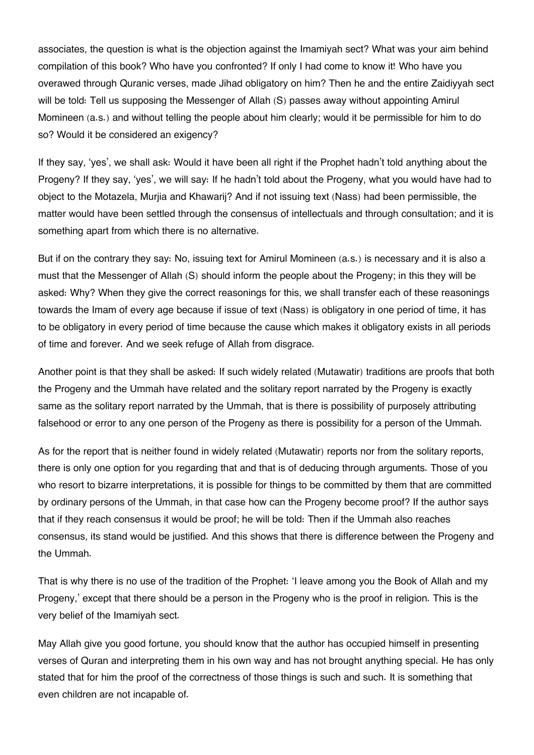associates, the question is what is the objection against the Imamiyah sect? What was your aim behind compilation of this book? Who have you confronted? If only I had come to know it! Who have you overawed through Quranic verses, made Jihad obligatory on him? Then he and the entire Zaidiyyah sect will be told: Tell us supposing the Messenger of Allah (S) passes away without appointing Amirul Momineen (a.s.) and without telling the people about him clearly; would it be permissible for him to do so? Would it be considered an exigency?

If they say, 'yes', we shall ask: Would it have been all right if the Prophet hadn't told anything about the Progeny? If they say, 'yes', we will say: If he hadn't told about the Progeny, what you would have had to object to the Motazela, Murjia and Khawarij? And if not issuing text (Nass) had been permissible, the matter would have been settled through the consensus of intellectuals and through consultation; and it is something apart from which there is no alternative.

But if on the contrary they say: No, issuing text for Amirul Momineen (a.s.) is necessary and it is also a must that the Messenger of Allah (S) should inform the people about the Progeny; in this they will be asked: Why? When they give the correct reasonings for this, we shall transfer each of these reasonings towards the Imam of every age because if issue of text (Nass) is obligatory in one period of time, it has to be obligatory in every period of time because the cause which makes it obligatory exists in all periods of time and forever. And we seek refuge of Allah from disgrace.

Another point is that they shall be asked: If such widely related (Mutawatir) traditions are proofs that both the Progeny and the Ummah have related and the solitary report narrated by the Progeny is exactly same as the solitary report narrated by the Ummah, that is there is possibility of purposely attributing falsehood or error to any one person of the Progeny as there is possibility for a person of the Ummah.

As for the report that is neither found in widely related (Mutawatir) reports nor from the solitary reports, there is only one option for you regarding that and that is of deducing through arguments. Those of you who resort to bizarre interpretations, it is possible for things to be committed by them that are committed by ordinary persons of the Ummah, in that case how can the Progeny become proof? If the author says that if they reach consensus it would be proof; he will be told: Then if the Ummah also reaches consensus, its stand would be justified. And this shows that there is difference between the Progeny and the Ummah.

That is why there is no use of the tradition of the Prophet: 'I leave among you the Book of Allah and my Progeny,' except that there should be a person in the Progeny who is the proof in religion. This is the very belief of the Imamiyah sect.

May Allah give you good fortune, you should know that the author has occupied himself in presenting verses of Quran and interpreting them in his own way and has not brought anything special. He has only stated that for him the proof of the correctness of those things is such and such. It is something that even children are not incapable of.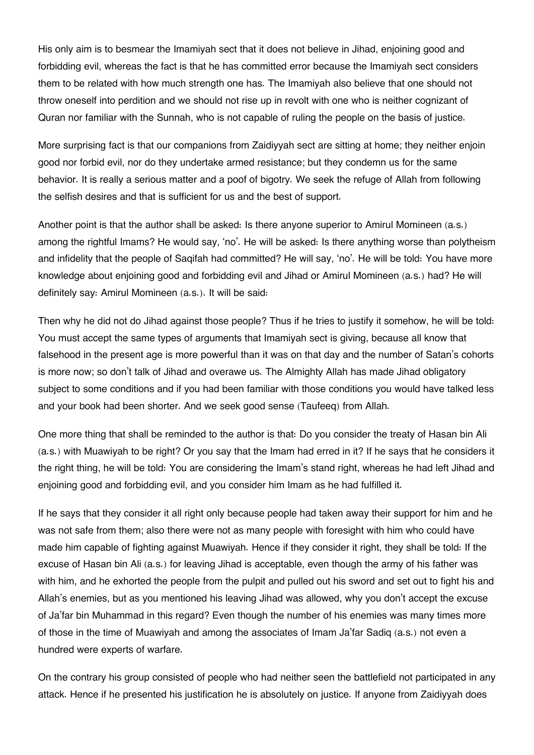His only aim is to besmear the Imamiyah sect that it does not believe in Jihad, enjoining good and forbidding evil, whereas the fact is that he has committed error because the Imamiyah sect considers them to be related with how much strength one has. The Imamiyah also believe that one should not throw oneself into perdition and we should not rise up in revolt with one who is neither cognizant of Quran nor familiar with the Sunnah, who is not capable of ruling the people on the basis of justice.

More surprising fact is that our companions from Zaidiyyah sect are sitting at home; they neither enjoin good nor forbid evil, nor do they undertake armed resistance; but they condemn us for the same behavior. It is really a serious matter and a poof of bigotry. We seek the refuge of Allah from following the selfish desires and that is sufficient for us and the best of support.

Another point is that the author shall be asked: Is there anyone superior to Amirul Momineen (a.s.) among the rightful Imams? He would say, 'no'. He will be asked: Is there anything worse than polytheism and infidelity that the people of Saqifah had committed? He will say, 'no'. He will be told: You have more knowledge about enjoining good and forbidding evil and Jihad or Amirul Momineen (a.s.) had? He will definitely say: Amirul Momineen (a.s.). It will be said:

Then why he did not do Jihad against those people? Thus if he tries to justify it somehow, he will be told: You must accept the same types of arguments that Imamiyah sect is giving, because all know that falsehood in the present age is more powerful than it was on that day and the number of Satan's cohorts is more now; so don't talk of Jihad and overawe us. The Almighty Allah has made Jihad obligatory subject to some conditions and if you had been familiar with those conditions you would have talked less and your book had been shorter. And we seek good sense (Taufeeq) from Allah.

One more thing that shall be reminded to the author is that: Do you consider the treaty of Hasan bin Ali (a.s.) with Muawiyah to be right? Or you say that the Imam had erred in it? If he says that he considers it the right thing, he will be told: You are considering the Imam's stand right, whereas he had left Jihad and enjoining good and forbidding evil, and you consider him Imam as he had fulfilled it.

If he says that they consider it all right only because people had taken away their support for him and he was not safe from them; also there were not as many people with foresight with him who could have made him capable of fighting against Muawiyah. Hence if they consider it right, they shall be told: If the excuse of Hasan bin Ali (a.s.) for leaving Jihad is acceptable, even though the army of his father was with him, and he exhorted the people from the pulpit and pulled out his sword and set out to fight his and Allah's enemies, but as you mentioned his leaving Jihad was allowed, why you don't accept the excuse of Ja'far bin Muhammad in this regard? Even though the number of his enemies was many times more of those in the time of Muawiyah and among the associates of Imam Ja'far Sadiq (a.s.) not even a hundred were experts of warfare.

On the contrary his group consisted of people who had neither seen the battlefield not participated in any attack. Hence if he presented his justification he is absolutely on justice. If anyone from Zaidiyyah does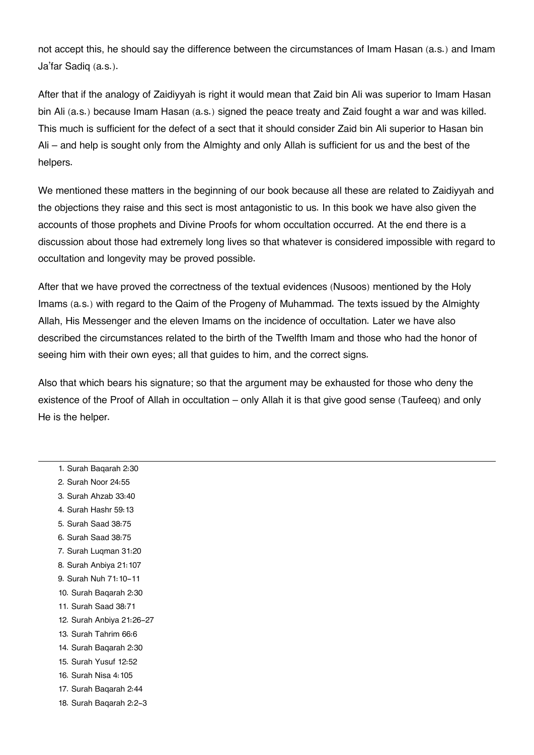not accept this, he should say the difference between the circumstances of Imam Hasan (a.s.) and Imam Ja'far Sadiq (a.s.).

After that if the analogy of Zaidiyyah is right it would mean that Zaid bin Ali was superior to Imam Hasan bin Ali (a.s.) because Imam Hasan (a.s.) signed the peace treaty and Zaid fought a war and was killed. This much is sufficient for the defect of a sect that it should consider Zaid bin Ali superior to Hasan bin Ali – and help is sought only from the Almighty and only Allah is sufficient for us and the best of the helpers.

We mentioned these matters in the beginning of our book because all these are related to Zaidiyyah and the objections they raise and this sect is most antagonistic to us. In this book we have also given the accounts of those prophets and Divine Proofs for whom occultation occurred. At the end there is a discussion about those had extremely long lives so that whatever is considered impossible with regard to occultation and longevity may be proved possible.

After that we have proved the correctness of the textual evidences (Nusoos) mentioned by the Holy Imams (a.s.) with regard to the Qaim of the Progeny of Muhammad. The texts issued by the Almighty Allah, His Messenger and the eleven Imams on the incidence of occultation. Later we have also described the circumstances related to the birth of the Twelfth Imam and those who had the honor of seeing him with their own eyes; all that guides to him, and the correct signs.

Also that which bears his signature; so that the argument may be exhausted for those who deny the existence of the Proof of Allah in occultation – only Allah it is that give good sense (Taufeeq) and only He is the helper.

- [1.](#page--1-0) Surah Baqarah 2:30
- [2.](#page--1-0) Surah Noor 24:55
- [3.](#page--1-0) Surah Ahzab 33:40
- [4.](#page--1-0) Surah Hashr 59:13
- [5.](#page--1-0) Surah Saad 38:75
- [6.](#page--1-0) Surah Saad 38:75
- [7.](#page--1-0) Surah Luqman 31:20
- [8.](#page--1-0) Surah Anbiya 21:107
- [9.](#page--1-0) Surah Nuh 71:10-11
- [10.](#page--1-0) Surah Baqarah 2:30
- [11.](#page--1-0) Surah Saad 38:71
- [12.](#page--1-0) Surah Anbiya 21:26-27
- [13.](#page--1-0) Surah Tahrim 66:6
- [14.](#page--1-0) Surah Baqarah 2:30
- [15.](#page--1-0) Surah Yusuf 12:52
- [16.](#page--1-0) Surah Nisa 4:105
- [17.](#page--1-0) Surah Baqarah 2:44
- [18.](#page--1-0) Surah Baqarah 2:2-3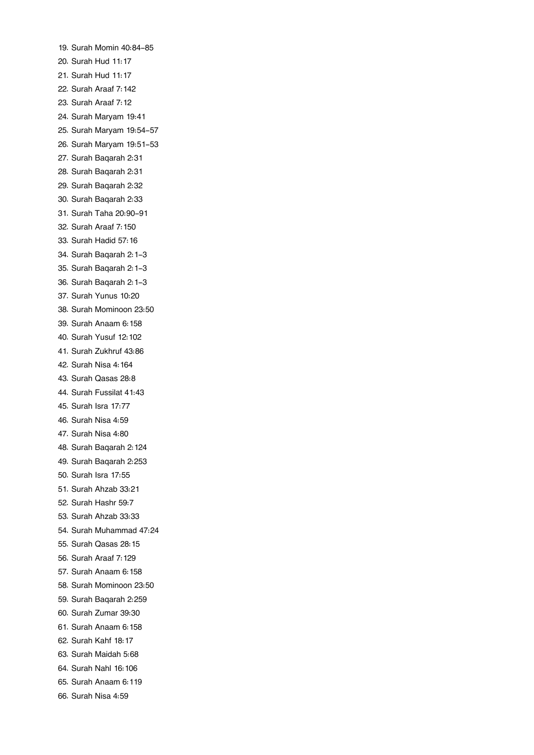[19.](#page--1-0) Surah Momin 40:84-85 [20.](#page--1-0) Surah Hud 11:17 [21.](#page--1-0) Surah Hud 11:17 [22.](#page--1-0) Surah Araaf 7:142 [23.](#page--1-0) Surah Araaf 7:12 [24.](#page--1-0) Surah Maryam 19:41 [25.](#page--1-0) Surah Maryam 19:54-57 [26.](#page--1-0) Surah Maryam 19:51-53 [27.](#page--1-0) Surah Baqarah 2:31 [28.](#page--1-0) Surah Baqarah 2:31 [29.](#page--1-0) Surah Baqarah 2:32 [30.](#page--1-0) Surah Baqarah 2:33 [31.](#page--1-0) Surah Taha 20:90-91 [32.](#page--1-0) Surah Araaf 7:150 [33.](#page--1-0) Surah Hadid 57:16 [34.](#page--1-0) Surah Baqarah 2:1-3 [35.](#page--1-0) Surah Baqarah 2:1-3 [36.](#page--1-0) Surah Baqarah 2:1-3 [37.](#page--1-0) Surah Yunus 10:20 [38.](#page--1-0) Surah Mominoon 23:50 [39.](#page--1-0) Surah Anaam 6:158 [40.](#page--1-0) Surah Yusuf 12:102 [41.](#page--1-0) Surah Zukhruf 43:86 [42.](#page--1-0) Surah Nisa 4:164 [43.](#page--1-0) Surah Qasas 28:8 [44.](#page--1-0) Surah Fussilat 41:43 [45.](#page--1-0) Surah Isra 17:77 [46.](#page--1-0) Surah Nisa 4:59 [47.](#page--1-0) Surah Nisa 4:80 [48.](#page--1-0) Surah Baqarah 2:124 [49.](#page--1-0) Surah Baqarah 2:253 [50.](#page--1-0) Surah Isra 17:55 [51.](#page--1-0) Surah Ahzab 33:21 [52.](#page--1-0) Surah Hashr 59:7 [53.](#page--1-0) Surah Ahzab 33:33 [54.](#page--1-0) Surah Muhammad 47:24 [55.](#page--1-0) Surah Qasas 28:15 [56.](#page--1-0) Surah Araaf 7:129 [57.](#page--1-0) Surah Anaam 6:158 [58.](#page--1-0) Surah Mominoon 23:50 [59.](#page--1-0) Surah Baqarah 2:259 [60.](#page--1-0) Surah Zumar 39:30 [61.](#page--1-0) Surah Anaam 6:158 [62.](#page--1-0) Surah Kahf 18:17 [63.](#page--1-0) Surah Maidah 5:68 [64.](#page--1-0) Surah Nahl 16:106 [65.](#page--1-0) Surah Anaam 6:119 [66.](#page--1-0) Surah Nisa 4:59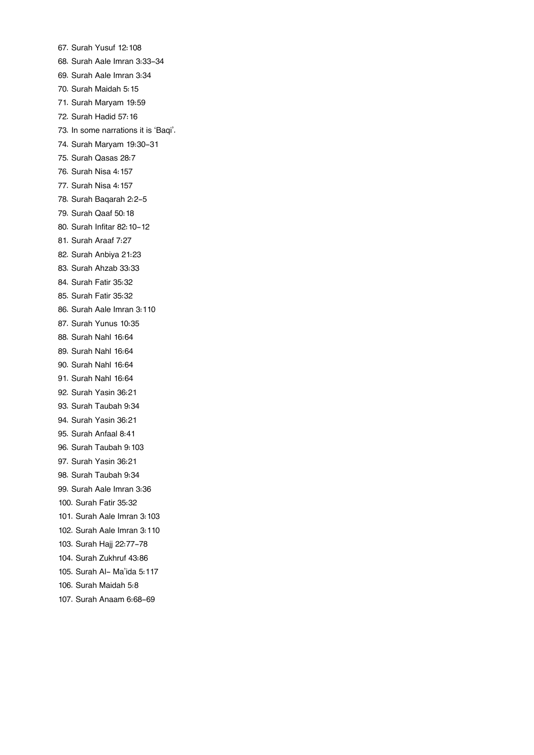[67.](#page--1-0) Surah Yusuf 12:108 [68.](#page--1-0) Surah Aale Imran 3:33-34 [69.](#page--1-0) Surah Aale Imran 3:34 [70.](#page--1-0) Surah Maidah 5:15 [71.](#page--1-0) Surah Maryam 19:59 [72.](#page--1-0) Surah Hadid 57:16 [73.](#page--1-0) In some narrations it is 'Baqi'. [74.](#page--1-0) Surah Maryam 19:30-31 [75.](#page--1-0) Surah Qasas 28:7 [76.](#page--1-0) Surah Nisa 4:157 [77.](#page--1-0) Surah Nisa 4:157 [78.](#page--1-0) Surah Baqarah 2:2-5 [79.](#page--1-0) Surah Qaaf 50:18 [80.](#page--1-0) Surah Infitar 82:10-12 [81.](#page--1-0) Surah Araaf 7:27 [82.](#page--1-0) Surah Anbiya 21:23 [83.](#page--1-0) Surah Ahzab 33:33 [84.](#page--1-0) Surah Fatir 35:32 [85.](#page--1-0) Surah Fatir 35:32 [86.](#page--1-0) Surah Aale Imran 3:110 [87.](#page--1-0) Surah Yunus 10:35 [88.](#page--1-0) Surah Nahl 16:64 [89.](#page--1-0) Surah Nahl 16:64 [90.](#page--1-0) Surah Nahl 16:64 [91.](#page--1-0) Surah Nahl 16:64 [92.](#page--1-0) Surah Yasin 36:21 [93.](#page--1-0) Surah Taubah 9:34 [94.](#page--1-0) Surah Yasin 36:21 [95.](#page--1-0) Surah Anfaal 8:41 [96.](#page--1-0) Surah Taubah 9:103 [97.](#page--1-0) Surah Yasin 36:21 [98.](#page--1-0) Surah Taubah 9:34 [99.](#page--1-0) Surah Aale Imran 3:36 [100.](#page--1-0) Surah Fatir 35:32 [101.](#page--1-0) Surah Aale Imran 3:103 [102.](#page--1-0) Surah Aale Imran 3:110 [103.](#page--1-0) Surah Hajj 22:77-78 [104.](#page--1-0) Surah Zukhruf 43:86 [105.](#page--1-0) Surah Al- Ma'ida 5:117 [106.](#page--1-0) Surah Maidah 5:8 [107.](#page--1-0) Surah Anaam 6:68-69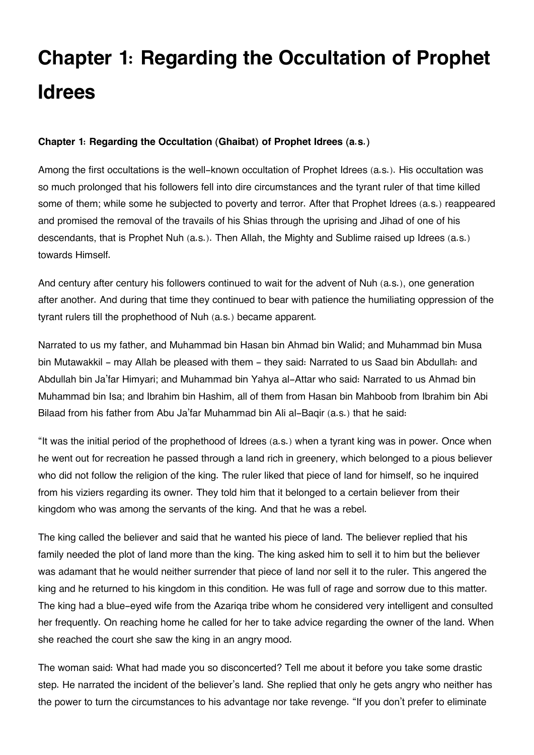# **Chapter 1: Regarding the Occultation of Prophet Idrees**

#### **Chapter 1: Regarding the Occultation (Ghaibat) of Prophet Idrees (a.s.)**

Among the first occultations is the well-known occultation of Prophet Idrees (a.s.). His occultation was so much prolonged that his followers fell into dire circumstances and the tyrant ruler of that time killed some of them; while some he subjected to poverty and terror. After that Prophet Idrees (a.s.) reappeared and promised the removal of the travails of his Shias through the uprising and Jihad of one of his descendants, that is Prophet Nuh (a.s.). Then Allah, the Mighty and Sublime raised up Idrees (a.s.) towards Himself.

And century after century his followers continued to wait for the advent of Nuh (a.s.), one generation after another. And during that time they continued to bear with patience the humiliating oppression of the tyrant rulers till the prophethood of Nuh (a.s.) became apparent.

Narrated to us my father, and Muhammad bin Hasan bin Ahmad bin Walid; and Muhammad bin Musa bin Mutawakkil - may Allah be pleased with them - they said: Narrated to us Saad bin Abdullah: and Abdullah bin Ja'far Himyari; and Muhammad bin Yahya al-Attar who said: Narrated to us Ahmad bin Muhammad bin Isa; and Ibrahim bin Hashim, all of them from Hasan bin Mahboob from Ibrahim bin Abi Bilaad from his father from Abu Ja'far Muhammad bin Ali al-Baqir (a.s.) that he said:

"It was the initial period of the prophethood of Idrees (a.s.) when a tyrant king was in power. Once when he went out for recreation he passed through a land rich in greenery, which belonged to a pious believer who did not follow the religion of the king. The ruler liked that piece of land for himself, so he inquired from his viziers regarding its owner. They told him that it belonged to a certain believer from their kingdom who was among the servants of the king. And that he was a rebel.

The king called the believer and said that he wanted his piece of land. The believer replied that his family needed the plot of land more than the king. The king asked him to sell it to him but the believer was adamant that he would neither surrender that piece of land nor sell it to the ruler. This angered the king and he returned to his kingdom in this condition. He was full of rage and sorrow due to this matter. The king had a blue-eyed wife from the Azariqa tribe whom he considered very intelligent and consulted her frequently. On reaching home he called for her to take advice regarding the owner of the land. When she reached the court she saw the king in an angry mood.

The woman said: What had made you so disconcerted? Tell me about it before you take some drastic step. He narrated the incident of the believer's land. She replied that only he gets angry who neither has the power to turn the circumstances to his advantage nor take revenge. "If you don't prefer to eliminate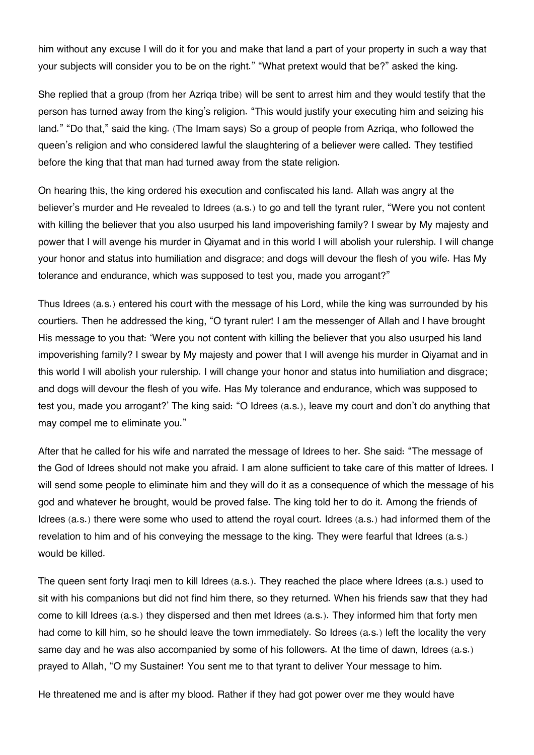him without any excuse I will do it for you and make that land a part of your property in such a way that your subjects will consider you to be on the right." "What pretext would that be?" asked the king.

She replied that a group (from her Azriqa tribe) will be sent to arrest him and they would testify that the person has turned away from the king's religion. "This would justify your executing him and seizing his land." "Do that," said the king. (The Imam says) So a group of people from Azriqa, who followed the queen's religion and who considered lawful the slaughtering of a believer were called. They testified before the king that that man had turned away from the state religion.

On hearing this, the king ordered his execution and confiscated his land. Allah was angry at the believer's murder and He revealed to Idrees (a.s.) to go and tell the tyrant ruler, "Were you not content with killing the believer that you also usurped his land impoverishing family? I swear by My majesty and power that I will avenge his murder in Qiyamat and in this world I will abolish your rulership. I will change your honor and status into humiliation and disgrace; and dogs will devour the flesh of you wife. Has My tolerance and endurance, which was supposed to test you, made you arrogant?"

Thus Idrees (a.s.) entered his court with the message of his Lord, while the king was surrounded by his courtiers. Then he addressed the king, "O tyrant ruler! I am the messenger of Allah and I have brought His message to you that: 'Were you not content with killing the believer that you also usurped his land impoverishing family? I swear by My majesty and power that I will avenge his murder in Qiyamat and in this world I will abolish your rulership. I will change your honor and status into humiliation and disgrace; and dogs will devour the flesh of you wife. Has My tolerance and endurance, which was supposed to test you, made you arrogant?' The king said: "O Idrees (a.s.), leave my court and don't do anything that may compel me to eliminate you."

After that he called for his wife and narrated the message of Idrees to her. She said: "The message of the God of Idrees should not make you afraid. I am alone sufficient to take care of this matter of Idrees. I will send some people to eliminate him and they will do it as a consequence of which the message of his god and whatever he brought, would be proved false. The king told her to do it. Among the friends of Idrees (a.s.) there were some who used to attend the royal court. Idrees (a.s.) had informed them of the revelation to him and of his conveying the message to the king. They were fearful that Idrees (a.s.) would be killed.

The queen sent forty Iraqi men to kill Idrees (a.s.). They reached the place where Idrees (a.s.) used to sit with his companions but did not find him there, so they returned. When his friends saw that they had come to kill Idrees (a.s.) they dispersed and then met Idrees (a.s.). They informed him that forty men had come to kill him, so he should leave the town immediately. So Idrees (a.s.) left the locality the very same day and he was also accompanied by some of his followers. At the time of dawn, Idrees (a.s.) prayed to Allah, "O my Sustainer! You sent me to that tyrant to deliver Your message to him.

He threatened me and is after my blood. Rather if they had got power over me they would have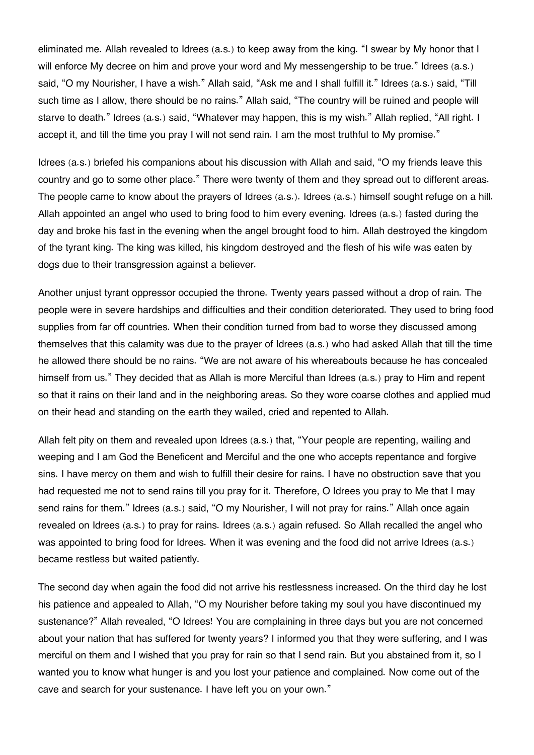eliminated me. Allah revealed to Idrees (a.s.) to keep away from the king. "I swear by My honor that I will enforce My decree on him and prove your word and My messengership to be true." Idrees (a.s.) said, "O my Nourisher, I have a wish." Allah said, "Ask me and I shall fulfill it." Idrees (a.s.) said, "Till such time as I allow, there should be no rains." Allah said, "The country will be ruined and people will starve to death." Idrees (a.s.) said, "Whatever may happen, this is my wish." Allah replied, "All right. I accept it, and till the time you pray I will not send rain. I am the most truthful to My promise."

Idrees (a.s.) briefed his companions about his discussion with Allah and said, "O my friends leave this country and go to some other place." There were twenty of them and they spread out to different areas. The people came to know about the prayers of Idrees (a.s.). Idrees (a.s.) himself sought refuge on a hill. Allah appointed an angel who used to bring food to him every evening. Idrees (a.s.) fasted during the day and broke his fast in the evening when the angel brought food to him. Allah destroyed the kingdom of the tyrant king. The king was killed, his kingdom destroyed and the flesh of his wife was eaten by dogs due to their transgression against a believer.

Another unjust tyrant oppressor occupied the throne. Twenty years passed without a drop of rain. The people were in severe hardships and difficulties and their condition deteriorated. They used to bring food supplies from far off countries. When their condition turned from bad to worse they discussed among themselves that this calamity was due to the prayer of Idrees (a.s.) who had asked Allah that till the time he allowed there should be no rains. "We are not aware of his whereabouts because he has concealed himself from us." They decided that as Allah is more Merciful than Idrees (a.s.) pray to Him and repent so that it rains on their land and in the neighboring areas. So they wore coarse clothes and applied mud on their head and standing on the earth they wailed, cried and repented to Allah.

Allah felt pity on them and revealed upon Idrees (a.s.) that, "Your people are repenting, wailing and weeping and I am God the Beneficent and Merciful and the one who accepts repentance and forgive sins. I have mercy on them and wish to fulfill their desire for rains. I have no obstruction save that you had requested me not to send rains till you pray for it. Therefore, O Idrees you pray to Me that I may send rains for them." Idrees (a.s.) said, "O my Nourisher, I will not pray for rains." Allah once again revealed on Idrees (a.s.) to pray for rains. Idrees (a.s.) again refused. So Allah recalled the angel who was appointed to bring food for Idrees. When it was evening and the food did not arrive Idrees (a.s.) became restless but waited patiently.

The second day when again the food did not arrive his restlessness increased. On the third day he lost his patience and appealed to Allah, "O my Nourisher before taking my soul you have discontinued my sustenance?" Allah revealed, "O Idrees! You are complaining in three days but you are not concerned about your nation that has suffered for twenty years? I informed you that they were suffering, and I was merciful on them and I wished that you pray for rain so that I send rain. But you abstained from it, so I wanted you to know what hunger is and you lost your patience and complained. Now come out of the cave and search for your sustenance. I have left you on your own."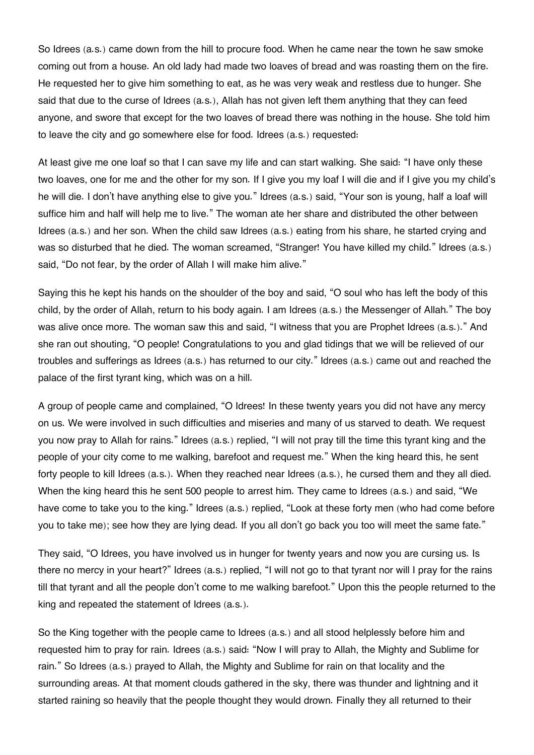So Idrees (a.s.) came down from the hill to procure food. When he came near the town he saw smoke coming out from a house. An old lady had made two loaves of bread and was roasting them on the fire. He requested her to give him something to eat, as he was very weak and restless due to hunger. She said that due to the curse of Idrees (a.s.), Allah has not given left them anything that they can feed anyone, and swore that except for the two loaves of bread there was nothing in the house. She told him to leave the city and go somewhere else for food. Idrees (a.s.) requested:

At least give me one loaf so that I can save my life and can start walking. She said: "I have only these two loaves, one for me and the other for my son. If I give you my loaf I will die and if I give you my child's he will die. I don't have anything else to give you." Idrees (a.s.) said, "Your son is young, half a loaf will suffice him and half will help me to live." The woman ate her share and distributed the other between Idrees (a.s.) and her son. When the child saw Idrees (a.s.) eating from his share, he started crying and was so disturbed that he died. The woman screamed, "Stranger! You have killed my child." Idrees (a.s.) said, "Do not fear, by the order of Allah I will make him alive."

Saying this he kept his hands on the shoulder of the boy and said, "O soul who has left the body of this child, by the order of Allah, return to his body again. I am Idrees (a.s.) the Messenger of Allah." The boy was alive once more. The woman saw this and said, "I witness that you are Prophet Idrees (a.s.)." And she ran out shouting, "O people! Congratulations to you and glad tidings that we will be relieved of our troubles and sufferings as Idrees (a.s.) has returned to our city." Idrees (a.s.) came out and reached the palace of the first tyrant king, which was on a hill.

A group of people came and complained, "O Idrees! In these twenty years you did not have any mercy on us. We were involved in such difficulties and miseries and many of us starved to death. We request you now pray to Allah for rains." Idrees (a.s.) replied, "I will not pray till the time this tyrant king and the people of your city come to me walking, barefoot and request me." When the king heard this, he sent forty people to kill Idrees (a.s.). When they reached near Idrees (a.s.), he cursed them and they all died. When the king heard this he sent 500 people to arrest him. They came to Idrees (a.s.) and said, "We have come to take you to the king." Idrees (a.s.) replied, "Look at these forty men (who had come before you to take me); see how they are lying dead. If you all don't go back you too will meet the same fate."

They said, "O Idrees, you have involved us in hunger for twenty years and now you are cursing us. Is there no mercy in your heart?" Idrees (a.s.) replied, "I will not go to that tyrant nor will I pray for the rains till that tyrant and all the people don't come to me walking barefoot." Upon this the people returned to the king and repeated the statement of Idrees (a.s.).

So the King together with the people came to Idrees (a.s.) and all stood helplessly before him and requested him to pray for rain. Idrees (a.s.) said: "Now I will pray to Allah, the Mighty and Sublime for rain." So Idrees (a.s.) prayed to Allah, the Mighty and Sublime for rain on that locality and the surrounding areas. At that moment clouds gathered in the sky, there was thunder and lightning and it started raining so heavily that the people thought they would drown. Finally they all returned to their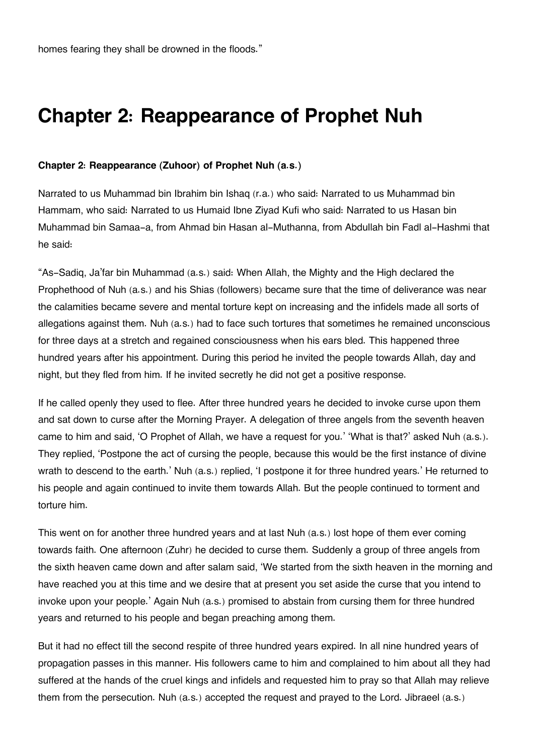## **Chapter 2: Reappearance of Prophet Nuh**

#### **Chapter 2: Reappearance (Zuhoor) of Prophet Nuh (a.s.)**

Narrated to us Muhammad bin Ibrahim bin Ishaq (r.a.) who said: Narrated to us Muhammad bin Hammam, who said: Narrated to us Humaid Ibne Ziyad Kufi who said: Narrated to us Hasan bin Muhammad bin Samaa-a, from Ahmad bin Hasan al-Muthanna, from Abdullah bin Fadl al-Hashmi that he said:

"As-Sadiq, Ja'far bin Muhammad (a.s.) said: When Allah, the Mighty and the High declared the Prophethood of Nuh (a.s.) and his Shias (followers) became sure that the time of deliverance was near the calamities became severe and mental torture kept on increasing and the infidels made all sorts of allegations against them. Nuh (a.s.) had to face such tortures that sometimes he remained unconscious for three days at a stretch and regained consciousness when his ears bled. This happened three hundred years after his appointment. During this period he invited the people towards Allah, day and night, but they fled from him. If he invited secretly he did not get a positive response.

If he called openly they used to flee. After three hundred years he decided to invoke curse upon them and sat down to curse after the Morning Prayer. A delegation of three angels from the seventh heaven came to him and said, 'O Prophet of Allah, we have a request for you.' 'What is that?' asked Nuh (a.s.). They replied, 'Postpone the act of cursing the people, because this would be the first instance of divine wrath to descend to the earth.' Nuh (a.s.) replied, 'I postpone it for three hundred years.' He returned to his people and again continued to invite them towards Allah. But the people continued to torment and torture him.

This went on for another three hundred years and at last Nuh (a.s.) lost hope of them ever coming towards faith. One afternoon (Zuhr) he decided to curse them. Suddenly a group of three angels from the sixth heaven came down and after salam said, 'We started from the sixth heaven in the morning and have reached you at this time and we desire that at present you set aside the curse that you intend to invoke upon your people.' Again Nuh (a.s.) promised to abstain from cursing them for three hundred years and returned to his people and began preaching among them.

But it had no effect till the second respite of three hundred years expired. In all nine hundred years of propagation passes in this manner. His followers came to him and complained to him about all they had suffered at the hands of the cruel kings and infidels and requested him to pray so that Allah may relieve them from the persecution. Nuh (a.s.) accepted the request and prayed to the Lord. Jibraeel (a.s.)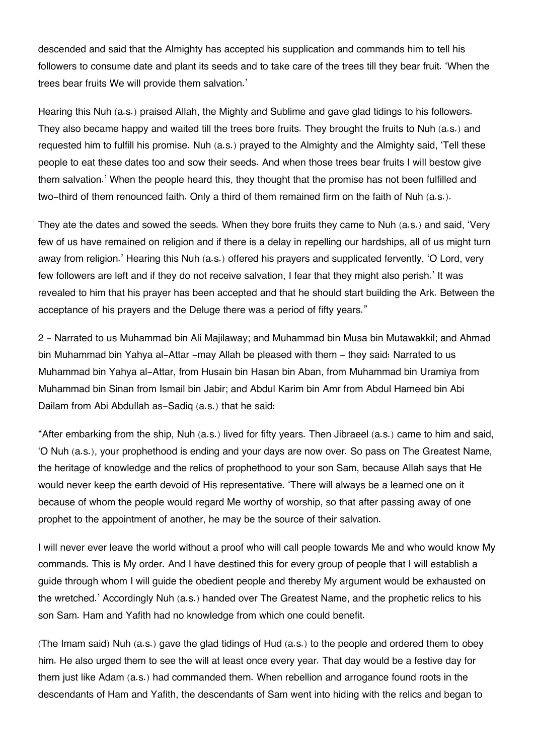descended and said that the Almighty has accepted his supplication and commands him to tell his followers to consume date and plant its seeds and to take care of the trees till they bear fruit. 'When the trees bear fruits We will provide them salvation.'

Hearing this Nuh (a.s.) praised Allah, the Mighty and Sublime and gave glad tidings to his followers. They also became happy and waited till the trees bore fruits. They brought the fruits to Nuh (a.s.) and requested him to fulfill his promise. Nuh (a.s.) prayed to the Almighty and the Almighty said, 'Tell these people to eat these dates too and sow their seeds. And when those trees bear fruits I will bestow give them salvation.' When the people heard this, they thought that the promise has not been fulfilled and two-third of them renounced faith. Only a third of them remained firm on the faith of Nuh (a.s.).

They ate the dates and sowed the seeds. When they bore fruits they came to Nuh (a.s.) and said, 'Very few of us have remained on religion and if there is a delay in repelling our hardships, all of us might turn away from religion.' Hearing this Nuh (a.s.) offered his prayers and supplicated fervently, 'O Lord, very few followers are left and if they do not receive salvation, I fear that they might also perish.' It was revealed to him that his prayer has been accepted and that he should start building the Ark. Between the acceptance of his prayers and the Deluge there was a period of fifty years."

2 - Narrated to us Muhammad bin Ali Majilaway; and Muhammad bin Musa bin Mutawakkil; and Ahmad bin Muhammad bin Yahya al-Attar -may Allah be pleased with them - they said: Narrated to us Muhammad bin Yahya al-Attar, from Husain bin Hasan bin Aban, from Muhammad bin Uramiya from Muhammad bin Sinan from Ismail bin Jabir; and Abdul Karim bin Amr from Abdul Hameed bin Abi Dailam from Abi Abdullah as-Sadiq (a.s.) that he said:

"After embarking from the ship, Nuh (a.s.) lived for fifty years. Then Jibraeel (a.s.) came to him and said, 'O Nuh (a.s.), your prophethood is ending and your days are now over. So pass on The Greatest Name, the heritage of knowledge and the relics of prophethood to your son Sam, because Allah says that He would never keep the earth devoid of His representative. 'There will always be a learned one on it because of whom the people would regard Me worthy of worship, so that after passing away of one prophet to the appointment of another, he may be the source of their salvation.

I will never ever leave the world without a proof who will call people towards Me and who would know My commands. This is My order. And I have destined this for every group of people that I will establish a guide through whom I will guide the obedient people and thereby My argument would be exhausted on the wretched.' Accordingly Nuh (a.s.) handed over The Greatest Name, and the prophetic relics to his son Sam. Ham and Yafith had no knowledge from which one could benefit.

(The Imam said) Nuh (a.s.) gave the glad tidings of Hud (a.s.) to the people and ordered them to obey him. He also urged them to see the will at least once every year. That day would be a festive day for them just like Adam (a.s.) had commanded them. When rebellion and arrogance found roots in the descendants of Ham and Yafith, the descendants of Sam went into hiding with the relics and began to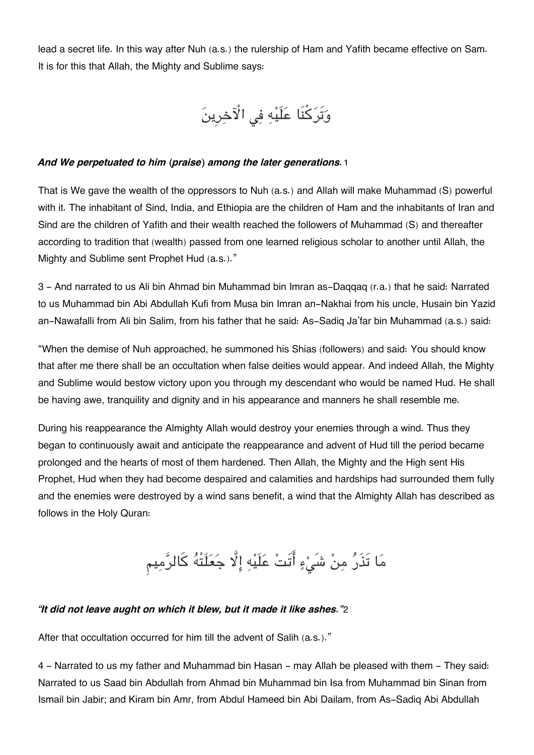lead a secret life. In this way after Nuh (a.s.) the rulership of Ham and Yafith became effective on Sam. It is for this that Allah, the Mighty and Sublime says:

# وَتَرَكْنَا عَلَيْهِ فِي الْآخِرِينَ

#### *And We perpetuated to him (praise) among the later generations.*[1](#page--1-0)

That is We gave the wealth of the oppressors to Nuh (a.s.) and Allah will make Muhammad (S) powerful with it. The inhabitant of Sind, India, and Ethiopia are the children of Ham and the inhabitants of Iran and Sind are the children of Yafith and their wealth reached the followers of Muhammad (S) and thereafter according to tradition that (wealth) passed from one learned religious scholar to another until Allah, the Mighty and Sublime sent Prophet Hud (a.s.)."

3 - And narrated to us Ali bin Ahmad bin Muhammad bin Imran as-Daqqaq (r.a.) that he said: Narrated to us Muhammad bin Abi Abdullah Kufi from Musa bin Imran an-Nakhai from his uncle, Husain bin Yazid an-Nawafalli from Ali bin Salim, from his father that he said: As-Sadiq Ja'far bin Muhammad (a.s.) said:

"When the demise of Nuh approached, he summoned his Shias (followers) and said: You should know that after me there shall be an occultation when false deities would appear. And indeed Allah, the Mighty and Sublime would bestow victory upon you through my descendant who would be named Hud. He shall be having awe, tranquility and dignity and in his appearance and manners he shall resemble me.

During his reappearance the Almighty Allah would destroy your enemies through a wind. Thus they began to continuously await and anticipate the reappearance and advent of Hud till the period became prolonged and the hearts of most of them hardened. Then Allah, the Mighty and the High sent His Prophet, Hud when they had become despaired and calamities and hardships had surrounded them fully and the enemies were destroyed by a wind sans benefit, a wind that the Almighty Allah has described as follows in the Holy Quran:

مَا تَذَرُ مِنْ شَيْءٍ أَتَتْ عَلَيْهِ إِلَّا جَعَلَتْهُ كَالرَّمِيم

#### *"It did not leave aught on which it blew, but it made it like ashes."*[2](#page--1-0)

After that occultation occurred for him till the advent of Salih (a.s.)."

4 - Narrated to us my father and Muhammad bin Hasan - may Allah be pleased with them - They said: Narrated to us Saad bin Abdullah from Ahmad bin Muhammad bin Isa from Muhammad bin Sinan from Ismail bin Jabir; and Kiram bin Amr, from Abdul Hameed bin Abi Dailam, from As-Sadiq Abi Abdullah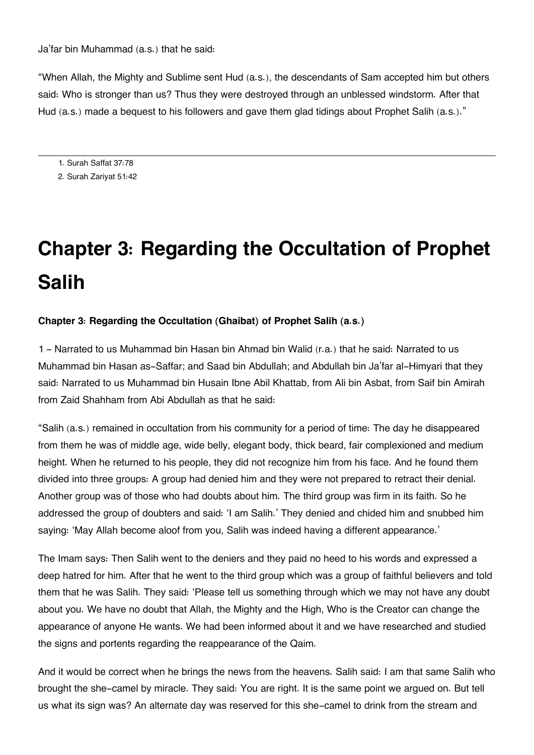Ja'far bin Muhammad (a.s.) that he said:

"When Allah, the Mighty and Sublime sent Hud (a.s.), the descendants of Sam accepted him but others said: Who is stronger than us? Thus they were destroyed through an unblessed windstorm. After that Hud (a.s.) made a bequest to his followers and gave them glad tidings about Prophet Salih (a.s.)."

[1.](#page--1-0) Surah Saffat 37:78

[2.](#page--1-0) Surah Zariyat 51:42

# **Chapter 3: Regarding the Occultation of Prophet Salih**

#### **Chapter 3: Regarding the Occultation (Ghaibat) of Prophet Salih (a.s.)**

1 - Narrated to us Muhammad bin Hasan bin Ahmad bin Walid (r.a.) that he said: Narrated to us Muhammad bin Hasan as-Saffar; and Saad bin Abdullah; and Abdullah bin Ja'far al-Himyari that they said: Narrated to us Muhammad bin Husain Ibne Abil Khattab, from Ali bin Asbat, from Saif bin Amirah from Zaid Shahham from Abi Abdullah as that he said:

"Salih (a.s.) remained in occultation from his community for a period of time: The day he disappeared from them he was of middle age, wide belly, elegant body, thick beard, fair complexioned and medium height. When he returned to his people, they did not recognize him from his face. And he found them divided into three groups: A group had denied him and they were not prepared to retract their denial. Another group was of those who had doubts about him. The third group was firm in its faith. So he addressed the group of doubters and said: 'I am Salih.' They denied and chided him and snubbed him saying: 'May Allah become aloof from you, Salih was indeed having a different appearance.'

The Imam says: Then Salih went to the deniers and they paid no heed to his words and expressed a deep hatred for him. After that he went to the third group which was a group of faithful believers and told them that he was Salih. They said: 'Please tell us something through which we may not have any doubt about you. We have no doubt that Allah, the Mighty and the High, Who is the Creator can change the appearance of anyone He wants. We had been informed about it and we have researched and studied the signs and portents regarding the reappearance of the Qaim.

And it would be correct when he brings the news from the heavens. Salih said: I am that same Salih who brought the she-camel by miracle. They said: You are right. It is the same point we argued on. But tell us what its sign was? An alternate day was reserved for this she-camel to drink from the stream and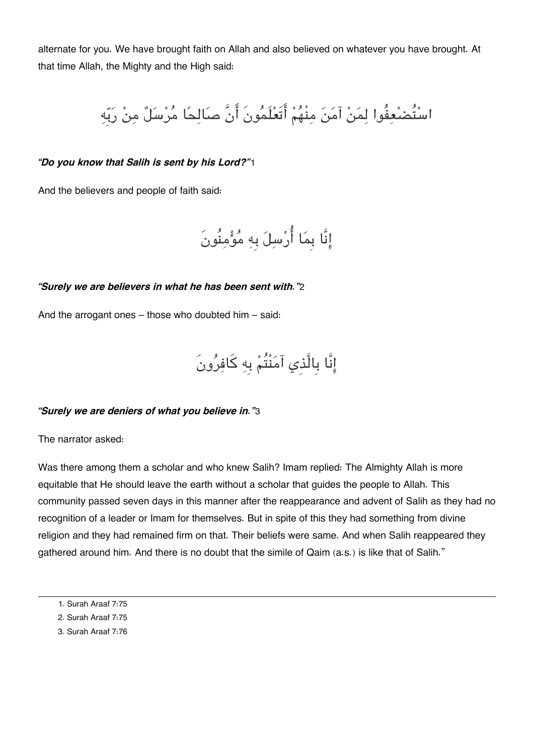alternate for you. We have brought faith on Allah and also believed on whatever you have brought. At that time Allah, the Mighty and the High said:

استُضعفُوا لمن آمن منْهم اتَعلَمونَ انَّ صالحا مرسل من ربِه

#### *"Do you know that Salih is sent by his Lord?"*[1](#page--1-0)

And the believers and people of faith said:

انَّا بِما ارسل بِه مومنُونَ

#### *"Surely we are believers in what he has been sent with."*[2](#page--1-0)

And the arrogant ones – those who doubted him – said:

انَّا بِالَّذِي آمنْتُم بِه كافرونَ

#### *"Surely we are deniers of what you believe in."*[3](#page--1-0)

The narrator asked:

Was there among them a scholar and who knew Salih? Imam replied: The Almighty Allah is more equitable that He should leave the earth without a scholar that guides the people to Allah. This community passed seven days in this manner after the reappearance and advent of Salih as they had no recognition of a leader or Imam for themselves. But in spite of this they had something from divine religion and they had remained firm on that. Their beliefs were same. And when Salih reappeared they gathered around him. And there is no doubt that the simile of Qaim (a.s.) is like that of Salih."

[3.](#page--1-0) Surah Araaf 7:76

[<sup>1.</sup>](#page--1-0) Surah Araaf 7:75

[<sup>2.</sup>](#page--1-0) Surah Araaf 7:75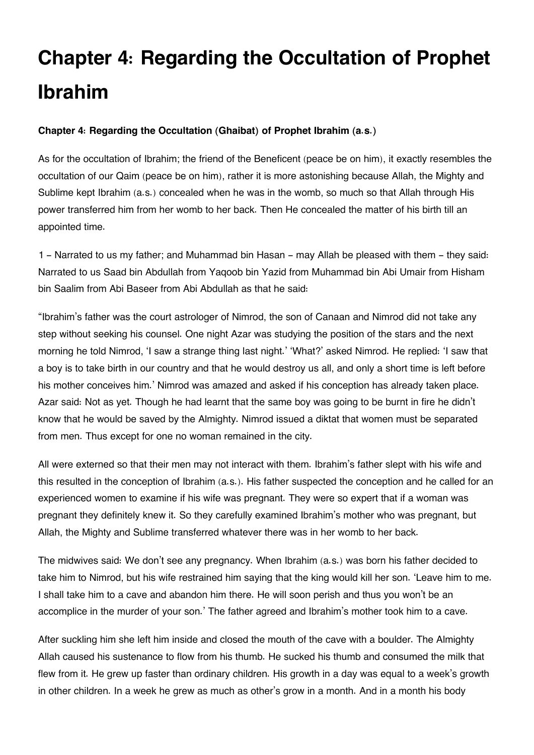# **Chapter 4: Regarding the Occultation of Prophet Ibrahim**

#### **Chapter 4: Regarding the Occultation (Ghaibat) of Prophet Ibrahim (a.s.)**

As for the occultation of Ibrahim; the friend of the Beneficent (peace be on him), it exactly resembles the occultation of our Qaim (peace be on him), rather it is more astonishing because Allah, the Mighty and Sublime kept Ibrahim (a.s.) concealed when he was in the womb, so much so that Allah through His power transferred him from her womb to her back. Then He concealed the matter of his birth till an appointed time.

1 - Narrated to us my father; and Muhammad bin Hasan - may Allah be pleased with them - they said: Narrated to us Saad bin Abdullah from Yaqoob bin Yazid from Muhammad bin Abi Umair from Hisham bin Saalim from Abi Baseer from Abi Abdullah as that he said:

"Ibrahim's father was the court astrologer of Nimrod, the son of Canaan and Nimrod did not take any step without seeking his counsel. One night Azar was studying the position of the stars and the next morning he told Nimrod, 'I saw a strange thing last night.' 'What?' asked Nimrod. He replied: 'I saw that a boy is to take birth in our country and that he would destroy us all, and only a short time is left before his mother conceives him.' Nimrod was amazed and asked if his conception has already taken place. Azar said: Not as yet. Though he had learnt that the same boy was going to be burnt in fire he didn't know that he would be saved by the Almighty. Nimrod issued a diktat that women must be separated from men. Thus except for one no woman remained in the city.

All were externed so that their men may not interact with them. Ibrahim's father slept with his wife and this resulted in the conception of Ibrahim (a.s.). His father suspected the conception and he called for an experienced women to examine if his wife was pregnant. They were so expert that if a woman was pregnant they definitely knew it. So they carefully examined Ibrahim's mother who was pregnant, but Allah, the Mighty and Sublime transferred whatever there was in her womb to her back.

The midwives said: We don't see any pregnancy. When Ibrahim (a.s.) was born his father decided to take him to Nimrod, but his wife restrained him saying that the king would kill her son. 'Leave him to me. I shall take him to a cave and abandon him there. He will soon perish and thus you won't be an accomplice in the murder of your son.' The father agreed and Ibrahim's mother took him to a cave.

After suckling him she left him inside and closed the mouth of the cave with a boulder. The Almighty Allah caused his sustenance to flow from his thumb. He sucked his thumb and consumed the milk that flew from it. He grew up faster than ordinary children. His growth in a day was equal to a week's growth in other children. In a week he grew as much as other's grow in a month. And in a month his body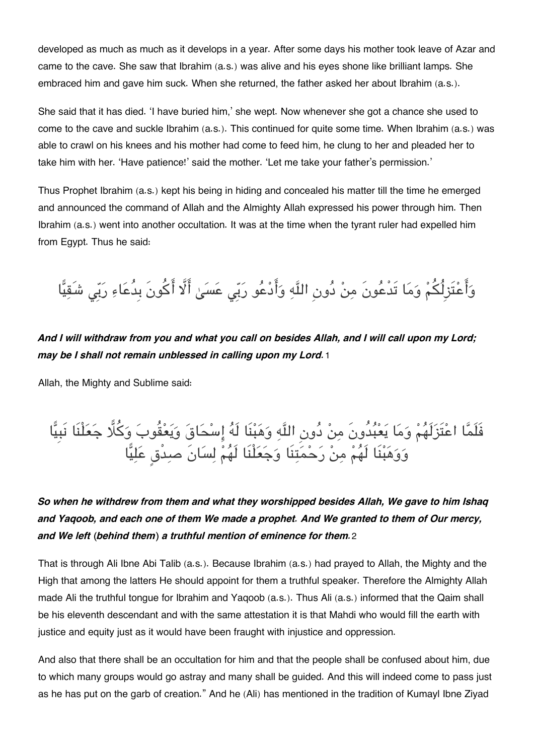developed as much as much as it develops in a year. After some days his mother took leave of Azar and came to the cave. She saw that Ibrahim (a.s.) was alive and his eyes shone like brilliant lamps. She embraced him and gave him suck. When she returned, the father asked her about Ibrahim (a.s.).

She said that it has died. 'I have buried him,' she wept. Now whenever she got a chance she used to come to the cave and suckle Ibrahim (a.s.). This continued for quite some time. When Ibrahim (a.s.) was able to crawl on his knees and his mother had come to feed him, he clung to her and pleaded her to take him with her. 'Have patience!' said the mother. 'Let me take your father's permission.'

Thus Prophet Ibrahim (a.s.) kept his being in hiding and concealed his matter till the time he emerged and announced the command of Allah and the Almighty Allah expressed his power through him. Then Ibrahim (a.s.) went into another occultation. It was at the time when the tyrant ruler had expelled him from Egypt. Thus he said:

وَأَعْتَزِلُكُمْ وَمَا تَدْعُونَ مِنْ دُونِ اللَّهِ وَأَدْعُو رَبِّى عَسَىٰ أَلَّا أَكُونَ بِدُعَاءِ رَبِّى شَقِيًّا

*And I will withdraw from you and what you call on besides Allah, and I will call upon my Lord; may be I shall not remain unblessed in calling upon my Lord.*[1](#page--1-0)

Allah, the Mighty and Sublime said:

فَلَمَّا اعْتَزَلَهُمْ وَمَا يَعْبُدُونَ مِنْ دُونِ اللَّهِ وَهَبْنَا لَهُ إِسْحَاقَ وَيَعْقُوبَ وَكُلَّا جَعَلْنَا نَبِيًّا ووهبنَا لَهم من رحمتنَا وجعلْنَا لَهم لسانَ صدْقٍ عليا

### *So when he withdrew from them and what they worshipped besides Allah, We gave to him Ishaq and Yaqoob, and each one of them We made a prophet. And We granted to them of Our mercy, and We left (behind them) a truthful mention of eminence for them.*[2](#page--1-0)

That is through Ali Ibne Abi Talib (a.s.). Because Ibrahim (a.s.) had prayed to Allah, the Mighty and the High that among the latters He should appoint for them a truthful speaker. Therefore the Almighty Allah made Ali the truthful tongue for Ibrahim and Yaqoob (a.s.). Thus Ali (a.s.) informed that the Qaim shall be his eleventh descendant and with the same attestation it is that Mahdi who would fill the earth with justice and equity just as it would have been fraught with injustice and oppression.

And also that there shall be an occultation for him and that the people shall be confused about him, due to which many groups would go astray and many shall be guided. And this will indeed come to pass just as he has put on the garb of creation." And he (Ali) has mentioned in the tradition of Kumayl Ibne Ziyad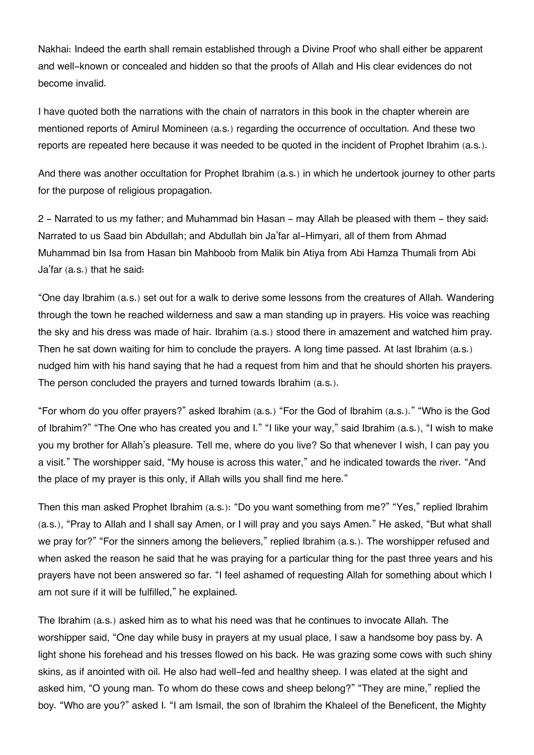Nakhai: Indeed the earth shall remain established through a Divine Proof who shall either be apparent and well-known or concealed and hidden so that the proofs of Allah and His clear evidences do not become invalid.

I have quoted both the narrations with the chain of narrators in this book in the chapter wherein are mentioned reports of Amirul Momineen (a.s.) regarding the occurrence of occultation. And these two reports are repeated here because it was needed to be quoted in the incident of Prophet Ibrahim (a.s.).

And there was another occultation for Prophet Ibrahim (a.s.) in which he undertook journey to other parts for the purpose of religious propagation.

2 - Narrated to us my father; and Muhammad bin Hasan - may Allah be pleased with them - they said: Narrated to us Saad bin Abdullah; and Abdullah bin Ja'far al-Himyari, all of them from Ahmad Muhammad bin Isa from Hasan bin Mahboob from Malik bin Atiya from Abi Hamza Thumali from Abi Ja'far (a.s.) that he said:

"One day Ibrahim (a.s.) set out for a walk to derive some lessons from the creatures of Allah. Wandering through the town he reached wilderness and saw a man standing up in prayers. His voice was reaching the sky and his dress was made of hair. Ibrahim (a.s.) stood there in amazement and watched him pray. Then he sat down waiting for him to conclude the prayers. A long time passed. At last Ibrahim (a.s.) nudged him with his hand saying that he had a request from him and that he should shorten his prayers. The person concluded the prayers and turned towards Ibrahim (a.s.).

"For whom do you offer prayers?" asked Ibrahim (a.s.) "For the God of Ibrahim (a.s.)." "Who is the God of Ibrahim?" "The One who has created you and I." "I like your way," said Ibrahim (a.s.), "I wish to make you my brother for Allah's pleasure. Tell me, where do you live? So that whenever I wish, I can pay you a visit." The worshipper said, "My house is across this water," and he indicated towards the river. "And the place of my prayer is this only, if Allah wills you shall find me here."

Then this man asked Prophet Ibrahim (a.s.): "Do you want something from me?" "Yes," replied Ibrahim (a.s.), "Pray to Allah and I shall say Amen, or I will pray and you says Amen." He asked, "But what shall we pray for?" "For the sinners among the believers," replied Ibrahim (a.s.). The worshipper refused and when asked the reason he said that he was praying for a particular thing for the past three years and his prayers have not been answered so far. "I feel ashamed of requesting Allah for something about which I am not sure if it will be fulfilled," he explained.

The Ibrahim (a.s.) asked him as to what his need was that he continues to invocate Allah. The worshipper said, "One day while busy in prayers at my usual place, I saw a handsome boy pass by. A light shone his forehead and his tresses flowed on his back. He was grazing some cows with such shiny skins, as if anointed with oil. He also had well-fed and healthy sheep. I was elated at the sight and asked him, "O young man. To whom do these cows and sheep belong?" "They are mine," replied the boy. "Who are you?" asked I. "I am Ismail, the son of Ibrahim the Khaleel of the Beneficent, the Mighty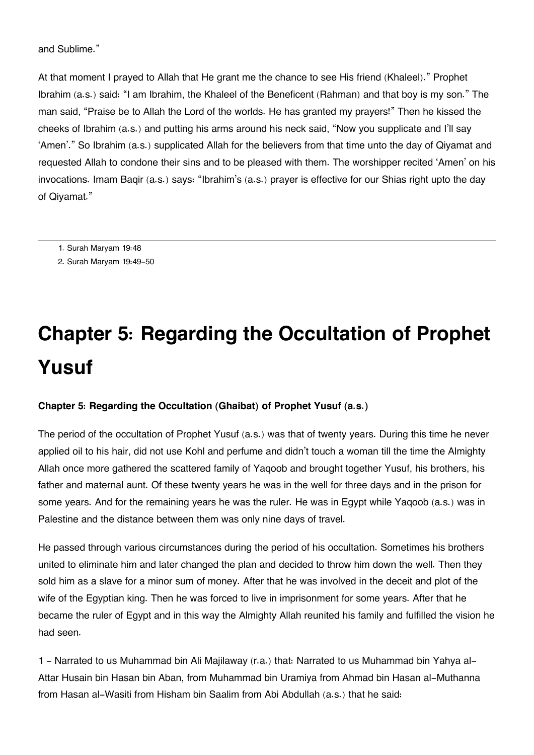and Sublime."

At that moment I prayed to Allah that He grant me the chance to see His friend (Khaleel)." Prophet Ibrahim (a.s.) said: "I am Ibrahim, the Khaleel of the Beneficent (Rahman) and that boy is my son." The man said, "Praise be to Allah the Lord of the worlds. He has granted my prayers!" Then he kissed the cheeks of Ibrahim (a.s.) and putting his arms around his neck said, "Now you supplicate and I'll say 'Amen'." So Ibrahim (a.s.) supplicated Allah for the believers from that time unto the day of Qiyamat and requested Allah to condone their sins and to be pleased with them. The worshipper recited 'Amen' on his invocations. Imam Baqir (a.s.) says: "Ibrahim's (a.s.) prayer is effective for our Shias right upto the day of Qiyamat."

- [1.](#page--1-0) Surah Maryam 19:48
- [2.](#page--1-0) Surah Maryam 19:49-50

# **Chapter 5: Regarding the Occultation of Prophet Yusuf**

#### **Chapter 5: Regarding the Occultation (Ghaibat) of Prophet Yusuf (a.s.)**

The period of the occultation of Prophet Yusuf (a.s.) was that of twenty years. During this time he never applied oil to his hair, did not use Kohl and perfume and didn't touch a woman till the time the Almighty Allah once more gathered the scattered family of Yaqoob and brought together Yusuf, his brothers, his father and maternal aunt. Of these twenty years he was in the well for three days and in the prison for some years. And for the remaining years he was the ruler. He was in Egypt while Yaqoob (a.s.) was in Palestine and the distance between them was only nine days of travel.

He passed through various circumstances during the period of his occultation. Sometimes his brothers united to eliminate him and later changed the plan and decided to throw him down the well. Then they sold him as a slave for a minor sum of money. After that he was involved in the deceit and plot of the wife of the Egyptian king. Then he was forced to live in imprisonment for some years. After that he became the ruler of Egypt and in this way the Almighty Allah reunited his family and fulfilled the vision he had seen.

1 - Narrated to us Muhammad bin Ali Majilaway (r.a.) that: Narrated to us Muhammad bin Yahya al-Attar Husain bin Hasan bin Aban, from Muhammad bin Uramiya from Ahmad bin Hasan al-Muthanna from Hasan al-Wasiti from Hisham bin Saalim from Abi Abdullah (a.s.) that he said: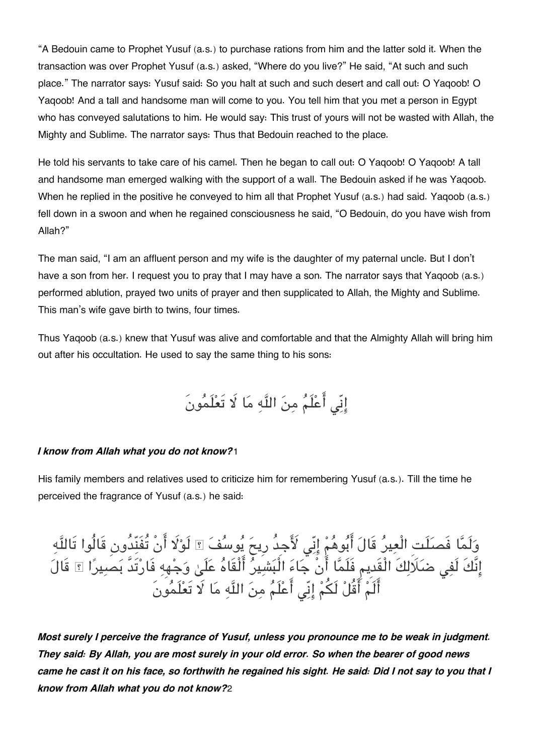"A Bedouin came to Prophet Yusuf (a.s.) to purchase rations from him and the latter sold it. When the transaction was over Prophet Yusuf (a.s.) asked, "Where do you live?" He said, "At such and such place." The narrator says: Yusuf said: So you halt at such and such desert and call out: O Yaqoob! O Yaqoob! And a tall and handsome man will come to you. You tell him that you met a person in Egypt who has conveyed salutations to him. He would say: This trust of yours will not be wasted with Allah, the Mighty and Sublime. The narrator says: Thus that Bedouin reached to the place.

He told his servants to take care of his camel. Then he began to call out: O Yaqoob! O Yaqoob! A tall and handsome man emerged walking with the support of a wall. The Bedouin asked if he was Yaqoob. When he replied in the positive he conveyed to him all that Prophet Yusuf (a.s.) had said. Yaqoob (a.s.) fell down in a swoon and when he regained consciousness he said, "O Bedouin, do you have wish from Allah?"

The man said, "I am an affluent person and my wife is the daughter of my paternal uncle. But I don't have a son from her. I request you to pray that I may have a son. The narrator says that Yaqoob (a.s.) performed ablution, prayed two units of prayer and then supplicated to Allah, the Mighty and Sublime. This man's wife gave birth to twins, four times.

Thus Yaqoob (a.s.) knew that Yusuf was alive and comfortable and that the Almighty Allah will bring him out after his occultation. He used to say the same thing to his sons:

انّ اعلَم من اله ما تَعلَمونَ

#### *I know from Allah what you do not know?*[1](#page--1-0)

His family members and relatives used to criticize him for remembering Yusuf (a.s.). Till the time he perceived the fragrance of Yusuf (a.s.) he said:

وَلَمّا فَصلَت الْعِيرُ قَالَ أَبُوهُمْ إِنِّي لأَجِدُ رِيحَ يُوسُفَ ۩ لَوْلا أَن تَفَنِّدُونِ قَالُوا تَاللّهِ إِنَّكَ لَفِي ضَلالِكَ الْقَدِيم فَلَمَّا انْ جَاءَ الْبَشِيرُ الْقَاهَ عَلَىٰ وَجْهِهِ فَارْتَدَّ بَصِيرًا ۞ قَالَ الَم اقُل لَم انّ اعلَم من اله ما تَعلَمونَ

*Most surely I perceive the fragrance of Yusuf, unless you pronounce me to be weak in judgment. They said: By Allah, you are most surely in your old error. So when the bearer of good news came he cast it on his face, so forthwith he regained his sight. He said: Did I not say to you that I know from Allah what you do not know?*[2](#page--1-0)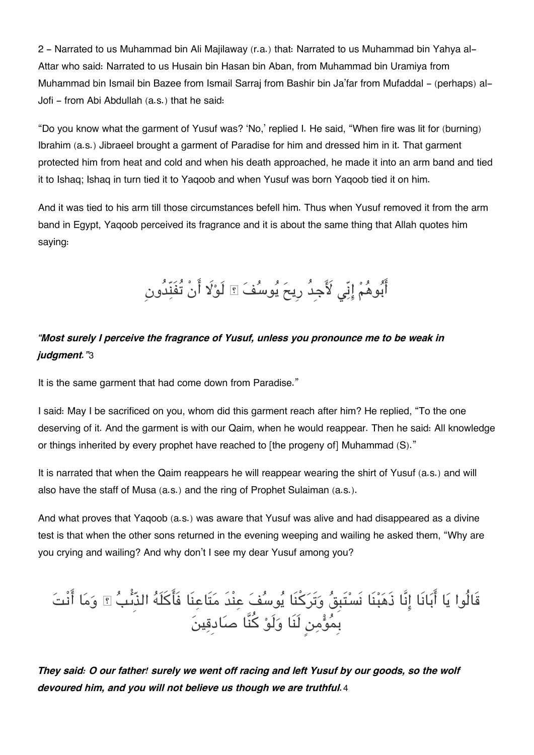2 - Narrated to us Muhammad bin Ali Majilaway (r.a.) that: Narrated to us Muhammad bin Yahya al-Attar who said: Narrated to us Husain bin Hasan bin Aban, from Muhammad bin Uramiya from Muhammad bin Ismail bin Bazee from Ismail Sarraj from Bashir bin Ja'far from Mufaddal - (perhaps) al-Jofi - from Abi Abdullah (a.s.) that he said:

"Do you know what the garment of Yusuf was? 'No,' replied I. He said, "When fire was lit for (burning) Ibrahim (a.s.) Jibraeel brought a garment of Paradise for him and dressed him in it. That garment protected him from heat and cold and when his death approached, he made it into an arm band and tied it to Ishaq; Ishaq in turn tied it to Yaqoob and when Yusuf was born Yaqoob tied it on him.

And it was tied to his arm till those circumstances befell him. Thus when Yusuf removed it from the arm band in Egypt, Yaqoob perceived its fragrance and it is about the same thing that Allah quotes him saying:

أَبُوهُمْ إِنِّي لَأَجِدُ رِيحَ يُوسُفَ ؟ لَوْلَا أَنْ تُفَنِّدُونِ

#### *"Most surely I perceive the fragrance of Yusuf, unless you pronounce me to be weak in judgment."*[3](#page--1-0)

It is the same garment that had come down from Paradise."

I said: May I be sacrificed on you, whom did this garment reach after him? He replied, "To the one deserving of it. And the garment is with our Qaim, when he would reappear. Then he said: All knowledge or things inherited by every prophet have reached to [the progeny of] Muhammad (S)."

It is narrated that when the Qaim reappears he will reappear wearing the shirt of Yusuf (a.s.) and will also have the staff of Musa (a.s.) and the ring of Prophet Sulaiman (a.s.).

And what proves that Yaqoob (a.s.) was aware that Yusuf was alive and had disappeared as a divine test is that when the other sons returned in the evening weeping and wailing he asked them, "Why are you crying and wailing? And why don't I see my dear Yusuf among you?

قَالُوا يا ابانَا انَّا ذَهبنَا نَستَبِق وتَركنَا يوسف عنْدَ متَاعنَا فَاكلَه الذِّىب ۖ وما انْت بِمومن لَنَا ولَو كنَّا صادِقين

*They said: O our father! surely we went off racing and left Yusuf by our goods, so the wolf devoured him, and you will not believe us though we are truthful.*[4](#page--1-0)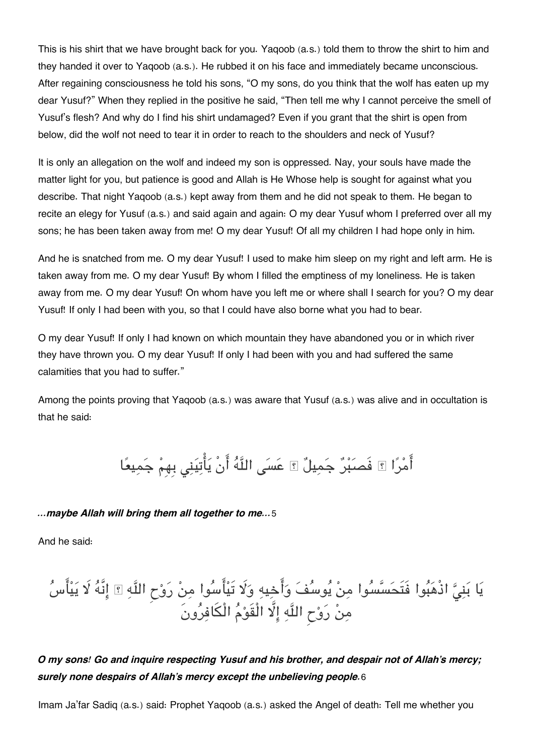This is his shirt that we have brought back for you. Yaqoob (a.s.) told them to throw the shirt to him and they handed it over to Yaqoob (a.s.). He rubbed it on his face and immediately became unconscious. After regaining consciousness he told his sons, "O my sons, do you think that the wolf has eaten up my dear Yusuf?" When they replied in the positive he said, "Then tell me why I cannot perceive the smell of Yusuf's flesh? And why do I find his shirt undamaged? Even if you grant that the shirt is open from below, did the wolf not need to tear it in order to reach to the shoulders and neck of Yusuf?

It is only an allegation on the wolf and indeed my son is oppressed. Nay, your souls have made the matter light for you, but patience is good and Allah is He Whose help is sought for against what you describe. That night Yaqoob (a.s.) kept away from them and he did not speak to them. He began to recite an elegy for Yusuf (a.s.) and said again and again: O my dear Yusuf whom I preferred over all my sons; he has been taken away from me! O my dear Yusuf! Of all my children I had hope only in him.

And he is snatched from me. O my dear Yusuf! I used to make him sleep on my right and left arm. He is taken away from me. O my dear Yusuf! By whom I filled the emptiness of my loneliness. He is taken away from me. O my dear Yusuf! On whom have you left me or where shall I search for you? O my dear Yusuf! If only I had been with you, so that I could have also borne what you had to bear.

O my dear Yusuf! If only I had known on which mountain they have abandoned you or in which river they have thrown you. O my dear Yusuf! If only I had been with you and had suffered the same calamities that you had to suffer."

Among the points proving that Yaqoob (a.s.) was aware that Yusuf (a.s.) was alive and in occultation is that he said:

أَمْرًا ۩ فَصبَبْنٌ جَمِيلٌ ۩ عَسَى اللَّهُ أَنْ يَأْتِيَنِي بِهِمْ جَمِيعًا

*…maybe Allah will bring them all together to me…*[5](#page--1-0)

And he said:

يا بن اذْهبوا فَتَحسسوا من يوسف واخيه و تَياسوا من روح اله ۖ انَّه يياس من روح اله ا الْقَوم الْافرونَ

#### *O my sons! Go and inquire respecting Yusuf and his brother, and despair not of Allah's mercy; surely none despairs of Allah's mercy except the unbelieving people.*[6](#page--1-0)

Imam Ja'far Sadiq (a.s.) said: Prophet Yaqoob (a.s.) asked the Angel of death: Tell me whether you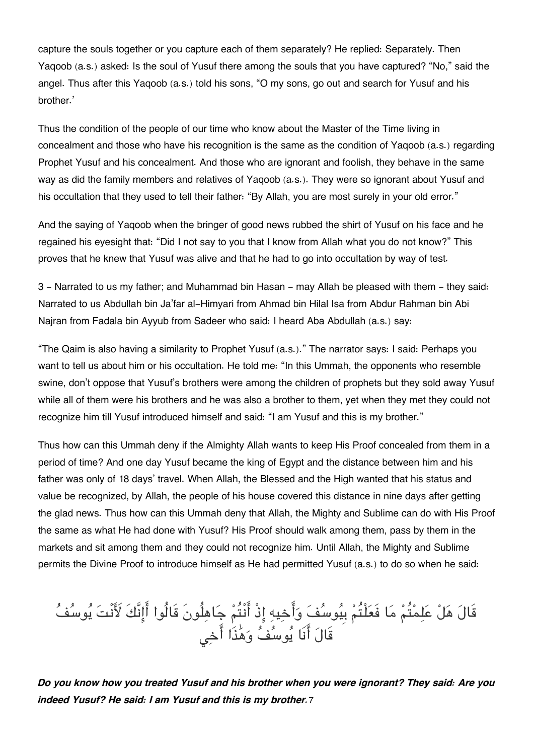capture the souls together or you capture each of them separately? He replied: Separately. Then Yaqoob (a.s.) asked: Is the soul of Yusuf there among the souls that you have captured? "No," said the angel. Thus after this Yaqoob (a.s.) told his sons, "O my sons, go out and search for Yusuf and his brother.'

Thus the condition of the people of our time who know about the Master of the Time living in concealment and those who have his recognition is the same as the condition of Yaqoob (a.s.) regarding Prophet Yusuf and his concealment. And those who are ignorant and foolish, they behave in the same way as did the family members and relatives of Yaqoob (a.s.). They were so ignorant about Yusuf and his occultation that they used to tell their father: "By Allah, you are most surely in your old error."

And the saying of Yaqoob when the bringer of good news rubbed the shirt of Yusuf on his face and he regained his eyesight that: "Did I not say to you that I know from Allah what you do not know?" This proves that he knew that Yusuf was alive and that he had to go into occultation by way of test.

3 - Narrated to us my father; and Muhammad bin Hasan - may Allah be pleased with them - they said: Narrated to us Abdullah bin Ja'far al-Himyari from Ahmad bin Hilal Isa from Abdur Rahman bin Abi Najran from Fadala bin Ayyub from Sadeer who said: I heard Aba Abdullah (a.s.) say:

"The Qaim is also having a similarity to Prophet Yusuf (a.s.)." The narrator says: I said: Perhaps you want to tell us about him or his occultation. He told me: "In this Ummah, the opponents who resemble swine, don't oppose that Yusuf's brothers were among the children of prophets but they sold away Yusuf while all of them were his brothers and he was also a brother to them, yet when they met they could not recognize him till Yusuf introduced himself and said: "I am Yusuf and this is my brother."

Thus how can this Ummah deny if the Almighty Allah wants to keep His Proof concealed from them in a period of time? And one day Yusuf became the king of Egypt and the distance between him and his father was only of 18 days' travel. When Allah, the Blessed and the High wanted that his status and value be recognized, by Allah, the people of his house covered this distance in nine days after getting the glad news. Thus how can this Ummah deny that Allah, the Mighty and Sublime can do with His Proof the same as what He had done with Yusuf? His Proof should walk among them, pass by them in the markets and sit among them and they could not recognize him. Until Allah, the Mighty and Sublime permits the Divine Proof to introduce himself as He had permitted Yusuf (a.s.) to do so when he said:

قَالَ هَلْ عَلِمْتُمْ مَا فَعَلْتُمْ بِيَوسَفَ وَاخِيهِ إِذْ انْتُمْ جَاهِلُونَ قَالُوا اإِنَّكَ لَأَنْتَ يَوسُفُ قَالَ أَنَا يُوسُفُ وَهَٰذَا أَخِى

*Do you know how you treated Yusuf and his brother when you were ignorant? They said: Are you indeed Yusuf? He said: I am Yusuf and this is my brother.*[7](#page--1-0)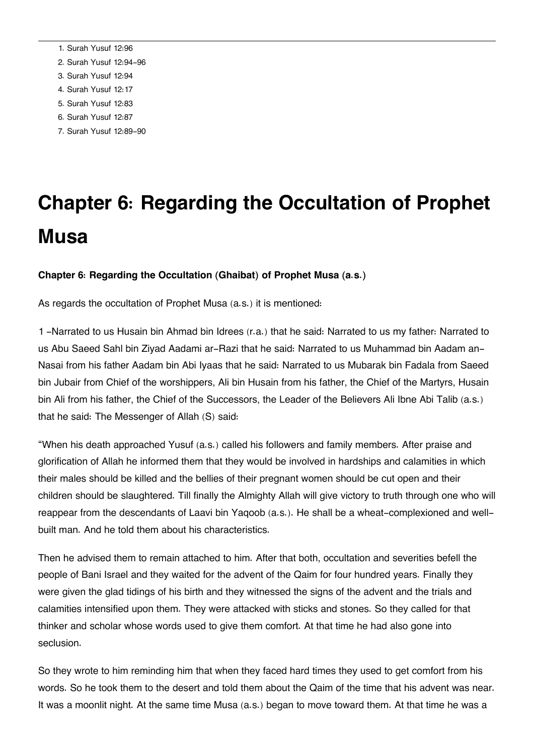- [1.](#page--1-0) Surah Yusuf 12:96
- [2.](#page--1-0) Surah Yusuf 12:94-96
- [3.](#page--1-0) Surah Yusuf 12:94
- [4.](#page--1-0) Surah Yusuf 12:17
- [5.](#page--1-0) Surah Yusuf 12:83
- [6.](#page--1-0) Surah Yusuf 12:87
- [7.](#page--1-0) Surah Yusuf 12:89-90

# **Chapter 6: Regarding the Occultation of Prophet Musa**

#### **Chapter 6: Regarding the Occultation (Ghaibat) of Prophet Musa (a.s.)**

As regards the occultation of Prophet Musa (a.s.) it is mentioned:

1 -Narrated to us Husain bin Ahmad bin Idrees (r.a.) that he said: Narrated to us my father: Narrated to us Abu Saeed Sahl bin Ziyad Aadami ar-Razi that he said: Narrated to us Muhammad bin Aadam an-Nasai from his father Aadam bin Abi Iyaas that he said: Narrated to us Mubarak bin Fadala from Saeed bin Jubair from Chief of the worshippers, Ali bin Husain from his father, the Chief of the Martyrs, Husain bin Ali from his father, the Chief of the Successors, the Leader of the Believers Ali Ibne Abi Talib (a.s.) that he said: The Messenger of Allah (S) said:

"When his death approached Yusuf (a.s.) called his followers and family members. After praise and glorification of Allah he informed them that they would be involved in hardships and calamities in which their males should be killed and the bellies of their pregnant women should be cut open and their children should be slaughtered. Till finally the Almighty Allah will give victory to truth through one who will reappear from the descendants of Laavi bin Yaqoob (a.s.). He shall be a wheat-complexioned and wellbuilt man. And he told them about his characteristics.

Then he advised them to remain attached to him. After that both, occultation and severities befell the people of Bani Israel and they waited for the advent of the Qaim for four hundred years. Finally they were given the glad tidings of his birth and they witnessed the signs of the advent and the trials and calamities intensified upon them. They were attacked with sticks and stones. So they called for that thinker and scholar whose words used to give them comfort. At that time he had also gone into seclusion.

So they wrote to him reminding him that when they faced hard times they used to get comfort from his words. So he took them to the desert and told them about the Qaim of the time that his advent was near. It was a moonlit night. At the same time Musa (a.s.) began to move toward them. At that time he was a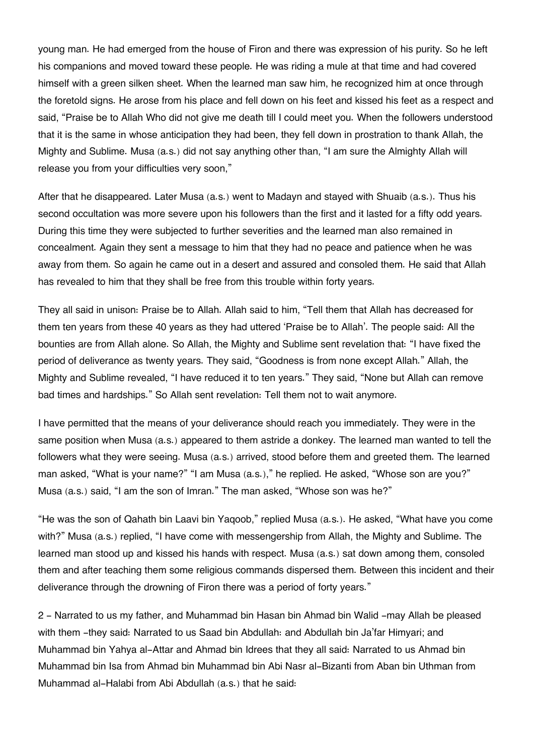young man. He had emerged from the house of Firon and there was expression of his purity. So he left his companions and moved toward these people. He was riding a mule at that time and had covered himself with a green silken sheet. When the learned man saw him, he recognized him at once through the foretold signs. He arose from his place and fell down on his feet and kissed his feet as a respect and said, "Praise be to Allah Who did not give me death till I could meet you. When the followers understood that it is the same in whose anticipation they had been, they fell down in prostration to thank Allah, the Mighty and Sublime. Musa (a.s.) did not say anything other than, "I am sure the Almighty Allah will release you from your difficulties very soon,"

After that he disappeared. Later Musa (a.s.) went to Madayn and stayed with Shuaib (a.s.). Thus his second occultation was more severe upon his followers than the first and it lasted for a fifty odd years. During this time they were subjected to further severities and the learned man also remained in concealment. Again they sent a message to him that they had no peace and patience when he was away from them. So again he came out in a desert and assured and consoled them. He said that Allah has revealed to him that they shall be free from this trouble within forty years.

They all said in unison: Praise be to Allah. Allah said to him, "Tell them that Allah has decreased for them ten years from these 40 years as they had uttered 'Praise be to Allah'. The people said: All the bounties are from Allah alone. So Allah, the Mighty and Sublime sent revelation that: "I have fixed the period of deliverance as twenty years. They said, "Goodness is from none except Allah." Allah, the Mighty and Sublime revealed, "I have reduced it to ten years." They said, "None but Allah can remove bad times and hardships." So Allah sent revelation: Tell them not to wait anymore.

I have permitted that the means of your deliverance should reach you immediately. They were in the same position when Musa (a.s.) appeared to them astride a donkey. The learned man wanted to tell the followers what they were seeing. Musa (a.s.) arrived, stood before them and greeted them. The learned man asked, "What is your name?" "I am Musa (a.s.)," he replied. He asked, "Whose son are you?" Musa (a.s.) said, "I am the son of Imran." The man asked, "Whose son was he?"

"He was the son of Qahath bin Laavi bin Yaqoob," replied Musa (a.s.). He asked, "What have you come with?" Musa (a.s.) replied, "I have come with messengership from Allah, the Mighty and Sublime. The learned man stood up and kissed his hands with respect. Musa (a.s.) sat down among them, consoled them and after teaching them some religious commands dispersed them. Between this incident and their deliverance through the drowning of Firon there was a period of forty years."

2 - Narrated to us my father, and Muhammad bin Hasan bin Ahmad bin Walid -may Allah be pleased with them -they said: Narrated to us Saad bin Abdullah: and Abdullah bin Ja'far Himyari; and Muhammad bin Yahya al-Attar and Ahmad bin Idrees that they all said: Narrated to us Ahmad bin Muhammad bin Isa from Ahmad bin Muhammad bin Abi Nasr al-Bizanti from Aban bin Uthman from Muhammad al-Halabi from Abi Abdullah (a.s.) that he said: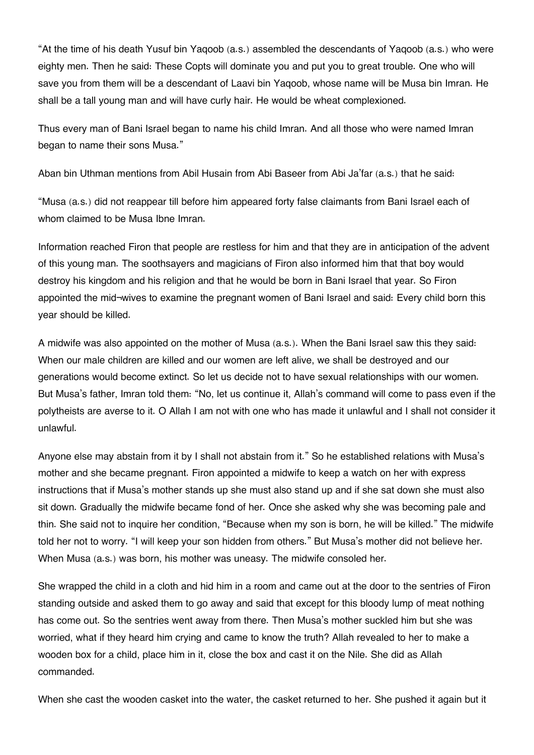"At the time of his death Yusuf bin Yaqoob (a.s.) assembled the descendants of Yaqoob (a.s.) who were eighty men. Then he said: These Copts will dominate you and put you to great trouble. One who will save you from them will be a descendant of Laavi bin Yaqoob, whose name will be Musa bin Imran. He shall be a tall young man and will have curly hair. He would be wheat complexioned.

Thus every man of Bani Israel began to name his child Imran. And all those who were named Imran began to name their sons Musa."

Aban bin Uthman mentions from Abil Husain from Abi Baseer from Abi Ja'far (a.s.) that he said:

"Musa (a.s.) did not reappear till before him appeared forty false claimants from Bani Israel each of whom claimed to be Musa Ibne Imran.

Information reached Firon that people are restless for him and that they are in anticipation of the advent of this young man. The soothsayers and magicians of Firon also informed him that that boy would destroy his kingdom and his religion and that he would be born in Bani Israel that year. So Firon appointed the mid¬wives to examine the pregnant women of Bani Israel and said: Every child born this year should be killed.

A midwife was also appointed on the mother of Musa (a.s.). When the Bani Israel saw this they said: When our male children are killed and our women are left alive, we shall be destroyed and our generations would become extinct. So let us decide not to have sexual relationships with our women. But Musa's father, Imran told them: "No, let us continue it, Allah's command will come to pass even if the polytheists are averse to it. O Allah I am not with one who has made it unlawful and I shall not consider it unlawful.

Anyone else may abstain from it by I shall not abstain from it." So he established relations with Musa's mother and she became pregnant. Firon appointed a midwife to keep a watch on her with express instructions that if Musa's mother stands up she must also stand up and if she sat down she must also sit down. Gradually the midwife became fond of her. Once she asked why she was becoming pale and thin. She said not to inquire her condition, "Because when my son is born, he will be killed." The midwife told her not to worry. "I will keep your son hidden from others." But Musa's mother did not believe her. When Musa (a.s.) was born, his mother was uneasy. The midwife consoled her.

She wrapped the child in a cloth and hid him in a room and came out at the door to the sentries of Firon standing outside and asked them to go away and said that except for this bloody lump of meat nothing has come out. So the sentries went away from there. Then Musa's mother suckled him but she was worried, what if they heard him crying and came to know the truth? Allah revealed to her to make a wooden box for a child, place him in it, close the box and cast it on the Nile. She did as Allah commanded.

When she cast the wooden casket into the water, the casket returned to her. She pushed it again but it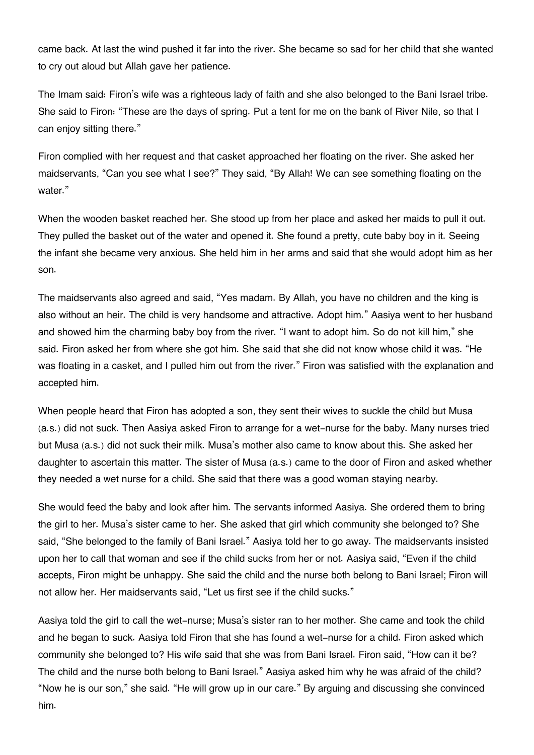came back. At last the wind pushed it far into the river. She became so sad for her child that she wanted to cry out aloud but Allah gave her patience.

The Imam said: Firon's wife was a righteous lady of faith and she also belonged to the Bani Israel tribe. She said to Firon: "These are the days of spring. Put a tent for me on the bank of River Nile, so that I can enjoy sitting there."

Firon complied with her request and that casket approached her floating on the river. She asked her maidservants, "Can you see what I see?" They said, "By Allah! We can see something floating on the water."

When the wooden basket reached her. She stood up from her place and asked her maids to pull it out. They pulled the basket out of the water and opened it. She found a pretty, cute baby boy in it. Seeing the infant she became very anxious. She held him in her arms and said that she would adopt him as her son.

The maidservants also agreed and said, "Yes madam. By Allah, you have no children and the king is also without an heir. The child is very handsome and attractive. Adopt him." Aasiya went to her husband and showed him the charming baby boy from the river. "I want to adopt him. So do not kill him," she said. Firon asked her from where she got him. She said that she did not know whose child it was. "He was floating in a casket, and I pulled him out from the river." Firon was satisfied with the explanation and accepted him.

When people heard that Firon has adopted a son, they sent their wives to suckle the child but Musa (a.s.) did not suck. Then Aasiya asked Firon to arrange for a wet-nurse for the baby. Many nurses tried but Musa (a.s.) did not suck their milk. Musa's mother also came to know about this. She asked her daughter to ascertain this matter. The sister of Musa (a.s.) came to the door of Firon and asked whether they needed a wet nurse for a child. She said that there was a good woman staying nearby.

She would feed the baby and look after him. The servants informed Aasiya. She ordered them to bring the girl to her. Musa's sister came to her. She asked that girl which community she belonged to? She said, "She belonged to the family of Bani Israel." Aasiya told her to go away. The maidservants insisted upon her to call that woman and see if the child sucks from her or not. Aasiya said, "Even if the child accepts, Firon might be unhappy. She said the child and the nurse both belong to Bani Israel; Firon will not allow her. Her maidservants said, "Let us first see if the child sucks."

Aasiya told the girl to call the wet-nurse; Musa's sister ran to her mother. She came and took the child and he began to suck. Aasiya told Firon that she has found a wet-nurse for a child. Firon asked which community she belonged to? His wife said that she was from Bani Israel. Firon said, "How can it be? The child and the nurse both belong to Bani Israel." Aasiya asked him why he was afraid of the child? "Now he is our son," she said. "He will grow up in our care." By arguing and discussing she convinced him.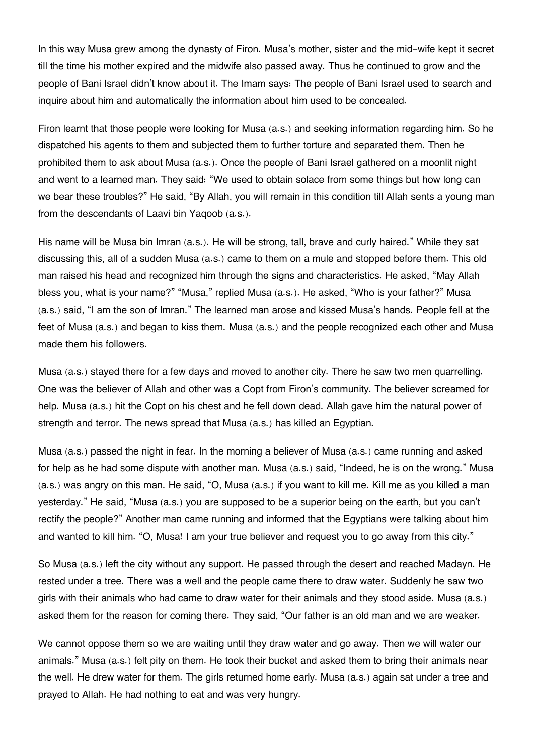In this way Musa grew among the dynasty of Firon. Musa's mother, sister and the mid-wife kept it secret till the time his mother expired and the midwife also passed away. Thus he continued to grow and the people of Bani Israel didn't know about it. The Imam says: The people of Bani Israel used to search and inquire about him and automatically the information about him used to be concealed.

Firon learnt that those people were looking for Musa (a.s.) and seeking information regarding him. So he dispatched his agents to them and subjected them to further torture and separated them. Then he prohibited them to ask about Musa (a.s.). Once the people of Bani Israel gathered on a moonlit night and went to a learned man. They said: "We used to obtain solace from some things but how long can we bear these troubles?" He said, "By Allah, you will remain in this condition till Allah sents a young man from the descendants of Laavi bin Yaqoob (a.s.).

His name will be Musa bin Imran (a.s.). He will be strong, tall, brave and curly haired." While they sat discussing this, all of a sudden Musa (a.s.) came to them on a mule and stopped before them. This old man raised his head and recognized him through the signs and characteristics. He asked, "May Allah bless you, what is your name?" "Musa," replied Musa (a.s.). He asked, "Who is your father?" Musa (a.s.) said, "I am the son of Imran." The learned man arose and kissed Musa's hands. People fell at the feet of Musa (a.s.) and began to kiss them. Musa (a.s.) and the people recognized each other and Musa made them his followers.

Musa (a.s.) stayed there for a few days and moved to another city. There he saw two men quarrelling. One was the believer of Allah and other was a Copt from Firon's community. The believer screamed for help. Musa (a.s.) hit the Copt on his chest and he fell down dead. Allah gave him the natural power of strength and terror. The news spread that Musa (a.s.) has killed an Egyptian.

Musa (a.s.) passed the night in fear. In the morning a believer of Musa (a.s.) came running and asked for help as he had some dispute with another man. Musa (a.s.) said, "Indeed, he is on the wrong." Musa (a.s.) was angry on this man. He said, "O, Musa (a.s.) if you want to kill me. Kill me as you killed a man yesterday." He said, "Musa (a.s.) you are supposed to be a superior being on the earth, but you can't rectify the people?" Another man came running and informed that the Egyptians were talking about him and wanted to kill him. "O, Musa! I am your true believer and request you to go away from this city."

So Musa (a.s.) left the city without any support. He passed through the desert and reached Madayn. He rested under a tree. There was a well and the people came there to draw water. Suddenly he saw two girls with their animals who had came to draw water for their animals and they stood aside. Musa (a.s.) asked them for the reason for coming there. They said, "Our father is an old man and we are weaker.

We cannot oppose them so we are waiting until they draw water and go away. Then we will water our animals." Musa (a.s.) felt pity on them. He took their bucket and asked them to bring their animals near the well. He drew water for them. The girls returned home early. Musa (a.s.) again sat under a tree and prayed to Allah. He had nothing to eat and was very hungry.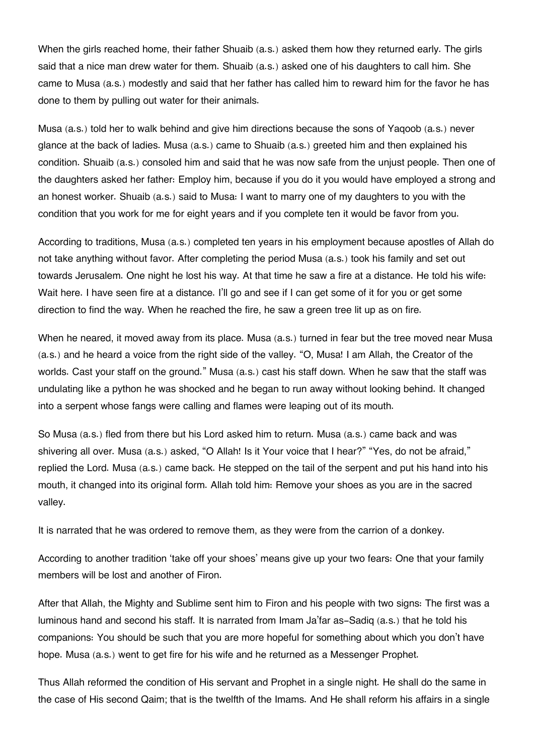When the girls reached home, their father Shuaib (a.s.) asked them how they returned early. The girls said that a nice man drew water for them. Shuaib (a.s.) asked one of his daughters to call him. She came to Musa (a.s.) modestly and said that her father has called him to reward him for the favor he has done to them by pulling out water for their animals.

Musa (a.s.) told her to walk behind and give him directions because the sons of Yaqoob (a.s.) never glance at the back of ladies. Musa (a.s.) came to Shuaib (a.s.) greeted him and then explained his condition. Shuaib (a.s.) consoled him and said that he was now safe from the unjust people. Then one of the daughters asked her father: Employ him, because if you do it you would have employed a strong and an honest worker. Shuaib (a.s.) said to Musa: I want to marry one of my daughters to you with the condition that you work for me for eight years and if you complete ten it would be favor from you.

According to traditions, Musa (a.s.) completed ten years in his employment because apostles of Allah do not take anything without favor. After completing the period Musa (a.s.) took his family and set out towards Jerusalem. One night he lost his way. At that time he saw a fire at a distance. He told his wife: Wait here. I have seen fire at a distance. I'll go and see if I can get some of it for you or get some direction to find the way. When he reached the fire, he saw a green tree lit up as on fire.

When he neared, it moved away from its place. Musa (a.s.) turned in fear but the tree moved near Musa (a.s.) and he heard a voice from the right side of the valley. "O, Musa! I am Allah, the Creator of the worlds. Cast your staff on the ground." Musa (a.s.) cast his staff down. When he saw that the staff was undulating like a python he was shocked and he began to run away without looking behind. It changed into a serpent whose fangs were calling and flames were leaping out of its mouth.

So Musa (a.s.) fled from there but his Lord asked him to return. Musa (a.s.) came back and was shivering all over. Musa (a.s.) asked, "O Allah! Is it Your voice that I hear?" "Yes, do not be afraid," replied the Lord. Musa (a.s.) came back. He stepped on the tail of the serpent and put his hand into his mouth, it changed into its original form. Allah told him: Remove your shoes as you are in the sacred valley.

It is narrated that he was ordered to remove them, as they were from the carrion of a donkey.

According to another tradition 'take off your shoes' means give up your two fears: One that your family members will be lost and another of Firon.

After that Allah, the Mighty and Sublime sent him to Firon and his people with two signs: The first was a luminous hand and second his staff. It is narrated from Imam Ja'far as-Sadiq (a.s.) that he told his companions: You should be such that you are more hopeful for something about which you don't have hope. Musa (a.s.) went to get fire for his wife and he returned as a Messenger Prophet.

Thus Allah reformed the condition of His servant and Prophet in a single night. He shall do the same in the case of His second Qaim; that is the twelfth of the Imams. And He shall reform his affairs in a single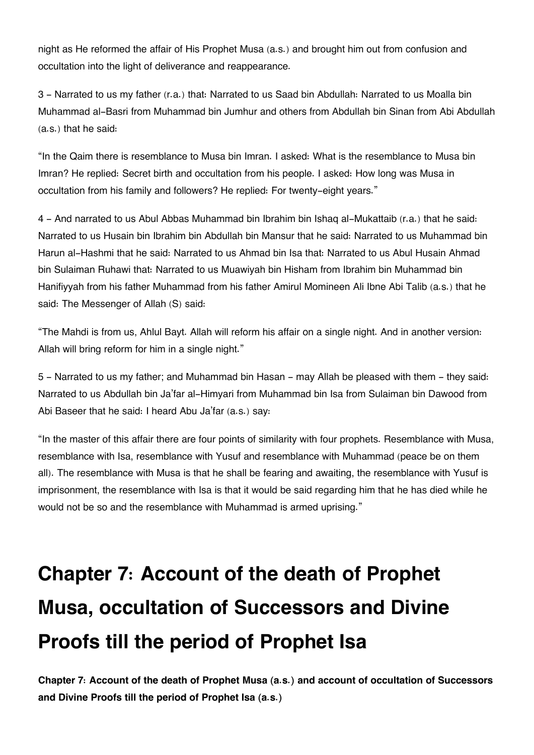night as He reformed the affair of His Prophet Musa (a.s.) and brought him out from confusion and occultation into the light of deliverance and reappearance.

3 - Narrated to us my father (r.a.) that: Narrated to us Saad bin Abdullah: Narrated to us Moalla bin Muhammad al-Basri from Muhammad bin Jumhur and others from Abdullah bin Sinan from Abi Abdullah (a.s.) that he said:

"In the Qaim there is resemblance to Musa bin Imran. I asked: What is the resemblance to Musa bin Imran? He replied: Secret birth and occultation from his people. I asked: How long was Musa in occultation from his family and followers? He replied: For twenty-eight years."

4 - And narrated to us Abul Abbas Muhammad bin Ibrahim bin Ishaq al-Mukattaib (r.a.) that he said: Narrated to us Husain bin Ibrahim bin Abdullah bin Mansur that he said: Narrated to us Muhammad bin Harun al-Hashmi that he said: Narrated to us Ahmad bin Isa that: Narrated to us Abul Husain Ahmad bin Sulaiman Ruhawi that: Narrated to us Muawiyah bin Hisham from Ibrahim bin Muhammad bin Hanifiyyah from his father Muhammad from his father Amirul Momineen Ali Ibne Abi Talib (a.s.) that he said: The Messenger of Allah (S) said:

"The Mahdi is from us, Ahlul Bayt. Allah will reform his affair on a single night. And in another version: Allah will bring reform for him in a single night."

5 - Narrated to us my father; and Muhammad bin Hasan - may Allah be pleased with them - they said: Narrated to us Abdullah bin Ja'far al-Himyari from Muhammad bin Isa from Sulaiman bin Dawood from Abi Baseer that he said: I heard Abu Ja'far (a.s.) say:

"In the master of this affair there are four points of similarity with four prophets. Resemblance with Musa, resemblance with Isa, resemblance with Yusuf and resemblance with Muhammad (peace be on them all). The resemblance with Musa is that he shall be fearing and awaiting, the resemblance with Yusuf is imprisonment, the resemblance with Isa is that it would be said regarding him that he has died while he would not be so and the resemblance with Muhammad is armed uprising."

# **Chapter 7: Account of the death of Prophet Musa, occultation of Successors and Divine Proofs till the period of Prophet Isa**

**Chapter 7: Account of the death of Prophet Musa (a.s.) and account of occultation of Successors and Divine Proofs till the period of Prophet Isa (a.s.)**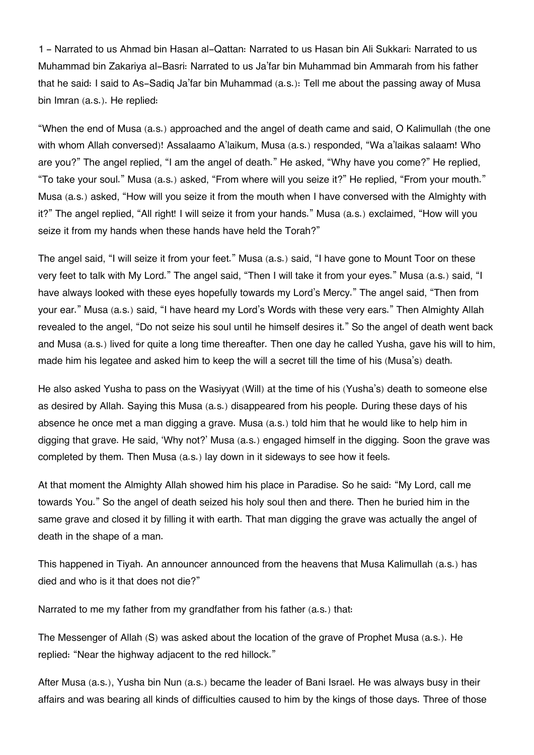1 - Narrated to us Ahmad bin Hasan al-Qattan: Narrated to us Hasan bin Ali Sukkari: Narrated to us Muhammad bin Zakariya al-Basri: Narrated to us Ja'far bin Muhammad bin Ammarah from his father that he said: I said to As-Sadiq Ja'far bin Muhammad (a.s.): Tell me about the passing away of Musa bin Imran (a.s.). He replied:

"When the end of Musa (a.s.) approached and the angel of death came and said, O Kalimullah (the one with whom Allah conversed)! Assalaamo A'laikum, Musa (a.s.) responded, "Wa a'laikas salaam! Who are you?" The angel replied, "I am the angel of death." He asked, "Why have you come?" He replied, "To take your soul." Musa (a.s.) asked, "From where will you seize it?" He replied, "From your mouth." Musa (a.s.) asked, "How will you seize it from the mouth when I have conversed with the Almighty with it?" The angel replied, "All right! I will seize it from your hands." Musa (a.s.) exclaimed, "How will you seize it from my hands when these hands have held the Torah?"

The angel said, "I will seize it from your feet." Musa (a.s.) said, "I have gone to Mount Toor on these very feet to talk with My Lord." The angel said, "Then I will take it from your eyes." Musa (a.s.) said, "I have always looked with these eyes hopefully towards my Lord's Mercy." The angel said, "Then from your ear." Musa (a.s.) said, "I have heard my Lord's Words with these very ears." Then Almighty Allah revealed to the angel, "Do not seize his soul until he himself desires it." So the angel of death went back and Musa (a.s.) lived for quite a long time thereafter. Then one day he called Yusha, gave his will to him, made him his legatee and asked him to keep the will a secret till the time of his (Musa's) death.

He also asked Yusha to pass on the Wasiyyat (Will) at the time of his (Yusha's) death to someone else as desired by Allah. Saying this Musa (a.s.) disappeared from his people. During these days of his absence he once met a man digging a grave. Musa (a.s.) told him that he would like to help him in digging that grave. He said, 'Why not?' Musa (a.s.) engaged himself in the digging. Soon the grave was completed by them. Then Musa (a.s.) lay down in it sideways to see how it feels.

At that moment the Almighty Allah showed him his place in Paradise. So he said: "My Lord, call me towards You." So the angel of death seized his holy soul then and there. Then he buried him in the same grave and closed it by filling it with earth. That man digging the grave was actually the angel of death in the shape of a man.

This happened in Tiyah. An announcer announced from the heavens that Musa Kalimullah (a.s.) has died and who is it that does not die?"

Narrated to me my father from my grandfather from his father (a.s.) that:

The Messenger of Allah (S) was asked about the location of the grave of Prophet Musa (a.s.). He replied: "Near the highway adjacent to the red hillock."

After Musa (a.s.), Yusha bin Nun (a.s.) became the leader of Bani Israel. He was always busy in their affairs and was bearing all kinds of difficulties caused to him by the kings of those days. Three of those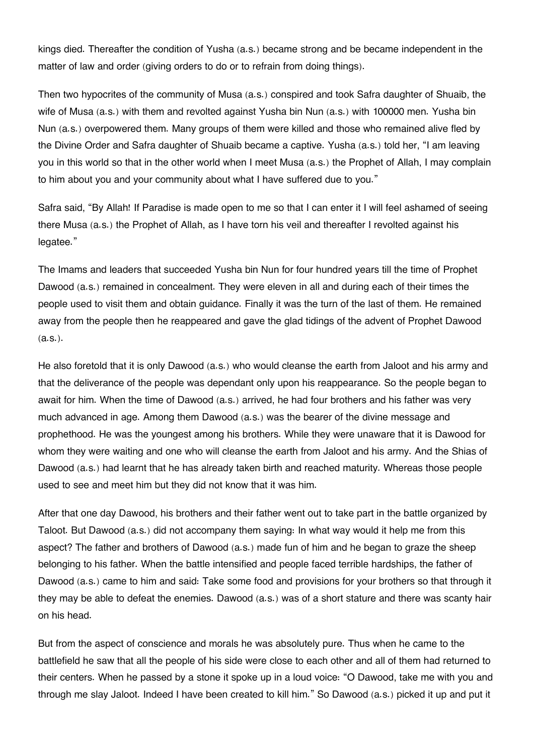kings died. Thereafter the condition of Yusha (a.s.) became strong and be became independent in the matter of law and order (giving orders to do or to refrain from doing things).

Then two hypocrites of the community of Musa (a.s.) conspired and took Safra daughter of Shuaib, the wife of Musa (a.s.) with them and revolted against Yusha bin Nun (a.s.) with 100000 men. Yusha bin Nun (a.s.) overpowered them. Many groups of them were killed and those who remained alive fled by the Divine Order and Safra daughter of Shuaib became a captive. Yusha (a.s.) told her, "I am leaving you in this world so that in the other world when I meet Musa (a.s.) the Prophet of Allah, I may complain to him about you and your community about what I have suffered due to you."

Safra said, "By Allah! If Paradise is made open to me so that I can enter it I will feel ashamed of seeing there Musa (a.s.) the Prophet of Allah, as I have torn his veil and thereafter I revolted against his legatee."

The Imams and leaders that succeeded Yusha bin Nun for four hundred years till the time of Prophet Dawood (a.s.) remained in concealment. They were eleven in all and during each of their times the people used to visit them and obtain guidance. Finally it was the turn of the last of them. He remained away from the people then he reappeared and gave the glad tidings of the advent of Prophet Dawood (a.s.).

He also foretold that it is only Dawood (a.s.) who would cleanse the earth from Jaloot and his army and that the deliverance of the people was dependant only upon his reappearance. So the people began to await for him. When the time of Dawood (a.s.) arrived, he had four brothers and his father was very much advanced in age. Among them Dawood (a.s.) was the bearer of the divine message and prophethood. He was the youngest among his brothers. While they were unaware that it is Dawood for whom they were waiting and one who will cleanse the earth from Jaloot and his army. And the Shias of Dawood (a.s.) had learnt that he has already taken birth and reached maturity. Whereas those people used to see and meet him but they did not know that it was him.

After that one day Dawood, his brothers and their father went out to take part in the battle organized by Taloot. But Dawood (a.s.) did not accompany them saying: In what way would it help me from this aspect? The father and brothers of Dawood (a.s.) made fun of him and he began to graze the sheep belonging to his father. When the battle intensified and people faced terrible hardships, the father of Dawood (a.s.) came to him and said: Take some food and provisions for your brothers so that through it they may be able to defeat the enemies. Dawood (a.s.) was of a short stature and there was scanty hair on his head.

But from the aspect of conscience and morals he was absolutely pure. Thus when he came to the battlefield he saw that all the people of his side were close to each other and all of them had returned to their centers. When he passed by a stone it spoke up in a loud voice: "O Dawood, take me with you and through me slay Jaloot. Indeed I have been created to kill him." So Dawood (a.s.) picked it up and put it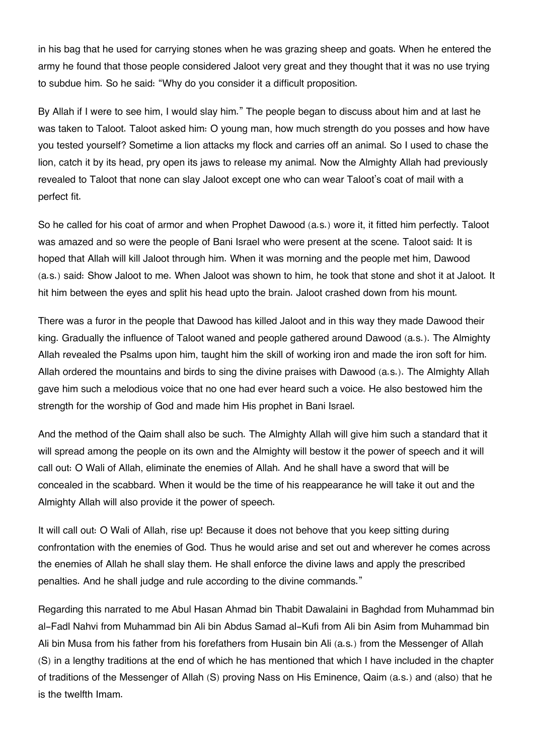in his bag that he used for carrying stones when he was grazing sheep and goats. When he entered the army he found that those people considered Jaloot very great and they thought that it was no use trying to subdue him. So he said: "Why do you consider it a difficult proposition.

By Allah if I were to see him, I would slay him." The people began to discuss about him and at last he was taken to Taloot. Taloot asked him: O young man, how much strength do you posses and how have you tested yourself? Sometime a lion attacks my flock and carries off an animal. So I used to chase the lion, catch it by its head, pry open its jaws to release my animal. Now the Almighty Allah had previously revealed to Taloot that none can slay Jaloot except one who can wear Taloot's coat of mail with a perfect fit.

So he called for his coat of armor and when Prophet Dawood (a.s.) wore it, it fitted him perfectly. Taloot was amazed and so were the people of Bani Israel who were present at the scene. Taloot said: It is hoped that Allah will kill Jaloot through him. When it was morning and the people met him, Dawood (a.s.) said: Show Jaloot to me. When Jaloot was shown to him, he took that stone and shot it at Jaloot. It hit him between the eyes and split his head upto the brain. Jaloot crashed down from his mount.

There was a furor in the people that Dawood has killed Jaloot and in this way they made Dawood their king. Gradually the influence of Taloot waned and people gathered around Dawood (a.s.). The Almighty Allah revealed the Psalms upon him, taught him the skill of working iron and made the iron soft for him. Allah ordered the mountains and birds to sing the divine praises with Dawood (a.s.). The Almighty Allah gave him such a melodious voice that no one had ever heard such a voice. He also bestowed him the strength for the worship of God and made him His prophet in Bani Israel.

And the method of the Qaim shall also be such. The Almighty Allah will give him such a standard that it will spread among the people on its own and the Almighty will bestow it the power of speech and it will call out: O Wali of Allah, eliminate the enemies of Allah. And he shall have a sword that will be concealed in the scabbard. When it would be the time of his reappearance he will take it out and the Almighty Allah will also provide it the power of speech.

It will call out: O Wali of Allah, rise up! Because it does not behove that you keep sitting during confrontation with the enemies of God. Thus he would arise and set out and wherever he comes across the enemies of Allah he shall slay them. He shall enforce the divine laws and apply the prescribed penalties. And he shall judge and rule according to the divine commands."

Regarding this narrated to me Abul Hasan Ahmad bin Thabit Dawalaini in Baghdad from Muhammad bin al-Fadl Nahvi from Muhammad bin Ali bin Abdus Samad al-Kufi from Ali bin Asim from Muhammad bin Ali bin Musa from his father from his forefathers from Husain bin Ali (a.s.) from the Messenger of Allah (S) in a lengthy traditions at the end of which he has mentioned that which I have included in the chapter of traditions of the Messenger of Allah (S) proving Nass on His Eminence, Qaim (a.s.) and (also) that he is the twelfth Imam.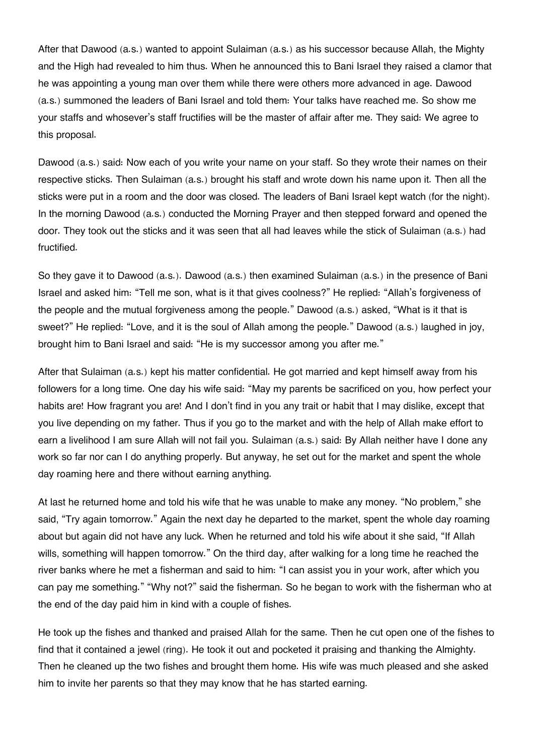After that Dawood (a.s.) wanted to appoint Sulaiman (a.s.) as his successor because Allah, the Mighty and the High had revealed to him thus. When he announced this to Bani Israel they raised a clamor that he was appointing a young man over them while there were others more advanced in age. Dawood (a.s.) summoned the leaders of Bani Israel and told them: Your talks have reached me. So show me your staffs and whosever's staff fructifies will be the master of affair after me. They said: We agree to this proposal.

Dawood (a.s.) said: Now each of you write your name on your staff. So they wrote their names on their respective sticks. Then Sulaiman (a.s.) brought his staff and wrote down his name upon it. Then all the sticks were put in a room and the door was closed. The leaders of Bani Israel kept watch (for the night). In the morning Dawood (a.s.) conducted the Morning Prayer and then stepped forward and opened the door. They took out the sticks and it was seen that all had leaves while the stick of Sulaiman (a.s.) had fructified.

So they gave it to Dawood (a.s.). Dawood (a.s.) then examined Sulaiman (a.s.) in the presence of Bani Israel and asked him: "Tell me son, what is it that gives coolness?" He replied: "Allah's forgiveness of the people and the mutual forgiveness among the people." Dawood (a.s.) asked, "What is it that is sweet?" He replied: "Love, and it is the soul of Allah among the people." Dawood (a.s.) laughed in joy, brought him to Bani Israel and said: "He is my successor among you after me."

After that Sulaiman (a.s.) kept his matter confidential. He got married and kept himself away from his followers for a long time. One day his wife said: "May my parents be sacrificed on you, how perfect your habits are! How fragrant you are! And I don't find in you any trait or habit that I may dislike, except that you live depending on my father. Thus if you go to the market and with the help of Allah make effort to earn a livelihood I am sure Allah will not fail you. Sulaiman (a.s.) said: By Allah neither have I done any work so far nor can I do anything properly. But anyway, he set out for the market and spent the whole day roaming here and there without earning anything.

At last he returned home and told his wife that he was unable to make any money. "No problem," she said, "Try again tomorrow." Again the next day he departed to the market, spent the whole day roaming about but again did not have any luck. When he returned and told his wife about it she said, "If Allah wills, something will happen tomorrow." On the third day, after walking for a long time he reached the river banks where he met a fisherman and said to him: "I can assist you in your work, after which you can pay me something." "Why not?" said the fisherman. So he began to work with the fisherman who at the end of the day paid him in kind with a couple of fishes.

He took up the fishes and thanked and praised Allah for the same. Then he cut open one of the fishes to find that it contained a jewel (ring). He took it out and pocketed it praising and thanking the Almighty. Then he cleaned up the two fishes and brought them home. His wife was much pleased and she asked him to invite her parents so that they may know that he has started earning.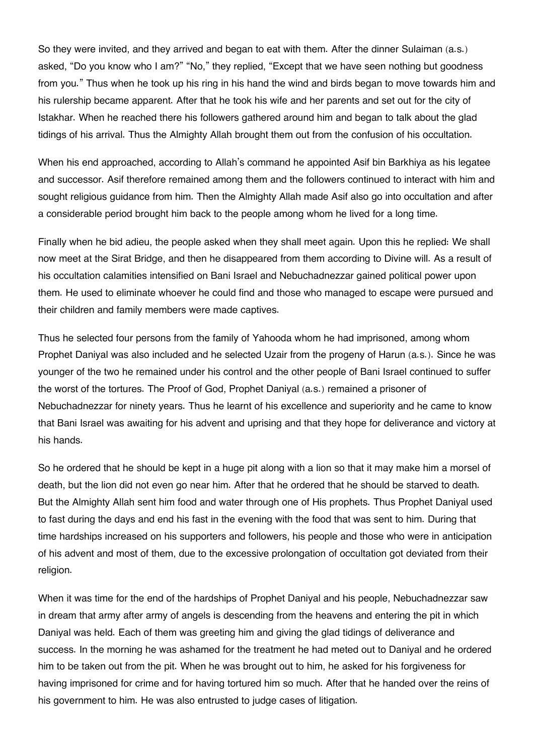So they were invited, and they arrived and began to eat with them. After the dinner Sulaiman (a.s.) asked, "Do you know who I am?" "No," they replied, "Except that we have seen nothing but goodness from you." Thus when he took up his ring in his hand the wind and birds began to move towards him and his rulership became apparent. After that he took his wife and her parents and set out for the city of Istakhar. When he reached there his followers gathered around him and began to talk about the glad tidings of his arrival. Thus the Almighty Allah brought them out from the confusion of his occultation.

When his end approached, according to Allah's command he appointed Asif bin Barkhiya as his legatee and successor. Asif therefore remained among them and the followers continued to interact with him and sought religious guidance from him. Then the Almighty Allah made Asif also go into occultation and after a considerable period brought him back to the people among whom he lived for a long time.

Finally when he bid adieu, the people asked when they shall meet again. Upon this he replied: We shall now meet at the Sirat Bridge, and then he disappeared from them according to Divine will. As a result of his occultation calamities intensified on Bani Israel and Nebuchadnezzar gained political power upon them. He used to eliminate whoever he could find and those who managed to escape were pursued and their children and family members were made captives.

Thus he selected four persons from the family of Yahooda whom he had imprisoned, among whom Prophet Daniyal was also included and he selected Uzair from the progeny of Harun (a.s.). Since he was younger of the two he remained under his control and the other people of Bani Israel continued to suffer the worst of the tortures. The Proof of God, Prophet Daniyal (a.s.) remained a prisoner of Nebuchadnezzar for ninety years. Thus he learnt of his excellence and superiority and he came to know that Bani Israel was awaiting for his advent and uprising and that they hope for deliverance and victory at his hands.

So he ordered that he should be kept in a huge pit along with a lion so that it may make him a morsel of death, but the lion did not even go near him. After that he ordered that he should be starved to death. But the Almighty Allah sent him food and water through one of His prophets. Thus Prophet Daniyal used to fast during the days and end his fast in the evening with the food that was sent to him. During that time hardships increased on his supporters and followers, his people and those who were in anticipation of his advent and most of them, due to the excessive prolongation of occultation got deviated from their religion.

When it was time for the end of the hardships of Prophet Daniyal and his people, Nebuchadnezzar saw in dream that army after army of angels is descending from the heavens and entering the pit in which Daniyal was held. Each of them was greeting him and giving the glad tidings of deliverance and success. In the morning he was ashamed for the treatment he had meted out to Daniyal and he ordered him to be taken out from the pit. When he was brought out to him, he asked for his forgiveness for having imprisoned for crime and for having tortured him so much. After that he handed over the reins of his government to him. He was also entrusted to judge cases of litigation.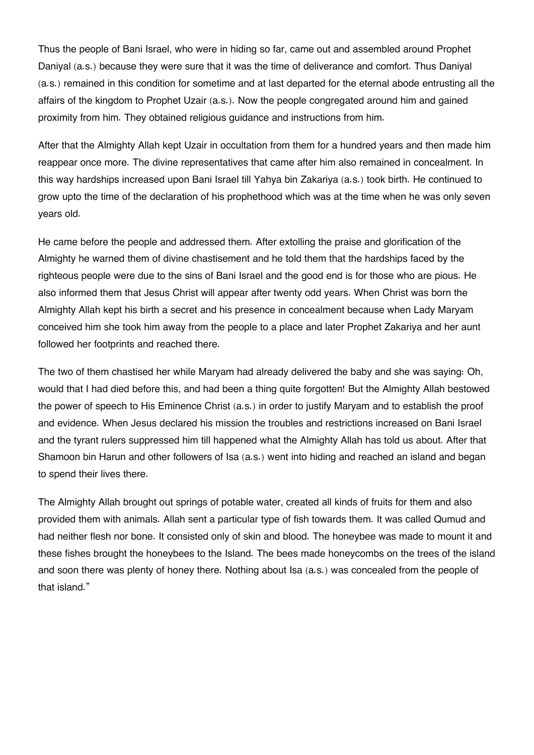Thus the people of Bani Israel, who were in hiding so far, came out and assembled around Prophet Daniyal (a.s.) because they were sure that it was the time of deliverance and comfort. Thus Daniyal (a.s.) remained in this condition for sometime and at last departed for the eternal abode entrusting all the affairs of the kingdom to Prophet Uzair (a.s.). Now the people congregated around him and gained proximity from him. They obtained religious guidance and instructions from him.

After that the Almighty Allah kept Uzair in occultation from them for a hundred years and then made him reappear once more. The divine representatives that came after him also remained in concealment. In this way hardships increased upon Bani Israel till Yahya bin Zakariya (a.s.) took birth. He continued to grow upto the time of the declaration of his prophethood which was at the time when he was only seven years old.

He came before the people and addressed them. After extolling the praise and glorification of the Almighty he warned them of divine chastisement and he told them that the hardships faced by the righteous people were due to the sins of Bani Israel and the good end is for those who are pious. He also informed them that Jesus Christ will appear after twenty odd years. When Christ was born the Almighty Allah kept his birth a secret and his presence in concealment because when Lady Maryam conceived him she took him away from the people to a place and later Prophet Zakariya and her aunt followed her footprints and reached there.

The two of them chastised her while Maryam had already delivered the baby and she was saying: Oh, would that I had died before this, and had been a thing quite forgotten! But the Almighty Allah bestowed the power of speech to His Eminence Christ (a.s.) in order to justify Maryam and to establish the proof and evidence. When Jesus declared his mission the troubles and restrictions increased on Bani Israel and the tyrant rulers suppressed him till happened what the Almighty Allah has told us about. After that Shamoon bin Harun and other followers of Isa (a.s.) went into hiding and reached an island and began to spend their lives there.

The Almighty Allah brought out springs of potable water, created all kinds of fruits for them and also provided them with animals. Allah sent a particular type of fish towards them. It was called Qumud and had neither flesh nor bone. It consisted only of skin and blood. The honeybee was made to mount it and these fishes brought the honeybees to the Island. The bees made honeycombs on the trees of the island and soon there was plenty of honey there. Nothing about Isa (a.s.) was concealed from the people of that island."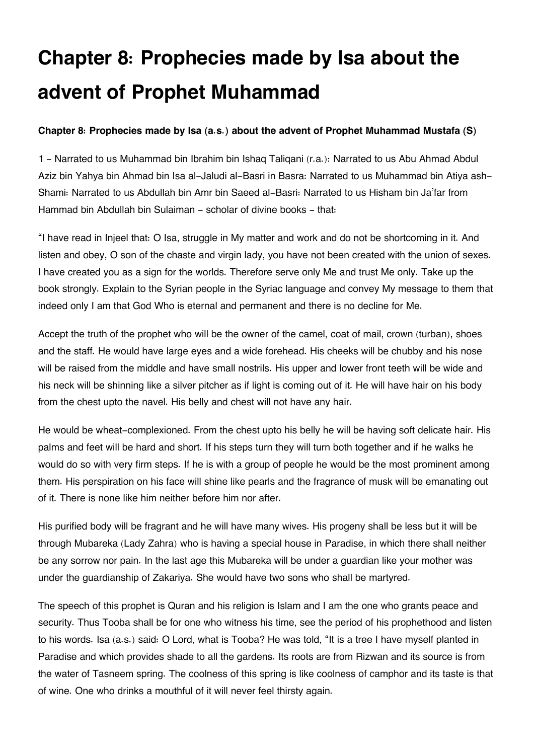## **Chapter 8: Prophecies made by Isa about the advent of Prophet Muhammad**

#### **Chapter 8: Prophecies made by Isa (a.s.) about the advent of Prophet Muhammad Mustafa (S)**

1 - Narrated to us Muhammad bin Ibrahim bin Ishaq Taliqani (r.a.): Narrated to us Abu Ahmad Abdul Aziz bin Yahya bin Ahmad bin Isa al-Jaludi al-Basri in Basra: Narrated to us Muhammad bin Atiya ash-Shami: Narrated to us Abdullah bin Amr bin Saeed al-Basri: Narrated to us Hisham bin Ja'far from Hammad bin Abdullah bin Sulaiman – scholar of divine books – that:

"I have read in Injeel that: O Isa, struggle in My matter and work and do not be shortcoming in it. And listen and obey, O son of the chaste and virgin lady, you have not been created with the union of sexes. I have created you as a sign for the worlds. Therefore serve only Me and trust Me only. Take up the book strongly. Explain to the Syrian people in the Syriac language and convey My message to them that indeed only I am that God Who is eternal and permanent and there is no decline for Me.

Accept the truth of the prophet who will be the owner of the camel, coat of mail, crown (turban), shoes and the staff. He would have large eyes and a wide forehead. His cheeks will be chubby and his nose will be raised from the middle and have small nostrils. His upper and lower front teeth will be wide and his neck will be shinning like a silver pitcher as if light is coming out of it. He will have hair on his body from the chest upto the navel. His belly and chest will not have any hair.

He would be wheat-complexioned. From the chest upto his belly he will be having soft delicate hair. His palms and feet will be hard and short. If his steps turn they will turn both together and if he walks he would do so with very firm steps. If he is with a group of people he would be the most prominent among them. His perspiration on his face will shine like pearls and the fragrance of musk will be emanating out of it. There is none like him neither before him nor after.

His purified body will be fragrant and he will have many wives. His progeny shall be less but it will be through Mubareka (Lady Zahra) who is having a special house in Paradise, in which there shall neither be any sorrow nor pain. In the last age this Mubareka will be under a guardian like your mother was under the guardianship of Zakariya. She would have two sons who shall be martyred.

The speech of this prophet is Quran and his religion is Islam and I am the one who grants peace and security. Thus Tooba shall be for one who witness his time, see the period of his prophethood and listen to his words. Isa (a.s.) said: O Lord, what is Tooba? He was told, "It is a tree I have myself planted in Paradise and which provides shade to all the gardens. Its roots are from Rizwan and its source is from the water of Tasneem spring. The coolness of this spring is like coolness of camphor and its taste is that of wine. One who drinks a mouthful of it will never feel thirsty again.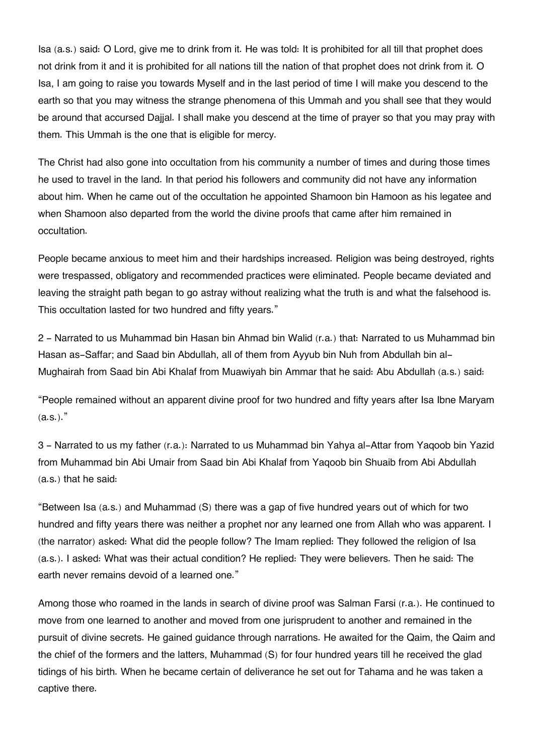Isa (a.s.) said: O Lord, give me to drink from it. He was told: It is prohibited for all till that prophet does not drink from it and it is prohibited for all nations till the nation of that prophet does not drink from it. O Isa, I am going to raise you towards Myself and in the last period of time I will make you descend to the earth so that you may witness the strange phenomena of this Ummah and you shall see that they would be around that accursed Dajjal. I shall make you descend at the time of prayer so that you may pray with them. This Ummah is the one that is eligible for mercy.

The Christ had also gone into occultation from his community a number of times and during those times he used to travel in the land. In that period his followers and community did not have any information about him. When he came out of the occultation he appointed Shamoon bin Hamoon as his legatee and when Shamoon also departed from the world the divine proofs that came after him remained in occultation.

People became anxious to meet him and their hardships increased. Religion was being destroyed, rights were trespassed, obligatory and recommended practices were eliminated. People became deviated and leaving the straight path began to go astray without realizing what the truth is and what the falsehood is. This occultation lasted for two hundred and fifty years."

2 - Narrated to us Muhammad bin Hasan bin Ahmad bin Walid (r.a.) that: Narrated to us Muhammad bin Hasan as-Saffar; and Saad bin Abdullah, all of them from Ayyub bin Nuh from Abdullah bin al-Mughairah from Saad bin Abi Khalaf from Muawiyah bin Ammar that he said: Abu Abdullah (a.s.) said:

"People remained without an apparent divine proof for two hundred and fifty years after Isa Ibne Maryam  $(a.s.).$ 

3 - Narrated to us my father (r.a.): Narrated to us Muhammad bin Yahya al-Attar from Yaqoob bin Yazid from Muhammad bin Abi Umair from Saad bin Abi Khalaf from Yaqoob bin Shuaib from Abi Abdullah (a.s.) that he said:

"Between Isa (a.s.) and Muhammad (S) there was a gap of five hundred years out of which for two hundred and fifty years there was neither a prophet nor any learned one from Allah who was apparent. I (the narrator) asked: What did the people follow? The Imam replied: They followed the religion of Isa (a.s.). I asked: What was their actual condition? He replied: They were believers. Then he said: The earth never remains devoid of a learned one."

Among those who roamed in the lands in search of divine proof was Salman Farsi (r.a.). He continued to move from one learned to another and moved from one jurisprudent to another and remained in the pursuit of divine secrets. He gained guidance through narrations. He awaited for the Qaim, the Qaim and the chief of the formers and the latters, Muhammad (S) for four hundred years till he received the glad tidings of his birth. When he became certain of deliverance he set out for Tahama and he was taken a captive there.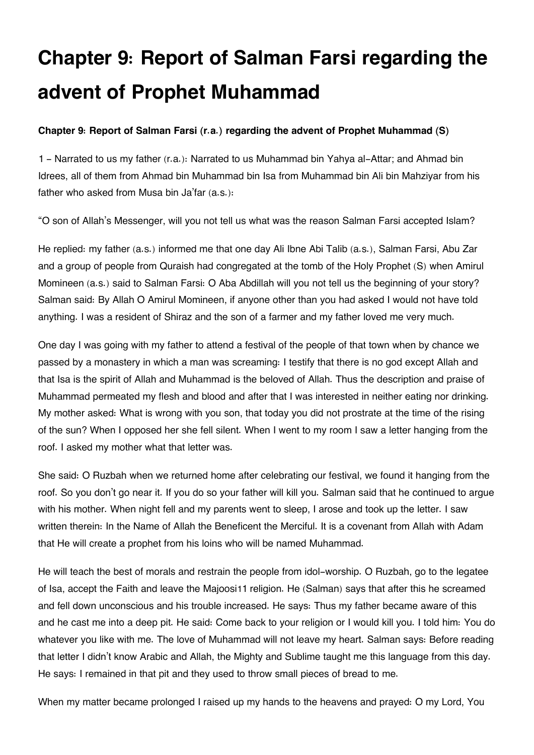## **Chapter 9: Report of Salman Farsi regarding the advent of Prophet Muhammad**

#### **Chapter 9: Report of Salman Farsi (r.a.) regarding the advent of Prophet Muhammad (S)**

1 - Narrated to us my father (r.a.): Narrated to us Muhammad bin Yahya al-Attar; and Ahmad bin Idrees, all of them from Ahmad bin Muhammad bin Isa from Muhammad bin Ali bin Mahziyar from his father who asked from Musa bin Ja'far (a.s.):

"O son of Allah's Messenger, will you not tell us what was the reason Salman Farsi accepted Islam?

He replied: my father (a.s.) informed me that one day Ali Ibne Abi Talib (a.s.), Salman Farsi, Abu Zar and a group of people from Quraish had congregated at the tomb of the Holy Prophet (S) when Amirul Momineen (a.s.) said to Salman Farsi: O Aba Abdillah will you not tell us the beginning of your story? Salman said: By Allah O Amirul Momineen, if anyone other than you had asked I would not have told anything. I was a resident of Shiraz and the son of a farmer and my father loved me very much.

One day I was going with my father to attend a festival of the people of that town when by chance we passed by a monastery in which a man was screaming: I testify that there is no god except Allah and that Isa is the spirit of Allah and Muhammad is the beloved of Allah. Thus the description and praise of Muhammad permeated my flesh and blood and after that I was interested in neither eating nor drinking. My mother asked: What is wrong with you son, that today you did not prostrate at the time of the rising of the sun? When I opposed her she fell silent. When I went to my room I saw a letter hanging from the roof. I asked my mother what that letter was.

She said: O Ruzbah when we returned home after celebrating our festival, we found it hanging from the roof. So you don't go near it. If you do so your father will kill you. Salman said that he continued to argue with his mother. When night fell and my parents went to sleep, I arose and took up the letter. I saw written therein: In the Name of Allah the Beneficent the Merciful. It is a covenant from Allah with Adam that He will create a prophet from his loins who will be named Muhammad.

He will teach the best of morals and restrain the people from idol-worship. O Ruzbah, go to the legatee of Isa, accept the Faith and leave the Majoosi[1](#page--1-0)1 religion. He (Salman) says that after this he screamed and fell down unconscious and his trouble increased. He says: Thus my father became aware of this and he cast me into a deep pit. He said: Come back to your religion or I would kill you. I told him: You do whatever you like with me. The love of Muhammad will not leave my heart. Salman says: Before reading that letter I didn't know Arabic and Allah, the Mighty and Sublime taught me this language from this day. He says: I remained in that pit and they used to throw small pieces of bread to me.

When my matter became prolonged I raised up my hands to the heavens and prayed: O my Lord, You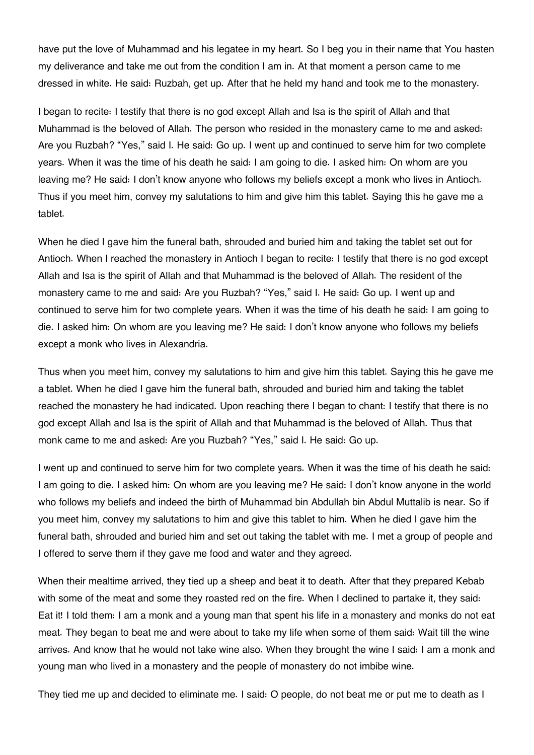have put the love of Muhammad and his legatee in my heart. So I beg you in their name that You hasten my deliverance and take me out from the condition I am in. At that moment a person came to me dressed in white. He said: Ruzbah, get up. After that he held my hand and took me to the monastery.

I began to recite: I testify that there is no god except Allah and Isa is the spirit of Allah and that Muhammad is the beloved of Allah. The person who resided in the monastery came to me and asked: Are you Ruzbah? "Yes," said I. He said: Go up. I went up and continued to serve him for two complete years. When it was the time of his death he said: I am going to die. I asked him: On whom are you leaving me? He said: I don't know anyone who follows my beliefs except a monk who lives in Antioch. Thus if you meet him, convey my salutations to him and give him this tablet. Saying this he gave me a tablet.

When he died I gave him the funeral bath, shrouded and buried him and taking the tablet set out for Antioch. When I reached the monastery in Antioch I began to recite: I testify that there is no god except Allah and Isa is the spirit of Allah and that Muhammad is the beloved of Allah. The resident of the monastery came to me and said: Are you Ruzbah? "Yes," said I. He said: Go up. I went up and continued to serve him for two complete years. When it was the time of his death he said: I am going to die. I asked him: On whom are you leaving me? He said: I don't know anyone who follows my beliefs except a monk who lives in Alexandria.

Thus when you meet him, convey my salutations to him and give him this tablet. Saying this he gave me a tablet. When he died I gave him the funeral bath, shrouded and buried him and taking the tablet reached the monastery he had indicated. Upon reaching there I began to chant: I testify that there is no god except Allah and Isa is the spirit of Allah and that Muhammad is the beloved of Allah. Thus that monk came to me and asked: Are you Ruzbah? "Yes," said I. He said: Go up.

I went up and continued to serve him for two complete years. When it was the time of his death he said: I am going to die. I asked him: On whom are you leaving me? He said: I don't know anyone in the world who follows my beliefs and indeed the birth of Muhammad bin Abdullah bin Abdul Muttalib is near. So if you meet him, convey my salutations to him and give this tablet to him. When he died I gave him the funeral bath, shrouded and buried him and set out taking the tablet with me. I met a group of people and I offered to serve them if they gave me food and water and they agreed.

When their mealtime arrived, they tied up a sheep and beat it to death. After that they prepared Kebab with some of the meat and some they roasted red on the fire. When I declined to partake it, they said: Eat it! I told them: I am a monk and a young man that spent his life in a monastery and monks do not eat meat. They began to beat me and were about to take my life when some of them said: Wait till the wine arrives. And know that he would not take wine also. When they brought the wine I said: I am a monk and young man who lived in a monastery and the people of monastery do not imbibe wine.

They tied me up and decided to eliminate me. I said: O people, do not beat me or put me to death as I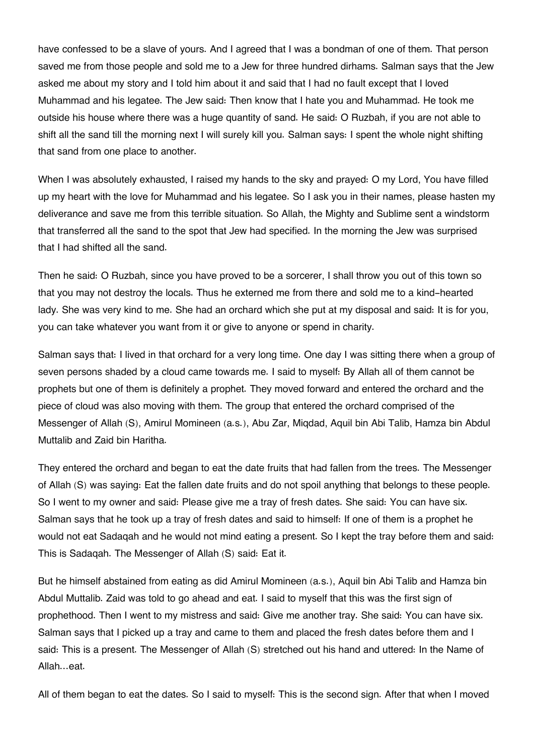have confessed to be a slave of yours. And I agreed that I was a bondman of one of them. That person saved me from those people and sold me to a Jew for three hundred dirhams. Salman says that the Jew asked me about my story and I told him about it and said that I had no fault except that I loved Muhammad and his legatee. The Jew said: Then know that I hate you and Muhammad. He took me outside his house where there was a huge quantity of sand. He said: O Ruzbah, if you are not able to shift all the sand till the morning next I will surely kill you. Salman says: I spent the whole night shifting that sand from one place to another.

When I was absolutely exhausted, I raised my hands to the sky and prayed: O my Lord, You have filled up my heart with the love for Muhammad and his legatee. So I ask you in their names, please hasten my deliverance and save me from this terrible situation. So Allah, the Mighty and Sublime sent a windstorm that transferred all the sand to the spot that Jew had specified. In the morning the Jew was surprised that I had shifted all the sand.

Then he said: O Ruzbah, since you have proved to be a sorcerer, I shall throw you out of this town so that you may not destroy the locals. Thus he externed me from there and sold me to a kind-hearted lady. She was very kind to me. She had an orchard which she put at my disposal and said: It is for you, you can take whatever you want from it or give to anyone or spend in charity.

Salman says that: I lived in that orchard for a very long time. One day I was sitting there when a group of seven persons shaded by a cloud came towards me. I said to myself: By Allah all of them cannot be prophets but one of them is definitely a prophet. They moved forward and entered the orchard and the piece of cloud was also moving with them. The group that entered the orchard comprised of the Messenger of Allah (S), Amirul Momineen (a.s.), Abu Zar, Miqdad, Aquil bin Abi Talib, Hamza bin Abdul Muttalib and Zaid bin Haritha.

They entered the orchard and began to eat the date fruits that had fallen from the trees. The Messenger of Allah (S) was saying: Eat the fallen date fruits and do not spoil anything that belongs to these people. So I went to my owner and said: Please give me a tray of fresh dates. She said: You can have six. Salman says that he took up a tray of fresh dates and said to himself: If one of them is a prophet he would not eat Sadaqah and he would not mind eating a present. So I kept the tray before them and said: This is Sadaqah. The Messenger of Allah (S) said: Eat it.

But he himself abstained from eating as did Amirul Momineen (a.s.), Aquil bin Abi Talib and Hamza bin Abdul Muttalib. Zaid was told to go ahead and eat. I said to myself that this was the first sign of prophethood. Then I went to my mistress and said: Give me another tray. She said: You can have six. Salman says that I picked up a tray and came to them and placed the fresh dates before them and I said: This is a present. The Messenger of Allah (S) stretched out his hand and uttered: In the Name of Allah…eat.

All of them began to eat the dates. So I said to myself: This is the second sign. After that when I moved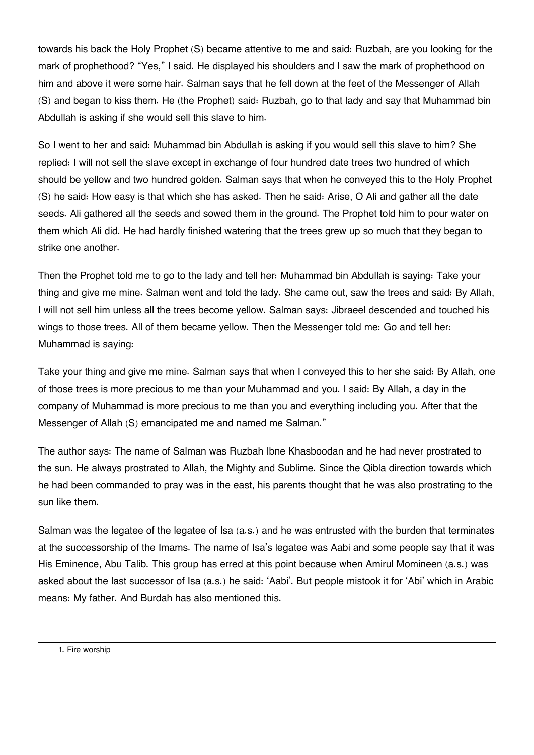towards his back the Holy Prophet (S) became attentive to me and said: Ruzbah, are you looking for the mark of prophethood? "Yes," I said. He displayed his shoulders and I saw the mark of prophethood on him and above it were some hair. Salman says that he fell down at the feet of the Messenger of Allah (S) and began to kiss them. He (the Prophet) said: Ruzbah, go to that lady and say that Muhammad bin Abdullah is asking if she would sell this slave to him.

So I went to her and said: Muhammad bin Abdullah is asking if you would sell this slave to him? She replied: I will not sell the slave except in exchange of four hundred date trees two hundred of which should be yellow and two hundred golden. Salman says that when he conveyed this to the Holy Prophet (S) he said: How easy is that which she has asked. Then he said: Arise, O Ali and gather all the date seeds. Ali gathered all the seeds and sowed them in the ground. The Prophet told him to pour water on them which Ali did. He had hardly finished watering that the trees grew up so much that they began to strike one another.

Then the Prophet told me to go to the lady and tell her: Muhammad bin Abdullah is saying: Take your thing and give me mine. Salman went and told the lady. She came out, saw the trees and said: By Allah, I will not sell him unless all the trees become yellow. Salman says: Jibraeel descended and touched his wings to those trees. All of them became yellow. Then the Messenger told me: Go and tell her: Muhammad is saying:

Take your thing and give me mine. Salman says that when I conveyed this to her she said: By Allah, one of those trees is more precious to me than your Muhammad and you. I said: By Allah, a day in the company of Muhammad is more precious to me than you and everything including you. After that the Messenger of Allah (S) emancipated me and named me Salman."

The author says: The name of Salman was Ruzbah Ibne Khasboodan and he had never prostrated to the sun. He always prostrated to Allah, the Mighty and Sublime. Since the Qibla direction towards which he had been commanded to pray was in the east, his parents thought that he was also prostrating to the sun like them.

Salman was the legatee of the legatee of Isa (a.s.) and he was entrusted with the burden that terminates at the successorship of the Imams. The name of Isa's legatee was Aabi and some people say that it was His Eminence, Abu Talib. This group has erred at this point because when Amirul Momineen (a.s.) was asked about the last successor of Isa (a.s.) he said: 'Aabi'. But people mistook it for 'Abi' which in Arabic means: My father. And Burdah has also mentioned this.

[1.](#page--1-0) Fire worship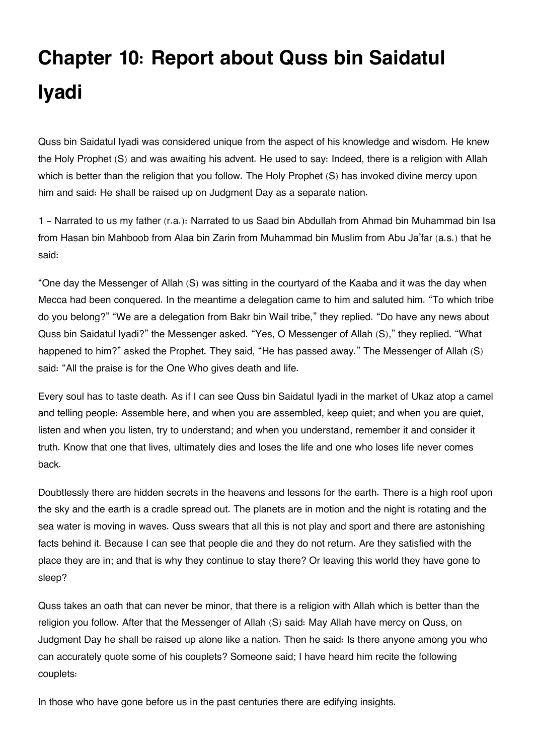# **Chapter 10: Report about Quss bin Saidatul Iyadi**

Quss bin Saidatul Iyadi was considered unique from the aspect of his knowledge and wisdom. He knew the Holy Prophet (S) and was awaiting his advent. He used to say: Indeed, there is a religion with Allah which is better than the religion that you follow. The Holy Prophet (S) has invoked divine mercy upon him and said: He shall be raised up on Judgment Day as a separate nation.

1 - Narrated to us my father (r.a.): Narrated to us Saad bin Abdullah from Ahmad bin Muhammad bin Isa from Hasan bin Mahboob from Alaa bin Zarin from Muhammad bin Muslim from Abu Ja'far (a.s.) that he said:

"One day the Messenger of Allah (S) was sitting in the courtyard of the Kaaba and it was the day when Mecca had been conquered. In the meantime a delegation came to him and saluted him. "To which tribe do you belong?" "We are a delegation from Bakr bin Wail tribe," they replied. "Do have any news about Quss bin Saidatul Iyadi?" the Messenger asked. "Yes, O Messenger of Allah (S)," they replied. "What happened to him?" asked the Prophet. They said, "He has passed away." The Messenger of Allah (S) said: "All the praise is for the One Who gives death and life.

Every soul has to taste death. As if I can see Quss bin Saidatul Iyadi in the market of Ukaz atop a camel and telling people: Assemble here, and when you are assembled, keep quiet; and when you are quiet, listen and when you listen, try to understand; and when you understand, remember it and consider it truth. Know that one that lives, ultimately dies and loses the life and one who loses life never comes back.

Doubtlessly there are hidden secrets in the heavens and lessons for the earth. There is a high roof upon the sky and the earth is a cradle spread out. The planets are in motion and the night is rotating and the sea water is moving in waves. Quss swears that all this is not play and sport and there are astonishing facts behind it. Because I can see that people die and they do not return. Are they satisfied with the place they are in; and that is why they continue to stay there? Or leaving this world they have gone to sleep?

Quss takes an oath that can never be minor, that there is a religion with Allah which is better than the religion you follow. After that the Messenger of Allah (S) said: May Allah have mercy on Quss, on Judgment Day he shall be raised up alone like a nation. Then he said: Is there anyone among you who can accurately quote some of his couplets? Someone said; I have heard him recite the following couplets:

In those who have gone before us in the past centuries there are edifying insights.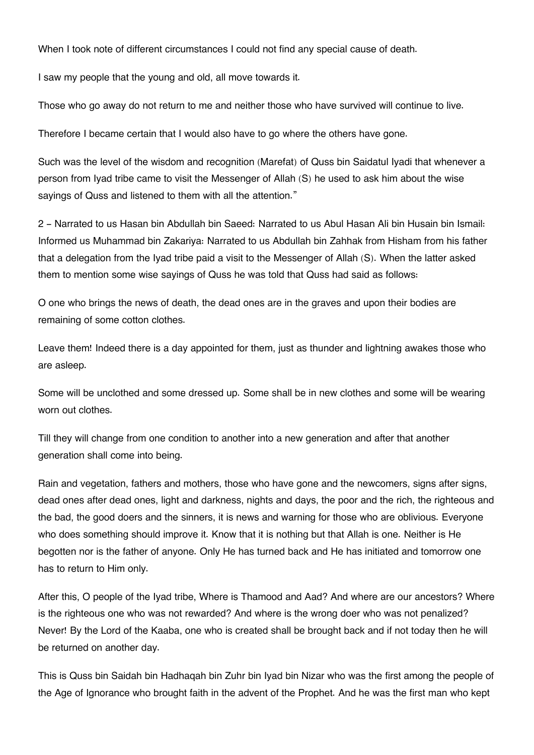When I took note of different circumstances I could not find any special cause of death.

I saw my people that the young and old, all move towards it.

Those who go away do not return to me and neither those who have survived will continue to live.

Therefore I became certain that I would also have to go where the others have gone.

Such was the level of the wisdom and recognition (Marefat) of Quss bin Saidatul Iyadi that whenever a person from Iyad tribe came to visit the Messenger of Allah (S) he used to ask him about the wise sayings of Quss and listened to them with all the attention."

2 - Narrated to us Hasan bin Abdullah bin Saeed: Narrated to us Abul Hasan Ali bin Husain bin Ismail: Informed us Muhammad bin Zakariya: Narrated to us Abdullah bin Zahhak from Hisham from his father that a delegation from the Iyad tribe paid a visit to the Messenger of Allah (S). When the latter asked them to mention some wise sayings of Quss he was told that Quss had said as follows:

O one who brings the news of death, the dead ones are in the graves and upon their bodies are remaining of some cotton clothes.

Leave them! Indeed there is a day appointed for them, just as thunder and lightning awakes those who are asleep.

Some will be unclothed and some dressed up. Some shall be in new clothes and some will be wearing worn out clothes.

Till they will change from one condition to another into a new generation and after that another generation shall come into being.

Rain and vegetation, fathers and mothers, those who have gone and the newcomers, signs after signs, dead ones after dead ones, light and darkness, nights and days, the poor and the rich, the righteous and the bad, the good doers and the sinners, it is news and warning for those who are oblivious. Everyone who does something should improve it. Know that it is nothing but that Allah is one. Neither is He begotten nor is the father of anyone. Only He has turned back and He has initiated and tomorrow one has to return to Him only.

After this, O people of the Iyad tribe, Where is Thamood and Aad? And where are our ancestors? Where is the righteous one who was not rewarded? And where is the wrong doer who was not penalized? Never! By the Lord of the Kaaba, one who is created shall be brought back and if not today then he will be returned on another day.

This is Quss bin Saidah bin Hadhaqah bin Zuhr bin Iyad bin Nizar who was the first among the people of the Age of Ignorance who brought faith in the advent of the Prophet. And he was the first man who kept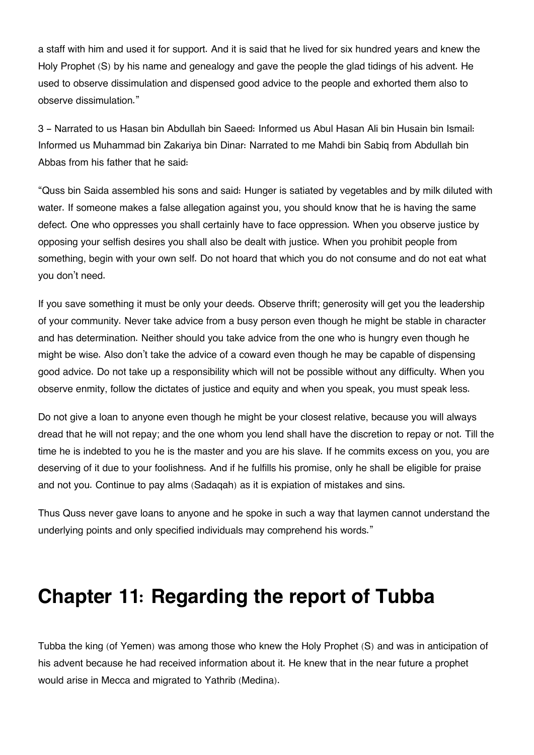a staff with him and used it for support. And it is said that he lived for six hundred years and knew the Holy Prophet (S) by his name and genealogy and gave the people the glad tidings of his advent. He used to observe dissimulation and dispensed good advice to the people and exhorted them also to observe dissimulation."

3 - Narrated to us Hasan bin Abdullah bin Saeed: Informed us Abul Hasan Ali bin Husain bin Ismail: Informed us Muhammad bin Zakariya bin Dinar: Narrated to me Mahdi bin Sabiq from Abdullah bin Abbas from his father that he said:

"Quss bin Saida assembled his sons and said: Hunger is satiated by vegetables and by milk diluted with water. If someone makes a false allegation against you, you should know that he is having the same defect. One who oppresses you shall certainly have to face oppression. When you observe justice by opposing your selfish desires you shall also be dealt with justice. When you prohibit people from something, begin with your own self. Do not hoard that which you do not consume and do not eat what you don't need.

If you save something it must be only your deeds. Observe thrift; generosity will get you the leadership of your community. Never take advice from a busy person even though he might be stable in character and has determination. Neither should you take advice from the one who is hungry even though he might be wise. Also don't take the advice of a coward even though he may be capable of dispensing good advice. Do not take up a responsibility which will not be possible without any difficulty. When you observe enmity, follow the dictates of justice and equity and when you speak, you must speak less.

Do not give a loan to anyone even though he might be your closest relative, because you will always dread that he will not repay; and the one whom you lend shall have the discretion to repay or not. Till the time he is indebted to you he is the master and you are his slave. If he commits excess on you, you are deserving of it due to your foolishness. And if he fulfills his promise, only he shall be eligible for praise and not you. Continue to pay alms (Sadaqah) as it is expiation of mistakes and sins.

Thus Quss never gave loans to anyone and he spoke in such a way that laymen cannot understand the underlying points and only specified individuals may comprehend his words."

### **Chapter 11: Regarding the report of Tubba**

Tubba the king (of Yemen) was among those who knew the Holy Prophet (S) and was in anticipation of his advent because he had received information about it. He knew that in the near future a prophet would arise in Mecca and migrated to Yathrib (Medina).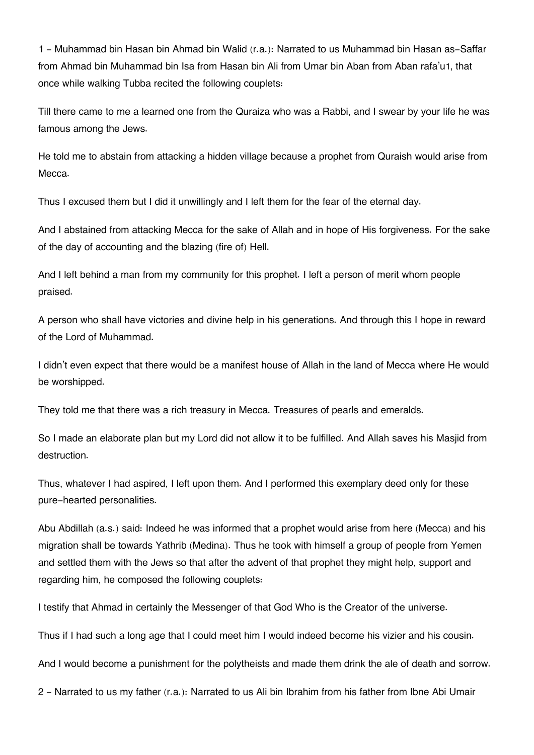1 - Muhammad bin Hasan bin Ahmad bin Walid (r.a.): Narrated to us Muhammad bin Hasan as-Saffar from Ahmad bin Muhammad bin Isa from Hasan bin Ali from Umar bin Aban from Aban rafa'u[1](#page--1-0), that once while walking Tubba recited the following couplets:

Till there came to me a learned one from the Quraiza who was a Rabbi, and I swear by your life he was famous among the Jews.

He told me to abstain from attacking a hidden village because a prophet from Quraish would arise from Mecca.

Thus I excused them but I did it unwillingly and I left them for the fear of the eternal day.

And I abstained from attacking Mecca for the sake of Allah and in hope of His forgiveness. For the sake of the day of accounting and the blazing (fire of) Hell.

And I left behind a man from my community for this prophet. I left a person of merit whom people praised.

A person who shall have victories and divine help in his generations. And through this I hope in reward of the Lord of Muhammad.

I didn't even expect that there would be a manifest house of Allah in the land of Mecca where He would be worshipped.

They told me that there was a rich treasury in Mecca. Treasures of pearls and emeralds.

So I made an elaborate plan but my Lord did not allow it to be fulfilled. And Allah saves his Masjid from destruction.

Thus, whatever I had aspired, I left upon them. And I performed this exemplary deed only for these pure-hearted personalities.

Abu Abdillah (a.s.) said: Indeed he was informed that a prophet would arise from here (Mecca) and his migration shall be towards Yathrib (Medina). Thus he took with himself a group of people from Yemen and settled them with the Jews so that after the advent of that prophet they might help, support and regarding him, he composed the following couplets:

I testify that Ahmad in certainly the Messenger of that God Who is the Creator of the universe.

Thus if I had such a long age that I could meet him I would indeed become his vizier and his cousin.

And I would become a punishment for the polytheists and made them drink the ale of death and sorrow.

2 - Narrated to us my father (r.a.): Narrated to us Ali bin Ibrahim from his father from Ibne Abi Umair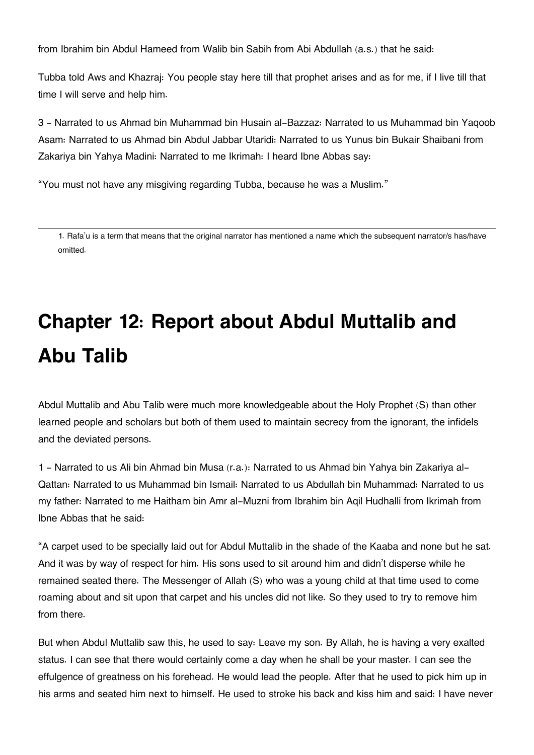from Ibrahim bin Abdul Hameed from Walib bin Sabih from Abi Abdullah (a.s.) that he said:

Tubba told Aws and Khazraj: You people stay here till that prophet arises and as for me, if I live till that time I will serve and help him.

3 - Narrated to us Ahmad bin Muhammad bin Husain al-Bazzaz: Narrated to us Muhammad bin Yaqoob Asam: Narrated to us Ahmad bin Abdul Jabbar Utaridi: Narrated to us Yunus bin Bukair Shaibani from Zakariya bin Yahya Madini: Narrated to me Ikrimah: I heard Ibne Abbas say:

"You must not have any misgiving regarding Tubba, because he was a Muslim."

[1.](#page--1-0) Rafa'u is a term that means that the original narrator has mentioned a name which the subsequent narrator/s has/have omitted.

# **Chapter 12: Report about Abdul Muttalib and Abu Talib**

Abdul Muttalib and Abu Talib were much more knowledgeable about the Holy Prophet (S) than other learned people and scholars but both of them used to maintain secrecy from the ignorant, the infidels and the deviated persons.

1 - Narrated to us Ali bin Ahmad bin Musa (r.a.): Narrated to us Ahmad bin Yahya bin Zakariya al-Qattan: Narrated to us Muhammad bin Ismail: Narrated to us Abdullah bin Muhammad: Narrated to us my father: Narrated to me Haitham bin Amr al-Muzni from Ibrahim bin Aqil Hudhalli from Ikrimah from Ibne Abbas that he said:

"A carpet used to be specially laid out for Abdul Muttalib in the shade of the Kaaba and none but he sat. And it was by way of respect for him. His sons used to sit around him and didn't disperse while he remained seated there. The Messenger of Allah (S) who was a young child at that time used to come roaming about and sit upon that carpet and his uncles did not like. So they used to try to remove him from there.

But when Abdul Muttalib saw this, he used to say: Leave my son. By Allah, he is having a very exalted status. I can see that there would certainly come a day when he shall be your master. I can see the effulgence of greatness on his forehead. He would lead the people. After that he used to pick him up in his arms and seated him next to himself. He used to stroke his back and kiss him and said: I have never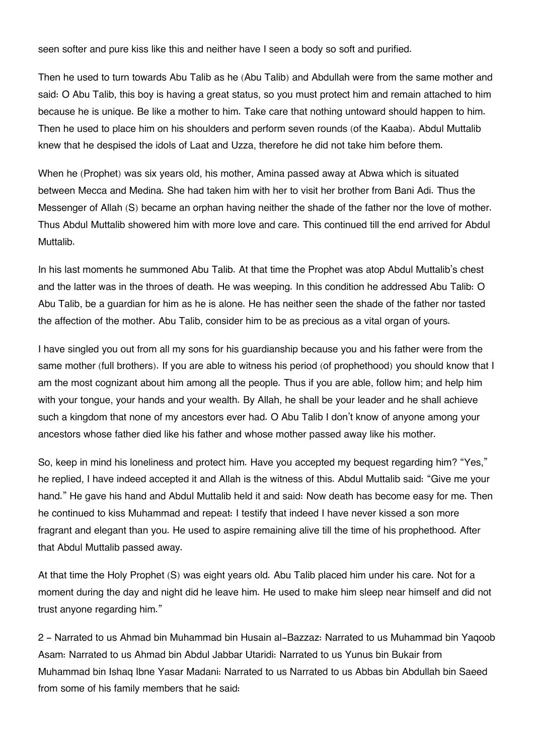seen softer and pure kiss like this and neither have I seen a body so soft and purified.

Then he used to turn towards Abu Talib as he (Abu Talib) and Abdullah were from the same mother and said: O Abu Talib, this boy is having a great status, so you must protect him and remain attached to him because he is unique. Be like a mother to him. Take care that nothing untoward should happen to him. Then he used to place him on his shoulders and perform seven rounds (of the Kaaba). Abdul Muttalib knew that he despised the idols of Laat and Uzza, therefore he did not take him before them.

When he (Prophet) was six years old, his mother, Amina passed away at Abwa which is situated between Mecca and Medina. She had taken him with her to visit her brother from Bani Adi. Thus the Messenger of Allah (S) became an orphan having neither the shade of the father nor the love of mother. Thus Abdul Muttalib showered him with more love and care. This continued till the end arrived for Abdul Muttalib.

In his last moments he summoned Abu Talib. At that time the Prophet was atop Abdul Muttalib's chest and the latter was in the throes of death. He was weeping. In this condition he addressed Abu Talib: O Abu Talib, be a guardian for him as he is alone. He has neither seen the shade of the father nor tasted the affection of the mother. Abu Talib, consider him to be as precious as a vital organ of yours.

I have singled you out from all my sons for his guardianship because you and his father were from the same mother (full brothers). If you are able to witness his period (of prophethood) you should know that I am the most cognizant about him among all the people. Thus if you are able, follow him; and help him with your tongue, your hands and your wealth. By Allah, he shall be your leader and he shall achieve such a kingdom that none of my ancestors ever had. O Abu Talib I don't know of anyone among your ancestors whose father died like his father and whose mother passed away like his mother.

So, keep in mind his loneliness and protect him. Have you accepted my bequest regarding him? "Yes," he replied, I have indeed accepted it and Allah is the witness of this. Abdul Muttalib said: "Give me your hand." He gave his hand and Abdul Muttalib held it and said: Now death has become easy for me. Then he continued to kiss Muhammad and repeat: I testify that indeed I have never kissed a son more fragrant and elegant than you. He used to aspire remaining alive till the time of his prophethood. After that Abdul Muttalib passed away.

At that time the Holy Prophet (S) was eight years old. Abu Talib placed him under his care. Not for a moment during the day and night did he leave him. He used to make him sleep near himself and did not trust anyone regarding him."

2 - Narrated to us Ahmad bin Muhammad bin Husain al-Bazzaz: Narrated to us Muhammad bin Yaqoob Asam: Narrated to us Ahmad bin Abdul Jabbar Utaridi: Narrated to us Yunus bin Bukair from Muhammad bin Ishaq Ibne Yasar Madani: Narrated to us Narrated to us Abbas bin Abdullah bin Saeed from some of his family members that he said: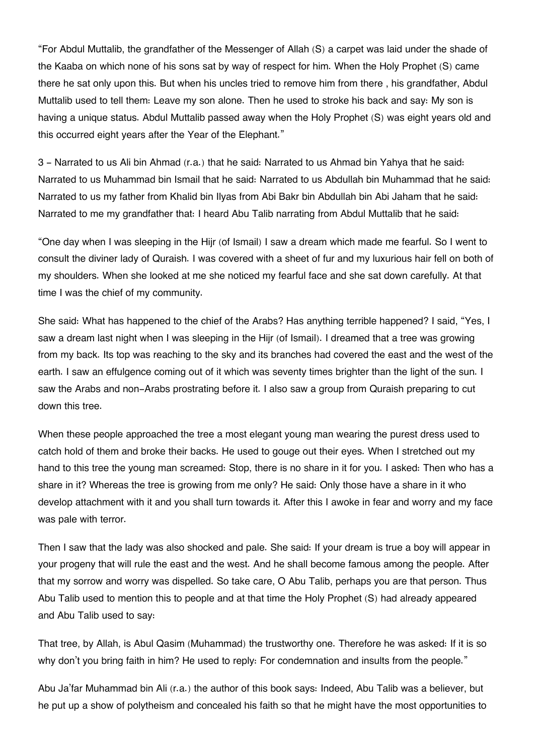"For Abdul Muttalib, the grandfather of the Messenger of Allah (S) a carpet was laid under the shade of the Kaaba on which none of his sons sat by way of respect for him. When the Holy Prophet (S) came there he sat only upon this. But when his uncles tried to remove him from there , his grandfather, Abdul Muttalib used to tell them: Leave my son alone. Then he used to stroke his back and say: My son is having a unique status. Abdul Muttalib passed away when the Holy Prophet (S) was eight years old and this occurred eight years after the Year of the Elephant."

3 - Narrated to us Ali bin Ahmad (r.a.) that he said: Narrated to us Ahmad bin Yahya that he said: Narrated to us Muhammad bin Ismail that he said: Narrated to us Abdullah bin Muhammad that he said: Narrated to us my father from Khalid bin Ilyas from Abi Bakr bin Abdullah bin Abi Jaham that he said: Narrated to me my grandfather that: I heard Abu Talib narrating from Abdul Muttalib that he said:

"One day when I was sleeping in the Hijr (of Ismail) I saw a dream which made me fearful. So I went to consult the diviner lady of Quraish. I was covered with a sheet of fur and my luxurious hair fell on both of my shoulders. When she looked at me she noticed my fearful face and she sat down carefully. At that time I was the chief of my community.

She said: What has happened to the chief of the Arabs? Has anything terrible happened? I said, "Yes, I saw a dream last night when I was sleeping in the Hijr (of Ismail). I dreamed that a tree was growing from my back. Its top was reaching to the sky and its branches had covered the east and the west of the earth. I saw an effulgence coming out of it which was seventy times brighter than the light of the sun. I saw the Arabs and non-Arabs prostrating before it. I also saw a group from Quraish preparing to cut down this tree.

When these people approached the tree a most elegant young man wearing the purest dress used to catch hold of them and broke their backs. He used to gouge out their eyes. When I stretched out my hand to this tree the young man screamed: Stop, there is no share in it for you. I asked: Then who has a share in it? Whereas the tree is growing from me only? He said: Only those have a share in it who develop attachment with it and you shall turn towards it. After this I awoke in fear and worry and my face was pale with terror.

Then I saw that the lady was also shocked and pale. She said: If your dream is true a boy will appear in your progeny that will rule the east and the west. And he shall become famous among the people. After that my sorrow and worry was dispelled. So take care, O Abu Talib, perhaps you are that person. Thus Abu Talib used to mention this to people and at that time the Holy Prophet (S) had already appeared and Abu Talib used to say:

That tree, by Allah, is Abul Qasim (Muhammad) the trustworthy one. Therefore he was asked: If it is so why don't you bring faith in him? He used to reply: For condemnation and insults from the people."

Abu Ja'far Muhammad bin Ali (r.a.) the author of this book says: Indeed, Abu Talib was a believer, but he put up a show of polytheism and concealed his faith so that he might have the most opportunities to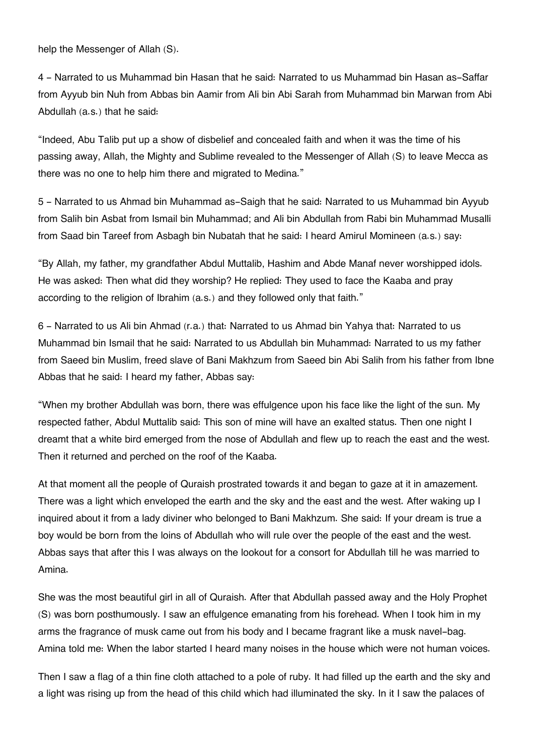help the Messenger of Allah (S).

4 - Narrated to us Muhammad bin Hasan that he said: Narrated to us Muhammad bin Hasan as-Saffar from Ayyub bin Nuh from Abbas bin Aamir from Ali bin Abi Sarah from Muhammad bin Marwan from Abi Abdullah (a.s.) that he said:

"Indeed, Abu Talib put up a show of disbelief and concealed faith and when it was the time of his passing away, Allah, the Mighty and Sublime revealed to the Messenger of Allah (S) to leave Mecca as there was no one to help him there and migrated to Medina."

5 - Narrated to us Ahmad bin Muhammad as-Saigh that he said: Narrated to us Muhammad bin Ayyub from Salih bin Asbat from Ismail bin Muhammad; and Ali bin Abdullah from Rabi bin Muhammad Musalli from Saad bin Tareef from Asbagh bin Nubatah that he said: I heard Amirul Momineen (a.s.) say:

"By Allah, my father, my grandfather Abdul Muttalib, Hashim and Abde Manaf never worshipped idols. He was asked: Then what did they worship? He replied: They used to face the Kaaba and pray according to the religion of Ibrahim (a.s.) and they followed only that faith."

6 - Narrated to us Ali bin Ahmad (r.a.) that: Narrated to us Ahmad bin Yahya that: Narrated to us Muhammad bin Ismail that he said: Narrated to us Abdullah bin Muhammad: Narrated to us my father from Saeed bin Muslim, freed slave of Bani Makhzum from Saeed bin Abi Salih from his father from Ibne Abbas that he said: I heard my father, Abbas say:

"When my brother Abdullah was born, there was effulgence upon his face like the light of the sun. My respected father, Abdul Muttalib said: This son of mine will have an exalted status. Then one night I dreamt that a white bird emerged from the nose of Abdullah and flew up to reach the east and the west. Then it returned and perched on the roof of the Kaaba.

At that moment all the people of Quraish prostrated towards it and began to gaze at it in amazement. There was a light which enveloped the earth and the sky and the east and the west. After waking up I inquired about it from a lady diviner who belonged to Bani Makhzum. She said: If your dream is true a boy would be born from the loins of Abdullah who will rule over the people of the east and the west. Abbas says that after this I was always on the lookout for a consort for Abdullah till he was married to Amina.

She was the most beautiful girl in all of Quraish. After that Abdullah passed away and the Holy Prophet (S) was born posthumously. I saw an effulgence emanating from his forehead. When I took him in my arms the fragrance of musk came out from his body and I became fragrant like a musk navel-bag. Amina told me: When the labor started I heard many noises in the house which were not human voices.

Then I saw a flag of a thin fine cloth attached to a pole of ruby. It had filled up the earth and the sky and a light was rising up from the head of this child which had illuminated the sky. In it I saw the palaces of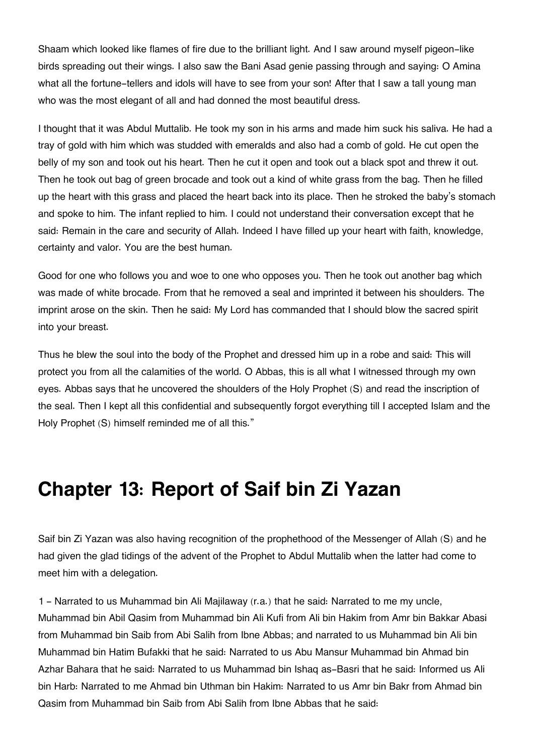Shaam which looked like flames of fire due to the brilliant light. And I saw around myself pigeon-like birds spreading out their wings. I also saw the Bani Asad genie passing through and saying: O Amina what all the fortune-tellers and idols will have to see from your son! After that I saw a tall young man who was the most elegant of all and had donned the most beautiful dress.

I thought that it was Abdul Muttalib. He took my son in his arms and made him suck his saliva. He had a tray of gold with him which was studded with emeralds and also had a comb of gold. He cut open the belly of my son and took out his heart. Then he cut it open and took out a black spot and threw it out. Then he took out bag of green brocade and took out a kind of white grass from the bag. Then he filled up the heart with this grass and placed the heart back into its place. Then he stroked the baby's stomach and spoke to him. The infant replied to him. I could not understand their conversation except that he said: Remain in the care and security of Allah. Indeed I have filled up your heart with faith, knowledge, certainty and valor. You are the best human.

Good for one who follows you and woe to one who opposes you. Then he took out another bag which was made of white brocade. From that he removed a seal and imprinted it between his shoulders. The imprint arose on the skin. Then he said: My Lord has commanded that I should blow the sacred spirit into your breast.

Thus he blew the soul into the body of the Prophet and dressed him up in a robe and said: This will protect you from all the calamities of the world. O Abbas, this is all what I witnessed through my own eyes. Abbas says that he uncovered the shoulders of the Holy Prophet (S) and read the inscription of the seal. Then I kept all this confidential and subsequently forgot everything till I accepted Islam and the Holy Prophet (S) himself reminded me of all this."

## **Chapter 13: Report of Saif bin Zi Yazan**

Saif bin Zi Yazan was also having recognition of the prophethood of the Messenger of Allah (S) and he had given the glad tidings of the advent of the Prophet to Abdul Muttalib when the latter had come to meet him with a delegation.

1 - Narrated to us Muhammad bin Ali Majilaway (r.a.) that he said: Narrated to me my uncle, Muhammad bin Abil Qasim from Muhammad bin Ali Kufi from Ali bin Hakim from Amr bin Bakkar Abasi from Muhammad bin Saib from Abi Salih from Ibne Abbas; and narrated to us Muhammad bin Ali bin Muhammad bin Hatim Bufakki that he said: Narrated to us Abu Mansur Muhammad bin Ahmad bin Azhar Bahara that he said: Narrated to us Muhammad bin Ishaq as-Basri that he said: Informed us Ali bin Harb: Narrated to me Ahmad bin Uthman bin Hakim: Narrated to us Amr bin Bakr from Ahmad bin Qasim from Muhammad bin Saib from Abi Salih from Ibne Abbas that he said: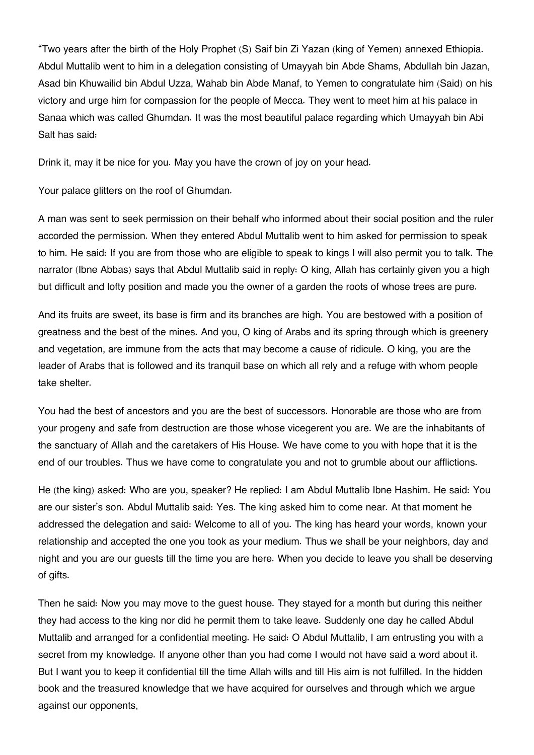"Two years after the birth of the Holy Prophet (S) Saif bin Zi Yazan (king of Yemen) annexed Ethiopia. Abdul Muttalib went to him in a delegation consisting of Umayyah bin Abde Shams, Abdullah bin Jazan, Asad bin Khuwailid bin Abdul Uzza, Wahab bin Abde Manaf, to Yemen to congratulate him (Said) on his victory and urge him for compassion for the people of Mecca. They went to meet him at his palace in Sanaa which was called Ghumdan. It was the most beautiful palace regarding which Umayyah bin Abi Salt has said:

Drink it, may it be nice for you. May you have the crown of joy on your head.

Your palace glitters on the roof of Ghumdan.

A man was sent to seek permission on their behalf who informed about their social position and the ruler accorded the permission. When they entered Abdul Muttalib went to him asked for permission to speak to him. He said: If you are from those who are eligible to speak to kings I will also permit you to talk. The narrator (Ibne Abbas) says that Abdul Muttalib said in reply: O king, Allah has certainly given you a high but difficult and lofty position and made you the owner of a garden the roots of whose trees are pure.

And its fruits are sweet, its base is firm and its branches are high. You are bestowed with a position of greatness and the best of the mines. And you, O king of Arabs and its spring through which is greenery and vegetation, are immune from the acts that may become a cause of ridicule. O king, you are the leader of Arabs that is followed and its tranquil base on which all rely and a refuge with whom people take shelter.

You had the best of ancestors and you are the best of successors. Honorable are those who are from your progeny and safe from destruction are those whose vicegerent you are. We are the inhabitants of the sanctuary of Allah and the caretakers of His House. We have come to you with hope that it is the end of our troubles. Thus we have come to congratulate you and not to grumble about our afflictions.

He (the king) asked: Who are you, speaker? He replied: I am Abdul Muttalib Ibne Hashim. He said: You are our sister's son. Abdul Muttalib said: Yes. The king asked him to come near. At that moment he addressed the delegation and said: Welcome to all of you. The king has heard your words, known your relationship and accepted the one you took as your medium. Thus we shall be your neighbors, day and night and you are our guests till the time you are here. When you decide to leave you shall be deserving of gifts.

Then he said: Now you may move to the guest house. They stayed for a month but during this neither they had access to the king nor did he permit them to take leave. Suddenly one day he called Abdul Muttalib and arranged for a confidential meeting. He said: O Abdul Muttalib, I am entrusting you with a secret from my knowledge. If anyone other than you had come I would not have said a word about it. But I want you to keep it confidential till the time Allah wills and till His aim is not fulfilled. In the hidden book and the treasured knowledge that we have acquired for ourselves and through which we argue against our opponents,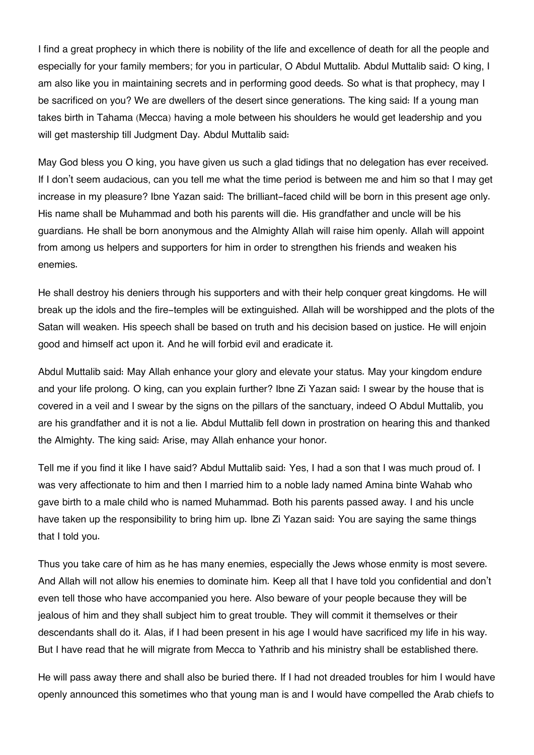I find a great prophecy in which there is nobility of the life and excellence of death for all the people and especially for your family members; for you in particular, O Abdul Muttalib. Abdul Muttalib said: O king, I am also like you in maintaining secrets and in performing good deeds. So what is that prophecy, may I be sacrificed on you? We are dwellers of the desert since generations. The king said: If a young man takes birth in Tahama (Mecca) having a mole between his shoulders he would get leadership and you will get mastership till Judgment Day. Abdul Muttalib said:

May God bless you O king, you have given us such a glad tidings that no delegation has ever received. If I don't seem audacious, can you tell me what the time period is between me and him so that I may get increase in my pleasure? Ibne Yazan said: The brilliant-faced child will be born in this present age only. His name shall be Muhammad and both his parents will die. His grandfather and uncle will be his guardians. He shall be born anonymous and the Almighty Allah will raise him openly. Allah will appoint from among us helpers and supporters for him in order to strengthen his friends and weaken his enemies.

He shall destroy his deniers through his supporters and with their help conquer great kingdoms. He will break up the idols and the fire-temples will be extinguished. Allah will be worshipped and the plots of the Satan will weaken. His speech shall be based on truth and his decision based on justice. He will enjoin good and himself act upon it. And he will forbid evil and eradicate it.

Abdul Muttalib said: May Allah enhance your glory and elevate your status. May your kingdom endure and your life prolong. O king, can you explain further? Ibne Zi Yazan said: I swear by the house that is covered in a veil and I swear by the signs on the pillars of the sanctuary, indeed O Abdul Muttalib, you are his grandfather and it is not a lie. Abdul Muttalib fell down in prostration on hearing this and thanked the Almighty. The king said: Arise, may Allah enhance your honor.

Tell me if you find it like I have said? Abdul Muttalib said: Yes, I had a son that I was much proud of. I was very affectionate to him and then I married him to a noble lady named Amina binte Wahab who gave birth to a male child who is named Muhammad. Both his parents passed away. I and his uncle have taken up the responsibility to bring him up. Ibne Zi Yazan said: You are saying the same things that I told you.

Thus you take care of him as he has many enemies, especially the Jews whose enmity is most severe. And Allah will not allow his enemies to dominate him. Keep all that I have told you confidential and don't even tell those who have accompanied you here. Also beware of your people because they will be jealous of him and they shall subject him to great trouble. They will commit it themselves or their descendants shall do it. Alas, if I had been present in his age I would have sacrificed my life in his way. But I have read that he will migrate from Mecca to Yathrib and his ministry shall be established there.

He will pass away there and shall also be buried there. If I had not dreaded troubles for him I would have openly announced this sometimes who that young man is and I would have compelled the Arab chiefs to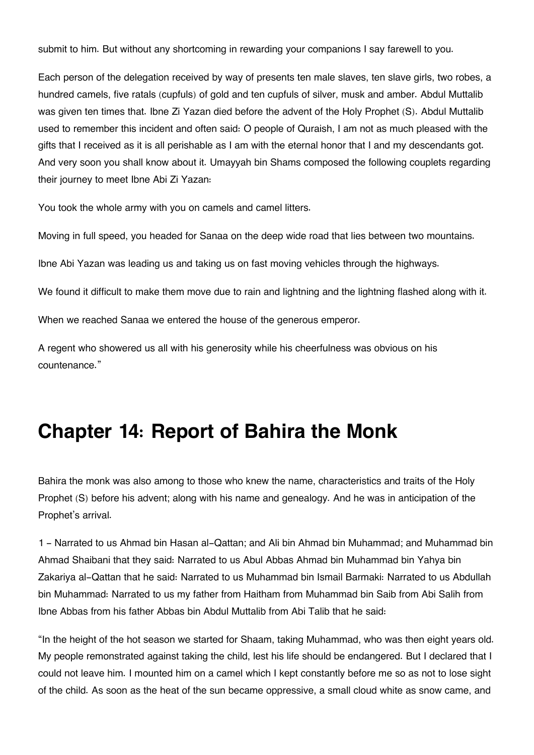submit to him. But without any shortcoming in rewarding your companions I say farewell to you.

Each person of the delegation received by way of presents ten male slaves, ten slave girls, two robes, a hundred camels, five ratals (cupfuls) of gold and ten cupfuls of silver, musk and amber. Abdul Muttalib was given ten times that. Ibne Zi Yazan died before the advent of the Holy Prophet (S). Abdul Muttalib used to remember this incident and often said: O people of Quraish, I am not as much pleased with the gifts that I received as it is all perishable as I am with the eternal honor that I and my descendants got. And very soon you shall know about it. Umayyah bin Shams composed the following couplets regarding their journey to meet Ibne Abi Zi Yazan:

You took the whole army with you on camels and camel litters.

Moving in full speed, you headed for Sanaa on the deep wide road that lies between two mountains.

Ibne Abi Yazan was leading us and taking us on fast moving vehicles through the highways.

We found it difficult to make them move due to rain and lightning and the lightning flashed along with it.

When we reached Sanaa we entered the house of the generous emperor.

A regent who showered us all with his generosity while his cheerfulness was obvious on his countenance."

### **Chapter 14: Report of Bahira the Monk**

Bahira the monk was also among to those who knew the name, characteristics and traits of the Holy Prophet (S) before his advent; along with his name and genealogy. And he was in anticipation of the Prophet's arrival.

1 - Narrated to us Ahmad bin Hasan al-Qattan; and Ali bin Ahmad bin Muhammad; and Muhammad bin Ahmad Shaibani that they said: Narrated to us Abul Abbas Ahmad bin Muhammad bin Yahya bin Zakariya al-Qattan that he said: Narrated to us Muhammad bin Ismail Barmaki: Narrated to us Abdullah bin Muhammad: Narrated to us my father from Haitham from Muhammad bin Saib from Abi Salih from Ibne Abbas from his father Abbas bin Abdul Muttalib from Abi Talib that he said:

"In the height of the hot season we started for Shaam, taking Muhammad, who was then eight years old. My people remonstrated against taking the child, lest his life should be endangered. But I declared that I could not leave him. I mounted him on a camel which I kept constantly before me so as not to lose sight of the child. As soon as the heat of the sun became oppressive, a small cloud white as snow came, and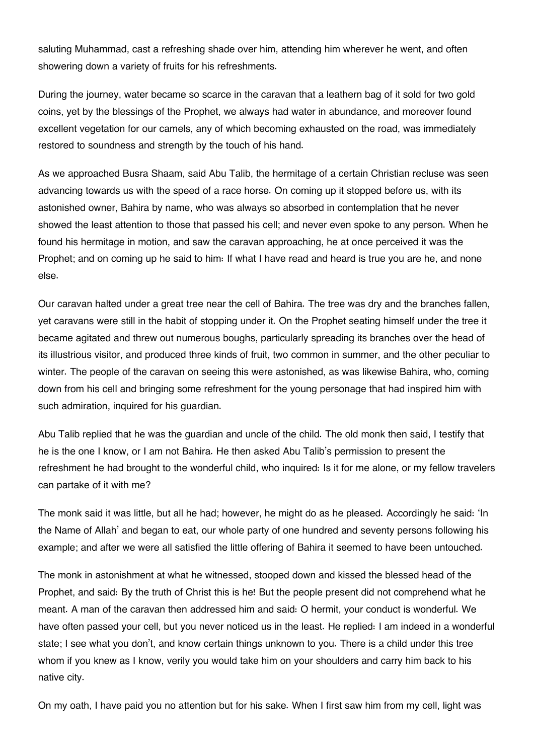saluting Muhammad, cast a refreshing shade over him, attending him wherever he went, and often showering down a variety of fruits for his refreshments.

During the journey, water became so scarce in the caravan that a leathern bag of it sold for two gold coins, yet by the blessings of the Prophet, we always had water in abundance, and moreover found excellent vegetation for our camels, any of which becoming exhausted on the road, was immediately restored to soundness and strength by the touch of his hand.

As we approached Busra Shaam, said Abu Talib, the hermitage of a certain Christian recluse was seen advancing towards us with the speed of a race horse. On coming up it stopped before us, with its astonished owner, Bahira by name, who was always so absorbed in contemplation that he never showed the least attention to those that passed his cell; and never even spoke to any person. When he found his hermitage in motion, and saw the caravan approaching, he at once perceived it was the Prophet; and on coming up he said to him: If what I have read and heard is true you are he, and none else.

Our caravan halted under a great tree near the cell of Bahira. The tree was dry and the branches fallen, yet caravans were still in the habit of stopping under it. On the Prophet seating himself under the tree it became agitated and threw out numerous boughs, particularly spreading its branches over the head of its illustrious visitor, and produced three kinds of fruit, two common in summer, and the other peculiar to winter. The people of the caravan on seeing this were astonished, as was likewise Bahira, who, coming down from his cell and bringing some refreshment for the young personage that had inspired him with such admiration, inquired for his guardian.

Abu Talib replied that he was the guardian and uncle of the child. The old monk then said, I testify that he is the one I know, or I am not Bahira. He then asked Abu Talib's permission to present the refreshment he had brought to the wonderful child, who inquired: Is it for me alone, or my fellow travelers can partake of it with me?

The monk said it was little, but all he had; however, he might do as he pleased. Accordingly he said: 'In the Name of Allah' and began to eat, our whole party of one hundred and seventy persons following his example; and after we were all satisfied the little offering of Bahira it seemed to have been untouched.

The monk in astonishment at what he witnessed, stooped down and kissed the blessed head of the Prophet, and said: By the truth of Christ this is he! But the people present did not comprehend what he meant. A man of the caravan then addressed him and said: O hermit, your conduct is wonderful. We have often passed your cell, but you never noticed us in the least. He replied: I am indeed in a wonderful state; I see what you don't, and know certain things unknown to you. There is a child under this tree whom if you knew as I know, verily you would take him on your shoulders and carry him back to his native city.

On my oath, I have paid you no attention but for his sake. When I first saw him from my cell, light was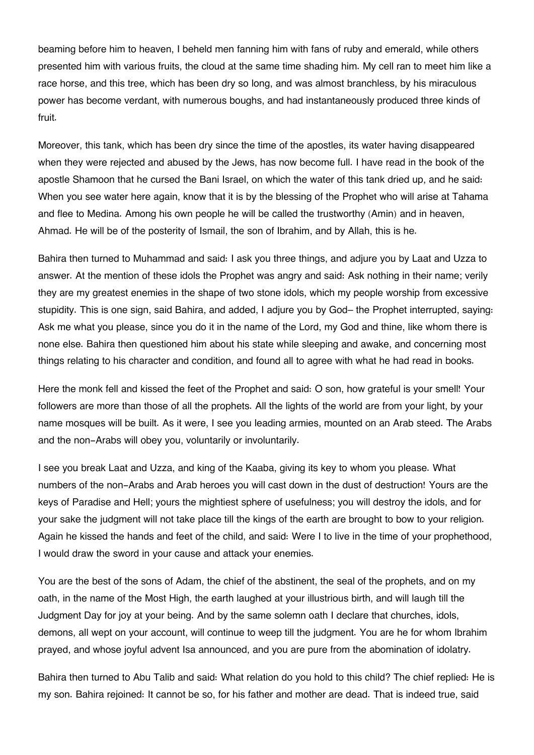beaming before him to heaven, I beheld men fanning him with fans of ruby and emerald, while others presented him with various fruits, the cloud at the same time shading him. My cell ran to meet him like a race horse, and this tree, which has been dry so long, and was almost branchless, by his miraculous power has become verdant, with numerous boughs, and had instantaneously produced three kinds of fruit.

Moreover, this tank, which has been dry since the time of the apostles, its water having disappeared when they were rejected and abused by the Jews, has now become full. I have read in the book of the apostle Shamoon that he cursed the Bani Israel, on which the water of this tank dried up, and he said: When you see water here again, know that it is by the blessing of the Prophet who will arise at Tahama and flee to Medina. Among his own people he will be called the trustworthy (Amin) and in heaven, Ahmad. He will be of the posterity of Ismail, the son of Ibrahim, and by Allah, this is he.

Bahira then turned to Muhammad and said: I ask you three things, and adjure you by Laat and Uzza to answer. At the mention of these idols the Prophet was angry and said: Ask nothing in their name; verily they are my greatest enemies in the shape of two stone idols, which my people worship from excessive stupidity. This is one sign, said Bahira, and added, I adjure you by God– the Prophet interrupted, saying: Ask me what you please, since you do it in the name of the Lord, my God and thine, like whom there is none else. Bahira then questioned him about his state while sleeping and awake, and concerning most things relating to his character and condition, and found all to agree with what he had read in books.

Here the monk fell and kissed the feet of the Prophet and said: O son, how grateful is your smell! Your followers are more than those of all the prophets. All the lights of the world are from your light, by your name mosques will be built. As it were, I see you leading armies, mounted on an Arab steed. The Arabs and the non-Arabs will obey you, voluntarily or involuntarily.

I see you break Laat and Uzza, and king of the Kaaba, giving its key to whom you please. What numbers of the non-Arabs and Arab heroes you will cast down in the dust of destruction! Yours are the keys of Paradise and Hell; yours the mightiest sphere of usefulness; you will destroy the idols, and for your sake the judgment will not take place till the kings of the earth are brought to bow to your religion. Again he kissed the hands and feet of the child, and said: Were I to live in the time of your prophethood, I would draw the sword in your cause and attack your enemies.

You are the best of the sons of Adam, the chief of the abstinent, the seal of the prophets, and on my oath, in the name of the Most High, the earth laughed at your illustrious birth, and will laugh till the Judgment Day for joy at your being. And by the same solemn oath I declare that churches, idols, demons, all wept on your account, will continue to weep till the judgment. You are he for whom Ibrahim prayed, and whose joyful advent Isa announced, and you are pure from the abomination of idolatry.

Bahira then turned to Abu Talib and said: What relation do you hold to this child? The chief replied: He is my son. Bahira rejoined: It cannot be so, for his father and mother are dead. That is indeed true, said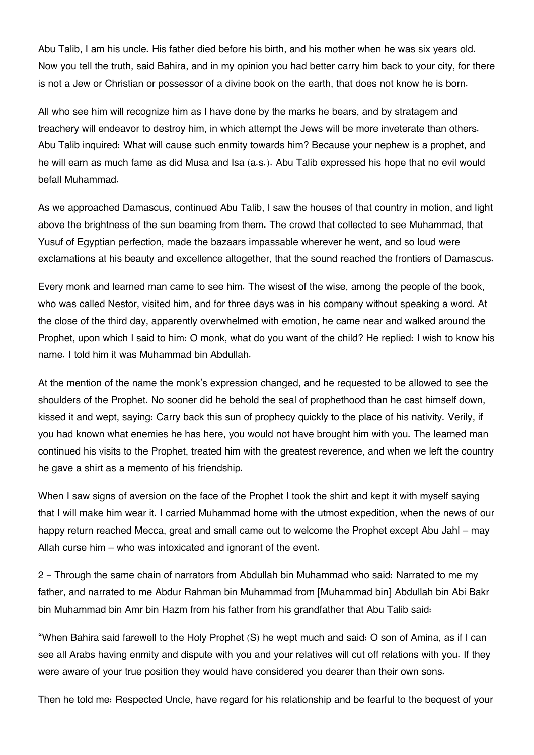Abu Talib, I am his uncle. His father died before his birth, and his mother when he was six years old. Now you tell the truth, said Bahira, and in my opinion you had better carry him back to your city, for there is not a Jew or Christian or possessor of a divine book on the earth, that does not know he is born.

All who see him will recognize him as I have done by the marks he bears, and by stratagem and treachery will endeavor to destroy him, in which attempt the Jews will be more inveterate than others. Abu Talib inquired: What will cause such enmity towards him? Because your nephew is a prophet, and he will earn as much fame as did Musa and Isa (a.s.). Abu Talib expressed his hope that no evil would befall Muhammad.

As we approached Damascus, continued Abu Talib, I saw the houses of that country in motion, and light above the brightness of the sun beaming from them. The crowd that collected to see Muhammad, that Yusuf of Egyptian perfection, made the bazaars impassable wherever he went, and so loud were exclamations at his beauty and excellence altogether, that the sound reached the frontiers of Damascus.

Every monk and learned man came to see him. The wisest of the wise, among the people of the book, who was called Nestor, visited him, and for three days was in his company without speaking a word. At the close of the third day, apparently overwhelmed with emotion, he came near and walked around the Prophet, upon which I said to him: O monk, what do you want of the child? He replied: I wish to know his name. I told him it was Muhammad bin Abdullah.

At the mention of the name the monk's expression changed, and he requested to be allowed to see the shoulders of the Prophet. No sooner did he behold the seal of prophethood than he cast himself down, kissed it and wept, saying: Carry back this sun of prophecy quickly to the place of his nativity. Verily, if you had known what enemies he has here, you would not have brought him with you. The learned man continued his visits to the Prophet, treated him with the greatest reverence, and when we left the country he gave a shirt as a memento of his friendship.

When I saw signs of aversion on the face of the Prophet I took the shirt and kept it with myself saying that I will make him wear it. I carried Muhammad home with the utmost expedition, when the news of our happy return reached Mecca, great and small came out to welcome the Prophet except Abu Jahl – may Allah curse him – who was intoxicated and ignorant of the event.

2 - Through the same chain of narrators from Abdullah bin Muhammad who said: Narrated to me my father, and narrated to me Abdur Rahman bin Muhammad from [Muhammad bin] Abdullah bin Abi Bakr bin Muhammad bin Amr bin Hazm from his father from his grandfather that Abu Talib said:

"When Bahira said farewell to the Holy Prophet (S) he wept much and said: O son of Amina, as if I can see all Arabs having enmity and dispute with you and your relatives will cut off relations with you. If they were aware of your true position they would have considered you dearer than their own sons.

Then he told me: Respected Uncle, have regard for his relationship and be fearful to the bequest of your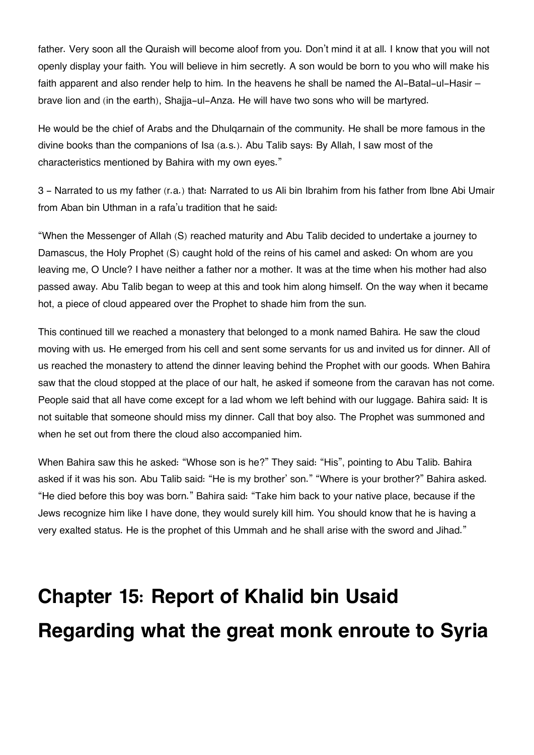father. Very soon all the Quraish will become aloof from you. Don't mind it at all. I know that you will not openly display your faith. You will believe in him secretly. A son would be born to you who will make his faith apparent and also render help to him. In the heavens he shall be named the Al-Batal-ul-Hasir – brave lion and (in the earth), Shajja-ul-Anza. He will have two sons who will be martyred.

He would be the chief of Arabs and the Dhulqarnain of the community. He shall be more famous in the divine books than the companions of Isa (a.s.). Abu Talib says: By Allah, I saw most of the characteristics mentioned by Bahira with my own eyes."

3 - Narrated to us my father (r.a.) that: Narrated to us Ali bin Ibrahim from his father from Ibne Abi Umair from Aban bin Uthman in a rafa'u tradition that he said:

"When the Messenger of Allah (S) reached maturity and Abu Talib decided to undertake a journey to Damascus, the Holy Prophet (S) caught hold of the reins of his camel and asked: On whom are you leaving me, O Uncle? I have neither a father nor a mother. It was at the time when his mother had also passed away. Abu Talib began to weep at this and took him along himself. On the way when it became hot, a piece of cloud appeared over the Prophet to shade him from the sun.

This continued till we reached a monastery that belonged to a monk named Bahira. He saw the cloud moving with us. He emerged from his cell and sent some servants for us and invited us for dinner. All of us reached the monastery to attend the dinner leaving behind the Prophet with our goods. When Bahira saw that the cloud stopped at the place of our halt, he asked if someone from the caravan has not come. People said that all have come except for a lad whom we left behind with our luggage. Bahira said: It is not suitable that someone should miss my dinner. Call that boy also. The Prophet was summoned and when he set out from there the cloud also accompanied him.

When Bahira saw this he asked: "Whose son is he?" They said: "His", pointing to Abu Talib. Bahira asked if it was his son. Abu Talib said: "He is my brother' son." "Where is your brother?" Bahira asked. "He died before this boy was born." Bahira said: "Take him back to your native place, because if the Jews recognize him like I have done, they would surely kill him. You should know that he is having a very exalted status. He is the prophet of this Ummah and he shall arise with the sword and Jihad."

# **Chapter 15: Report of Khalid bin Usaid Regarding what the great monk enroute to Syria**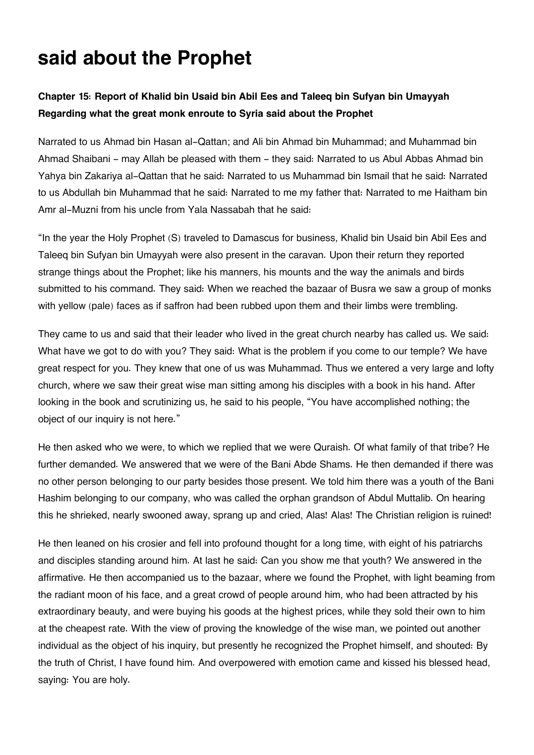# **said about the Prophet**

## **Chapter 15: Report of Khalid bin Usaid bin Abil Ees and Taleeq bin Sufyan bin Umayyah Regarding what the great monk enroute to Syria said about the Prophet**

Narrated to us Ahmad bin Hasan al-Qattan; and Ali bin Ahmad bin Muhammad; and Muhammad bin Ahmad Shaibani - may Allah be pleased with them - they said: Narrated to us Abul Abbas Ahmad bin Yahya bin Zakariya al-Qattan that he said: Narrated to us Muhammad bin Ismail that he said: Narrated to us Abdullah bin Muhammad that he said: Narrated to me my father that: Narrated to me Haitham bin Amr al-Muzni from his uncle from Yala Nassabah that he said:

"In the year the Holy Prophet (S) traveled to Damascus for business, Khalid bin Usaid bin Abil Ees and Taleeq bin Sufyan bin Umayyah were also present in the caravan. Upon their return they reported strange things about the Prophet; like his manners, his mounts and the way the animals and birds submitted to his command. They said: When we reached the bazaar of Busra we saw a group of monks with yellow (pale) faces as if saffron had been rubbed upon them and their limbs were trembling.

They came to us and said that their leader who lived in the great church nearby has called us. We said: What have we got to do with you? They said: What is the problem if you come to our temple? We have great respect for you. They knew that one of us was Muhammad. Thus we entered a very large and lofty church, where we saw their great wise man sitting among his disciples with a book in his hand. After looking in the book and scrutinizing us, he said to his people, "You have accomplished nothing; the object of our inquiry is not here."

He then asked who we were, to which we replied that we were Quraish. Of what family of that tribe? He further demanded. We answered that we were of the Bani Abde Shams. He then demanded if there was no other person belonging to our party besides those present. We told him there was a youth of the Bani Hashim belonging to our company, who was called the orphan grandson of Abdul Muttalib. On hearing this he shrieked, nearly swooned away, sprang up and cried, Alas! Alas! The Christian religion is ruined!

He then leaned on his crosier and fell into profound thought for a long time, with eight of his patriarchs and disciples standing around him. At last he said: Can you show me that youth? We answered in the affirmative. He then accompanied us to the bazaar, where we found the Prophet, with light beaming from the radiant moon of his face, and a great crowd of people around him, who had been attracted by his extraordinary beauty, and were buying his goods at the highest prices, while they sold their own to him at the cheapest rate. With the view of proving the knowledge of the wise man, we pointed out another individual as the object of his inquiry, but presently he recognized the Prophet himself, and shouted: By the truth of Christ, I have found him. And overpowered with emotion came and kissed his blessed head, saying: You are holy.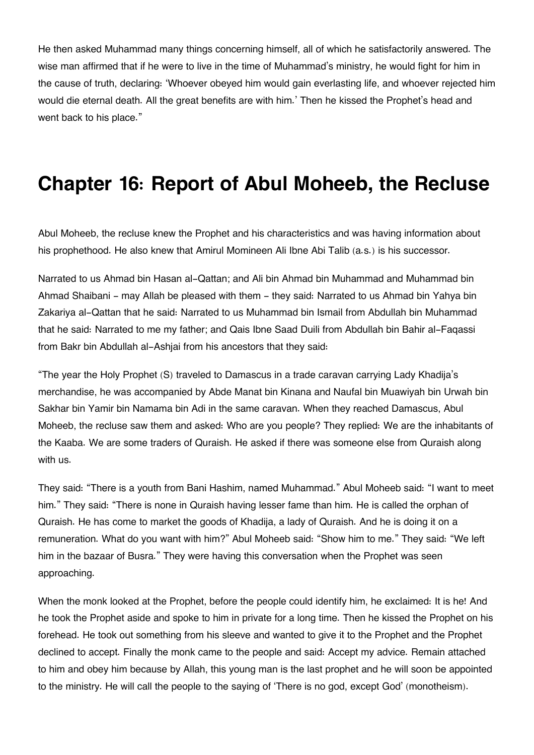He then asked Muhammad many things concerning himself, all of which he satisfactorily answered. The wise man affirmed that if he were to live in the time of Muhammad's ministry, he would fight for him in the cause of truth, declaring: 'Whoever obeyed him would gain everlasting life, and whoever rejected him would die eternal death. All the great benefits are with him.' Then he kissed the Prophet's head and went back to his place."

## **Chapter 16: Report of Abul Moheeb, the Recluse**

Abul Moheeb, the recluse knew the Prophet and his characteristics and was having information about his prophethood. He also knew that Amirul Momineen Ali Ibne Abi Talib (a.s.) is his successor.

Narrated to us Ahmad bin Hasan al-Qattan; and Ali bin Ahmad bin Muhammad and Muhammad bin Ahmad Shaibani - may Allah be pleased with them - they said: Narrated to us Ahmad bin Yahya bin Zakariya al-Qattan that he said: Narrated to us Muhammad bin Ismail from Abdullah bin Muhammad that he said: Narrated to me my father; and Qais Ibne Saad Duili from Abdullah bin Bahir al-Faqassi from Bakr bin Abdullah al-Ashjai from his ancestors that they said:

"The year the Holy Prophet (S) traveled to Damascus in a trade caravan carrying Lady Khadija's merchandise, he was accompanied by Abde Manat bin Kinana and Naufal bin Muawiyah bin Urwah bin Sakhar bin Yamir bin Namama bin Adi in the same caravan. When they reached Damascus, Abul Moheeb, the recluse saw them and asked: Who are you people? They replied: We are the inhabitants of the Kaaba. We are some traders of Quraish. He asked if there was someone else from Quraish along with us.

They said: "There is a youth from Bani Hashim, named Muhammad." Abul Moheeb said: "I want to meet him." They said: "There is none in Quraish having lesser fame than him. He is called the orphan of Quraish. He has come to market the goods of Khadija, a lady of Quraish. And he is doing it on a remuneration. What do you want with him?" Abul Moheeb said: "Show him to me." They said: "We left him in the bazaar of Busra." They were having this conversation when the Prophet was seen approaching.

When the monk looked at the Prophet, before the people could identify him, he exclaimed: It is he! And he took the Prophet aside and spoke to him in private for a long time. Then he kissed the Prophet on his forehead. He took out something from his sleeve and wanted to give it to the Prophet and the Prophet declined to accept. Finally the monk came to the people and said: Accept my advice. Remain attached to him and obey him because by Allah, this young man is the last prophet and he will soon be appointed to the ministry. He will call the people to the saying of 'There is no god, except God' (monotheism).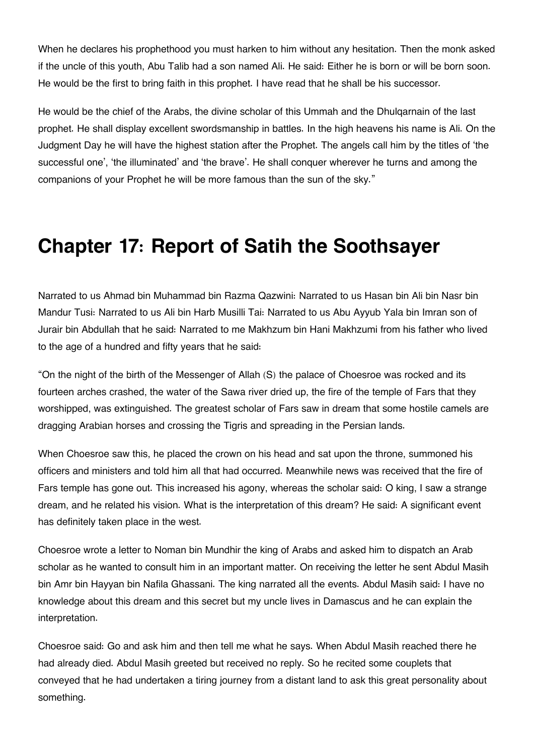When he declares his prophethood you must harken to him without any hesitation. Then the monk asked if the uncle of this youth, Abu Talib had a son named Ali. He said: Either he is born or will be born soon. He would be the first to bring faith in this prophet. I have read that he shall be his successor.

He would be the chief of the Arabs, the divine scholar of this Ummah and the Dhulqarnain of the last prophet. He shall display excellent swordsmanship in battles. In the high heavens his name is Ali. On the Judgment Day he will have the highest station after the Prophet. The angels call him by the titles of 'the successful one', 'the illuminated' and 'the brave'. He shall conquer wherever he turns and among the companions of your Prophet he will be more famous than the sun of the sky."

## **Chapter 17: Report of Satih the Soothsayer**

Narrated to us Ahmad bin Muhammad bin Razma Qazwini: Narrated to us Hasan bin Ali bin Nasr bin Mandur Tusi: Narrated to us Ali bin Harb Musilli Tai: Narrated to us Abu Ayyub Yala bin Imran son of Jurair bin Abdullah that he said: Narrated to me Makhzum bin Hani Makhzumi from his father who lived to the age of a hundred and fifty years that he said:

"On the night of the birth of the Messenger of Allah (S) the palace of Choesroe was rocked and its fourteen arches crashed, the water of the Sawa river dried up, the fire of the temple of Fars that they worshipped, was extinguished. The greatest scholar of Fars saw in dream that some hostile camels are dragging Arabian horses and crossing the Tigris and spreading in the Persian lands.

When Choesroe saw this, he placed the crown on his head and sat upon the throne, summoned his officers and ministers and told him all that had occurred. Meanwhile news was received that the fire of Fars temple has gone out. This increased his agony, whereas the scholar said: O king, I saw a strange dream, and he related his vision. What is the interpretation of this dream? He said: A significant event has definitely taken place in the west.

Choesroe wrote a letter to Noman bin Mundhir the king of Arabs and asked him to dispatch an Arab scholar as he wanted to consult him in an important matter. On receiving the letter he sent Abdul Masih bin Amr bin Hayyan bin Nafila Ghassani. The king narrated all the events. Abdul Masih said: I have no knowledge about this dream and this secret but my uncle lives in Damascus and he can explain the interpretation.

Choesroe said: Go and ask him and then tell me what he says. When Abdul Masih reached there he had already died. Abdul Masih greeted but received no reply. So he recited some couplets that conveyed that he had undertaken a tiring journey from a distant land to ask this great personality about something.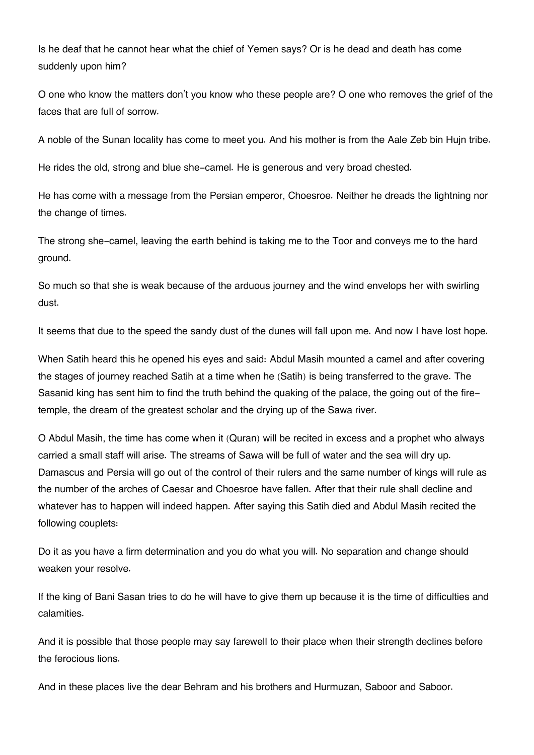Is he deaf that he cannot hear what the chief of Yemen says? Or is he dead and death has come suddenly upon him?

O one who know the matters don't you know who these people are? O one who removes the grief of the faces that are full of sorrow.

A noble of the Sunan locality has come to meet you. And his mother is from the Aale Zeb bin Hujn tribe.

He rides the old, strong and blue she-camel. He is generous and very broad chested.

He has come with a message from the Persian emperor, Choesroe. Neither he dreads the lightning nor the change of times.

The strong she-camel, leaving the earth behind is taking me to the Toor and conveys me to the hard ground.

So much so that she is weak because of the arduous journey and the wind envelops her with swirling dust.

It seems that due to the speed the sandy dust of the dunes will fall upon me. And now I have lost hope.

When Satih heard this he opened his eyes and said: Abdul Masih mounted a camel and after covering the stages of journey reached Satih at a time when he (Satih) is being transferred to the grave. The Sasanid king has sent him to find the truth behind the quaking of the palace, the going out of the firetemple, the dream of the greatest scholar and the drying up of the Sawa river.

O Abdul Masih, the time has come when it (Quran) will be recited in excess and a prophet who always carried a small staff will arise. The streams of Sawa will be full of water and the sea will dry up. Damascus and Persia will go out of the control of their rulers and the same number of kings will rule as the number of the arches of Caesar and Choesroe have fallen. After that their rule shall decline and whatever has to happen will indeed happen. After saying this Satih died and Abdul Masih recited the following couplets:

Do it as you have a firm determination and you do what you will. No separation and change should weaken your resolve.

If the king of Bani Sasan tries to do he will have to give them up because it is the time of difficulties and calamities.

And it is possible that those people may say farewell to their place when their strength declines before the ferocious lions.

And in these places live the dear Behram and his brothers and Hurmuzan, Saboor and Saboor.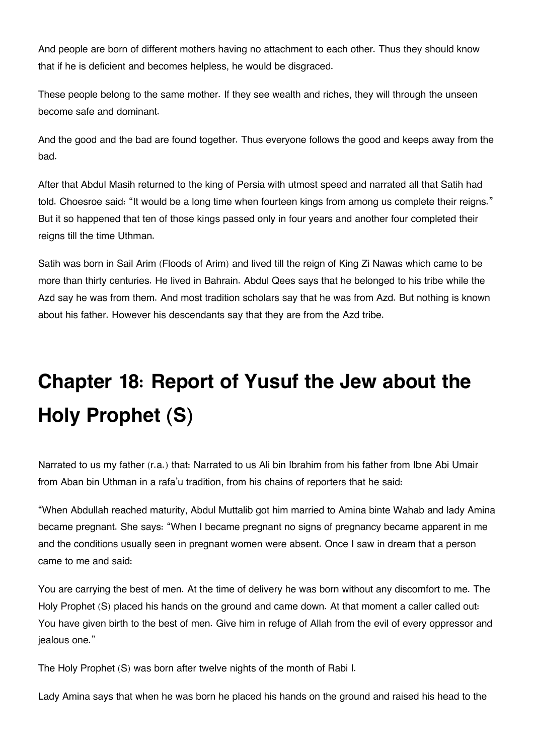And people are born of different mothers having no attachment to each other. Thus they should know that if he is deficient and becomes helpless, he would be disgraced.

These people belong to the same mother. If they see wealth and riches, they will through the unseen become safe and dominant.

And the good and the bad are found together. Thus everyone follows the good and keeps away from the bad.

After that Abdul Masih returned to the king of Persia with utmost speed and narrated all that Satih had told. Choesroe said: "It would be a long time when fourteen kings from among us complete their reigns." But it so happened that ten of those kings passed only in four years and another four completed their reigns till the time Uthman.

Satih was born in Sail Arim (Floods of Arim) and lived till the reign of King Zi Nawas which came to be more than thirty centuries. He lived in Bahrain. Abdul Qees says that he belonged to his tribe while the Azd say he was from them. And most tradition scholars say that he was from Azd. But nothing is known about his father. However his descendants say that they are from the Azd tribe.

# **Chapter 18: Report of Yusuf the Jew about the Holy Prophet (S)**

Narrated to us my father (r.a.) that: Narrated to us Ali bin Ibrahim from his father from Ibne Abi Umair from Aban bin Uthman in a rafa'u tradition, from his chains of reporters that he said:

"When Abdullah reached maturity, Abdul Muttalib got him married to Amina binte Wahab and lady Amina became pregnant. She says: "When I became pregnant no signs of pregnancy became apparent in me and the conditions usually seen in pregnant women were absent. Once I saw in dream that a person came to me and said:

You are carrying the best of men. At the time of delivery he was born without any discomfort to me. The Holy Prophet (S) placed his hands on the ground and came down. At that moment a caller called out: You have given birth to the best of men. Give him in refuge of Allah from the evil of every oppressor and iealous one."

The Holy Prophet (S) was born after twelve nights of the month of Rabi I.

Lady Amina says that when he was born he placed his hands on the ground and raised his head to the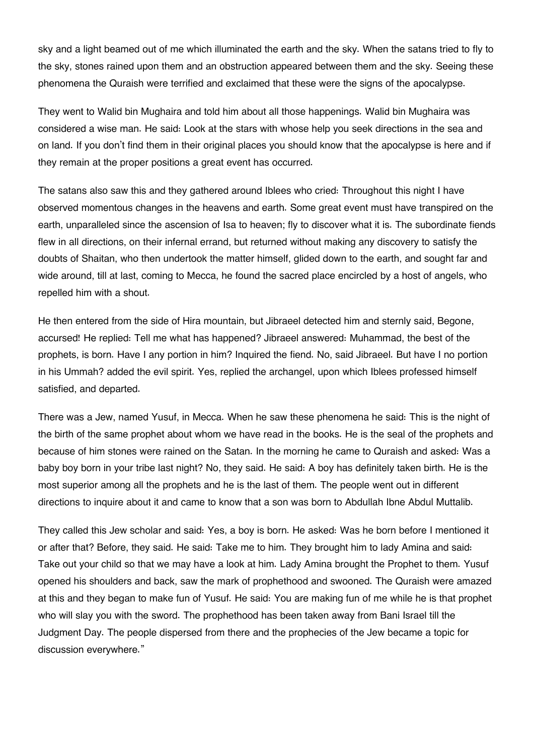sky and a light beamed out of me which illuminated the earth and the sky. When the satans tried to fly to the sky, stones rained upon them and an obstruction appeared between them and the sky. Seeing these phenomena the Quraish were terrified and exclaimed that these were the signs of the apocalypse.

They went to Walid bin Mughaira and told him about all those happenings. Walid bin Mughaira was considered a wise man. He said: Look at the stars with whose help you seek directions in the sea and on land. If you don't find them in their original places you should know that the apocalypse is here and if they remain at the proper positions a great event has occurred.

The satans also saw this and they gathered around Iblees who cried: Throughout this night I have observed momentous changes in the heavens and earth. Some great event must have transpired on the earth, unparalleled since the ascension of Isa to heaven; fly to discover what it is. The subordinate fiends flew in all directions, on their infernal errand, but returned without making any discovery to satisfy the doubts of Shaitan, who then undertook the matter himself, glided down to the earth, and sought far and wide around, till at last, coming to Mecca, he found the sacred place encircled by a host of angels, who repelled him with a shout.

He then entered from the side of Hira mountain, but Jibraeel detected him and sternly said, Begone, accursed! He replied: Tell me what has happened? Jibraeel answered: Muhammad, the best of the prophets, is born. Have I any portion in him? Inquired the fiend. No, said Jibraeel. But have I no portion in his Ummah? added the evil spirit. Yes, replied the archangel, upon which Iblees professed himself satisfied, and departed.

There was a Jew, named Yusuf, in Mecca. When he saw these phenomena he said: This is the night of the birth of the same prophet about whom we have read in the books. He is the seal of the prophets and because of him stones were rained on the Satan. In the morning he came to Quraish and asked: Was a baby boy born in your tribe last night? No, they said. He said: A boy has definitely taken birth. He is the most superior among all the prophets and he is the last of them. The people went out in different directions to inquire about it and came to know that a son was born to Abdullah Ibne Abdul Muttalib.

They called this Jew scholar and said: Yes, a boy is born. He asked: Was he born before I mentioned it or after that? Before, they said. He said: Take me to him. They brought him to lady Amina and said: Take out your child so that we may have a look at him. Lady Amina brought the Prophet to them. Yusuf opened his shoulders and back, saw the mark of prophethood and swooned. The Quraish were amazed at this and they began to make fun of Yusuf. He said: You are making fun of me while he is that prophet who will slay you with the sword. The prophethood has been taken away from Bani Israel till the Judgment Day. The people dispersed from there and the prophecies of the Jew became a topic for discussion everywhere."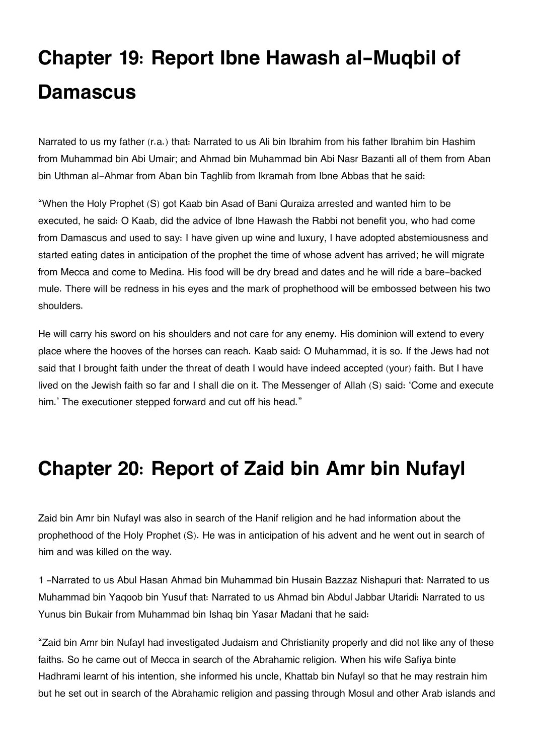# **Chapter 19: Report Ibne Hawash al-Muqbil of Damascus**

Narrated to us my father (r.a.) that: Narrated to us Ali bin Ibrahim from his father Ibrahim bin Hashim from Muhammad bin Abi Umair; and Ahmad bin Muhammad bin Abi Nasr Bazanti all of them from Aban bin Uthman al-Ahmar from Aban bin Taghlib from Ikramah from Ibne Abbas that he said:

"When the Holy Prophet (S) got Kaab bin Asad of Bani Quraiza arrested and wanted him to be executed, he said: O Kaab, did the advice of Ibne Hawash the Rabbi not benefit you, who had come from Damascus and used to say: I have given up wine and luxury, I have adopted abstemiousness and started eating dates in anticipation of the prophet the time of whose advent has arrived; he will migrate from Mecca and come to Medina. His food will be dry bread and dates and he will ride a bare-backed mule. There will be redness in his eyes and the mark of prophethood will be embossed between his two shoulders.

He will carry his sword on his shoulders and not care for any enemy. His dominion will extend to every place where the hooves of the horses can reach. Kaab said: O Muhammad, it is so. If the Jews had not said that I brought faith under the threat of death I would have indeed accepted (your) faith. But I have lived on the Jewish faith so far and I shall die on it. The Messenger of Allah (S) said: 'Come and execute him.' The executioner stepped forward and cut off his head."

# **Chapter 20: Report of Zaid bin Amr bin Nufayl**

Zaid bin Amr bin Nufayl was also in search of the Hanif religion and he had information about the prophethood of the Holy Prophet (S). He was in anticipation of his advent and he went out in search of him and was killed on the way.

1 -Narrated to us Abul Hasan Ahmad bin Muhammad bin Husain Bazzaz Nishapuri that: Narrated to us Muhammad bin Yaqoob bin Yusuf that: Narrated to us Ahmad bin Abdul Jabbar Utaridi: Narrated to us Yunus bin Bukair from Muhammad bin Ishaq bin Yasar Madani that he said:

"Zaid bin Amr bin Nufayl had investigated Judaism and Christianity properly and did not like any of these faiths. So he came out of Mecca in search of the Abrahamic religion. When his wife Safiya binte Hadhrami learnt of his intention, she informed his uncle, Khattab bin Nufayl so that he may restrain him but he set out in search of the Abrahamic religion and passing through Mosul and other Arab islands and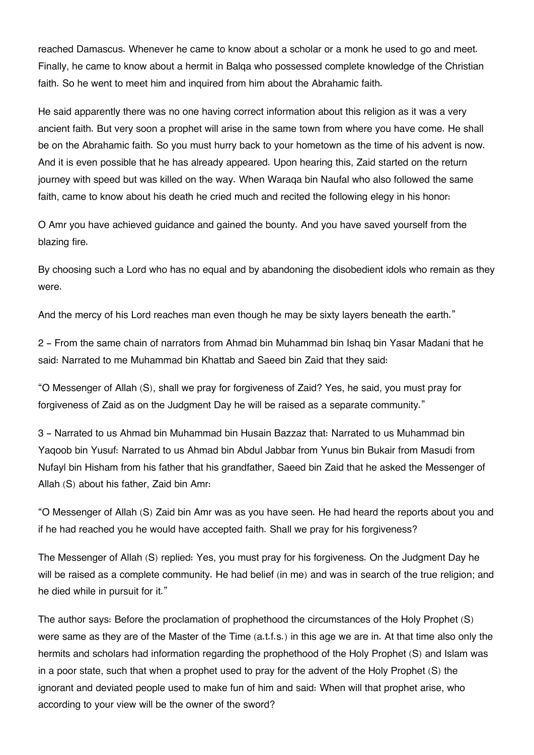reached Damascus. Whenever he came to know about a scholar or a monk he used to go and meet. Finally, he came to know about a hermit in Balqa who possessed complete knowledge of the Christian faith. So he went to meet him and inquired from him about the Abrahamic faith.

He said apparently there was no one having correct information about this religion as it was a very ancient faith. But very soon a prophet will arise in the same town from where you have come. He shall be on the Abrahamic faith. So you must hurry back to your hometown as the time of his advent is now. And it is even possible that he has already appeared. Upon hearing this, Zaid started on the return journey with speed but was killed on the way. When Waraqa bin Naufal who also followed the same faith, came to know about his death he cried much and recited the following elegy in his honor:

O Amr you have achieved guidance and gained the bounty. And you have saved yourself from the blazing fire.

By choosing such a Lord who has no equal and by abandoning the disobedient idols who remain as they were.

And the mercy of his Lord reaches man even though he may be sixty layers beneath the earth."

2 - From the same chain of narrators from Ahmad bin Muhammad bin Ishaq bin Yasar Madani that he said: Narrated to me Muhammad bin Khattab and Saeed bin Zaid that they said:

"O Messenger of Allah (S), shall we pray for forgiveness of Zaid? Yes, he said, you must pray for forgiveness of Zaid as on the Judgment Day he will be raised as a separate community."

3 - Narrated to us Ahmad bin Muhammad bin Husain Bazzaz that: Narrated to us Muhammad bin Yaqoob bin Yusuf: Narrated to us Ahmad bin Abdul Jabbar from Yunus bin Bukair from Masudi from Nufayl bin Hisham from his father that his grandfather, Saeed bin Zaid that he asked the Messenger of Allah (S) about his father, Zaid bin Amr:

"O Messenger of Allah (S) Zaid bin Amr was as you have seen. He had heard the reports about you and if he had reached you he would have accepted faith. Shall we pray for his forgiveness?

The Messenger of Allah (S) replied: Yes, you must pray for his forgiveness. On the Judgment Day he will be raised as a complete community. He had belief (in me) and was in search of the true religion; and he died while in pursuit for it."

The author says: Before the proclamation of prophethood the circumstances of the Holy Prophet (S) were same as they are of the Master of the Time (a.t.f.s.) in this age we are in. At that time also only the hermits and scholars had information regarding the prophethood of the Holy Prophet (S) and Islam was in a poor state, such that when a prophet used to pray for the advent of the Holy Prophet (S) the ignorant and deviated people used to make fun of him and said: When will that prophet arise, who according to your view will be the owner of the sword?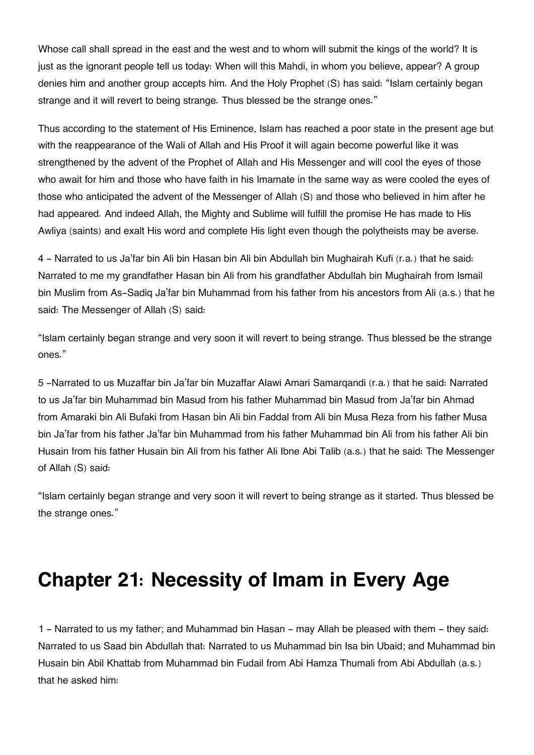Whose call shall spread in the east and the west and to whom will submit the kings of the world? It is just as the ignorant people tell us today: When will this Mahdi, in whom you believe, appear? A group denies him and another group accepts him. And the Holy Prophet (S) has said: "Islam certainly began strange and it will revert to being strange. Thus blessed be the strange ones."

Thus according to the statement of His Eminence, Islam has reached a poor state in the present age but with the reappearance of the Wali of Allah and His Proof it will again become powerful like it was strengthened by the advent of the Prophet of Allah and His Messenger and will cool the eyes of those who await for him and those who have faith in his Imamate in the same way as were cooled the eyes of those who anticipated the advent of the Messenger of Allah (S) and those who believed in him after he had appeared. And indeed Allah, the Mighty and Sublime will fulfill the promise He has made to His Awliya (saints) and exalt His word and complete His light even though the polytheists may be averse.

4 - Narrated to us Ja'far bin Ali bin Hasan bin Ali bin Abdullah bin Mughairah Kufi (r.a.) that he said: Narrated to me my grandfather Hasan bin Ali from his grandfather Abdullah bin Mughairah from Ismail bin Muslim from As-Sadiq Ja'far bin Muhammad from his father from his ancestors from Ali (a.s.) that he said: The Messenger of Allah (S) said:

"Islam certainly began strange and very soon it will revert to being strange. Thus blessed be the strange ones."

5 -Narrated to us Muzaffar bin Ja'far bin Muzaffar Alawi Amari Samarqandi (r.a.) that he said: Narrated to us Ja'far bin Muhammad bin Masud from his father Muhammad bin Masud from Ja'far bin Ahmad from Amaraki bin Ali Bufaki from Hasan bin Ali bin Faddal from Ali bin Musa Reza from his father Musa bin Ja'far from his father Ja'far bin Muhammad from his father Muhammad bin Ali from his father Ali bin Husain from his father Husain bin Ali from his father Ali Ibne Abi Talib (a.s.) that he said: The Messenger of Allah (S) said:

"Islam certainly began strange and very soon it will revert to being strange as it started. Thus blessed be the strange ones."

## **Chapter 21: Necessity of Imam in Every Age**

1 - Narrated to us my father; and Muhammad bin Hasan - may Allah be pleased with them - they said: Narrated to us Saad bin Abdullah that: Narrated to us Muhammad bin Isa bin Ubaid; and Muhammad bin Husain bin Abil Khattab from Muhammad bin Fudail from Abi Hamza Thumali from Abi Abdullah (a.s.) that he asked him: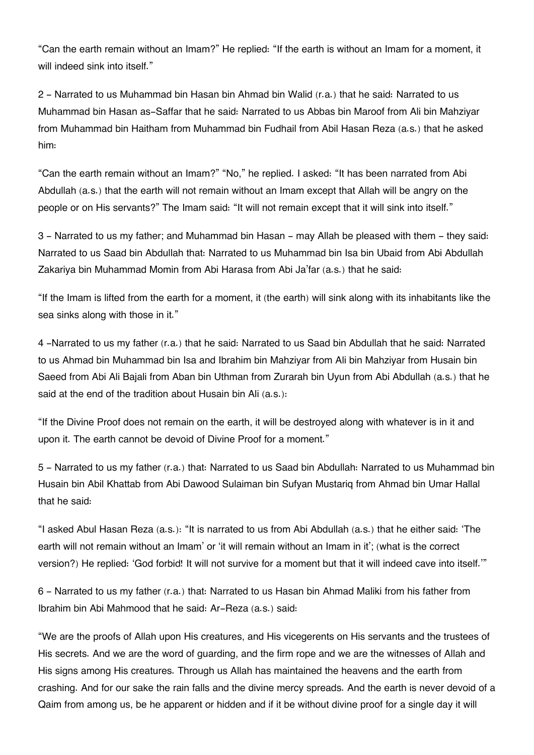"Can the earth remain without an Imam?" He replied: "If the earth is without an Imam for a moment, it will indeed sink into itself."

2 - Narrated to us Muhammad bin Hasan bin Ahmad bin Walid (r.a.) that he said: Narrated to us Muhammad bin Hasan as-Saffar that he said: Narrated to us Abbas bin Maroof from Ali bin Mahziyar from Muhammad bin Haitham from Muhammad bin Fudhail from Abil Hasan Reza (a.s.) that he asked him:

"Can the earth remain without an Imam?" "No," he replied. I asked: "It has been narrated from Abi Abdullah (a.s.) that the earth will not remain without an Imam except that Allah will be angry on the people or on His servants?" The Imam said: "It will not remain except that it will sink into itself."

3 - Narrated to us my father; and Muhammad bin Hasan - may Allah be pleased with them - they said: Narrated to us Saad bin Abdullah that: Narrated to us Muhammad bin Isa bin Ubaid from Abi Abdullah Zakariya bin Muhammad Momin from Abi Harasa from Abi Ja'far (a.s.) that he said:

"If the Imam is lifted from the earth for a moment, it (the earth) will sink along with its inhabitants like the sea sinks along with those in it."

4 -Narrated to us my father (r.a.) that he said: Narrated to us Saad bin Abdullah that he said: Narrated to us Ahmad bin Muhammad bin Isa and Ibrahim bin Mahziyar from Ali bin Mahziyar from Husain bin Saeed from Abi Ali Bajali from Aban bin Uthman from Zurarah bin Uyun from Abi Abdullah (a.s.) that he said at the end of the tradition about Husain bin Ali (a.s.):

"If the Divine Proof does not remain on the earth, it will be destroyed along with whatever is in it and upon it. The earth cannot be devoid of Divine Proof for a moment."

5 - Narrated to us my father (r.a.) that: Narrated to us Saad bin Abdullah: Narrated to us Muhammad bin Husain bin Abil Khattab from Abi Dawood Sulaiman bin Sufyan Mustariq from Ahmad bin Umar Hallal that he said:

"I asked Abul Hasan Reza (a.s.): "It is narrated to us from Abi Abdullah (a.s.) that he either said: 'The earth will not remain without an Imam' or 'it will remain without an Imam in it'; (what is the correct version?) He replied: 'God forbid! It will not survive for a moment but that it will indeed cave into itself.'"

6 - Narrated to us my father (r.a.) that: Narrated to us Hasan bin Ahmad Maliki from his father from Ibrahim bin Abi Mahmood that he said: Ar-Reza (a.s.) said:

"We are the proofs of Allah upon His creatures, and His vicegerents on His servants and the trustees of His secrets. And we are the word of guarding, and the firm rope and we are the witnesses of Allah and His signs among His creatures. Through us Allah has maintained the heavens and the earth from crashing. And for our sake the rain falls and the divine mercy spreads. And the earth is never devoid of a Qaim from among us, be he apparent or hidden and if it be without divine proof for a single day it will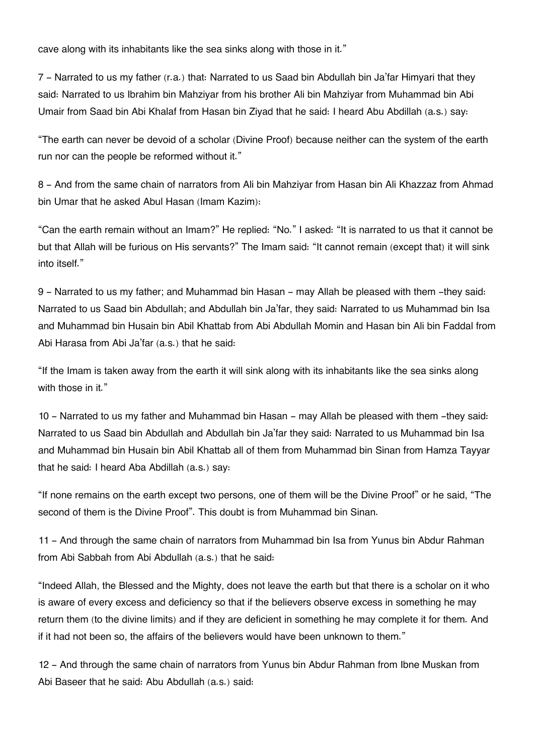cave along with its inhabitants like the sea sinks along with those in it."

7 - Narrated to us my father (r.a.) that: Narrated to us Saad bin Abdullah bin Ja'far Himyari that they said: Narrated to us Ibrahim bin Mahziyar from his brother Ali bin Mahziyar from Muhammad bin Abi Umair from Saad bin Abi Khalaf from Hasan bin Ziyad that he said: I heard Abu Abdillah (a.s.) say:

"The earth can never be devoid of a scholar (Divine Proof) because neither can the system of the earth run nor can the people be reformed without it."

8 - And from the same chain of narrators from Ali bin Mahziyar from Hasan bin Ali Khazzaz from Ahmad bin Umar that he asked Abul Hasan (Imam Kazim):

"Can the earth remain without an Imam?" He replied: "No." I asked: "It is narrated to us that it cannot be but that Allah will be furious on His servants?" The Imam said: "It cannot remain (except that) it will sink into itself."

9 - Narrated to us my father; and Muhammad bin Hasan - may Allah be pleased with them -they said: Narrated to us Saad bin Abdullah; and Abdullah bin Ja'far, they said: Narrated to us Muhammad bin Isa and Muhammad bin Husain bin Abil Khattab from Abi Abdullah Momin and Hasan bin Ali bin Faddal from Abi Harasa from Abi Ja'far (a.s.) that he said:

"If the Imam is taken away from the earth it will sink along with its inhabitants like the sea sinks along with those in it."

10 - Narrated to us my father and Muhammad bin Hasan - may Allah be pleased with them -they said: Narrated to us Saad bin Abdullah and Abdullah bin Ja'far they said: Narrated to us Muhammad bin Isa and Muhammad bin Husain bin Abil Khattab all of them from Muhammad bin Sinan from Hamza Tayyar that he said: I heard Aba Abdillah (a.s.) say:

"If none remains on the earth except two persons, one of them will be the Divine Proof" or he said, "The second of them is the Divine Proof". This doubt is from Muhammad bin Sinan.

11 - And through the same chain of narrators from Muhammad bin Isa from Yunus bin Abdur Rahman from Abi Sabbah from Abi Abdullah (a.s.) that he said:

"Indeed Allah, the Blessed and the Mighty, does not leave the earth but that there is a scholar on it who is aware of every excess and deficiency so that if the believers observe excess in something he may return them (to the divine limits) and if they are deficient in something he may complete it for them. And if it had not been so, the affairs of the believers would have been unknown to them."

12 - And through the same chain of narrators from Yunus bin Abdur Rahman from Ibne Muskan from Abi Baseer that he said: Abu Abdullah (a.s.) said: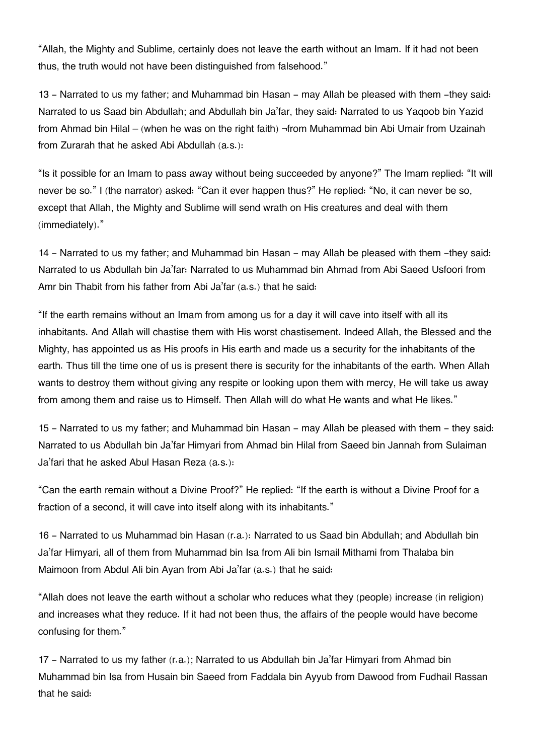"Allah, the Mighty and Sublime, certainly does not leave the earth without an Imam. If it had not been thus, the truth would not have been distinguished from falsehood."

13 - Narrated to us my father; and Muhammad bin Hasan - may Allah be pleased with them -they said: Narrated to us Saad bin Abdullah; and Abdullah bin Ja'far, they said: Narrated to us Yaqoob bin Yazid from Ahmad bin Hilal – (when he was on the right faith) ¬from Muhammad bin Abi Umair from Uzainah from Zurarah that he asked Abi Abdullah (a.s.):

"Is it possible for an Imam to pass away without being succeeded by anyone?" The Imam replied: "It will never be so." I (the narrator) asked: "Can it ever happen thus?" He replied: "No, it can never be so, except that Allah, the Mighty and Sublime will send wrath on His creatures and deal with them (immediately)."

14 - Narrated to us my father; and Muhammad bin Hasan - may Allah be pleased with them -they said: Narrated to us Abdullah bin Ja'far: Narrated to us Muhammad bin Ahmad from Abi Saeed Usfoori from Amr bin Thabit from his father from Abi Ja'far (a.s.) that he said:

"If the earth remains without an Imam from among us for a day it will cave into itself with all its inhabitants. And Allah will chastise them with His worst chastisement. Indeed Allah, the Blessed and the Mighty, has appointed us as His proofs in His earth and made us a security for the inhabitants of the earth. Thus till the time one of us is present there is security for the inhabitants of the earth. When Allah wants to destroy them without giving any respite or looking upon them with mercy, He will take us away from among them and raise us to Himself. Then Allah will do what He wants and what He likes."

15 - Narrated to us my father; and Muhammad bin Hasan - may Allah be pleased with them - they said: Narrated to us Abdullah bin Ja'far Himyari from Ahmad bin Hilal from Saeed bin Jannah from Sulaiman Ja'fari that he asked Abul Hasan Reza (a.s.):

"Can the earth remain without a Divine Proof?" He replied: "If the earth is without a Divine Proof for a fraction of a second, it will cave into itself along with its inhabitants."

16 - Narrated to us Muhammad bin Hasan (r.a.): Narrated to us Saad bin Abdullah; and Abdullah bin Ja'far Himyari, all of them from Muhammad bin Isa from Ali bin Ismail Mithami from Thalaba bin Maimoon from Abdul Ali bin Ayan from Abi Ja'far (a.s.) that he said:

"Allah does not leave the earth without a scholar who reduces what they (people) increase (in religion) and increases what they reduce. If it had not been thus, the affairs of the people would have become confusing for them."

17 - Narrated to us my father (r.a.); Narrated to us Abdullah bin Ja'far Himyari from Ahmad bin Muhammad bin Isa from Husain bin Saeed from Faddala bin Ayyub from Dawood from Fudhail Rassan that he said: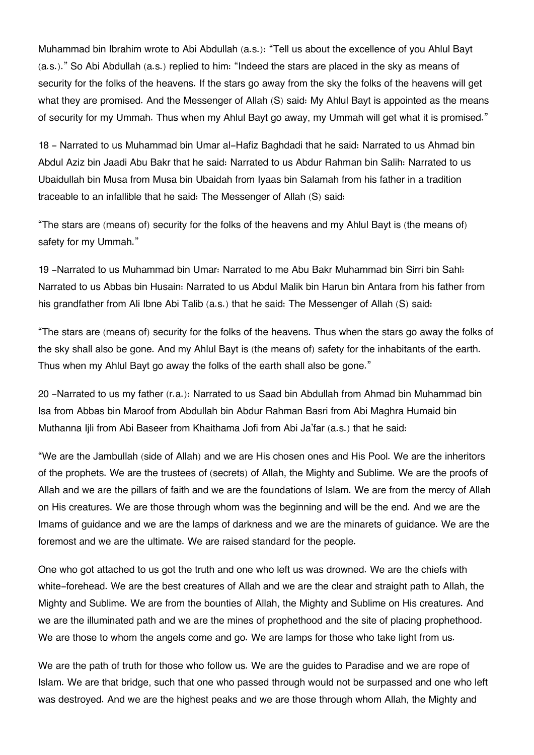Muhammad bin Ibrahim wrote to Abi Abdullah (a.s.): "Tell us about the excellence of you Ahlul Bayt (a.s.)." So Abi Abdullah (a.s.) replied to him: "Indeed the stars are placed in the sky as means of security for the folks of the heavens. If the stars go away from the sky the folks of the heavens will get what they are promised. And the Messenger of Allah (S) said: My Ahlul Bayt is appointed as the means of security for my Ummah. Thus when my Ahlul Bayt go away, my Ummah will get what it is promised."

18 - Narrated to us Muhammad bin Umar al-Hafiz Baghdadi that he said: Narrated to us Ahmad bin Abdul Aziz bin Jaadi Abu Bakr that he said: Narrated to us Abdur Rahman bin Salih: Narrated to us Ubaidullah bin Musa from Musa bin Ubaidah from Iyaas bin Salamah from his father in a tradition traceable to an infallible that he said: The Messenger of Allah (S) said:

"The stars are (means of) security for the folks of the heavens and my Ahlul Bayt is (the means of) safety for my Ummah."

19 -Narrated to us Muhammad bin Umar: Narrated to me Abu Bakr Muhammad bin Sirri bin Sahl: Narrated to us Abbas bin Husain: Narrated to us Abdul Malik bin Harun bin Antara from his father from his grandfather from Ali Ibne Abi Talib (a.s.) that he said: The Messenger of Allah (S) said:

"The stars are (means of) security for the folks of the heavens. Thus when the stars go away the folks of the sky shall also be gone. And my Ahlul Bayt is (the means of) safety for the inhabitants of the earth. Thus when my Ahlul Bayt go away the folks of the earth shall also be gone."

20 -Narrated to us my father (r.a.): Narrated to us Saad bin Abdullah from Ahmad bin Muhammad bin Isa from Abbas bin Maroof from Abdullah bin Abdur Rahman Basri from Abi Maghra Humaid bin Muthanna Iili from Abi Baseer from Khaithama Jofi from Abi Ja'far (a.s.) that he said:

"We are the Jambullah (side of Allah) and we are His chosen ones and His Pool. We are the inheritors of the prophets. We are the trustees of (secrets) of Allah, the Mighty and Sublime. We are the proofs of Allah and we are the pillars of faith and we are the foundations of Islam. We are from the mercy of Allah on His creatures. We are those through whom was the beginning and will be the end. And we are the Imams of guidance and we are the lamps of darkness and we are the minarets of guidance. We are the foremost and we are the ultimate. We are raised standard for the people.

One who got attached to us got the truth and one who left us was drowned. We are the chiefs with white-forehead. We are the best creatures of Allah and we are the clear and straight path to Allah, the Mighty and Sublime. We are from the bounties of Allah, the Mighty and Sublime on His creatures. And we are the illuminated path and we are the mines of prophethood and the site of placing prophethood. We are those to whom the angels come and go. We are lamps for those who take light from us.

We are the path of truth for those who follow us. We are the guides to Paradise and we are rope of Islam. We are that bridge, such that one who passed through would not be surpassed and one who left was destroyed. And we are the highest peaks and we are those through whom Allah, the Mighty and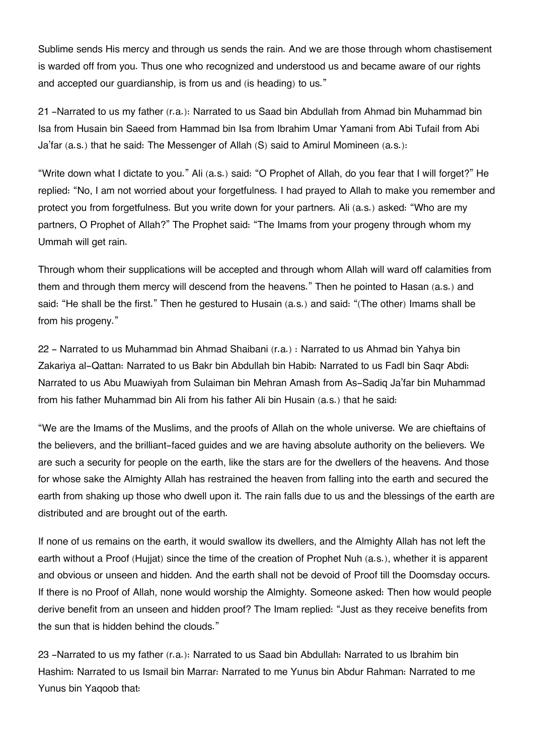Sublime sends His mercy and through us sends the rain. And we are those through whom chastisement is warded off from you. Thus one who recognized and understood us and became aware of our rights and accepted our guardianship, is from us and (is heading) to us."

21 -Narrated to us my father (r.a.): Narrated to us Saad bin Abdullah from Ahmad bin Muhammad bin Isa from Husain bin Saeed from Hammad bin Isa from Ibrahim Umar Yamani from Abi Tufail from Abi Ja'far (a.s.) that he said: The Messenger of Allah (S) said to Amirul Momineen (a.s.):

"Write down what I dictate to you." Ali (a.s.) said: "O Prophet of Allah, do you fear that I will forget?" He replied: "No, I am not worried about your forgetfulness. I had prayed to Allah to make you remember and protect you from forgetfulness. But you write down for your partners. Ali (a.s.) asked: "Who are my partners, O Prophet of Allah?" The Prophet said: "The Imams from your progeny through whom my Ummah will get rain.

Through whom their supplications will be accepted and through whom Allah will ward off calamities from them and through them mercy will descend from the heavens." Then he pointed to Hasan (a.s.) and said: "He shall be the first." Then he gestured to Husain (a.s.) and said: "(The other) Imams shall be from his progeny."

22 - Narrated to us Muhammad bin Ahmad Shaibani (r.a.) : Narrated to us Ahmad bin Yahya bin Zakariya al-Qattan: Narrated to us Bakr bin Abdullah bin Habib: Narrated to us Fadl bin Saqr Abdi: Narrated to us Abu Muawiyah from Sulaiman bin Mehran Amash from As-Sadiq Ja'far bin Muhammad from his father Muhammad bin Ali from his father Ali bin Husain (a.s.) that he said:

"We are the Imams of the Muslims, and the proofs of Allah on the whole universe. We are chieftains of the believers, and the brilliant-faced guides and we are having absolute authority on the believers. We are such a security for people on the earth, like the stars are for the dwellers of the heavens. And those for whose sake the Almighty Allah has restrained the heaven from falling into the earth and secured the earth from shaking up those who dwell upon it. The rain falls due to us and the blessings of the earth are distributed and are brought out of the earth.

If none of us remains on the earth, it would swallow its dwellers, and the Almighty Allah has not left the earth without a Proof (Hujjat) since the time of the creation of Prophet Nuh (a.s.), whether it is apparent and obvious or unseen and hidden. And the earth shall not be devoid of Proof till the Doomsday occurs. If there is no Proof of Allah, none would worship the Almighty. Someone asked: Then how would people derive benefit from an unseen and hidden proof? The Imam replied: "Just as they receive benefits from the sun that is hidden behind the clouds."

23 -Narrated to us my father (r.a.): Narrated to us Saad bin Abdullah: Narrated to us Ibrahim bin Hashim: Narrated to us Ismail bin Marrar: Narrated to me Yunus bin Abdur Rahman: Narrated to me Yunus bin Yaqoob that: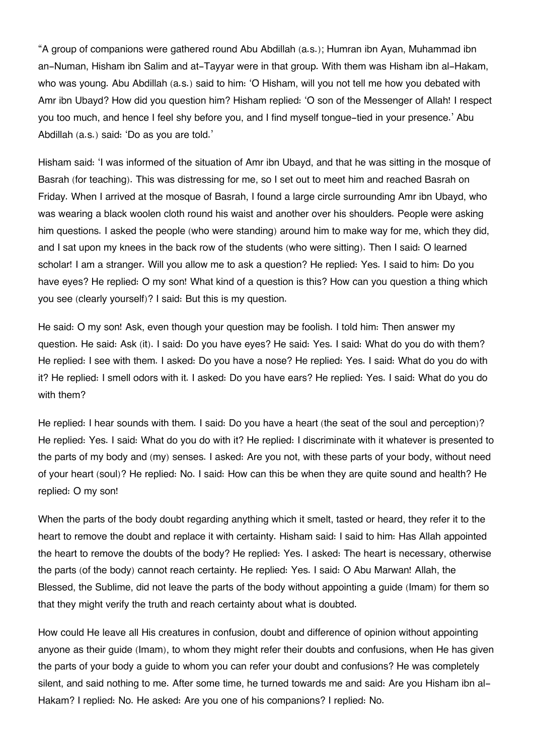"A group of companions were gathered round Abu Abdillah (a.s.); Humran ibn Ayan, Muhammad ibn an-Numan, Hisham ibn Salim and at-Tayyar were in that group. With them was Hisham ibn al-Hakam, who was young. Abu Abdillah (a.s.) said to him: 'O Hisham, will you not tell me how you debated with Amr ibn Ubayd? How did you question him? Hisham replied: 'O son of the Messenger of Allah! I respect you too much, and hence I feel shy before you, and I find myself tongue-tied in your presence.' Abu Abdillah (a.s.) said: 'Do as you are told.'

Hisham said: 'I was informed of the situation of Amr ibn Ubayd, and that he was sitting in the mosque of Basrah (for teaching). This was distressing for me, so I set out to meet him and reached Basrah on Friday. When I arrived at the mosque of Basrah, I found a large circle surrounding Amr ibn Ubayd, who was wearing a black woolen cloth round his waist and another over his shoulders. People were asking him questions. I asked the people (who were standing) around him to make way for me, which they did, and I sat upon my knees in the back row of the students (who were sitting). Then I said: O learned scholar! I am a stranger. Will you allow me to ask a question? He replied: Yes. I said to him: Do you have eyes? He replied: O my son! What kind of a question is this? How can you question a thing which you see (clearly yourself)? I said: But this is my question.

He said: O my son! Ask, even though your question may be foolish. I told him: Then answer my question. He said: Ask (it). I said: Do you have eyes? He said: Yes. I said: What do you do with them? He replied: I see with them. I asked: Do you have a nose? He replied: Yes. I said: What do you do with it? He replied: I smell odors with it. I asked: Do you have ears? He replied: Yes. I said: What do you do with them?

He replied: I hear sounds with them. I said: Do you have a heart (the seat of the soul and perception)? He replied: Yes. I said: What do you do with it? He replied: I discriminate with it whatever is presented to the parts of my body and (my) senses. I asked: Are you not, with these parts of your body, without need of your heart (soul)? He replied: No. I said: How can this be when they are quite sound and health? He replied: O my son!

When the parts of the body doubt regarding anything which it smelt, tasted or heard, they refer it to the heart to remove the doubt and replace it with certainty. Hisham said: I said to him: Has Allah appointed the heart to remove the doubts of the body? He replied: Yes. I asked: The heart is necessary, otherwise the parts (of the body) cannot reach certainty. He replied: Yes. I said: O Abu Marwan! Allah, the Blessed, the Sublime, did not leave the parts of the body without appointing a guide (Imam) for them so that they might verify the truth and reach certainty about what is doubted.

How could He leave all His creatures in confusion, doubt and difference of opinion without appointing anyone as their guide (Imam), to whom they might refer their doubts and confusions, when He has given the parts of your body a guide to whom you can refer your doubt and confusions? He was completely silent, and said nothing to me. After some time, he turned towards me and said: Are you Hisham ibn al-Hakam? I replied: No. He asked: Are you one of his companions? I replied: No.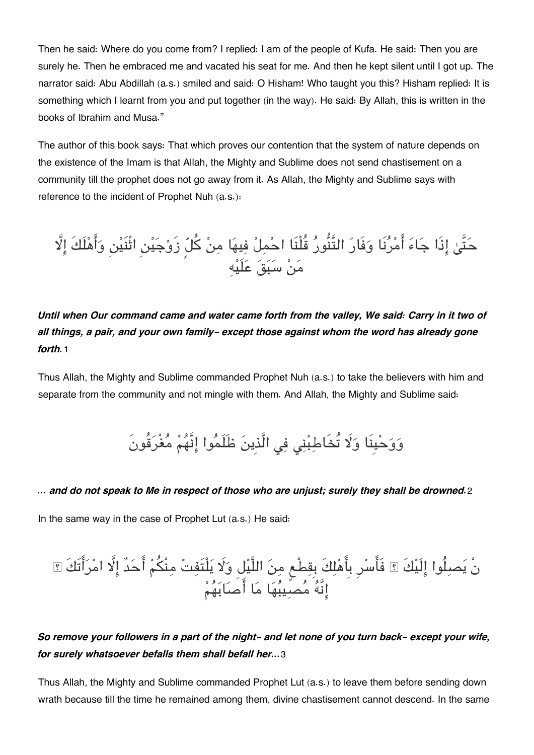Then he said: Where do you come from? I replied: I am of the people of Kufa. He said: Then you are surely he. Then he embraced me and vacated his seat for me. And then he kept silent until I got up. The narrator said: Abu Abdillah (a.s.) smiled and said: O Hisham! Who taught you this? Hisham replied: It is something which I learnt from you and put together (in the way). He said: By Allah, this is written in the books of Ibrahim and Musa."

The author of this book says: That which proves our contention that the system of nature depends on the existence of the Imam is that Allah, the Mighty and Sublime does not send chastisement on a community till the prophet does not go away from it. As Allah, the Mighty and Sublime says with reference to the incident of Prophet Nuh (a.s.):

حَتَّىٰ إِذَا جَاءَ أَمْرُنَا وَفَارَ التَّنُّورُ قُلْنَا احْمِلْ فِيهَا مِنْ كُلِّ زَوْجَيْنِ اثْنَيْنِ وَأَهْلَكَ إِلَّا من سبق علَيه

*Until when Our command came and water came forth from the valley, We said: Carry in it two of all things, a pair, and your own family- except those against whom the word has already gone forth.*[1](#page--1-0)

Thus Allah, the Mighty and Sublime commanded Prophet Nuh (a.s.) to take the believers with him and separate from the community and not mingle with them. And Allah, the Mighty and Sublime said:

وَوَحْيِنَا وَلَا تُخَاطِبْنِي فِي الَّذِينَ ظَلَمُوا إِنَّهُمْ مُغْرَقُونَ

#### *… and do not speak to Me in respect of those who are unjust; surely they shall be drowned.*[2](#page--1-0)

In the same way in the case of Prophet Lut (a.s.) He said:

نْ يَصِلُوا إِلَيْكَ ۞ فَاسْرِ بِاهْلِكَ بِقِطْعٍ مِنَ اللَّيْلِ وَلَا يَلْتَفِتْ مِنْكُمْ احَدٌ إِلَّا امْرَاتَكَ ۞ انَّه مصيبها ما اصابهم

### *So remove your followers in a part of the night- and let none of you turn back- except your wife, for surely whatsoever befalls them shall befall her…*[3](#page--1-0)

Thus Allah, the Mighty and Sublime commanded Prophet Lut (a.s.) to leave them before sending down wrath because till the time he remained among them, divine chastisement cannot descend. In the same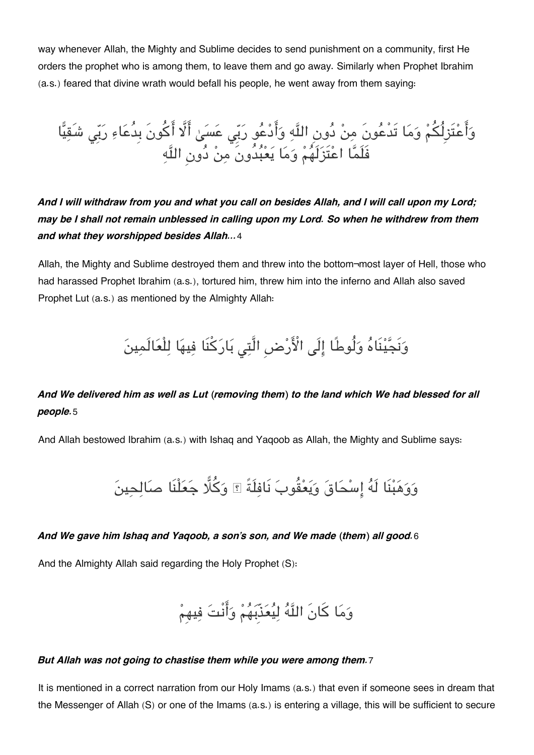way whenever Allah, the Mighty and Sublime decides to send punishment on a community, first He orders the prophet who is among them, to leave them and go away. Similarly when Prophet Ibrahim (a.s.) feared that divine wrath would befall his people, he went away from them saying:

وَاعْتَزِلُكُمْ وَمَا تَدْعُونَ مِنْ دُونِ اللَّهِ وَأَدْعُو رَبِّي عَسَىٰ أَلَّا أَكُونَ بِدُعَاءِ رَبِّي شَقِيًّا فَلَمَا اعْتَزَلَهُمْ وَمَا يَعْبُدُونَ مِنْ دُونِ اللَّهِ

## *And I will withdraw from you and what you call on besides Allah, and I will call upon my Lord; may be I shall not remain unblessed in calling upon my Lord. So when he withdrew from them and what they worshipped besides Allah…*[4](#page--1-0)

Allah, the Mighty and Sublime destroyed them and threw into the bottom¬most layer of Hell, those who had harassed Prophet Ibrahim (a.s.), tortured him, threw him into the inferno and Allah also saved Prophet Lut (a.s.) as mentioned by the Almighty Allah:

وَنَجَّيْنَاهُ وَلُوطًا إِلَى الْأَرْضِ الَّتِي بَارَكْنَا فِيهَا لِلْعَالَمينَ

### *And We delivered him as well as Lut (removing them) to the land which We had blessed for all people.*[5](#page--1-0)

And Allah bestowed Ibrahim (a.s.) with Ishaq and Yaqoob as Allah, the Mighty and Sublime says:

وَوَهَبْنَا لَهُ إِسْحَاقَ وَيَعْقُوبَ نَافِلَةً ۞ وَكُلًّا جَعَلْنَا صَالحينَ

#### *And We gave him Ishaq and Yaqoob, a son's son, and We made (them) all good.*[6](#page--1-0)

And the Almighty Allah said regarding the Holy Prophet (S):

وَمَا كَانَ اللَّهُ لِيُعَذِّبَهُمْ وَأَنْتَ فِيهِمْ

#### *But Allah was not going to chastise them while you were among them.*[7](#page--1-0)

It is mentioned in a correct narration from our Holy Imams (a.s.) that even if someone sees in dream that the Messenger of Allah (S) or one of the Imams (a.s.) is entering a village, this will be sufficient to secure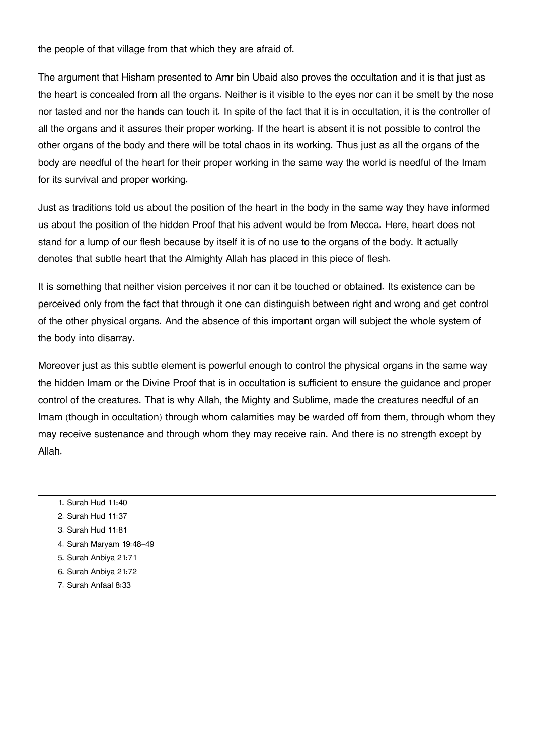the people of that village from that which they are afraid of.

The argument that Hisham presented to Amr bin Ubaid also proves the occultation and it is that just as the heart is concealed from all the organs. Neither is it visible to the eyes nor can it be smelt by the nose nor tasted and nor the hands can touch it. In spite of the fact that it is in occultation, it is the controller of all the organs and it assures their proper working. If the heart is absent it is not possible to control the other organs of the body and there will be total chaos in its working. Thus just as all the organs of the body are needful of the heart for their proper working in the same way the world is needful of the Imam for its survival and proper working.

Just as traditions told us about the position of the heart in the body in the same way they have informed us about the position of the hidden Proof that his advent would be from Mecca. Here, heart does not stand for a lump of our flesh because by itself it is of no use to the organs of the body. It actually denotes that subtle heart that the Almighty Allah has placed in this piece of flesh.

It is something that neither vision perceives it nor can it be touched or obtained. Its existence can be perceived only from the fact that through it one can distinguish between right and wrong and get control of the other physical organs. And the absence of this important organ will subject the whole system of the body into disarray.

Moreover just as this subtle element is powerful enough to control the physical organs in the same way the hidden Imam or the Divine Proof that is in occultation is sufficient to ensure the guidance and proper control of the creatures. That is why Allah, the Mighty and Sublime, made the creatures needful of an Imam (though in occultation) through whom calamities may be warded off from them, through whom they may receive sustenance and through whom they may receive rain. And there is no strength except by Allah.

- [2.](#page--1-0) Surah Hud 11:37
- [3.](#page--1-0) Surah Hud 11:81
- [4.](#page--1-0) Surah Maryam 19:48-49
- [5.](#page--1-0) Surah Anbiya 21:71
- [6.](#page--1-0) Surah Anbiya 21:72
- [7.](#page--1-0) Surah Anfaal 8:33

[<sup>1.</sup>](#page--1-0) Surah Hud 11:40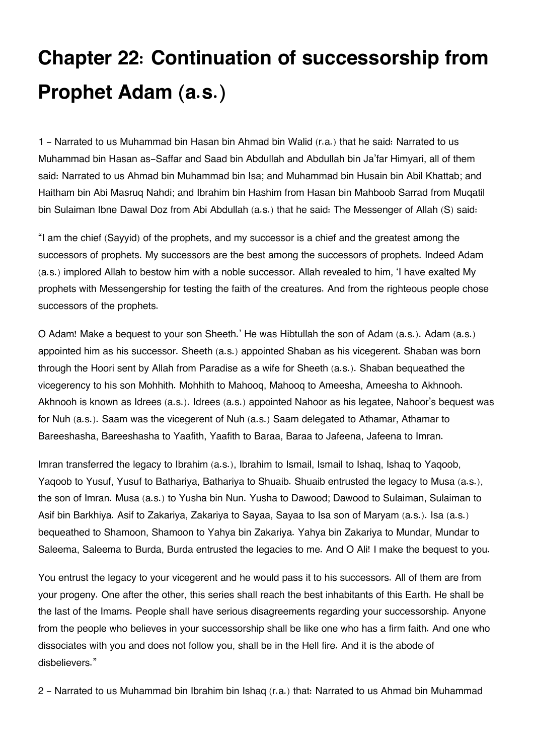# **Chapter 22: Continuation of successorship from Prophet Adam (a.s.)**

1 - Narrated to us Muhammad bin Hasan bin Ahmad bin Walid (r.a.) that he said: Narrated to us Muhammad bin Hasan as-Saffar and Saad bin Abdullah and Abdullah bin Ja'far Himyari, all of them said: Narrated to us Ahmad bin Muhammad bin Isa; and Muhammad bin Husain bin Abil Khattab; and Haitham bin Abi Masruq Nahdi; and Ibrahim bin Hashim from Hasan bin Mahboob Sarrad from Muqatil bin Sulaiman Ibne Dawal Doz from Abi Abdullah (a.s.) that he said: The Messenger of Allah (S) said:

"I am the chief (Sayyid) of the prophets, and my successor is a chief and the greatest among the successors of prophets. My successors are the best among the successors of prophets. Indeed Adam (a.s.) implored Allah to bestow him with a noble successor. Allah revealed to him, 'I have exalted My prophets with Messengership for testing the faith of the creatures. And from the righteous people chose successors of the prophets.

O Adam! Make a bequest to your son Sheeth.' He was Hibtullah the son of Adam (a.s.). Adam (a.s.) appointed him as his successor. Sheeth (a.s.) appointed Shaban as his vicegerent. Shaban was born through the Hoori sent by Allah from Paradise as a wife for Sheeth (a.s.). Shaban bequeathed the vicegerency to his son Mohhith. Mohhith to Mahooq, Mahooq to Ameesha, Ameesha to Akhnooh. Akhnooh is known as Idrees (a.s.). Idrees (a.s.) appointed Nahoor as his legatee, Nahoor's bequest was for Nuh (a.s.). Saam was the vicegerent of Nuh (a.s.) Saam delegated to Athamar, Athamar to Bareeshasha, Bareeshasha to Yaafith, Yaafith to Baraa, Baraa to Jafeena, Jafeena to Imran.

Imran transferred the legacy to Ibrahim (a.s.), Ibrahim to Ismail, Ismail to Ishaq, Ishaq to Yaqoob, Yaqoob to Yusuf, Yusuf to Bathariya, Bathariya to Shuaib. Shuaib entrusted the legacy to Musa (a.s.), the son of Imran. Musa (a.s.) to Yusha bin Nun. Yusha to Dawood; Dawood to Sulaiman, Sulaiman to Asif bin Barkhiya. Asif to Zakariya, Zakariya to Sayaa, Sayaa to Isa son of Maryam (a.s.). Isa (a.s.) bequeathed to Shamoon, Shamoon to Yahya bin Zakariya. Yahya bin Zakariya to Mundar, Mundar to Saleema, Saleema to Burda, Burda entrusted the legacies to me. And O Ali! I make the bequest to you.

You entrust the legacy to your vicegerent and he would pass it to his successors. All of them are from your progeny. One after the other, this series shall reach the best inhabitants of this Earth. He shall be the last of the Imams. People shall have serious disagreements regarding your successorship. Anyone from the people who believes in your successorship shall be like one who has a firm faith. And one who dissociates with you and does not follow you, shall be in the Hell fire. And it is the abode of disbelievers."

2 - Narrated to us Muhammad bin Ibrahim bin Ishaq (r.a.) that: Narrated to us Ahmad bin Muhammad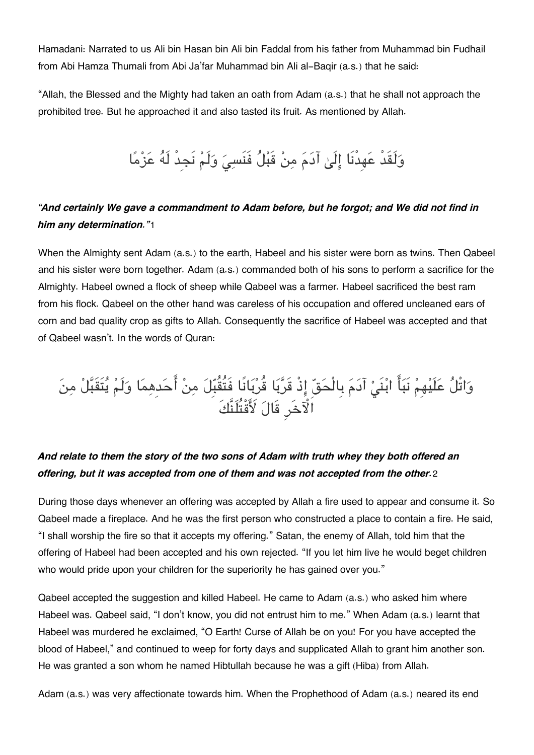Hamadani: Narrated to us Ali bin Hasan bin Ali bin Faddal from his father from Muhammad bin Fudhail from Abi Hamza Thumali from Abi Ja'far Muhammad bin Ali al-Baqir (a.s.) that he said:

"Allah, the Blessed and the Mighty had taken an oath from Adam (a.s.) that he shall not approach the prohibited tree. But he approached it and also tasted its fruit. As mentioned by Allah.

# وَلَقَدْ عَهِدْنَا إِلَىٰ آدَمَ مِنْ قَبْلُ فَنَسِيَ وَلَمْ نَجِدْ لَهُ عَزْمًا

## *"And certainly We gave a commandment to Adam before, but he forgot; and We did not find in him any determination."*[1](#page--1-0)

When the Almighty sent Adam (a.s.) to the earth, Habeel and his sister were born as twins. Then Qabeel and his sister were born together. Adam (a.s.) commanded both of his sons to perform a sacrifice for the Almighty. Habeel owned a flock of sheep while Qabeel was a farmer. Habeel sacrificed the best ram from his flock. Qabeel on the other hand was careless of his occupation and offered uncleaned ears of corn and bad quality crop as gifts to Allah. Consequently the sacrifice of Habeel was accepted and that of Qabeel wasn't. In the words of Quran:

وَاتِلَ عَلَيْهِمْ نَبَا ابْنَىْ آدَمَ بِالْحَقِّ إِذْ قَرّبَا قَرْبَانًا فَتَقَبّلَ مِنْ أَحَدِهِمَا وَلَمْ يَتَقَبّلْ مِنَ اخَرِ قَال قْتُلَنَّكَ

### *And relate to them the story of the two sons of Adam with truth whey they both offered an offering, but it was accepted from one of them and was not accepted from the other.*[2](#page--1-0)

During those days whenever an offering was accepted by Allah a fire used to appear and consume it. So Qabeel made a fireplace. And he was the first person who constructed a place to contain a fire. He said, "I shall worship the fire so that it accepts my offering." Satan, the enemy of Allah, told him that the offering of Habeel had been accepted and his own rejected. "If you let him live he would beget children who would pride upon your children for the superiority he has gained over you."

Qabeel accepted the suggestion and killed Habeel. He came to Adam (a.s.) who asked him where Habeel was. Qabeel said, "I don't know, you did not entrust him to me." When Adam (a.s.) learnt that Habeel was murdered he exclaimed, "O Earth! Curse of Allah be on you! For you have accepted the blood of Habeel," and continued to weep for forty days and supplicated Allah to grant him another son. He was granted a son whom he named Hibtullah because he was a gift (Hiba) from Allah.

Adam (a.s.) was very affectionate towards him. When the Prophethood of Adam (a.s.) neared its end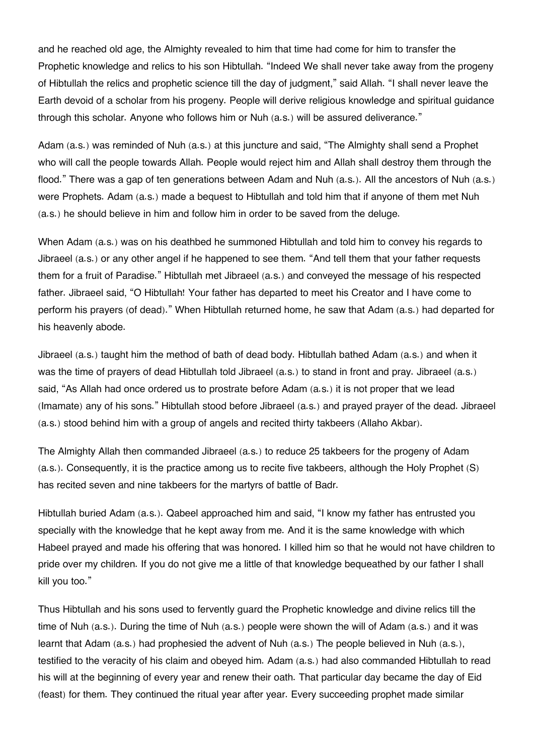and he reached old age, the Almighty revealed to him that time had come for him to transfer the Prophetic knowledge and relics to his son Hibtullah. "Indeed We shall never take away from the progeny of Hibtullah the relics and prophetic science till the day of judgment," said Allah. "I shall never leave the Earth devoid of a scholar from his progeny. People will derive religious knowledge and spiritual guidance through this scholar. Anyone who follows him or Nuh (a.s.) will be assured deliverance."

Adam (a.s.) was reminded of Nuh (a.s.) at this juncture and said, "The Almighty shall send a Prophet who will call the people towards Allah. People would reject him and Allah shall destroy them through the flood." There was a gap of ten generations between Adam and Nuh (a.s.). All the ancestors of Nuh (a.s.) were Prophets. Adam (a.s.) made a bequest to Hibtullah and told him that if anyone of them met Nuh (a.s.) he should believe in him and follow him in order to be saved from the deluge.

When Adam (a.s.) was on his deathbed he summoned Hibtullah and told him to convey his regards to Jibraeel (a.s.) or any other angel if he happened to see them. "And tell them that your father requests them for a fruit of Paradise." Hibtullah met Jibraeel (a.s.) and conveyed the message of his respected father. Jibraeel said, "O Hibtullah! Your father has departed to meet his Creator and I have come to perform his prayers (of dead)." When Hibtullah returned home, he saw that Adam (a.s.) had departed for his heavenly abode.

Jibraeel (a.s.) taught him the method of bath of dead body. Hibtullah bathed Adam (a.s.) and when it was the time of prayers of dead Hibtullah told Jibraeel (a.s.) to stand in front and pray. Jibraeel (a.s.) said, "As Allah had once ordered us to prostrate before Adam (a.s.) it is not proper that we lead (Imamate) any of his sons." Hibtullah stood before Jibraeel (a.s.) and prayed prayer of the dead. Jibraeel (a.s.) stood behind him with a group of angels and recited thirty takbeers (Allaho Akbar).

The Almighty Allah then commanded Jibraeel (a.s.) to reduce 25 takbeers for the progeny of Adam (a.s.). Consequently, it is the practice among us to recite five takbeers, although the Holy Prophet (S) has recited seven and nine takbeers for the martyrs of battle of Badr.

Hibtullah buried Adam (a.s.). Qabeel approached him and said, "I know my father has entrusted you specially with the knowledge that he kept away from me. And it is the same knowledge with which Habeel prayed and made his offering that was honored. I killed him so that he would not have children to pride over my children. If you do not give me a little of that knowledge bequeathed by our father I shall kill you too."

Thus Hibtullah and his sons used to fervently guard the Prophetic knowledge and divine relics till the time of Nuh (a.s.). During the time of Nuh (a.s.) people were shown the will of Adam (a.s.) and it was learnt that Adam (a.s.) had prophesied the advent of Nuh (a.s.) The people believed in Nuh (a.s.), testified to the veracity of his claim and obeyed him. Adam (a.s.) had also commanded Hibtullah to read his will at the beginning of every year and renew their oath. That particular day became the day of Eid (feast) for them. They continued the ritual year after year. Every succeeding prophet made similar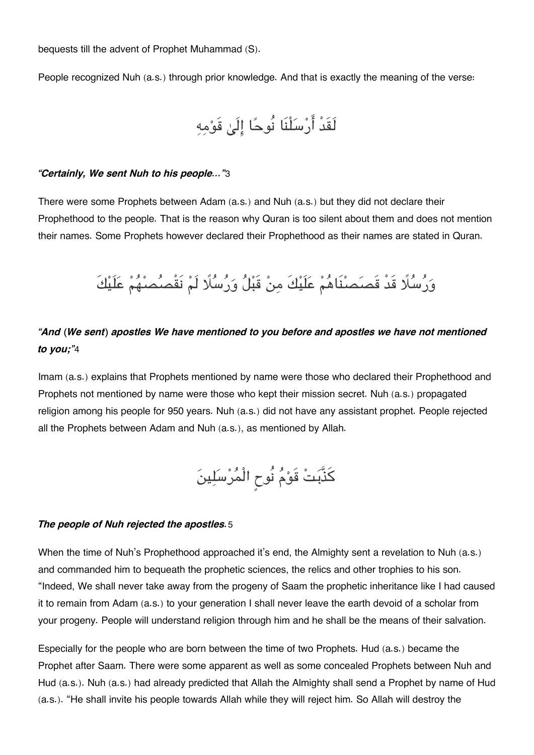bequests till the advent of Prophet Muhammad (S).

People recognized Nuh (a.s.) through prior knowledge. And that is exactly the meaning of the verse:

لَقَدْ ارسلْنَا نُوحا الَ قَومه

#### *"Certainly, We sent Nuh to his people…"*[3](#page--1-0)

There were some Prophets between Adam (a.s.) and Nuh (a.s.) but they did not declare their Prophethood to the people. That is the reason why Quran is too silent about them and does not mention their names. Some Prophets however declared their Prophethood as their names are stated in Quran.

## وَرُسُلًا قَدْ قَصنَصنْنَاهُمْ عَلَيْكَ مِنْ قَبْلُ وَرُسُلًا لَمْ نَقْصُصْنُهُمْ عَلَيْكَ

### *"And (We sent) apostles We have mentioned to you before and apostles we have not mentioned to you;"*[4](#page--1-0)

Imam (a.s.) explains that Prophets mentioned by name were those who declared their Prophethood and Prophets not mentioned by name were those who kept their mission secret. Nuh (a.s.) propagated religion among his people for 950 years. Nuh (a.s.) did not have any assistant prophet. People rejected all the Prophets between Adam and Nuh (a.s.), as mentioned by Allah.

كَذَّبَتْ قَوْمُ نُوحِ الْمُرْسَلِينَ

#### *The people of Nuh rejected the apostles.*[5](#page--1-0)

When the time of Nuh's Prophethood approached it's end, the Almighty sent a revelation to Nuh (a.s.) and commanded him to bequeath the prophetic sciences, the relics and other trophies to his son. "Indeed, We shall never take away from the progeny of Saam the prophetic inheritance like I had caused it to remain from Adam (a.s.) to your generation I shall never leave the earth devoid of a scholar from your progeny. People will understand religion through him and he shall be the means of their salvation.

Especially for the people who are born between the time of two Prophets. Hud (a.s.) became the Prophet after Saam. There were some apparent as well as some concealed Prophets between Nuh and Hud (a.s.). Nuh (a.s.) had already predicted that Allah the Almighty shall send a Prophet by name of Hud (a.s.). "He shall invite his people towards Allah while they will reject him. So Allah will destroy the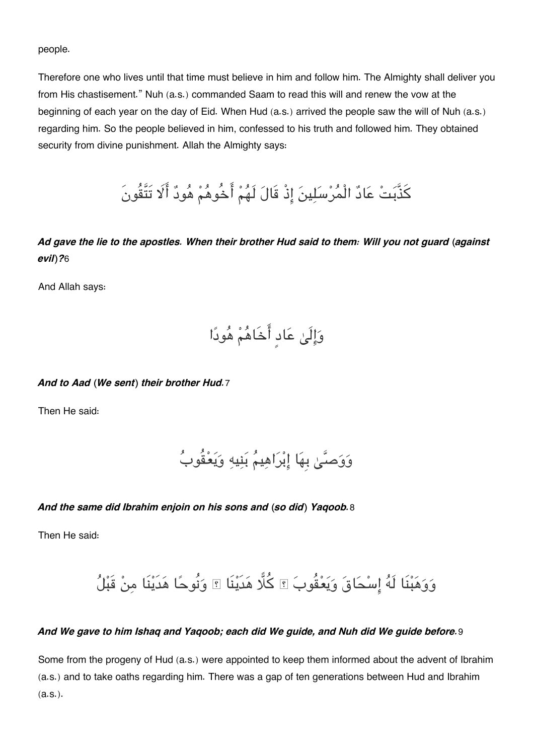people.

Therefore one who lives until that time must believe in him and follow him. The Almighty shall deliver you from His chastisement." Nuh (a.s.) commanded Saam to read this will and renew the vow at the beginning of each year on the day of Eid. When Hud (a.s.) arrived the people saw the will of Nuh (a.s.) regarding him. So the people believed in him, confessed to his truth and followed him. They obtained security from divine punishment. Allah the Almighty says:

كَذَّبَتْ عَادٌ الْمُرْسَلِينَ إِذْ قَالَ لَهُمْ أَخُوهُمْ هُودٌ أَلَا تَتَّقُونَ

*Ad gave the lie to the apostles. When their brother Hud said to them: Will you not guard (against evil)?*[6](#page--1-0)

And Allah says:

وَإِلَىٰ عَاد أَخَاهُمْ هُودًا

*And to Aad (We sent) their brother Hud.*[7](#page--1-0)

Then He said:

وَوَصَّىٰ بِهَا إِبْرَاهِيمُ بَنِيهِ وَيَعْقُوبُ

#### *And the same did Ibrahim enjoin on his sons and (so did) Yaqoob.*[8](#page--1-0)

Then He said:

## وَوَهَبْنَا لَهُ إِسْحَاقَ وَيَعْقُوبَ ۞ كُلًّا هَدَيْنَا ۞ وَنُوحًا هَدَيْنَا مِنْ قَبْلُ

#### *And We gave to him Ishaq and Yaqoob; each did We guide, and Nuh did We guide before.*[9](#page--1-0)

Some from the progeny of Hud (a.s.) were appointed to keep them informed about the advent of Ibrahim (a.s.) and to take oaths regarding him. There was a gap of ten generations between Hud and Ibrahim (a.s.).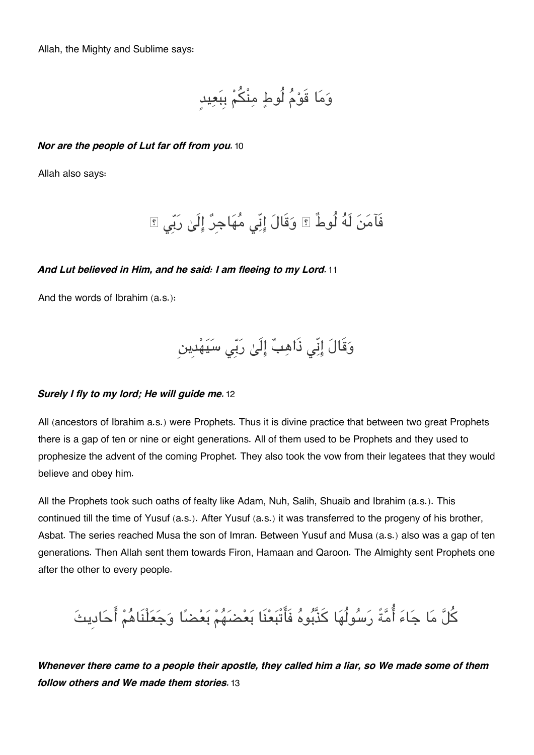Allah, the Mighty and Sublime says:

وَمَا قَوْمُ لُوطٍ مِنْكُمْ بِبَعِيدٍ

#### *Nor are the people of Lut far off from you.*[10](#page--1-0)

Allah also says:

فَآمَنَ لَهُ لُوطٌ ؟ وَقَالَ إِنِّى مُهَاجِرٌ إِلَىٰ رَبِّى ؟

#### *And Lut believed in Him, and he said: I am fleeing to my Lord.*[11](#page--1-0)

And the words of Ibrahim (a.s.):

وَقَالَ إِنِّي ذَاهِبٌ إِلَىٰ رَبِّى سَيَهْدين

#### *Surely I fly to my lord; He will guide me.*[12](#page--1-0)

All (ancestors of Ibrahim a.s.) were Prophets. Thus it is divine practice that between two great Prophets there is a gap of ten or nine or eight generations. All of them used to be Prophets and they used to prophesize the advent of the coming Prophet. They also took the vow from their legatees that they would believe and obey him.

All the Prophets took such oaths of fealty like Adam, Nuh, Salih, Shuaib and Ibrahim (a.s.). This continued till the time of Yusuf (a.s.). After Yusuf (a.s.) it was transferred to the progeny of his brother, Asbat. The series reached Musa the son of Imran. Between Yusuf and Musa (a.s.) also was a gap of ten generations. Then Allah sent them towards Firon, Hamaan and Qaroon. The Almighty sent Prophets one after the other to every people.

# كُلَّ مَا جَاءَ أُمَّةً رَسُولُهَا كَذَّبُوهُ فَأَتْبَعْنَا بَعْضَهُمْ بَعْضًا وَجَعَلْنَاهُمْ أَحَادِيثَ

*Whenever there came to a people their apostle, they called him a liar, so We made some of them follow others and We made them stories.*[13](#page--1-0)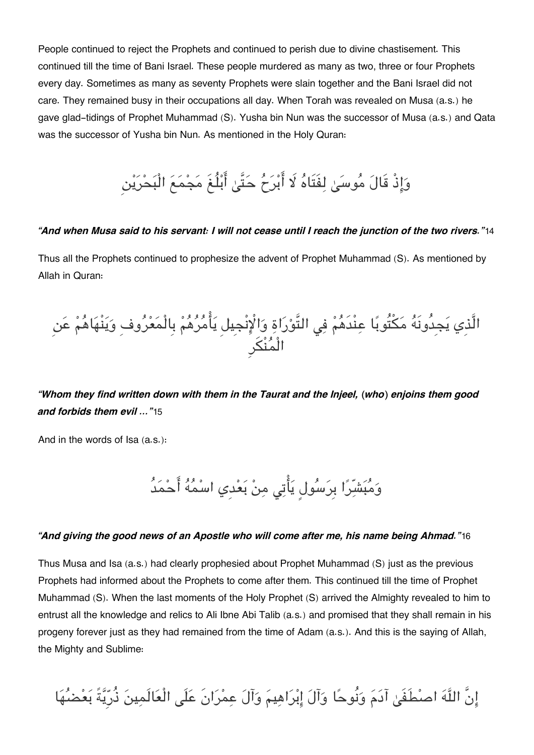People continued to reject the Prophets and continued to perish due to divine chastisement. This continued till the time of Bani Israel. These people murdered as many as two, three or four Prophets every day. Sometimes as many as seventy Prophets were slain together and the Bani Israel did not care. They remained busy in their occupations all day. When Torah was revealed on Musa (a.s.) he gave glad-tidings of Prophet Muhammad (S). Yusha bin Nun was the successor of Musa (a.s.) and Qata was the successor of Yusha bin Nun. As mentioned in the Holy Quran:

وَإِذْ قَالَ مُوسَىٰ لِفَتَاهُ لَا أَبْرَحُ حَتَّىٰ أَبْلُغَ مَجْمَعَ الْبَحْرَيْن

#### *"And when Musa said to his servant: I will not cease until I reach the junction of the two rivers."*[14](#page--1-0)

Thus all the Prophets continued to prophesize the advent of Prophet Muhammad (S). As mentioned by Allah in Quran:



*"Whom they find written down with them in the Taurat and the Injeel, (who) enjoins them good and forbids them evil …"*[15](#page--1-0)

And in the words of Isa (a.s.):

وَمُبَشّرًا بِرَسُولٍ يَأْتِي مِنْ بَعْدِي اسْمُهُ أَحْمَدُ

#### *"And giving the good news of an Apostle who will come after me, his name being Ahmad."*[16](#page--1-0)

Thus Musa and Isa (a.s.) had clearly prophesied about Prophet Muhammad (S) just as the previous Prophets had informed about the Prophets to come after them. This continued till the time of Prophet Muhammad (S). When the last moments of the Holy Prophet (S) arrived the Almighty revealed to him to entrust all the knowledge and relics to Ali Ibne Abi Talib (a.s.) and promised that they shall remain in his progeny forever just as they had remained from the time of Adam (a.s.). And this is the saying of Allah, the Mighty and Sublime:

إِنَّ اللَّهَ اصطْفَىٰ آدَمَ وَنُوحًا وَآلَ إِبْرَاهِيمَ وَآلَ عِمْرَانَ عَلَى الْعَالَمِينَ ذُرِّيَّةً بَعْضُهَا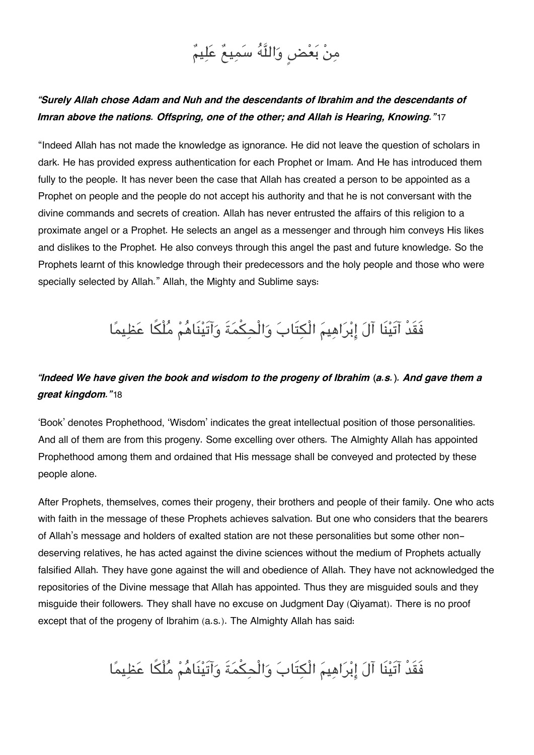# مِنْ بَعْضٍ وَاللَّهُ سَمِيعٌ عَلِيمٌ

## *"Surely Allah chose Adam and Nuh and the descendants of Ibrahim and the descendants of Imran above the nations. Offspring, one of the other; and Allah is Hearing, Knowing."*[17](#page--1-0)

"Indeed Allah has not made the knowledge as ignorance. He did not leave the question of scholars in dark. He has provided express authentication for each Prophet or Imam. And He has introduced them fully to the people. It has never been the case that Allah has created a person to be appointed as a Prophet on people and the people do not accept his authority and that he is not conversant with the divine commands and secrets of creation. Allah has never entrusted the affairs of this religion to a proximate angel or a Prophet. He selects an angel as a messenger and through him conveys His likes and dislikes to the Prophet. He also conveys through this angel the past and future knowledge. So the Prophets learnt of this knowledge through their predecessors and the holy people and those who were specially selected by Allah." Allah, the Mighty and Sublime says:

## فَقَدْ آتَيْنَا آلَ إِبْرَاهِيمَ الْكِتَابَ وَالْحِكْمَةَ وَآتَيْنَاهُمْ مُلْكًا عَظِيمًا

## *"Indeed We have given the book and wisdom to the progeny of Ibrahim (a.s.). And gave them a great kingdom."*[18](#page--1-0)

'Book' denotes Prophethood, 'Wisdom' indicates the great intellectual position of those personalities. And all of them are from this progeny. Some excelling over others. The Almighty Allah has appointed Prophethood among them and ordained that His message shall be conveyed and protected by these people alone.

After Prophets, themselves, comes their progeny, their brothers and people of their family. One who acts with faith in the message of these Prophets achieves salvation. But one who considers that the bearers of Allah's message and holders of exalted station are not these personalities but some other nondeserving relatives, he has acted against the divine sciences without the medium of Prophets actually falsified Allah. They have gone against the will and obedience of Allah. They have not acknowledged the repositories of the Divine message that Allah has appointed. Thus they are misguided souls and they misguide their followers. They shall have no excuse on Judgment Day (Qiyamat). There is no proof except that of the progeny of Ibrahim (a.s.). The Almighty Allah has said:

# فَقَدْ آتَيْنَا آلَ إِبْرَاهِيمَ الْكتَابَ وَالْحكْمَةَ وَآتَيْنَاهُمْ مُلْكًا عَظيمًا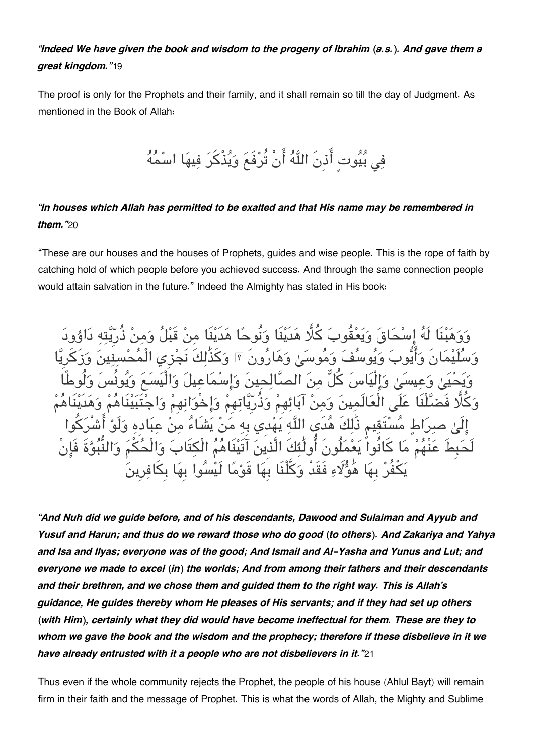### *"Indeed We have given the book and wisdom to the progeny of Ibrahim (a.s.). And gave them a great kingdom."*[19](#page--1-0)

The proof is only for the Prophets and their family, and it shall remain so till the day of Judgment. As mentioned in the Book of Allah:

فِي بُيُوتِ أَذِنَ اللَّهُ أَنْ تُرْفَعَ وَيُذْكَرَ فِيهَا اسْمُهُ

### *"In houses which Allah has permitted to be exalted and that His name may be remembered in them."*[20](#page--1-0)

"These are our houses and the houses of Prophets, guides and wise people. This is the rope of faith by catching hold of which people before you achieved success. And through the same connection people would attain salvation in the future." Indeed the Almighty has stated in His book:

نَا لَهُ اِسْحَاقَ وَيَعْقُوبَ كُلَّا هَدَيْنَا وَنُوحًا هَدَيْنَا منْ قَبْلُ وَمِنْ ذُرِّيَّته لَمْنَ وَأَيُّوبَ وَيُوسُفَ وَمُوسَىٰ وَهَارُونَ ۞ وَكَذَٰلِكَ نَجْزِي وَيَحْيَىٰ وَعِيسَىٰ وَالْيَاسَ كُلُّ مِنَ الصَّالحينَ وَاسْمَاعِي عَلَى الْعَالَمينَ وَمنْ آبَائهِمْ وَذُرِيَّاتهِمْ وَإِخْوَانه مُسْتَقيم ذَٰلكَ هُدَى اللَّه يَهْدي بِه مَنْ يَشَاءُ مِنْ عِبَا اً عَنْهُمْ مَا كَانُوا يَعْمَلُونَ أَولَٰئكَ الَّذِينَ آتَيْنَاهُمُ الْكتَابَ وَالْحُكْمَ وَالنَّبُوَّةَ رْ بِهَا هٰؤُلَاءِ فَقَدْ وَكَّلْنَا بِهَا قَوْمًا لَيْسُوا بِهَا بِكَا

*"And Nuh did we guide before, and of his descendants, Dawood and Sulaiman and Ayyub and Yusuf and Harun; and thus do we reward those who do good (to others). And Zakariya and Yahya and Isa and Ilyas; everyone was of the good; And Ismail and Al-Yasha and Yunus and Lut; and everyone we made to excel (in) the worlds; And from among their fathers and their descendants and their brethren, and we chose them and guided them to the right way. This is Allah's guidance, He guides thereby whom He pleases of His servants; and if they had set up others (with Him), certainly what they did would have become ineffectual for them. These are they to whom we gave the book and the wisdom and the prophecy; therefore if these disbelieve in it we have already entrusted with it a people who are not disbelievers in it."*[21](#page--1-0)

Thus even if the whole community rejects the Prophet, the people of his house (Ahlul Bayt) will remain firm in their faith and the message of Prophet. This is what the words of Allah, the Mighty and Sublime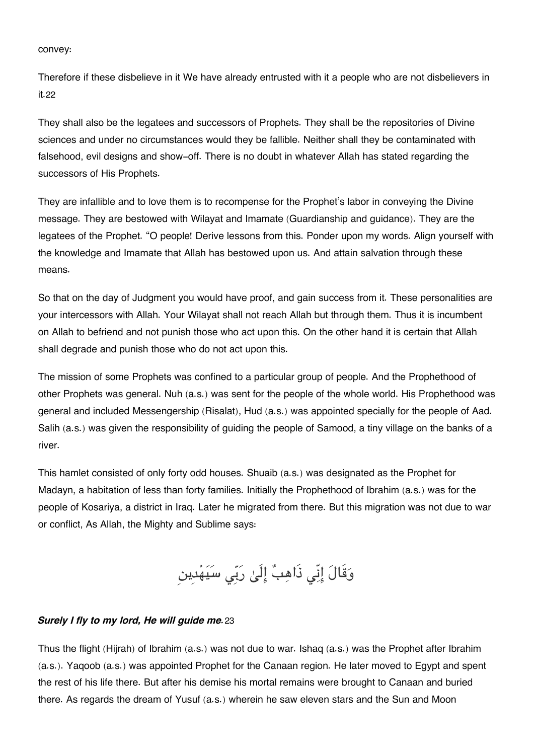convey:

Therefore if these disbelieve in it We have already entrusted with it a people who are not disbelievers in it.[22](#page--1-0)

They shall also be the legatees and successors of Prophets. They shall be the repositories of Divine sciences and under no circumstances would they be fallible. Neither shall they be contaminated with falsehood, evil designs and show-off. There is no doubt in whatever Allah has stated regarding the successors of His Prophets.

They are infallible and to love them is to recompense for the Prophet's labor in conveying the Divine message. They are bestowed with Wilayat and Imamate (Guardianship and guidance). They are the legatees of the Prophet. "O people! Derive lessons from this. Ponder upon my words. Align yourself with the knowledge and Imamate that Allah has bestowed upon us. And attain salvation through these means.

So that on the day of Judgment you would have proof, and gain success from it. These personalities are your intercessors with Allah. Your Wilayat shall not reach Allah but through them. Thus it is incumbent on Allah to befriend and not punish those who act upon this. On the other hand it is certain that Allah shall degrade and punish those who do not act upon this.

The mission of some Prophets was confined to a particular group of people. And the Prophethood of other Prophets was general. Nuh (a.s.) was sent for the people of the whole world. His Prophethood was general and included Messengership (Risalat), Hud (a.s.) was appointed specially for the people of Aad. Salih (a.s.) was given the responsibility of guiding the people of Samood, a tiny village on the banks of a river.

This hamlet consisted of only forty odd houses. Shuaib (a.s.) was designated as the Prophet for Madayn, a habitation of less than forty families. Initially the Prophethood of Ibrahim (a.s.) was for the people of Kosariya, a district in Iraq. Later he migrated from there. But this migration was not due to war or conflict, As Allah, the Mighty and Sublime says:

وَقَالَ إِنِّي ذَاهِبٌ إِلَىٰ رَبِّي سَيَهْدين

#### *Surely I fly to my lord, He will guide me.*[23](#page--1-0)

Thus the flight (Hijrah) of Ibrahim (a.s.) was not due to war. Ishaq (a.s.) was the Prophet after Ibrahim (a.s.). Yaqoob (a.s.) was appointed Prophet for the Canaan region. He later moved to Egypt and spent the rest of his life there. But after his demise his mortal remains were brought to Canaan and buried there. As regards the dream of Yusuf (a.s.) wherein he saw eleven stars and the Sun and Moon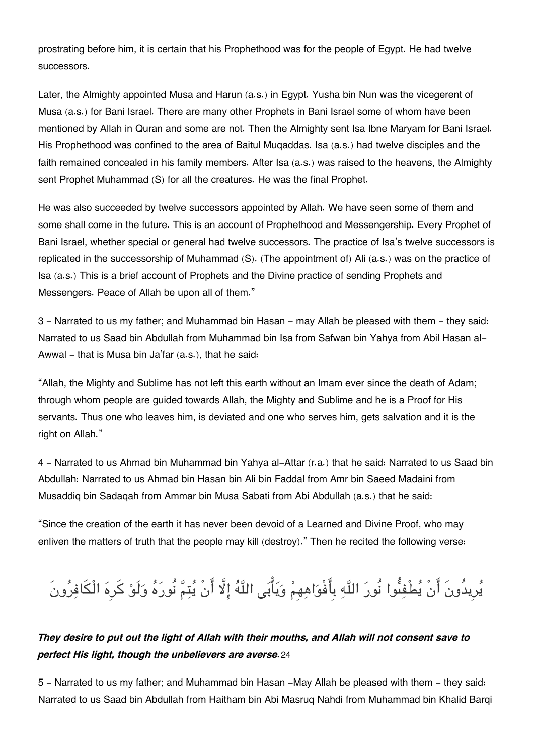prostrating before him, it is certain that his Prophethood was for the people of Egypt. He had twelve successors.

Later, the Almighty appointed Musa and Harun (a.s.) in Egypt. Yusha bin Nun was the vicegerent of Musa (a.s.) for Bani Israel. There are many other Prophets in Bani Israel some of whom have been mentioned by Allah in Quran and some are not. Then the Almighty sent Isa Ibne Maryam for Bani Israel. His Prophethood was confined to the area of Baitul Muqaddas. Isa (a.s.) had twelve disciples and the faith remained concealed in his family members. After Isa (a.s.) was raised to the heavens, the Almighty sent Prophet Muhammad (S) for all the creatures. He was the final Prophet.

He was also succeeded by twelve successors appointed by Allah. We have seen some of them and some shall come in the future. This is an account of Prophethood and Messengership. Every Prophet of Bani Israel, whether special or general had twelve successors. The practice of Isa's twelve successors is replicated in the successorship of Muhammad (S). (The appointment of) Ali (a.s.) was on the practice of Isa (a.s.) This is a brief account of Prophets and the Divine practice of sending Prophets and Messengers. Peace of Allah be upon all of them."

3 - Narrated to us my father; and Muhammad bin Hasan - may Allah be pleased with them - they said: Narrated to us Saad bin Abdullah from Muhammad bin Isa from Safwan bin Yahya from Abil Hasan al-Awwal - that is Musa bin Ja'far  $(a.s.)$ , that he said:

"Allah, the Mighty and Sublime has not left this earth without an Imam ever since the death of Adam; through whom people are guided towards Allah, the Mighty and Sublime and he is a Proof for His servants. Thus one who leaves him, is deviated and one who serves him, gets salvation and it is the right on Allah."

4 - Narrated to us Ahmad bin Muhammad bin Yahya al-Attar (r.a.) that he said: Narrated to us Saad bin Abdullah: Narrated to us Ahmad bin Hasan bin Ali bin Faddal from Amr bin Saeed Madaini from Musaddiq bin Sadaqah from Ammar bin Musa Sabati from Abi Abdullah (a.s.) that he said:

"Since the creation of the earth it has never been devoid of a Learned and Divine Proof, who may enliven the matters of truth that the people may kill (destroy)." Then he recited the following verse:

# يُرِيدُونَ أَنْ يُطْفِئُوا نُورَ اللَّهِ بِأَفْوَاهِهِمْ وَيَأْبَى اللَّهُ إِلَّا أَنْ يُتِمَّ نُورَهُ وَلَوْ كَرِهَ الْكَافِرُونَ

## *They desire to put out the light of Allah with their mouths, and Allah will not consent save to perfect His light, though the unbelievers are averse.*[24](#page--1-0)

5 - Narrated to us my father; and Muhammad bin Hasan -May Allah be pleased with them - they said: Narrated to us Saad bin Abdullah from Haitham bin Abi Masruq Nahdi from Muhammad bin Khalid Barqi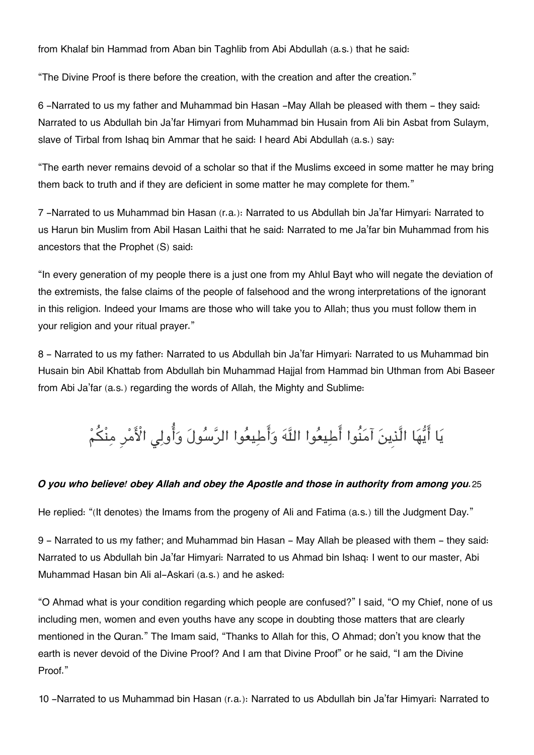from Khalaf bin Hammad from Aban bin Taghlib from Abi Abdullah (a.s.) that he said:

"The Divine Proof is there before the creation, with the creation and after the creation."

6 -Narrated to us my father and Muhammad bin Hasan -May Allah be pleased with them - they said: Narrated to us Abdullah bin Ja'far Himyari from Muhammad bin Husain from Ali bin Asbat from Sulaym, slave of Tirbal from Ishaq bin Ammar that he said: I heard Abi Abdullah (a.s.) say:

"The earth never remains devoid of a scholar so that if the Muslims exceed in some matter he may bring them back to truth and if they are deficient in some matter he may complete for them."

7 -Narrated to us Muhammad bin Hasan (r.a.): Narrated to us Abdullah bin Ja'far Himyari: Narrated to us Harun bin Muslim from Abil Hasan Laithi that he said: Narrated to me Ja'far bin Muhammad from his ancestors that the Prophet (S) said:

"In every generation of my people there is a just one from my Ahlul Bayt who will negate the deviation of the extremists, the false claims of the people of falsehood and the wrong interpretations of the ignorant in this religion. Indeed your Imams are those who will take you to Allah; thus you must follow them in your religion and your ritual prayer."

8 - Narrated to us my father: Narrated to us Abdullah bin Ja'far Himyari: Narrated to us Muhammad bin Husain bin Abil Khattab from Abdullah bin Muhammad Hajjal from Hammad bin Uthman from Abi Baseer from Abi Ja'far (a.s.) regarding the words of Allah, the Mighty and Sublime:

يَا أَيُّهَا الَّذِينَ آمَنُوا أَطِيعُوا اللَّهَ وَأَطِيعُوا الرَّسُولَ وَأُولِي الْأَمْرِ مِنْكُمْ

#### *O you who believe! obey Allah and obey the Apostle and those in authority from among you.*[25](#page--1-0)

He replied: "(It denotes) the Imams from the progeny of Ali and Fatima (a.s.) till the Judgment Day."

9 - Narrated to us my father; and Muhammad bin Hasan - May Allah be pleased with them - they said: Narrated to us Abdullah bin Ja'far Himyari: Narrated to us Ahmad bin Ishaq: I went to our master, Abi Muhammad Hasan bin Ali al-Askari (a.s.) and he asked:

"O Ahmad what is your condition regarding which people are confused?" I said, "O my Chief, none of us including men, women and even youths have any scope in doubting those matters that are clearly mentioned in the Quran." The Imam said, "Thanks to Allah for this, O Ahmad; don't you know that the earth is never devoid of the Divine Proof? And I am that Divine Proof" or he said, "I am the Divine Proof."

10 -Narrated to us Muhammad bin Hasan (r.a.): Narrated to us Abdullah bin Ja'far Himyari: Narrated to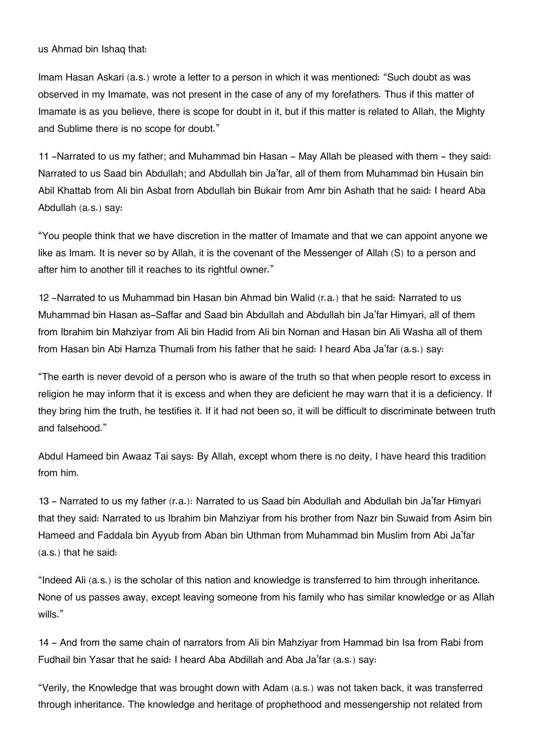us Ahmad bin Ishaq that:

Imam Hasan Askari (a.s.) wrote a letter to a person in which it was mentioned: "Such doubt as was observed in my Imamate, was not present in the case of any of my forefathers. Thus if this matter of Imamate is as you believe, there is scope for doubt in it, but if this matter is related to Allah, the Mighty and Sublime there is no scope for doubt."

11 -Narrated to us my father; and Muhammad bin Hasan - May Allah be pleased with them - they said: Narrated to us Saad bin Abdullah; and Abdullah bin Ja'far, all of them from Muhammad bin Husain bin Abil Khattab from Ali bin Asbat from Abdullah bin Bukair from Amr bin Ashath that he said: I heard Aba Abdullah (a.s.) say:

"You people think that we have discretion in the matter of Imamate and that we can appoint anyone we like as Imam. It is never so by Allah, it is the covenant of the Messenger of Allah (S) to a person and after him to another till it reaches to its rightful owner."

12 -Narrated to us Muhammad bin Hasan bin Ahmad bin Walid (r.a.) that he said: Narrated to us Muhammad bin Hasan as-Saffar and Saad bin Abdullah and Abdullah bin Ja'far Himyari, all of them from Ibrahim bin Mahziyar from Ali bin Hadid from Ali bin Noman and Hasan bin Ali Washa all of them from Hasan bin Abi Hamza Thumali from his father that he said: I heard Aba Ja'far (a.s.) say:

"The earth is never devoid of a person who is aware of the truth so that when people resort to excess in religion he may inform that it is excess and when they are deficient he may warn that it is a deficiency. If they bring him the truth, he testifies it. If it had not been so, it will be difficult to discriminate between truth and falsehood."

Abdul Hameed bin Awaaz Tai says: By Allah, except whom there is no deity, I have heard this tradition from him.

13 - Narrated to us my father (r.a.): Narrated to us Saad bin Abdullah and Abdullah bin Ja'far Himyari that they said: Narrated to us Ibrahim bin Mahziyar from his brother from Nazr bin Suwaid from Asim bin Hameed and Faddala bin Ayyub from Aban bin Uthman from Muhammad bin Muslim from Abi Ja'far (a.s.) that he said:

"Indeed Ali (a.s.) is the scholar of this nation and knowledge is transferred to him through inheritance. None of us passes away, except leaving someone from his family who has similar knowledge or as Allah wills."

14 - And from the same chain of narrators from Ali bin Mahziyar from Hammad bin Isa from Rabi from Fudhail bin Yasar that he said: I heard Aba Abdillah and Aba Ja'far (a.s.) say:

"Verily, the Knowledge that was brought down with Adam (a.s.) was not taken back, it was transferred through inheritance. The knowledge and heritage of prophethood and messengership not related from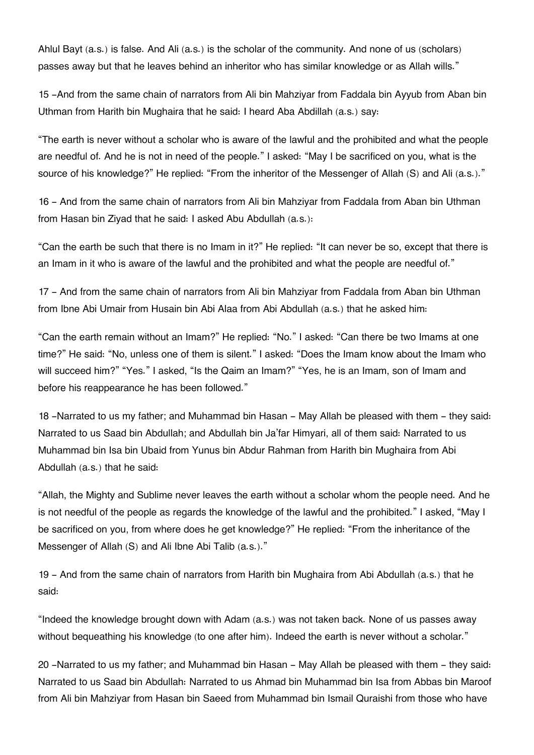Ahlul Bayt (a.s.) is false. And Ali (a.s.) is the scholar of the community. And none of us (scholars) passes away but that he leaves behind an inheritor who has similar knowledge or as Allah wills."

15 -And from the same chain of narrators from Ali bin Mahziyar from Faddala bin Ayyub from Aban bin Uthman from Harith bin Mughaira that he said: I heard Aba Abdillah (a.s.) say:

"The earth is never without a scholar who is aware of the lawful and the prohibited and what the people are needful of. And he is not in need of the people." I asked: "May I be sacrificed on you, what is the source of his knowledge?" He replied: "From the inheritor of the Messenger of Allah (S) and Ali (a.s.)."

16 - And from the same chain of narrators from Ali bin Mahziyar from Faddala from Aban bin Uthman from Hasan bin Ziyad that he said: I asked Abu Abdullah (a.s.):

"Can the earth be such that there is no Imam in it?" He replied: "It can never be so, except that there is an Imam in it who is aware of the lawful and the prohibited and what the people are needful of."

17 - And from the same chain of narrators from Ali bin Mahziyar from Faddala from Aban bin Uthman from Ibne Abi Umair from Husain bin Abi Alaa from Abi Abdullah (a.s.) that he asked him:

"Can the earth remain without an Imam?" He replied: "No." I asked: "Can there be two Imams at one time?" He said: "No, unless one of them is silent." I asked: "Does the Imam know about the Imam who will succeed him?" "Yes." I asked, "Is the Qaim an Imam?" "Yes, he is an Imam, son of Imam and before his reappearance he has been followed."

18 -Narrated to us my father; and Muhammad bin Hasan - May Allah be pleased with them - they said: Narrated to us Saad bin Abdullah; and Abdullah bin Ja'far Himyari, all of them said: Narrated to us Muhammad bin Isa bin Ubaid from Yunus bin Abdur Rahman from Harith bin Mughaira from Abi Abdullah (a.s.) that he said:

"Allah, the Mighty and Sublime never leaves the earth without a scholar whom the people need. And he is not needful of the people as regards the knowledge of the lawful and the prohibited." I asked, "May I be sacrificed on you, from where does he get knowledge?" He replied: "From the inheritance of the Messenger of Allah (S) and Ali Ibne Abi Talib (a.s.)."

19 - And from the same chain of narrators from Harith bin Mughaira from Abi Abdullah (a.s.) that he said:

"Indeed the knowledge brought down with Adam (a.s.) was not taken back. None of us passes away without bequeathing his knowledge (to one after him). Indeed the earth is never without a scholar."

20 -Narrated to us my father; and Muhammad bin Hasan - May Allah be pleased with them - they said: Narrated to us Saad bin Abdullah: Narrated to us Ahmad bin Muhammad bin Isa from Abbas bin Maroof from Ali bin Mahziyar from Hasan bin Saeed from Muhammad bin Ismail Quraishi from those who have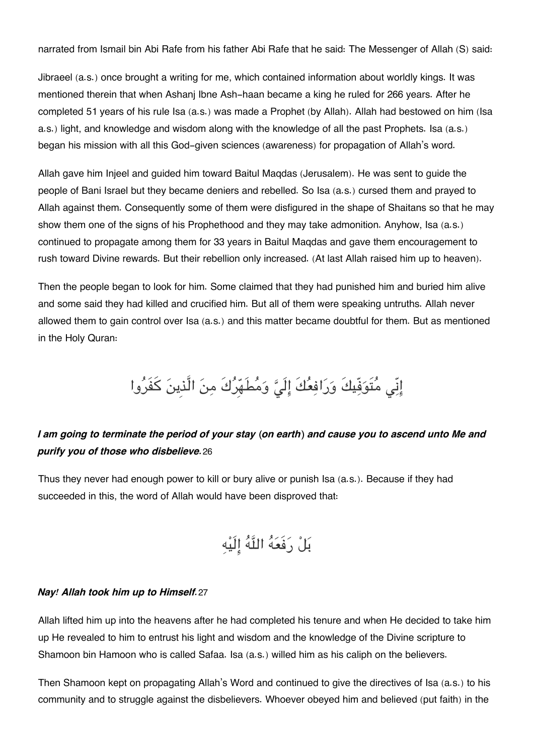narrated from Ismail bin Abi Rafe from his father Abi Rafe that he said: The Messenger of Allah (S) said:

Jibraeel (a.s.) once brought a writing for me, which contained information about worldly kings. It was mentioned therein that when Ashanj Ibne Ash-haan became a king he ruled for 266 years. After he completed 51 years of his rule Isa (a.s.) was made a Prophet (by Allah). Allah had bestowed on him (Isa a.s.) light, and knowledge and wisdom along with the knowledge of all the past Prophets. Isa (a.s.) began his mission with all this God-given sciences (awareness) for propagation of Allah's word.

Allah gave him Injeel and guided him toward Baitul Maqdas (Jerusalem). He was sent to guide the people of Bani Israel but they became deniers and rebelled. So Isa (a.s.) cursed them and prayed to Allah against them. Consequently some of them were disfigured in the shape of Shaitans so that he may show them one of the signs of his Prophethood and they may take admonition. Anyhow, Isa (a.s.) continued to propagate among them for 33 years in Baitul Maqdas and gave them encouragement to rush toward Divine rewards. But their rebellion only increased. (At last Allah raised him up to heaven).

Then the people began to look for him. Some claimed that they had punished him and buried him alive and some said they had killed and crucified him. But all of them were speaking untruths. Allah never allowed them to gain control over Isa (a.s.) and this matter became doubtful for them. But as mentioned in the Holy Quran:

إِنِّي مُتَوَفِّيكَ وَرَافِعُكَ إِلَيَّ وَمُطَهَّرُكَ مِنَ الَّذِينَ كَفَرُوا

### *I am going to terminate the period of your stay (on earth) and cause you to ascend unto Me and purify you of those who disbelieve.*[26](#page--1-0)

Thus they never had enough power to kill or bury alive or punish Isa (a.s.). Because if they had succeeded in this, the word of Allah would have been disproved that:

بل رفَعه اله الَيه

#### *Nay! Allah took him up to Himself.*[27](#page--1-0)

Allah lifted him up into the heavens after he had completed his tenure and when He decided to take him up He revealed to him to entrust his light and wisdom and the knowledge of the Divine scripture to Shamoon bin Hamoon who is called Safaa. Isa (a.s.) willed him as his caliph on the believers.

Then Shamoon kept on propagating Allah's Word and continued to give the directives of Isa (a.s.) to his community and to struggle against the disbelievers. Whoever obeyed him and believed (put faith) in the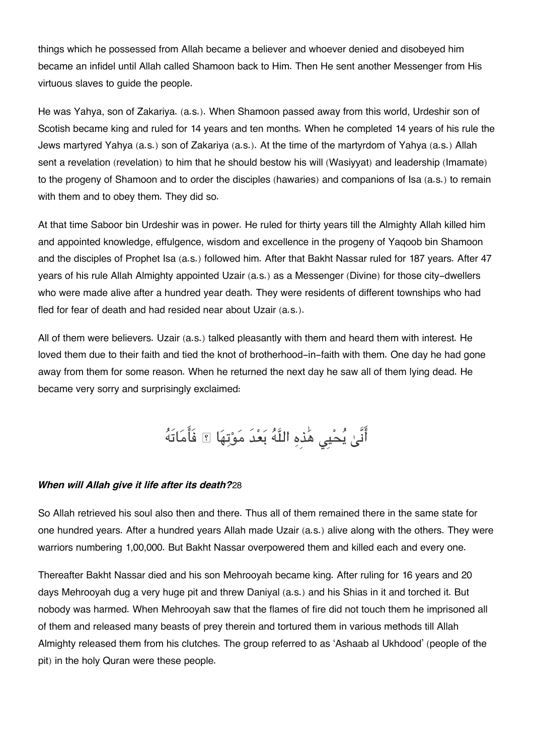things which he possessed from Allah became a believer and whoever denied and disobeyed him became an infidel until Allah called Shamoon back to Him. Then He sent another Messenger from His virtuous slaves to guide the people.

He was Yahya, son of Zakariya. (a.s.). When Shamoon passed away from this world, Urdeshir son of Scotish became king and ruled for 14 years and ten months. When he completed 14 years of his rule the Jews martyred Yahya (a.s.) son of Zakariya (a.s.). At the time of the martyrdom of Yahya (a.s.) Allah sent a revelation (revelation) to him that he should bestow his will (Wasiyyat) and leadership (Imamate) to the progeny of Shamoon and to order the disciples (hawaries) and companions of Isa (a.s.) to remain with them and to obey them. They did so.

At that time Saboor bin Urdeshir was in power. He ruled for thirty years till the Almighty Allah killed him and appointed knowledge, effulgence, wisdom and excellence in the progeny of Yaqoob bin Shamoon and the disciples of Prophet Isa (a.s.) followed him. After that Bakht Nassar ruled for 187 years. After 47 years of his rule Allah Almighty appointed Uzair (a.s.) as a Messenger (Divine) for those city-dwellers who were made alive after a hundred year death. They were residents of different townships who had fled for fear of death and had resided near about Uzair (a.s.).

All of them were believers. Uzair (a.s.) talked pleasantly with them and heard them with interest. He loved them due to their faith and tied the knot of brotherhood-in-faith with them. One day he had gone away from them for some reason. When he returned the next day he saw all of them lying dead. He became very sorry and surprisingly exclaimed:

أَنَّىٰ يُحْيى هُذهِ اللَّهُ بَعْدَ مَوْتِهَا ۞ فَأَمَاتَهُ

#### *When will Allah give it life after its death?*[28](#page--1-0)

So Allah retrieved his soul also then and there. Thus all of them remained there in the same state for one hundred years. After a hundred years Allah made Uzair (a.s.) alive along with the others. They were warriors numbering 1,00,000. But Bakht Nassar overpowered them and killed each and every one.

Thereafter Bakht Nassar died and his son Mehrooyah became king. After ruling for 16 years and 20 days Mehrooyah dug a very huge pit and threw Daniyal (a.s.) and his Shias in it and torched it. But nobody was harmed. When Mehrooyah saw that the flames of fire did not touch them he imprisoned all of them and released many beasts of prey therein and tortured them in various methods till Allah Almighty released them from his clutches. The group referred to as 'Ashaab al Ukhdood' (people of the pit) in the holy Quran were these people.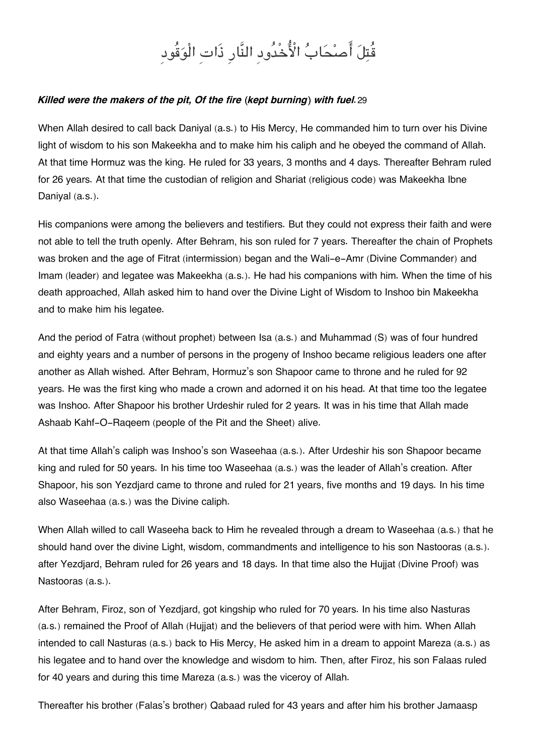# قُتِلَ أَصنْحَابُ الْأُخْدُودِ النَّارِ ذَاتِ الْوَقُودِ

#### *Killed were the makers of the pit, Of the fire (kept burning) with fuel.*[29](#page--1-0)

When Allah desired to call back Daniyal (a.s.) to His Mercy, He commanded him to turn over his Divine light of wisdom to his son Makeekha and to make him his caliph and he obeyed the command of Allah. At that time Hormuz was the king. He ruled for 33 years, 3 months and 4 days. Thereafter Behram ruled for 26 years. At that time the custodian of religion and Shariat (religious code) was Makeekha Ibne Daniyal (a.s.).

His companions were among the believers and testifiers. But they could not express their faith and were not able to tell the truth openly. After Behram, his son ruled for 7 years. Thereafter the chain of Prophets was broken and the age of Fitrat (intermission) began and the Wali-e-Amr (Divine Commander) and Imam (leader) and legatee was Makeekha (a.s.). He had his companions with him. When the time of his death approached, Allah asked him to hand over the Divine Light of Wisdom to Inshoo bin Makeekha and to make him his legatee.

And the period of Fatra (without prophet) between Isa (a.s.) and Muhammad (S) was of four hundred and eighty years and a number of persons in the progeny of Inshoo became religious leaders one after another as Allah wished. After Behram, Hormuz's son Shapoor came to throne and he ruled for 92 years. He was the first king who made a crown and adorned it on his head. At that time too the legatee was Inshoo. After Shapoor his brother Urdeshir ruled for 2 years. It was in his time that Allah made Ashaab Kahf-O-Raqeem (people of the Pit and the Sheet) alive.

At that time Allah's caliph was Inshoo's son Waseehaa (a.s.). After Urdeshir his son Shapoor became king and ruled for 50 years. In his time too Waseehaa (a.s.) was the leader of Allah's creation. After Shapoor, his son Yezdjard came to throne and ruled for 21 years, five months and 19 days. In his time also Waseehaa (a.s.) was the Divine caliph.

When Allah willed to call Waseeha back to Him he revealed through a dream to Waseehaa (a.s.) that he should hand over the divine Light, wisdom, commandments and intelligence to his son Nastooras (a.s.). after Yezdjard, Behram ruled for 26 years and 18 days. In that time also the Hujjat (Divine Proof) was Nastooras (a.s.).

After Behram, Firoz, son of Yezdjard, got kingship who ruled for 70 years. In his time also Nasturas (a.s.) remained the Proof of Allah (Hujjat) and the believers of that period were with him. When Allah intended to call Nasturas (a.s.) back to His Mercy, He asked him in a dream to appoint Mareza (a.s.) as his legatee and to hand over the knowledge and wisdom to him. Then, after Firoz, his son Falaas ruled for 40 years and during this time Mareza (a.s.) was the viceroy of Allah.

Thereafter his brother (Falas's brother) Qabaad ruled for 43 years and after him his brother Jamaasp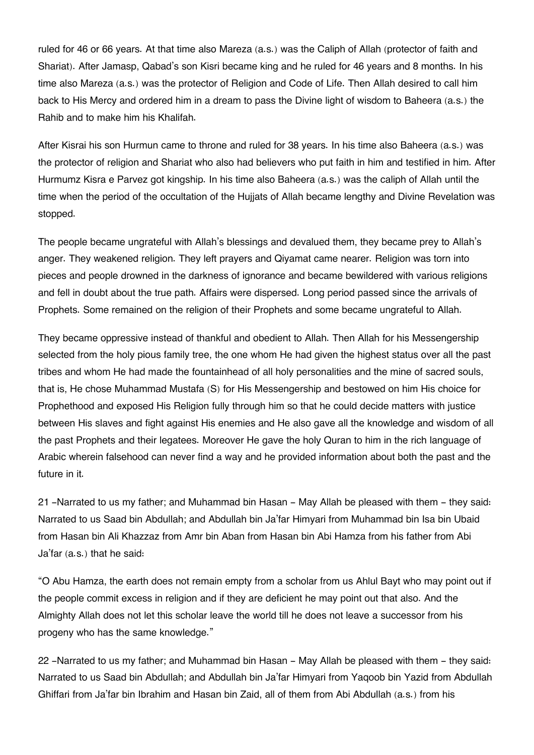ruled for 46 or 66 years. At that time also Mareza (a.s.) was the Caliph of Allah (protector of faith and Shariat). After Jamasp, Qabad's son Kisri became king and he ruled for 46 years and 8 months. In his time also Mareza (a.s.) was the protector of Religion and Code of Life. Then Allah desired to call him back to His Mercy and ordered him in a dream to pass the Divine light of wisdom to Baheera (a.s.) the Rahib and to make him his Khalifah.

After Kisrai his son Hurmun came to throne and ruled for 38 years. In his time also Baheera (a.s.) was the protector of religion and Shariat who also had believers who put faith in him and testified in him. After Hurmumz Kisra e Parvez got kingship. In his time also Baheera (a.s.) was the caliph of Allah until the time when the period of the occultation of the Hujjats of Allah became lengthy and Divine Revelation was stopped.

The people became ungrateful with Allah's blessings and devalued them, they became prey to Allah's anger. They weakened religion. They left prayers and Qiyamat came nearer. Religion was torn into pieces and people drowned in the darkness of ignorance and became bewildered with various religions and fell in doubt about the true path. Affairs were dispersed. Long period passed since the arrivals of Prophets. Some remained on the religion of their Prophets and some became ungrateful to Allah.

They became oppressive instead of thankful and obedient to Allah. Then Allah for his Messengership selected from the holy pious family tree, the one whom He had given the highest status over all the past tribes and whom He had made the fountainhead of all holy personalities and the mine of sacred souls, that is, He chose Muhammad Mustafa (S) for His Messengership and bestowed on him His choice for Prophethood and exposed His Religion fully through him so that he could decide matters with justice between His slaves and fight against His enemies and He also gave all the knowledge and wisdom of all the past Prophets and their legatees. Moreover He gave the holy Quran to him in the rich language of Arabic wherein falsehood can never find a way and he provided information about both the past and the future in it.

21 -Narrated to us my father; and Muhammad bin Hasan - May Allah be pleased with them - they said: Narrated to us Saad bin Abdullah; and Abdullah bin Ja'far Himyari from Muhammad bin Isa bin Ubaid from Hasan bin Ali Khazzaz from Amr bin Aban from Hasan bin Abi Hamza from his father from Abi Ja'far (a.s.) that he said:

"O Abu Hamza, the earth does not remain empty from a scholar from us Ahlul Bayt who may point out if the people commit excess in religion and if they are deficient he may point out that also. And the Almighty Allah does not let this scholar leave the world till he does not leave a successor from his progeny who has the same knowledge."

22 -Narrated to us my father; and Muhammad bin Hasan - May Allah be pleased with them - they said: Narrated to us Saad bin Abdullah; and Abdullah bin Ja'far Himyari from Yaqoob bin Yazid from Abdullah Ghiffari from Ja'far bin Ibrahim and Hasan bin Zaid, all of them from Abi Abdullah (a.s.) from his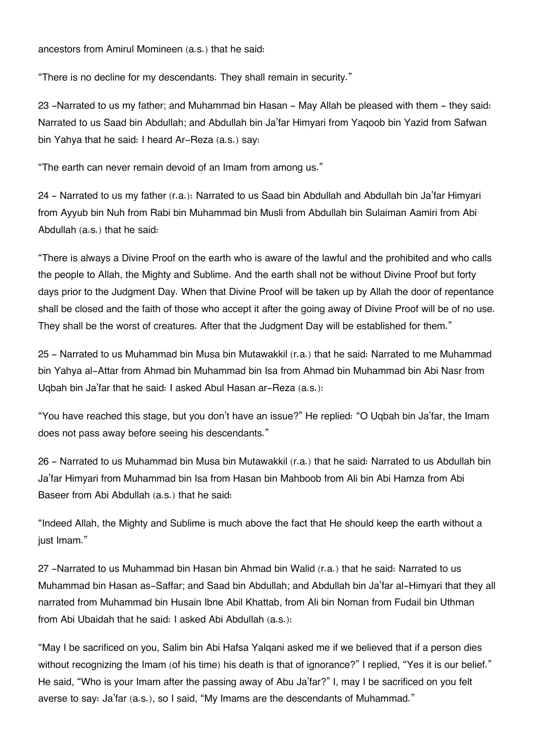ancestors from Amirul Momineen (a.s.) that he said:

"There is no decline for my descendants. They shall remain in security."

23 -Narrated to us my father; and Muhammad bin Hasan - May Allah be pleased with them - they said: Narrated to us Saad bin Abdullah; and Abdullah bin Ja'far Himyari from Yaqoob bin Yazid from Safwan bin Yahya that he said: I heard Ar-Reza (a.s.) say:

"The earth can never remain devoid of an Imam from among us."

24 - Narrated to us my father (r.a.): Narrated to us Saad bin Abdullah and Abdullah bin Ja'far Himyari from Ayyub bin Nuh from Rabi bin Muhammad bin Musli from Abdullah bin Sulaiman Aamiri from Abi Abdullah (a.s.) that he said:

"There is always a Divine Proof on the earth who is aware of the lawful and the prohibited and who calls the people to Allah, the Mighty and Sublime. And the earth shall not be without Divine Proof but forty days prior to the Judgment Day. When that Divine Proof will be taken up by Allah the door of repentance shall be closed and the faith of those who accept it after the going away of Divine Proof will be of no use. They shall be the worst of creatures. After that the Judgment Day will be established for them."

25 - Narrated to us Muhammad bin Musa bin Mutawakkil (r.a.) that he said: Narrated to me Muhammad bin Yahya al-Attar from Ahmad bin Muhammad bin Isa from Ahmad bin Muhammad bin Abi Nasr from Uqbah bin Ja'far that he said: I asked Abul Hasan ar-Reza (a.s.):

"You have reached this stage, but you don't have an issue?" He replied: "O Uqbah bin Ja'far, the Imam does not pass away before seeing his descendants."

26 - Narrated to us Muhammad bin Musa bin Mutawakkil (r.a.) that he said: Narrated to us Abdullah bin Ja'far Himyari from Muhammad bin Isa from Hasan bin Mahboob from Ali bin Abi Hamza from Abi Baseer from Abi Abdullah (a.s.) that he said:

"Indeed Allah, the Mighty and Sublime is much above the fact that He should keep the earth without a just Imam."

27 -Narrated to us Muhammad bin Hasan bin Ahmad bin Walid (r.a.) that he said: Narrated to us Muhammad bin Hasan as-Saffar; and Saad bin Abdullah; and Abdullah bin Ja'far al-Himyari that they all narrated from Muhammad bin Husain Ibne Abil Khattab, from Ali bin Noman from Fudail bin Uthman from Abi Ubaidah that he said: I asked Abi Abdullah (a.s.):

"May I be sacrificed on you, Salim bin Abi Hafsa Yalqani asked me if we believed that if a person dies without recognizing the Imam (of his time) his death is that of ignorance?" I replied, "Yes it is our belief." He said, "Who is your Imam after the passing away of Abu Ja'far?" I, may I be sacrificed on you felt averse to say: Ja'far (a.s.), so I said, "My Imams are the descendants of Muhammad."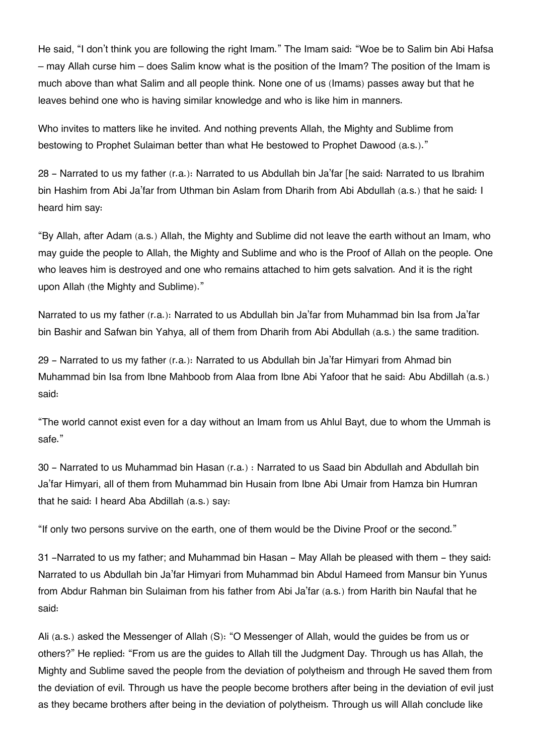He said, "I don't think you are following the right Imam." The Imam said: "Woe be to Salim bin Abi Hafsa – may Allah curse him – does Salim know what is the position of the Imam? The position of the Imam is much above than what Salim and all people think. None one of us (Imams) passes away but that he leaves behind one who is having similar knowledge and who is like him in manners.

Who invites to matters like he invited. And nothing prevents Allah, the Mighty and Sublime from bestowing to Prophet Sulaiman better than what He bestowed to Prophet Dawood (a.s.)."

28 - Narrated to us my father (r.a.): Narrated to us Abdullah bin Ja'far [he said: Narrated to us Ibrahim bin Hashim from Abi Ja'far from Uthman bin Aslam from Dharih from Abi Abdullah (a.s.) that he said: I heard him say:

"By Allah, after Adam (a.s.) Allah, the Mighty and Sublime did not leave the earth without an Imam, who may guide the people to Allah, the Mighty and Sublime and who is the Proof of Allah on the people. One who leaves him is destroyed and one who remains attached to him gets salvation. And it is the right upon Allah (the Mighty and Sublime)."

Narrated to us my father (r.a.): Narrated to us Abdullah bin Ja'far from Muhammad bin Isa from Ja'far bin Bashir and Safwan bin Yahya, all of them from Dharih from Abi Abdullah (a.s.) the same tradition.

29 - Narrated to us my father (r.a.): Narrated to us Abdullah bin Ja'far Himyari from Ahmad bin Muhammad bin Isa from Ibne Mahboob from Alaa from Ibne Abi Yafoor that he said: Abu Abdillah (a.s.) said:

"The world cannot exist even for a day without an Imam from us Ahlul Bayt, due to whom the Ummah is safe."

30 - Narrated to us Muhammad bin Hasan (r.a.) : Narrated to us Saad bin Abdullah and Abdullah bin Ja'far Himyari, all of them from Muhammad bin Husain from Ibne Abi Umair from Hamza bin Humran that he said: I heard Aba Abdillah (a.s.) say:

"If only two persons survive on the earth, one of them would be the Divine Proof or the second."

31 -Narrated to us my father; and Muhammad bin Hasan - May Allah be pleased with them - they said: Narrated to us Abdullah bin Ja'far Himyari from Muhammad bin Abdul Hameed from Mansur bin Yunus from Abdur Rahman bin Sulaiman from his father from Abi Ja'far (a.s.) from Harith bin Naufal that he said:

Ali (a.s.) asked the Messenger of Allah (S): "O Messenger of Allah, would the guides be from us or others?" He replied: "From us are the guides to Allah till the Judgment Day. Through us has Allah, the Mighty and Sublime saved the people from the deviation of polytheism and through He saved them from the deviation of evil. Through us have the people become brothers after being in the deviation of evil just as they became brothers after being in the deviation of polytheism. Through us will Allah conclude like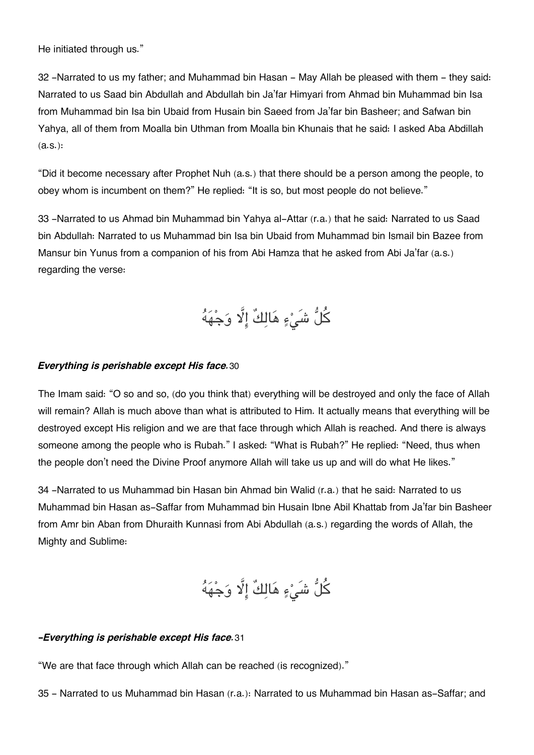He initiated through us."

32 -Narrated to us my father; and Muhammad bin Hasan - May Allah be pleased with them - they said: Narrated to us Saad bin Abdullah and Abdullah bin Ja'far Himyari from Ahmad bin Muhammad bin Isa from Muhammad bin Isa bin Ubaid from Husain bin Saeed from Ja'far bin Basheer; and Safwan bin Yahya, all of them from Moalla bin Uthman from Moalla bin Khunais that he said: I asked Aba Abdillah (a.s.):

"Did it become necessary after Prophet Nuh (a.s.) that there should be a person among the people, to obey whom is incumbent on them?" He replied: "It is so, but most people do not believe."

33 -Narrated to us Ahmad bin Muhammad bin Yahya al-Attar (r.a.) that he said: Narrated to us Saad bin Abdullah: Narrated to us Muhammad bin Isa bin Ubaid from Muhammad bin Ismail bin Bazee from Mansur bin Yunus from a companion of his from Abi Hamza that he asked from Abi Ja'far (a.s.) regarding the verse:

كُلُّ شَيْءٍ هَالِكٌ إِلَّا وَجْهَهُ

#### *Everything is perishable except His face.*[30](#page--1-0)

The Imam said: "O so and so, (do you think that) everything will be destroyed and only the face of Allah will remain? Allah is much above than what is attributed to Him. It actually means that everything will be destroyed except His religion and we are that face through which Allah is reached. And there is always someone among the people who is Rubah." I asked: "What is Rubah?" He replied: "Need, thus when the people don't need the Divine Proof anymore Allah will take us up and will do what He likes."

34 -Narrated to us Muhammad bin Hasan bin Ahmad bin Walid (r.a.) that he said: Narrated to us Muhammad bin Hasan as-Saffar from Muhammad bin Husain Ibne Abil Khattab from Ja'far bin Basheer from Amr bin Aban from Dhuraith Kunnasi from Abi Abdullah (a.s.) regarding the words of Allah, the Mighty and Sublime:

كُلُّ شَىْءٍ هَالِكٌ إِلَّا وَجْهَهُ

#### *-Everything is perishable except His face.*[31](#page--1-0)

"We are that face through which Allah can be reached (is recognized)."

35 - Narrated to us Muhammad bin Hasan (r.a.): Narrated to us Muhammad bin Hasan as-Saffar; and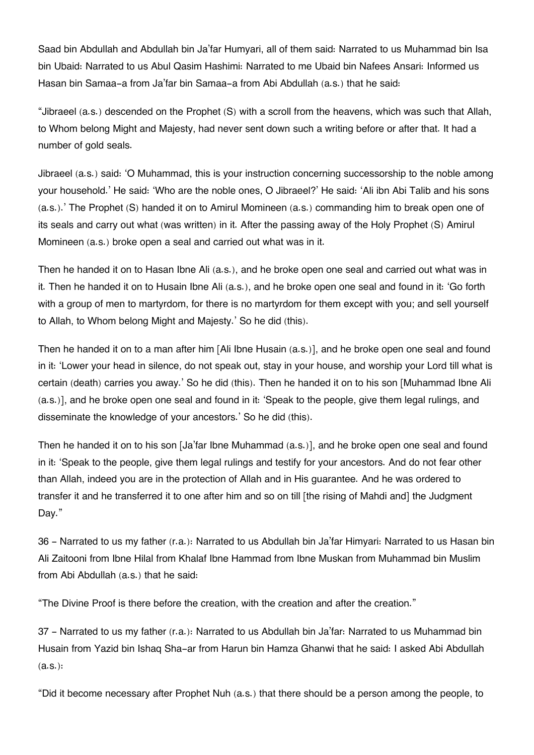Saad bin Abdullah and Abdullah bin Ja'far Humyari, all of them said: Narrated to us Muhammad bin Isa bin Ubaid: Narrated to us Abul Qasim Hashimi: Narrated to me Ubaid bin Nafees Ansari: Informed us Hasan bin Samaa-a from Ja'far bin Samaa-a from Abi Abdullah (a.s.) that he said:

"Jibraeel (a.s.) descended on the Prophet (S) with a scroll from the heavens, which was such that Allah, to Whom belong Might and Majesty, had never sent down such a writing before or after that. It had a number of gold seals.

Jibraeel (a.s.) said: 'O Muhammad, this is your instruction concerning successorship to the noble among your household.' He said: 'Who are the noble ones, O Jibraeel?' He said: 'Ali ibn Abi Talib and his sons (a.s.).' The Prophet (S) handed it on to Amirul Momineen (a.s.) commanding him to break open one of its seals and carry out what (was written) in it. After the passing away of the Holy Prophet (S) Amirul Momineen (a.s.) broke open a seal and carried out what was in it.

Then he handed it on to Hasan Ibne Ali (a.s.), and he broke open one seal and carried out what was in it. Then he handed it on to Husain Ibne Ali (a.s.), and he broke open one seal and found in it: 'Go forth with a group of men to martyrdom, for there is no martyrdom for them except with you; and sell yourself to Allah, to Whom belong Might and Majesty.' So he did (this).

Then he handed it on to a man after him [Ali Ibne Husain (a.s.)], and he broke open one seal and found in it: 'Lower your head in silence, do not speak out, stay in your house, and worship your Lord till what is certain (death) carries you away.' So he did (this). Then he handed it on to his son [Muhammad Ibne Ali (a.s.)], and he broke open one seal and found in it: 'Speak to the people, give them legal rulings, and disseminate the knowledge of your ancestors.' So he did (this).

Then he handed it on to his son [Ja'far Ibne Muhammad (a.s.)], and he broke open one seal and found in it: 'Speak to the people, give them legal rulings and testify for your ancestors. And do not fear other than Allah, indeed you are in the protection of Allah and in His guarantee. And he was ordered to transfer it and he transferred it to one after him and so on till [the rising of Mahdi and] the Judgment Day."

36 - Narrated to us my father (r.a.): Narrated to us Abdullah bin Ja'far Himyari: Narrated to us Hasan bin Ali Zaitooni from Ibne Hilal from Khalaf Ibne Hammad from Ibne Muskan from Muhammad bin Muslim from Abi Abdullah (a.s.) that he said:

"The Divine Proof is there before the creation, with the creation and after the creation."

37 - Narrated to us my father (r.a.): Narrated to us Abdullah bin Ja'far: Narrated to us Muhammad bin Husain from Yazid bin Ishaq Sha-ar from Harun bin Hamza Ghanwi that he said: I asked Abi Abdullah (a.s.):

"Did it become necessary after Prophet Nuh (a.s.) that there should be a person among the people, to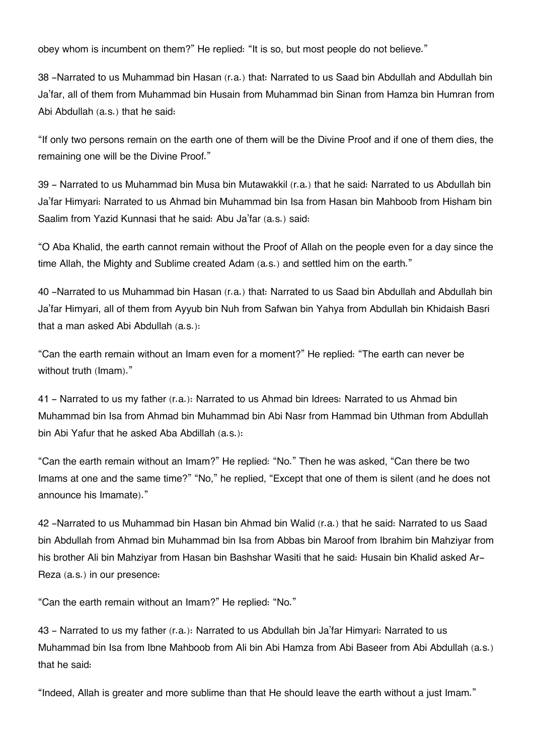obey whom is incumbent on them?" He replied: "It is so, but most people do not believe."

38 -Narrated to us Muhammad bin Hasan (r.a.) that: Narrated to us Saad bin Abdullah and Abdullah bin Ja'far, all of them from Muhammad bin Husain from Muhammad bin Sinan from Hamza bin Humran from Abi Abdullah (a.s.) that he said:

"If only two persons remain on the earth one of them will be the Divine Proof and if one of them dies, the remaining one will be the Divine Proof."

39 - Narrated to us Muhammad bin Musa bin Mutawakkil (r.a.) that he said: Narrated to us Abdullah bin Ja'far Himyari: Narrated to us Ahmad bin Muhammad bin Isa from Hasan bin Mahboob from Hisham bin Saalim from Yazid Kunnasi that he said: Abu Ja'far (a.s.) said:

"O Aba Khalid, the earth cannot remain without the Proof of Allah on the people even for a day since the time Allah, the Mighty and Sublime created Adam (a.s.) and settled him on the earth."

40 -Narrated to us Muhammad bin Hasan (r.a.) that: Narrated to us Saad bin Abdullah and Abdullah bin Ja'far Himyari, all of them from Ayyub bin Nuh from Safwan bin Yahya from Abdullah bin Khidaish Basri that a man asked Abi Abdullah (a.s.):

"Can the earth remain without an Imam even for a moment?" He replied: "The earth can never be without truth (Imam)."

41 - Narrated to us my father (r.a.): Narrated to us Ahmad bin Idrees: Narrated to us Ahmad bin Muhammad bin Isa from Ahmad bin Muhammad bin Abi Nasr from Hammad bin Uthman from Abdullah bin Abi Yafur that he asked Aba Abdillah (a.s.):

"Can the earth remain without an Imam?" He replied: "No." Then he was asked, "Can there be two Imams at one and the same time?" "No," he replied, "Except that one of them is silent (and he does not announce his Imamate)."

42 -Narrated to us Muhammad bin Hasan bin Ahmad bin Walid (r.a.) that he said: Narrated to us Saad bin Abdullah from Ahmad bin Muhammad bin Isa from Abbas bin Maroof from Ibrahim bin Mahziyar from his brother Ali bin Mahziyar from Hasan bin Bashshar Wasiti that he said: Husain bin Khalid asked Ar-Reza (a.s.) in our presence:

"Can the earth remain without an Imam?" He replied: "No."

43 - Narrated to us my father (r.a.): Narrated to us Abdullah bin Ja'far Himyari: Narrated to us Muhammad bin Isa from Ibne Mahboob from Ali bin Abi Hamza from Abi Baseer from Abi Abdullah (a.s.) that he said:

"Indeed, Allah is greater and more sublime than that He should leave the earth without a just Imam."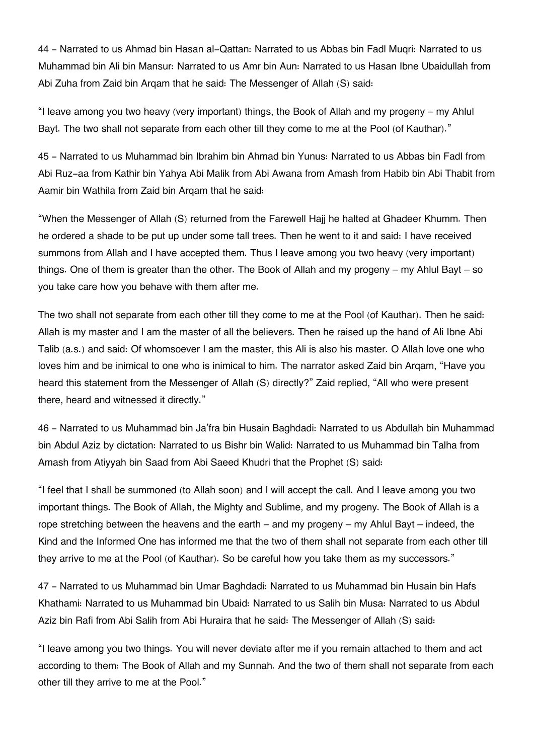44 - Narrated to us Ahmad bin Hasan al-Qattan: Narrated to us Abbas bin Fadl Muqri: Narrated to us Muhammad bin Ali bin Mansur: Narrated to us Amr bin Aun: Narrated to us Hasan Ibne Ubaidullah from Abi Zuha from Zaid bin Arqam that he said: The Messenger of Allah (S) said:

"I leave among you two heavy (very important) things, the Book of Allah and my progeny – my Ahlul Bayt. The two shall not separate from each other till they come to me at the Pool (of Kauthar)."

45 - Narrated to us Muhammad bin Ibrahim bin Ahmad bin Yunus: Narrated to us Abbas bin Fadl from Abi Ruz-aa from Kathir bin Yahya Abi Malik from Abi Awana from Amash from Habib bin Abi Thabit from Aamir bin Wathila from Zaid bin Arqam that he said:

"When the Messenger of Allah (S) returned from the Farewell Hajj he halted at Ghadeer Khumm. Then he ordered a shade to be put up under some tall trees. Then he went to it and said: I have received summons from Allah and I have accepted them. Thus I leave among you two heavy (very important) things. One of them is greater than the other. The Book of Allah and my progeny – my Ahlul Bayt – so you take care how you behave with them after me.

The two shall not separate from each other till they come to me at the Pool (of Kauthar). Then he said: Allah is my master and I am the master of all the believers. Then he raised up the hand of Ali Ibne Abi Talib (a.s.) and said: Of whomsoever I am the master, this Ali is also his master. O Allah love one who loves him and be inimical to one who is inimical to him. The narrator asked Zaid bin Arqam, "Have you heard this statement from the Messenger of Allah (S) directly?" Zaid replied, "All who were present there, heard and witnessed it directly."

46 - Narrated to us Muhammad bin Ja'fra bin Husain Baghdadi: Narrated to us Abdullah bin Muhammad bin Abdul Aziz by dictation: Narrated to us Bishr bin Walid: Narrated to us Muhammad bin Talha from Amash from Atiyyah bin Saad from Abi Saeed Khudri that the Prophet (S) said:

"I feel that I shall be summoned (to Allah soon) and I will accept the call. And I leave among you two important things. The Book of Allah, the Mighty and Sublime, and my progeny. The Book of Allah is a rope stretching between the heavens and the earth – and my progeny – my Ahlul Bayt – indeed, the Kind and the Informed One has informed me that the two of them shall not separate from each other till they arrive to me at the Pool (of Kauthar). So be careful how you take them as my successors."

47 - Narrated to us Muhammad bin Umar Baghdadi: Narrated to us Muhammad bin Husain bin Hafs Khathami: Narrated to us Muhammad bin Ubaid: Narrated to us Salih bin Musa: Narrated to us Abdul Aziz bin Rafi from Abi Salih from Abi Huraira that he said: The Messenger of Allah (S) said:

"I leave among you two things. You will never deviate after me if you remain attached to them and act according to them: The Book of Allah and my Sunnah. And the two of them shall not separate from each other till they arrive to me at the Pool."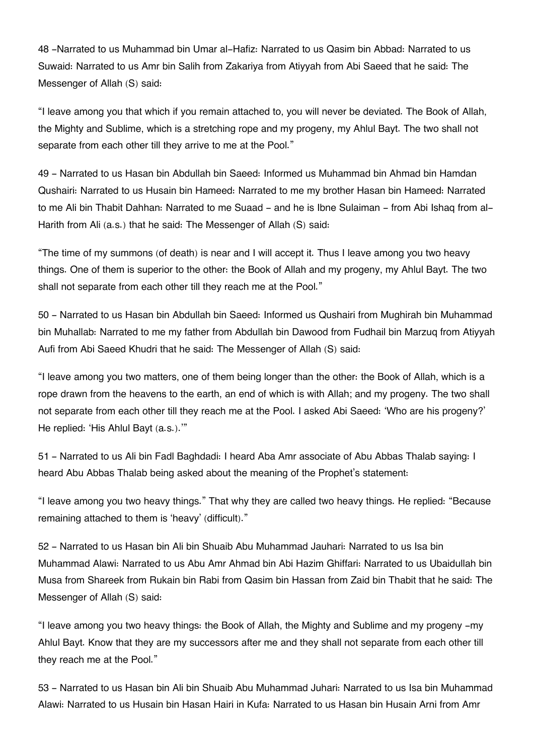48 -Narrated to us Muhammad bin Umar al-Hafiz: Narrated to us Qasim bin Abbad: Narrated to us Suwaid: Narrated to us Amr bin Salih from Zakariya from Atiyyah from Abi Saeed that he said: The Messenger of Allah (S) said:

"I leave among you that which if you remain attached to, you will never be deviated. The Book of Allah, the Mighty and Sublime, which is a stretching rope and my progeny, my Ahlul Bayt. The two shall not separate from each other till they arrive to me at the Pool."

49 - Narrated to us Hasan bin Abdullah bin Saeed: Informed us Muhammad bin Ahmad bin Hamdan Qushairi: Narrated to us Husain bin Hameed: Narrated to me my brother Hasan bin Hameed: Narrated to me Ali bin Thabit Dahhan: Narrated to me Suaad - and he is Ibne Sulaiman - from Abi Ishaq from al-Harith from Ali (a.s.) that he said: The Messenger of Allah (S) said:

"The time of my summons (of death) is near and I will accept it. Thus I leave among you two heavy things. One of them is superior to the other: the Book of Allah and my progeny, my Ahlul Bayt. The two shall not separate from each other till they reach me at the Pool."

50 - Narrated to us Hasan bin Abdullah bin Saeed: Informed us Qushairi from Mughirah bin Muhammad bin Muhallab: Narrated to me my father from Abdullah bin Dawood from Fudhail bin Marzuq from Atiyyah Aufi from Abi Saeed Khudri that he said: The Messenger of Allah (S) said:

"I leave among you two matters, one of them being longer than the other: the Book of Allah, which is a rope drawn from the heavens to the earth, an end of which is with Allah; and my progeny. The two shall not separate from each other till they reach me at the Pool. I asked Abi Saeed: 'Who are his progeny?' He replied: 'His Ahlul Bayt (a.s.).'"

51 - Narrated to us Ali bin Fadl Baghdadi: I heard Aba Amr associate of Abu Abbas Thalab saying: I heard Abu Abbas Thalab being asked about the meaning of the Prophet's statement:

"I leave among you two heavy things." That why they are called two heavy things. He replied: "Because remaining attached to them is 'heavy' (difficult)."

52 - Narrated to us Hasan bin Ali bin Shuaib Abu Muhammad Jauhari: Narrated to us Isa bin Muhammad Alawi: Narrated to us Abu Amr Ahmad bin Abi Hazim Ghiffari: Narrated to us Ubaidullah bin Musa from Shareek from Rukain bin Rabi from Qasim bin Hassan from Zaid bin Thabit that he said: The Messenger of Allah (S) said:

"I leave among you two heavy things: the Book of Allah, the Mighty and Sublime and my progeny -my Ahlul Bayt. Know that they are my successors after me and they shall not separate from each other till they reach me at the Pool."

53 - Narrated to us Hasan bin Ali bin Shuaib Abu Muhammad Juhari: Narrated to us Isa bin Muhammad Alawi: Narrated to us Husain bin Hasan Hairi in Kufa: Narrated to us Hasan bin Husain Arni from Amr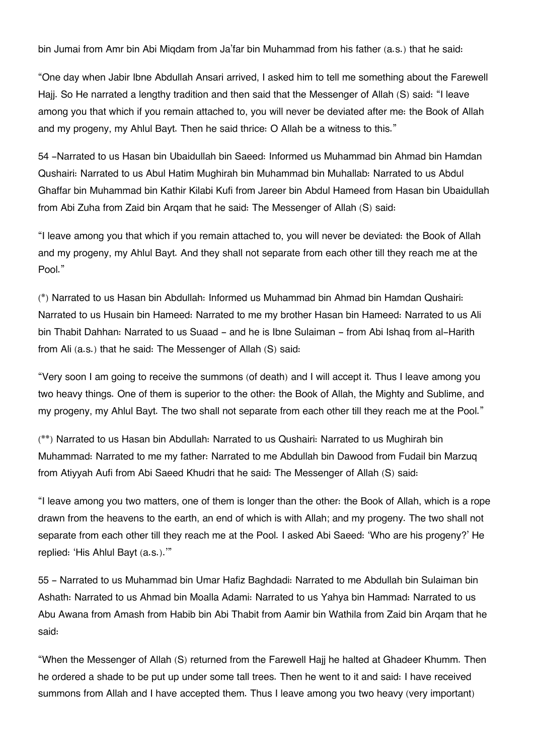bin Jumai from Amr bin Abi Miqdam from Ja'far bin Muhammad from his father (a.s.) that he said:

"One day when Jabir Ibne Abdullah Ansari arrived, I asked him to tell me something about the Farewell Hajj. So He narrated a lengthy tradition and then said that the Messenger of Allah (S) said: "I leave among you that which if you remain attached to, you will never be deviated after me: the Book of Allah and my progeny, my Ahlul Bayt. Then he said thrice: O Allah be a witness to this."

54 -Narrated to us Hasan bin Ubaidullah bin Saeed: Informed us Muhammad bin Ahmad bin Hamdan Qushairi: Narrated to us Abul Hatim Mughirah bin Muhammad bin Muhallab: Narrated to us Abdul Ghaffar bin Muhammad bin Kathir Kilabi Kufi from Jareer bin Abdul Hameed from Hasan bin Ubaidullah from Abi Zuha from Zaid bin Arqam that he said: The Messenger of Allah (S) said:

"I leave among you that which if you remain attached to, you will never be deviated: the Book of Allah and my progeny, my Ahlul Bayt. And they shall not separate from each other till they reach me at the Pool."

(\*) Narrated to us Hasan bin Abdullah: Informed us Muhammad bin Ahmad bin Hamdan Qushairi: Narrated to us Husain bin Hameed: Narrated to me my brother Hasan bin Hameed: Narrated to us Ali bin Thabit Dahhan: Narrated to us Suaad - and he is Ibne Sulaiman - from Abi Ishaq from al-Harith from Ali (a.s.) that he said: The Messenger of Allah (S) said:

"Very soon I am going to receive the summons (of death) and I will accept it. Thus I leave among you two heavy things. One of them is superior to the other: the Book of Allah, the Mighty and Sublime, and my progeny, my Ahlul Bayt. The two shall not separate from each other till they reach me at the Pool."

(\*\*) Narrated to us Hasan bin Abdullah: Narrated to us Qushairi: Narrated to us Mughirah bin Muhammad: Narrated to me my father: Narrated to me Abdullah bin Dawood from Fudail bin Marzuq from Atiyyah Aufi from Abi Saeed Khudri that he said: The Messenger of Allah (S) said:

"I leave among you two matters, one of them is longer than the other: the Book of Allah, which is a rope drawn from the heavens to the earth, an end of which is with Allah; and my progeny. The two shall not separate from each other till they reach me at the Pool. I asked Abi Saeed: 'Who are his progeny?' He replied: 'His Ahlul Bayt (a.s.).'"

55 - Narrated to us Muhammad bin Umar Hafiz Baghdadi: Narrated to me Abdullah bin Sulaiman bin Ashath: Narrated to us Ahmad bin Moalla Adami: Narrated to us Yahya bin Hammad: Narrated to us Abu Awana from Amash from Habib bin Abi Thabit from Aamir bin Wathila from Zaid bin Arqam that he said:

"When the Messenger of Allah (S) returned from the Farewell Hajj he halted at Ghadeer Khumm. Then he ordered a shade to be put up under some tall trees. Then he went to it and said: I have received summons from Allah and I have accepted them. Thus I leave among you two heavy (very important)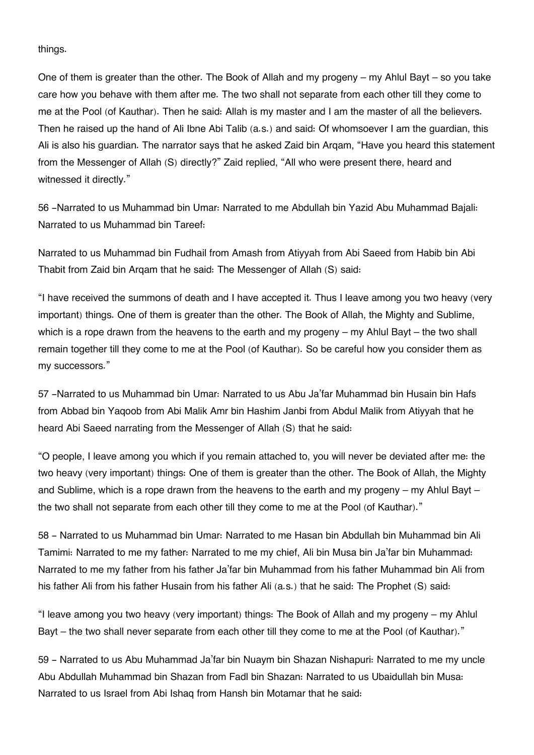things.

One of them is greater than the other. The Book of Allah and my progeny – my Ahlul Bayt – so you take care how you behave with them after me. The two shall not separate from each other till they come to me at the Pool (of Kauthar). Then he said: Allah is my master and I am the master of all the believers. Then he raised up the hand of Ali Ibne Abi Talib (a.s.) and said: Of whomsoever I am the guardian, this Ali is also his guardian. The narrator says that he asked Zaid bin Arqam, "Have you heard this statement from the Messenger of Allah (S) directly?" Zaid replied, "All who were present there, heard and witnessed it directly."

56 -Narrated to us Muhammad bin Umar: Narrated to me Abdullah bin Yazid Abu Muhammad Bajali: Narrated to us Muhammad bin Tareef:

Narrated to us Muhammad bin Fudhail from Amash from Atiyyah from Abi Saeed from Habib bin Abi Thabit from Zaid bin Arqam that he said: The Messenger of Allah (S) said:

"I have received the summons of death and I have accepted it. Thus I leave among you two heavy (very important) things. One of them is greater than the other. The Book of Allah, the Mighty and Sublime, which is a rope drawn from the heavens to the earth and my progeny – my Ahlul Bayt – the two shall remain together till they come to me at the Pool (of Kauthar). So be careful how you consider them as my successors."

57 -Narrated to us Muhammad bin Umar: Narrated to us Abu Ja'far Muhammad bin Husain bin Hafs from Abbad bin Yaqoob from Abi Malik Amr bin Hashim Janbi from Abdul Malik from Atiyyah that he heard Abi Saeed narrating from the Messenger of Allah (S) that he said:

"O people, I leave among you which if you remain attached to, you will never be deviated after me: the two heavy (very important) things: One of them is greater than the other. The Book of Allah, the Mighty and Sublime, which is a rope drawn from the heavens to the earth and my progeny – my Ahlul Bayt – the two shall not separate from each other till they come to me at the Pool (of Kauthar)."

58 - Narrated to us Muhammad bin Umar: Narrated to me Hasan bin Abdullah bin Muhammad bin Ali Tamimi: Narrated to me my father: Narrated to me my chief, Ali bin Musa bin Ja'far bin Muhammad: Narrated to me my father from his father Ja'far bin Muhammad from his father Muhammad bin Ali from his father Ali from his father Husain from his father Ali (a.s.) that he said: The Prophet (S) said:

"I leave among you two heavy (very important) things: The Book of Allah and my progeny – my Ahlul Bayt – the two shall never separate from each other till they come to me at the Pool (of Kauthar)."

59 - Narrated to us Abu Muhammad Ja'far bin Nuaym bin Shazan Nishapuri: Narrated to me my uncle Abu Abdullah Muhammad bin Shazan from Fadl bin Shazan: Narrated to us Ubaidullah bin Musa: Narrated to us Israel from Abi Ishaq from Hansh bin Motamar that he said: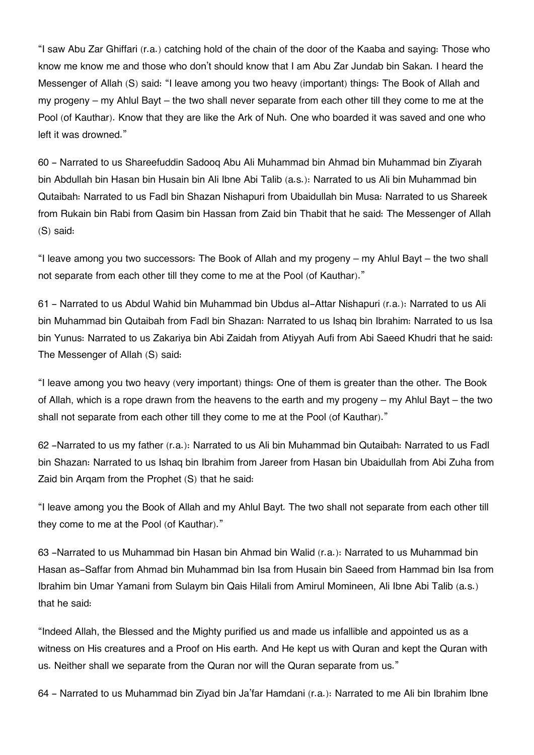"I saw Abu Zar Ghiffari (r.a.) catching hold of the chain of the door of the Kaaba and saying: Those who know me know me and those who don't should know that I am Abu Zar Jundab bin Sakan. I heard the Messenger of Allah (S) said: "I leave among you two heavy (important) things: The Book of Allah and my progeny – my Ahlul Bayt – the two shall never separate from each other till they come to me at the Pool (of Kauthar). Know that they are like the Ark of Nuh. One who boarded it was saved and one who left it was drowned."

60 - Narrated to us Shareefuddin Sadooq Abu Ali Muhammad bin Ahmad bin Muhammad bin Ziyarah bin Abdullah bin Hasan bin Husain bin Ali Ibne Abi Talib (a.s.): Narrated to us Ali bin Muhammad bin Qutaibah: Narrated to us Fadl bin Shazan Nishapuri from Ubaidullah bin Musa: Narrated to us Shareek from Rukain bin Rabi from Qasim bin Hassan from Zaid bin Thabit that he said: The Messenger of Allah (S) said:

"I leave among you two successors: The Book of Allah and my progeny – my Ahlul Bayt – the two shall not separate from each other till they come to me at the Pool (of Kauthar)."

61 - Narrated to us Abdul Wahid bin Muhammad bin Ubdus al-Attar Nishapuri (r.a.): Narrated to us Ali bin Muhammad bin Qutaibah from Fadl bin Shazan: Narrated to us Ishaq bin Ibrahim: Narrated to us Isa bin Yunus: Narrated to us Zakariya bin Abi Zaidah from Atiyyah Aufi from Abi Saeed Khudri that he said: The Messenger of Allah (S) said:

"I leave among you two heavy (very important) things: One of them is greater than the other. The Book of Allah, which is a rope drawn from the heavens to the earth and my progeny – my Ahlul Bayt – the two shall not separate from each other till they come to me at the Pool (of Kauthar)."

62 -Narrated to us my father (r.a.): Narrated to us Ali bin Muhammad bin Qutaibah: Narrated to us Fadl bin Shazan: Narrated to us Ishaq bin Ibrahim from Jareer from Hasan bin Ubaidullah from Abi Zuha from Zaid bin Arqam from the Prophet (S) that he said:

"I leave among you the Book of Allah and my Ahlul Bayt. The two shall not separate from each other till they come to me at the Pool (of Kauthar)."

63 -Narrated to us Muhammad bin Hasan bin Ahmad bin Walid (r.a.): Narrated to us Muhammad bin Hasan as-Saffar from Ahmad bin Muhammad bin Isa from Husain bin Saeed from Hammad bin Isa from Ibrahim bin Umar Yamani from Sulaym bin Qais Hilali from Amirul Momineen, Ali Ibne Abi Talib (a.s.) that he said:

"Indeed Allah, the Blessed and the Mighty purified us and made us infallible and appointed us as a witness on His creatures and a Proof on His earth. And He kept us with Quran and kept the Quran with us. Neither shall we separate from the Quran nor will the Quran separate from us."

64 - Narrated to us Muhammad bin Ziyad bin Ja'far Hamdani (r.a.): Narrated to me Ali bin Ibrahim Ibne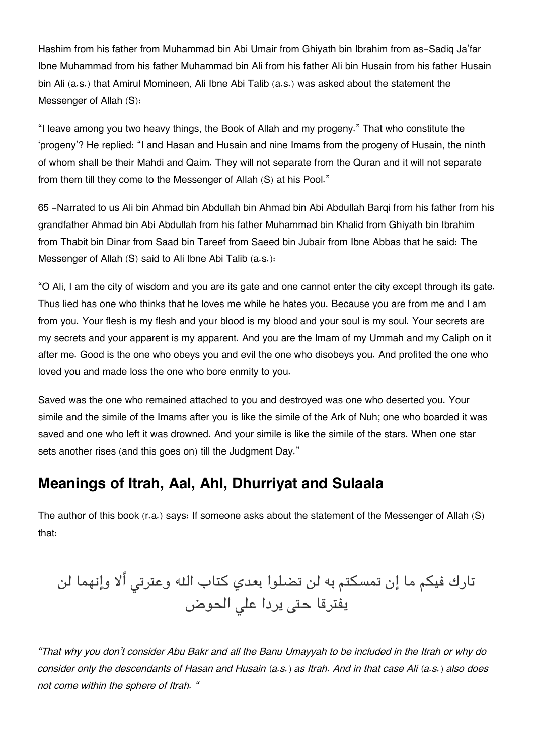Hashim from his father from Muhammad bin Abi Umair from Ghiyath bin Ibrahim from as-Sadiq Ja'far Ibne Muhammad from his father Muhammad bin Ali from his father Ali bin Husain from his father Husain bin Ali (a.s.) that Amirul Momineen, Ali Ibne Abi Talib (a.s.) was asked about the statement the Messenger of Allah (S):

"I leave among you two heavy things, the Book of Allah and my progeny." That who constitute the 'progeny'? He replied: "I and Hasan and Husain and nine Imams from the progeny of Husain, the ninth of whom shall be their Mahdi and Qaim. They will not separate from the Quran and it will not separate from them till they come to the Messenger of Allah (S) at his Pool."

65 -Narrated to us Ali bin Ahmad bin Abdullah bin Ahmad bin Abi Abdullah Barqi from his father from his grandfather Ahmad bin Abi Abdullah from his father Muhammad bin Khalid from Ghiyath bin Ibrahim from Thabit bin Dinar from Saad bin Tareef from Saeed bin Jubair from Ibne Abbas that he said: The Messenger of Allah (S) said to Ali Ibne Abi Talib (a.s.):

"O Ali, I am the city of wisdom and you are its gate and one cannot enter the city except through its gate. Thus lied has one who thinks that he loves me while he hates you. Because you are from me and I am from you. Your flesh is my flesh and your blood is my blood and your soul is my soul. Your secrets are my secrets and your apparent is my apparent. And you are the Imam of my Ummah and my Caliph on it after me. Good is the one who obeys you and evil the one who disobeys you. And profited the one who loved you and made loss the one who bore enmity to you.

Saved was the one who remained attached to you and destroyed was one who deserted you. Your simile and the simile of the Imams after you is like the simile of the Ark of Nuh; one who boarded it was saved and one who left it was drowned. And your simile is like the simile of the stars. When one star sets another rises (and this goes on) till the Judgment Day."

### **[Meanings of Itrah, Aal, Ahl, Dhurriyat and Sulaala](#page--1-0)**

The author of this book (r.a.) says: If someone asks about the statement of the Messenger of Allah (S) that:

## تارك فيكم ما إن تمسكتم به لن تضلوا بعدي كتاب الله وعترتي ألا وإنهما لن يفترقا حتى يردا على الحوض

*"That why you don't consider Abu Bakr and all the Banu Umayyah to be included in the Itrah or why do consider only the descendants of Hasan and Husain (a.s.) as Itrah. And in that case Ali (a.s.) also does not come within the sphere of Itrah. "*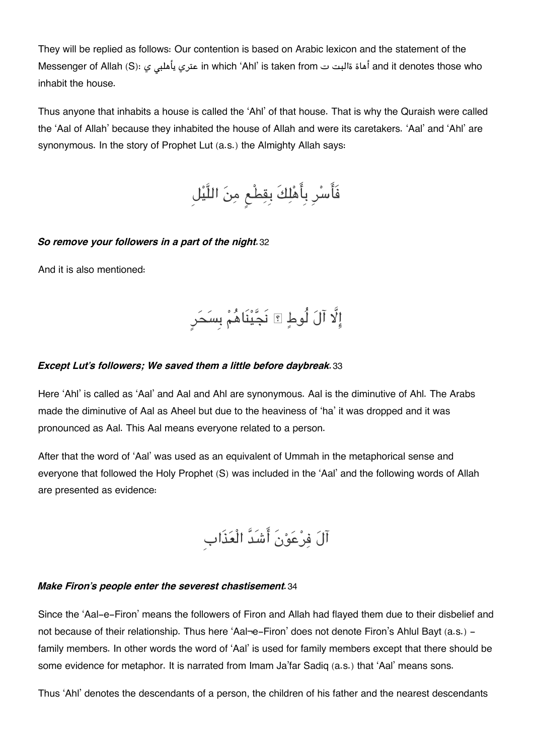They will be replied as follows: Our contention is based on Arabic lexicon and the statement of the Messenger of Allah (S): ي يأهلب عتري in which 'Ahl' is taken from ت ةالبت أهاة and it denotes those who inhabit the house.

Thus anyone that inhabits a house is called the 'Ahl' of that house. That is why the Quraish were called the 'Aal of Allah' because they inhabited the house of Allah and were its caretakers. 'Aal' and 'Ahl' are synonymous. In the story of Prophet Lut (a.s.) the Almighty Allah says:

فَاسرِ بِاهلكَ بِقطْع من اللَّيل

#### *So remove your followers in a part of the night.*[32](#page--1-0)

And it is also mentioned:

إِلَّا آلَ لُوطٍ ۞ نَجَّيْنَاهُمْ بِسَحَرٍ

#### *Except Lut's followers; We saved them a little before daybreak.*[33](#page--1-0)

Here 'Ahl' is called as 'Aal' and Aal and Ahl are synonymous. Aal is the diminutive of Ahl. The Arabs made the diminutive of Aal as Aheel but due to the heaviness of 'ha' it was dropped and it was pronounced as Aal. This Aal means everyone related to a person.

After that the word of 'Aal' was used as an equivalent of Ummah in the metaphorical sense and everyone that followed the Holy Prophet (S) was included in the 'Aal' and the following words of Allah are presented as evidence:

آل فرعونَ اشَدَّ الْعذَابِ

#### *Make Firon's people enter the severest chastisement.*[34](#page--1-0)

Since the 'Aal-e-Firon' means the followers of Firon and Allah had flayed them due to their disbelief and not because of their relationship. Thus here 'Aal¬e-Firon' does not denote Firon's Ahlul Bayt (a.s.) family members. In other words the word of 'Aal' is used for family members except that there should be some evidence for metaphor. It is narrated from Imam Ja'far Sadiq (a.s.) that 'Aal' means sons.

Thus 'Ahl' denotes the descendants of a person, the children of his father and the nearest descendants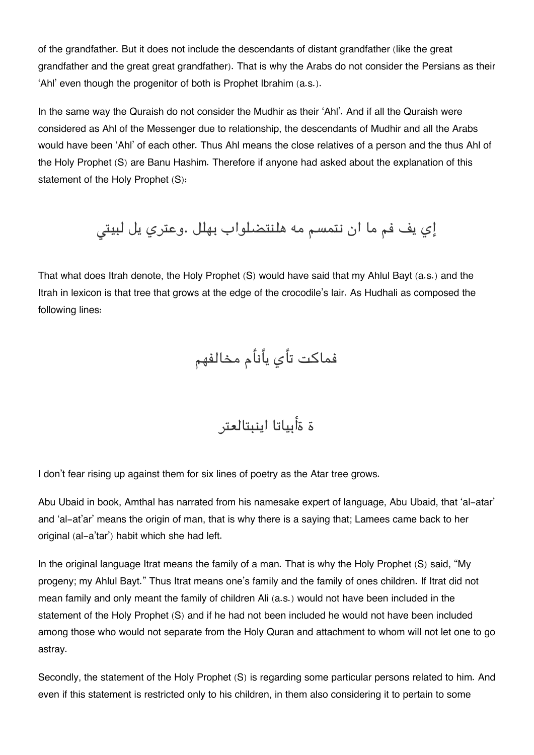of the grandfather. But it does not include the descendants of distant grandfather (like the great grandfather and the great great grandfather). That is why the Arabs do not consider the Persians as their 'Ahl' even though the progenitor of both is Prophet Ibrahim (a.s.).

In the same way the Quraish do not consider the Mudhir as their 'Ahl'. And if all the Quraish were considered as Ahl of the Messenger due to relationship, the descendants of Mudhir and all the Arabs would have been 'Ahl' of each other. Thus Ahl means the close relatives of a person and the thus Ahl of the Holy Prophet (S) are Banu Hashim. Therefore if anyone had asked about the explanation of this statement of the Holy Prophet (S):

إي يف فم ما ان نتمسم مه هلنتضلواب بهلل .وعتري يل لبيت

That what does Itrah denote, the Holy Prophet (S) would have said that my Ahlul Bayt (a.s.) and the Itrah in lexicon is that tree that grows at the edge of the crocodile's lair. As Hudhali as composed the following lines:

## فماكت تأي يأنأم مخالفهم

ة ةأبياتا اينبتالعتر

I don't fear rising up against them for six lines of poetry as the Atar tree grows.

Abu Ubaid in book, Amthal has narrated from his namesake expert of language, Abu Ubaid, that 'al-atar' and 'al-at'ar' means the origin of man, that is why there is a saying that; Lamees came back to her original (al-a'tar') habit which she had left.

In the original language Itrat means the family of a man. That is why the Holy Prophet (S) said, "My progeny; my Ahlul Bayt." Thus Itrat means one's family and the family of ones children. If Itrat did not mean family and only meant the family of children Ali (a.s.) would not have been included in the statement of the Holy Prophet (S) and if he had not been included he would not have been included among those who would not separate from the Holy Quran and attachment to whom will not let one to go astray.

Secondly, the statement of the Holy Prophet (S) is regarding some particular persons related to him. And even if this statement is restricted only to his children, in them also considering it to pertain to some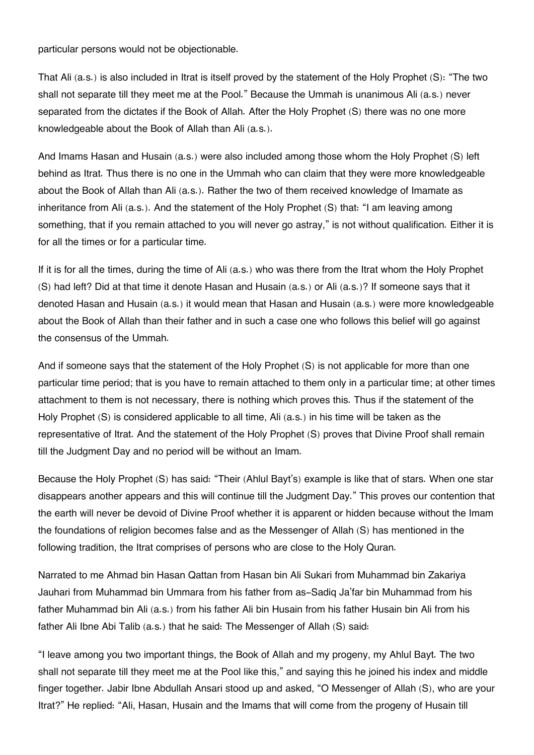particular persons would not be objectionable.

That Ali (a.s.) is also included in Itrat is itself proved by the statement of the Holy Prophet (S): "The two shall not separate till they meet me at the Pool." Because the Ummah is unanimous Ali (a.s.) never separated from the dictates if the Book of Allah. After the Holy Prophet (S) there was no one more knowledgeable about the Book of Allah than Ali (a.s.).

And Imams Hasan and Husain (a.s.) were also included among those whom the Holy Prophet (S) left behind as Itrat. Thus there is no one in the Ummah who can claim that they were more knowledgeable about the Book of Allah than Ali (a.s.). Rather the two of them received knowledge of Imamate as inheritance from Ali (a.s.). And the statement of the Holy Prophet (S) that: "I am leaving among something, that if you remain attached to you will never go astray," is not without qualification. Either it is for all the times or for a particular time.

If it is for all the times, during the time of Ali (a.s.) who was there from the Itrat whom the Holy Prophet (S) had left? Did at that time it denote Hasan and Husain (a.s.) or Ali (a.s.)? If someone says that it denoted Hasan and Husain (a.s.) it would mean that Hasan and Husain (a.s.) were more knowledgeable about the Book of Allah than their father and in such a case one who follows this belief will go against the consensus of the Ummah.

And if someone says that the statement of the Holy Prophet (S) is not applicable for more than one particular time period; that is you have to remain attached to them only in a particular time; at other times attachment to them is not necessary, there is nothing which proves this. Thus if the statement of the Holy Prophet (S) is considered applicable to all time, Ali (a.s.) in his time will be taken as the representative of Itrat. And the statement of the Holy Prophet (S) proves that Divine Proof shall remain till the Judgment Day and no period will be without an Imam.

Because the Holy Prophet (S) has said: "Their (Ahlul Bayt's) example is like that of stars. When one star disappears another appears and this will continue till the Judgment Day." This proves our contention that the earth will never be devoid of Divine Proof whether it is apparent or hidden because without the Imam the foundations of religion becomes false and as the Messenger of Allah (S) has mentioned in the following tradition, the Itrat comprises of persons who are close to the Holy Quran.

Narrated to me Ahmad bin Hasan Qattan from Hasan bin Ali Sukari from Muhammad bin Zakariya Jauhari from Muhammad bin Ummara from his father from as-Sadiq Ja'far bin Muhammad from his father Muhammad bin Ali (a.s.) from his father Ali bin Husain from his father Husain bin Ali from his father Ali Ibne Abi Talib (a.s.) that he said: The Messenger of Allah (S) said:

"I leave among you two important things, the Book of Allah and my progeny, my Ahlul Bayt. The two shall not separate till they meet me at the Pool like this," and saying this he joined his index and middle finger together. Jabir Ibne Abdullah Ansari stood up and asked, "O Messenger of Allah (S), who are your Itrat?" He replied: "Ali, Hasan, Husain and the Imams that will come from the progeny of Husain till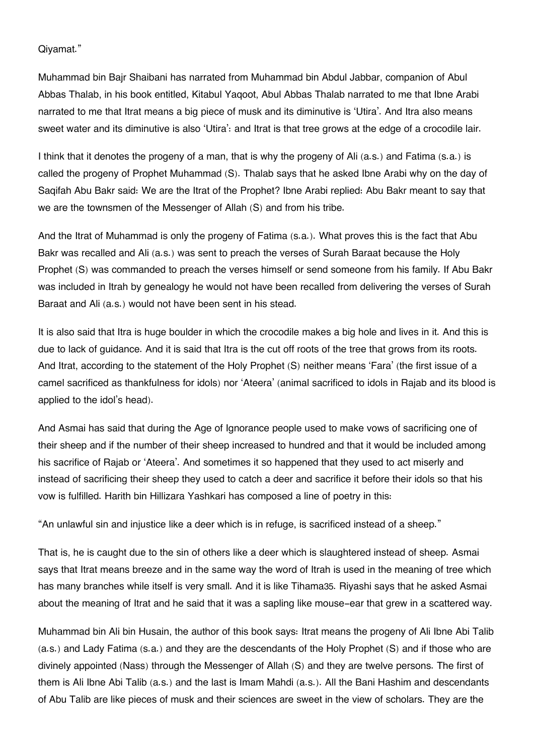#### Qiyamat."

Muhammad bin Bajr Shaibani has narrated from Muhammad bin Abdul Jabbar, companion of Abul Abbas Thalab, in his book entitled, Kitabul Yaqoot, Abul Abbas Thalab narrated to me that Ibne Arabi narrated to me that Itrat means a big piece of musk and its diminutive is 'Utira'. And Itra also means sweet water and its diminutive is also 'Utira': and Itrat is that tree grows at the edge of a crocodile lair.

I think that it denotes the progeny of a man, that is why the progeny of Ali (a.s.) and Fatima (s.a.) is called the progeny of Prophet Muhammad (S). Thalab says that he asked Ibne Arabi why on the day of Saqifah Abu Bakr said: We are the Itrat of the Prophet? Ibne Arabi replied: Abu Bakr meant to say that we are the townsmen of the Messenger of Allah (S) and from his tribe.

And the Itrat of Muhammad is only the progeny of Fatima (s.a.). What proves this is the fact that Abu Bakr was recalled and Ali (a.s.) was sent to preach the verses of Surah Baraat because the Holy Prophet (S) was commanded to preach the verses himself or send someone from his family. If Abu Bakr was included in Itrah by genealogy he would not have been recalled from delivering the verses of Surah Baraat and Ali (a.s.) would not have been sent in his stead.

It is also said that Itra is huge boulder in which the crocodile makes a big hole and lives in it. And this is due to lack of guidance. And it is said that Itra is the cut off roots of the tree that grows from its roots. And Itrat, according to the statement of the Holy Prophet (S) neither means 'Fara' (the first issue of a camel sacrificed as thankfulness for idols) nor 'Ateera' (animal sacrificed to idols in Rajab and its blood is applied to the idol's head).

And Asmai has said that during the Age of Ignorance people used to make vows of sacrificing one of their sheep and if the number of their sheep increased to hundred and that it would be included among his sacrifice of Rajab or 'Ateera'. And sometimes it so happened that they used to act miserly and instead of sacrificing their sheep they used to catch a deer and sacrifice it before their idols so that his vow is fulfilled. Harith bin Hillizara Yashkari has composed a line of poetry in this:

"An unlawful sin and injustice like a deer which is in refuge, is sacrificed instead of a sheep."

That is, he is caught due to the sin of others like a deer which is slaughtered instead of sheep. Asmai says that Itrat means breeze and in the same way the word of Itrah is used in the meaning of tree which has many branches while itself is very small. And it is like Tihama[35](#page--1-0). Riyashi says that he asked Asmai about the meaning of Itrat and he said that it was a sapling like mouse-ear that grew in a scattered way.

Muhammad bin Ali bin Husain, the author of this book says: Itrat means the progeny of Ali Ibne Abi Talib (a.s.) and Lady Fatima (s.a.) and they are the descendants of the Holy Prophet (S) and if those who are divinely appointed (Nass) through the Messenger of Allah (S) and they are twelve persons. The first of them is Ali Ibne Abi Talib (a.s.) and the last is Imam Mahdi (a.s.). All the Bani Hashim and descendants of Abu Talib are like pieces of musk and their sciences are sweet in the view of scholars. They are the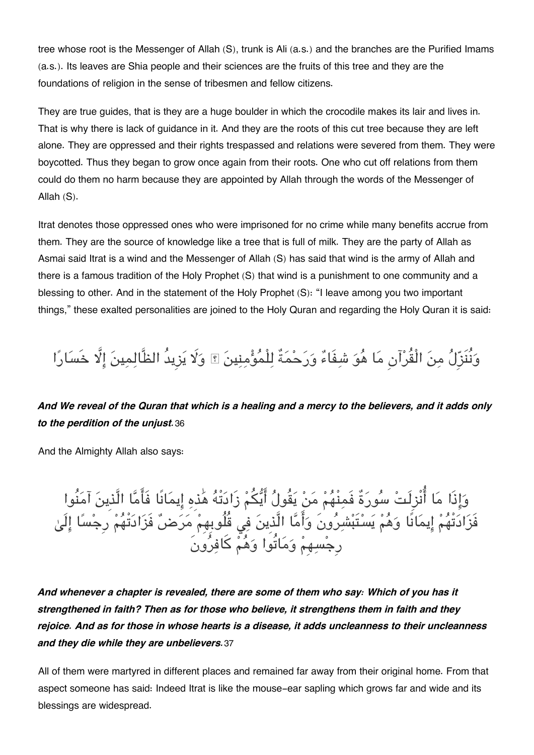tree whose root is the Messenger of Allah (S), trunk is Ali (a.s.) and the branches are the Purified Imams (a.s.). Its leaves are Shia people and their sciences are the fruits of this tree and they are the foundations of religion in the sense of tribesmen and fellow citizens.

They are true guides, that is they are a huge boulder in which the crocodile makes its lair and lives in. That is why there is lack of guidance in it. And they are the roots of this cut tree because they are left alone. They are oppressed and their rights trespassed and relations were severed from them. They were boycotted. Thus they began to grow once again from their roots. One who cut off relations from them could do them no harm because they are appointed by Allah through the words of the Messenger of Allah (S).

Itrat denotes those oppressed ones who were imprisoned for no crime while many benefits accrue from them. They are the source of knowledge like a tree that is full of milk. They are the party of Allah as Asmai said Itrat is a wind and the Messenger of Allah (S) has said that wind is the army of Allah and there is a famous tradition of the Holy Prophet (S) that wind is a punishment to one community and a blessing to other. And in the statement of the Holy Prophet (S): "I leave among you two important things," these exalted personalities are joined to the Holy Quran and regarding the Holy Quran it is said:

وَنُنَزِّلُ مِنَ الْقُرْآنِ مَا هُوَ شِفَاءٌ وَرَحْمَةٌ لِلْمُؤْمِنِينَ ا ۚ وَلَا يَزِيدُ الظَّالِمِينَ إِلَّا خَسَارًا

*And We reveal of the Quran that which is a healing and a mercy to the believers, and it adds only to the perdition of the unjust.*[36](#page--1-0)

And the Almighty Allah also says:

وَإِذَا مَا أُنْزِلَتْ سُورَةٌ فَمِنْهُمْ مَنْ يَقُولُ أَيُّكُمْ زَادَتْهُ هٰذِهِ إِيمَانًا فَأَمَّا الَّذِينَ آمَنُوا فَزَادَتْهُمْ إِيمَاناً وَهُمْ يَسْتَبْشَرُونَ وَامَّا الَّذِينَ فِي قُلُوبِهِمْ مَرَضَ فَزَادَتَهُمْ رِجِسَا إِلَيْ رِجسهِم وماتُوا وهم كافرونَ

*And whenever a chapter is revealed, there are some of them who say: Which of you has it strengthened in faith? Then as for those who believe, it strengthens them in faith and they rejoice. And as for those in whose hearts is a disease, it adds uncleanness to their uncleanness and they die while they are unbelievers.*[37](#page--1-0)

All of them were martyred in different places and remained far away from their original home. From that aspect someone has said: Indeed Itrat is like the mouse-ear sapling which grows far and wide and its blessings are widespread.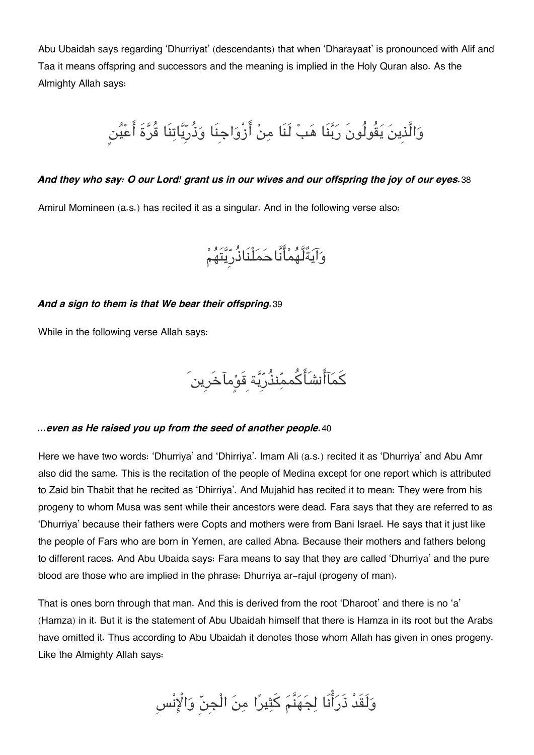Abu Ubaidah says regarding 'Dhurriyat' (descendants) that when 'Dharayaat' is pronounced with Alif and Taa it means offspring and successors and the meaning is implied in the Holy Quran also. As the Almighty Allah says:

والَّذِين يقُولُونَ ربنَا هب لَنَا من ازْواجِنَا وذُرِياتنَا قُرةَ اعين

#### *And they who say: O our Lord! grant us in our wives and our offspring the joy of our eyes.*[38](#page--1-0)

Amirul Momineen (a.s.) has recited it as a singular. And in the following verse also:

وآيةٌلَّهمانَّاحملْنَاذُرِيتَهم

#### *And a sign to them is that We bear their offspring.*[39](#page--1-0)

While in the following verse Allah says:

كمآانشَاكممنذُرِية ِقَوٍمآخَرِين َ

#### *…even as He raised you up from the seed of another people.*[40](#page--1-0)

Here we have two words: 'Dhurriya' and 'Dhirriya'. Imam Ali (a.s.) recited it as 'Dhurriya' and Abu Amr also did the same. This is the recitation of the people of Medina except for one report which is attributed to Zaid bin Thabit that he recited as 'Dhirriya'. And Mujahid has recited it to mean: They were from his progeny to whom Musa was sent while their ancestors were dead. Fara says that they are referred to as 'Dhurriya' because their fathers were Copts and mothers were from Bani Israel. He says that it just like the people of Fars who are born in Yemen, are called Abna. Because their mothers and fathers belong to different races. And Abu Ubaida says: Fara means to say that they are called 'Dhurriya' and the pure blood are those who are implied in the phrase: Dhurriya ar-rajul (progeny of man).

That is ones born through that man. And this is derived from the root 'Dharoot' and there is no 'a' (Hamza) in it. But it is the statement of Abu Ubaidah himself that there is Hamza in its root but the Arabs have omitted it. Thus according to Abu Ubaidah it denotes those whom Allah has given in ones progeny. Like the Almighty Allah says:

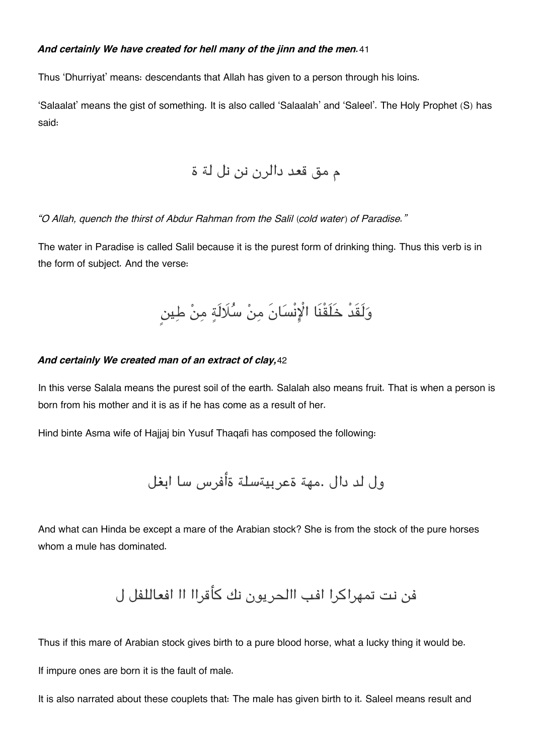#### *And certainly We have created for hell many of the jinn and the men.*[41](#page--1-0)

Thus 'Dhurriyat' means: descendants that Allah has given to a person through his loins.

'Salaalat' means the gist of something. It is also called 'Salaalah' and 'Saleel'. The Holy Prophet (S) has said:

م مق قعد دالرن نن نل لة ة

*"O Allah, quench the thirst of Abdur Rahman from the Salil (cold water) of Paradise."*

The water in Paradise is called Salil because it is the purest form of drinking thing. Thus this verb is in the form of subject. And the verse:

ولَقَدْ خَلَقْنَا انْسانَ من سَلَة من طين

#### *And certainly We created man of an extract of clay,*[42](#page--1-0)

In this verse Salala means the purest soil of the earth. Salalah also means fruit. That is when a person is born from his mother and it is as if he has come as a result of her.

Hind binte Asma wife of Hajjaj bin Yusuf Thaqafi has composed the following:

ول لد دال .مهة ةعربيةسلة ةأفرس سا ابغل

And what can Hinda be except a mare of the Arabian stock? She is from the stock of the pure horses whom a mule has dominated.

فن نت تمهراكرا افب االحريون نك كأقراا اا افعاللفل ل

Thus if this mare of Arabian stock gives birth to a pure blood horse, what a lucky thing it would be.

If impure ones are born it is the fault of male.

It is also narrated about these couplets that: The male has given birth to it. Saleel means result and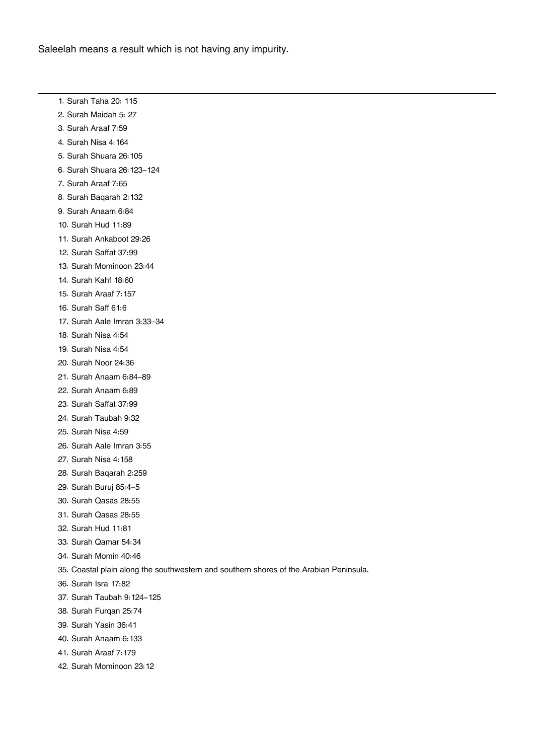Saleelah means a result which is not having any impurity.

- [1.](#page--1-0) Surah Taha 20: 115
- [2.](#page--1-0) Surah Maidah 5: 27
- [3.](#page--1-0) Surah Araaf 7:59
- [4.](#page--1-0) Surah Nisa 4:164
- [5.](#page--1-0) Surah Shuara 26:105
- [6.](#page--1-0) Surah Shuara 26:123-124
- [7.](#page--1-0) Surah Araaf 7:65
- [8.](#page--1-0) Surah Baqarah 2:132
- [9.](#page--1-0) Surah Anaam 6:84
- [10.](#page--1-0) Surah Hud 11:89
- [11.](#page--1-0) Surah Ankaboot 29:26
- [12.](#page--1-0) Surah Saffat 37:99
- [13.](#page--1-0) Surah Mominoon 23:44
- [14.](#page--1-0) Surah Kahf 18:60
- [15.](#page--1-0) Surah Araaf 7:157
- [16.](#page--1-0) Surah Saff 61:6
- [17.](#page--1-0) Surah Aale Imran 3:33–34
- [18.](#page--1-0) Surah Nisa 4:54
- [19.](#page--1-0) Surah Nisa 4:54
- [20.](#page--1-0) Surah Noor 24:36
- [21.](#page--1-0) Surah Anaam 6:84-89
- [22.](#page--1-0) Surah Anaam 6:89
- [23.](#page--1-0) Surah Saffat 37:99
- [24.](#page--1-0) Surah Taubah 9:32
- [25.](#page--1-0) Surah Nisa 4:59
- [26.](#page--1-0) Surah Aale Imran 3:55
- [27.](#page--1-0) Surah Nisa 4:158
- [28.](#page--1-0) Surah Baqarah 2:259
- [29.](#page--1-0) Surah Buruj 85:4-5
- [30.](#page--1-0) Surah Qasas 28:55
- [31.](#page--1-0) Surah Qasas 28:55
- [32.](#page--1-0) Surah Hud 11:81
- [33.](#page--1-0) Surah Qamar 54:34
- [34.](#page--1-0) Surah Momin 40:46
- [35.](#page--1-0) Coastal plain along the southwestern and southern shores of the Arabian Peninsula.
- [36.](#page--1-0) Surah Isra 17:82
- [37.](#page--1-0) Surah Taubah 9:124-125
- [38.](#page--1-0) Surah Furqan 25:74
- [39.](#page--1-0) Surah Yasin 36:41
- [40.](#page--1-0) Surah Anaam 6:133
- [41.](#page--1-0) Surah Araaf 7:179
- [42.](#page--1-0) Surah Mominoon 23:12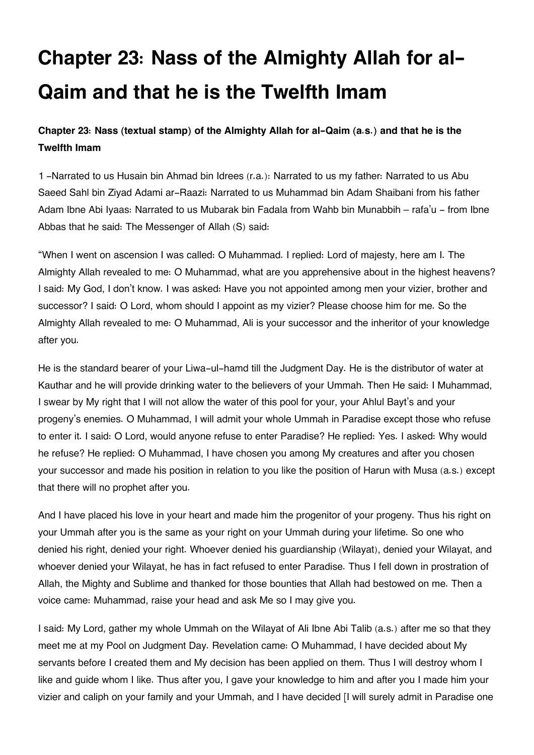# **Chapter 23: Nass of the Almighty Allah for al-Qaim and that he is the Twelfth Imam**

### **Chapter 23: Nass (textual stamp) of the Almighty Allah for al-Qaim (a.s.) and that he is the Twelfth Imam**

1 -Narrated to us Husain bin Ahmad bin Idrees (r.a.): Narrated to us my father: Narrated to us Abu Saeed Sahl bin Ziyad Adami ar-Raazi: Narrated to us Muhammad bin Adam Shaibani from his father Adam Ibne Abi Iyaas: Narrated to us Mubarak bin Fadala from Wahb bin Munabbih – rafa'u - from Ibne Abbas that he said: The Messenger of Allah (S) said:

"When I went on ascension I was called: O Muhammad. I replied: Lord of majesty, here am I. The Almighty Allah revealed to me: O Muhammad, what are you apprehensive about in the highest heavens? I said: My God, I don't know. I was asked: Have you not appointed among men your vizier, brother and successor? I said: O Lord, whom should I appoint as my vizier? Please choose him for me. So the Almighty Allah revealed to me: O Muhammad, Ali is your successor and the inheritor of your knowledge after you.

He is the standard bearer of your Liwa-ul-hamd till the Judgment Day. He is the distributor of water at Kauthar and he will provide drinking water to the believers of your Ummah. Then He said: I Muhammad, I swear by My right that I will not allow the water of this pool for your, your Ahlul Bayt's and your progeny's enemies. O Muhammad, I will admit your whole Ummah in Paradise except those who refuse to enter it. I said: O Lord, would anyone refuse to enter Paradise? He replied: Yes. I asked: Why would he refuse? He replied: O Muhammad, I have chosen you among My creatures and after you chosen your successor and made his position in relation to you like the position of Harun with Musa (a.s.) except that there will no prophet after you.

And I have placed his love in your heart and made him the progenitor of your progeny. Thus his right on your Ummah after you is the same as your right on your Ummah during your lifetime. So one who denied his right, denied your right. Whoever denied his guardianship (Wilayat), denied your Wilayat, and whoever denied your Wilayat, he has in fact refused to enter Paradise. Thus I fell down in prostration of Allah, the Mighty and Sublime and thanked for those bounties that Allah had bestowed on me. Then a voice came: Muhammad, raise your head and ask Me so I may give you.

I said: My Lord, gather my whole Ummah on the Wilayat of Ali Ibne Abi Talib (a.s.) after me so that they meet me at my Pool on Judgment Day. Revelation came: O Muhammad, I have decided about My servants before I created them and My decision has been applied on them. Thus I will destroy whom I like and guide whom I like. Thus after you, I gave your knowledge to him and after you I made him your vizier and caliph on your family and your Ummah, and I have decided [I will surely admit in Paradise one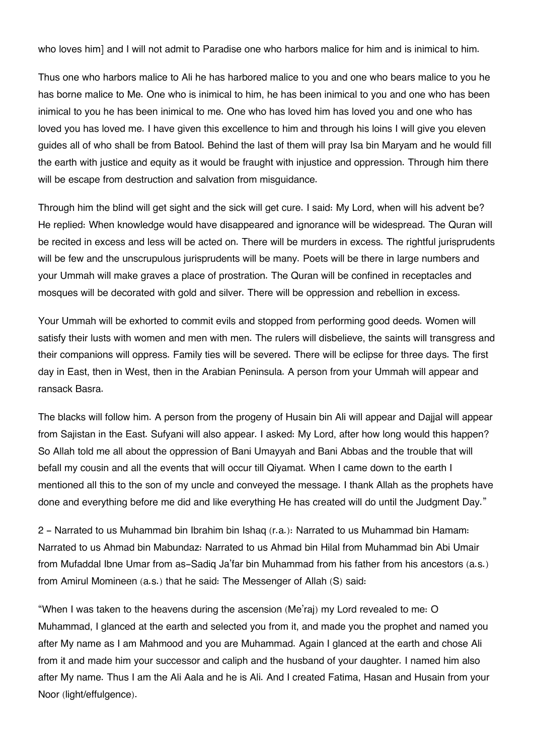who loves him] and I will not admit to Paradise one who harbors malice for him and is inimical to him.

Thus one who harbors malice to Ali he has harbored malice to you and one who bears malice to you he has borne malice to Me. One who is inimical to him, he has been inimical to you and one who has been inimical to you he has been inimical to me. One who has loved him has loved you and one who has loved you has loved me. I have given this excellence to him and through his loins I will give you eleven guides all of who shall be from Batool. Behind the last of them will pray Isa bin Maryam and he would fill the earth with justice and equity as it would be fraught with injustice and oppression. Through him there will be escape from destruction and salvation from misguidance.

Through him the blind will get sight and the sick will get cure. I said: My Lord, when will his advent be? He replied: When knowledge would have disappeared and ignorance will be widespread. The Quran will be recited in excess and less will be acted on. There will be murders in excess. The rightful jurisprudents will be few and the unscrupulous jurisprudents will be many. Poets will be there in large numbers and your Ummah will make graves a place of prostration. The Quran will be confined in receptacles and mosques will be decorated with gold and silver. There will be oppression and rebellion in excess.

Your Ummah will be exhorted to commit evils and stopped from performing good deeds. Women will satisfy their lusts with women and men with men. The rulers will disbelieve, the saints will transgress and their companions will oppress. Family ties will be severed. There will be eclipse for three days. The first day in East, then in West, then in the Arabian Peninsula. A person from your Ummah will appear and ransack Basra.

The blacks will follow him. A person from the progeny of Husain bin Ali will appear and Dajjal will appear from Sajistan in the East. Sufyani will also appear. I asked: My Lord, after how long would this happen? So Allah told me all about the oppression of Bani Umayyah and Bani Abbas and the trouble that will befall my cousin and all the events that will occur till Qiyamat. When I came down to the earth I mentioned all this to the son of my uncle and conveyed the message. I thank Allah as the prophets have done and everything before me did and like everything He has created will do until the Judgment Day."

2 - Narrated to us Muhammad bin Ibrahim bin Ishaq (r.a.): Narrated to us Muhammad bin Hamam: Narrated to us Ahmad bin Mabundaz: Narrated to us Ahmad bin Hilal from Muhammad bin Abi Umair from Mufaddal Ibne Umar from as-Sadiq Ja'far bin Muhammad from his father from his ancestors (a.s.) from Amirul Momineen (a.s.) that he said: The Messenger of Allah (S) said:

"When I was taken to the heavens during the ascension (Me'raj) my Lord revealed to me: O Muhammad, I glanced at the earth and selected you from it, and made you the prophet and named you after My name as I am Mahmood and you are Muhammad. Again I glanced at the earth and chose Ali from it and made him your successor and caliph and the husband of your daughter. I named him also after My name. Thus I am the Ali Aala and he is Ali. And I created Fatima, Hasan and Husain from your Noor (light/effulgence).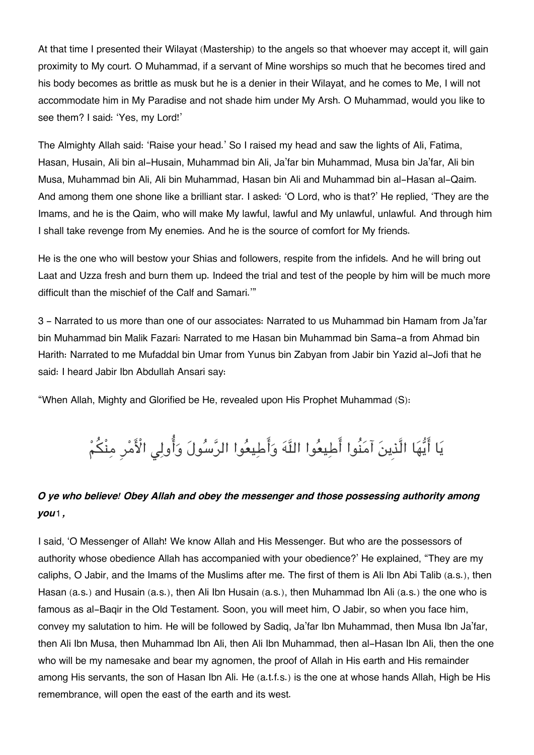At that time I presented their Wilayat (Mastership) to the angels so that whoever may accept it, will gain proximity to My court. O Muhammad, if a servant of Mine worships so much that he becomes tired and his body becomes as brittle as musk but he is a denier in their Wilayat, and he comes to Me, I will not accommodate him in My Paradise and not shade him under My Arsh. O Muhammad, would you like to see them? I said: 'Yes, my Lord!'

The Almighty Allah said: 'Raise your head.' So I raised my head and saw the lights of Ali, Fatima, Hasan, Husain, Ali bin al-Husain, Muhammad bin Ali, Ja'far bin Muhammad, Musa bin Ja'far, Ali bin Musa, Muhammad bin Ali, Ali bin Muhammad, Hasan bin Ali and Muhammad bin al-Hasan al-Qaim. And among them one shone like a brilliant star. I asked: 'O Lord, who is that?' He replied, 'They are the Imams, and he is the Qaim, who will make My lawful, lawful and My unlawful, unlawful. And through him I shall take revenge from My enemies. And he is the source of comfort for My friends.

He is the one who will bestow your Shias and followers, respite from the infidels. And he will bring out Laat and Uzza fresh and burn them up. Indeed the trial and test of the people by him will be much more difficult than the mischief of the Calf and Samari.'"

3 - Narrated to us more than one of our associates: Narrated to us Muhammad bin Hamam from Ja'far bin Muhammad bin Malik Fazari: Narrated to me Hasan bin Muhammad bin Sama-a from Ahmad bin Harith: Narrated to me Mufaddal bin Umar from Yunus bin Zabyan from Jabir bin Yazid al-Jofi that he said: I heard Jabir Ibn Abdullah Ansari say:

"When Allah, Mighty and Glorified be He, revealed upon His Prophet Muhammad (S):

# يَا أَيُّهَا الَّذِينَ آمَنُوا أَطِيعُوا اللَّهَ وَأَطِيعُوا الرَّسُولَ وَأُولِي الْأَمْرِ مِنْكُمْ

### *O ye who believe! Obey Allah and obey the messenger and those possessing authority among you*[1](#page--1-0) *,*

I said, 'O Messenger of Allah! We know Allah and His Messenger. But who are the possessors of authority whose obedience Allah has accompanied with your obedience?' He explained, "They are my caliphs, O Jabir, and the Imams of the Muslims after me. The first of them is Ali Ibn Abi Talib (a.s.), then Hasan (a.s.) and Husain (a.s.), then Ali Ibn Husain (a.s.), then Muhammad Ibn Ali (a.s.) the one who is famous as al-Baqir in the Old Testament. Soon, you will meet him, O Jabir, so when you face him, convey my salutation to him. He will be followed by Sadiq, Ja'far Ibn Muhammad, then Musa Ibn Ja'far, then Ali Ibn Musa, then Muhammad Ibn Ali, then Ali Ibn Muhammad, then al-Hasan Ibn Ali, then the one who will be my namesake and bear my agnomen, the proof of Allah in His earth and His remainder among His servants, the son of Hasan Ibn Ali. He (a.t.f.s.) is the one at whose hands Allah, High be His remembrance, will open the east of the earth and its west.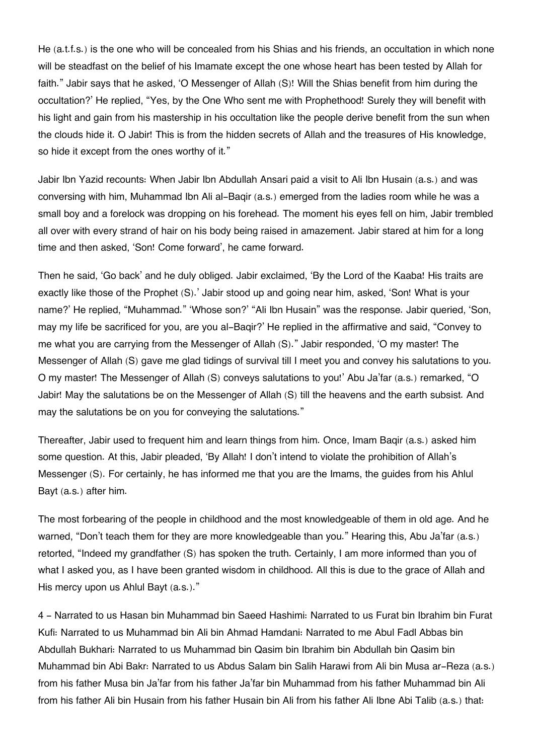He (a.t.f.s.) is the one who will be concealed from his Shias and his friends, an occultation in which none will be steadfast on the belief of his Imamate except the one whose heart has been tested by Allah for faith." Jabir says that he asked, 'O Messenger of Allah (S)! Will the Shias benefit from him during the occultation?' He replied, "Yes, by the One Who sent me with Prophethood! Surely they will benefit with his light and gain from his mastership in his occultation like the people derive benefit from the sun when the clouds hide it. O Jabir! This is from the hidden secrets of Allah and the treasures of His knowledge, so hide it except from the ones worthy of it."

Jabir Ibn Yazid recounts: When Jabir Ibn Abdullah Ansari paid a visit to Ali Ibn Husain (a.s.) and was conversing with him, Muhammad Ibn Ali al-Baqir (a.s.) emerged from the ladies room while he was a small boy and a forelock was dropping on his forehead. The moment his eyes fell on him, Jabir trembled all over with every strand of hair on his body being raised in amazement. Jabir stared at him for a long time and then asked, 'Son! Come forward', he came forward.

Then he said, 'Go back' and he duly obliged. Jabir exclaimed, 'By the Lord of the Kaaba! His traits are exactly like those of the Prophet (S).' Jabir stood up and going near him, asked, 'Son! What is your name?' He replied, "Muhammad." 'Whose son?' "Ali Ibn Husain" was the response. Jabir queried, 'Son, may my life be sacrificed for you, are you al-Baqir?' He replied in the affirmative and said, "Convey to me what you are carrying from the Messenger of Allah (S)." Jabir responded, 'O my master! The Messenger of Allah (S) gave me glad tidings of survival till I meet you and convey his salutations to you. O my master! The Messenger of Allah (S) conveys salutations to you!' Abu Ja'far (a.s.) remarked, "O Jabir! May the salutations be on the Messenger of Allah (S) till the heavens and the earth subsist. And may the salutations be on you for conveying the salutations."

Thereafter, Jabir used to frequent him and learn things from him. Once, Imam Baqir (a.s.) asked him some question. At this, Jabir pleaded, 'By Allah! I don't intend to violate the prohibition of Allah's Messenger (S). For certainly, he has informed me that you are the Imams, the guides from his Ahlul Bayt (a.s.) after him.

The most forbearing of the people in childhood and the most knowledgeable of them in old age. And he warned, "Don't teach them for they are more knowledgeable than you." Hearing this, Abu Ja'far (a.s.) retorted, "Indeed my grandfather (S) has spoken the truth. Certainly, I am more informed than you of what I asked you, as I have been granted wisdom in childhood. All this is due to the grace of Allah and His mercy upon us Ahlul Bayt (a.s.)."

4 - Narrated to us Hasan bin Muhammad bin Saeed Hashimi: Narrated to us Furat bin Ibrahim bin Furat Kufi: Narrated to us Muhammad bin Ali bin Ahmad Hamdani: Narrated to me Abul Fadl Abbas bin Abdullah Bukhari: Narrated to us Muhammad bin Qasim bin Ibrahim bin Abdullah bin Qasim bin Muhammad bin Abi Bakr: Narrated to us Abdus Salam bin Salih Harawi from Ali bin Musa ar-Reza (a.s.) from his father Musa bin Ja'far from his father Ja'far bin Muhammad from his father Muhammad bin Ali from his father Ali bin Husain from his father Husain bin Ali from his father Ali Ibne Abi Talib (a.s.) that: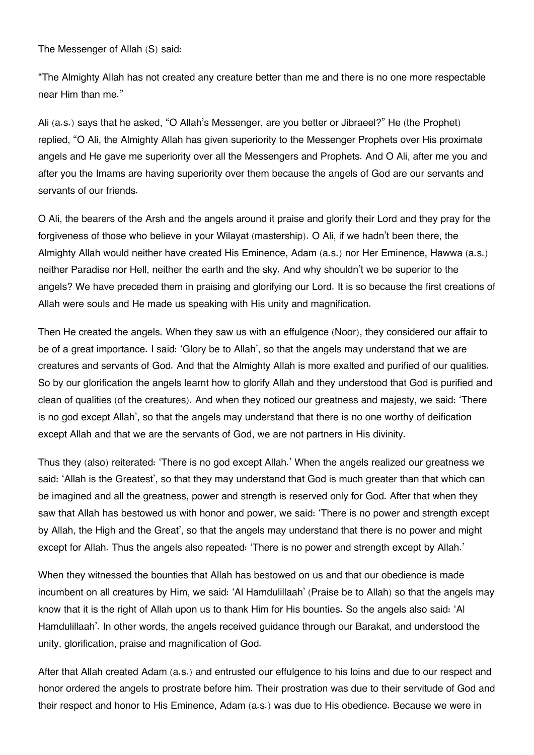The Messenger of Allah (S) said:

"The Almighty Allah has not created any creature better than me and there is no one more respectable near Him than me."

Ali (a.s.) says that he asked, "O Allah's Messenger, are you better or Jibraeel?" He (the Prophet) replied, "O Ali, the Almighty Allah has given superiority to the Messenger Prophets over His proximate angels and He gave me superiority over all the Messengers and Prophets. And O Ali, after me you and after you the Imams are having superiority over them because the angels of God are our servants and servants of our friends.

O Ali, the bearers of the Arsh and the angels around it praise and glorify their Lord and they pray for the forgiveness of those who believe in your Wilayat (mastership). O Ali, if we hadn't been there, the Almighty Allah would neither have created His Eminence, Adam (a.s.) nor Her Eminence, Hawwa (a.s.) neither Paradise nor Hell, neither the earth and the sky. And why shouldn't we be superior to the angels? We have preceded them in praising and glorifying our Lord. It is so because the first creations of Allah were souls and He made us speaking with His unity and magnification.

Then He created the angels. When they saw us with an effulgence (Noor), they considered our affair to be of a great importance. I said: 'Glory be to Allah', so that the angels may understand that we are creatures and servants of God. And that the Almighty Allah is more exalted and purified of our qualities. So by our glorification the angels learnt how to glorify Allah and they understood that God is purified and clean of qualities (of the creatures). And when they noticed our greatness and majesty, we said: 'There is no god except Allah', so that the angels may understand that there is no one worthy of deification except Allah and that we are the servants of God, we are not partners in His divinity.

Thus they (also) reiterated: 'There is no god except Allah.' When the angels realized our greatness we said: 'Allah is the Greatest', so that they may understand that God is much greater than that which can be imagined and all the greatness, power and strength is reserved only for God. After that when they saw that Allah has bestowed us with honor and power, we said: 'There is no power and strength except by Allah, the High and the Great', so that the angels may understand that there is no power and might except for Allah. Thus the angels also repeated: 'There is no power and strength except by Allah.'

When they witnessed the bounties that Allah has bestowed on us and that our obedience is made incumbent on all creatures by Him, we said: 'Al Hamdulillaah' (Praise be to Allah) so that the angels may know that it is the right of Allah upon us to thank Him for His bounties. So the angels also said: 'Al Hamdulillaah'. In other words, the angels received guidance through our Barakat, and understood the unity, glorification, praise and magnification of God.

After that Allah created Adam (a.s.) and entrusted our effulgence to his loins and due to our respect and honor ordered the angels to prostrate before him. Their prostration was due to their servitude of God and their respect and honor to His Eminence, Adam (a.s.) was due to His obedience. Because we were in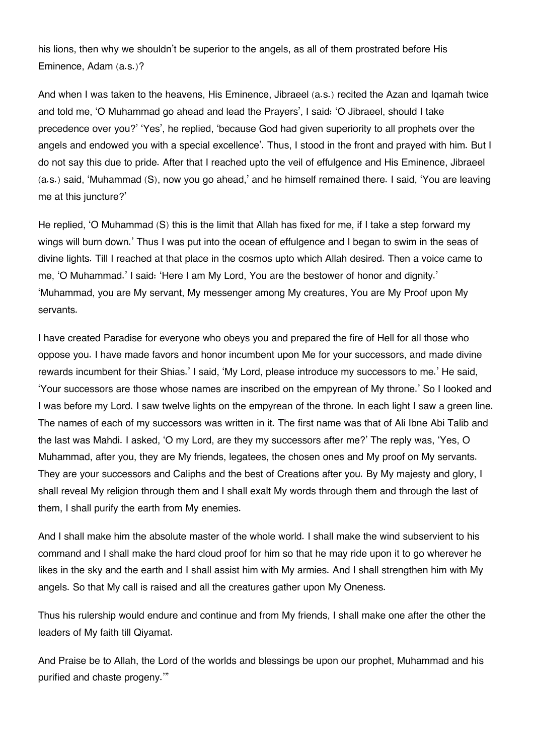his lions, then why we shouldn't be superior to the angels, as all of them prostrated before His Eminence, Adam (a.s.)?

And when I was taken to the heavens, His Eminence, Jibraeel (a.s.) recited the Azan and Iqamah twice and told me, 'O Muhammad go ahead and lead the Prayers', I said: 'O Jibraeel, should I take precedence over you?' 'Yes', he replied, 'because God had given superiority to all prophets over the angels and endowed you with a special excellence'. Thus, I stood in the front and prayed with him. But I do not say this due to pride. After that I reached upto the veil of effulgence and His Eminence, Jibraeel (a.s.) said, 'Muhammad (S), now you go ahead,' and he himself remained there. I said, 'You are leaving me at this juncture?'

He replied, 'O Muhammad (S) this is the limit that Allah has fixed for me, if I take a step forward my wings will burn down.' Thus I was put into the ocean of effulgence and I began to swim in the seas of divine lights. Till I reached at that place in the cosmos upto which Allah desired. Then a voice came to me, 'O Muhammad.' I said: 'Here I am My Lord, You are the bestower of honor and dignity.' 'Muhammad, you are My servant, My messenger among My creatures, You are My Proof upon My servants.

I have created Paradise for everyone who obeys you and prepared the fire of Hell for all those who oppose you. I have made favors and honor incumbent upon Me for your successors, and made divine rewards incumbent for their Shias.' I said, 'My Lord, please introduce my successors to me.' He said, 'Your successors are those whose names are inscribed on the empyrean of My throne.' So I looked and I was before my Lord. I saw twelve lights on the empyrean of the throne. In each light I saw a green line. The names of each of my successors was written in it. The first name was that of Ali Ibne Abi Talib and the last was Mahdi. I asked, 'O my Lord, are they my successors after me?' The reply was, 'Yes, O Muhammad, after you, they are My friends, legatees, the chosen ones and My proof on My servants. They are your successors and Caliphs and the best of Creations after you. By My majesty and glory, I shall reveal My religion through them and I shall exalt My words through them and through the last of them, I shall purify the earth from My enemies.

And I shall make him the absolute master of the whole world. I shall make the wind subservient to his command and I shall make the hard cloud proof for him so that he may ride upon it to go wherever he likes in the sky and the earth and I shall assist him with My armies. And I shall strengthen him with My angels. So that My call is raised and all the creatures gather upon My Oneness.

Thus his rulership would endure and continue and from My friends, I shall make one after the other the leaders of My faith till Qiyamat.

And Praise be to Allah, the Lord of the worlds and blessings be upon our prophet, Muhammad and his purified and chaste progeny.'"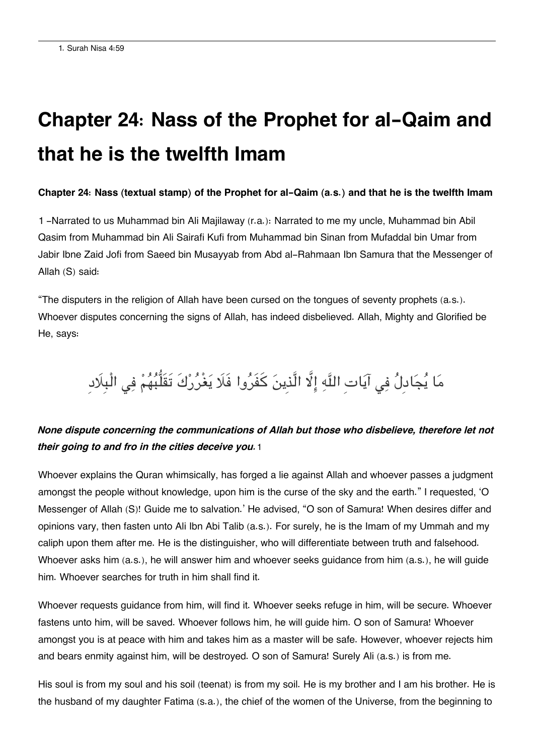# **Chapter 24: Nass of the Prophet for al-Qaim and that he is the twelfth Imam**

#### **Chapter 24: Nass (textual stamp) of the Prophet for al-Qaim (a.s.) and that he is the twelfth Imam**

1 -Narrated to us Muhammad bin Ali Majilaway (r.a.): Narrated to me my uncle, Muhammad bin Abil Qasim from Muhammad bin Ali Sairafi Kufi from Muhammad bin Sinan from Mufaddal bin Umar from Jabir Ibne Zaid Jofi from Saeed bin Musayyab from Abd al-Rahmaan Ibn Samura that the Messenger of Allah (S) said:

"The disputers in the religion of Allah have been cursed on the tongues of seventy prophets (a.s.). Whoever disputes concerning the signs of Allah, has indeed disbelieved. Allah, Mighty and Glorified be He, says:

# مَا يُجَادِلُ فِي آيَاتِ اللَّهِ إِلَّا الَّذِينَ كَفَرُوا فَلَا يَغْرُرْكَ تَقَلُّبُهُمْ فِي الْبِلَادِ

### *None dispute concerning the communications of Allah but those who disbelieve, therefore let not their going to and fro in the cities deceive you.*[1](#page--1-0)

Whoever explains the Quran whimsically, has forged a lie against Allah and whoever passes a judgment amongst the people without knowledge, upon him is the curse of the sky and the earth." I requested, 'O Messenger of Allah (S)! Guide me to salvation.' He advised, "O son of Samura! When desires differ and opinions vary, then fasten unto Ali Ibn Abi Talib (a.s.). For surely, he is the Imam of my Ummah and my caliph upon them after me. He is the distinguisher, who will differentiate between truth and falsehood. Whoever asks him (a.s.), he will answer him and whoever seeks guidance from him (a.s.), he will guide him. Whoever searches for truth in him shall find it.

Whoever requests guidance from him, will find it. Whoever seeks refuge in him, will be secure. Whoever fastens unto him, will be saved. Whoever follows him, he will guide him. O son of Samura! Whoever amongst you is at peace with him and takes him as a master will be safe. However, whoever rejects him and bears enmity against him, will be destroyed. O son of Samura! Surely Ali (a.s.) is from me.

His soul is from my soul and his soil (teenat) is from my soil. He is my brother and I am his brother. He is the husband of my daughter Fatima (s.a.), the chief of the women of the Universe, from the beginning to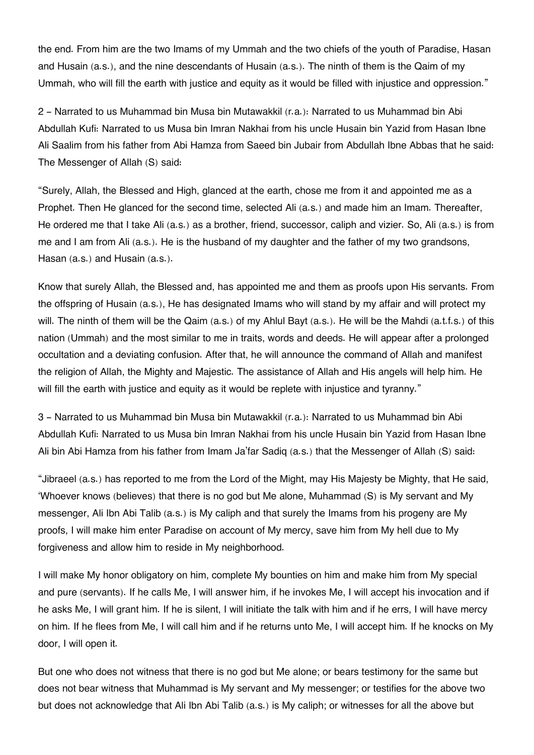the end. From him are the two Imams of my Ummah and the two chiefs of the youth of Paradise, Hasan and Husain (a.s.), and the nine descendants of Husain (a.s.). The ninth of them is the Qaim of my Ummah, who will fill the earth with justice and equity as it would be filled with injustice and oppression."

2 - Narrated to us Muhammad bin Musa bin Mutawakkil (r.a.): Narrated to us Muhammad bin Abi Abdullah Kufi: Narrated to us Musa bin Imran Nakhai from his uncle Husain bin Yazid from Hasan Ibne Ali Saalim from his father from Abi Hamza from Saeed bin Jubair from Abdullah Ibne Abbas that he said: The Messenger of Allah (S) said:

"Surely, Allah, the Blessed and High, glanced at the earth, chose me from it and appointed me as a Prophet. Then He glanced for the second time, selected Ali (a.s.) and made him an Imam. Thereafter, He ordered me that I take Ali (a.s.) as a brother, friend, successor, caliph and vizier. So, Ali (a.s.) is from me and I am from Ali (a.s.). He is the husband of my daughter and the father of my two grandsons, Hasan (a.s.) and Husain (a.s.).

Know that surely Allah, the Blessed and, has appointed me and them as proofs upon His servants. From the offspring of Husain (a.s.), He has designated Imams who will stand by my affair and will protect my will. The ninth of them will be the Qaim (a.s.) of my Ahlul Bayt (a.s.). He will be the Mahdi (a.t.f.s.) of this nation (Ummah) and the most similar to me in traits, words and deeds. He will appear after a prolonged occultation and a deviating confusion. After that, he will announce the command of Allah and manifest the religion of Allah, the Mighty and Majestic. The assistance of Allah and His angels will help him. He will fill the earth with justice and equity as it would be replete with injustice and tyranny."

3 - Narrated to us Muhammad bin Musa bin Mutawakkil (r.a.): Narrated to us Muhammad bin Abi Abdullah Kufi: Narrated to us Musa bin Imran Nakhai from his uncle Husain bin Yazid from Hasan Ibne Ali bin Abi Hamza from his father from Imam Ja'far Sadiq (a.s.) that the Messenger of Allah (S) said:

"Jibraeel (a.s.) has reported to me from the Lord of the Might, may His Majesty be Mighty, that He said, 'Whoever knows (believes) that there is no god but Me alone, Muhammad (S) is My servant and My messenger, Ali Ibn Abi Talib (a.s.) is My caliph and that surely the Imams from his progeny are My proofs, I will make him enter Paradise on account of My mercy, save him from My hell due to My forgiveness and allow him to reside in My neighborhood.

I will make My honor obligatory on him, complete My bounties on him and make him from My special and pure (servants). If he calls Me, I will answer him, if he invokes Me, I will accept his invocation and if he asks Me, I will grant him. If he is silent, I will initiate the talk with him and if he errs, I will have mercy on him. If he flees from Me, I will call him and if he returns unto Me, I will accept him. If he knocks on My door, I will open it.

But one who does not witness that there is no god but Me alone; or bears testimony for the same but does not bear witness that Muhammad is My servant and My messenger; or testifies for the above two but does not acknowledge that Ali Ibn Abi Talib (a.s.) is My caliph; or witnesses for all the above but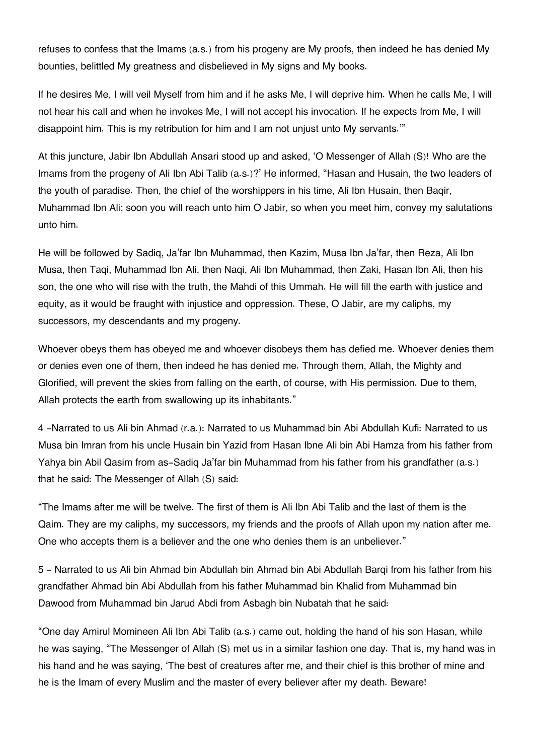refuses to confess that the Imams (a.s.) from his progeny are My proofs, then indeed he has denied My bounties, belittled My greatness and disbelieved in My signs and My books.

If he desires Me, I will veil Myself from him and if he asks Me, I will deprive him. When he calls Me, I will not hear his call and when he invokes Me, I will not accept his invocation. If he expects from Me, I will disappoint him. This is my retribution for him and I am not unjust unto My servants.'"

At this juncture, Jabir Ibn Abdullah Ansari stood up and asked, 'O Messenger of Allah (S)! Who are the Imams from the progeny of Ali Ibn Abi Talib (a.s.)?' He informed, "Hasan and Husain, the two leaders of the youth of paradise. Then, the chief of the worshippers in his time, Ali Ibn Husain, then Baqir, Muhammad Ibn Ali; soon you will reach unto him O Jabir, so when you meet him, convey my salutations unto him.

He will be followed by Sadiq, Ja'far Ibn Muhammad, then Kazim, Musa Ibn Ja'far, then Reza, Ali Ibn Musa, then Taqi, Muhammad Ibn Ali, then Naqi, Ali Ibn Muhammad, then Zaki, Hasan Ibn Ali, then his son, the one who will rise with the truth, the Mahdi of this Ummah. He will fill the earth with justice and equity, as it would be fraught with injustice and oppression. These, O Jabir, are my caliphs, my successors, my descendants and my progeny.

Whoever obeys them has obeyed me and whoever disobeys them has defied me. Whoever denies them or denies even one of them, then indeed he has denied me. Through them, Allah, the Mighty and Glorified, will prevent the skies from falling on the earth, of course, with His permission. Due to them, Allah protects the earth from swallowing up its inhabitants."

4 -Narrated to us Ali bin Ahmad (r.a.): Narrated to us Muhammad bin Abi Abdullah Kufi: Narrated to us Musa bin Imran from his uncle Husain bin Yazid from Hasan Ibne Ali bin Abi Hamza from his father from Yahya bin Abil Qasim from as-Sadiq Ja'far bin Muhammad from his father from his grandfather (a.s.) that he said: The Messenger of Allah (S) said:

"The Imams after me will be twelve. The first of them is Ali Ibn Abi Talib and the last of them is the Qaim. They are my caliphs, my successors, my friends and the proofs of Allah upon my nation after me. One who accepts them is a believer and the one who denies them is an unbeliever."

5 - Narrated to us Ali bin Ahmad bin Abdullah bin Ahmad bin Abi Abdullah Barqi from his father from his grandfather Ahmad bin Abi Abdullah from his father Muhammad bin Khalid from Muhammad bin Dawood from Muhammad bin Jarud Abdi from Asbagh bin Nubatah that he said:

"One day Amirul Momineen Ali Ibn Abi Talib (a.s.) came out, holding the hand of his son Hasan, while he was saying, "The Messenger of Allah (S) met us in a similar fashion one day. That is, my hand was in his hand and he was saying, 'The best of creatures after me, and their chief is this brother of mine and he is the Imam of every Muslim and the master of every believer after my death. Beware!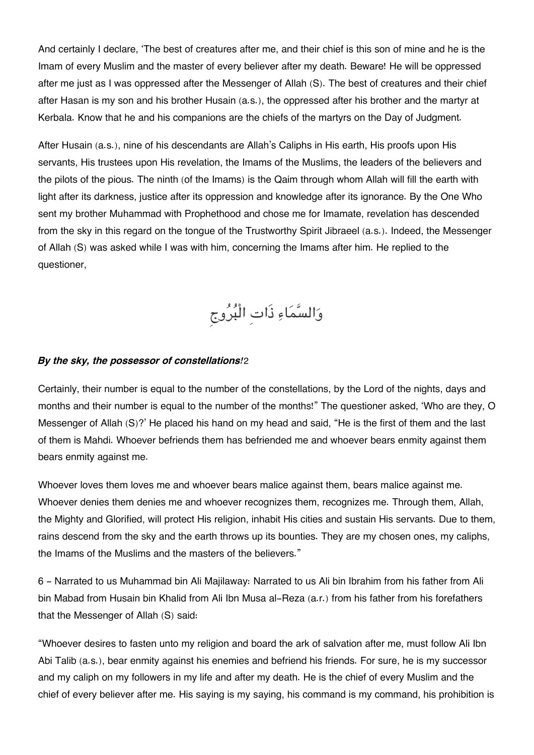And certainly I declare, 'The best of creatures after me, and their chief is this son of mine and he is the Imam of every Muslim and the master of every believer after my death. Beware! He will be oppressed after me just as I was oppressed after the Messenger of Allah (S). The best of creatures and their chief after Hasan is my son and his brother Husain (a.s.), the oppressed after his brother and the martyr at Kerbala. Know that he and his companions are the chiefs of the martyrs on the Day of Judgment.

After Husain (a.s.), nine of his descendants are Allah's Caliphs in His earth, His proofs upon His servants, His trustees upon His revelation, the Imams of the Muslims, the leaders of the believers and the pilots of the pious. The ninth (of the Imams) is the Qaim through whom Allah will fill the earth with light after its darkness, justice after its oppression and knowledge after its ignorance. By the One Who sent my brother Muhammad with Prophethood and chose me for Imamate, revelation has descended from the sky in this regard on the tongue of the Trustworthy Spirit Jibraeel (a.s.). Indeed, the Messenger of Allah (S) was asked while I was with him, concerning the Imams after him. He replied to the questioner,

والسماء ذَاتِ الْبروج

#### *By the sky, the possessor of constellations!*[2](#page--1-0)

Certainly, their number is equal to the number of the constellations, by the Lord of the nights, days and months and their number is equal to the number of the months!" The questioner asked, 'Who are they, O Messenger of Allah (S)?' He placed his hand on my head and said, "He is the first of them and the last of them is Mahdi. Whoever befriends them has befriended me and whoever bears enmity against them bears enmity against me.

Whoever loves them loves me and whoever bears malice against them, bears malice against me. Whoever denies them denies me and whoever recognizes them, recognizes me. Through them, Allah, the Mighty and Glorified, will protect His religion, inhabit His cities and sustain His servants. Due to them, rains descend from the sky and the earth throws up its bounties. They are my chosen ones, my caliphs, the Imams of the Muslims and the masters of the believers."

6 - Narrated to us Muhammad bin Ali Majilaway: Narrated to us Ali bin Ibrahim from his father from Ali bin Mabad from Husain bin Khalid from Ali Ibn Musa al-Reza (a.r.) from his father from his forefathers that the Messenger of Allah (S) said:

"Whoever desires to fasten unto my religion and board the ark of salvation after me, must follow Ali Ibn Abi Talib (a.s.), bear enmity against his enemies and befriend his friends. For sure, he is my successor and my caliph on my followers in my life and after my death. He is the chief of every Muslim and the chief of every believer after me. His saying is my saying, his command is my command, his prohibition is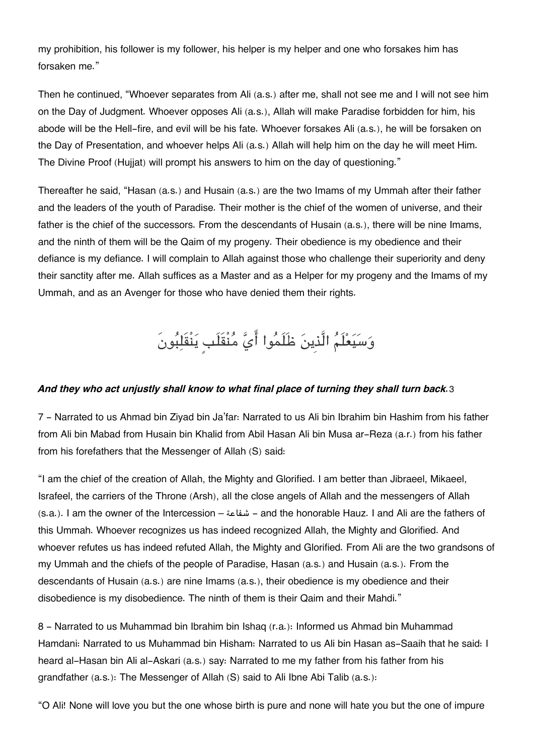my prohibition, his follower is my follower, his helper is my helper and one who forsakes him has forsaken me."

Then he continued, "Whoever separates from Ali (a.s.) after me, shall not see me and I will not see him on the Day of Judgment. Whoever opposes Ali (a.s.), Allah will make Paradise forbidden for him, his abode will be the Hell-fire, and evil will be his fate. Whoever forsakes Ali (a.s.), he will be forsaken on the Day of Presentation, and whoever helps Ali (a.s.) Allah will help him on the day he will meet Him. The Divine Proof (Hujjat) will prompt his answers to him on the day of questioning."

Thereafter he said, "Hasan (a.s.) and Husain (a.s.) are the two Imams of my Ummah after their father and the leaders of the youth of Paradise. Their mother is the chief of the women of universe, and their father is the chief of the successors. From the descendants of Husain (a.s.), there will be nine Imams, and the ninth of them will be the Qaim of my progeny. Their obedience is my obedience and their defiance is my defiance. I will complain to Allah against those who challenge their superiority and deny their sanctity after me. Allah suffices as a Master and as a Helper for my progeny and the Imams of my Ummah, and as an Avenger for those who have denied them their rights.

وَسَيَعْلَمُ الَّذِينَ ظَلَمُوا أَيَّ مُنْقَلَبٍ يَنْقَلِبُونَ

#### *And they who act unjustly shall know to what final place of turning they shall turn back.*[3](#page--1-0)

7 - Narrated to us Ahmad bin Ziyad bin Ja'far: Narrated to us Ali bin Ibrahim bin Hashim from his father from Ali bin Mabad from Husain bin Khalid from Abil Hasan Ali bin Musa ar-Reza (a.r.) from his father from his forefathers that the Messenger of Allah (S) said:

"I am the chief of the creation of Allah, the Mighty and Glorified. I am better than Jibraeel, Mikaeel, Israfeel, the carriers of the Throne (Arsh), all the close angels of Allah and the messengers of Allah (s.a.). I am the owner of the Intercession – شفاعة - and the honorable Hauz. I and Ali are the fathers of this Ummah. Whoever recognizes us has indeed recognized Allah, the Mighty and Glorified. And whoever refutes us has indeed refuted Allah, the Mighty and Glorified. From Ali are the two grandsons of my Ummah and the chiefs of the people of Paradise, Hasan (a.s.) and Husain (a.s.). From the descendants of Husain (a.s.) are nine Imams (a.s.), their obedience is my obedience and their disobedience is my disobedience. The ninth of them is their Qaim and their Mahdi."

8 - Narrated to us Muhammad bin Ibrahim bin Ishaq (r.a.): Informed us Ahmad bin Muhammad Hamdani: Narrated to us Muhammad bin Hisham: Narrated to us Ali bin Hasan as-Saaih that he said: I heard al-Hasan bin Ali al-Askari (a.s.) say: Narrated to me my father from his father from his grandfather (a.s.): The Messenger of Allah (S) said to Ali Ibne Abi Talib (a.s.):

"O Ali! None will love you but the one whose birth is pure and none will hate you but the one of impure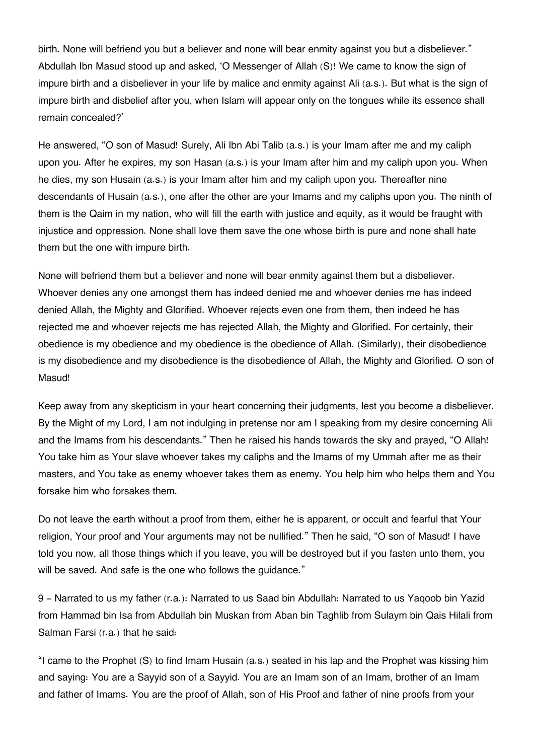birth. None will befriend you but a believer and none will bear enmity against you but a disbeliever." Abdullah Ibn Masud stood up and asked, 'O Messenger of Allah (S)! We came to know the sign of impure birth and a disbeliever in your life by malice and enmity against Ali (a.s.). But what is the sign of impure birth and disbelief after you, when Islam will appear only on the tongues while its essence shall remain concealed?'

He answered, "O son of Masud! Surely, Ali Ibn Abi Talib (a.s.) is your Imam after me and my caliph upon you. After he expires, my son Hasan (a.s.) is your Imam after him and my caliph upon you. When he dies, my son Husain (a.s.) is your Imam after him and my caliph upon you. Thereafter nine descendants of Husain (a.s.), one after the other are your Imams and my caliphs upon you. The ninth of them is the Qaim in my nation, who will fill the earth with justice and equity, as it would be fraught with injustice and oppression. None shall love them save the one whose birth is pure and none shall hate them but the one with impure birth.

None will befriend them but a believer and none will bear enmity against them but a disbeliever. Whoever denies any one amongst them has indeed denied me and whoever denies me has indeed denied Allah, the Mighty and Glorified. Whoever rejects even one from them, then indeed he has rejected me and whoever rejects me has rejected Allah, the Mighty and Glorified. For certainly, their obedience is my obedience and my obedience is the obedience of Allah. (Similarly), their disobedience is my disobedience and my disobedience is the disobedience of Allah, the Mighty and Glorified. O son of Masud!

Keep away from any skepticism in your heart concerning their judgments, lest you become a disbeliever. By the Might of my Lord, I am not indulging in pretense nor am I speaking from my desire concerning Ali and the Imams from his descendants." Then he raised his hands towards the sky and prayed, "O Allah! You take him as Your slave whoever takes my caliphs and the Imams of my Ummah after me as their masters, and You take as enemy whoever takes them as enemy. You help him who helps them and You forsake him who forsakes them.

Do not leave the earth without a proof from them, either he is apparent, or occult and fearful that Your religion, Your proof and Your arguments may not be nullified." Then he said, "O son of Masud! I have told you now, all those things which if you leave, you will be destroyed but if you fasten unto them, you will be saved. And safe is the one who follows the guidance."

9 - Narrated to us my father (r.a.): Narrated to us Saad bin Abdullah: Narrated to us Yaqoob bin Yazid from Hammad bin Isa from Abdullah bin Muskan from Aban bin Taghlib from Sulaym bin Qais Hilali from Salman Farsi (r.a.) that he said:

"I came to the Prophet (S) to find Imam Husain (a.s.) seated in his lap and the Prophet was kissing him and saying: You are a Sayyid son of a Sayyid. You are an Imam son of an Imam, brother of an Imam and father of Imams. You are the proof of Allah, son of His Proof and father of nine proofs from your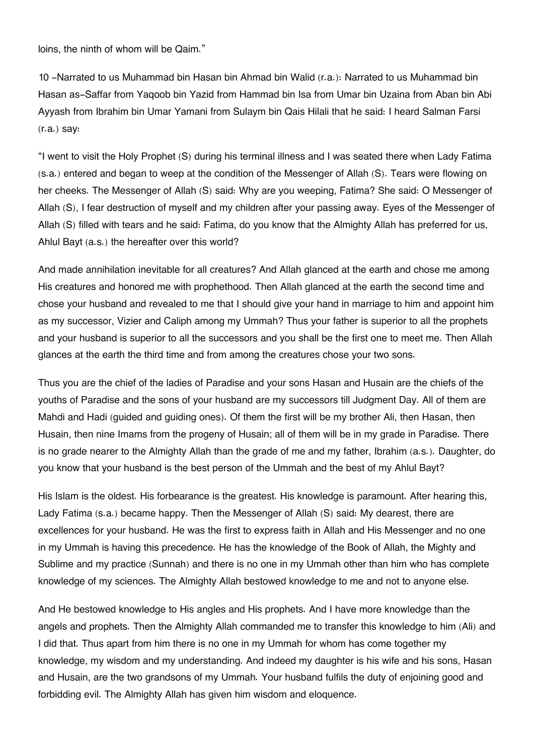loins, the ninth of whom will be Qaim."

10 -Narrated to us Muhammad bin Hasan bin Ahmad bin Walid (r.a.): Narrated to us Muhammad bin Hasan as-Saffar from Yaqoob bin Yazid from Hammad bin Isa from Umar bin Uzaina from Aban bin Abi Ayyash from Ibrahim bin Umar Yamani from Sulaym bin Qais Hilali that he said: I heard Salman Farsi (r.a.) say:

"I went to visit the Holy Prophet (S) during his terminal illness and I was seated there when Lady Fatima (s.a.) entered and began to weep at the condition of the Messenger of Allah (S). Tears were flowing on her cheeks. The Messenger of Allah (S) said: Why are you weeping, Fatima? She said: O Messenger of Allah (S), I fear destruction of myself and my children after your passing away. Eyes of the Messenger of Allah (S) filled with tears and he said: Fatima, do you know that the Almighty Allah has preferred for us, Ahlul Bayt (a.s.) the hereafter over this world?

And made annihilation inevitable for all creatures? And Allah glanced at the earth and chose me among His creatures and honored me with prophethood. Then Allah glanced at the earth the second time and chose your husband and revealed to me that I should give your hand in marriage to him and appoint him as my successor, Vizier and Caliph among my Ummah? Thus your father is superior to all the prophets and your husband is superior to all the successors and you shall be the first one to meet me. Then Allah glances at the earth the third time and from among the creatures chose your two sons.

Thus you are the chief of the ladies of Paradise and your sons Hasan and Husain are the chiefs of the youths of Paradise and the sons of your husband are my successors till Judgment Day. All of them are Mahdi and Hadi (guided and guiding ones). Of them the first will be my brother Ali, then Hasan, then Husain, then nine Imams from the progeny of Husain; all of them will be in my grade in Paradise. There is no grade nearer to the Almighty Allah than the grade of me and my father, Ibrahim (a.s.). Daughter, do you know that your husband is the best person of the Ummah and the best of my Ahlul Bayt?

His Islam is the oldest. His forbearance is the greatest. His knowledge is paramount. After hearing this, Lady Fatima (s.a.) became happy. Then the Messenger of Allah (S) said: My dearest, there are excellences for your husband. He was the first to express faith in Allah and His Messenger and no one in my Ummah is having this precedence. He has the knowledge of the Book of Allah, the Mighty and Sublime and my practice (Sunnah) and there is no one in my Ummah other than him who has complete knowledge of my sciences. The Almighty Allah bestowed knowledge to me and not to anyone else.

And He bestowed knowledge to His angles and His prophets. And I have more knowledge than the angels and prophets. Then the Almighty Allah commanded me to transfer this knowledge to him (Ali) and I did that. Thus apart from him there is no one in my Ummah for whom has come together my knowledge, my wisdom and my understanding. And indeed my daughter is his wife and his sons, Hasan and Husain, are the two grandsons of my Ummah. Your husband fulfils the duty of enjoining good and forbidding evil. The Almighty Allah has given him wisdom and eloquence.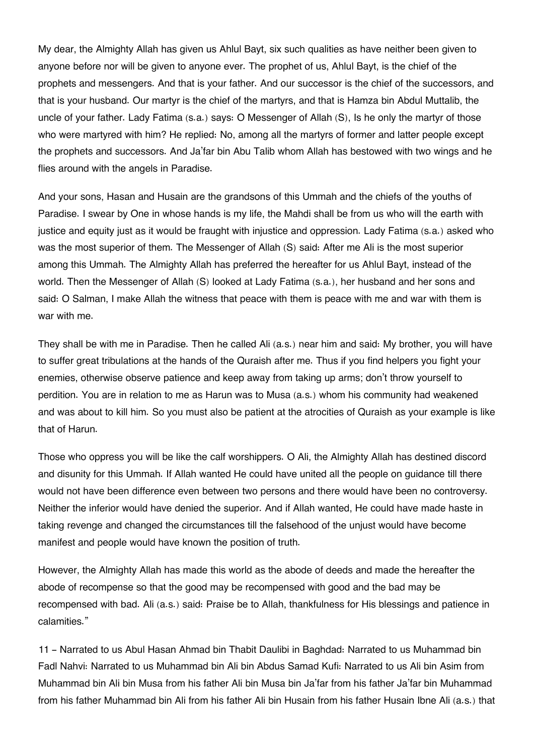My dear, the Almighty Allah has given us Ahlul Bayt, six such qualities as have neither been given to anyone before nor will be given to anyone ever. The prophet of us, Ahlul Bayt, is the chief of the prophets and messengers. And that is your father. And our successor is the chief of the successors, and that is your husband. Our martyr is the chief of the martyrs, and that is Hamza bin Abdul Muttalib, the uncle of your father. Lady Fatima (s.a.) says: O Messenger of Allah (S), Is he only the martyr of those who were martyred with him? He replied: No, among all the martyrs of former and latter people except the prophets and successors. And Ja'far bin Abu Talib whom Allah has bestowed with two wings and he flies around with the angels in Paradise.

And your sons, Hasan and Husain are the grandsons of this Ummah and the chiefs of the youths of Paradise. I swear by One in whose hands is my life, the Mahdi shall be from us who will the earth with justice and equity just as it would be fraught with injustice and oppression. Lady Fatima (s.a.) asked who was the most superior of them. The Messenger of Allah (S) said: After me Ali is the most superior among this Ummah. The Almighty Allah has preferred the hereafter for us Ahlul Bayt, instead of the world. Then the Messenger of Allah (S) looked at Lady Fatima (s.a.), her husband and her sons and said: O Salman, I make Allah the witness that peace with them is peace with me and war with them is war with me.

They shall be with me in Paradise. Then he called Ali (a.s.) near him and said: My brother, you will have to suffer great tribulations at the hands of the Quraish after me. Thus if you find helpers you fight your enemies, otherwise observe patience and keep away from taking up arms; don't throw yourself to perdition. You are in relation to me as Harun was to Musa (a.s.) whom his community had weakened and was about to kill him. So you must also be patient at the atrocities of Quraish as your example is like that of Harun.

Those who oppress you will be like the calf worshippers. O Ali, the Almighty Allah has destined discord and disunity for this Ummah. If Allah wanted He could have united all the people on guidance till there would not have been difference even between two persons and there would have been no controversy. Neither the inferior would have denied the superior. And if Allah wanted, He could have made haste in taking revenge and changed the circumstances till the falsehood of the unjust would have become manifest and people would have known the position of truth.

However, the Almighty Allah has made this world as the abode of deeds and made the hereafter the abode of recompense so that the good may be recompensed with good and the bad may be recompensed with bad. Ali (a.s.) said: Praise be to Allah, thankfulness for His blessings and patience in calamities."

11 - Narrated to us Abul Hasan Ahmad bin Thabit Daulibi in Baghdad: Narrated to us Muhammad bin Fadl Nahvi: Narrated to us Muhammad bin Ali bin Abdus Samad Kufi: Narrated to us Ali bin Asim from Muhammad bin Ali bin Musa from his father Ali bin Musa bin Ja'far from his father Ja'far bin Muhammad from his father Muhammad bin Ali from his father Ali bin Husain from his father Husain Ibne Ali (a.s.) that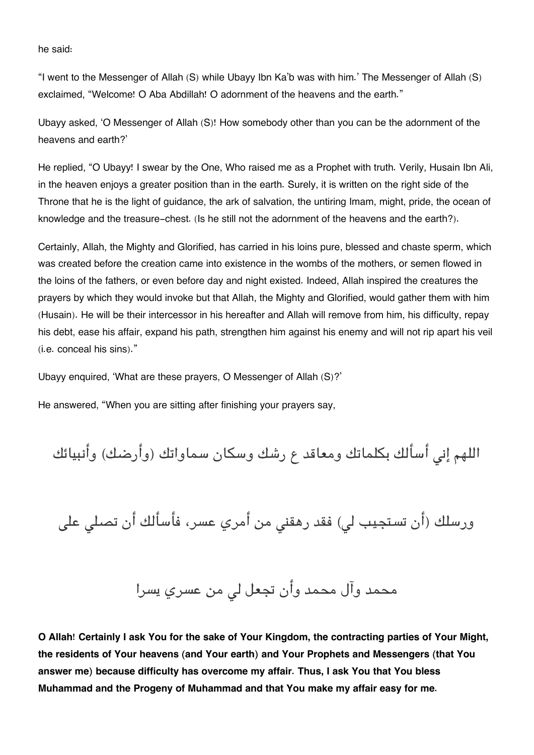he said:

"I went to the Messenger of Allah (S) while Ubayy Ibn Ka'b was with him.' The Messenger of Allah (S) exclaimed, "Welcome! O Aba Abdillah! O adornment of the heavens and the earth."

Ubayy asked, 'O Messenger of Allah (S)! How somebody other than you can be the adornment of the heavens and earth?'

He replied, "O Ubayy! I swear by the One, Who raised me as a Prophet with truth. Verily, Husain Ibn Ali, in the heaven enjoys a greater position than in the earth. Surely, it is written on the right side of the Throne that he is the light of guidance, the ark of salvation, the untiring Imam, might, pride, the ocean of knowledge and the treasure-chest. (Is he still not the adornment of the heavens and the earth?).

Certainly, Allah, the Mighty and Glorified, has carried in his loins pure, blessed and chaste sperm, which was created before the creation came into existence in the wombs of the mothers, or semen flowed in the loins of the fathers, or even before day and night existed. Indeed, Allah inspired the creatures the prayers by which they would invoke but that Allah, the Mighty and Glorified, would gather them with him (Husain). He will be their intercessor in his hereafter and Allah will remove from him, his difficulty, repay his debt, ease his affair, expand his path, strengthen him against his enemy and will not rip apart his veil (i.e. conceal his sins)."

Ubayy enquired, 'What are these prayers, O Messenger of Allah (S)?'

He answered, "When you are sitting after finishing your prayers say,

اللهم إنى أسألك بكلماتك ومعاقد ع رشك وسكان سماواتك (وأرضك) وأنبيائك

ورسلك (أن تستجيب لي) فقد رهقني من أمري عسر، فأسألك أن تصلى على

محمد وآل محمد وأن تجعل ل من عسري يسرا

**O Allah! Certainly I ask You for the sake of Your Kingdom, the contracting parties of Your Might, the residents of Your heavens (and Your earth) and Your Prophets and Messengers (that You answer me) because difficulty has overcome my affair. Thus, I ask You that You bless Muhammad and the Progeny of Muhammad and that You make my affair easy for me.**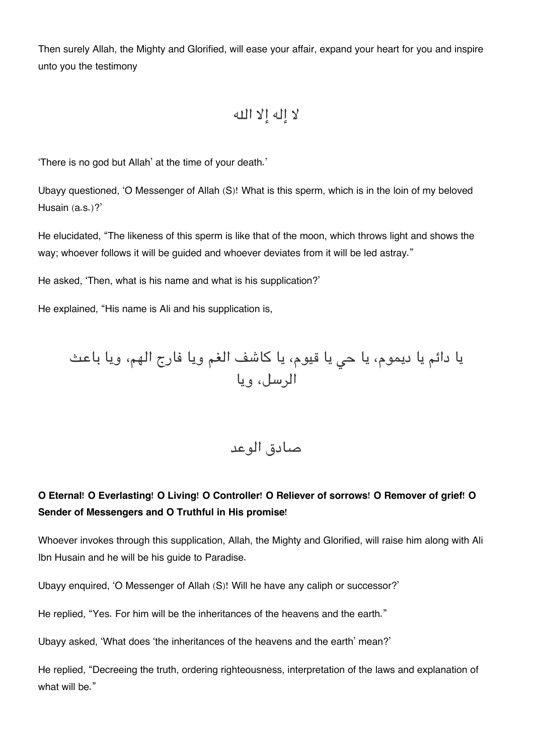Then surely Allah, the Mighty and Glorified, will ease your affair, expand your heart for you and inspire unto you the testimony

### لا إله إلا اله

'There is no god but Allah' at the time of your death.'

Ubayy questioned, 'O Messenger of Allah (S)! What is this sperm, which is in the loin of my beloved Husain (a.s.)?'

He elucidated, "The likeness of this sperm is like that of the moon, which throws light and shows the way; whoever follows it will be guided and whoever deviates from it will be led astray."

He asked, 'Then, what is his name and what is his supplication?'

He explained, "His name is Ali and his supplication is,

يا دائم يا ديموم، يا ح يا قيوم، يا كاشف الغم ويا فارج الهم، ويا باعث الرسل، ويا

صادق الوعد

#### **O Eternal! O Everlasting! O Living! O Controller! O Reliever of sorrows! O Remover of grief! O Sender of Messengers and O Truthful in His promise!**

Whoever invokes through this supplication, Allah, the Mighty and Glorified, will raise him along with Ali Ibn Husain and he will be his guide to Paradise.

Ubayy enquired, 'O Messenger of Allah (S)! Will he have any caliph or successor?'

He replied, "Yes. For him will be the inheritances of the heavens and the earth."

Ubayy asked, 'What does 'the inheritances of the heavens and the earth' mean?'

He replied, "Decreeing the truth, ordering righteousness, interpretation of the laws and explanation of what will be."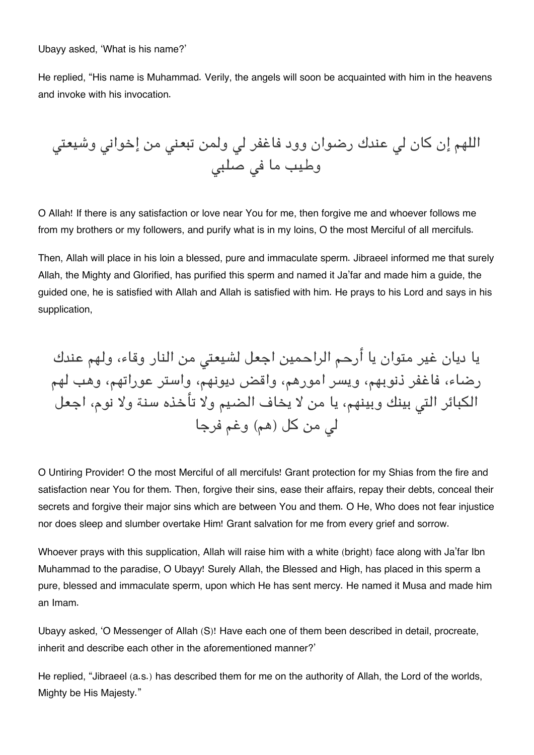Ubayy asked, 'What is his name?'

He replied, "His name is Muhammad. Verily, the angels will soon be acquainted with him in the heavens and invoke with his invocation.

اللهم إن كان لي عندك رضوان وود فاغفر لي ولمن تبعني من إخواني وشيعتي وطيب ما في صلبي

O Allah! If there is any satisfaction or love near You for me, then forgive me and whoever follows me from my brothers or my followers, and purify what is in my loins, O the most Merciful of all mercifuls.

Then, Allah will place in his loin a blessed, pure and immaculate sperm. Jibraeel informed me that surely Allah, the Mighty and Glorified, has purified this sperm and named it Ja'far and made him a guide, the guided one, he is satisfied with Allah and Allah is satisfied with him. He prays to his Lord and says in his supplication,

يا ديان غير متوان يا أرحم الراحمين اجعل لشيعت من النار وقاء، ولهم عندك رضاء، فاغفر ذنوبهم، ويسر امورهم، واقض ديونهم، واستر عوراتهم، وهب لهم الكبائر التى بينك وبينهم، يا من لا يخاف الضيم ولا تأخذه سنة ولا نوم، اجعل ل من كل (هم) وغم فرجا

O Untiring Provider! O the most Merciful of all mercifuls! Grant protection for my Shias from the fire and satisfaction near You for them. Then, forgive their sins, ease their affairs, repay their debts, conceal their secrets and forgive their major sins which are between You and them. O He, Who does not fear injustice nor does sleep and slumber overtake Him! Grant salvation for me from every grief and sorrow.

Whoever prays with this supplication, Allah will raise him with a white (bright) face along with Ja'far Ibn Muhammad to the paradise, O Ubayy! Surely Allah, the Blessed and High, has placed in this sperm a pure, blessed and immaculate sperm, upon which He has sent mercy. He named it Musa and made him an Imam.

Ubayy asked, 'O Messenger of Allah (S)! Have each one of them been described in detail, procreate, inherit and describe each other in the aforementioned manner?'

He replied, "Jibraeel (a.s.) has described them for me on the authority of Allah, the Lord of the worlds, Mighty be His Majesty."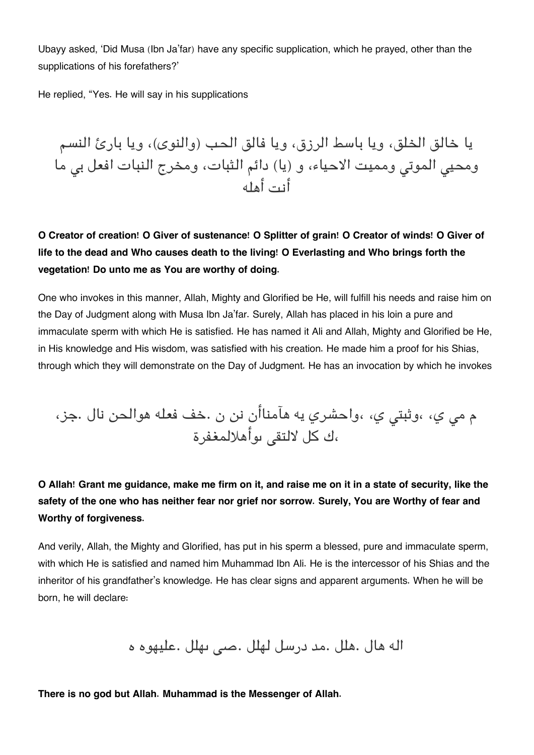Ubayy asked, 'Did Musa (Ibn Ja'far) have any specific supplication, which he prayed, other than the supplications of his forefathers?'

He replied, "Yes. He will say in his supplications

يا خالق الخلق، ويا باسط الرزق، ويا فالق الحب (والنوى)، ويا بارئ النسم ومحيى الموتى ومميت الاحياء، و (يا) دائم الثبات، ومخرج النبات افعل بى ما أنت أهله

### **O Creator of creation! O Giver of sustenance! O Splitter of grain! O Creator of winds! O Giver of life to the dead and Who causes death to the living! O Everlasting and Who brings forth the vegetation! Do unto me as You are worthy of doing.**

One who invokes in this manner, Allah, Mighty and Glorified be He, will fulfill his needs and raise him on the Day of Judgment along with Musa Ibn Ja'far. Surely, Allah has placed in his loin a pure and immaculate sperm with which He is satisfied. He has named it Ali and Allah, Mighty and Glorified be He, in His knowledge and His wisdom, was satisfied with his creation. He made him a proof for his Shias, through which they will demonstrate on the Day of Judgment. He has an invocation by which he invokes

### م مي ي، ،وثبتي ي، ،واحشري يه هامناان نن ن .خف فعله هوالحن نال .جز، ،ك كل لالتقى ىواھلالمغفرة

### **O Allah! Grant me guidance, make me firm on it, and raise me on it in a state of security, like the safety of the one who has neither fear nor grief nor sorrow. Surely, You are Worthy of fear and Worthy of forgiveness.**

And verily, Allah, the Mighty and Glorified, has put in his sperm a blessed, pure and immaculate sperm, with which He is satisfied and named him Muhammad Ibn Ali. He is the intercessor of his Shias and the inheritor of his grandfather's knowledge. He has clear signs and apparent arguments. When he will be born, he will declare:

اله هال .هلل .مد درسل لهلل .ص ىهلل .عليهوه ه

**There is no god but Allah. Muhammad is the Messenger of Allah.**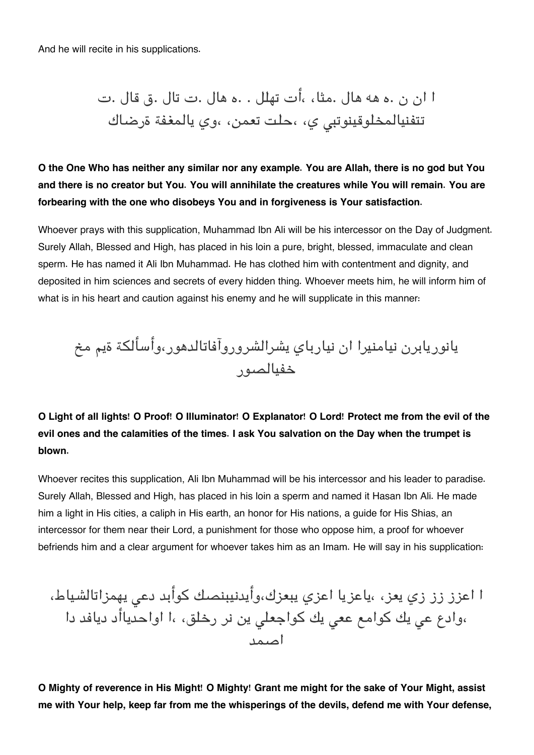And he will recite in his supplications.

ا ان ن .ه هه هال .مثا، ،أت تهلل . .ه هال .ت تال .ق قال .ت تتفنيالمخلوقينوتب ي، ،حلت تعمن، ،وي يالمغفة ةرضاك

**O the One Who has neither any similar nor any example. You are Allah, there is no god but You and there is no creator but You. You will annihilate the creatures while You will remain. You are forbearing with the one who disobeys You and in forgiveness is Your satisfaction.**

Whoever prays with this supplication, Muhammad Ibn Ali will be his intercessor on the Day of Judgment. Surely Allah, Blessed and High, has placed in his loin a pure, bright, blessed, immaculate and clean sperm. He has named it Ali Ibn Muhammad. He has clothed him with contentment and dignity, and deposited in him sciences and secrets of every hidden thing. Whoever meets him, he will inform him of what is in his heart and caution against his enemy and he will supplicate in this manner:

يانوريابرن نيامنيرا ان نيارباي يشرالشروروآفاتالدهور،وأسألة ةيم مخ خفيالصور

**O Light of all lights! O Proof! O Illuminator! O Explanator! O Lord! Protect me from the evil of the evil ones and the calamities of the times. I ask You salvation on the Day when the trumpet is blown.**

Whoever recites this supplication, Ali Ibn Muhammad will be his intercessor and his leader to paradise. Surely Allah, Blessed and High, has placed in his loin a sperm and named it Hasan Ibn Ali. He made him a light in His cities, a caliph in His earth, an honor for His nations, a guide for His Shias, an intercessor for them near their Lord, a punishment for those who oppose him, a proof for whoever befriends him and a clear argument for whoever takes him as an Imam. He will say in his supplication:

ا اعزز زز زي يعز، ،ياعزيا اعزي يبعزك،وأيدنيبنصك كوأبد دعى يهمزاتالشياط، ،وادع عي يك كوامع ععي يك كواجعلي ين نر رخلق، ،ا اواحدياأد ديافد دا اصمد

**O Mighty of reverence in His Might! O Mighty! Grant me might for the sake of Your Might, assist me with Your help, keep far from me the whisperings of the devils, defend me with Your defense,**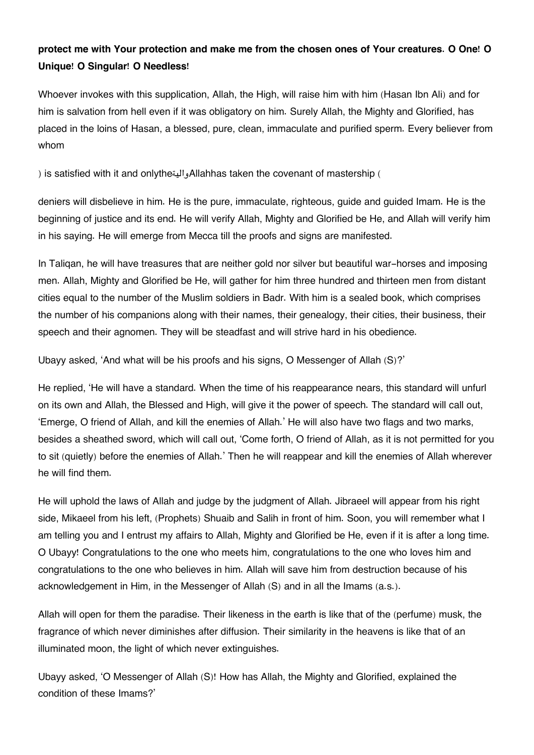#### **protect me with Your protection and make me from the chosen ones of Your creatures. O One! O Unique! O Singular! O Needless!**

Whoever invokes with this supplication, Allah, the High, will raise him with him (Hasan Ibn Ali) and for him is salvation from hell even if it was obligatory on him. Surely Allah, the Mighty and Glorified, has placed in the loins of Hasan, a blessed, pure, clean, immaculate and purified sperm. Every believer from whom

) is satisfied with it and onlytheواليةAllahhas taken the covenant of mastership (

deniers will disbelieve in him. He is the pure, immaculate, righteous, guide and guided Imam. He is the beginning of justice and its end. He will verify Allah, Mighty and Glorified be He, and Allah will verify him in his saying. He will emerge from Mecca till the proofs and signs are manifested.

In Taliqan, he will have treasures that are neither gold nor silver but beautiful war-horses and imposing men. Allah, Mighty and Glorified be He, will gather for him three hundred and thirteen men from distant cities equal to the number of the Muslim soldiers in Badr. With him is a sealed book, which comprises the number of his companions along with their names, their genealogy, their cities, their business, their speech and their agnomen. They will be steadfast and will strive hard in his obedience.

Ubayy asked, 'And what will be his proofs and his signs, O Messenger of Allah (S)?'

He replied, 'He will have a standard. When the time of his reappearance nears, this standard will unfurl on its own and Allah, the Blessed and High, will give it the power of speech. The standard will call out, 'Emerge, O friend of Allah, and kill the enemies of Allah.' He will also have two flags and two marks, besides a sheathed sword, which will call out, 'Come forth, O friend of Allah, as it is not permitted for you to sit (quietly) before the enemies of Allah.' Then he will reappear and kill the enemies of Allah wherever he will find them.

He will uphold the laws of Allah and judge by the judgment of Allah. Jibraeel will appear from his right side, Mikaeel from his left, (Prophets) Shuaib and Salih in front of him. Soon, you will remember what I am telling you and I entrust my affairs to Allah, Mighty and Glorified be He, even if it is after a long time. O Ubayy! Congratulations to the one who meets him, congratulations to the one who loves him and congratulations to the one who believes in him. Allah will save him from destruction because of his acknowledgement in Him, in the Messenger of Allah (S) and in all the Imams (a.s.).

Allah will open for them the paradise. Their likeness in the earth is like that of the (perfume) musk, the fragrance of which never diminishes after diffusion. Their similarity in the heavens is like that of an illuminated moon, the light of which never extinguishes.

Ubayy asked, 'O Messenger of Allah (S)! How has Allah, the Mighty and Glorified, explained the condition of these Imams?'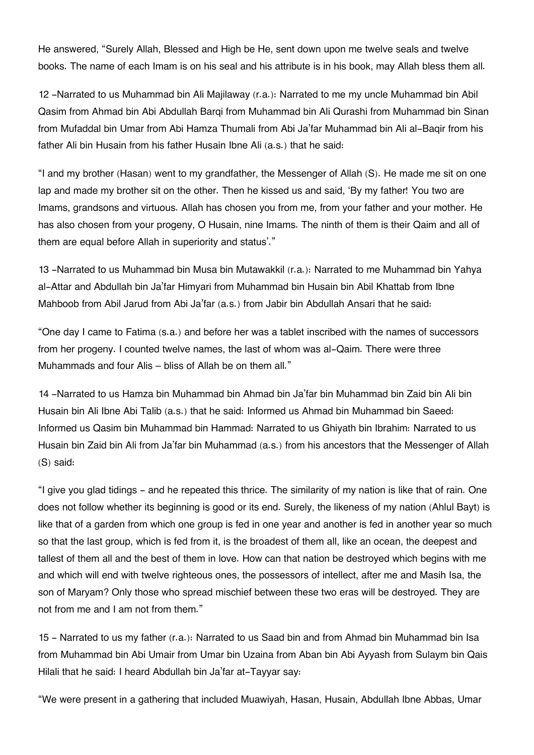He answered, "Surely Allah, Blessed and High be He, sent down upon me twelve seals and twelve books. The name of each Imam is on his seal and his attribute is in his book, may Allah bless them all.

12 -Narrated to us Muhammad bin Ali Majilaway (r.a.): Narrated to me my uncle Muhammad bin Abil Qasim from Ahmad bin Abi Abdullah Barqi from Muhammad bin Ali Qurashi from Muhammad bin Sinan from Mufaddal bin Umar from Abi Hamza Thumali from Abi Ja'far Muhammad bin Ali al-Baqir from his father Ali bin Husain from his father Husain Ibne Ali (a.s.) that he said:

"I and my brother (Hasan) went to my grandfather, the Messenger of Allah (S). He made me sit on one lap and made my brother sit on the other. Then he kissed us and said, 'By my father! You two are Imams, grandsons and virtuous. Allah has chosen you from me, from your father and your mother. He has also chosen from your progeny, O Husain, nine Imams. The ninth of them is their Qaim and all of them are equal before Allah in superiority and status'."

13 -Narrated to us Muhammad bin Musa bin Mutawakkil (r.a.): Narrated to me Muhammad bin Yahya al-Attar and Abdullah bin Ja'far Himyari from Muhammad bin Husain bin Abil Khattab from Ibne Mahboob from Abil Jarud from Abi Ja'far (a.s.) from Jabir bin Abdullah Ansari that he said:

"One day I came to Fatima (s.a.) and before her was a tablet inscribed with the names of successors from her progeny. I counted twelve names, the last of whom was al-Qaim. There were three Muhammads and four Alis – bliss of Allah be on them all."

14 -Narrated to us Hamza bin Muhammad bin Ahmad bin Ja'far bin Muhammad bin Zaid bin Ali bin Husain bin Ali Ibne Abi Talib (a.s.) that he said: Informed us Ahmad bin Muhammad bin Saeed: Informed us Qasim bin Muhammad bin Hammad: Narrated to us Ghiyath bin Ibrahim: Narrated to us Husain bin Zaid bin Ali from Ja'far bin Muhammad (a.s.) from his ancestors that the Messenger of Allah (S) said:

"I give you glad tidings - and he repeated this thrice. The similarity of my nation is like that of rain. One does not follow whether its beginning is good or its end. Surely, the likeness of my nation (Ahlul Bayt) is like that of a garden from which one group is fed in one year and another is fed in another year so much so that the last group, which is fed from it, is the broadest of them all, like an ocean, the deepest and tallest of them all and the best of them in love. How can that nation be destroyed which begins with me and which will end with twelve righteous ones, the possessors of intellect, after me and Masih Isa, the son of Maryam? Only those who spread mischief between these two eras will be destroyed. They are not from me and I am not from them."

15 - Narrated to us my father (r.a.): Narrated to us Saad bin and from Ahmad bin Muhammad bin Isa from Muhammad bin Abi Umair from Umar bin Uzaina from Aban bin Abi Ayyash from Sulaym bin Qais Hilali that he said: I heard Abdullah bin Ja'far at-Tayyar say:

"We were present in a gathering that included Muawiyah, Hasan, Husain, Abdullah Ibne Abbas, Umar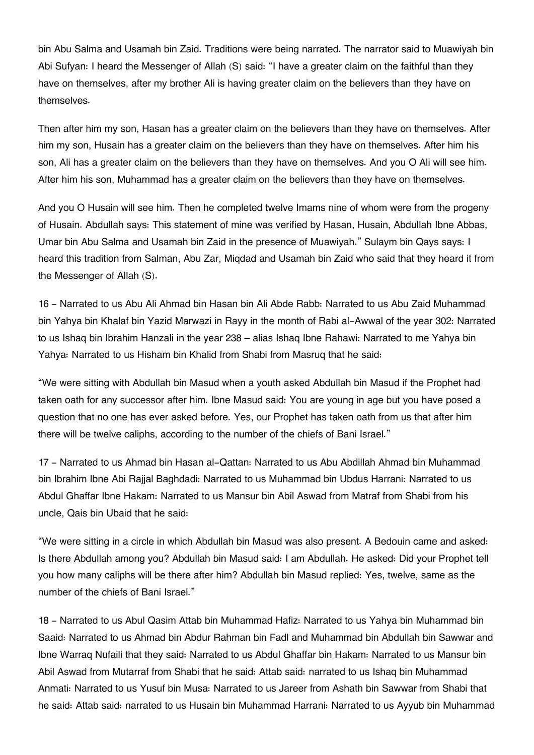bin Abu Salma and Usamah bin Zaid. Traditions were being narrated. The narrator said to Muawiyah bin Abi Sufyan: I heard the Messenger of Allah (S) said: "I have a greater claim on the faithful than they have on themselves, after my brother Ali is having greater claim on the believers than they have on themselves.

Then after him my son, Hasan has a greater claim on the believers than they have on themselves. After him my son, Husain has a greater claim on the believers than they have on themselves. After him his son, Ali has a greater claim on the believers than they have on themselves. And you O Ali will see him. After him his son, Muhammad has a greater claim on the believers than they have on themselves.

And you O Husain will see him. Then he completed twelve Imams nine of whom were from the progeny of Husain. Abdullah says: This statement of mine was verified by Hasan, Husain, Abdullah Ibne Abbas, Umar bin Abu Salma and Usamah bin Zaid in the presence of Muawiyah." Sulaym bin Qays says: I heard this tradition from Salman, Abu Zar, Miqdad and Usamah bin Zaid who said that they heard it from the Messenger of Allah (S).

16 - Narrated to us Abu Ali Ahmad bin Hasan bin Ali Abde Rabb: Narrated to us Abu Zaid Muhammad bin Yahya bin Khalaf bin Yazid Marwazi in Rayy in the month of Rabi al-Awwal of the year 302: Narrated to us Ishaq bin Ibrahim Hanzali in the year 238 – alias Ishaq Ibne Rahawi: Narrated to me Yahya bin Yahya: Narrated to us Hisham bin Khalid from Shabi from Masruq that he said:

"We were sitting with Abdullah bin Masud when a youth asked Abdullah bin Masud if the Prophet had taken oath for any successor after him. Ibne Masud said: You are young in age but you have posed a question that no one has ever asked before. Yes, our Prophet has taken oath from us that after him there will be twelve caliphs, according to the number of the chiefs of Bani Israel."

17 - Narrated to us Ahmad bin Hasan al-Qattan: Narrated to us Abu Abdillah Ahmad bin Muhammad bin Ibrahim Ibne Abi Rajjal Baghdadi: Narrated to us Muhammad bin Ubdus Harrani: Narrated to us Abdul Ghaffar Ibne Hakam: Narrated to us Mansur bin Abil Aswad from Matraf from Shabi from his uncle, Qais bin Ubaid that he said:

"We were sitting in a circle in which Abdullah bin Masud was also present. A Bedouin came and asked: Is there Abdullah among you? Abdullah bin Masud said: I am Abdullah. He asked: Did your Prophet tell you how many caliphs will be there after him? Abdullah bin Masud replied: Yes, twelve, same as the number of the chiefs of Bani Israel."

18 - Narrated to us Abul Qasim Attab bin Muhammad Hafiz: Narrated to us Yahya bin Muhammad bin Saaid: Narrated to us Ahmad bin Abdur Rahman bin Fadl and Muhammad bin Abdullah bin Sawwar and Ibne Warraq Nufaili that they said: Narrated to us Abdul Ghaffar bin Hakam: Narrated to us Mansur bin Abil Aswad from Mutarraf from Shabi that he said: Attab said: narrated to us Ishaq bin Muhammad Anmati: Narrated to us Yusuf bin Musa: Narrated to us Jareer from Ashath bin Sawwar from Shabi that he said: Attab said: narrated to us Husain bin Muhammad Harrani: Narrated to us Ayyub bin Muhammad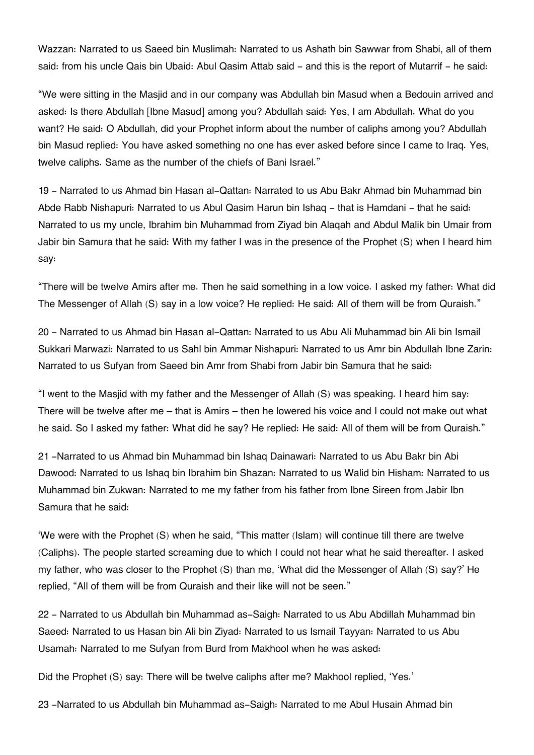Wazzan: Narrated to us Saeed bin Muslimah: Narrated to us Ashath bin Sawwar from Shabi, all of them said: from his uncle Qais bin Ubaid: Abul Qasim Attab said - and this is the report of Mutarrif - he said:

"We were sitting in the Masjid and in our company was Abdullah bin Masud when a Bedouin arrived and asked: Is there Abdullah [Ibne Masud] among you? Abdullah said: Yes, I am Abdullah. What do you want? He said: O Abdullah, did your Prophet inform about the number of caliphs among you? Abdullah bin Masud replied: You have asked something no one has ever asked before since I came to Iraq. Yes, twelve caliphs. Same as the number of the chiefs of Bani Israel."

19 - Narrated to us Ahmad bin Hasan al-Qattan: Narrated to us Abu Bakr Ahmad bin Muhammad bin Abde Rabb Nishapuri: Narrated to us Abul Qasim Harun bin Ishaq - that is Hamdani - that he said: Narrated to us my uncle, Ibrahim bin Muhammad from Ziyad bin Alaqah and Abdul Malik bin Umair from Jabir bin Samura that he said: With my father I was in the presence of the Prophet (S) when I heard him say:

"There will be twelve Amirs after me. Then he said something in a low voice. I asked my father: What did The Messenger of Allah (S) say in a low voice? He replied: He said: All of them will be from Quraish."

20 - Narrated to us Ahmad bin Hasan al-Qattan: Narrated to us Abu Ali Muhammad bin Ali bin Ismail Sukkari Marwazi: Narrated to us Sahl bin Ammar Nishapuri: Narrated to us Amr bin Abdullah Ibne Zarin: Narrated to us Sufyan from Saeed bin Amr from Shabi from Jabir bin Samura that he said:

"I went to the Masjid with my father and the Messenger of Allah (S) was speaking. I heard him say: There will be twelve after me – that is Amirs – then he lowered his voice and I could not make out what he said. So I asked my father: What did he say? He replied: He said: All of them will be from Quraish."

21 -Narrated to us Ahmad bin Muhammad bin Ishaq Dainawari: Narrated to us Abu Bakr bin Abi Dawood: Narrated to us Ishaq bin Ibrahim bin Shazan: Narrated to us Walid bin Hisham: Narrated to us Muhammad bin Zukwan: Narrated to me my father from his father from Ibne Sireen from Jabir Ibn Samura that he said:

'We were with the Prophet (S) when he said, "This matter (Islam) will continue till there are twelve (Caliphs). The people started screaming due to which I could not hear what he said thereafter. I asked my father, who was closer to the Prophet (S) than me, 'What did the Messenger of Allah (S) say?' He replied, "All of them will be from Quraish and their like will not be seen."

22 - Narrated to us Abdullah bin Muhammad as-Saigh: Narrated to us Abu Abdillah Muhammad bin Saeed: Narrated to us Hasan bin Ali bin Ziyad: Narrated to us Ismail Tayyan: Narrated to us Abu Usamah: Narrated to me Sufyan from Burd from Makhool when he was asked:

Did the Prophet (S) say: There will be twelve caliphs after me? Makhool replied, 'Yes.'

23 -Narrated to us Abdullah bin Muhammad as-Saigh: Narrated to me Abul Husain Ahmad bin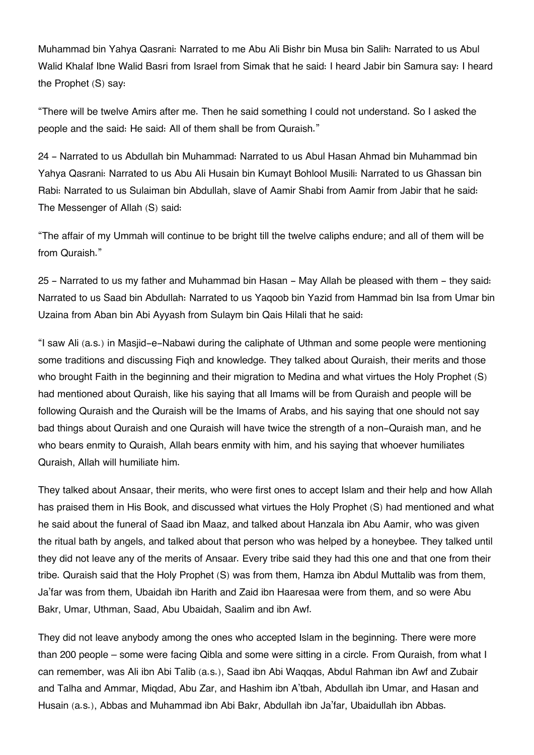Muhammad bin Yahya Qasrani: Narrated to me Abu Ali Bishr bin Musa bin Salih: Narrated to us Abul Walid Khalaf Ibne Walid Basri from Israel from Simak that he said: I heard Jabir bin Samura say: I heard the Prophet (S) say:

"There will be twelve Amirs after me. Then he said something I could not understand. So I asked the people and the said: He said: All of them shall be from Quraish."

24 - Narrated to us Abdullah bin Muhammad: Narrated to us Abul Hasan Ahmad bin Muhammad bin Yahya Qasrani: Narrated to us Abu Ali Husain bin Kumayt Bohlool Musili: Narrated to us Ghassan bin Rabi: Narrated to us Sulaiman bin Abdullah, slave of Aamir Shabi from Aamir from Jabir that he said: The Messenger of Allah (S) said:

"The affair of my Ummah will continue to be bright till the twelve caliphs endure; and all of them will be from Quraish."

25 - Narrated to us my father and Muhammad bin Hasan - May Allah be pleased with them - they said: Narrated to us Saad bin Abdullah: Narrated to us Yaqoob bin Yazid from Hammad bin Isa from Umar bin Uzaina from Aban bin Abi Ayyash from Sulaym bin Qais Hilali that he said:

"I saw Ali (a.s.) in Masjid-e-Nabawi during the caliphate of Uthman and some people were mentioning some traditions and discussing Fiqh and knowledge. They talked about Quraish, their merits and those who brought Faith in the beginning and their migration to Medina and what virtues the Holy Prophet (S) had mentioned about Quraish, like his saying that all Imams will be from Quraish and people will be following Quraish and the Quraish will be the Imams of Arabs, and his saying that one should not say bad things about Quraish and one Quraish will have twice the strength of a non-Quraish man, and he who bears enmity to Quraish, Allah bears enmity with him, and his saying that whoever humiliates Quraish, Allah will humiliate him.

They talked about Ansaar, their merits, who were first ones to accept Islam and their help and how Allah has praised them in His Book, and discussed what virtues the Holy Prophet (S) had mentioned and what he said about the funeral of Saad ibn Maaz, and talked about Hanzala ibn Abu Aamir, who was given the ritual bath by angels, and talked about that person who was helped by a honeybee. They talked until they did not leave any of the merits of Ansaar. Every tribe said they had this one and that one from their tribe. Quraish said that the Holy Prophet (S) was from them, Hamza ibn Abdul Muttalib was from them, Ja'far was from them, Ubaidah ibn Harith and Zaid ibn Haaresaa were from them, and so were Abu Bakr, Umar, Uthman, Saad, Abu Ubaidah, Saalim and ibn Awf.

They did not leave anybody among the ones who accepted Islam in the beginning. There were more than 200 people – some were facing Qibla and some were sitting in a circle. From Quraish, from what I can remember, was Ali ibn Abi Talib (a.s.), Saad ibn Abi Waqqas, Abdul Rahman ibn Awf and Zubair and Talha and Ammar, Miqdad, Abu Zar, and Hashim ibn A'tbah, Abdullah ibn Umar, and Hasan and Husain (a.s.), Abbas and Muhammad ibn Abi Bakr, Abdullah ibn Ja'far, Ubaidullah ibn Abbas.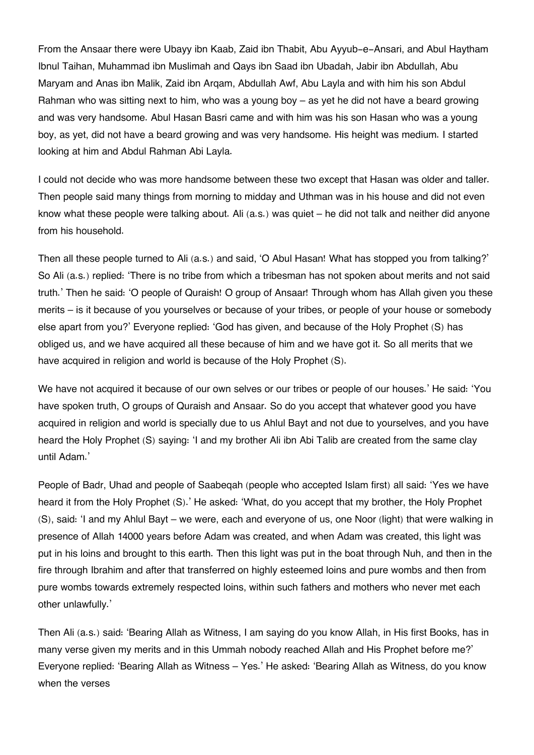From the Ansaar there were Ubayy ibn Kaab, Zaid ibn Thabit, Abu Ayyub-e-Ansari, and Abul Haytham Ibnul Taihan, Muhammad ibn Muslimah and Qays ibn Saad ibn Ubadah, Jabir ibn Abdullah, Abu Maryam and Anas ibn Malik, Zaid ibn Arqam, Abdullah Awf, Abu Layla and with him his son Abdul Rahman who was sitting next to him, who was a young boy – as yet he did not have a beard growing and was very handsome. Abul Hasan Basri came and with him was his son Hasan who was a young boy, as yet, did not have a beard growing and was very handsome. His height was medium. I started looking at him and Abdul Rahman Abi Layla.

I could not decide who was more handsome between these two except that Hasan was older and taller. Then people said many things from morning to midday and Uthman was in his house and did not even know what these people were talking about. Ali (a.s.) was quiet – he did not talk and neither did anyone from his household.

Then all these people turned to Ali (a.s.) and said, 'O Abul Hasan! What has stopped you from talking?' So Ali (a.s.) replied: 'There is no tribe from which a tribesman has not spoken about merits and not said truth.' Then he said: 'O people of Quraish! O group of Ansaar! Through whom has Allah given you these merits – is it because of you yourselves or because of your tribes, or people of your house or somebody else apart from you?' Everyone replied: 'God has given, and because of the Holy Prophet (S) has obliged us, and we have acquired all these because of him and we have got it. So all merits that we have acquired in religion and world is because of the Holy Prophet (S).

We have not acquired it because of our own selves or our tribes or people of our houses.' He said: 'You have spoken truth, O groups of Quraish and Ansaar. So do you accept that whatever good you have acquired in religion and world is specially due to us Ahlul Bayt and not due to yourselves, and you have heard the Holy Prophet (S) saying: 'I and my brother Ali ibn Abi Talib are created from the same clay until Adam.'

People of Badr, Uhad and people of Saabeqah (people who accepted Islam first) all said: 'Yes we have heard it from the Holy Prophet (S).' He asked: 'What, do you accept that my brother, the Holy Prophet (S), said: 'I and my Ahlul Bayt – we were, each and everyone of us, one Noor (light) that were walking in presence of Allah 14000 years before Adam was created, and when Adam was created, this light was put in his loins and brought to this earth. Then this light was put in the boat through Nuh, and then in the fire through Ibrahim and after that transferred on highly esteemed loins and pure wombs and then from pure wombs towards extremely respected loins, within such fathers and mothers who never met each other unlawfully.'

Then Ali (a.s.) said: 'Bearing Allah as Witness, I am saying do you know Allah, in His first Books, has in many verse given my merits and in this Ummah nobody reached Allah and His Prophet before me?' Everyone replied: 'Bearing Allah as Witness – Yes.' He asked: 'Bearing Allah as Witness, do you know when the verses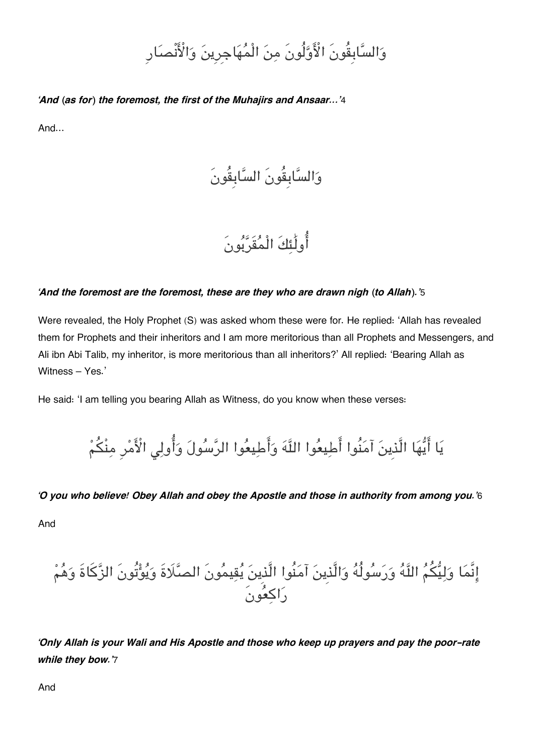وَالسَّابِقُونَ الْأَوَّلُونَ مِنَ الْمُهَاجِرِينَ وَالْأَنْصَارِ

*'And (as for) the foremost, the first of the Muhajirs and Ansaar...'*[4](#page--1-0)

And…

والسابِقُونَ السابِقُونَ

اولَٰئكَ الْمقَربونَ

#### *'And the foremost are the foremost, these are they who are drawn nigh (to Allah).'*[5](#page--1-0)

Were revealed, the Holy Prophet (S) was asked whom these were for. He replied: 'Allah has revealed them for Prophets and their inheritors and I am more meritorious than all Prophets and Messengers, and Ali ibn Abi Talib, my inheritor, is more meritorious than all inheritors?' All replied: 'Bearing Allah as Witness – Yes.'

He said: 'I am telling you bearing Allah as Witness, do you know when these verses:

يَا أَيُّهَا الَّذِينَ آمَنُوا أَطِيعُوا اللَّهَ وَأَطِيعُوا الرَّسُولَ وَأُولِي الْأَمْرِ مِنْكُمْ

#### *'O you who believe! Obey Allah and obey the Apostle and those in authority from among you.'*[6](#page--1-0)

And

انَّما وليم اله ورسولُه والَّذِين آمنُوا الَّذِين يقيمونَ الصَةَ ويوتُونَ الزكاةَ وهم راكعونَ

*'Only Allah is your Wali and His Apostle and those who keep up prayers and pay the poor-rate while they bow.'*[7](#page--1-0)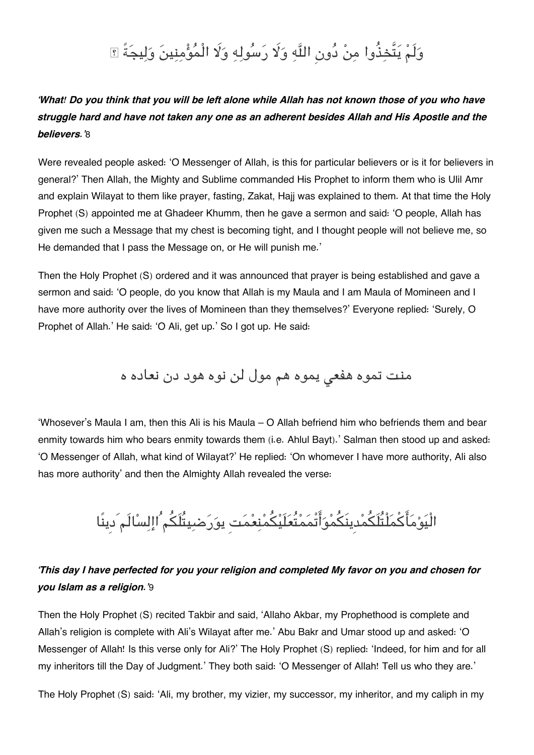## وَلَمْ يَتَّخِذُوا مِنْ دُونِ اللَّهِ وَلَا رَسُولِهِ وَلَا الْمُؤْمِنِينَ وَلِيجَةً ؟!

### *'What! Do you think that you will be left alone while Allah has not known those of you who have struggle hard and have not taken any one as an adherent besides Allah and His Apostle and the believers.'*[8](#page--1-0)

Were revealed people asked: 'O Messenger of Allah, is this for particular believers or is it for believers in general?' Then Allah, the Mighty and Sublime commanded His Prophet to inform them who is Ulil Amr and explain Wilayat to them like prayer, fasting, Zakat, Hajj was explained to them. At that time the Holy Prophet (S) appointed me at Ghadeer Khumm, then he gave a sermon and said: 'O people, Allah has given me such a Message that my chest is becoming tight, and I thought people will not believe me, so He demanded that I pass the Message on, or He will punish me.'

Then the Holy Prophet (S) ordered and it was announced that prayer is being established and gave a sermon and said: 'O people, do you know that Allah is my Maula and I am Maula of Momineen and I have more authority over the lives of Momineen than they themselves?' Everyone replied: 'Surely, O Prophet of Allah.' He said: 'O Ali, get up.' So I got up. He said:

منت تموه هفع يموه هم مول لن نوه هود دن نعاده ه

'Whosever's Maula I am, then this Ali is his Maula – O Allah befriend him who befriends them and bear enmity towards him who bears enmity towards them (i.e. Ahlul Bayt).' Salman then stood up and asked: 'O Messenger of Allah, what kind of Wilayat?' He replied: 'On whomever I have more authority, Ali also has more authority' and then the Almighty Allah revealed the verse:

الْيَوْمَأَكْمَلْتُلَكُمْدِينَكُمْوَأَتْمَمْتُعَلَيْكُمْنِعْمَتِ يوَرَضِيتُلَكُم ُاإِلِسْالَم َدِينًا

#### *'This day I have perfected for you your religion and completed My favor on you and chosen for you Islam as a religion.'*[9](#page--1-0)

Then the Holy Prophet (S) recited Takbir and said, 'Allaho Akbar, my Prophethood is complete and Allah's religion is complete with Ali's Wilayat after me.' Abu Bakr and Umar stood up and asked: 'O Messenger of Allah! Is this verse only for Ali?' The Holy Prophet (S) replied: 'Indeed, for him and for all my inheritors till the Day of Judgment.' They both said: 'O Messenger of Allah! Tell us who they are.'

The Holy Prophet (S) said: 'Ali, my brother, my vizier, my successor, my inheritor, and my caliph in my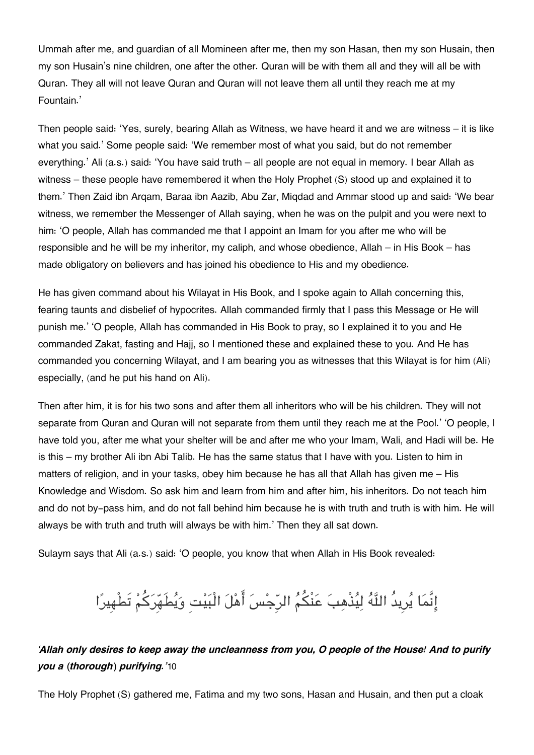Ummah after me, and guardian of all Momineen after me, then my son Hasan, then my son Husain, then my son Husain's nine children, one after the other. Quran will be with them all and they will all be with Quran. They all will not leave Quran and Quran will not leave them all until they reach me at my Fountain.'

Then people said: 'Yes, surely, bearing Allah as Witness, we have heard it and we are witness – it is like what you said.' Some people said: 'We remember most of what you said, but do not remember everything.' Ali (a.s.) said: 'You have said truth – all people are not equal in memory. I bear Allah as witness – these people have remembered it when the Holy Prophet (S) stood up and explained it to them.' Then Zaid ibn Arqam, Baraa ibn Aazib, Abu Zar, Miqdad and Ammar stood up and said: 'We bear witness, we remember the Messenger of Allah saying, when he was on the pulpit and you were next to him: 'O people, Allah has commanded me that I appoint an Imam for you after me who will be responsible and he will be my inheritor, my caliph, and whose obedience, Allah – in His Book – has made obligatory on believers and has joined his obedience to His and my obedience.

He has given command about his Wilayat in His Book, and I spoke again to Allah concerning this, fearing taunts and disbelief of hypocrites. Allah commanded firmly that I pass this Message or He will punish me.' 'O people, Allah has commanded in His Book to pray, so I explained it to you and He commanded Zakat, fasting and Hajj, so I mentioned these and explained these to you. And He has commanded you concerning Wilayat, and I am bearing you as witnesses that this Wilayat is for him (Ali) especially, (and he put his hand on Ali).

Then after him, it is for his two sons and after them all inheritors who will be his children. They will not separate from Quran and Quran will not separate from them until they reach me at the Pool.' 'O people, I have told you, after me what your shelter will be and after me who your Imam, Wali, and Hadi will be. He is this – my brother Ali ibn Abi Talib. He has the same status that I have with you. Listen to him in matters of religion, and in your tasks, obey him because he has all that Allah has given me – His Knowledge and Wisdom. So ask him and learn from him and after him, his inheritors. Do not teach him and do not by-pass him, and do not fall behind him because he is with truth and truth is with him. He will always be with truth and truth will always be with him.' Then they all sat down.

Sulaym says that Ali (a.s.) said: 'O people, you know that when Allah in His Book revealed:

## إِنَّمَا يُرِيدُ اللَّهُ لِيُذْهِبَ عَنْكُمُ الرِّجْسَ أَهْلَ الْبَيْتِ وَيُطَهِّرَكُمْ تَطْهِيرًا

#### *'Allah only desires to keep away the uncleanness from you, O people of the House! And to purify you a (thorough) purifying.'*[10](#page--1-0)

The Holy Prophet (S) gathered me, Fatima and my two sons, Hasan and Husain, and then put a cloak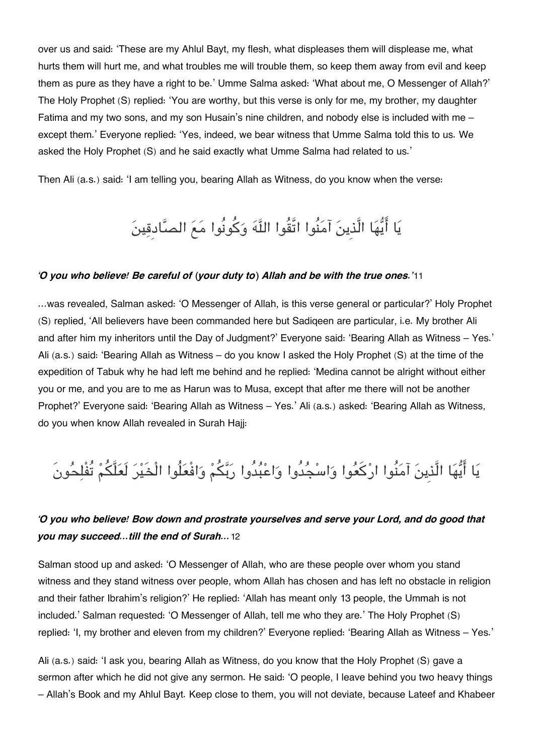over us and said: 'These are my Ahlul Bayt, my flesh, what displeases them will displease me, what hurts them will hurt me, and what troubles me will trouble them, so keep them away from evil and keep them as pure as they have a right to be.' Umme Salma asked: 'What about me, O Messenger of Allah?' The Holy Prophet (S) replied: 'You are worthy, but this verse is only for me, my brother, my daughter Fatima and my two sons, and my son Husain's nine children, and nobody else is included with me – except them.' Everyone replied: 'Yes, indeed, we bear witness that Umme Salma told this to us. We asked the Holy Prophet (S) and he said exactly what Umme Salma had related to us.'

Then Ali (a.s.) said: 'I am telling you, bearing Allah as Witness, do you know when the verse:

## يا ايها الَّذِين آمنُوا اتَّقُوا اله وكونُوا مع الصادِقين

#### *'O you who believe! Be careful of (your duty to) Allah and be with the true ones.'*[11](#page--1-0)

…was revealed, Salman asked: 'O Messenger of Allah, is this verse general or particular?' Holy Prophet (S) replied, 'All believers have been commanded here but Sadiqeen are particular, i.e. My brother Ali and after him my inheritors until the Day of Judgment?' Everyone said: 'Bearing Allah as Witness – Yes.' Ali (a.s.) said: 'Bearing Allah as Witness – do you know I asked the Holy Prophet (S) at the time of the expedition of Tabuk why he had left me behind and he replied: 'Medina cannot be alright without either you or me, and you are to me as Harun was to Musa, except that after me there will not be another Prophet?' Everyone said: 'Bearing Allah as Witness – Yes.' Ali (a.s.) asked: 'Bearing Allah as Witness, do you when know Allah revealed in Surah Hajj:

## يَا أَيُّهَا الَّذِينَ آمَنُوا ارْكَعُوا وَاسْجُدُوا وَاعْبُدُوا رَبَّكُمْ وَافْعَلُوا الْخَيْرَ لَعَلَّكُمْ تُفْلِحُونَ

#### *'O you who believe! Bow down and prostrate yourselves and serve your Lord, and do good that you may succeed…till the end of Surah…*[12](#page--1-0)

Salman stood up and asked: 'O Messenger of Allah, who are these people over whom you stand witness and they stand witness over people, whom Allah has chosen and has left no obstacle in religion and their father Ibrahim's religion?' He replied: 'Allah has meant only 13 people, the Ummah is not included.' Salman requested: 'O Messenger of Allah, tell me who they are.' The Holy Prophet (S) replied: 'I, my brother and eleven from my children?' Everyone replied: 'Bearing Allah as Witness – Yes.'

Ali (a.s.) said: 'I ask you, bearing Allah as Witness, do you know that the Holy Prophet (S) gave a sermon after which he did not give any sermon. He said: 'O people, I leave behind you two heavy things – Allah's Book and my Ahlul Bayt. Keep close to them, you will not deviate, because Lateef and Khabeer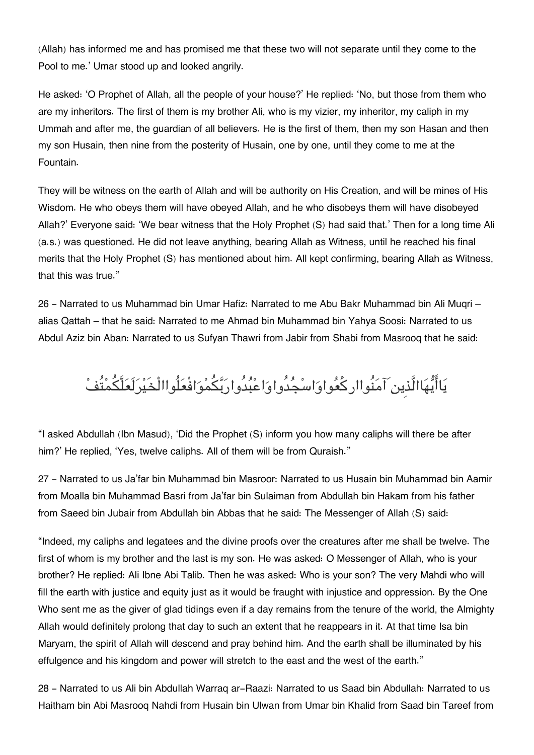(Allah) has informed me and has promised me that these two will not separate until they come to the Pool to me.' Umar stood up and looked angrily.

He asked: 'O Prophet of Allah, all the people of your house?' He replied: 'No, but those from them who are my inheritors. The first of them is my brother Ali, who is my vizier, my inheritor, my caliph in my Ummah and after me, the guardian of all believers. He is the first of them, then my son Hasan and then my son Husain, then nine from the posterity of Husain, one by one, until they come to me at the Fountain.

They will be witness on the earth of Allah and will be authority on His Creation, and will be mines of His Wisdom. He who obeys them will have obeyed Allah, and he who disobeys them will have disobeyed Allah?' Everyone said: 'We bear witness that the Holy Prophet (S) had said that.' Then for a long time Ali (a.s.) was questioned. He did not leave anything, bearing Allah as Witness, until he reached his final merits that the Holy Prophet (S) has mentioned about him. All kept confirming, bearing Allah as Witness, that this was true."

26 - Narrated to us Muhammad bin Umar Hafiz: Narrated to me Abu Bakr Muhammad bin Ali Muqri – alias Qattah – that he said: Narrated to me Ahmad bin Muhammad bin Yahya Soosi: Narrated to us Abdul Aziz bin Aban: Narrated to us Sufyan Thawri from Jabir from Shabi from Masrooq that he said:

## ياايهاالَّذِين َآمنُوااركَعواواسجدُواواعبدُواربموافْعلُواالْخَيرلَعلَّمتُف

"I asked Abdullah (Ibn Masud), 'Did the Prophet (S) inform you how many caliphs will there be after him?' He replied, 'Yes, twelve caliphs. All of them will be from Quraish."

27 - Narrated to us Ja'far bin Muhammad bin Masroor: Narrated to us Husain bin Muhammad bin Aamir from Moalla bin Muhammad Basri from Ja'far bin Sulaiman from Abdullah bin Hakam from his father from Saeed bin Jubair from Abdullah bin Abbas that he said: The Messenger of Allah (S) said:

"Indeed, my caliphs and legatees and the divine proofs over the creatures after me shall be twelve. The first of whom is my brother and the last is my son. He was asked: O Messenger of Allah, who is your brother? He replied: Ali Ibne Abi Talib. Then he was asked: Who is your son? The very Mahdi who will fill the earth with justice and equity just as it would be fraught with injustice and oppression. By the One Who sent me as the giver of glad tidings even if a day remains from the tenure of the world, the Almighty Allah would definitely prolong that day to such an extent that he reappears in it. At that time Isa bin Maryam, the spirit of Allah will descend and pray behind him. And the earth shall be illuminated by his effulgence and his kingdom and power will stretch to the east and the west of the earth."

28 - Narrated to us Ali bin Abdullah Warraq ar-Raazi: Narrated to us Saad bin Abdullah: Narrated to us Haitham bin Abi Masrooq Nahdi from Husain bin Ulwan from Umar bin Khalid from Saad bin Tareef from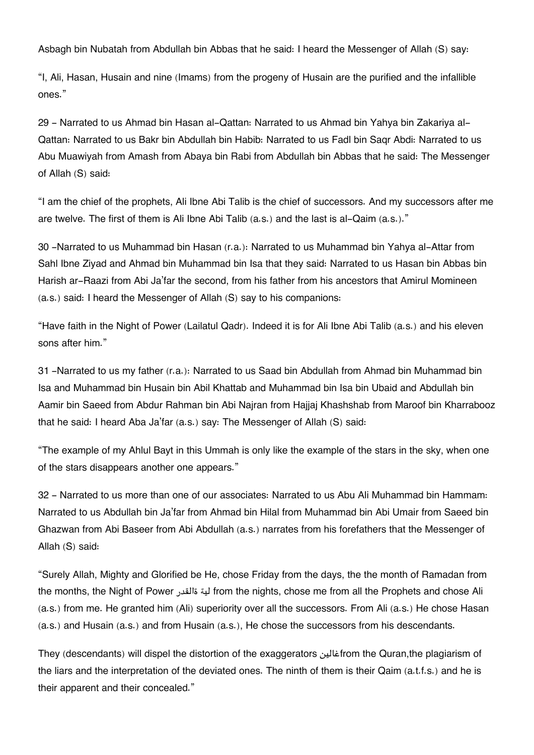Asbagh bin Nubatah from Abdullah bin Abbas that he said: I heard the Messenger of Allah (S) say:

"I, Ali, Hasan, Husain and nine (Imams) from the progeny of Husain are the purified and the infallible ones."

29 - Narrated to us Ahmad bin Hasan al-Qattan: Narrated to us Ahmad bin Yahya bin Zakariya al-Qattan: Narrated to us Bakr bin Abdullah bin Habib: Narrated to us Fadl bin Saqr Abdi: Narrated to us Abu Muawiyah from Amash from Abaya bin Rabi from Abdullah bin Abbas that he said: The Messenger of Allah (S) said:

"I am the chief of the prophets, Ali Ibne Abi Talib is the chief of successors. And my successors after me are twelve. The first of them is Ali Ibne Abi Talib (a.s.) and the last is al-Qaim (a.s.)."

30 -Narrated to us Muhammad bin Hasan (r.a.): Narrated to us Muhammad bin Yahya al-Attar from Sahl Ibne Ziyad and Ahmad bin Muhammad bin Isa that they said: Narrated to us Hasan bin Abbas bin Harish ar-Raazi from Abi Ja'far the second, from his father from his ancestors that Amirul Momineen (a.s.) said: I heard the Messenger of Allah (S) say to his companions:

"Have faith in the Night of Power (Lailatul Qadr). Indeed it is for Ali Ibne Abi Talib (a.s.) and his eleven sons after him."

31 -Narrated to us my father (r.a.): Narrated to us Saad bin Abdullah from Ahmad bin Muhammad bin Isa and Muhammad bin Husain bin Abil Khattab and Muhammad bin Isa bin Ubaid and Abdullah bin Aamir bin Saeed from Abdur Rahman bin Abi Najran from Hajjaj Khashshab from Maroof bin Kharrabooz that he said: I heard Aba Ja'far (a.s.) say: The Messenger of Allah (S) said:

"The example of my Ahlul Bayt in this Ummah is only like the example of the stars in the sky, when one of the stars disappears another one appears."

32 - Narrated to us more than one of our associates: Narrated to us Abu Ali Muhammad bin Hammam: Narrated to us Abdullah bin Ja'far from Ahmad bin Hilal from Muhammad bin Abi Umair from Saeed bin Ghazwan from Abi Baseer from Abi Abdullah (a.s.) narrates from his forefathers that the Messenger of Allah (S) said:

"Surely Allah, Mighty and Glorified be He, chose Friday from the days, the the month of Ramadan from the months, the Night of Power لية ةالقدر from the nights, chose me from all the Prophets and chose Ali (a.s.) from me. He granted him (Ali) superiority over all the successors. From Ali (a.s.) He chose Hasan (a.s.) and Husain (a.s.) and from Husain (a.s.), He chose the successors from his descendants.

They (descendants) will dispel the distortion of the exaggerators غالين from the Quran,the plagiarism of the liars and the interpretation of the deviated ones. The ninth of them is their Qaim (a.t.f.s.) and he is their apparent and their concealed."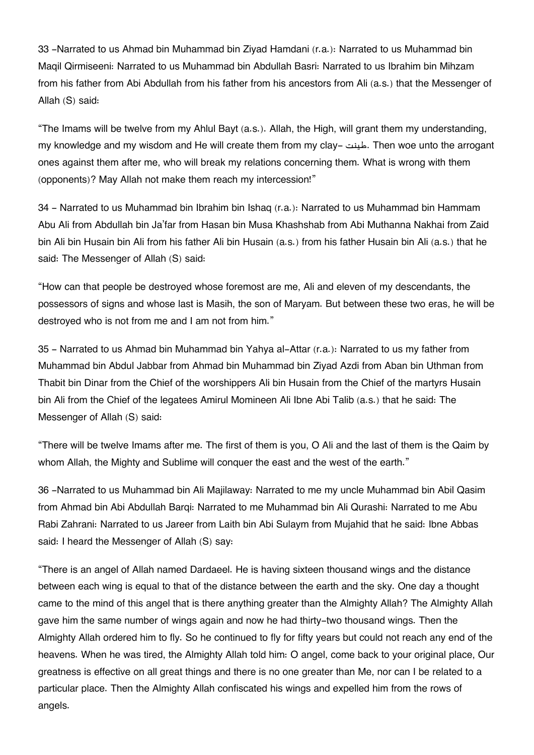33 -Narrated to us Ahmad bin Muhammad bin Ziyad Hamdani (r.a.): Narrated to us Muhammad bin Maqil Qirmiseeni: Narrated to us Muhammad bin Abdullah Basri: Narrated to us Ibrahim bin Mihzam from his father from Abi Abdullah from his father from his ancestors from Ali (a.s.) that the Messenger of Allah (S) said:

"The Imams will be twelve from my Ahlul Bayt (a.s.). Allah, the High, will grant them my understanding, my knowledge and my wisdom and He will create them from my clay- طينت. Then woe unto the arrogant ones against them after me, who will break my relations concerning them. What is wrong with them (opponents)? May Allah not make them reach my intercession!"

34 - Narrated to us Muhammad bin Ibrahim bin Ishaq (r.a.): Narrated to us Muhammad bin Hammam Abu Ali from Abdullah bin Ja'far from Hasan bin Musa Khashshab from Abi Muthanna Nakhai from Zaid bin Ali bin Husain bin Ali from his father Ali bin Husain (a.s.) from his father Husain bin Ali (a.s.) that he said: The Messenger of Allah (S) said:

"How can that people be destroyed whose foremost are me, Ali and eleven of my descendants, the possessors of signs and whose last is Masih, the son of Maryam. But between these two eras, he will be destroyed who is not from me and I am not from him."

35 - Narrated to us Ahmad bin Muhammad bin Yahya al-Attar (r.a.): Narrated to us my father from Muhammad bin Abdul Jabbar from Ahmad bin Muhammad bin Ziyad Azdi from Aban bin Uthman from Thabit bin Dinar from the Chief of the worshippers Ali bin Husain from the Chief of the martyrs Husain bin Ali from the Chief of the legatees Amirul Momineen Ali Ibne Abi Talib (a.s.) that he said: The Messenger of Allah (S) said:

"There will be twelve Imams after me. The first of them is you, O Ali and the last of them is the Qaim by whom Allah, the Mighty and Sublime will conquer the east and the west of the earth."

36 -Narrated to us Muhammad bin Ali Majilaway: Narrated to me my uncle Muhammad bin Abil Qasim from Ahmad bin Abi Abdullah Barqi: Narrated to me Muhammad bin Ali Qurashi: Narrated to me Abu Rabi Zahrani: Narrated to us Jareer from Laith bin Abi Sulaym from Mujahid that he said: Ibne Abbas said: I heard the Messenger of Allah (S) say:

"There is an angel of Allah named Dardaeel. He is having sixteen thousand wings and the distance between each wing is equal to that of the distance between the earth and the sky. One day a thought came to the mind of this angel that is there anything greater than the Almighty Allah? The Almighty Allah gave him the same number of wings again and now he had thirty-two thousand wings. Then the Almighty Allah ordered him to fly. So he continued to fly for fifty years but could not reach any end of the heavens. When he was tired, the Almighty Allah told him: O angel, come back to your original place, Our greatness is effective on all great things and there is no one greater than Me, nor can I be related to a particular place. Then the Almighty Allah confiscated his wings and expelled him from the rows of angels.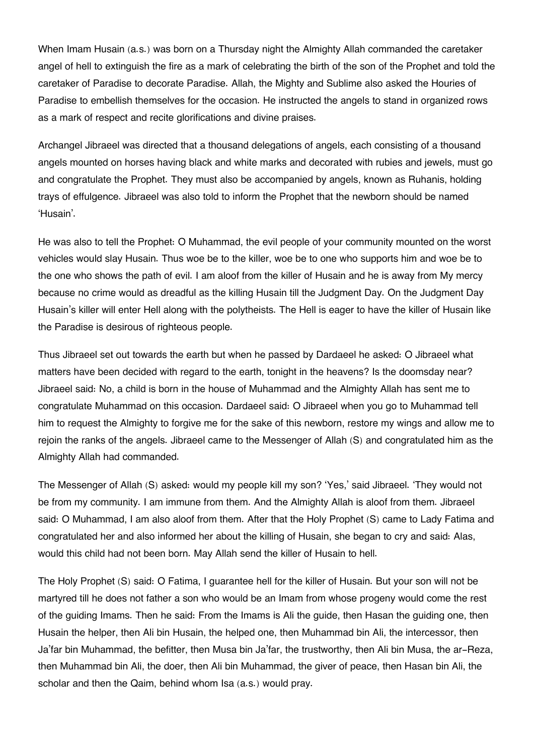When Imam Husain (a.s.) was born on a Thursday night the Almighty Allah commanded the caretaker angel of hell to extinguish the fire as a mark of celebrating the birth of the son of the Prophet and told the caretaker of Paradise to decorate Paradise. Allah, the Mighty and Sublime also asked the Houries of Paradise to embellish themselves for the occasion. He instructed the angels to stand in organized rows as a mark of respect and recite glorifications and divine praises.

Archangel Jibraeel was directed that a thousand delegations of angels, each consisting of a thousand angels mounted on horses having black and white marks and decorated with rubies and jewels, must go and congratulate the Prophet. They must also be accompanied by angels, known as Ruhanis, holding trays of effulgence. Jibraeel was also told to inform the Prophet that the newborn should be named 'Husain'.

He was also to tell the Prophet: O Muhammad, the evil people of your community mounted on the worst vehicles would slay Husain. Thus woe be to the killer, woe be to one who supports him and woe be to the one who shows the path of evil. I am aloof from the killer of Husain and he is away from My mercy because no crime would as dreadful as the killing Husain till the Judgment Day. On the Judgment Day Husain's killer will enter Hell along with the polytheists. The Hell is eager to have the killer of Husain like the Paradise is desirous of righteous people.

Thus Jibraeel set out towards the earth but when he passed by Dardaeel he asked: O Jibraeel what matters have been decided with regard to the earth, tonight in the heavens? Is the doomsday near? Jibraeel said: No, a child is born in the house of Muhammad and the Almighty Allah has sent me to congratulate Muhammad on this occasion. Dardaeel said: O Jibraeel when you go to Muhammad tell him to request the Almighty to forgive me for the sake of this newborn, restore my wings and allow me to rejoin the ranks of the angels. Jibraeel came to the Messenger of Allah (S) and congratulated him as the Almighty Allah had commanded.

The Messenger of Allah (S) asked: would my people kill my son? 'Yes,' said Jibraeel. 'They would not be from my community. I am immune from them. And the Almighty Allah is aloof from them. Jibraeel said: O Muhammad, I am also aloof from them. After that the Holy Prophet (S) came to Lady Fatima and congratulated her and also informed her about the killing of Husain, she began to cry and said: Alas, would this child had not been born. May Allah send the killer of Husain to hell.

The Holy Prophet (S) said: O Fatima, I guarantee hell for the killer of Husain. But your son will not be martyred till he does not father a son who would be an Imam from whose progeny would come the rest of the guiding Imams. Then he said: From the Imams is Ali the guide, then Hasan the guiding one, then Husain the helper, then Ali bin Husain, the helped one, then Muhammad bin Ali, the intercessor, then Ja'far bin Muhammad, the befitter, then Musa bin Ja'far, the trustworthy, then Ali bin Musa, the ar-Reza, then Muhammad bin Ali, the doer, then Ali bin Muhammad, the giver of peace, then Hasan bin Ali, the scholar and then the Qaim, behind whom Isa (a.s.) would pray.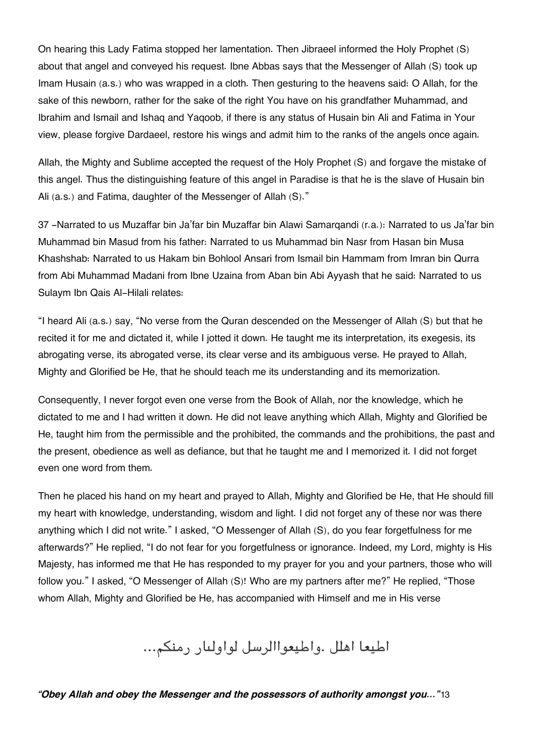On hearing this Lady Fatima stopped her lamentation. Then Jibraeel informed the Holy Prophet (S) about that angel and conveyed his request. Ibne Abbas says that the Messenger of Allah (S) took up Imam Husain (a.s.) who was wrapped in a cloth. Then gesturing to the heavens said: O Allah, for the sake of this newborn, rather for the sake of the right You have on his grandfather Muhammad, and Ibrahim and Ismail and Ishaq and Yaqoob, if there is any status of Husain bin Ali and Fatima in Your view, please forgive Dardaeel, restore his wings and admit him to the ranks of the angels once again.

Allah, the Mighty and Sublime accepted the request of the Holy Prophet (S) and forgave the mistake of this angel. Thus the distinguishing feature of this angel in Paradise is that he is the slave of Husain bin Ali (a.s.) and Fatima, daughter of the Messenger of Allah (S)."

37 -Narrated to us Muzaffar bin Ja'far bin Muzaffar bin Alawi Samarqandi (r.a.): Narrated to us Ja'far bin Muhammad bin Masud from his father: Narrated to us Muhammad bin Nasr from Hasan bin Musa Khashshab: Narrated to us Hakam bin Bohlool Ansari from Ismail bin Hammam from Imran bin Qurra from Abi Muhammad Madani from Ibne Uzaina from Aban bin Abi Ayyash that he said: Narrated to us Sulaym Ibn Qais Al-Hilali relates:

"I heard Ali (a.s.) say, "No verse from the Quran descended on the Messenger of Allah (S) but that he recited it for me and dictated it, while I jotted it down. He taught me its interpretation, its exegesis, its abrogating verse, its abrogated verse, its clear verse and its ambiguous verse. He prayed to Allah, Mighty and Glorified be He, that he should teach me its understanding and its memorization.

Consequently, I never forgot even one verse from the Book of Allah, nor the knowledge, which he dictated to me and I had written it down. He did not leave anything which Allah, Mighty and Glorified be He, taught him from the permissible and the prohibited, the commands and the prohibitions, the past and the present, obedience as well as defiance, but that he taught me and I memorized it. I did not forget even one word from them.

Then he placed his hand on my heart and prayed to Allah, Mighty and Glorified be He, that He should fill my heart with knowledge, understanding, wisdom and light. I did not forget any of these nor was there anything which I did not write." I asked, "O Messenger of Allah (S), do you fear forgetfulness for me afterwards?" He replied, "I do not fear for you forgetfulness or ignorance. Indeed, my Lord, mighty is His Majesty, has informed me that He has responded to my prayer for you and your partners, those who will follow you." I asked, "O Messenger of Allah (S)! Who are my partners after me?" He replied, "Those whom Allah, Mighty and Glorified be He, has accompanied with Himself and me in His verse

اطيعا اهلل .واطيعواالرسل لواولىار رمنم...

*"Obey Allah and obey the Messenger and the possessors of authority amongst you…"*[13](#page--1-0)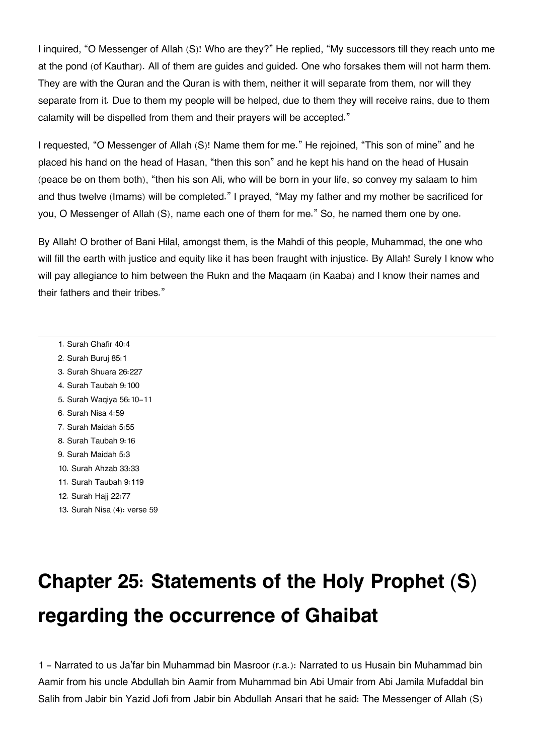I inquired, "O Messenger of Allah (S)! Who are they?" He replied, "My successors till they reach unto me at the pond (of Kauthar). All of them are guides and guided. One who forsakes them will not harm them. They are with the Quran and the Quran is with them, neither it will separate from them, nor will they separate from it. Due to them my people will be helped, due to them they will receive rains, due to them calamity will be dispelled from them and their prayers will be accepted."

I requested, "O Messenger of Allah (S)! Name them for me." He rejoined, "This son of mine" and he placed his hand on the head of Hasan, "then this son" and he kept his hand on the head of Husain (peace be on them both), "then his son Ali, who will be born in your life, so convey my salaam to him and thus twelve (Imams) will be completed." I prayed, "May my father and my mother be sacrificed for you, O Messenger of Allah (S), name each one of them for me." So, he named them one by one.

By Allah! O brother of Bani Hilal, amongst them, is the Mahdi of this people, Muhammad, the one who will fill the earth with justice and equity like it has been fraught with injustice. By Allah! Surely I know who will pay allegiance to him between the Rukn and the Maqaam (in Kaaba) and I know their names and their fathers and their tribes."

- [1.](#page--1-0) Surah Ghafir 40:4
- [2.](#page--1-0) Surah Buruj 85:1
- [3.](#page--1-0) Surah Shuara 26:227
- [4.](#page--1-0) Surah Taubah 9:100
- [5.](#page--1-0) Surah Waqiya 56:10-11
- [6.](#page--1-0) Surah Nisa 4:59
- [7.](#page--1-0) Surah Maidah 5:55
- [8.](#page--1-0) Surah Taubah 9:16
- [9.](#page--1-0) Surah Maidah 5:3
- [10.](#page--1-0) Surah Ahzab 33:33
- [11.](#page--1-0) Surah Taubah 9:119
- [12.](#page--1-0) Surah Hajj 22:77
- [13.](#page--1-0) Surah Nisa (4): verse 59

# **Chapter 25: Statements of the Holy Prophet (S) regarding the occurrence of Ghaibat**

1 - Narrated to us Ja'far bin Muhammad bin Masroor (r.a.): Narrated to us Husain bin Muhammad bin Aamir from his uncle Abdullah bin Aamir from Muhammad bin Abi Umair from Abi Jamila Mufaddal bin Salih from Jabir bin Yazid Jofi from Jabir bin Abdullah Ansari that he said: The Messenger of Allah (S)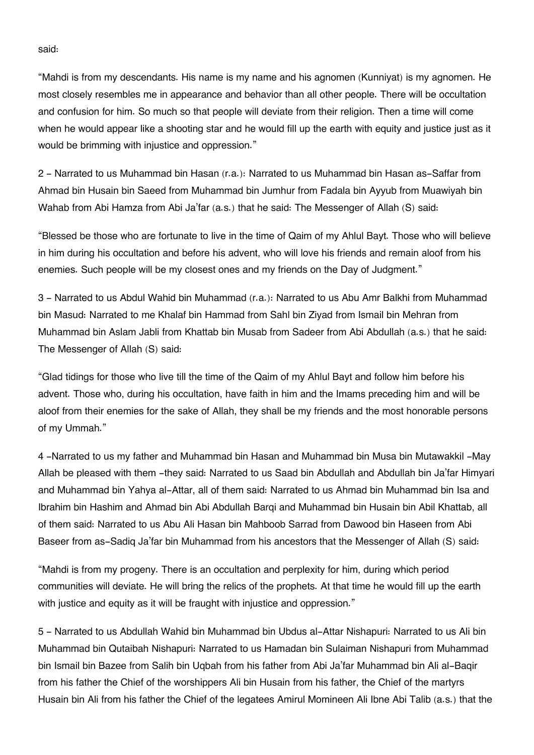said:

"Mahdi is from my descendants. His name is my name and his agnomen (Kunniyat) is my agnomen. He most closely resembles me in appearance and behavior than all other people. There will be occultation and confusion for him. So much so that people will deviate from their religion. Then a time will come when he would appear like a shooting star and he would fill up the earth with equity and justice just as it would be brimming with injustice and oppression."

2 - Narrated to us Muhammad bin Hasan (r.a.): Narrated to us Muhammad bin Hasan as-Saffar from Ahmad bin Husain bin Saeed from Muhammad bin Jumhur from Fadala bin Ayyub from Muawiyah bin Wahab from Abi Hamza from Abi Ja'far (a.s.) that he said: The Messenger of Allah (S) said:

"Blessed be those who are fortunate to live in the time of Qaim of my Ahlul Bayt. Those who will believe in him during his occultation and before his advent, who will love his friends and remain aloof from his enemies. Such people will be my closest ones and my friends on the Day of Judgment."

3 - Narrated to us Abdul Wahid bin Muhammad (r.a.): Narrated to us Abu Amr Balkhi from Muhammad bin Masud: Narrated to me Khalaf bin Hammad from Sahl bin Ziyad from Ismail bin Mehran from Muhammad bin Aslam Jabli from Khattab bin Musab from Sadeer from Abi Abdullah (a.s.) that he said: The Messenger of Allah (S) said:

"Glad tidings for those who live till the time of the Qaim of my Ahlul Bayt and follow him before his advent. Those who, during his occultation, have faith in him and the Imams preceding him and will be aloof from their enemies for the sake of Allah, they shall be my friends and the most honorable persons of my Ummah."

4 -Narrated to us my father and Muhammad bin Hasan and Muhammad bin Musa bin Mutawakkil -May Allah be pleased with them -they said: Narrated to us Saad bin Abdullah and Abdullah bin Ja'far Himyari and Muhammad bin Yahya al-Attar, all of them said: Narrated to us Ahmad bin Muhammad bin Isa and Ibrahim bin Hashim and Ahmad bin Abi Abdullah Barqi and Muhammad bin Husain bin Abil Khattab, all of them said: Narrated to us Abu Ali Hasan bin Mahboob Sarrad from Dawood bin Haseen from Abi Baseer from as-Sadiq Ja'far bin Muhammad from his ancestors that the Messenger of Allah (S) said:

"Mahdi is from my progeny. There is an occultation and perplexity for him, during which period communities will deviate. He will bring the relics of the prophets. At that time he would fill up the earth with justice and equity as it will be fraught with injustice and oppression."

5 - Narrated to us Abdullah Wahid bin Muhammad bin Ubdus al-Attar Nishapuri: Narrated to us Ali bin Muhammad bin Qutaibah Nishapuri: Narrated to us Hamadan bin Sulaiman Nishapuri from Muhammad bin Ismail bin Bazee from Salih bin Uqbah from his father from Abi Ja'far Muhammad bin Ali al-Baqir from his father the Chief of the worshippers Ali bin Husain from his father, the Chief of the martyrs Husain bin Ali from his father the Chief of the legatees Amirul Momineen Ali Ibne Abi Talib (a.s.) that the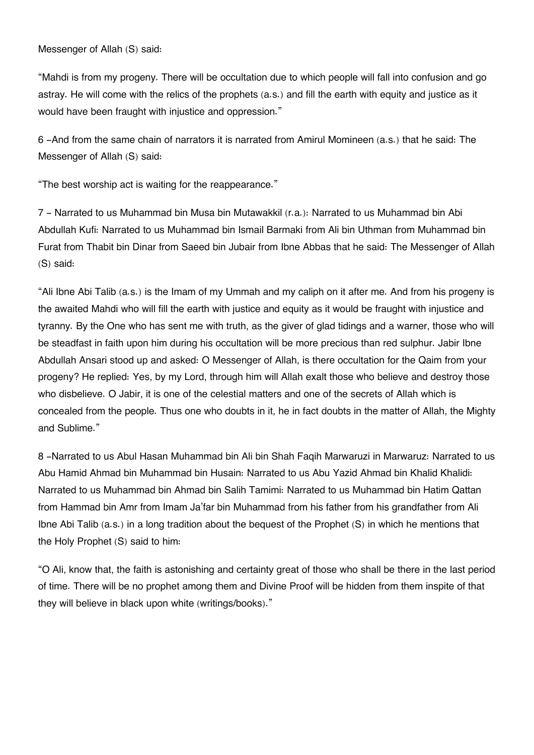Messenger of Allah (S) said:

"Mahdi is from my progeny. There will be occultation due to which people will fall into confusion and go astray. He will come with the relics of the prophets (a.s.) and fill the earth with equity and justice as it would have been fraught with injustice and oppression."

6 -And from the same chain of narrators it is narrated from Amirul Momineen (a.s.) that he said: The Messenger of Allah (S) said:

"The best worship act is waiting for the reappearance."

7 - Narrated to us Muhammad bin Musa bin Mutawakkil (r.a.): Narrated to us Muhammad bin Abi Abdullah Kufi: Narrated to us Muhammad bin Ismail Barmaki from Ali bin Uthman from Muhammad bin Furat from Thabit bin Dinar from Saeed bin Jubair from Ibne Abbas that he said: The Messenger of Allah (S) said:

"Ali Ibne Abi Talib (a.s.) is the Imam of my Ummah and my caliph on it after me. And from his progeny is the awaited Mahdi who will fill the earth with justice and equity as it would be fraught with injustice and tyranny. By the One who has sent me with truth, as the giver of glad tidings and a warner, those who will be steadfast in faith upon him during his occultation will be more precious than red sulphur. Jabir Ibne Abdullah Ansari stood up and asked: O Messenger of Allah, is there occultation for the Qaim from your progeny? He replied: Yes, by my Lord, through him will Allah exalt those who believe and destroy those who disbelieve. O Jabir, it is one of the celestial matters and one of the secrets of Allah which is concealed from the people. Thus one who doubts in it, he in fact doubts in the matter of Allah, the Mighty and Sublime."

8 -Narrated to us Abul Hasan Muhammad bin Ali bin Shah Faqih Marwaruzi in Marwaruz: Narrated to us Abu Hamid Ahmad bin Muhammad bin Husain: Narrated to us Abu Yazid Ahmad bin Khalid Khalidi: Narrated to us Muhammad bin Ahmad bin Salih Tamimi: Narrated to us Muhammad bin Hatim Qattan from Hammad bin Amr from Imam Ja'far bin Muhammad from his father from his grandfather from Ali Ibne Abi Talib (a.s.) in a long tradition about the bequest of the Prophet (S) in which he mentions that the Holy Prophet (S) said to him:

"O Ali, know that, the faith is astonishing and certainty great of those who shall be there in the last period of time. There will be no prophet among them and Divine Proof will be hidden from them inspite of that they will believe in black upon white (writings/books)."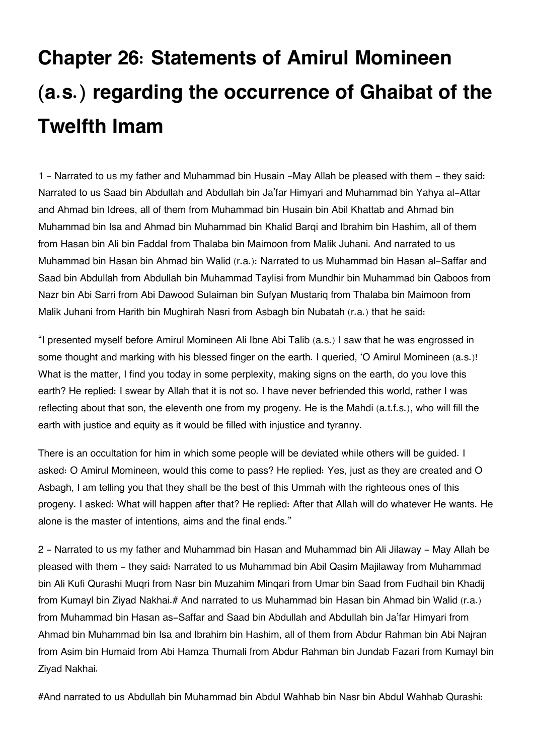# **Chapter 26: Statements of Amirul Momineen (a.s.) regarding the occurrence of Ghaibat of the Twelfth Imam**

1 - Narrated to us my father and Muhammad bin Husain -May Allah be pleased with them - they said: Narrated to us Saad bin Abdullah and Abdullah bin Ja'far Himyari and Muhammad bin Yahya al-Attar and Ahmad bin Idrees, all of them from Muhammad bin Husain bin Abil Khattab and Ahmad bin Muhammad bin Isa and Ahmad bin Muhammad bin Khalid Barqi and Ibrahim bin Hashim, all of them from Hasan bin Ali bin Faddal from Thalaba bin Maimoon from Malik Juhani. And narrated to us Muhammad bin Hasan bin Ahmad bin Walid (r.a.): Narrated to us Muhammad bin Hasan al-Saffar and Saad bin Abdullah from Abdullah bin Muhammad Taylisi from Mundhir bin Muhammad bin Qaboos from Nazr bin Abi Sarri from Abi Dawood Sulaiman bin Sufyan Mustariq from Thalaba bin Maimoon from Malik Juhani from Harith bin Mughirah Nasri from Asbagh bin Nubatah (r.a.) that he said:

"I presented myself before Amirul Momineen Ali Ibne Abi Talib (a.s.) I saw that he was engrossed in some thought and marking with his blessed finger on the earth. I queried, 'O Amirul Momineen (a.s.)! What is the matter, I find you today in some perplexity, making signs on the earth, do you love this earth? He replied: I swear by Allah that it is not so. I have never befriended this world, rather I was reflecting about that son, the eleventh one from my progeny. He is the Mahdi (a.t.f.s.), who will fill the earth with justice and equity as it would be filled with injustice and tyranny.

There is an occultation for him in which some people will be deviated while others will be guided. I asked: O Amirul Momineen, would this come to pass? He replied: Yes, just as they are created and O Asbagh, I am telling you that they shall be the best of this Ummah with the righteous ones of this progeny. I asked: What will happen after that? He replied: After that Allah will do whatever He wants. He alone is the master of intentions, aims and the final ends."

2 - Narrated to us my father and Muhammad bin Hasan and Muhammad bin Ali Jilaway - May Allah be pleased with them - they said: Narrated to us Muhammad bin Abil Qasim Majilaway from Muhammad bin Ali Kufi Qurashi Muqri from Nasr bin Muzahim Minqari from Umar bin Saad from Fudhail bin Khadij from Kumayl bin Ziyad Nakhai.# And narrated to us Muhammad bin Hasan bin Ahmad bin Walid (r.a.) from Muhammad bin Hasan as-Saffar and Saad bin Abdullah and Abdullah bin Ja'far Himyari from Ahmad bin Muhammad bin Isa and Ibrahim bin Hashim, all of them from Abdur Rahman bin Abi Najran from Asim bin Humaid from Abi Hamza Thumali from Abdur Rahman bin Jundab Fazari from Kumayl bin Ziyad Nakhai.

#And narrated to us Abdullah bin Muhammad bin Abdul Wahhab bin Nasr bin Abdul Wahhab Qurashi: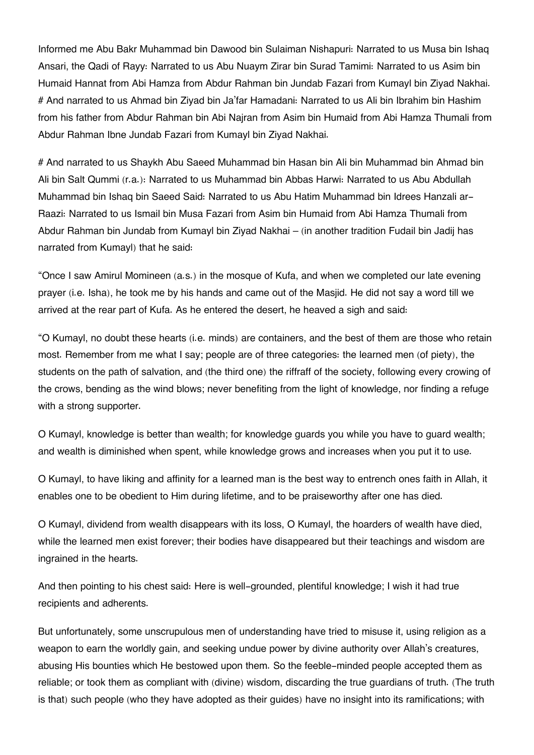Informed me Abu Bakr Muhammad bin Dawood bin Sulaiman Nishapuri: Narrated to us Musa bin Ishaq Ansari, the Qadi of Rayy: Narrated to us Abu Nuaym Zirar bin Surad Tamimi: Narrated to us Asim bin Humaid Hannat from Abi Hamza from Abdur Rahman bin Jundab Fazari from Kumayl bin Ziyad Nakhai. # And narrated to us Ahmad bin Ziyad bin Ja'far Hamadani: Narrated to us Ali bin Ibrahim bin Hashim from his father from Abdur Rahman bin Abi Najran from Asim bin Humaid from Abi Hamza Thumali from Abdur Rahman Ibne Jundab Fazari from Kumayl bin Ziyad Nakhai.

# And narrated to us Shaykh Abu Saeed Muhammad bin Hasan bin Ali bin Muhammad bin Ahmad bin Ali bin Salt Qummi (r.a.): Narrated to us Muhammad bin Abbas Harwi: Narrated to us Abu Abdullah Muhammad bin Ishaq bin Saeed Said: Narrated to us Abu Hatim Muhammad bin Idrees Hanzali ar-Raazi: Narrated to us Ismail bin Musa Fazari from Asim bin Humaid from Abi Hamza Thumali from Abdur Rahman bin Jundab from Kumayl bin Ziyad Nakhai – (in another tradition Fudail bin Jadij has narrated from Kumayl) that he said:

"Once I saw Amirul Momineen (a.s.) in the mosque of Kufa, and when we completed our late evening prayer (i.e. Isha), he took me by his hands and came out of the Masjid. He did not say a word till we arrived at the rear part of Kufa. As he entered the desert, he heaved a sigh and said:

"O Kumayl, no doubt these hearts (i.e. minds) are containers, and the best of them are those who retain most. Remember from me what I say; people are of three categories: the learned men (of piety), the students on the path of salvation, and (the third one) the riffraff of the society, following every crowing of the crows, bending as the wind blows; never benefiting from the light of knowledge, nor finding a refuge with a strong supporter.

O Kumayl, knowledge is better than wealth; for knowledge guards you while you have to guard wealth; and wealth is diminished when spent, while knowledge grows and increases when you put it to use.

O Kumayl, to have liking and affinity for a learned man is the best way to entrench ones faith in Allah, it enables one to be obedient to Him during lifetime, and to be praiseworthy after one has died.

O Kumayl, dividend from wealth disappears with its loss, O Kumayl, the hoarders of wealth have died, while the learned men exist forever; their bodies have disappeared but their teachings and wisdom are ingrained in the hearts.

And then pointing to his chest said: Here is well-grounded, plentiful knowledge; I wish it had true recipients and adherents.

But unfortunately, some unscrupulous men of understanding have tried to misuse it, using religion as a weapon to earn the worldly gain, and seeking undue power by divine authority over Allah's creatures, abusing His bounties which He bestowed upon them. So the feeble-minded people accepted them as reliable; or took them as compliant with (divine) wisdom, discarding the true guardians of truth. (The truth is that) such people (who they have adopted as their guides) have no insight into its ramifications; with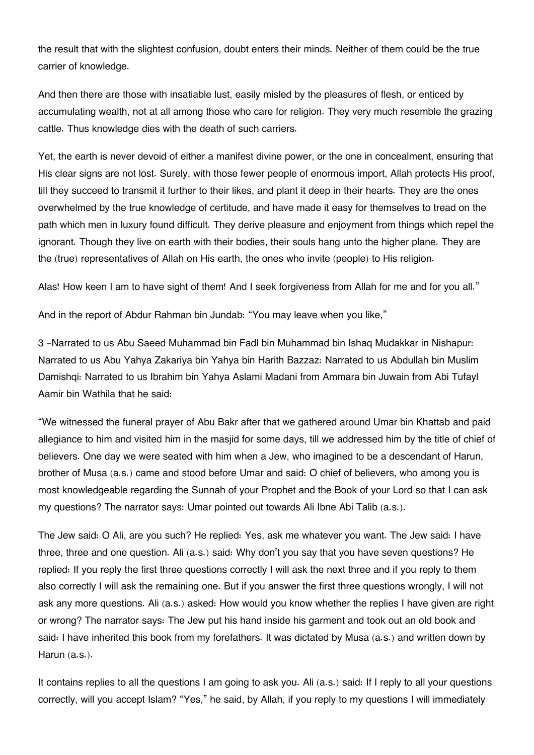the result that with the slightest confusion, doubt enters their minds. Neither of them could be the true carrier of knowledge.

And then there are those with insatiable lust, easily misled by the pleasures of flesh, or enticed by accumulating wealth, not at all among those who care for religion. They very much resemble the grazing cattle. Thus knowledge dies with the death of such carriers.

Yet, the earth is never devoid of either a manifest divine power, or the one in concealment, ensuring that His clear signs are not lost. Surely, with those fewer people of enormous import, Allah protects His proof, till they succeed to transmit it further to their likes, and plant it deep in their hearts. They are the ones overwhelmed by the true knowledge of certitude, and have made it easy for themselves to tread on the path which men in luxury found difficult. They derive pleasure and enjoyment from things which repel the ignorant. Though they live on earth with their bodies, their souls hang unto the higher plane. They are the (true) representatives of Allah on His earth, the ones who invite (people) to His religion.

Alas! How keen I am to have sight of them! And I seek forgiveness from Allah for me and for you all."

And in the report of Abdur Rahman bin Jundab: "You may leave when you like,"

3 -Narrated to us Abu Saeed Muhammad bin Fadl bin Muhammad bin Ishaq Mudakkar in Nishapur: Narrated to us Abu Yahya Zakariya bin Yahya bin Harith Bazzaz: Narrated to us Abdullah bin Muslim Damishqi: Narrated to us Ibrahim bin Yahya Aslami Madani from Ammara bin Juwain from Abi Tufayl Aamir bin Wathila that he said:

"We witnessed the funeral prayer of Abu Bakr after that we gathered around Umar bin Khattab and paid allegiance to him and visited him in the masjid for some days, till we addressed him by the title of chief of believers. One day we were seated with him when a Jew, who imagined to be a descendant of Harun, brother of Musa (a.s.) came and stood before Umar and said: O chief of believers, who among you is most knowledgeable regarding the Sunnah of your Prophet and the Book of your Lord so that I can ask my questions? The narrator says: Umar pointed out towards Ali Ibne Abi Talib (a.s.).

The Jew said: O Ali, are you such? He replied: Yes, ask me whatever you want. The Jew said: I have three, three and one question. Ali (a.s.) said: Why don't you say that you have seven questions? He replied: If you reply the first three questions correctly I will ask the next three and if you reply to them also correctly I will ask the remaining one. But if you answer the first three questions wrongly, I will not ask any more questions. Ali (a.s.) asked: How would you know whether the replies I have given are right or wrong? The narrator says: The Jew put his hand inside his garment and took out an old book and said: I have inherited this book from my forefathers. It was dictated by Musa (a.s.) and written down by Harun (a.s.).

It contains replies to all the questions I am going to ask you. Ali (a.s.) said: If I reply to all your questions correctly, will you accept Islam? "Yes," he said, by Allah, if you reply to my questions I will immediately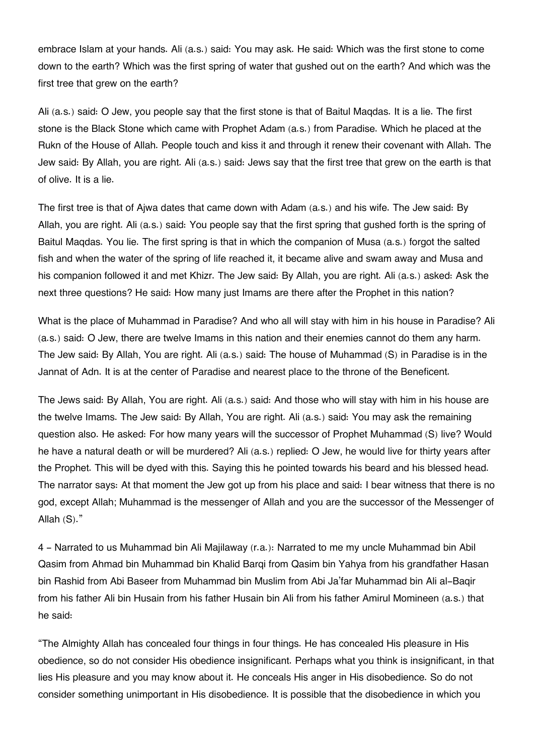embrace Islam at your hands. Ali (a.s.) said: You may ask. He said: Which was the first stone to come down to the earth? Which was the first spring of water that gushed out on the earth? And which was the first tree that grew on the earth?

Ali (a.s.) said: O Jew, you people say that the first stone is that of Baitul Maqdas. It is a lie. The first stone is the Black Stone which came with Prophet Adam (a.s.) from Paradise. Which he placed at the Rukn of the House of Allah. People touch and kiss it and through it renew their covenant with Allah. The Jew said: By Allah, you are right. Ali (a.s.) said: Jews say that the first tree that grew on the earth is that of olive. It is a lie.

The first tree is that of Ajwa dates that came down with Adam (a.s.) and his wife. The Jew said: By Allah, you are right. Ali (a.s.) said: You people say that the first spring that gushed forth is the spring of Baitul Maqdas. You lie. The first spring is that in which the companion of Musa (a.s.) forgot the salted fish and when the water of the spring of life reached it, it became alive and swam away and Musa and his companion followed it and met Khizr. The Jew said: By Allah, you are right. Ali (a.s.) asked: Ask the next three questions? He said: How many just Imams are there after the Prophet in this nation?

What is the place of Muhammad in Paradise? And who all will stay with him in his house in Paradise? Ali (a.s.) said: O Jew, there are twelve Imams in this nation and their enemies cannot do them any harm. The Jew said: By Allah, You are right. Ali (a.s.) said: The house of Muhammad (S) in Paradise is in the Jannat of Adn. It is at the center of Paradise and nearest place to the throne of the Beneficent.

The Jews said: By Allah, You are right. Ali (a.s.) said: And those who will stay with him in his house are the twelve Imams. The Jew said: By Allah, You are right. Ali (a.s.) said: You may ask the remaining question also. He asked: For how many years will the successor of Prophet Muhammad (S) live? Would he have a natural death or will be murdered? Ali (a.s.) replied: O Jew, he would live for thirty years after the Prophet. This will be dyed with this. Saying this he pointed towards his beard and his blessed head. The narrator says: At that moment the Jew got up from his place and said: I bear witness that there is no god, except Allah; Muhammad is the messenger of Allah and you are the successor of the Messenger of Allah (S)."

4 - Narrated to us Muhammad bin Ali Majilaway (r.a.): Narrated to me my uncle Muhammad bin Abil Qasim from Ahmad bin Muhammad bin Khalid Barqi from Qasim bin Yahya from his grandfather Hasan bin Rashid from Abi Baseer from Muhammad bin Muslim from Abi Ja'far Muhammad bin Ali al-Baqir from his father Ali bin Husain from his father Husain bin Ali from his father Amirul Momineen (a.s.) that he said:

"The Almighty Allah has concealed four things in four things. He has concealed His pleasure in His obedience, so do not consider His obedience insignificant. Perhaps what you think is insignificant, in that lies His pleasure and you may know about it. He conceals His anger in His disobedience. So do not consider something unimportant in His disobedience. It is possible that the disobedience in which you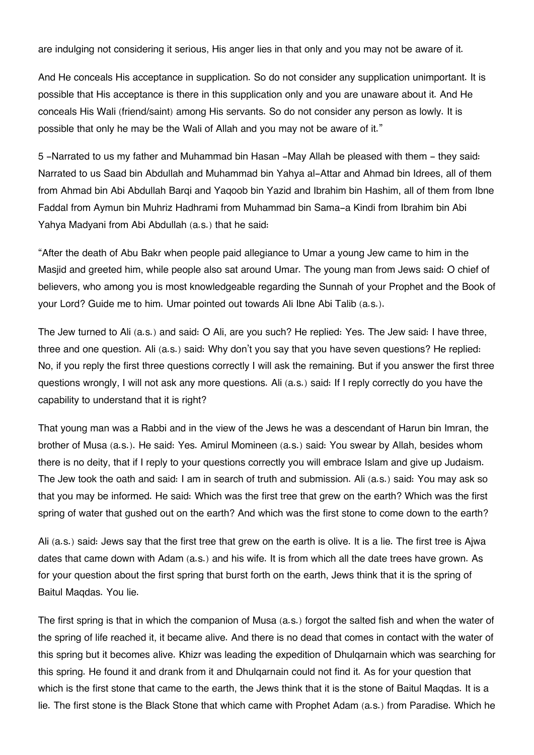are indulging not considering it serious, His anger lies in that only and you may not be aware of it.

And He conceals His acceptance in supplication. So do not consider any supplication unimportant. It is possible that His acceptance is there in this supplication only and you are unaware about it. And He conceals His Wali (friend/saint) among His servants. So do not consider any person as lowly. It is possible that only he may be the Wali of Allah and you may not be aware of it."

5 -Narrated to us my father and Muhammad bin Hasan -May Allah be pleased with them - they said: Narrated to us Saad bin Abdullah and Muhammad bin Yahya al-Attar and Ahmad bin Idrees, all of them from Ahmad bin Abi Abdullah Barqi and Yaqoob bin Yazid and Ibrahim bin Hashim, all of them from Ibne Faddal from Aymun bin Muhriz Hadhrami from Muhammad bin Sama-a Kindi from Ibrahim bin Abi Yahya Madyani from Abi Abdullah (a.s.) that he said:

"After the death of Abu Bakr when people paid allegiance to Umar a young Jew came to him in the Masjid and greeted him, while people also sat around Umar. The young man from Jews said: O chief of believers, who among you is most knowledgeable regarding the Sunnah of your Prophet and the Book of your Lord? Guide me to him. Umar pointed out towards Ali Ibne Abi Talib (a.s.).

The Jew turned to Ali (a.s.) and said: O Ali, are you such? He replied: Yes. The Jew said: I have three, three and one question. Ali (a.s.) said: Why don't you say that you have seven questions? He replied: No, if you reply the first three questions correctly I will ask the remaining. But if you answer the first three questions wrongly, I will not ask any more questions. Ali (a.s.) said: If I reply correctly do you have the capability to understand that it is right?

That young man was a Rabbi and in the view of the Jews he was a descendant of Harun bin Imran, the brother of Musa (a.s.). He said: Yes. Amirul Momineen (a.s.) said: You swear by Allah, besides whom there is no deity, that if I reply to your questions correctly you will embrace Islam and give up Judaism. The Jew took the oath and said: I am in search of truth and submission. Ali (a.s.) said: You may ask so that you may be informed. He said: Which was the first tree that grew on the earth? Which was the first spring of water that gushed out on the earth? And which was the first stone to come down to the earth?

Ali (a.s.) said: Jews say that the first tree that grew on the earth is olive. It is a lie. The first tree is Ajwa dates that came down with Adam (a.s.) and his wife. It is from which all the date trees have grown. As for your question about the first spring that burst forth on the earth, Jews think that it is the spring of Baitul Maqdas. You lie.

The first spring is that in which the companion of Musa (a.s.) forgot the salted fish and when the water of the spring of life reached it, it became alive. And there is no dead that comes in contact with the water of this spring but it becomes alive. Khizr was leading the expedition of Dhulqarnain which was searching for this spring. He found it and drank from it and Dhulqarnain could not find it. As for your question that which is the first stone that came to the earth, the Jews think that it is the stone of Baitul Maqdas. It is a lie. The first stone is the Black Stone that which came with Prophet Adam (a.s.) from Paradise. Which he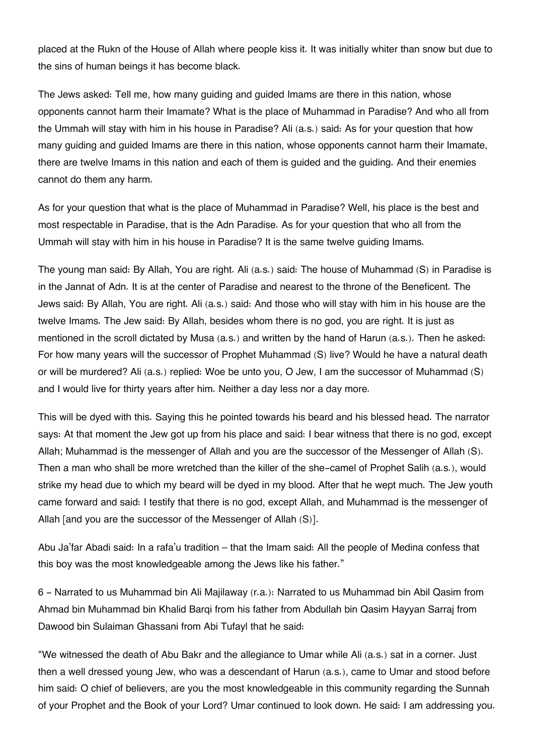placed at the Rukn of the House of Allah where people kiss it. It was initially whiter than snow but due to the sins of human beings it has become black.

The Jews asked: Tell me, how many guiding and guided Imams are there in this nation, whose opponents cannot harm their Imamate? What is the place of Muhammad in Paradise? And who all from the Ummah will stay with him in his house in Paradise? Ali (a.s.) said: As for your question that how many guiding and guided Imams are there in this nation, whose opponents cannot harm their Imamate, there are twelve Imams in this nation and each of them is guided and the guiding. And their enemies cannot do them any harm.

As for your question that what is the place of Muhammad in Paradise? Well, his place is the best and most respectable in Paradise, that is the Adn Paradise. As for your question that who all from the Ummah will stay with him in his house in Paradise? It is the same twelve guiding Imams.

The young man said: By Allah, You are right. Ali (a.s.) said: The house of Muhammad (S) in Paradise is in the Jannat of Adn. It is at the center of Paradise and nearest to the throne of the Beneficent. The Jews said: By Allah, You are right. Ali (a.s.) said: And those who will stay with him in his house are the twelve Imams. The Jew said: By Allah, besides whom there is no god, you are right. It is just as mentioned in the scroll dictated by Musa (a.s.) and written by the hand of Harun (a.s.). Then he asked: For how many years will the successor of Prophet Muhammad (S) live? Would he have a natural death or will be murdered? Ali (a.s.) replied: Woe be unto you, O Jew, I am the successor of Muhammad (S) and I would live for thirty years after him. Neither a day less nor a day more.

This will be dyed with this. Saying this he pointed towards his beard and his blessed head. The narrator says: At that moment the Jew got up from his place and said: I bear witness that there is no god, except Allah; Muhammad is the messenger of Allah and you are the successor of the Messenger of Allah (S). Then a man who shall be more wretched than the killer of the she-camel of Prophet Salih (a.s.), would strike my head due to which my beard will be dyed in my blood. After that he wept much. The Jew youth came forward and said: I testify that there is no god, except Allah, and Muhammad is the messenger of Allah [and you are the successor of the Messenger of Allah (S)].

Abu Ja'far Abadi said: In a rafa'u tradition – that the Imam said: All the people of Medina confess that this boy was the most knowledgeable among the Jews like his father."

6 - Narrated to us Muhammad bin Ali Majilaway (r.a.): Narrated to us Muhammad bin Abil Qasim from Ahmad bin Muhammad bin Khalid Barqi from his father from Abdullah bin Qasim Hayyan Sarraj from Dawood bin Sulaiman Ghassani from Abi Tufayl that he said:

"We witnessed the death of Abu Bakr and the allegiance to Umar while Ali (a.s.) sat in a corner. Just then a well dressed young Jew, who was a descendant of Harun (a.s.), came to Umar and stood before him said: O chief of believers, are you the most knowledgeable in this community regarding the Sunnah of your Prophet and the Book of your Lord? Umar continued to look down. He said: I am addressing you.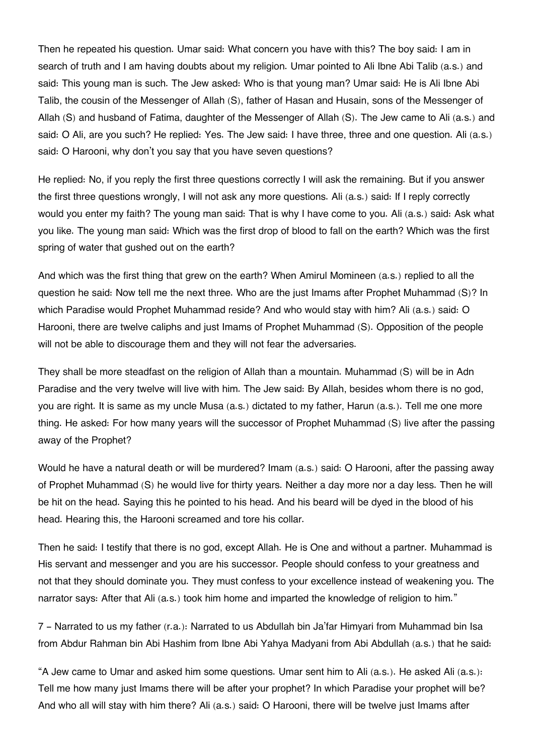Then he repeated his question. Umar said: What concern you have with this? The boy said: I am in search of truth and I am having doubts about my religion. Umar pointed to Ali Ibne Abi Talib (a.s.) and said: This young man is such. The Jew asked: Who is that young man? Umar said: He is Ali Ibne Abi Talib, the cousin of the Messenger of Allah (S), father of Hasan and Husain, sons of the Messenger of Allah (S) and husband of Fatima, daughter of the Messenger of Allah (S). The Jew came to Ali (a.s.) and said: O Ali, are you such? He replied: Yes. The Jew said: I have three, three and one question. Ali (a.s.) said: O Harooni, why don't you say that you have seven questions?

He replied: No, if you reply the first three questions correctly I will ask the remaining. But if you answer the first three questions wrongly, I will not ask any more questions. Ali (a.s.) said: If I reply correctly would you enter my faith? The young man said: That is why I have come to you. Ali (a.s.) said: Ask what you like. The young man said: Which was the first drop of blood to fall on the earth? Which was the first spring of water that gushed out on the earth?

And which was the first thing that grew on the earth? When Amirul Momineen (a.s.) replied to all the question he said: Now tell me the next three. Who are the just Imams after Prophet Muhammad (S)? In which Paradise would Prophet Muhammad reside? And who would stay with him? Ali (a.s.) said: O Harooni, there are twelve caliphs and just Imams of Prophet Muhammad (S). Opposition of the people will not be able to discourage them and they will not fear the adversaries.

They shall be more steadfast on the religion of Allah than a mountain. Muhammad (S) will be in Adn Paradise and the very twelve will live with him. The Jew said: By Allah, besides whom there is no god, you are right. It is same as my uncle Musa (a.s.) dictated to my father, Harun (a.s.). Tell me one more thing. He asked: For how many years will the successor of Prophet Muhammad (S) live after the passing away of the Prophet?

Would he have a natural death or will be murdered? Imam (a.s.) said: O Harooni, after the passing away of Prophet Muhammad (S) he would live for thirty years. Neither a day more nor a day less. Then he will be hit on the head. Saying this he pointed to his head. And his beard will be dyed in the blood of his head. Hearing this, the Harooni screamed and tore his collar.

Then he said: I testify that there is no god, except Allah. He is One and without a partner. Muhammad is His servant and messenger and you are his successor. People should confess to your greatness and not that they should dominate you. They must confess to your excellence instead of weakening you. The narrator says: After that Ali (a.s.) took him home and imparted the knowledge of religion to him."

7 - Narrated to us my father (r.a.): Narrated to us Abdullah bin Ja'far Himyari from Muhammad bin Isa from Abdur Rahman bin Abi Hashim from Ibne Abi Yahya Madyani from Abi Abdullah (a.s.) that he said:

"A Jew came to Umar and asked him some questions. Umar sent him to Ali (a.s.). He asked Ali (a.s.): Tell me how many just Imams there will be after your prophet? In which Paradise your prophet will be? And who all will stay with him there? Ali (a.s.) said: O Harooni, there will be twelve just Imams after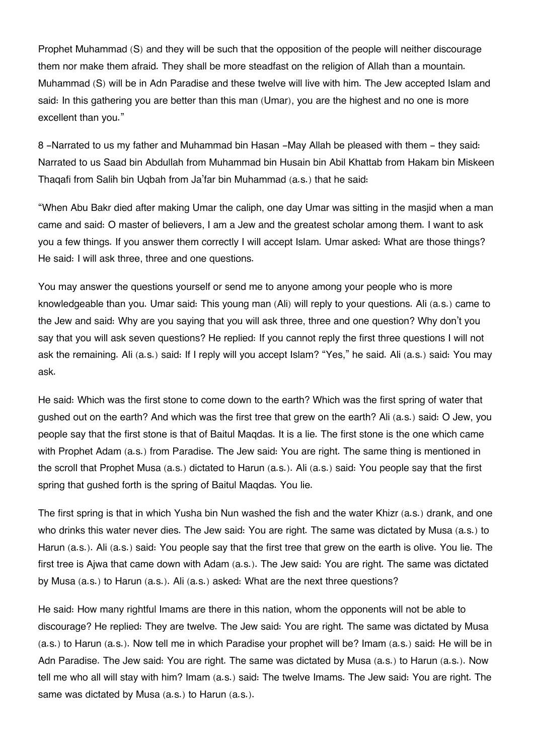Prophet Muhammad (S) and they will be such that the opposition of the people will neither discourage them nor make them afraid. They shall be more steadfast on the religion of Allah than a mountain. Muhammad (S) will be in Adn Paradise and these twelve will live with him. The Jew accepted Islam and said: In this gathering you are better than this man (Umar), you are the highest and no one is more excellent than you."

8 -Narrated to us my father and Muhammad bin Hasan -May Allah be pleased with them - they said: Narrated to us Saad bin Abdullah from Muhammad bin Husain bin Abil Khattab from Hakam bin Miskeen Thaqafi from Salih bin Uqbah from Ja'far bin Muhammad (a.s.) that he said:

"When Abu Bakr died after making Umar the caliph, one day Umar was sitting in the masjid when a man came and said: O master of believers, I am a Jew and the greatest scholar among them. I want to ask you a few things. If you answer them correctly I will accept Islam. Umar asked: What are those things? He said: I will ask three, three and one questions.

You may answer the questions yourself or send me to anyone among your people who is more knowledgeable than you. Umar said: This young man (Ali) will reply to your questions. Ali (a.s.) came to the Jew and said: Why are you saying that you will ask three, three and one question? Why don't you say that you will ask seven questions? He replied: If you cannot reply the first three questions I will not ask the remaining. Ali (a.s.) said: If I reply will you accept Islam? "Yes," he said. Ali (a.s.) said: You may ask.

He said: Which was the first stone to come down to the earth? Which was the first spring of water that gushed out on the earth? And which was the first tree that grew on the earth? Ali (a.s.) said: O Jew, you people say that the first stone is that of Baitul Maqdas. It is a lie. The first stone is the one which came with Prophet Adam (a.s.) from Paradise. The Jew said: You are right. The same thing is mentioned in the scroll that Prophet Musa (a.s.) dictated to Harun (a.s.). Ali (a.s.) said: You people say that the first spring that gushed forth is the spring of Baitul Maqdas. You lie.

The first spring is that in which Yusha bin Nun washed the fish and the water Khizr (a.s.) drank, and one who drinks this water never dies. The Jew said: You are right. The same was dictated by Musa (a.s.) to Harun (a.s.). Ali (a.s.) said: You people say that the first tree that grew on the earth is olive. You lie. The first tree is Ajwa that came down with Adam (a.s.). The Jew said: You are right. The same was dictated by Musa (a.s.) to Harun (a.s.). Ali (a.s.) asked: What are the next three questions?

He said: How many rightful Imams are there in this nation, whom the opponents will not be able to discourage? He replied: They are twelve. The Jew said: You are right. The same was dictated by Musa (a.s.) to Harun (a.s.). Now tell me in which Paradise your prophet will be? Imam (a.s.) said: He will be in Adn Paradise. The Jew said: You are right. The same was dictated by Musa (a.s.) to Harun (a.s.). Now tell me who all will stay with him? Imam (a.s.) said: The twelve Imams. The Jew said: You are right. The same was dictated by Musa (a.s.) to Harun (a.s.).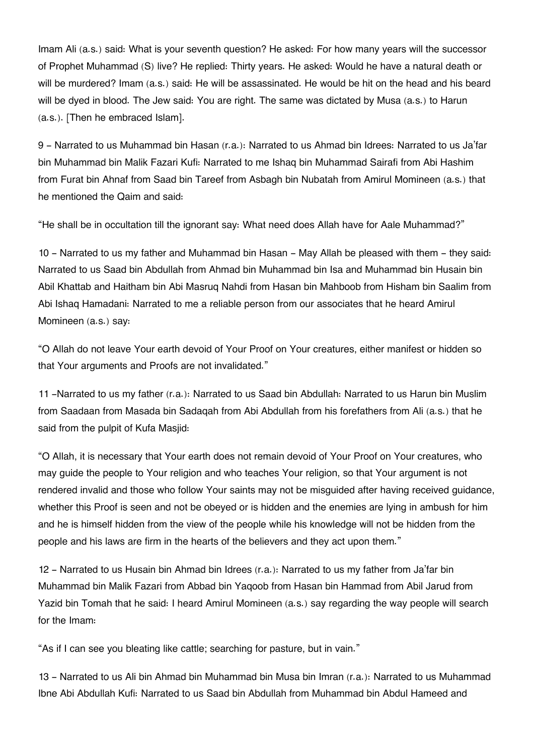Imam Ali (a.s.) said: What is your seventh question? He asked: For how many years will the successor of Prophet Muhammad (S) live? He replied: Thirty years. He asked: Would he have a natural death or will be murdered? Imam (a.s.) said: He will be assassinated. He would be hit on the head and his beard will be dyed in blood. The Jew said: You are right. The same was dictated by Musa (a.s.) to Harun (a.s.). [Then he embraced Islam].

9 - Narrated to us Muhammad bin Hasan (r.a.): Narrated to us Ahmad bin Idrees: Narrated to us Ja'far bin Muhammad bin Malik Fazari Kufi: Narrated to me Ishaq bin Muhammad Sairafi from Abi Hashim from Furat bin Ahnaf from Saad bin Tareef from Asbagh bin Nubatah from Amirul Momineen (a.s.) that he mentioned the Qaim and said:

"He shall be in occultation till the ignorant say: What need does Allah have for Aale Muhammad?"

10 - Narrated to us my father and Muhammad bin Hasan - May Allah be pleased with them - they said: Narrated to us Saad bin Abdullah from Ahmad bin Muhammad bin Isa and Muhammad bin Husain bin Abil Khattab and Haitham bin Abi Masruq Nahdi from Hasan bin Mahboob from Hisham bin Saalim from Abi Ishaq Hamadani: Narrated to me a reliable person from our associates that he heard Amirul Momineen (a.s.) say:

"O Allah do not leave Your earth devoid of Your Proof on Your creatures, either manifest or hidden so that Your arguments and Proofs are not invalidated."

11 -Narrated to us my father (r.a.): Narrated to us Saad bin Abdullah: Narrated to us Harun bin Muslim from Saadaan from Masada bin Sadaqah from Abi Abdullah from his forefathers from Ali (a.s.) that he said from the pulpit of Kufa Masjid:

"O Allah, it is necessary that Your earth does not remain devoid of Your Proof on Your creatures, who may guide the people to Your religion and who teaches Your religion, so that Your argument is not rendered invalid and those who follow Your saints may not be misguided after having received guidance, whether this Proof is seen and not be obeyed or is hidden and the enemies are lying in ambush for him and he is himself hidden from the view of the people while his knowledge will not be hidden from the people and his laws are firm in the hearts of the believers and they act upon them."

12 - Narrated to us Husain bin Ahmad bin Idrees (r.a.): Narrated to us my father from Ja'far bin Muhammad bin Malik Fazari from Abbad bin Yaqoob from Hasan bin Hammad from Abil Jarud from Yazid bin Tomah that he said: I heard Amirul Momineen (a.s.) say regarding the way people will search for the Imam:

"As if I can see you bleating like cattle; searching for pasture, but in vain."

13 - Narrated to us Ali bin Ahmad bin Muhammad bin Musa bin Imran (r.a.): Narrated to us Muhammad Ibne Abi Abdullah Kufi: Narrated to us Saad bin Abdullah from Muhammad bin Abdul Hameed and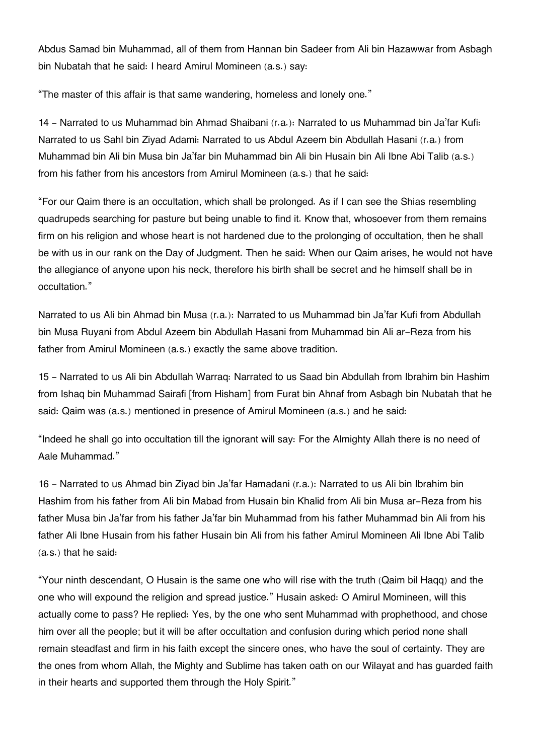Abdus Samad bin Muhammad, all of them from Hannan bin Sadeer from Ali bin Hazawwar from Asbagh bin Nubatah that he said: I heard Amirul Momineen (a.s.) say:

"The master of this affair is that same wandering, homeless and lonely one."

14 - Narrated to us Muhammad bin Ahmad Shaibani (r.a.): Narrated to us Muhammad bin Ja'far Kufi: Narrated to us Sahl bin Ziyad Adami: Narrated to us Abdul Azeem bin Abdullah Hasani (r.a.) from Muhammad bin Ali bin Musa bin Ja'far bin Muhammad bin Ali bin Husain bin Ali Ibne Abi Talib (a.s.) from his father from his ancestors from Amirul Momineen (a.s.) that he said:

"For our Qaim there is an occultation, which shall be prolonged. As if I can see the Shias resembling quadrupeds searching for pasture but being unable to find it. Know that, whosoever from them remains firm on his religion and whose heart is not hardened due to the prolonging of occultation, then he shall be with us in our rank on the Day of Judgment. Then he said: When our Qaim arises, he would not have the allegiance of anyone upon his neck, therefore his birth shall be secret and he himself shall be in occultation."

Narrated to us Ali bin Ahmad bin Musa (r.a.): Narrated to us Muhammad bin Ja'far Kufi from Abdullah bin Musa Ruyani from Abdul Azeem bin Abdullah Hasani from Muhammad bin Ali ar-Reza from his father from Amirul Momineen (a.s.) exactly the same above tradition.

15 - Narrated to us Ali bin Abdullah Warraq: Narrated to us Saad bin Abdullah from Ibrahim bin Hashim from Ishaq bin Muhammad Sairafi [from Hisham] from Furat bin Ahnaf from Asbagh bin Nubatah that he said: Qaim was (a.s.) mentioned in presence of Amirul Momineen (a.s.) and he said:

"Indeed he shall go into occultation till the ignorant will say: For the Almighty Allah there is no need of Aale Muhammad."

16 - Narrated to us Ahmad bin Ziyad bin Ja'far Hamadani (r.a.): Narrated to us Ali bin Ibrahim bin Hashim from his father from Ali bin Mabad from Husain bin Khalid from Ali bin Musa ar-Reza from his father Musa bin Ja'far from his father Ja'far bin Muhammad from his father Muhammad bin Ali from his father Ali Ibne Husain from his father Husain bin Ali from his father Amirul Momineen Ali Ibne Abi Talib (a.s.) that he said:

"Your ninth descendant, O Husain is the same one who will rise with the truth (Qaim bil Haqq) and the one who will expound the religion and spread justice." Husain asked: O Amirul Momineen, will this actually come to pass? He replied: Yes, by the one who sent Muhammad with prophethood, and chose him over all the people; but it will be after occultation and confusion during which period none shall remain steadfast and firm in his faith except the sincere ones, who have the soul of certainty. They are the ones from whom Allah, the Mighty and Sublime has taken oath on our Wilayat and has guarded faith in their hearts and supported them through the Holy Spirit."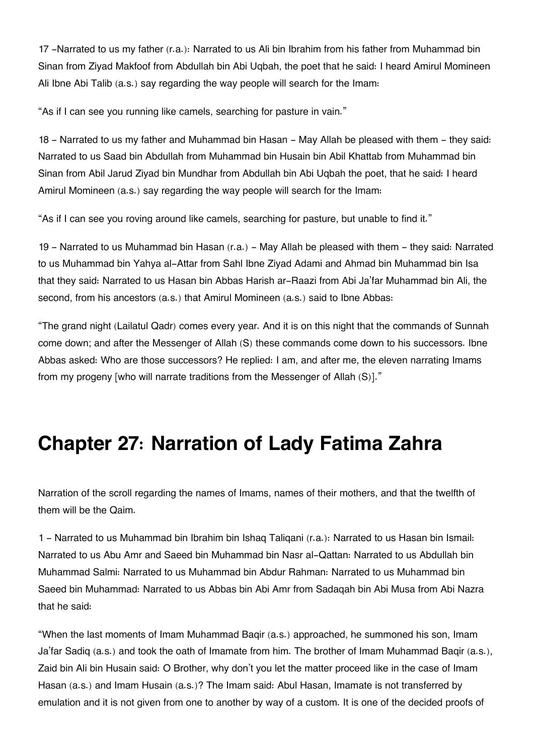17 -Narrated to us my father (r.a.): Narrated to us Ali bin Ibrahim from his father from Muhammad bin Sinan from Ziyad Makfoof from Abdullah bin Abi Uqbah, the poet that he said: I heard Amirul Momineen Ali Ibne Abi Talib (a.s.) say regarding the way people will search for the Imam:

"As if I can see you running like camels, searching for pasture in vain."

18 - Narrated to us my father and Muhammad bin Hasan - May Allah be pleased with them - they said: Narrated to us Saad bin Abdullah from Muhammad bin Husain bin Abil Khattab from Muhammad bin Sinan from Abil Jarud Ziyad bin Mundhar from Abdullah bin Abi Uqbah the poet, that he said: I heard Amirul Momineen (a.s.) say regarding the way people will search for the Imam:

"As if I can see you roving around like camels, searching for pasture, but unable to find it."

19 - Narrated to us Muhammad bin Hasan (r.a.) - May Allah be pleased with them - they said: Narrated to us Muhammad bin Yahya al-Attar from Sahl Ibne Ziyad Adami and Ahmad bin Muhammad bin Isa that they said: Narrated to us Hasan bin Abbas Harish ar-Raazi from Abi Ja'far Muhammad bin Ali, the second, from his ancestors (a.s.) that Amirul Momineen (a.s.) said to Ibne Abbas:

"The grand night (Lailatul Qadr) comes every year. And it is on this night that the commands of Sunnah come down; and after the Messenger of Allah (S) these commands come down to his successors. Ibne Abbas asked: Who are those successors? He replied: I am, and after me, the eleven narrating Imams from my progeny [who will narrate traditions from the Messenger of Allah (S)]."

## **Chapter 27: Narration of Lady Fatima Zahra**

Narration of the scroll regarding the names of Imams, names of their mothers, and that the twelfth of them will be the Qaim.

1 - Narrated to us Muhammad bin Ibrahim bin Ishaq Taliqani (r.a.): Narrated to us Hasan bin Ismail: Narrated to us Abu Amr and Saeed bin Muhammad bin Nasr al-Qattan: Narrated to us Abdullah bin Muhammad Salmi: Narrated to us Muhammad bin Abdur Rahman: Narrated to us Muhammad bin Saeed bin Muhammad: Narrated to us Abbas bin Abi Amr from Sadaqah bin Abi Musa from Abi Nazra that he said:

"When the last moments of Imam Muhammad Baqir (a.s.) approached, he summoned his son, Imam Ja'far Sadiq (a.s.) and took the oath of Imamate from him. The brother of Imam Muhammad Baqir (a.s.), Zaid bin Ali bin Husain said: O Brother, why don't you let the matter proceed like in the case of Imam Hasan (a.s.) and Imam Husain (a.s.)? The Imam said: Abul Hasan, Imamate is not transferred by emulation and it is not given from one to another by way of a custom. It is one of the decided proofs of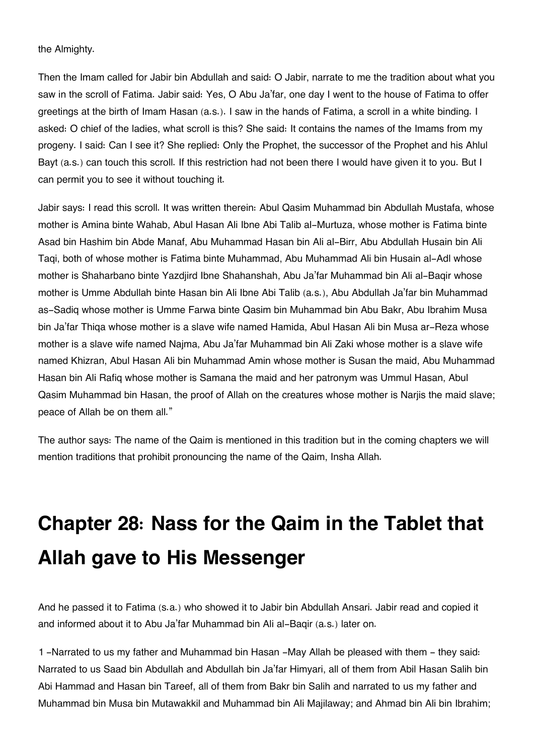the Almighty.

Then the Imam called for Jabir bin Abdullah and said: O Jabir, narrate to me the tradition about what you saw in the scroll of Fatima. Jabir said: Yes, O Abu Ja'far, one day I went to the house of Fatima to offer greetings at the birth of Imam Hasan (a.s.). I saw in the hands of Fatima, a scroll in a white binding. I asked: O chief of the ladies, what scroll is this? She said: It contains the names of the Imams from my progeny. I said: Can I see it? She replied: Only the Prophet, the successor of the Prophet and his Ahlul Bayt (a.s.) can touch this scroll. If this restriction had not been there I would have given it to you. But I can permit you to see it without touching it.

Jabir says: I read this scroll. It was written therein: Abul Qasim Muhammad bin Abdullah Mustafa, whose mother is Amina binte Wahab, Abul Hasan Ali Ibne Abi Talib al-Murtuza, whose mother is Fatima binte Asad bin Hashim bin Abde Manaf, Abu Muhammad Hasan bin Ali al-Birr, Abu Abdullah Husain bin Ali Taqi, both of whose mother is Fatima binte Muhammad, Abu Muhammad Ali bin Husain al-Adl whose mother is Shaharbano binte Yazdjird Ibne Shahanshah, Abu Ja'far Muhammad bin Ali al-Baqir whose mother is Umme Abdullah binte Hasan bin Ali Ibne Abi Talib (a.s.), Abu Abdullah Ja'far bin Muhammad as-Sadiq whose mother is Umme Farwa binte Qasim bin Muhammad bin Abu Bakr, Abu Ibrahim Musa bin Ja'far Thiqa whose mother is a slave wife named Hamida, Abul Hasan Ali bin Musa ar-Reza whose mother is a slave wife named Najma, Abu Ja'far Muhammad bin Ali Zaki whose mother is a slave wife named Khizran, Abul Hasan Ali bin Muhammad Amin whose mother is Susan the maid, Abu Muhammad Hasan bin Ali Rafiq whose mother is Samana the maid and her patronym was Ummul Hasan, Abul Qasim Muhammad bin Hasan, the proof of Allah on the creatures whose mother is Narjis the maid slave; peace of Allah be on them all."

The author says: The name of the Qaim is mentioned in this tradition but in the coming chapters we will mention traditions that prohibit pronouncing the name of the Qaim, Insha Allah.

# **Chapter 28: Nass for the Qaim in the Tablet that Allah gave to His Messenger**

And he passed it to Fatima (s.a.) who showed it to Jabir bin Abdullah Ansari. Jabir read and copied it and informed about it to Abu Ja'far Muhammad bin Ali al-Baqir (a.s.) later on.

1 -Narrated to us my father and Muhammad bin Hasan -May Allah be pleased with them - they said: Narrated to us Saad bin Abdullah and Abdullah bin Ja'far Himyari, all of them from Abil Hasan Salih bin Abi Hammad and Hasan bin Tareef, all of them from Bakr bin Salih and narrated to us my father and Muhammad bin Musa bin Mutawakkil and Muhammad bin Ali Majilaway; and Ahmad bin Ali bin Ibrahim;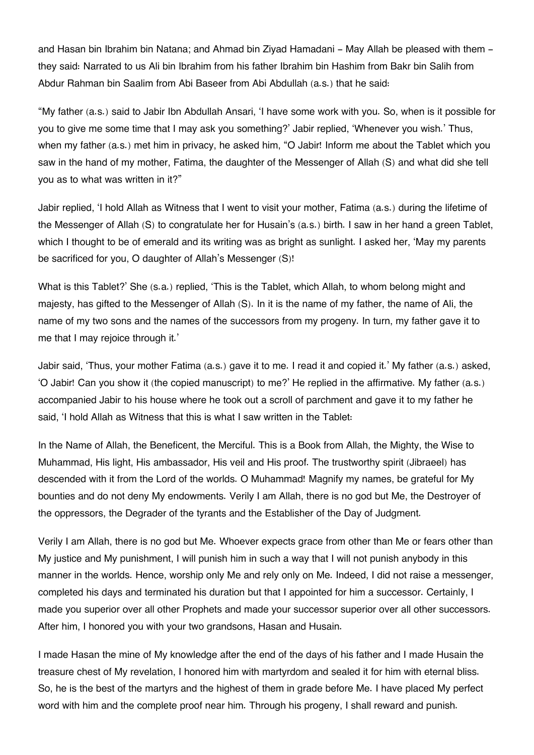and Hasan bin Ibrahim bin Natana; and Ahmad bin Ziyad Hamadani - May Allah be pleased with them they said: Narrated to us Ali bin Ibrahim from his father Ibrahim bin Hashim from Bakr bin Salih from Abdur Rahman bin Saalim from Abi Baseer from Abi Abdullah (a.s.) that he said:

"My father (a.s.) said to Jabir Ibn Abdullah Ansari, 'I have some work with you. So, when is it possible for you to give me some time that I may ask you something?' Jabir replied, 'Whenever you wish.' Thus, when my father (a.s.) met him in privacy, he asked him, "O Jabir! Inform me about the Tablet which you saw in the hand of my mother, Fatima, the daughter of the Messenger of Allah (S) and what did she tell you as to what was written in it?"

Jabir replied, 'I hold Allah as Witness that I went to visit your mother, Fatima (a.s.) during the lifetime of the Messenger of Allah (S) to congratulate her for Husain's (a.s.) birth. I saw in her hand a green Tablet, which I thought to be of emerald and its writing was as bright as sunlight. I asked her, 'May my parents be sacrificed for you, O daughter of Allah's Messenger (S)!

What is this Tablet?' She (s.a.) replied, 'This is the Tablet, which Allah, to whom belong might and majesty, has gifted to the Messenger of Allah (S). In it is the name of my father, the name of Ali, the name of my two sons and the names of the successors from my progeny. In turn, my father gave it to me that I may rejoice through it.'

Jabir said, 'Thus, your mother Fatima (a.s.) gave it to me. I read it and copied it.' My father (a.s.) asked, 'O Jabir! Can you show it (the copied manuscript) to me?' He replied in the affirmative. My father (a.s.) accompanied Jabir to his house where he took out a scroll of parchment and gave it to my father he said, 'I hold Allah as Witness that this is what I saw written in the Tablet:

In the Name of Allah, the Beneficent, the Merciful. This is a Book from Allah, the Mighty, the Wise to Muhammad, His light, His ambassador, His veil and His proof. The trustworthy spirit (Jibraeel) has descended with it from the Lord of the worlds. O Muhammad! Magnify my names, be grateful for My bounties and do not deny My endowments. Verily I am Allah, there is no god but Me, the Destroyer of the oppressors, the Degrader of the tyrants and the Establisher of the Day of Judgment.

Verily I am Allah, there is no god but Me. Whoever expects grace from other than Me or fears other than My justice and My punishment, I will punish him in such a way that I will not punish anybody in this manner in the worlds. Hence, worship only Me and rely only on Me. Indeed, I did not raise a messenger, completed his days and terminated his duration but that I appointed for him a successor. Certainly, I made you superior over all other Prophets and made your successor superior over all other successors. After him, I honored you with your two grandsons, Hasan and Husain.

I made Hasan the mine of My knowledge after the end of the days of his father and I made Husain the treasure chest of My revelation, I honored him with martyrdom and sealed it for him with eternal bliss. So, he is the best of the martyrs and the highest of them in grade before Me. I have placed My perfect word with him and the complete proof near him. Through his progeny, I shall reward and punish.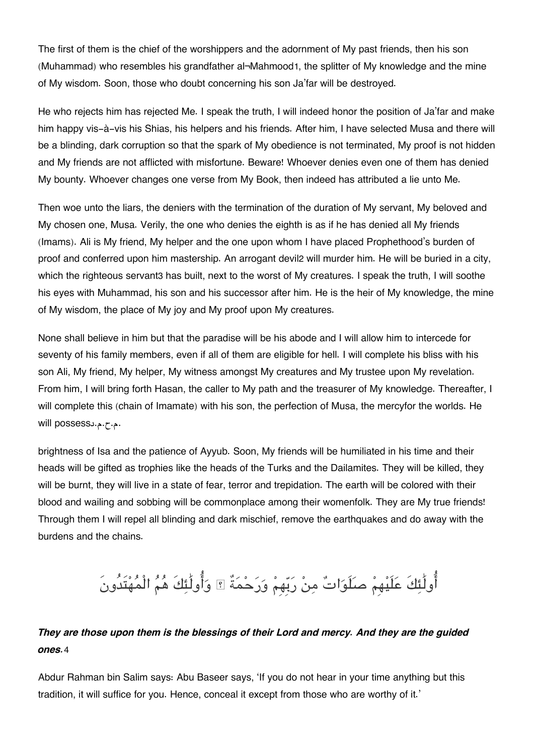The first of them is the chief of the worshippers and the adornment of My past friends, then his son (Muhammad) who resembles his grandfather al¬Mahmood[1](#page--1-0), the splitter of My knowledge and the mine of My wisdom. Soon, those who doubt concerning his son Ja'far will be destroyed.

He who rejects him has rejected Me. I speak the truth, I will indeed honor the position of Ja'far and make him happy vis-à-vis his Shias, his helpers and his friends. After him, I have selected Musa and there will be a blinding, dark corruption so that the spark of My obedience is not terminated, My proof is not hidden and My friends are not afflicted with misfortune. Beware! Whoever denies even one of them has denied My bounty. Whoever changes one verse from My Book, then indeed has attributed a lie unto Me.

Then woe unto the liars, the deniers with the termination of the duration of My servant, My beloved and My chosen one, Musa. Verily, the one who denies the eighth is as if he has denied all My friends (Imams). Ali is My friend, My helper and the one upon whom I have placed Prophethood's burden of proof and conferred upon him mastership. An arrogant devil[2](#page--1-0) will murder him. He will be buried in a city, which the righteous servant[3](#page--1-0) has built, next to the worst of My creatures. I speak the truth, I will soothe his eyes with Muhammad, his son and his successor after him. He is the heir of My knowledge, the mine of My wisdom, the place of My joy and My proof upon My creatures.

None shall believe in him but that the paradise will be his abode and I will allow him to intercede for seventy of his family members, even if all of them are eligible for hell. I will complete his bliss with his son Ali, My friend, My helper, My witness amongst My creatures and My trustee upon My revelation. From him, I will bring forth Hasan, the caller to My path and the treasurer of My knowledge. Thereafter, I will complete this (chain of Imamate) with his son, the perfection of Musa, the mercyfor the worlds. He will possess ... م.ح.م.

brightness of Isa and the patience of Ayyub. Soon, My friends will be humiliated in his time and their heads will be gifted as trophies like the heads of the Turks and the Dailamites. They will be killed, they will be burnt, they will live in a state of fear, terror and trepidation. The earth will be colored with their blood and wailing and sobbing will be commonplace among their womenfolk. They are My true friends! Through them I will repel all blinding and dark mischief, remove the earthquakes and do away with the burdens and the chains.

## أُولَٰئِكَ عَلَيْهِمْ صلَوَاتٌ مِنْ رَبّهمْ وَرَحْمَةٌ ؟ وَأُولَٰئِكَ هُمُ الْمُهْتَدُونَ

## *They are those upon them is the blessings of their Lord and mercy. And they are the guided ones.*[4](#page--1-0)

Abdur Rahman bin Salim says: Abu Baseer says, 'If you do not hear in your time anything but this tradition, it will suffice for you. Hence, conceal it except from those who are worthy of it.'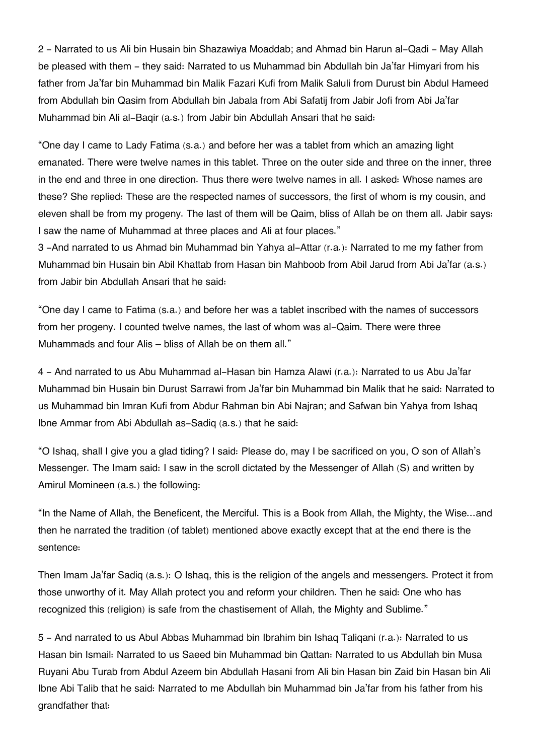2 - Narrated to us Ali bin Husain bin Shazawiya Moaddab; and Ahmad bin Harun al-Qadi - May Allah be pleased with them - they said: Narrated to us Muhammad bin Abdullah bin Ja'far Himyari from his father from Ja'far bin Muhammad bin Malik Fazari Kufi from Malik Saluli from Durust bin Abdul Hameed from Abdullah bin Qasim from Abdullah bin Jabala from Abi Safatij from Jabir Jofi from Abi Ja'far Muhammad bin Ali al-Baqir (a.s.) from Jabir bin Abdullah Ansari that he said:

"One day I came to Lady Fatima (s.a.) and before her was a tablet from which an amazing light emanated. There were twelve names in this tablet. Three on the outer side and three on the inner, three in the end and three in one direction. Thus there were twelve names in all. I asked: Whose names are these? She replied: These are the respected names of successors, the first of whom is my cousin, and eleven shall be from my progeny. The last of them will be Qaim, bliss of Allah be on them all. Jabir says: I saw the name of Muhammad at three places and Ali at four places."

3 -And narrated to us Ahmad bin Muhammad bin Yahya al-Attar (r.a.): Narrated to me my father from Muhammad bin Husain bin Abil Khattab from Hasan bin Mahboob from Abil Jarud from Abi Ja'far (a.s.) from Jabir bin Abdullah Ansari that he said:

"One day I came to Fatima (s.a.) and before her was a tablet inscribed with the names of successors from her progeny. I counted twelve names, the last of whom was al-Qaim. There were three Muhammads and four Alis – bliss of Allah be on them all."

4 - And narrated to us Abu Muhammad al-Hasan bin Hamza Alawi (r.a.): Narrated to us Abu Ja'far Muhammad bin Husain bin Durust Sarrawi from Ja'far bin Muhammad bin Malik that he said: Narrated to us Muhammad bin Imran Kufi from Abdur Rahman bin Abi Najran; and Safwan bin Yahya from Ishaq Ibne Ammar from Abi Abdullah as-Sadiq (a.s.) that he said:

"O Ishaq, shall I give you a glad tiding? I said: Please do, may I be sacrificed on you, O son of Allah's Messenger. The Imam said: I saw in the scroll dictated by the Messenger of Allah (S) and written by Amirul Momineen (a.s.) the following:

"In the Name of Allah, the Beneficent, the Merciful. This is a Book from Allah, the Mighty, the Wise…and then he narrated the tradition (of tablet) mentioned above exactly except that at the end there is the sentence:

Then Imam Ja'far Sadiq (a.s.): O Ishaq, this is the religion of the angels and messengers. Protect it from those unworthy of it. May Allah protect you and reform your children. Then he said: One who has recognized this (religion) is safe from the chastisement of Allah, the Mighty and Sublime."

5 - And narrated to us Abul Abbas Muhammad bin Ibrahim bin Ishaq Taliqani (r.a.): Narrated to us Hasan bin Ismail: Narrated to us Saeed bin Muhammad bin Qattan: Narrated to us Abdullah bin Musa Ruyani Abu Turab from Abdul Azeem bin Abdullah Hasani from Ali bin Hasan bin Zaid bin Hasan bin Ali Ibne Abi Talib that he said: Narrated to me Abdullah bin Muhammad bin Ja'far from his father from his grandfather that: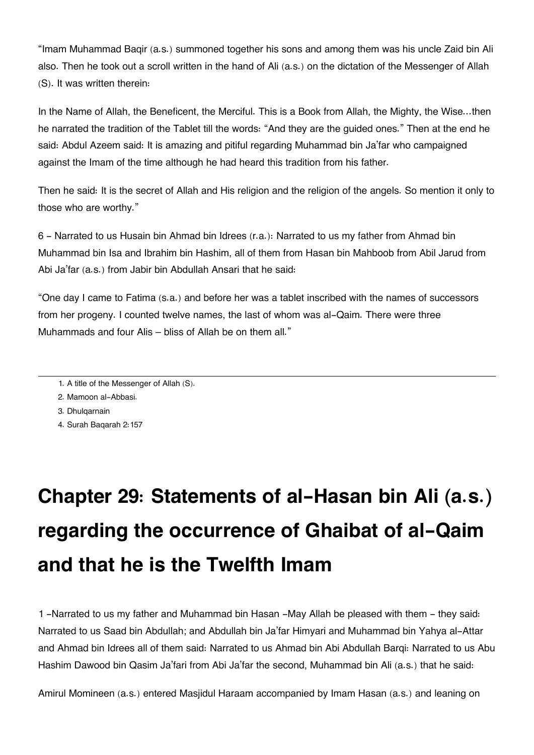"Imam Muhammad Baqir (a.s.) summoned together his sons and among them was his uncle Zaid bin Ali also. Then he took out a scroll written in the hand of Ali (a.s.) on the dictation of the Messenger of Allah (S). It was written therein:

In the Name of Allah, the Beneficent, the Merciful. This is a Book from Allah, the Mighty, the Wise…then he narrated the tradition of the Tablet till the words: "And they are the guided ones." Then at the end he said: Abdul Azeem said: It is amazing and pitiful regarding Muhammad bin Ja'far who campaigned against the Imam of the time although he had heard this tradition from his father.

Then he said: It is the secret of Allah and His religion and the religion of the angels. So mention it only to those who are worthy."

6 - Narrated to us Husain bin Ahmad bin Idrees (r.a.): Narrated to us my father from Ahmad bin Muhammad bin Isa and Ibrahim bin Hashim, all of them from Hasan bin Mahboob from Abil Jarud from Abi Ja'far (a.s.) from Jabir bin Abdullah Ansari that he said:

"One day I came to Fatima (s.a.) and before her was a tablet inscribed with the names of successors from her progeny. I counted twelve names, the last of whom was al-Qaim. There were three Muhammads and four Alis – bliss of Allah be on them all."

[2.](#page--1-0) Mamoon al-Abbasi.

[3.](#page--1-0) Dhulqarnain

[4.](#page--1-0) Surah Baqarah 2:157

## **Chapter 29: Statements of al-Hasan bin Ali (a.s.) regarding the occurrence of Ghaibat of al-Qaim and that he is the Twelfth Imam**

1 -Narrated to us my father and Muhammad bin Hasan -May Allah be pleased with them - they said: Narrated to us Saad bin Abdullah; and Abdullah bin Ja'far Himyari and Muhammad bin Yahya al-Attar and Ahmad bin Idrees all of them said: Narrated to us Ahmad bin Abi Abdullah Barqi: Narrated to us Abu Hashim Dawood bin Qasim Ja'fari from Abi Ja'far the second, Muhammad bin Ali (a.s.) that he said:

Amirul Momineen (a.s.) entered Masjidul Haraam accompanied by Imam Hasan (a.s.) and leaning on

[<sup>1.</sup>](#page--1-0) A title of the Messenger of Allah (S).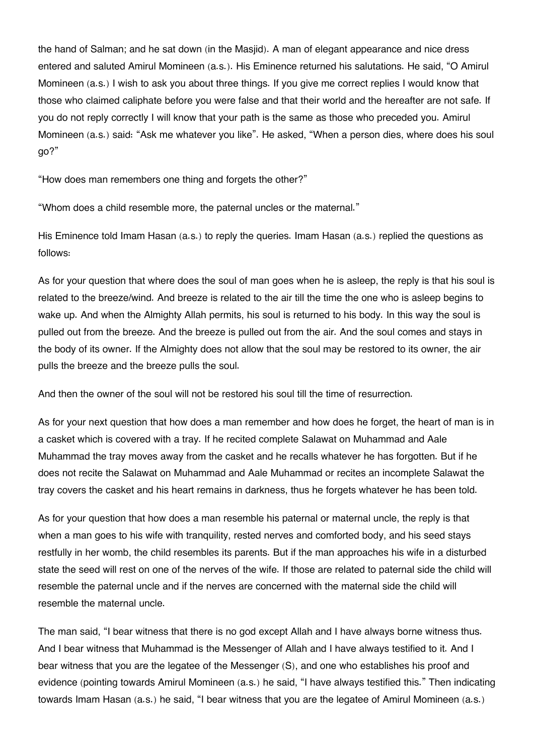the hand of Salman; and he sat down (in the Masjid). A man of elegant appearance and nice dress entered and saluted Amirul Momineen (a.s.). His Eminence returned his salutations. He said, "O Amirul Momineen (a.s.) I wish to ask you about three things. If you give me correct replies I would know that those who claimed caliphate before you were false and that their world and the hereafter are not safe. If you do not reply correctly I will know that your path is the same as those who preceded you. Amirul Momineen (a.s.) said: "Ask me whatever you like". He asked, "When a person dies, where does his soul go?"

"How does man remembers one thing and forgets the other?"

"Whom does a child resemble more, the paternal uncles or the maternal."

His Eminence told Imam Hasan (a.s.) to reply the queries. Imam Hasan (a.s.) replied the questions as follows:

As for your question that where does the soul of man goes when he is asleep, the reply is that his soul is related to the breeze/wind. And breeze is related to the air till the time the one who is asleep begins to wake up. And when the Almighty Allah permits, his soul is returned to his body. In this way the soul is pulled out from the breeze. And the breeze is pulled out from the air. And the soul comes and stays in the body of its owner. If the Almighty does not allow that the soul may be restored to its owner, the air pulls the breeze and the breeze pulls the soul.

And then the owner of the soul will not be restored his soul till the time of resurrection.

As for your next question that how does a man remember and how does he forget, the heart of man is in a casket which is covered with a tray. If he recited complete Salawat on Muhammad and Aale Muhammad the tray moves away from the casket and he recalls whatever he has forgotten. But if he does not recite the Salawat on Muhammad and Aale Muhammad or recites an incomplete Salawat the tray covers the casket and his heart remains in darkness, thus he forgets whatever he has been told.

As for your question that how does a man resemble his paternal or maternal uncle, the reply is that when a man goes to his wife with tranquility, rested nerves and comforted body, and his seed stays restfully in her womb, the child resembles its parents. But if the man approaches his wife in a disturbed state the seed will rest on one of the nerves of the wife. If those are related to paternal side the child will resemble the paternal uncle and if the nerves are concerned with the maternal side the child will resemble the maternal uncle.

The man said, "I bear witness that there is no god except Allah and I have always borne witness thus. And I bear witness that Muhammad is the Messenger of Allah and I have always testified to it. And I bear witness that you are the legatee of the Messenger (S), and one who establishes his proof and evidence (pointing towards Amirul Momineen (a.s.) he said, "I have always testified this." Then indicating towards Imam Hasan (a.s.) he said, "I bear witness that you are the legatee of Amirul Momineen (a.s.)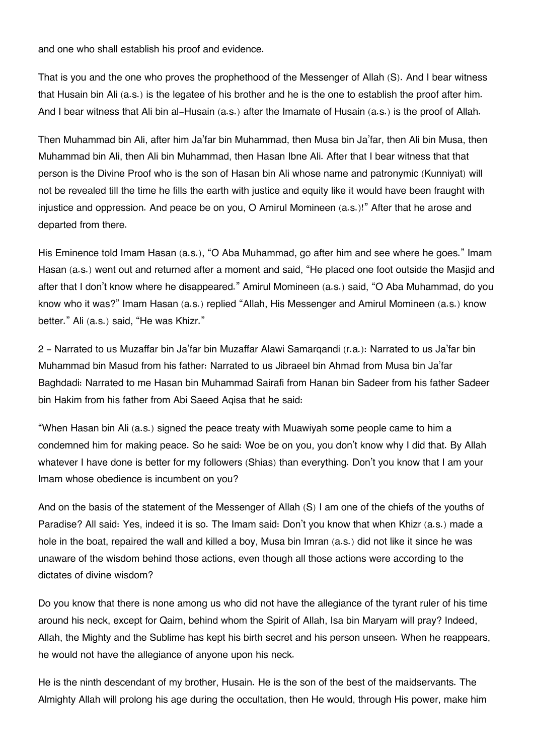and one who shall establish his proof and evidence.

That is you and the one who proves the prophethood of the Messenger of Allah (S). And I bear witness that Husain bin Ali (a.s.) is the legatee of his brother and he is the one to establish the proof after him. And I bear witness that Ali bin al-Husain (a.s.) after the Imamate of Husain (a.s.) is the proof of Allah.

Then Muhammad bin Ali, after him Ja'far bin Muhammad, then Musa bin Ja'far, then Ali bin Musa, then Muhammad bin Ali, then Ali bin Muhammad, then Hasan Ibne Ali. After that I bear witness that that person is the Divine Proof who is the son of Hasan bin Ali whose name and patronymic (Kunniyat) will not be revealed till the time he fills the earth with justice and equity like it would have been fraught with injustice and oppression. And peace be on you, O Amirul Momineen (a.s.)!" After that he arose and departed from there.

His Eminence told Imam Hasan (a.s.), "O Aba Muhammad, go after him and see where he goes." Imam Hasan (a.s.) went out and returned after a moment and said, "He placed one foot outside the Masjid and after that I don't know where he disappeared." Amirul Momineen (a.s.) said, "O Aba Muhammad, do you know who it was?" Imam Hasan (a.s.) replied "Allah, His Messenger and Amirul Momineen (a.s.) know better." Ali (a.s.) said, "He was Khizr."

2 - Narrated to us Muzaffar bin Ja'far bin Muzaffar Alawi Samarqandi (r.a.): Narrated to us Ja'far bin Muhammad bin Masud from his father: Narrated to us Jibraeel bin Ahmad from Musa bin Ja'far Baghdadi: Narrated to me Hasan bin Muhammad Sairafi from Hanan bin Sadeer from his father Sadeer bin Hakim from his father from Abi Saeed Aqisa that he said:

"When Hasan bin Ali (a.s.) signed the peace treaty with Muawiyah some people came to him a condemned him for making peace. So he said: Woe be on you, you don't know why I did that. By Allah whatever I have done is better for my followers (Shias) than everything. Don't you know that I am your Imam whose obedience is incumbent on you?

And on the basis of the statement of the Messenger of Allah (S) I am one of the chiefs of the youths of Paradise? All said: Yes, indeed it is so. The Imam said: Don't you know that when Khizr (a.s.) made a hole in the boat, repaired the wall and killed a boy, Musa bin Imran (a.s.) did not like it since he was unaware of the wisdom behind those actions, even though all those actions were according to the dictates of divine wisdom?

Do you know that there is none among us who did not have the allegiance of the tyrant ruler of his time around his neck, except for Qaim, behind whom the Spirit of Allah, Isa bin Maryam will pray? Indeed, Allah, the Mighty and the Sublime has kept his birth secret and his person unseen. When he reappears, he would not have the allegiance of anyone upon his neck.

He is the ninth descendant of my brother, Husain. He is the son of the best of the maidservants. The Almighty Allah will prolong his age during the occultation, then He would, through His power, make him